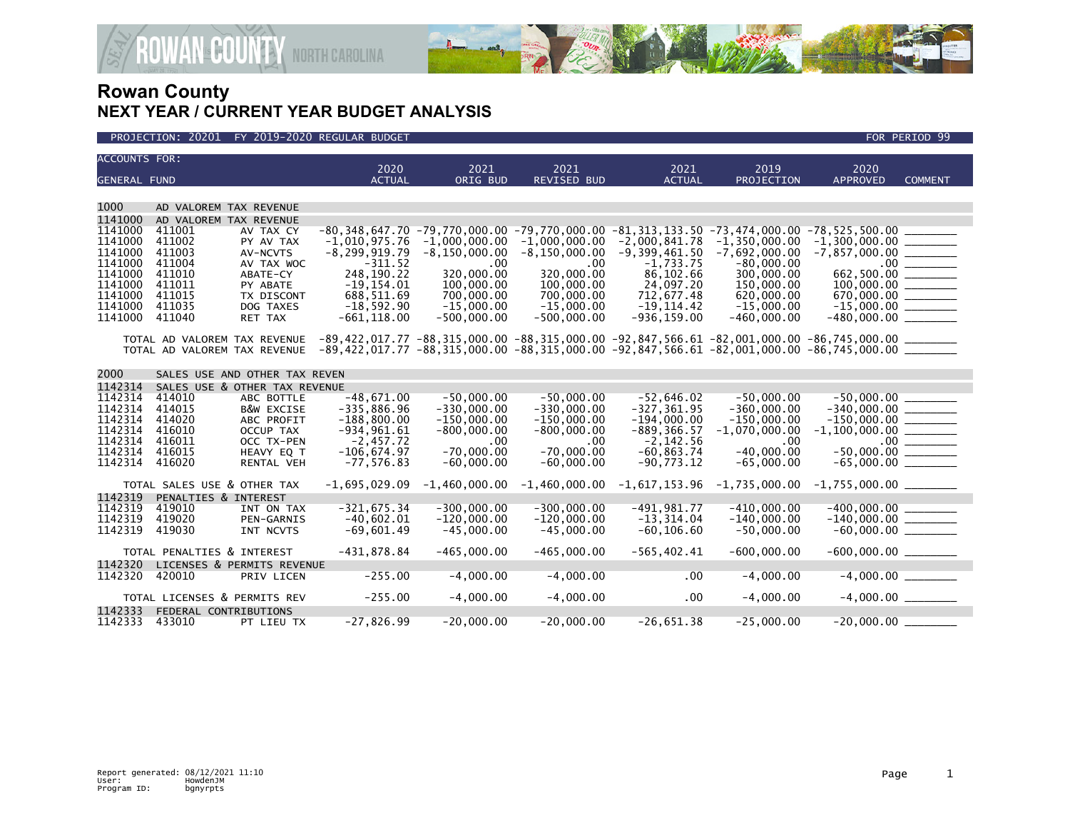



| <b>ACCOUNTS FOR:</b> |                             |                               | 2020                                                                                                                           | 2021                | 2021                | 2021                                                                                                  | 2019                | 2020                      |                |
|----------------------|-----------------------------|-------------------------------|--------------------------------------------------------------------------------------------------------------------------------|---------------------|---------------------|-------------------------------------------------------------------------------------------------------|---------------------|---------------------------|----------------|
| <b>GENERAL FUND</b>  |                             |                               | <b>ACTUAL</b>                                                                                                                  | ORIG BUD            | <b>REVISED BUD</b>  | <b>ACTUAL</b>                                                                                         | <b>PROJECTION</b>   | <b>APPROVED</b>           | <b>COMMENT</b> |
|                      |                             |                               |                                                                                                                                |                     |                     |                                                                                                       |                     |                           |                |
| 1000                 |                             | AD VALOREM TAX REVENUE        |                                                                                                                                |                     |                     |                                                                                                       |                     |                           |                |
| 1141000              |                             | AD VALOREM TAX REVENUE        |                                                                                                                                |                     |                     |                                                                                                       |                     |                           |                |
| 1141000              | 411001                      | AV TAX CY                     |                                                                                                                                |                     |                     | $-80.348.647.70$ $-79.770.000.00$ $-79.770.000.00$ $-81.313.133.50$ $-73.474.000.00$ $-85.525.500.00$ |                     |                           |                |
| 1141000              | 411002                      | PY AV TAX                     | $-1,010,975.76$                                                                                                                | $-1,000,000.00$     | $-1,000,000.00$     | $-2,000,841.78$                                                                                       | $-1, 350, 000.00$   | $-1,300,000.00$ ________  |                |
| 1141000              | 411003                      | AV-NCVTS                      | $-8, 299, 919.79$                                                                                                              | $-8, 150, 000.00$   | $-8, 150, 000.00$   | $-9,399,461.50$                                                                                       | $-7,692,000.00$     | $-7,857,000.00$ _________ |                |
| 1141000              | 411004                      | AV TAX WOC                    | $-311.52$                                                                                                                      | .00                 | $.00 \times$        | $-1,733.75$                                                                                           | $-80,000.00$        |                           |                |
| 1141000              | 411010                      | ABATE-CY                      | 248,190.22                                                                                                                     | 320,000.00          | 320,000.00          | 86,102.66                                                                                             | 300,000.00          | 662,500.00 _______        |                |
| 1141000              | 411011                      | PY ABATE                      | $-19, 154.01$                                                                                                                  | 100,000.00          | 100,000.00          | 24,097.20                                                                                             | 150,000.00          | 100.000.00                |                |
| 1141000              | 411015                      | TX DISCONT                    | 688,511.69                                                                                                                     | 700,000,00          | 700,000,00          | 712,677.48                                                                                            | 620,000.00          | 670.000.00                |                |
| 1141000              | 411035                      | DOG TAXES                     | $-18,592.90$                                                                                                                   | $-15,000.00$        | $-15,000.00$        | $-19, 114.42$                                                                                         | $-15,000.00$        | $-15,000.00$ ________     |                |
| 1141000              | 411040                      | RET TAX                       | $-661, 118.00$                                                                                                                 | $-500,000.00$       | $-500,000.00$       | $-936, 159.00$                                                                                        | $-460,000.00$       |                           |                |
|                      |                             |                               | TOTAL AD VALOREM TAX REVENUE -89,422,017.77 -88,315,000.00 -88,315,000.00 -92,847,566.61 -82,001,000.00 -86,745,000.00 _______ |                     |                     |                                                                                                       |                     |                           |                |
|                      |                             |                               | TOTAL AD VALOREM TAX REVENUE -89.422.017.77 -88.315.000.00 -88.315.000.00 -92.847.566.61 -82.001.000.00 -86.745.000.00 _______ |                     |                     |                                                                                                       |                     |                           |                |
|                      |                             |                               |                                                                                                                                |                     |                     |                                                                                                       |                     |                           |                |
| 2000                 |                             | SALES USE AND OTHER TAX REVEN |                                                                                                                                |                     |                     |                                                                                                       |                     |                           |                |
| 1142314              |                             | SALES USE & OTHER TAX REVENUE |                                                                                                                                |                     |                     |                                                                                                       |                     |                           |                |
| 1142314              | 414010                      | ABC BOTTLE                    | $-48,671.00$                                                                                                                   | $-50.000.00$        | $-50,000.00$        | $-52,646.02$                                                                                          | $-50.000.00$        | $-50.000.00$              |                |
| 1142314              | 414015                      | <b>B&amp;W EXCISE</b>         | $-335,886.96$                                                                                                                  | $-330.000.00$       | $-330,000.00$       | $-327, 361.95$                                                                                        | $-360.000.00$       | $-340.000.00$             |                |
| 1142314              | 414020                      | ABC PROFIT                    | $-188,800.00$                                                                                                                  | $-150,000.00$       | $-150,000.00$       | $-194,000.00$                                                                                         | $-150,000.00$       | $-150,000.00$ ________    |                |
| 1142314<br>1142314   | 416010                      | OCCUP TAX                     | $-934, 961.61$                                                                                                                 | $-800,000.00$       | $-800,000.00$       | $-889, 366.57$                                                                                        | $-1,070,000.00$     | $-1,100,000.00$ ________  |                |
| 1142314              | 416011<br>416015            | OCC TX-PEN<br>HEAVY EQ T      | $-2,457.72$<br>$-106,674.97$                                                                                                   | .00<br>$-70,000.00$ | .00<br>$-70,000.00$ | $-2,142.56$<br>$-60, 863, 74$                                                                         | .00<br>$-40,000.00$ | $-50,000.00$ ________     |                |
| 1142314              | 416020                      |                               | $-77, 576.83$                                                                                                                  | $-60.000.00$        | $-60,000.00$        | $-90.773.12$                                                                                          | $-65,000.00$        | $-65,000.00$ _________    |                |
|                      |                             | <b>RENTAL VEH</b>             |                                                                                                                                |                     |                     |                                                                                                       |                     |                           |                |
|                      | TOTAL SALES USE & OTHER TAX |                               | $-1,695,029.09$                                                                                                                | $-1,460,000.00$     | $-1,460,000.00$     | -1,617,153.96                                                                                         | $-1,735,000.00$     | $-1,755,000.00$ _________ |                |
| 1142319              | PENALTIES & INTEREST        |                               |                                                                                                                                |                     |                     |                                                                                                       |                     |                           |                |
| 1142319              | 419010                      | INT ON TAX                    | $-321,675.34$                                                                                                                  | $-300.000.00$       | $-300.000.00$       | $-491.981.77$                                                                                         | $-410.000.00$       | $-400.000.00$             |                |
| 1142319              | 419020                      | PEN-GARNIS                    | $-40.602.01$                                                                                                                   | $-120.000.00$       | $-120.000.00$       | $-13.314.04$                                                                                          | $-140,000.00$       | $-140,000.00$ ________    |                |
| 1142319              | 419030                      | INT NCVTS                     | $-69,601.49$                                                                                                                   | $-45,000.00$        | $-45,000.00$        | $-60, 106.60$                                                                                         | $-50,000.00$        | $-60,000.00$ ________     |                |
|                      | TOTAL PENALTIES & INTEREST  |                               | $-431,878.84$                                                                                                                  | $-465,000.00$       | $-465,000.00$       | $-565, 402.41$                                                                                        | $-600,000.00$       |                           |                |
| 1142320              |                             | LICENSES & PERMITS REVENUE    |                                                                                                                                |                     |                     |                                                                                                       |                     |                           |                |
| 1142320              | 420010                      | PRIV LICEN                    | $-255.00$                                                                                                                      | $-4,000.00$         | $-4,000.00$         | .00                                                                                                   | $-4,000.00$         | $-4,000.00$               |                |
|                      |                             | TOTAL LICENSES & PERMITS REV  | $-255.00$                                                                                                                      | $-4,000.00$         | $-4,000.00$         | .00                                                                                                   | $-4,000.00$         | $-4,000.00$ _________     |                |
| 1142333              | FEDERAL CONTRIBUTIONS       |                               |                                                                                                                                |                     |                     |                                                                                                       |                     |                           |                |
| 1142333              | 433010                      | PT LIEU TX                    | $-27,826.99$                                                                                                                   | $-20,000.00$        | $-20,000.00$        | $-26,651.38$                                                                                          | $-25,000.00$        | $-20,000.00$ _________    |                |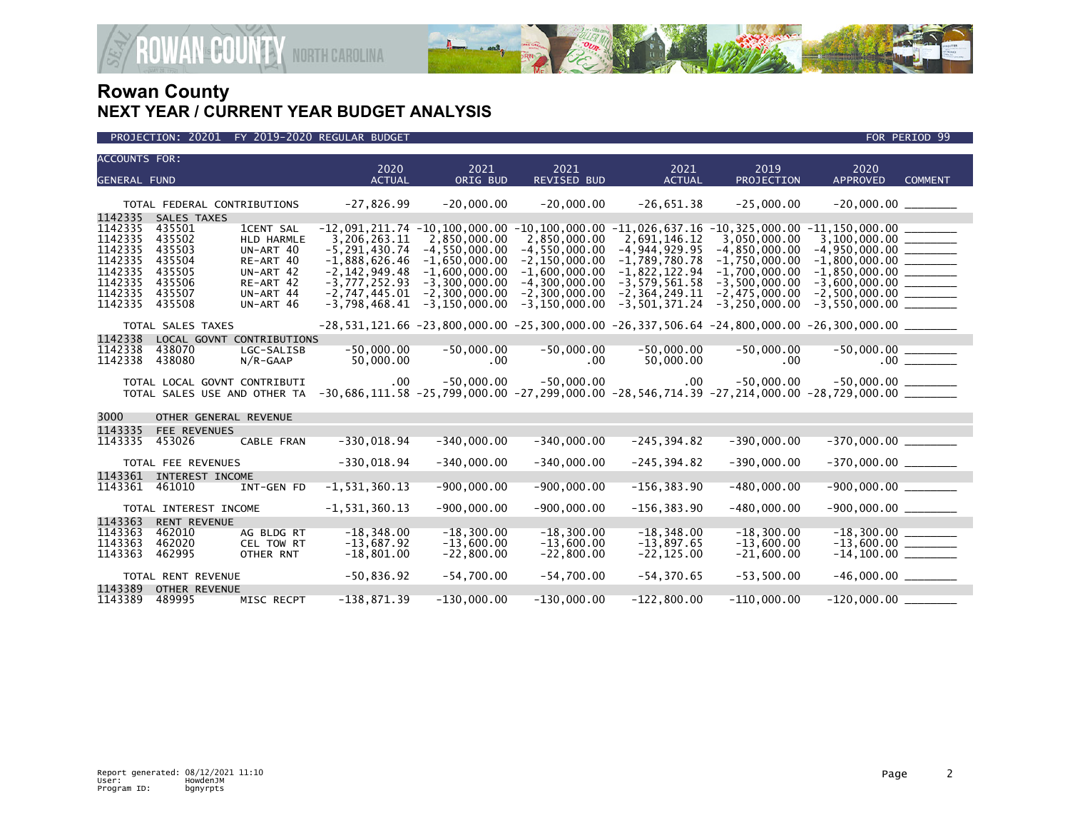

### PROJECTION: 20201 FY 2019-2020 REGULAR BUDGET FOR PERIOD 99

| <b>ACCOUNTS FOR:</b>                                                                 |                                                                              |                                                                                                              | 2020                                                                                                                               | 2021                                                                                                                               | 2021                                                                                                                                   | 2021                                                                                                                               | 2019                                                                                                                             | 2020                                                                                                                                                                                                                                         |                |
|--------------------------------------------------------------------------------------|------------------------------------------------------------------------------|--------------------------------------------------------------------------------------------------------------|------------------------------------------------------------------------------------------------------------------------------------|------------------------------------------------------------------------------------------------------------------------------------|----------------------------------------------------------------------------------------------------------------------------------------|------------------------------------------------------------------------------------------------------------------------------------|----------------------------------------------------------------------------------------------------------------------------------|----------------------------------------------------------------------------------------------------------------------------------------------------------------------------------------------------------------------------------------------|----------------|
| <b>GENERAL FUND</b>                                                                  |                                                                              |                                                                                                              | <b>ACTUAL</b>                                                                                                                      | ORIG BUD                                                                                                                           | <b>REVISED BUD</b>                                                                                                                     | <b>ACTUAL</b>                                                                                                                      | PROJECTION                                                                                                                       | <b>APPROVED</b>                                                                                                                                                                                                                              | <b>COMMENT</b> |
|                                                                                      | TOTAL FEDERAL CONTRIBUTIONS                                                  |                                                                                                              | $-27,826.99$                                                                                                                       | $-20,000.00$                                                                                                                       | $-20,000.00$                                                                                                                           | $-26,651.38$                                                                                                                       | $-25,000.00$                                                                                                                     |                                                                                                                                                                                                                                              |                |
| 1142335                                                                              | SALES TAXES                                                                  |                                                                                                              |                                                                                                                                    |                                                                                                                                    |                                                                                                                                        |                                                                                                                                    |                                                                                                                                  |                                                                                                                                                                                                                                              |                |
| 1142335<br>1142335<br>1142335<br>1142335<br>1142335<br>1142335<br>1142335<br>1142335 | 435501<br>435502<br>435503<br>435504<br>435505<br>435506<br>435507<br>435508 | <b>1CENT SAL</b><br>HLD HARMLE<br>UN-ART 40<br>RE-ART 40<br>UN-ART 42<br>RE-ART 42<br>UN-ART 44<br>UN-ART 46 | 3,206,263.11<br>$-5, 291, 430.74$<br>$-1,888,626.46$<br>$-2, 142, 949.48$<br>$-3,777,252.93$<br>$-2,747,445.01$<br>$-3,798,468.41$ | 2,850,000.00<br>$-4, 550, 000.00$<br>$-1,650,000.00$<br>$-1,600,000.00$<br>$-3,300,000.00$<br>$-2,300,000.00$<br>$-3, 150, 000.00$ | 2,850,000.00<br>$-4,550,000.00$<br>$-2, 150, 000.00$<br>$-1,600,000.00$<br>$-4, 300, 000.00$<br>$-2, 300, 000.00$<br>$-3, 150, 000.00$ | 2,691,146.12<br>$-4, 944, 929.95$<br>$-1,789,780.78$<br>$-1,822,122.94$<br>$-3,579,561.58$<br>$-2, 364, 249.11$<br>$-3,501,371.24$ | 3,050,000.00<br>$-4,850,000.00$<br>$-1,750,000.00$<br>$-1,700,000.00$<br>$-3,500,000.00$<br>$-2,475,000.00$<br>$-3, 250, 000.00$ | $-12,091,211.74$ $-10,100,000.00$ $-10,100,000.00$ $-11,026,637.16$ $-10,325,000.00$ $-11,150,000.00$ $\_\_$<br>$3,100,000.00$ ________<br>$-3,600,000.00$ ________<br>$-2,500,000.00$ _________                                             |                |
|                                                                                      |                                                                              |                                                                                                              |                                                                                                                                    |                                                                                                                                    |                                                                                                                                        |                                                                                                                                    |                                                                                                                                  |                                                                                                                                                                                                                                              |                |
|                                                                                      | TOTAL SALES TAXES                                                            |                                                                                                              |                                                                                                                                    |                                                                                                                                    |                                                                                                                                        |                                                                                                                                    |                                                                                                                                  | $-28,531,121.66$ $-23,800,000.00$ $-25,300,000.00$ $-26,337,506.64$ $-24,800,000.00$ $-26,300,000.00$ $-$                                                                                                                                    |                |
| 1142338<br>1142338<br>1142338                                                        | LOCAL GOVNT CONTRIBUTIONS<br>438070<br>438080                                | LGC-SALISB<br>$N/R$ -GAAP                                                                                    | $-50,000.00$<br>50,000.00                                                                                                          | $-50,000.00$<br>.00                                                                                                                | $-50,000.00$<br>$.00 \ \,$                                                                                                             | $-50,000.00$<br>50,000.00                                                                                                          | $-50,000.00$<br>.00                                                                                                              |                                                                                                                                                                                                                                              |                |
|                                                                                      | TOTAL LOCAL GOVNT CONTRIBUTI<br>TOTAL SALES USE AND OTHER TA                 |                                                                                                              | $.00 \,$                                                                                                                           | $-50.000.00$                                                                                                                       | $-50,000.00$                                                                                                                           | .00                                                                                                                                | $-50,000.00$                                                                                                                     | $-50,000.00$ ________<br>$-30,686,111.\overline{58}$ $-25,799,\overline{000}.\overline{00}$ $-27,299,\overline{000}.\overline{00}$ $-28,546,714.\overline{39}$ $-27,214,\overline{000}.\overline{00}$ $-28,729,\overline{000}.\overline{00}$ |                |
| 3000                                                                                 | OTHER GENERAL REVENUE                                                        |                                                                                                              |                                                                                                                                    |                                                                                                                                    |                                                                                                                                        |                                                                                                                                    |                                                                                                                                  |                                                                                                                                                                                                                                              |                |
| 1143335<br>1143335                                                                   | FEE REVENUES<br>453026                                                       | CABLE FRAN                                                                                                   | $-330,018.94$                                                                                                                      | $-340,000.00$                                                                                                                      | $-340,000.00$                                                                                                                          | $-245, 394.82$                                                                                                                     | $-390,000.00$                                                                                                                    | $-370,000.00$ ________                                                                                                                                                                                                                       |                |
|                                                                                      | TOTAL FEE REVENUES                                                           |                                                                                                              | $-330,018.94$                                                                                                                      | $-340,000.00$                                                                                                                      | $-340,000.00$                                                                                                                          | $-245, 394.82$                                                                                                                     | $-390,000.00$                                                                                                                    | $-370,000.00$ ________                                                                                                                                                                                                                       |                |
| 1143361<br>1143361                                                                   | INTEREST INCOME<br>461010                                                    | INT-GEN FD                                                                                                   | $-1, 531, 360.13$                                                                                                                  | $-900,000.00$                                                                                                                      | $-900,000.00$                                                                                                                          | $-156, 383.90$                                                                                                                     | $-480,000.00$                                                                                                                    | $-900,000.00$ ________                                                                                                                                                                                                                       |                |
|                                                                                      | TOTAL INTEREST INCOME                                                        |                                                                                                              | $-1, 531, 360.13$                                                                                                                  | $-900,000.00$                                                                                                                      | $-900,000.00$                                                                                                                          | $-156, 383.90$                                                                                                                     | $-480,000.00$                                                                                                                    |                                                                                                                                                                                                                                              |                |
| 1143363<br>1143363<br>1143363<br>1143363                                             | <b>RENT REVENUE</b><br>462010<br>462020<br>462995                            | AG BLDG RT<br>CEL TOW RT<br>OTHER RNT                                                                        | $-18.348.00$<br>$-13,687.92$<br>$-18,801.00$                                                                                       | $-18.300.00$<br>$-13,600.00$<br>$-22,800.00$                                                                                       | $-18.300.00$<br>$-13,600.00$<br>$-22,800.00$                                                                                           | $-18, 348.00$<br>$-13,897.65$<br>$-22, 125.00$                                                                                     | $-18.300.00$<br>$-13,600.00$<br>$-21,600.00$                                                                                     | $-13,600.00$ ________                                                                                                                                                                                                                        |                |
|                                                                                      | TOTAL RENT REVENUE                                                           |                                                                                                              | $-50,836.92$                                                                                                                       | $-54,700.00$                                                                                                                       | $-54,700.00$                                                                                                                           | $-54, 370.65$                                                                                                                      | $-53,500.00$                                                                                                                     |                                                                                                                                                                                                                                              |                |
| 1143389<br>1143389                                                                   | <b>OTHER REVENUE</b><br>489995                                               | MISC RECPT                                                                                                   | $-138,871.39$                                                                                                                      | $-130,000.00$                                                                                                                      | $-130,000.00$                                                                                                                          | $-122,800.00$                                                                                                                      | $-110,000.00$                                                                                                                    |                                                                                                                                                                                                                                              |                |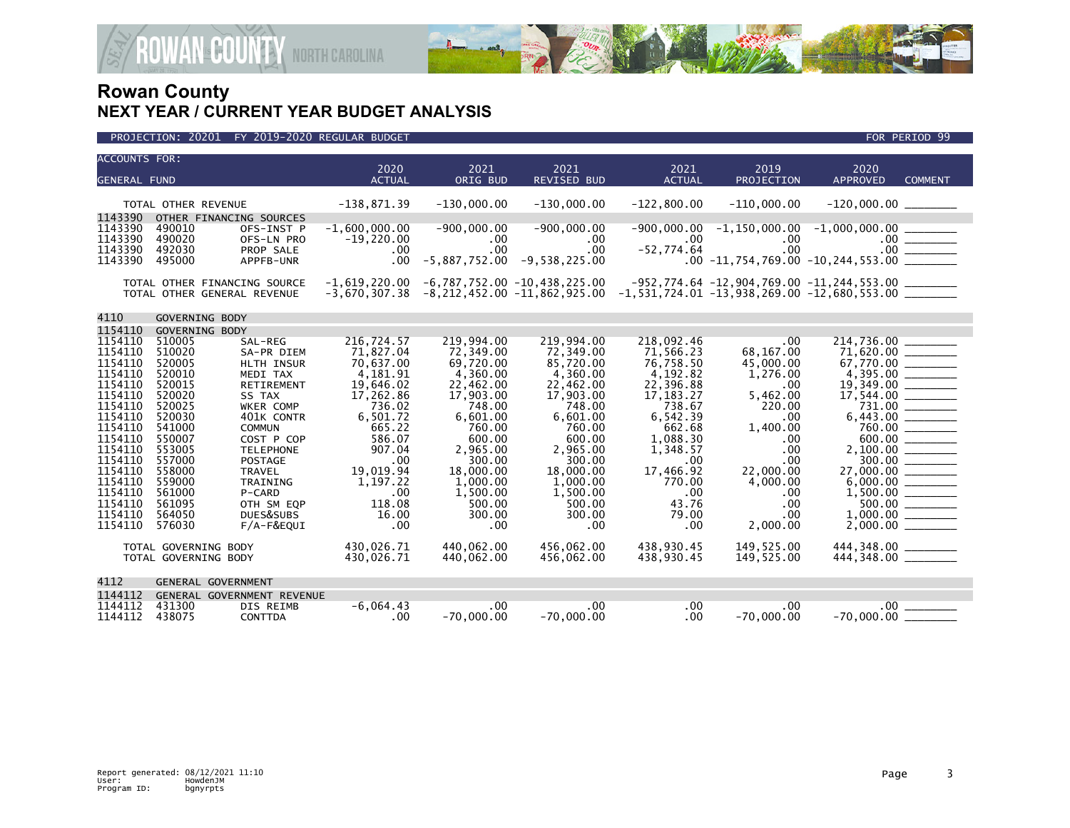

| <b>ACCOUNTS FOR:</b>                                                                                                                                                                               |                                                                                                                                                                                  |                                                                                                                                                                                                                                                            |                                                                                                                                                                                                 |                                                                                                                                                                                                            |                                                                                                                                                                                                            |                                                                                                                                                                                                    |                                                                                                                                                                          |                                                                 |                                                  |
|----------------------------------------------------------------------------------------------------------------------------------------------------------------------------------------------------|----------------------------------------------------------------------------------------------------------------------------------------------------------------------------------|------------------------------------------------------------------------------------------------------------------------------------------------------------------------------------------------------------------------------------------------------------|-------------------------------------------------------------------------------------------------------------------------------------------------------------------------------------------------|------------------------------------------------------------------------------------------------------------------------------------------------------------------------------------------------------------|------------------------------------------------------------------------------------------------------------------------------------------------------------------------------------------------------------|----------------------------------------------------------------------------------------------------------------------------------------------------------------------------------------------------|--------------------------------------------------------------------------------------------------------------------------------------------------------------------------|-----------------------------------------------------------------|--------------------------------------------------|
| <b>GENERAL FUND</b>                                                                                                                                                                                |                                                                                                                                                                                  |                                                                                                                                                                                                                                                            | 2020<br><b>ACTUAL</b>                                                                                                                                                                           | 2021<br>ORIG BUD                                                                                                                                                                                           | 2021<br><b>REVISED BUD</b>                                                                                                                                                                                 | 2021<br><b>ACTUAL</b>                                                                                                                                                                              | 2019<br>PROJECTION                                                                                                                                                       | 2020<br><b>APPROVED</b>                                         | <b>COMMENT</b>                                   |
|                                                                                                                                                                                                    |                                                                                                                                                                                  |                                                                                                                                                                                                                                                            |                                                                                                                                                                                                 |                                                                                                                                                                                                            |                                                                                                                                                                                                            |                                                                                                                                                                                                    |                                                                                                                                                                          |                                                                 |                                                  |
|                                                                                                                                                                                                    | TOTAL OTHER REVENUE                                                                                                                                                              |                                                                                                                                                                                                                                                            | $-138,871.39$                                                                                                                                                                                   | $-130,000.00$                                                                                                                                                                                              | $-130,000.00$                                                                                                                                                                                              | $-122.800.00$                                                                                                                                                                                      | $-110,000.00$                                                                                                                                                            |                                                                 |                                                  |
| 1143390<br>1143390<br>1143390<br>1143390<br>1143390                                                                                                                                                | OTHER FINANCING SOURCES<br>490010<br>490020<br>492030<br>495000                                                                                                                  | OFS-INST P<br>OFS-LN PRO<br>PROP SALE<br>APPFB-UNR                                                                                                                                                                                                         | $-1,600,000.00$<br>$-19,220.00$<br>.00<br>$.00 \,$                                                                                                                                              | $-900,000.00$<br>$.00 \ \,$<br>.00<br>$-5,887,752.00$                                                                                                                                                      | $-900,000.00$<br>.00<br>$.00 \times$<br>$-9,538,225.00$                                                                                                                                                    | $.00 \times$<br>$-52,774.64$                                                                                                                                                                       | $.00 \,$<br>.00                                                                                                                                                          | $-900,000.00$ $-1,150,000.00$ $-1,000,000.00$ $\qquad \qquad$   | $.00$ $\frac{$                                   |
|                                                                                                                                                                                                    | TOTAL OTHER FINANCING SOURCE<br>TOTAL OTHER GENERAL REVENUE                                                                                                                      |                                                                                                                                                                                                                                                            | $-1,619,220.00$<br>$-3,670,307.38$                                                                                                                                                              |                                                                                                                                                                                                            | -6,787,752.00 -10,438,225.00<br>$-8,212,452.00$ $-11,862,925.00$ $-1,531,724.01$ $-13,938,269.00$ $-12,680,553.00$ $\_\_$                                                                                  |                                                                                                                                                                                                    |                                                                                                                                                                          | $-952, 774.64 -12, 904, 769.00 -11, 244, 553.00$                |                                                  |
| 4110                                                                                                                                                                                               | GOVERNING BODY                                                                                                                                                                   |                                                                                                                                                                                                                                                            |                                                                                                                                                                                                 |                                                                                                                                                                                                            |                                                                                                                                                                                                            |                                                                                                                                                                                                    |                                                                                                                                                                          |                                                                 |                                                  |
| 1154110                                                                                                                                                                                            | GOVERNING BODY                                                                                                                                                                   |                                                                                                                                                                                                                                                            |                                                                                                                                                                                                 |                                                                                                                                                                                                            |                                                                                                                                                                                                            |                                                                                                                                                                                                    |                                                                                                                                                                          |                                                                 |                                                  |
| 1154110<br>1154110<br>1154110<br>1154110<br>1154110<br>1154110<br>1154110<br>1154110<br>1154110<br>1154110<br>1154110<br>1154110<br>1154110<br>1154110<br>1154110<br>1154110<br>1154110<br>1154110 | 510005<br>510020<br>520005<br>520010<br>520015<br>520020<br>520025<br>520030<br>541000<br>550007<br>553005<br>557000<br>558000<br>559000<br>561000<br>561095<br>564050<br>576030 | SAL-REG<br>SA-PR DIEM<br>HLTH INSUR<br>MEDI TAX<br>RETIREMENT<br>SS TAX<br>WKER COMP<br>401K CONTR<br><b>COMMUN</b><br>COST P COP<br><b>TELEPHONE</b><br><b>POSTAGE</b><br><b>TRAVEL</b><br>TRAINING<br>P-CARD<br>OTH SM EOP<br>DUES&SUBS<br>$F/A-F\&EQUI$ | 216,724.57<br>71,827.04<br>70,637.00<br>4.181.91<br>19,646.02<br>17,262.86<br>736.02<br>6,501.72<br>665.22<br>586.07<br>907.04<br>.00<br>19,019.94<br>1,197.22<br>.00<br>118.08<br>16.00<br>.00 | 219,994.00<br>72,349.00<br>69,720.00<br>4,360.00<br>22,462.00<br>17,903.00<br>748.00<br>6,601.00<br>760.00<br>600.00<br>2,965.00<br>300.00<br>18,000.00<br>1,000.00<br>1,500.00<br>500.00<br>300.00<br>.00 | 219,994.00<br>72,349.00<br>85,720.00<br>4,360.00<br>22,462.00<br>17,903.00<br>748.00<br>6,601.00<br>760.00<br>600.00<br>2,965.00<br>300.00<br>18,000.00<br>1,000.00<br>1,500.00<br>500.00<br>300.00<br>.00 | 218,092.46<br>71,566.23<br>76,758.50<br>4,192.82<br>22,396.88<br>17, 183. 27<br>738.67<br>6,542.39<br>662.68<br>1,088.30<br>1,348.57<br>.00<br>17,466.92<br>770.00<br>.00<br>43.76<br>79.00<br>.00 | .00<br>68,167.00<br>45,000.00<br>1,276.00<br>.00<br>5,462.00<br>220.00<br>.00<br>1,400.00<br>.00<br>.00<br>.00<br>22,000.00<br>4,000.00<br>.00<br>.00<br>.00<br>2,000.00 | 214,736.00<br>71,620.00<br>67,770.00 ______<br>27,000.00 ______ | 760.00<br>300.00<br>500.00<br>$1,000.00$ _______ |
| TOTAL GOVERNING BODY<br>TOTAL GOVERNING BODY                                                                                                                                                       |                                                                                                                                                                                  |                                                                                                                                                                                                                                                            | 430,026.71<br>430,026.71                                                                                                                                                                        | 440,062.00<br>440,062.00                                                                                                                                                                                   | 456,062.00<br>456,062.00                                                                                                                                                                                   | 438,930.45<br>438,930.45                                                                                                                                                                           | 149,525.00<br>149,525.00                                                                                                                                                 |                                                                 |                                                  |
| 4112                                                                                                                                                                                               | <b>GENERAL GOVERNMENT</b>                                                                                                                                                        |                                                                                                                                                                                                                                                            |                                                                                                                                                                                                 |                                                                                                                                                                                                            |                                                                                                                                                                                                            |                                                                                                                                                                                                    |                                                                                                                                                                          |                                                                 |                                                  |
| 1144112                                                                                                                                                                                            |                                                                                                                                                                                  | GENERAL GOVERNMENT REVENUE                                                                                                                                                                                                                                 |                                                                                                                                                                                                 |                                                                                                                                                                                                            |                                                                                                                                                                                                            |                                                                                                                                                                                                    |                                                                                                                                                                          |                                                                 |                                                  |
| 1144112<br>1144112                                                                                                                                                                                 | 431300<br>438075                                                                                                                                                                 | DIS REIMB<br><b>CONTTDA</b>                                                                                                                                                                                                                                | $-6,064.43$<br>.00                                                                                                                                                                              | .00<br>$-70,000.00$                                                                                                                                                                                        | .00<br>$-70.000.00$                                                                                                                                                                                        | .00<br>$.00 \,$                                                                                                                                                                                    | .00<br>$-70.000.00$                                                                                                                                                      | $.00 \,$<br>$-70,000.00$                                        |                                                  |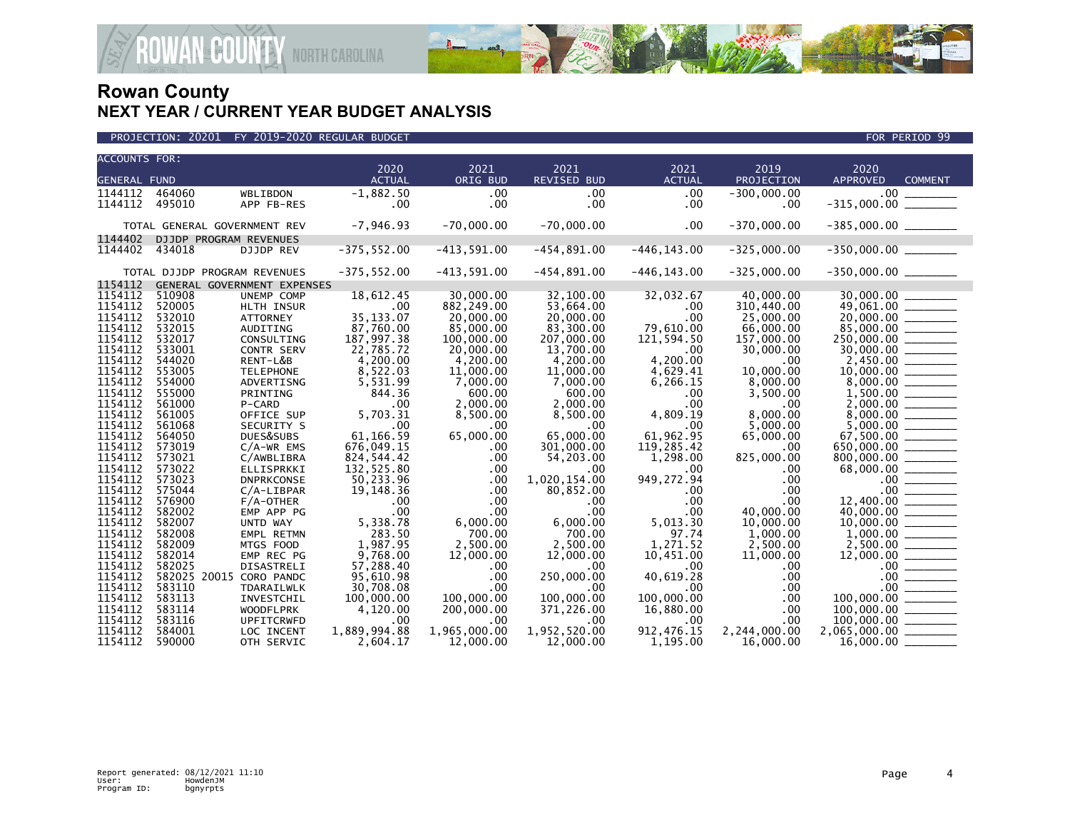

| <b>ACCOUNTS FOR:</b> |        |                              |                |               |                    |                |               |                                                                                                                                                            |  |
|----------------------|--------|------------------------------|----------------|---------------|--------------------|----------------|---------------|------------------------------------------------------------------------------------------------------------------------------------------------------------|--|
|                      |        |                              | 2020           | 2021          | 2021               | 2021           | 2019          | 2020                                                                                                                                                       |  |
| <b>GENERAL FUND</b>  |        |                              | <b>ACTUAL</b>  | ORIG BUD      | <b>REVISED BUD</b> | <b>ACTUAL</b>  | PROJECTION    | <b>APPROVED</b><br><b>COMMENT</b>                                                                                                                          |  |
| 1144112              | 464060 | WBLIBDON                     | $-1,882.50$    | .00           | $.00 \,$           | .00            | $-300,000.00$ |                                                                                                                                                            |  |
| 1144112              | 495010 | APP FB-RES                   | $.00 \,$       | $.00 \,$      | .00.               | $.00 \,$       | .00           |                                                                                                                                                            |  |
|                      |        | TOTAL GENERAL GOVERNMENT REV | $-7,946.93$    | $-70,000.00$  | $-70,000.00$       | .00            | $-370,000.00$ | $-385,000.00$ ________                                                                                                                                     |  |
| 1144402              |        | DJJDP PROGRAM REVENUES       |                |               |                    |                |               |                                                                                                                                                            |  |
| 1144402              | 434018 | <b>DJJDP REV</b>             | $-375,552.00$  | $-413,591.00$ | $-454,891.00$      | $-446, 143.00$ | $-325,000.00$ | $-350,000.00$ ________                                                                                                                                     |  |
|                      |        |                              |                |               |                    |                |               |                                                                                                                                                            |  |
|                      |        | TOTAL DJJDP PROGRAM REVENUES | $-375, 552.00$ | $-413,591.00$ | $-454,891.00$      | $-446, 143.00$ | $-325,000.00$ | $-350,000.00$ ________                                                                                                                                     |  |
| 1154112              |        | GENERAL GOVERNMENT EXPENSES  |                |               |                    |                |               |                                                                                                                                                            |  |
| 1154112              | 510908 | UNEMP COMP                   | 18,612.45      | 30,000.00     | 32,100.00          | 32,032.67      | 40,000.00     | $\frac{30,000.00}{49,061.00} \overline{\hspace{2cm}} \overline{\qquad \qquad }$                                                                            |  |
| 1154112              | 520005 | HLTH INSUR                   | .00            | 882, 249.00   | 53,664.00          | .00            | 310,440.00    |                                                                                                                                                            |  |
| 1154112              | 532010 | <b>ATTORNEY</b>              | 35, 133.07     | 20,000.00     | 20,000.00          | .00            | 25,000.00     |                                                                                                                                                            |  |
| 1154112              | 532015 | AUDITING                     | 87,760.00      | 85,000.00     | 83,300.00          | 79,610.00      | 66,000.00     | $85,000.00$ _______<br>250,000.00 ________<br>30,000.00 ________                                                                                           |  |
| 1154112              | 532017 | CONSULTING                   | 187,997.38     | 100,000.00    | 207,000.00         | 121,594.50     | 157,000.00    |                                                                                                                                                            |  |
| 1154112              | 533001 | <b>CONTR SERV</b>            | 22,785.72      | 20,000.00     | 13,700.00          | .00            | 30,000.00     |                                                                                                                                                            |  |
| 1154112              | 544020 | RENT-L&B                     | 4,200.00       | 4,200.00      | 4,200.00           | 4,200.00       | .00           |                                                                                                                                                            |  |
| 1154112              | 553005 | <b>TELEPHONE</b>             | 8,522.03       | 11,000.00     | 11,000.00          | 4,629.41       | 10,000.00     | $2,450.00$<br>10,000.00                                                                                                                                    |  |
| 1154112              | 554000 | ADVERTISNG                   | 5,531.99       | 7,000.00      | 7,000.00           | 6,266.15       | 8,000.00      |                                                                                                                                                            |  |
| 1154112              | 555000 | PRINTING                     | 844.36         | 600.00        | 600.00             | $.00 \,$       | 3,500.00      |                                                                                                                                                            |  |
| 1154112              | 561000 | P-CARD                       | .00            | 2,000.00      | 2,000.00           | $.00 \,$       | $.00 \,$      | $8,000.00$<br>1,500.00<br>2,000.00                                                                                                                         |  |
| 1154112              | 561005 | OFFICE SUP                   | 5,703.31       | 8,500.00      | 8,500.00           | 4,809.19       | 8,000.00      |                                                                                                                                                            |  |
| 1154112              | 561068 | SECURITY S                   | .00            | .00           | .00                | $.00 \,$       | 5,000.00      |                                                                                                                                                            |  |
| 1154112              | 564050 | DUES&SUBS                    | 61,166.59      | 65,000.00     | 65,000.00          | 61,962.95      | 65,000.00     | $67,500.00$ _________                                                                                                                                      |  |
| 1154112              | 573019 | $C/A-WR$ EMS                 | 676,049.15     | $.00 \,$      | 301,000.00         | 119,285.42     | .00           | $650,000.00$<br>$650,000.00$<br>$68,000.00$<br>$68,000.00$<br>$-68,000.00$<br>$-68,000.00$<br>$-68,000.00$<br>$-68,000.00$<br>$-68,000.00$<br>$-68,000.00$ |  |
| 1154112              | 573021 | C/AWBLIBRA                   | 824,544.42     | .00           | 54,203.00          | 1,298.00       | 825,000.00    |                                                                                                                                                            |  |
| 1154112              | 573022 | ELLISPRKKI                   | 132,525.80     | $.00 \,$      | $.00 \times$       | $.00 \,$       | .00           |                                                                                                                                                            |  |
| 1154112              | 573023 | <b>DNPRKCONSE</b>            | 50,233.96      | .00           | 1,020,154.00       | 949,272.94     | .00           |                                                                                                                                                            |  |
| 1154112              | 575044 | $C/A-LIBPAR$                 | 19,148.36      | .00.          | 80,852.00          | $.00 \,$       | $.00 \,$      |                                                                                                                                                            |  |
| 1154112              | 576900 | $F/A$ -OTHER                 | .00            | $.00 \,$      | .00.               | $.00 \,$       | $.00 \,$      |                                                                                                                                                            |  |
| 1154112              | 582002 | EMP APP PG                   | .00            | $.00 \,$      | $.00 \times$       | $.00 \times$   | 40,000,00     |                                                                                                                                                            |  |
| 1154112              | 582007 | UNTD WAY                     | 5,338.78       | 6,000.00      | 6,000.00           | 5,013.30       | 10,000.00     |                                                                                                                                                            |  |
| 1154112              | 582008 | EMPL RETMN                   | 283.50         | 700.00        | 700.00             | 97.74          | 1,000.00      |                                                                                                                                                            |  |
| 1154112              | 582009 | MTGS FOOD                    | 1,987.95       | 2,500.00      | 2.500.00           | 1,271.52       | 2,500.00      | $\frac{2,500.00}{12,000.00}$                                                                                                                               |  |
| 1154112              | 582014 | EMP REC PG                   | 9,768.00       | 12,000.00     | 12,000.00          | 10,451.00      | 11,000.00     |                                                                                                                                                            |  |
| 1154112              | 582025 | <b>DISASTRELI</b>            | 57,288.40      | .00           | .00                | $.00 \,$       | $.00 \,$      |                                                                                                                                                            |  |
| 1154112              |        | 582025 20015 CORO PANDC      | 95,610.98      | .00           | 250,000.00         | 40,619.28      | .00           | $\frac{0.00}{0.00}$                                                                                                                                        |  |
| 1154112              | 583110 | TDARAILWLK                   | 30,708.08      | $.00 \times$  | .00                | $.00 \,$       | $.00 \,$      |                                                                                                                                                            |  |
| 1154112              | 583113 | INVESTCHIL                   | 100,000.00     | 100,000.00    | 100,000.00         | 100,000.00     | $.00 \,$      |                                                                                                                                                            |  |
| 1154112              | 583114 | <b>WOODFLPRK</b>             | 4,120.00       | 200,000.00    | 371,226.00         | 16,880.00      | .00           | $100,000.00$<br>$100,000.00$                                                                                                                               |  |
| 1154112              | 583116 | UPFITCRWFD                   | .00            | .00           | $.00 \times$       | $.00 \,$       | .00.          |                                                                                                                                                            |  |
| 1154112              | 584001 | LOC INCENT                   | 1,889,994.88   | 1,965,000.00  | 1,952,520.00       | 912, 476. 15   | 2,244,000.00  | $2,065,000.00$ ________                                                                                                                                    |  |
| 1154112              | 590000 | OTH SERVIC                   | 2.604.17       | 12,000.00     | 12,000.00          | 1.195.00       | 16,000.00     |                                                                                                                                                            |  |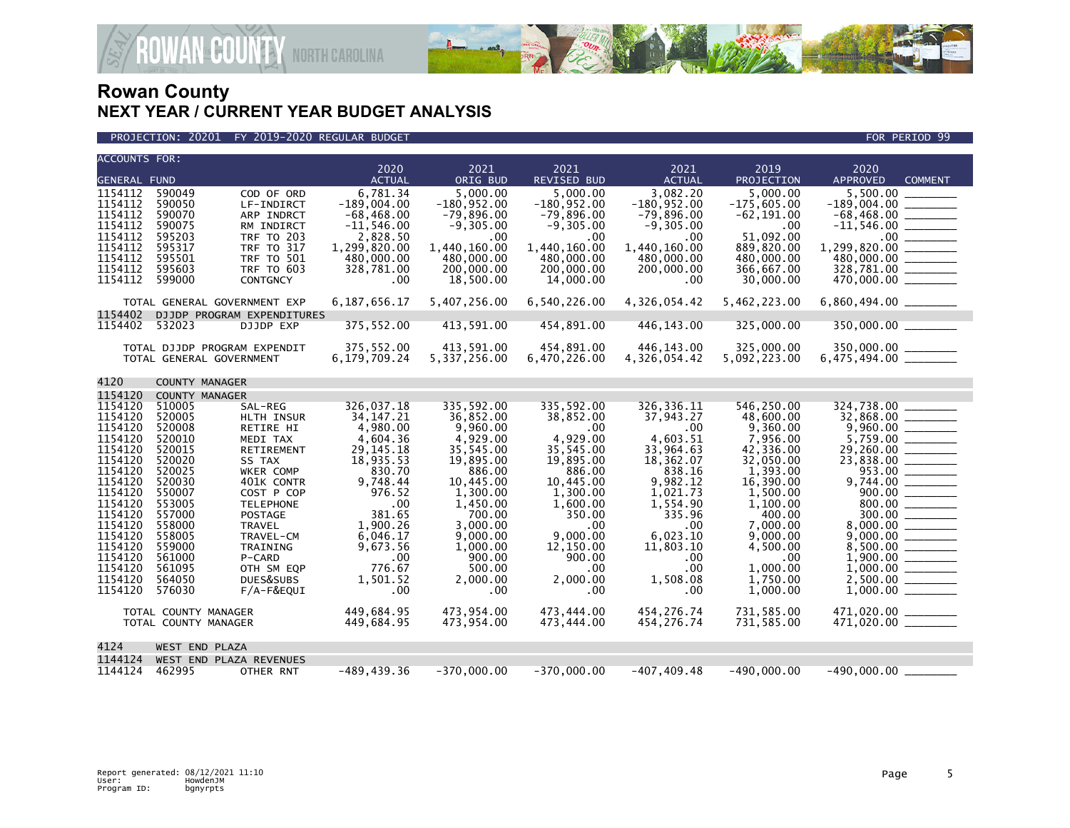

### PROJECTION: 20201 FY 2019-2020 REGULAR BUDGET FOR PERIOD 99

| <b>ACCOUNTS FOR:</b> |                       |                                                          | 2020                       | 2021                     | 2021                     | 2021                       | 2019                     | 2020                                       |
|----------------------|-----------------------|----------------------------------------------------------|----------------------------|--------------------------|--------------------------|----------------------------|--------------------------|--------------------------------------------|
| <b>GENERAL FUND</b>  |                       |                                                          | <b>ACTUAL</b>              | ORIG BUD                 | <b>REVISED BUD</b>       | <b>ACTUAL</b>              | PROJECTION               | <b>APPROVED</b><br><b>COMMENT</b>          |
| 1154112              | 590049                | COD OF ORD                                               | 6.781.34                   | 5.000.00                 | 5,000.00                 | 3.082.20                   | 5.000.00                 | 5.500.00                                   |
| 1154112              | 590050                | LF-INDIRCT                                               | $-189,004.00$              | $-180.952.00$            | $-180.952.00$            | $-180,952.00$              | $-175,605.00$            | $-189,004.00$ ________                     |
| 1154112              | 590070                | ARP INDRCT                                               | $-68.468.00$               | $-79.896.00$             | $-79.896.00$             | $-79.896.00$               | $-62, 191.00$            |                                            |
| 1154112              | 590075                | RM INDIRCT                                               | $-11,546.00$               | $-9,305.00$              | $-9,305.00$              | $-9,305.00$                | .00                      |                                            |
| 1154112<br>1154112   | 595203<br>595317      | <b>TRF TO 203</b><br><b>TRF TO 317</b>                   | 2,828.50                   | .00<br>1.440.160.00      | .00<br>1.440.160.00      | .00<br>1.440.160.00        | 51.092.00                |                                            |
| 1154112              | 595501                | <b>TRF TO 501</b>                                        | 1,299,820.00<br>480,000.00 | 480,000.00               | 480,000.00               | 480,000.00                 | 889,820.00<br>480,000.00 | 1,299,820.00 ________                      |
| 1154112              | 595603                | <b>TRF TO 603</b>                                        | 328,781.00                 | 200,000,00               | 200,000,00               | 200,000,00                 | 366.667.00               | 328,781.00 ________                        |
| 1154112              | 599000                | <b>CONTGNCY</b>                                          | .00.                       | 18,500.00                | 14,000.00                | .00                        | 30,000.00                |                                            |
|                      |                       |                                                          |                            |                          |                          |                            |                          |                                            |
|                      |                       | TOTAL GENERAL GOVERNMENT EXP                             | 6,187,656.17               | 5,407,256.00             | 6,540,226.00             | 4,326,054.42               | 5,462,223.00             |                                            |
| 1154402              |                       | DJJDP PROGRAM EXPENDITURES                               |                            |                          |                          |                            |                          |                                            |
| 1154402              | 532023                | DJJDP EXP                                                | 375,552.00                 | 413,591.00               | 454,891.00               | 446,143.00                 | 325,000.00               |                                            |
|                      |                       |                                                          | 375,552.00                 | 413,591.00               | 454,891.00               |                            | 325,000.00               |                                            |
|                      |                       | TOTAL DJJDP PROGRAM EXPENDIT<br>TOTAL GENERAL GOVERNMENT | 6,179,709.24               | 5,337,256.00             | 6,470,226.00             | 446,143.00<br>4,326,054.42 | 5,092,223.00             |                                            |
|                      |                       |                                                          |                            |                          |                          |                            |                          |                                            |
| 4120                 | <b>COUNTY MANAGER</b> |                                                          |                            |                          |                          |                            |                          |                                            |
| 1154120              | COUNTY MANAGER        |                                                          |                            |                          |                          |                            |                          |                                            |
| 1154120              | 510005                | SAL-REG                                                  | 326,037.18                 | 335,592.00               | 335,592.00               | 326, 336. 11               | 546,250.00               | 324,738.00                                 |
| 1154120              | 520005                | HLTH INSUR                                               | 34, 147. 21                | 36,852.00                | 38,852.00                | 37,943.27                  | 48,600.00                |                                            |
| 1154120              | 520008                | RETIRE HI                                                | 4.980.00                   | 9.960.00                 | .00                      | .00                        | 9.360.00                 |                                            |
| 1154120<br>1154120   | 520010<br>520015      | MEDI TAX<br>RETIREMENT                                   | 4,604.36<br>29, 145. 18    | 4,929.00<br>35,545.00    | 4,929.00<br>35,545.00    | 4,603.51<br>33,964.63      | 7,956.00<br>42,336.00    |                                            |
| 1154120              | 520020                | SS TAX                                                   | 18,935.53                  | 19,895.00                | 19,895.00                | 18,362.07                  | 32,050.00                |                                            |
| 1154120              | 520025                | WKER COMP                                                | 830.70                     | 886.00                   | 886.00                   | 838.16                     | 1.393.00                 | 953.00                                     |
| 1154120              | 520030                | 401K CONTR                                               | 9,748.44                   | 10,445.00                | 10,445.00                | 9,982.12                   | 16,390.00                | 9,744.00 _______                           |
| 1154120              | 550007                | COST P COP                                               | 976.52                     | 1,300.00                 | 1,300.00                 | 1,021.73                   | 1,500.00                 | 900.00                                     |
| 1154120              | 553005                | <b>TELEPHONE</b>                                         | .00                        | 1,450.00                 | 1,600.00                 | 1,554.90                   | 1,100.00                 |                                            |
| 1154120              | 557000                | POSTAGE                                                  | 381.65                     | 700.00                   | 350.00                   | 335.96                     | 400.00                   |                                            |
| 1154120<br>1154120   | 558000                | <b>TRAVEL</b>                                            | 1,900.26                   | 3,000.00                 | .00                      | .00                        | 7,000.00                 | 8,000.00 ________                          |
| 1154120              | 558005<br>559000      | TRAVEL-CM<br>TRAINING                                    | 6,046.17<br>9,673.56       | 9,000.00<br>1,000.00     | 9,000.00<br>12,150.00    | 6,023.10<br>11,803.10      | 9,000.00<br>4,500.00     |                                            |
| 1154120              | 561000                | P-CARD                                                   | .00                        | 900.00                   | 900.00                   | .00                        | .00                      |                                            |
| 1154120              | 561095                | OTH SM EQP                                               | 776.67                     | 500.00                   | .00                      | .00                        | 1,000.00                 |                                            |
| 1154120              | 564050                | DUES&SUBS                                                | 1,501.52                   | 2,000.00                 | 2,000.00                 | 1,508.08                   | 1,750.00                 | $2,500.00$ ________                        |
| 1154120              | 576030                | F/A-F&EQUI                                               | .00                        | .00                      | .00                      | .00.                       | 1,000.00                 |                                            |
|                      |                       |                                                          |                            |                          |                          |                            |                          |                                            |
|                      |                       | TOTAL COUNTY MANAGER<br>TOTAL COUNTY MANAGER             | 449,684.95<br>449,684.95   | 473,954.00<br>473,954.00 | 473,444.00<br>473,444.00 | 454,276.74<br>454, 276. 74 | 731,585.00<br>731,585.00 | 471,020.00 ______<br>$471,020.00$ ________ |
|                      |                       |                                                          |                            |                          |                          |                            |                          |                                            |
| 4124                 | WEST END PLAZA        |                                                          |                            |                          |                          |                            |                          |                                            |
| 1144124              |                       | WEST END PLAZA REVENUES                                  |                            |                          |                          |                            |                          |                                            |
| 1144124              | 462995                | OTHER RNT                                                | $-489, 439.36$             | $-370,000.00$            | $-370,000.00$            | $-407, 409.48$             | $-490,000.00$            | $-490,000.00$                              |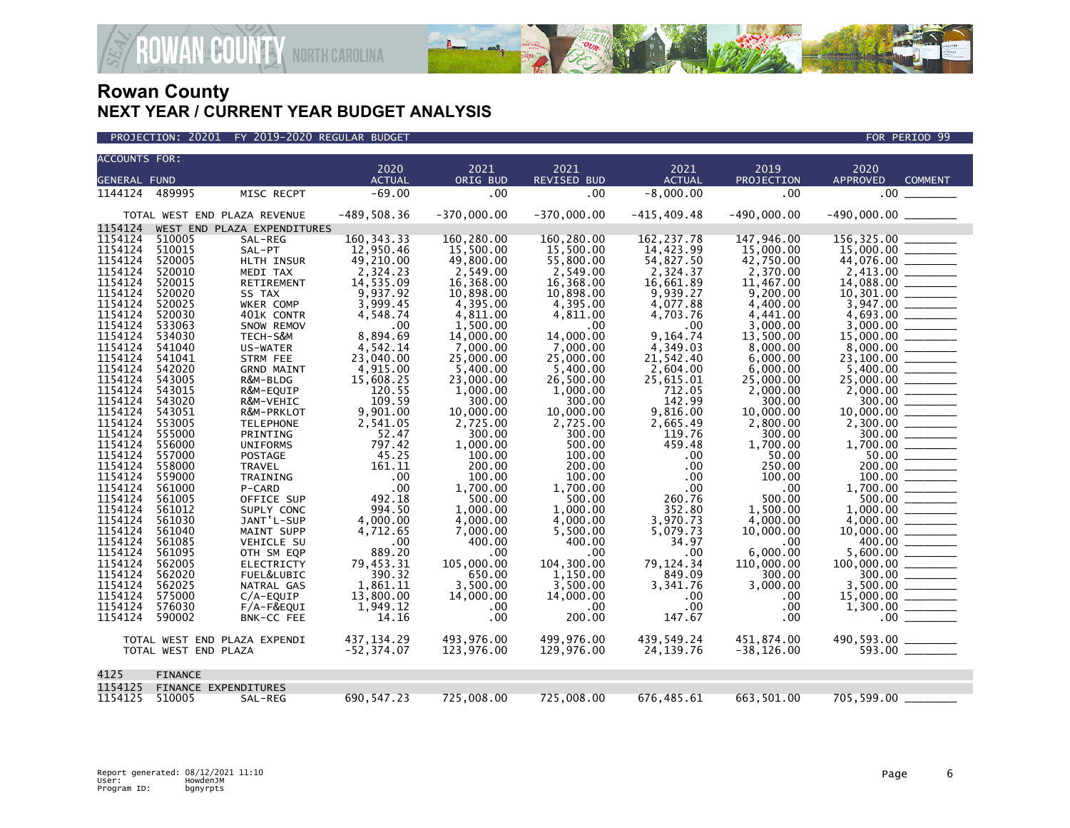

| <b>ACCOUNTS FOR:</b> |                      |                                |                       |                       |                            |                       |                    |                                           |
|----------------------|----------------------|--------------------------------|-----------------------|-----------------------|----------------------------|-----------------------|--------------------|-------------------------------------------|
| <b>GENERAL FUND</b>  |                      |                                | 2020<br><b>ACTUAL</b> | 2021<br>ORIG BUD      | 2021<br><b>REVISED BUD</b> | 2021<br><b>ACTUAL</b> | 2019<br>PROJECTION | 2020<br><b>APPROVED</b><br><b>COMMENT</b> |
| 1144124              | 489995               |                                |                       | .00                   | .00                        |                       | .00                | .00                                       |
|                      |                      | MISC RECPT                     | $-69.00$              |                       |                            | $-8,000.00$           |                    |                                           |
|                      |                      | TOTAL WEST END PLAZA REVENUE   | $-489,508.36$         | $-370,000.00$         | $-370,000.00$              | $-415, 409.48$        | $-490,000.00$      |                                           |
| 1154124              |                      | WEST END PLAZA EXPENDITURES    |                       |                       |                            |                       |                    |                                           |
| 1154124              | 510005               | SAL-REG                        | 160, 343. 33          | 160,280.00            | 160,280.00                 | 162, 237. 78          | 147,946.00         | 156, 325.00                               |
| 1154124              | 510015               | SAL-PT                         | 12,950.46             | 15,500.00             | 15.500.00                  | 14,423.99             | 15,000.00          | 15,000,00                                 |
| 1154124              | 520005               | HLTH INSUR                     | 49,210.00             | 49,800.00             | 55,800.00                  | 54,827.50             | 42,750.00          | 44,076.00                                 |
| 1154124              | 520010               | MEDI TAX                       | 2,324.23              | 2,549.00              | 2,549.00                   | 2,324.37              | 2,370.00           | 2,413.00                                  |
| 1154124              | 520015               | <b>RETIREMENT</b>              | 14,535.09             | 16,368.00             | 16,368.00                  | 16,661.89             | 11,467.00          | 14,088.00                                 |
| 1154124              | 520020               | SS TAX                         | 9,937.92              | 10,898.00             | 10,898.00                  | 9,939.27              | 9,200.00           | 10,301.00                                 |
| 1154124              | 520025               | WKER COMP                      | 3,999.45              | 4,395.00              | 4,395.00                   | 4,077.88              | 4,400.00           | 3,947.00                                  |
| 1154124              | 520030               | 401K CONTR                     | 4,548.74              | 4,811.00              | 4,811.00                   | 4,703.76              | 4.441.00           | 4.693.00                                  |
| 1154124              | 533063               | SNOW REMOV                     | $.00 \,$              | 1,500.00              | .00                        | .00                   | 3,000.00           | 3,000.00                                  |
| 1154124              | 534030               | TECH-S&M                       | 8,894.69              | 14,000.00             | 14,000.00                  | 9,164.74              | 13,500.00          | 15,000.00                                 |
| 1154124              | 541040               | US-WATER                       | 4,542.14              | 7,000,00              | 7.000.00                   | 4,349.03              | 8,000.00           | 8,000.00                                  |
| 1154124              | 541041               | STRM FEE                       | 23,040.00             | 25,000.00             | 25,000.00                  | 21,542.40             | 6,000.00           | 23,100.00                                 |
| 1154124              | 542020               | <b>GRND MAINT</b>              | 4,915.00              | 5,400.00              | 5,400.00                   | 2,604.00              | 6,000.00           | 5,400.00                                  |
| 1154124              | 543005               | R&M-BLDG                       | 15.608.25             | 23,000,00             | 26.500.00                  | 25,615.01             | 25,000,00          | 25,000.00                                 |
| 1154124              | 543015               | R&M-EQUIP                      | 120.55                | 1,000.00              | 1,000.00                   | 712.05                | 2,000.00           | 2,000.00                                  |
| 1154124<br>1154124   | 543020               | R&M-VEHIC                      | 109.59                | 300.00                | 300.00                     | 142.99                | 300.00             | 300.00                                    |
| 1154124              | 543051<br>553005     | R&M-PRKLOT<br><b>TELEPHONE</b> | 9,901.00              | 10,000.00<br>2,725.00 | 10,000.00<br>2,725.00      | 9,816.00              | 10,000.00          | 10,000,00                                 |
| 1154124              | 555000               | PRINTING                       | 2,541.05<br>52.47     | 300.00                | 300.00                     | 2,665.49<br>119.76    | 2,800.00<br>300.00 | 2,300.00<br>300.00                        |
| 1154124              | 556000               | <b>UNIFORMS</b>                | 797.42                | 1,000.00              | 500.00                     | 459.48                | 1,700.00           | 1.700.00                                  |
| 1154124              | 557000               | <b>POSTAGE</b>                 | 45.25                 | 100.00                | 100.00                     | $.00 \,$              | 50.00              | 50.00                                     |
| 1154124              | 558000               | <b>TRAVEL</b>                  | 161.11                | 200.00                | 200.00                     | .00                   | 250.00             | 200.00                                    |
| 1154124              | 559000               | TRAINING                       | .00                   | 100.00                | 100.00                     | .00                   | 100.00             | 100.00                                    |
| 1154124              | 561000               | P-CARD                         | .00                   | 1,700.00              | 1,700.00                   | .00                   | .00                | 1,700.00                                  |
| 1154124              | 561005               | OFFICE SUP                     | 492.18                | 500.00                | 500.00                     | 260.76                | 500.00             | 500.00                                    |
| 1154124              | 561012               | SUPLY CONC                     | 994.50                | 1.000.00              | 1.000.00                   | 352.80                | 1.500.00           | 1.000.00                                  |
| 1154124              | 561030               | JANT'L-SUP                     | 4,000.00              | 4,000.00              | 4,000.00                   | 3,970.73              | 4,000.00           | 4,000.00                                  |
| 1154124              | 561040               | MAINT SUPP                     | 4,712.65              | 7,000.00              | 5,500.00                   | 5,079.73              | 10,000.00          | 10,000.00                                 |
| 1154124              | 561085               | <b>VEHICLE SU</b>              | .00                   | 400.00                | 400.00                     | 34.97                 | .00                | 400.00                                    |
| 1154124              | 561095               | OTH SM EQP                     | 889.20                | .00                   | .00                        | .00                   | 6,000.00           | 5,600.00                                  |
| 1154124              | 562005               | <b>ELECTRICTY</b>              | 79,453.31             | 105,000.00            | 104,300.00                 | 79,124.34             | 110,000.00         | 100,000.00                                |
| 1154124              | 562020               | FUEL&LUBIC                     | 390.32                | 650.00                | 1,150.00                   | 849.09                | 300.00             | 300.00                                    |
| 1154124<br>1154124   | 562025               | NATRAL GAS                     | 1,861.11              | 3,500.00              | 3,500.00                   | 3,341.76              | 3,000.00           | 3,500.00                                  |
| 1154124              | 575000<br>576030     | C/A-EQUIP                      | 13,800.00<br>1,949.12 | 14,000.00             | 14,000.00                  | $.00 \,$<br>.00       | .00                | 15,000.00<br>1,300.00                     |
| 1154124              | 590002               | F/A-F&EQUI                     | 14.16                 | .00<br>.00            | .00.<br>200.00             | 147.67                | .00<br>.00.        | $.00 \,$                                  |
|                      |                      | BNK-CC FEE                     |                       |                       |                            |                       |                    |                                           |
|                      |                      | TOTAL WEST END PLAZA EXPENDI   | 437, 134.29           | 493,976.00            | 499,976.00                 | 439,549.24            | 451,874.00         | 490,593.00                                |
|                      | TOTAL WEST END PLAZA |                                | $-52, 374.07$         | 123,976.00            | 129,976.00                 | 24,139.76             | $-38, 126.00$      |                                           |
|                      |                      |                                |                       |                       |                            |                       |                    |                                           |
| 4125                 | <b>FINANCE</b>       |                                |                       |                       |                            |                       |                    |                                           |
| 1154125              |                      | FINANCE EXPENDITURES           |                       |                       |                            |                       |                    |                                           |
| 1154125              | 510005               | SAL-REG                        | 690, 547.23           | 725,008.00            | 725,008.00                 | 676,485.61            | 663,501.00         | 705,599.00                                |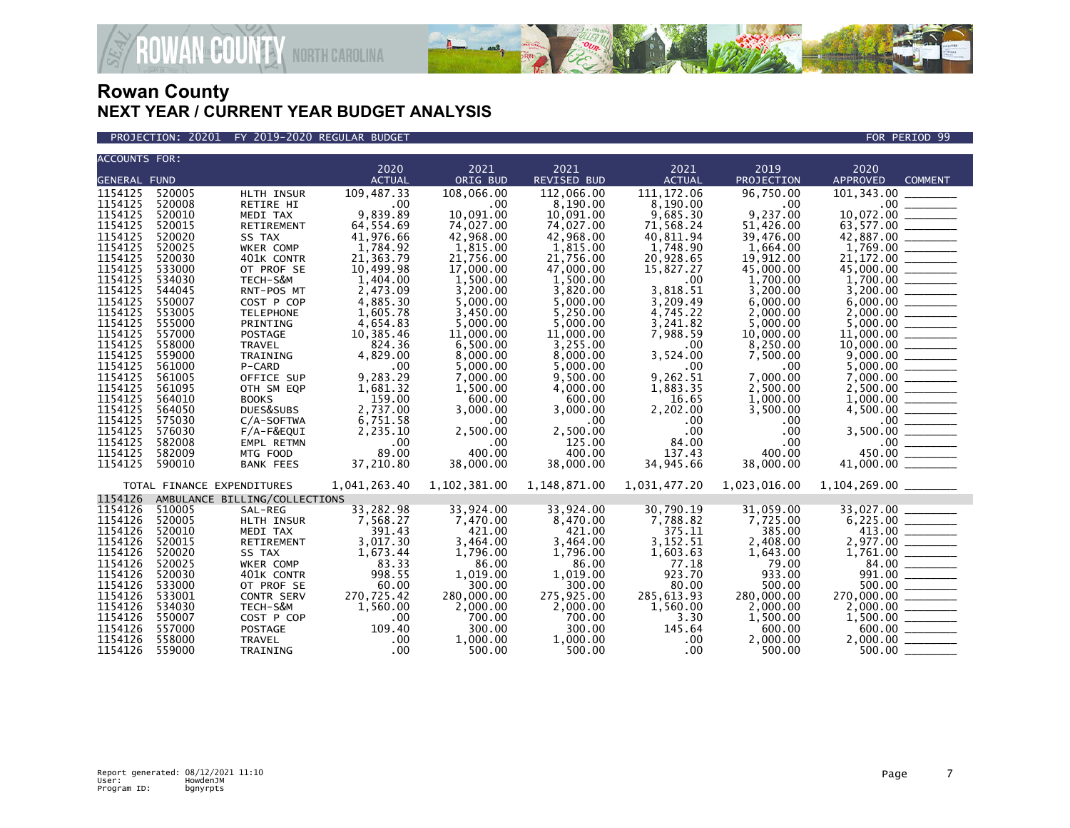

### PROJECTION: 20201 FY 2019-2020 REGULAR BUDGET FOR PERIOD 99

| <b>ACCOUNTS FOR:</b> |                            |                               | 2020          | 2021         | 2021               | 2021             | 2019         | 2020                                                                                                                                                                                                                                                                                                                                                                                                                                                                                    |
|----------------------|----------------------------|-------------------------------|---------------|--------------|--------------------|------------------|--------------|-----------------------------------------------------------------------------------------------------------------------------------------------------------------------------------------------------------------------------------------------------------------------------------------------------------------------------------------------------------------------------------------------------------------------------------------------------------------------------------------|
| <b>GENERAL FUND</b>  |                            |                               | <b>ACTUAL</b> | ORIG BUD     | <b>REVISED BUD</b> | <b>ACTUAL</b>    | PROJECTION   | <b>APPROVED</b><br><b>COMMENT</b>                                                                                                                                                                                                                                                                                                                                                                                                                                                       |
| 1154125              | 520005                     | HLTH INSUR                    | 109,487.33    | 108,066.00   | 112,066.00         | 111, 172.06      | 96,750.00    |                                                                                                                                                                                                                                                                                                                                                                                                                                                                                         |
| 1154125              | 520008                     | RETIRE HI                     | $\sim$ 00     | .00          | 8,190.00           | 8,190.00         | .00          |                                                                                                                                                                                                                                                                                                                                                                                                                                                                                         |
| 1154125              | 520010                     | MEDI TAX                      | 9,839.89      | 10,091.00    | 10,091.00          | 9,685.30         | 9,237.00     | 10,072.00<br>$\frac{1}{2} \left( \frac{1}{2} \right) \left( \frac{1}{2} \right) \left( \frac{1}{2} \right) \left( \frac{1}{2} \right) \left( \frac{1}{2} \right) \left( \frac{1}{2} \right) \left( \frac{1}{2} \right) \left( \frac{1}{2} \right) \left( \frac{1}{2} \right) \left( \frac{1}{2} \right) \left( \frac{1}{2} \right) \left( \frac{1}{2} \right) \left( \frac{1}{2} \right) \left( \frac{1}{2} \right) \left( \frac{1}{2} \right) \left( \frac{1}{2} \right) \left( \frac$ |
| 1154125              | 520015                     | RETIREMENT                    | 64,554.69     | 74,027.00    | 74,027.00          | 71,568.24        | 51,426.00    |                                                                                                                                                                                                                                                                                                                                                                                                                                                                                         |
| 1154125              | 520020                     | SS TAX                        | 41,976.66     | 42,968.00    | 42,968.00          | 40,811.94        | 39,476.00    |                                                                                                                                                                                                                                                                                                                                                                                                                                                                                         |
| 1154125              | 520025                     | WKER COMP                     | 1,784.92      | 1,815.00     | 1,815.00           | 1,748.90         | 1,664.00     |                                                                                                                                                                                                                                                                                                                                                                                                                                                                                         |
| 1154125              | 520030                     | 401K CONTR                    | 21, 363.79    | 21,756.00    | 21,756.00          | 20,928.65        | 19,912.00    | $1,769.00$<br>21,172.00                                                                                                                                                                                                                                                                                                                                                                                                                                                                 |
| 1154125              | 533000                     | OT PROF SE                    | 10,499.98     | 17,000.00    | 47,000.00          | 15,827.27        | 45,000.00    |                                                                                                                                                                                                                                                                                                                                                                                                                                                                                         |
| 1154125              | 534030                     | TECH-S&M                      | 1,404.00      | 1,500.00     | 1,500.00           | .00              | 1,700.00     |                                                                                                                                                                                                                                                                                                                                                                                                                                                                                         |
| 1154125              | 544045                     | RNT-POS MT                    | 2,473.09      | 3,200.00     | 3,820.00           | 3,818.51         | 3,200.00     |                                                                                                                                                                                                                                                                                                                                                                                                                                                                                         |
| 1154125              | 550007                     | COST P COP                    | 4,885.30      | 5,000.00     | 5,000.00           | 3,209.49         | 6,000.00     |                                                                                                                                                                                                                                                                                                                                                                                                                                                                                         |
| 1154125              | 553005                     | <b>TELEPHONE</b>              | 1,605.78      | 3,450.00     | 5,250.00           | 4,745.22         | 2,000.00     |                                                                                                                                                                                                                                                                                                                                                                                                                                                                                         |
| 1154125              | 555000                     | PRINTING                      | 4,654.83      | 5,000.00     | 5,000.00           | 3,241.82         | 5,000.00     |                                                                                                                                                                                                                                                                                                                                                                                                                                                                                         |
| 1154125              | 557000                     | <b>POSTAGE</b>                | 10,385.46     | 11,000.00    | 11,000.00          | 7,988.59         | 10,000.00    |                                                                                                                                                                                                                                                                                                                                                                                                                                                                                         |
| 1154125              | 558000                     | TRAVEL                        | 824.36        | 6,500.00     | 3,255.00           | .00              | 8,250.00     |                                                                                                                                                                                                                                                                                                                                                                                                                                                                                         |
| 1154125              | 559000                     | TRAINING                      | 4,829.00      | 8,000.00     | 8,000.00           | 3,524.00         | 7,500.00     |                                                                                                                                                                                                                                                                                                                                                                                                                                                                                         |
| 1154125              | 561000                     | P-CARD                        | .00           | 5,000.00     | 5,000.00           | $.00 \,$         | $.00 \,$     |                                                                                                                                                                                                                                                                                                                                                                                                                                                                                         |
| 1154125              | 561005                     | OFFICE SUP                    | 9,283.29      | 7,000.00     | 9,500.00           | 9,262.51         | 7,000.00     |                                                                                                                                                                                                                                                                                                                                                                                                                                                                                         |
| 1154125              | 561095                     | OTH SM EQP                    | 1,681.32      | 1,500.00     | 4,000.00           | 1,883.35         | 2,500.00     |                                                                                                                                                                                                                                                                                                                                                                                                                                                                                         |
| 1154125              | 564010                     | <b>BOOKS</b>                  | 159.00        | 600.00       | 600.00             | 16.65            | 1,000.00     |                                                                                                                                                                                                                                                                                                                                                                                                                                                                                         |
| 1154125              | 564050                     | DUES&SUBS                     | 2,737.00      | 3,000.00     | 3,000.00           | 2,202.00         | 3,500.00     | $1,000.00$<br>$4,500.00$<br>$-4,500.00$<br>$-500$<br>$-60$<br>$-60$<br>$-60$<br>$-60$<br>$-60$<br>$-60$<br>$-60$<br>$-60$<br>$-60$<br>$-60$<br>$-60$<br>$-60$                                                                                                                                                                                                                                                                                                                           |
| 1154125              | 575030                     | C/A-SOFTWA                    | 6,751.58      | .00          | .00.               | $.00 \,$         | .00.         |                                                                                                                                                                                                                                                                                                                                                                                                                                                                                         |
| 1154125              | 576030                     | $F/A-F\&EQUI$                 | 2,235.10      | 2,500.00     | 2,500.00           | .00 <sub>1</sub> | .00          |                                                                                                                                                                                                                                                                                                                                                                                                                                                                                         |
| 1154125              | 582008                     | EMPL RETMN                    | $\sim$ .00    | .00          | 125.00             | 84.00            | $.00 \,$     |                                                                                                                                                                                                                                                                                                                                                                                                                                                                                         |
| 1154125              | 582009                     | MTG FOOD                      | 89.00         | 400.00       | 400.00             | 137.43           | 400.00       |                                                                                                                                                                                                                                                                                                                                                                                                                                                                                         |
| 1154125              | 590010                     | <b>BANK FEES</b>              | 37,210.80     | 38,000.00    | 38,000.00          | 34,945.66        | 38,000.00    | 41,000.00                                                                                                                                                                                                                                                                                                                                                                                                                                                                               |
|                      | TOTAL FINANCE EXPENDITURES |                               | 1,041,263.40  | 1,102,381.00 | 1,148,871.00       | 1,031,477.20     | 1,023,016.00 |                                                                                                                                                                                                                                                                                                                                                                                                                                                                                         |
| 1154126              |                            | AMBULANCE BILLING/COLLECTIONS |               |              |                    |                  |              |                                                                                                                                                                                                                                                                                                                                                                                                                                                                                         |
| 1154126              | 510005                     | SAL-REG                       | 33,282.98     | 33,924.00    | 33,924.00          | 30,790.19        | 31,059.00    | 33,027.00                                                                                                                                                                                                                                                                                                                                                                                                                                                                               |
| 1154126              | 520005                     | HLTH INSUR                    | 7,568.27      | 7,470.00     | 8,470.00           | 7,788.82         | 7,725.00     | $6,225.00$ $\overline{\phantom{0}}$                                                                                                                                                                                                                                                                                                                                                                                                                                                     |
| 1154126              | 520010                     | MEDI TAX                      | 391.43        | 421.00       | 421.00             | 375.11           | 385.00       |                                                                                                                                                                                                                                                                                                                                                                                                                                                                                         |
| 1154126              | 520015                     | RETIREMENT                    | 3,017.30      | 3,464.00     | 3,464.00           | 3,152.51         | 2,408.00     |                                                                                                                                                                                                                                                                                                                                                                                                                                                                                         |
| 1154126              | 520020                     | SS TAX                        | 1,673.44      | 1,796.00     | 1,796.00           | 1,603.63         | 1,643.00     |                                                                                                                                                                                                                                                                                                                                                                                                                                                                                         |
| 1154126              | 520025                     | WKER COMP                     | 83.33         | 86.00        | 86.00              | 77.18            | 79.00        |                                                                                                                                                                                                                                                                                                                                                                                                                                                                                         |
| 1154126              | 520030                     | 401K CONTR                    | 998.55        | 1.019.00     | 1,019.00           | 923.70           | 933.00       |                                                                                                                                                                                                                                                                                                                                                                                                                                                                                         |
| 1154126              | 533000                     | OT PROF SE                    | 60.00         | 300.00       | 300.00             | 80.00            | 500.00       |                                                                                                                                                                                                                                                                                                                                                                                                                                                                                         |
| 1154126              | 533001                     | CONTR SERV                    | 270,725.42    | 280,000.00   | 275,925.00         | 285,613.93       | 280,000.00   | $\begin{array}{r} 413.00 \ \hline 413.00 \ \hline 5977.00 \ \hline 84.00 \ \hline 991.00 \ \hline 84.00 \ \hline 991.00 \ \hline 270,000.00 \ \hline 2,000.00 \ \hline 1,500.00 \ \hline 600.00 \ \hline \end{array}$                                                                                                                                                                                                                                                                   |
| 1154126              | 534030                     | TECH-S&M                      | 1,560.00      | 2,000.00     | 2,000.00           | 1,560.00         | 2.000.00     |                                                                                                                                                                                                                                                                                                                                                                                                                                                                                         |
| 1154126              | 550007                     | COST P COP                    | .00           | 700.00       | 700.00             | 3.30             | 1,500.00     |                                                                                                                                                                                                                                                                                                                                                                                                                                                                                         |
| 1154126              | 557000                     | <b>POSTAGE</b>                | 109.40        | 300.00       | 300.00             | 145.64           | 600.00       |                                                                                                                                                                                                                                                                                                                                                                                                                                                                                         |
| 1154126              | 558000                     | TRAVEL                        | .00           | 1,000.00     | 1,000.00           | $.00 \times$     | 2,000.00     | $2,000.00$ _______                                                                                                                                                                                                                                                                                                                                                                                                                                                                      |
| 1154126              | 559000                     | TRAINING                      | .00           | 500.00       | 500.00             | $.00 \,$         | 500.00       |                                                                                                                                                                                                                                                                                                                                                                                                                                                                                         |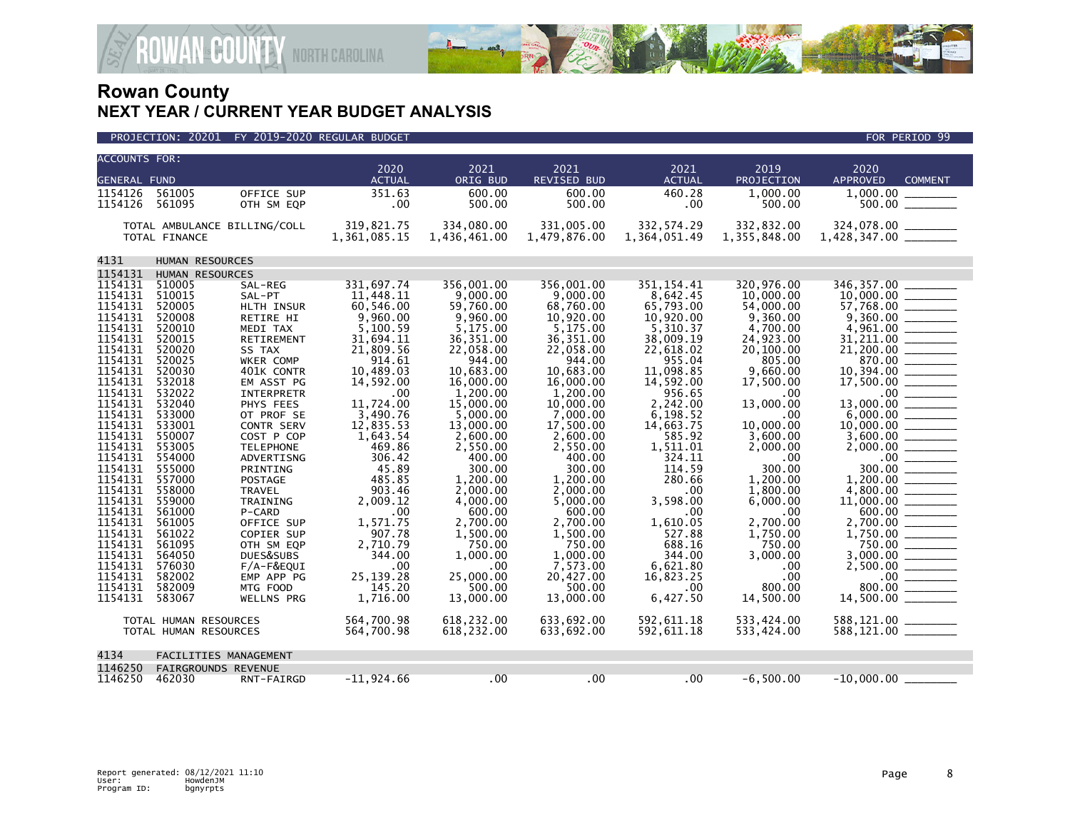

|                     | <b>ACCOUNTS FOR:</b>  |                              |                       |                     |                            |                       |                    |                                                                                                                                                                                                                                                                                                                                                                                                                                                                                                    |  |  |  |
|---------------------|-----------------------|------------------------------|-----------------------|---------------------|----------------------------|-----------------------|--------------------|----------------------------------------------------------------------------------------------------------------------------------------------------------------------------------------------------------------------------------------------------------------------------------------------------------------------------------------------------------------------------------------------------------------------------------------------------------------------------------------------------|--|--|--|
| <b>GENERAL FUND</b> |                       |                              | 2020<br><b>ACTUAL</b> | 2021<br>ORIG BUD    | 2021<br><b>REVISED BUD</b> | 2021<br><b>ACTUAL</b> | 2019<br>PROJECTION | 2020<br>APPROVED<br><b>COMMENT</b>                                                                                                                                                                                                                                                                                                                                                                                                                                                                 |  |  |  |
| 1154126             | 561005                | OFFICE SUP                   | 351.63                | 600.00              | 600.00                     | 460.28                | 1.000.00           | 1.000.00                                                                                                                                                                                                                                                                                                                                                                                                                                                                                           |  |  |  |
| 1154126             | 561095                | OTH SM EQP                   | .00                   | 500.00              | 500.00                     | .00                   | 500.00             | $500.00$ ________                                                                                                                                                                                                                                                                                                                                                                                                                                                                                  |  |  |  |
|                     |                       |                              |                       |                     |                            |                       |                    |                                                                                                                                                                                                                                                                                                                                                                                                                                                                                                    |  |  |  |
|                     |                       | TOTAL AMBULANCE BILLING/COLL | 319,821.75            | 334,080.00          | 331.005.00                 | 332, 574.29           | 332,832.00         |                                                                                                                                                                                                                                                                                                                                                                                                                                                                                                    |  |  |  |
|                     | TOTAL FINANCE         |                              | 1,361,085.15          | 1,436,461.00        | 1,479,876.00               | 1,364,051.49          | 1,355,848.00       |                                                                                                                                                                                                                                                                                                                                                                                                                                                                                                    |  |  |  |
|                     |                       |                              |                       |                     |                            |                       |                    |                                                                                                                                                                                                                                                                                                                                                                                                                                                                                                    |  |  |  |
| 4131                | HUMAN RESOURCES       |                              |                       |                     |                            |                       |                    |                                                                                                                                                                                                                                                                                                                                                                                                                                                                                                    |  |  |  |
| 1154131             | HUMAN RESOURCES       |                              |                       |                     |                            |                       |                    |                                                                                                                                                                                                                                                                                                                                                                                                                                                                                                    |  |  |  |
| 1154131             | 510005                | SAL-REG                      | 331,697.74            | 356.001.00          | 356.001.00                 | 351.154.41            | 320,976.00         | 346, 357.00                                                                                                                                                                                                                                                                                                                                                                                                                                                                                        |  |  |  |
| 1154131             | 510015                | SAL-PT                       | 11.448.11             | 9,000,00            | 9.000.00                   | 8,642.45              | 10,000.00          | 10,000.00                                                                                                                                                                                                                                                                                                                                                                                                                                                                                          |  |  |  |
| 1154131             | 520005                | HLTH INSUR                   | 60,546.00             | 59,760.00           | 68,760.00                  | 65,793.00             | 54,000.00          | 57,768.00                                                                                                                                                                                                                                                                                                                                                                                                                                                                                          |  |  |  |
| 1154131             | 520008                | <b>RETIRE HI</b>             | 9.960.00              | 9.960.00            | 10.920.00                  | 10.920.00             | 9.360.00           |                                                                                                                                                                                                                                                                                                                                                                                                                                                                                                    |  |  |  |
| 1154131             | 520010                | MEDI TAX                     | 5,100.59              | 5,175.00            | 5,175.00                   | 5,310.37              | 4,700.00           | 4,961.00                                                                                                                                                                                                                                                                                                                                                                                                                                                                                           |  |  |  |
| 1154131             | 520015                | RETIREMENT                   | 31,694.11             | 36,351.00           | 36,351.00                  | 38,009.19             | 24,923.00          |                                                                                                                                                                                                                                                                                                                                                                                                                                                                                                    |  |  |  |
| 1154131             | 520020                | SS TAX                       | 21,809.56             | 22,058.00           | 22,058.00                  | 22,618.02             | 20,100.00          | 21,200.00                                                                                                                                                                                                                                                                                                                                                                                                                                                                                          |  |  |  |
| 1154131             | 520025                | WKER COMP                    | 914.61                | 944.00              | 944.00                     | 955.04                | 805.00             | 870.00                                                                                                                                                                                                                                                                                                                                                                                                                                                                                             |  |  |  |
| 1154131             | 520030                | 401K CONTR                   | 10,489.03             | 10,683.00           | 10,683.00                  | 11,098.85             | 9,660.00           | 10,394.00                                                                                                                                                                                                                                                                                                                                                                                                                                                                                          |  |  |  |
| 1154131             | 532018                | EM ASST PG                   | 14,592.00             | 16,000,00           | 16,000,00                  | 14,592.00             | 17,500.00          | 17,500.00                                                                                                                                                                                                                                                                                                                                                                                                                                                                                          |  |  |  |
| 1154131             | 532022                | <b>INTERPRETR</b>            | .00.                  | 1,200.00            | 1,200.00                   | 956.65                | .00.               |                                                                                                                                                                                                                                                                                                                                                                                                                                                                                                    |  |  |  |
| 1154131             | 532040                | PHYS FEES                    | 11,724.00             | 15,000.00           | 10,000.00                  | 2,242.00              | 13,000.00          |                                                                                                                                                                                                                                                                                                                                                                                                                                                                                                    |  |  |  |
| 1154131             | 533000                | OT PROF SE                   | 3,490.76              | 5.000.00            | 7.000.00                   | 6,198.52              | .00                |                                                                                                                                                                                                                                                                                                                                                                                                                                                                                                    |  |  |  |
| 1154131             | 533001                | CONTR SERV                   | 12,835.53             | 13,000.00           | 17,500.00                  | 14,663.75             | 10,000.00          | 10,000.00<br>$\begin{array}{c} \begin{array}{c} \begin{array}{c} \begin{array}{c} \end{array} \\ \end{array} \end{array} \end{array} \end{array} \end{array} \end{array} \begin{array}{c} \begin{array}{c} \begin{array}{c} \end{array} \\ \end{array} \end{array} \end{array} \begin{array}{c} \begin{array}{c} \begin{array}{c} \end{array} \\ \end{array} \end{array}$                                                                                                                          |  |  |  |
| 1154131             | 550007                | COST P COP                   | 1,643.54              | 2,600.00            | 2,600.00                   | 585.92                | 3,600.00           |                                                                                                                                                                                                                                                                                                                                                                                                                                                                                                    |  |  |  |
| 1154131             | 553005                | <b>TELEPHONE</b>             | 469.86                | 2.550.00            | 2.550.00                   | 1,511.01              | 2,000.00           |                                                                                                                                                                                                                                                                                                                                                                                                                                                                                                    |  |  |  |
| 1154131             | 554000                | ADVERTISNG                   | 306.42                | 400.00              | 400.00                     | 324.11                | .00                | $\begin{array}{c}\n 00 \\  \hline\n 300.00\n \end{array}$                                                                                                                                                                                                                                                                                                                                                                                                                                          |  |  |  |
| 1154131             | 555000                | PRINTING                     | 45.89                 | 300.00              | 300.00                     | 114.59                | 300.00             |                                                                                                                                                                                                                                                                                                                                                                                                                                                                                                    |  |  |  |
| 1154131             | 557000                | POSTAGE                      | 485.85                | 1,200.00            | 1,200.00                   | 280.66                | 1,200.00           |                                                                                                                                                                                                                                                                                                                                                                                                                                                                                                    |  |  |  |
| 1154131             | 558000                | <b>TRAVEL</b>                | 903.46                | 2,000.00            | 2,000.00                   | .00                   | 1,800.00           |                                                                                                                                                                                                                                                                                                                                                                                                                                                                                                    |  |  |  |
| 1154131             | 559000                | TRAINING                     | 2,009.12              | 4,000.00            | 5,000.00                   | 3,598.00              | 6,000.00           |                                                                                                                                                                                                                                                                                                                                                                                                                                                                                                    |  |  |  |
| 1154131             | 561000                | P-CARD                       | .00                   | 600.00              | 600.00                     | .00                   | .00                | 600.00                                                                                                                                                                                                                                                                                                                                                                                                                                                                                             |  |  |  |
| 1154131             | 561005                | OFFICE SUP                   | 1,571.75              | 2,700.00            | 2,700.00                   | 1,610.05              | 2,700.00           | 2,700.00<br>$\begin{array}{cccccccccc} \multicolumn{2}{c}{} & \multicolumn{2}{c}{} & \multicolumn{2}{c}{} & \multicolumn{2}{c}{} & \multicolumn{2}{c}{} & \multicolumn{2}{c}{} & \multicolumn{2}{c}{} & \multicolumn{2}{c}{} & \multicolumn{2}{c}{} & \multicolumn{2}{c}{} & \multicolumn{2}{c}{} & \multicolumn{2}{c}{} & \multicolumn{2}{c}{} & \multicolumn{2}{c}{} & \multicolumn{2}{c}{} & \multicolumn{2}{c}{} & \multicolumn{2}{c}{} & \multicolumn{2}{c}{} & \multicolumn{2}{c}{} & \mult$ |  |  |  |
| 1154131             | 561022                | COPIER SUP                   | 907.78                | 1,500.00            | 1,500.00                   | 527.88                | 1.750.00           |                                                                                                                                                                                                                                                                                                                                                                                                                                                                                                    |  |  |  |
| 1154131             | 561095                | OTH SM EQP                   | 2,710.79              | 750.00              | 750.00                     | 688.16                | 750.00             | 750.00                                                                                                                                                                                                                                                                                                                                                                                                                                                                                             |  |  |  |
| 1154131             | 564050                | DUES&SUBS                    | 344.00                | 1,000.00            | 1,000.00                   | 344.00                | 3,000.00           |                                                                                                                                                                                                                                                                                                                                                                                                                                                                                                    |  |  |  |
| 1154131             | 576030                | F/A-F&EQUI                   | .00                   | .00                 | 7,573.00                   | 6,621.80              | .00                |                                                                                                                                                                                                                                                                                                                                                                                                                                                                                                    |  |  |  |
| 1154131<br>1154131  | 582002<br>582009      | EMP APP PG<br>MTG FOOD       | 25, 139. 28<br>145.20 | 25,000.00<br>500.00 | 20,427.00<br>500.00        | 16,823.25             | .00<br>800.00      | 800.00                                                                                                                                                                                                                                                                                                                                                                                                                                                                                             |  |  |  |
| 1154131             | 583067                | <b>WELLNS PRG</b>            | 1,716.00              | 13,000.00           | 13,000.00                  | $.00 \times$          | 14,500.00          | 14,500.00 _______                                                                                                                                                                                                                                                                                                                                                                                                                                                                                  |  |  |  |
|                     |                       |                              |                       |                     |                            | 6,427.50              |                    |                                                                                                                                                                                                                                                                                                                                                                                                                                                                                                    |  |  |  |
|                     | TOTAL HUMAN RESOURCES |                              | 564,700.98            | 618,232.00          | 633,692.00                 | 592,611.18            | 533,424.00         | 588,121.00 ________                                                                                                                                                                                                                                                                                                                                                                                                                                                                                |  |  |  |
|                     | TOTAL HUMAN RESOURCES |                              | 564,700.98            | 618,232.00          | 633,692.00                 | 592,611.18            | 533,424.00         | 588,121.00 ______                                                                                                                                                                                                                                                                                                                                                                                                                                                                                  |  |  |  |
|                     |                       |                              |                       |                     |                            |                       |                    |                                                                                                                                                                                                                                                                                                                                                                                                                                                                                                    |  |  |  |
| 4134                |                       | FACILITIES MANAGEMENT        |                       |                     |                            |                       |                    |                                                                                                                                                                                                                                                                                                                                                                                                                                                                                                    |  |  |  |
| 1146250             | FAIRGROUNDS REVENUE   |                              |                       |                     |                            |                       |                    |                                                                                                                                                                                                                                                                                                                                                                                                                                                                                                    |  |  |  |
| 1146250             | 462030                | RNT-FAIRGD                   | $-11,924.66$          | .00                 | .00                        | $.00 \,$              | $-6,500.00$        | $-10,000.00$                                                                                                                                                                                                                                                                                                                                                                                                                                                                                       |  |  |  |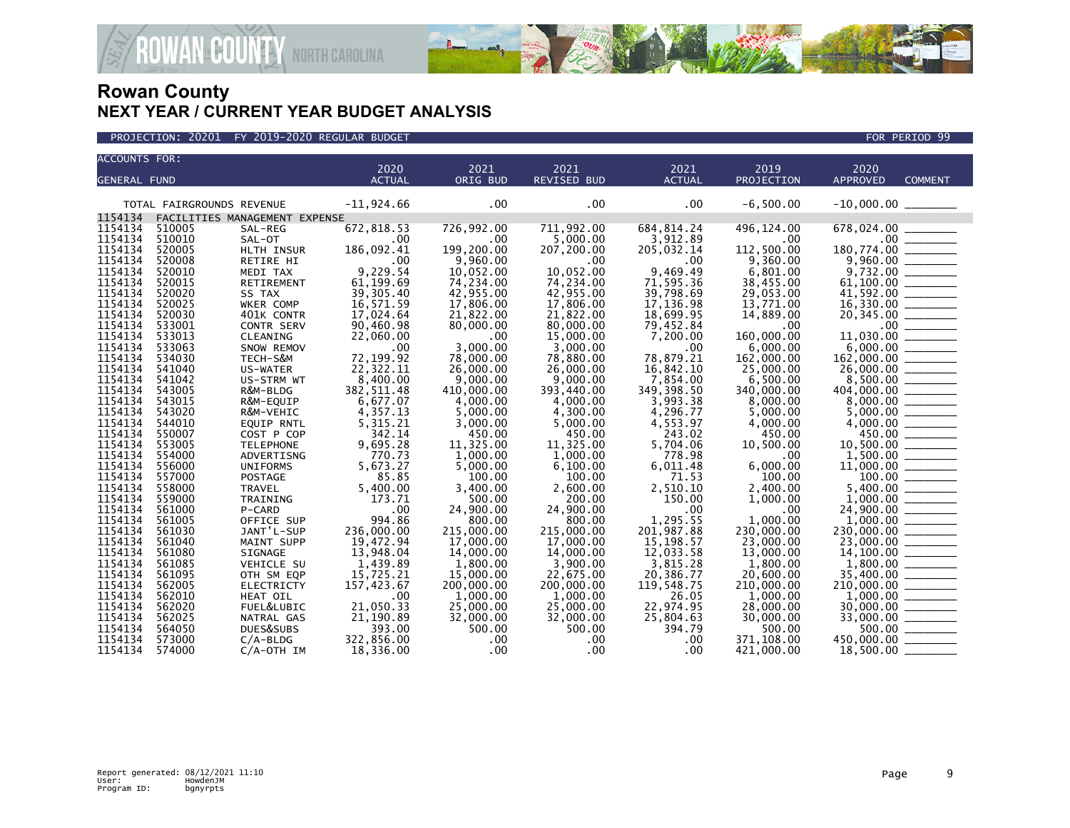



| <b>ACCOUNTS FOR:</b> |                           |                                 | 2020                   | 2021                   | 2021                   | 2021                   | 2019             |                         |                                                                                                                                                                                                                                                                                                                                                                                                                                                                                        |
|----------------------|---------------------------|---------------------------------|------------------------|------------------------|------------------------|------------------------|------------------|-------------------------|----------------------------------------------------------------------------------------------------------------------------------------------------------------------------------------------------------------------------------------------------------------------------------------------------------------------------------------------------------------------------------------------------------------------------------------------------------------------------------------|
| <b>GENERAL FUND</b>  |                           |                                 | <b>ACTUAL</b>          | ORIG BUD               | <b>REVISED BUD</b>     | <b>ACTUAL</b>          | PROJECTION       | 2020<br><b>APPROVED</b> | <b>COMMENT</b>                                                                                                                                                                                                                                                                                                                                                                                                                                                                         |
|                      |                           |                                 |                        |                        |                        |                        |                  |                         |                                                                                                                                                                                                                                                                                                                                                                                                                                                                                        |
|                      | TOTAL FAIRGROUNDS REVENUE |                                 | $-11,924.66$           | .00                    | .00                    | .00                    | $-6,500.00$      |                         |                                                                                                                                                                                                                                                                                                                                                                                                                                                                                        |
| 1154134              |                           | FACILITIES MANAGEMENT EXPENSE   |                        |                        |                        |                        |                  |                         |                                                                                                                                                                                                                                                                                                                                                                                                                                                                                        |
| 1154134              | 510005                    | SAL-REG                         | 672,818.53             | 726,992.00             | 711,992.00             | 684, 814.24            | 496,124.00       | 678,024.00              |                                                                                                                                                                                                                                                                                                                                                                                                                                                                                        |
| 1154134              | 510010                    | SAL-OT                          | .00                    | .00                    | 5.000.00               | 3,912.89               | .00              | .00 <sub>1</sub>        |                                                                                                                                                                                                                                                                                                                                                                                                                                                                                        |
| 1154134              | 520005                    | HLTH INSUR                      | 186,092.41             | 199,200.00             | 207,200.00             | 205,032.14             | 112,500.00       | 180,774.00              |                                                                                                                                                                                                                                                                                                                                                                                                                                                                                        |
| 1154134              | 520008                    | RETIRE HI                       | .00                    | 9,960.00               | .00                    | .00                    | 9,360.00         | 9,960.00                |                                                                                                                                                                                                                                                                                                                                                                                                                                                                                        |
| 1154134              | 520010                    | MEDI TAX                        | 9,229.54               | 10,052.00              | 10,052.00              | 9,469.49               | 6,801.00         |                         |                                                                                                                                                                                                                                                                                                                                                                                                                                                                                        |
| 1154134              | 520015                    | RETIREMENT                      | 61,199.69              | 74,234.00              | 74,234.00              | 71,595.36              | 38,455.00        | 61,100.00               |                                                                                                                                                                                                                                                                                                                                                                                                                                                                                        |
| 1154134              | 520020                    | SS TAX                          | 39, 305.40             | 42,955.00              | 42,955.00              | 39,798.69              | 29,053.00        | 41,592.00               |                                                                                                                                                                                                                                                                                                                                                                                                                                                                                        |
| 1154134<br>1154134   | 520025<br>520030          | WKER COMP                       | 16,571.59<br>17,024.64 | 17,806.00              | 17,806.00<br>21.822.00 | 17,136.98              | 13,771.00        | 16,330.00               |                                                                                                                                                                                                                                                                                                                                                                                                                                                                                        |
| 1154134              | 533001                    | 401K CONTR<br><b>CONTR SERV</b> | 90,460.98              | 21,822.00<br>80,000.00 | 80,000.00              | 18,699.95<br>79,452.84 | 14,889.00<br>.00 | 20,345.00<br>$.00 \,$   | $\begin{array}{c} \begin{array}{c} \begin{array}{c} \begin{array}{c} \end{array} \\ \end{array} \end{array} \end{array} \end{array}$                                                                                                                                                                                                                                                                                                                                                   |
| 1154134              | 533013                    | CLEANING                        | 22,060.00              | .00                    | 15,000.00              | 7,200.00               | 160,000.00       | 11,030.00               | $\equiv$                                                                                                                                                                                                                                                                                                                                                                                                                                                                               |
| 1154134              | 533063                    | SNOW REMOV                      | .00                    | 3,000.00               | 3,000.00               | .00                    | 6,000.00         | 6,000.00                | $\begin{array}{cccccccccc} \multicolumn{2}{c}{} & \multicolumn{2}{c}{} & \multicolumn{2}{c}{} & \multicolumn{2}{c}{} & \multicolumn{2}{c}{} & \multicolumn{2}{c}{} & \multicolumn{2}{c}{} & \multicolumn{2}{c}{} & \multicolumn{2}{c}{} & \multicolumn{2}{c}{} & \multicolumn{2}{c}{} & \multicolumn{2}{c}{} & \multicolumn{2}{c}{} & \multicolumn{2}{c}{} & \multicolumn{2}{c}{} & \multicolumn{2}{c}{} & \multicolumn{2}{c}{} & \multicolumn{2}{c}{} & \multicolumn{2}{c}{} & \mult$ |
| 1154134              | 534030                    | TECH-S&M                        | 72,199.92              | 78,000.00              | 78,880.00              | 78,879.21              | 162,000.00       | 162,000.00              |                                                                                                                                                                                                                                                                                                                                                                                                                                                                                        |
| 1154134              | 541040                    | US-WATER                        | 22,322.11              | 26,000.00              | 26,000.00              | 16,842.10              | 25,000.00        |                         |                                                                                                                                                                                                                                                                                                                                                                                                                                                                                        |
| 1154134              | 541042                    | US-STRM WT                      | 8,400.00               | 9,000.00               | 9,000.00               | 7,854.00               | 6,500.00         | 8,500.00                |                                                                                                                                                                                                                                                                                                                                                                                                                                                                                        |
| 1154134              | 543005                    | R&M-BLDG                        | 382, 511.48            | 410,000.00             | 393,440.00             | 349, 398.50            | 340,000,00       | 404,000.00              |                                                                                                                                                                                                                                                                                                                                                                                                                                                                                        |
| 1154134              | 543015                    | R&M-EQUIP                       | 6,677.07               | 4,000.00               | 4,000.00               | 3,993.38               | 8,000.00         |                         |                                                                                                                                                                                                                                                                                                                                                                                                                                                                                        |
| 1154134              | 543020                    | R&M-VEHIC                       | 4,357.13               | 5,000.00               | 4,300.00               | 4,296.77               | 5,000.00         | 5,000.00                |                                                                                                                                                                                                                                                                                                                                                                                                                                                                                        |
| 1154134              | 544010                    | <b>EQUIP RNTL</b>               | 5,315.21               | 3,000.00               | 5,000.00               | 4,553.97               | 4,000.00         | 4,000.00                |                                                                                                                                                                                                                                                                                                                                                                                                                                                                                        |
| 1154134              | 550007                    | COST P COP                      | 342.14                 | 450.00                 | 450.00                 | 243.02                 | 450.00           | 450.00                  |                                                                                                                                                                                                                                                                                                                                                                                                                                                                                        |
| 1154134              | 553005                    | <b>TELEPHONE</b>                | 9,695.28               | 11,325.00              | 11.325.00              | 5,704.06               | 10,500.00        | 10,500.00               |                                                                                                                                                                                                                                                                                                                                                                                                                                                                                        |
| 1154134              | 554000                    | ADVERTISNG                      | 770.73                 | 1,000.00               | 1,000.00               | 778.98                 | .00              |                         |                                                                                                                                                                                                                                                                                                                                                                                                                                                                                        |
| 1154134              | 556000                    | <b>UNIFORMS</b>                 | 5,673.27               | 5,000.00               | 6,100.00               | 6,011.48               | 6,000.00         | 11,000.00               |                                                                                                                                                                                                                                                                                                                                                                                                                                                                                        |
| 1154134              | 557000                    | <b>POSTAGE</b>                  | 85.85                  | 100.00                 | 100.00                 | 71.53                  | 100.00           | 100.00                  |                                                                                                                                                                                                                                                                                                                                                                                                                                                                                        |
| 1154134              | 558000                    | <b>TRAVEL</b>                   | 5,400.00               | 3,400.00               | 2,600.00               | 2,510.10               | 2,400.00         | 5.400.00                |                                                                                                                                                                                                                                                                                                                                                                                                                                                                                        |
| 1154134              | 559000                    | TRAINING                        | 173.71                 | 500.00                 | 200.00                 | 150.00                 | 1,000.00         | 1,000.00                |                                                                                                                                                                                                                                                                                                                                                                                                                                                                                        |
| 1154134<br>1154134   | 561000                    | P-CARD                          | .00<br>994.86          | 24,900.00              | 24,900.00<br>800.00    | .00<br>1,295.55        | .00<br>1.000.00  | 24,900.00<br>1,000.00   |                                                                                                                                                                                                                                                                                                                                                                                                                                                                                        |
| 1154134              | 561005<br>561030          | OFFICE SUP<br>JANT'L-SUP        | 236,000.00             | 800.00<br>215,000.00   | 215,000.00             | 201,987.88             | 230,000.00       | 230,000.00              |                                                                                                                                                                                                                                                                                                                                                                                                                                                                                        |
| 1154134              | 561040                    | MAINT SUPP                      | 19,472.94              | 17,000.00              | 17,000.00              | 15,198.57              | 23,000.00        | 23,000.00               |                                                                                                                                                                                                                                                                                                                                                                                                                                                                                        |
| 1154134              | 561080                    | SIGNAGE                         | 13,948.04              | 14,000.00              | 14,000.00              | 12,033.58              | 13,000.00        | 14,100.00               |                                                                                                                                                                                                                                                                                                                                                                                                                                                                                        |
| 1154134              | 561085                    | VEHICLE SU                      | 1,439.89               | 1,800.00               | 3,900.00               | 3,815.28               | 1,800.00         | 1,800.00                |                                                                                                                                                                                                                                                                                                                                                                                                                                                                                        |
| 1154134              | 561095                    | OTH SM EQP                      | 15,725.21              | 15,000.00              | 22,675.00              | 20,386.77              | 20,600.00        | 35,400.00               |                                                                                                                                                                                                                                                                                                                                                                                                                                                                                        |
| 1154134              | 562005                    | <b>ELECTRICTY</b>               | 157,423.67             | 200,000.00             | 200,000.00             | 119,548.75             | 210,000.00       | 210,000.00              |                                                                                                                                                                                                                                                                                                                                                                                                                                                                                        |
| 1154134              | 562010                    | HEAT OIL                        | .00                    | 1,000.00               | 1,000.00               | 26.05                  | 1,000.00         | 1,000.00                |                                                                                                                                                                                                                                                                                                                                                                                                                                                                                        |
| 1154134              | 562020                    | FUEL&LUBIC                      | 21,050.33              | 25,000.00              | 25,000.00              | 22,974.95              | 28,000.00        | 30,000,00               |                                                                                                                                                                                                                                                                                                                                                                                                                                                                                        |
| 1154134              | 562025                    | NATRAL GAS                      | 21,190.89              | 32,000.00              | 32,000.00              | 25,804.63              | 30,000.00        | 33,000.00               | <u> ESPER</u>                                                                                                                                                                                                                                                                                                                                                                                                                                                                          |
| 1154134              | 564050                    | DUES&SUBS                       | 393.00                 | 500.00                 | 500.00                 | 394.79                 | 500.00           | 500.00                  |                                                                                                                                                                                                                                                                                                                                                                                                                                                                                        |
| 1154134              | 573000                    | $C/A-BLDG$                      | 322,856.00             | .00                    | .00                    | .00                    | 371,108.00       | 450,000,00              |                                                                                                                                                                                                                                                                                                                                                                                                                                                                                        |
| 1154134              | 574000                    | $C/A$ -OTH IM                   | 18,336.00              | $.00 \times$           | $.00 \,$               | .00                    | 421,000.00       | 18,500.00               |                                                                                                                                                                                                                                                                                                                                                                                                                                                                                        |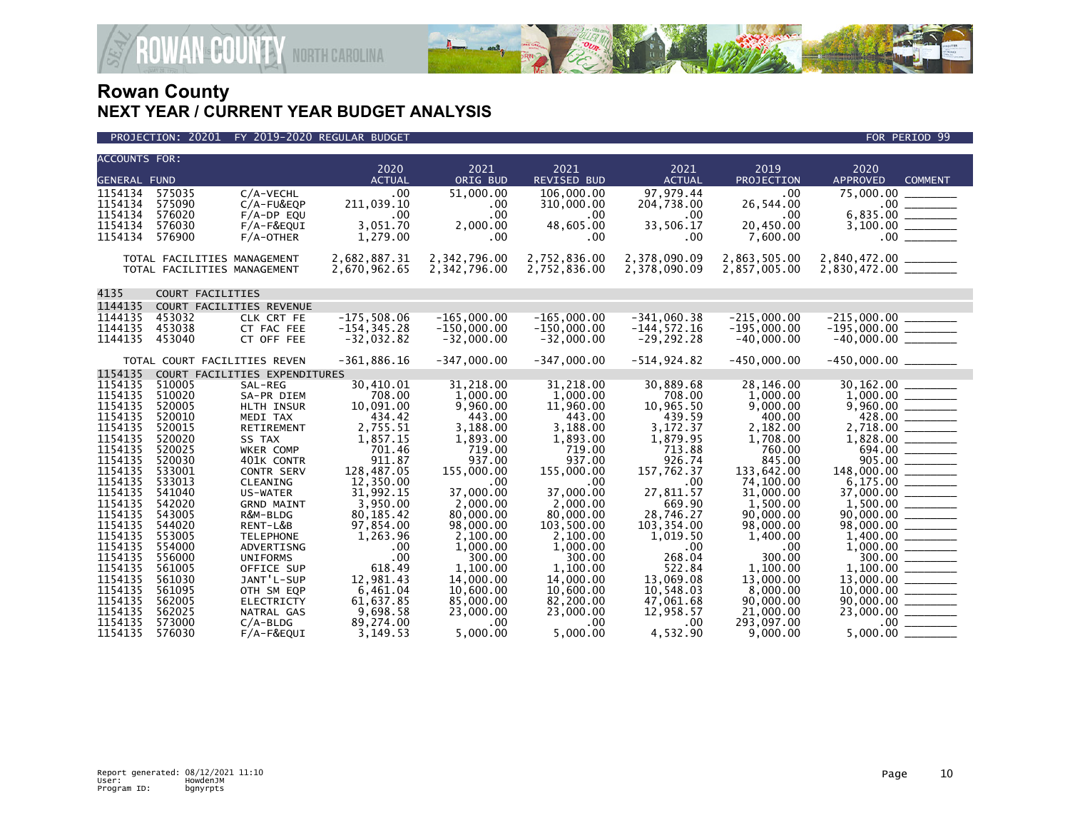

| <b>ACCOUNTS FOR:</b> |                  |                               |                       |                      |                            |                          |                           |                                                |
|----------------------|------------------|-------------------------------|-----------------------|----------------------|----------------------------|--------------------------|---------------------------|------------------------------------------------|
| <b>GENERAL FUND</b>  |                  |                               | 2020<br><b>ACTUAL</b> | 2021<br>ORIG BUD     | 2021<br><b>REVISED BUD</b> | 2021<br><b>ACTUAL</b>    | 2019<br><b>PROJECTION</b> | 2020<br><b>APPROVED</b><br><b>COMMENT</b>      |
|                      |                  |                               |                       |                      |                            |                          |                           |                                                |
| 1154134<br>1154134   | 575035<br>575090 | C/A-VECHL<br>$C/A-FU&EOP$     | .00<br>211,039.10     | 51,000.00            | 106,000,00                 | 97, 979.44<br>204,738.00 | .00<br>26,544.00          | 75,000,00                                      |
| 1154134              | 576020           | $F/A-DP$ EQU                  | .00                   | .00<br>.00           | 310,000.00<br>.00          | .00                      | .00                       |                                                |
| 1154134              | 576030           | F/A-F&EQUI                    | 3,051.70              | 2,000.00             | 48,605.00                  | 33,506.17                | 20,450.00                 |                                                |
| 1154134              | 576900           | $F/A$ -OTHER                  | 1,279.00              | .00                  | .00.                       | .00                      | 7,600.00                  | 00                                             |
|                      |                  |                               |                       |                      |                            |                          |                           |                                                |
|                      |                  | TOTAL FACILITIES MANAGEMENT   | 2,682,887.31          | 2,342,796.00         | 2,752,836.00               | 2,378,090.09             | 2,863,505.00              |                                                |
|                      |                  | TOTAL FACILITIES MANAGEMENT   | 2,670,962.65          | 2,342,796.00         | 2,752,836.00               | 2,378,090.09             | 2,857,005.00              | 2,840,472.00 ________<br>2,830,472.00 ________ |
|                      |                  |                               |                       |                      |                            |                          |                           |                                                |
| 4135                 |                  | COURT FACILITIES              |                       |                      |                            |                          |                           |                                                |
| 1144135              |                  | COURT FACILITIES REVENUE      |                       |                      |                            |                          |                           |                                                |
| 1144135              | 453032           | CLK CRT FE                    | $-175,508.06$         | $-165,000.00$        | $-165,000.00$              | $-341,060.38$            | $-215.000.00$             | $-215,000.00$                                  |
| 1144135              | 453038           | CT FAC FEE                    | $-154, 345.28$        | $-150,000.00$        | $-150,000.00$              | $-144, 572.16$           | $-195,000.00$             |                                                |
| 1144135              | 453040           | CT OFF FEE                    | $-32,032.82$          | $-32,000.00$         | $-32,000.00$               | $-29, 292.28$            | $-40,000.00$              | $-215,000.00$<br>$-195,000.00$<br>$-40,000.00$ |
|                      |                  |                               |                       |                      |                            |                          |                           |                                                |
|                      |                  | TOTAL COURT FACILITIES REVEN  | $-361,886.16$         | $-347,000.00$        | $-347.000.00$              | $-514, 924.82$           | $-450,000.00$             | $-450,000.00$ _________                        |
| 1154135              |                  | COURT FACILITIES EXPENDITURES |                       |                      |                            |                          |                           |                                                |
| 1154135              | 510005           | SAL-REG                       | 30,410.01             | 31,218.00            | 31,218.00                  | 30,889.68                | 28,146.00                 | 30,162.00                                      |
| 1154135              | 510020           | SA-PR DIEM                    | 708.00                | 1,000.00             | 1,000.00                   | 708.00                   | 1,000.00                  |                                                |
| 1154135              | 520005           | HLTH INSUR                    | 10,091.00             | 9,960.00             | 11,960.00                  | 10,965.50                | 9,000.00                  |                                                |
| 1154135              | 520010           | MEDI TAX                      | 434.42                | 443.00               | 443.00                     | 439.59                   | 400.00                    | 428.00                                         |
| 1154135              | 520015           | <b>RETIREMENT</b>             | 2,755.51              | 3,188.00             | 3.188.00                   | 3,172.37                 | 2.182.00                  | 2,718.00 _______                               |
| 1154135              | 520020           | SS TAX                        | 1,857.15              | 1,893.00             | 1,893.00                   | 1,879.95                 | 1,708.00                  |                                                |
| 1154135              | 520025           | WKER COMP                     | 701.46                | 719.00               | 719.00                     | 713.88                   | 760.00                    | 694.00                                         |
| 1154135<br>1154135   | 520030<br>533001 | 401K CONTR                    | 911.87<br>128,487.05  | 937.00<br>155,000,00 | 937.00<br>155,000,00       | 926.74<br>157,762.37     | 845.00                    | 905.00                                         |
| 1154135              | 533013           | <b>CONTR SERV</b><br>CLEANING | 12,350.00             | .00                  | .00                        | .00                      | 133,642.00<br>74,100.00   | 148,000.00 ______                              |
| 1154135              | 541040           | US-WATER                      | 31,992.15             | 37,000,00            | 37,000.00                  | 27,811.57                | 31,000.00                 | 37,000.00 ________                             |
| 1154135              | 542020           | <b>GRND MAINT</b>             | 3,950.00              | 2,000.00             | 2,000.00                   | 669.90                   | 1,500.00                  |                                                |
| 1154135              | 543005           | R&M-BLDG                      | 80, 185.42            | 80,000.00            | 80,000.00                  | 28,746.27                | 90,000.00                 |                                                |
| 1154135              | 544020           | RENT-L&B                      | 97,854.00             | 98,000,00            | 103,500.00                 | 103.354.00               | 98,000.00                 | 98,000.00                                      |
| 1154135              | 553005           | <b>TELEPHONE</b>              | 1,263.96              | 2,100.00             | 2,100.00                   | 1,019.50                 | 1,400.00                  |                                                |
| 1154135              | 554000           | ADVERTISNG                    | .00                   | 1,000.00             | 1,000.00                   | .00                      | .00                       |                                                |
| 1154135              | 556000           | <b>UNIFORMS</b>               | .00                   | 300.00               | 300.00                     | 268.04                   | 300.00                    |                                                |
| 1154135              | 561005           | OFFICE SUP                    | 618.49                | 1.100.00             | 1.100.00                   | 522.84                   | 1.100.00                  |                                                |
| 1154135              | 561030           | JANT'L-SUP                    | 12,981.43             | 14,000.00            | 14,000.00                  | 13,069.08                | 13,000.00                 |                                                |
| 1154135              | 561095           | OTH SM EOP                    | 6.461.04              | 10.600.00            | 10,600.00                  | 10.548.03                | 8.000.00                  |                                                |
| 1154135              | 562005           | <b>ELECTRICTY</b>             | 61,637.85             | 85,000.00            | 82,200.00                  | 47,061.68                | 90,000.00                 | $90,000.00$ ________<br>23,000.00 ________     |
| 1154135              | 562025           | NATRAL GAS                    | 9,698.58              | 23,000.00            | 23,000.00                  | 12,958.57                | 21,000.00                 |                                                |
| 1154135              | 573000           | $C/A-BLDG$                    | 89,274.00             | .00                  | .00                        | .00                      | 293,097.00                |                                                |
| 1154135              | 576030           | $F/A-F&EOUT$                  | 3,149.53              | 5,000.00             | 5.000.00                   | 4,532.90                 | 9.000.00                  | 5.000.00                                       |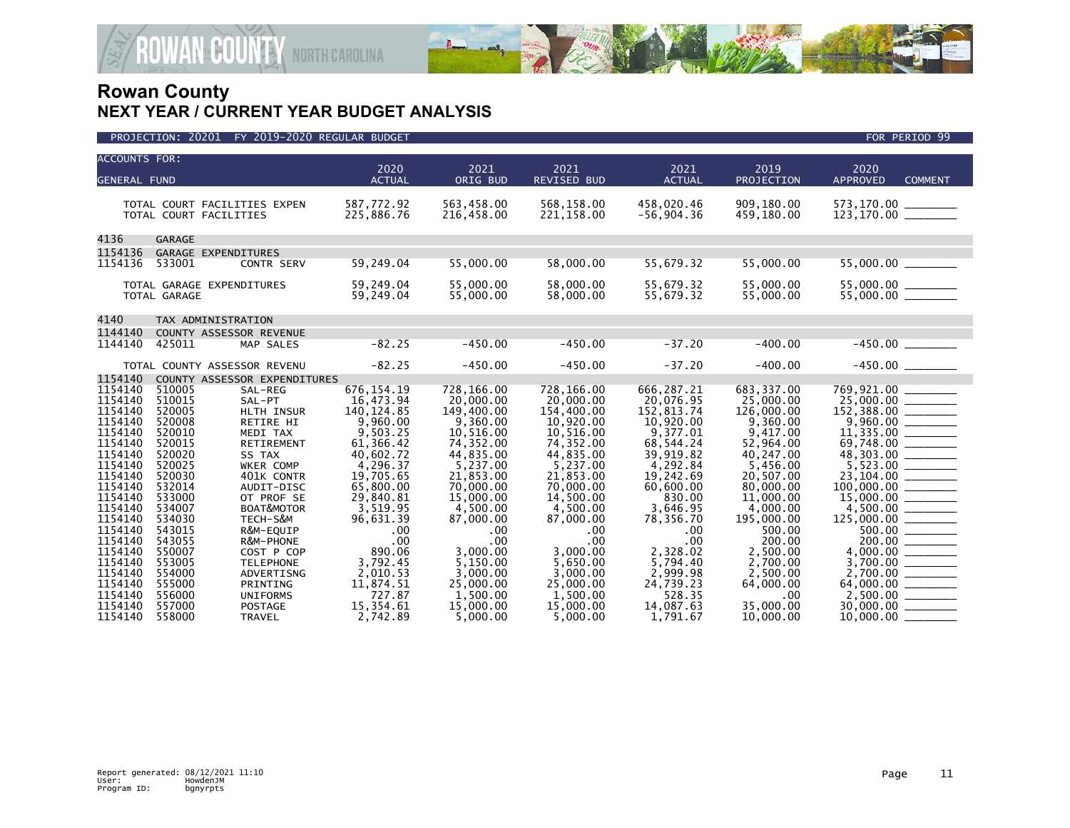

| <b>ACCOUNTS FOR:</b> |                  |                                                        | 2020                     | 2021                     | 2021                     | 2021                       | 2019                     | 2020                                  |
|----------------------|------------------|--------------------------------------------------------|--------------------------|--------------------------|--------------------------|----------------------------|--------------------------|---------------------------------------|
| <b>GENERAL FUND</b>  |                  |                                                        | <b>ACTUAL</b>            | ORIG BUD                 | <b>REVISED BUD</b>       | <b>ACTUAL</b>              | <b>PROJECTION</b>        | <b>APPROVED</b><br><b>COMMENT</b>     |
|                      |                  |                                                        |                          |                          |                          |                            |                          |                                       |
|                      |                  | TOTAL COURT FACILITIES EXPEN<br>TOTAL COURT FACILITIES | 587,772.92<br>225,886.76 | 563,458.00<br>216,458.00 | 568,158.00<br>221,158.00 | 458,020.46<br>$-56,904.36$ | 909,180.00<br>459,180.00 | 573,170.00 ________                   |
|                      |                  |                                                        |                          |                          |                          |                            |                          |                                       |
| 4136                 | <b>GARAGE</b>    |                                                        |                          |                          |                          |                            |                          |                                       |
| 1154136              |                  | GARAGE EXPENDITURES                                    |                          |                          |                          |                            |                          |                                       |
| 1154136              | 533001           | CONTR SERV                                             | 59,249.04                | 55,000.00                | 58,000.00                | 55,679.32                  | 55,000.00                |                                       |
|                      |                  |                                                        |                          |                          |                          |                            |                          |                                       |
|                      |                  | TOTAL GARAGE EXPENDITURES                              | 59,249.04                | 55,000.00                | 58,000.00                | 55,679.32                  | 55,000.00                |                                       |
|                      | TOTAL GARAGE     |                                                        | 59,249.04                | 55,000.00                | 58,000.00                | 55,679.32                  | 55,000.00                |                                       |
| 4140                 |                  | TAX ADMINISTRATION                                     |                          |                          |                          |                            |                          |                                       |
| 1144140              |                  | COUNTY ASSESSOR REVENUE                                |                          |                          |                          |                            |                          |                                       |
| 1144140              | 425011           | MAP SALES                                              | $-82.25$                 | $-450.00$                | $-450.00$                | $-37.20$                   | $-400.00$                |                                       |
|                      |                  |                                                        |                          |                          |                          |                            |                          |                                       |
|                      |                  | TOTAL COUNTY ASSESSOR REVENU                           | $-82.25$                 | $-450.00$                | $-450.00$                | $-37.20$                   | $-400.00$                |                                       |
| 1154140              |                  | COUNTY ASSESSOR EXPENDITURES                           |                          |                          |                          |                            |                          |                                       |
| 1154140              | 510005           | SAL-REG                                                | 676, 154. 19             | 728,166.00               | 728,166.00               | 666,287.21                 | 683,337.00               | 769,921.00                            |
| 1154140              | 510015           | SAL-PT                                                 | 16,473.94                | 20,000.00                | 20,000.00                | 20,076.95                  | 25,000.00                | $25,000.00$<br>152,388.00<br>9,960.00 |
| 1154140<br>1154140   | 520005<br>520008 | HLTH INSUR                                             | 140, 124.85<br>9,960.00  | 149,400.00<br>9,360.00   | 154,400.00<br>10,920.00  | 152.813.74<br>10,920.00    | 126,000,00<br>9,360.00   |                                       |
| 1154140              | 520010           | RETIRE HI<br>MEDI TAX                                  | 9,503.25                 | 10,516.00                | 10,516.00                | 9,377.01                   | 9,417.00                 |                                       |
| 1154140              | 520015           | <b>RETIREMENT</b>                                      | 61.366.42                | 74,352.00                | 74,352.00                | 68,544.24                  | 52,964.00                | 69,748.00                             |
| 1154140              | 520020           | SS TAX                                                 | 40,602.72                | 44,835.00                | 44,835.00                | 39,919.82                  | 40,247.00                |                                       |
| 1154140              | 520025           | WKER COMP                                              | 4,296.37                 | 5,237.00                 | 5,237.00                 | 4,292.84                   | 5,456.00                 |                                       |
| 1154140              | 520030           | 401K CONTR                                             | 19,705.65                | 21,853.00                | 21,853.00                | 19,242.69                  | 20.507.00                |                                       |
| 1154140              | 532014           | AUDIT-DISC                                             | 65,800.00                | 70,000.00                | 70,000.00                | 60,600.00                  | 80,000.00                |                                       |
| 1154140              | 533000           | OT PROF SE                                             | 29,840.81                | 15,000.00                | 14,500.00                | 830.00                     | 11,000.00                |                                       |
| 1154140              | 534007           | BOAT&MOTOR                                             | 3,519.95                 | 4,500.00                 | 4,500.00                 | 3,646.95                   | 4,000.00                 | $4,500.00$<br>125,000.00              |
| 1154140              | 534030           | TECH-S&M                                               | 96,631.39                | 87,000.00                | 87,000.00                | 78,356.70                  | 195,000.00               |                                       |
| 1154140              | 543015           | R&M-EQUIP                                              | .00                      | .00                      | .00                      | .00                        | 500.00                   | 500.00                                |
| 1154140<br>1154140   | 543055           | R&M-PHONE                                              | .00<br>890.06            | $.00 \times$<br>3,000.00 | .00                      | .00                        | 200.00                   |                                       |
| 1154140              | 550007<br>553005 | COST P COP<br><b>TELEPHONE</b>                         | 3,792.45                 | 5,150.00                 | 3,000.00<br>5,650.00     | 2,328.02<br>5,794.40       | 2,500.00<br>2,700.00     | $3,700.00$ _________                  |
| 1154140              | 554000           | ADVERTISNG                                             | 2,010.53                 | 3,000.00                 | 3,000.00                 | 2,999.98                   | 2,500.00                 |                                       |
| 1154140              | 555000           | PRINTING                                               | 11,874.51                | 25,000.00                | 25,000.00                | 24,739.23                  | 64,000.00                |                                       |
| 1154140              | 556000           | <b>UNIFORMS</b>                                        | 727.87                   | 1,500.00                 | 1,500.00                 | 528.35                     | .00                      |                                       |
| 1154140              | 557000           | <b>POSTAGE</b>                                         | 15,354.61                | 15,000.00                | 15,000.00                | 14,087.63                  | 35,000.00                | 30,000.00                             |
| 1154140              | 558000           | TRAVEL                                                 | 2,742.89                 | 5,000.00                 | 5,000.00                 | 1,791.67                   | 10,000.00                | 10,000.00                             |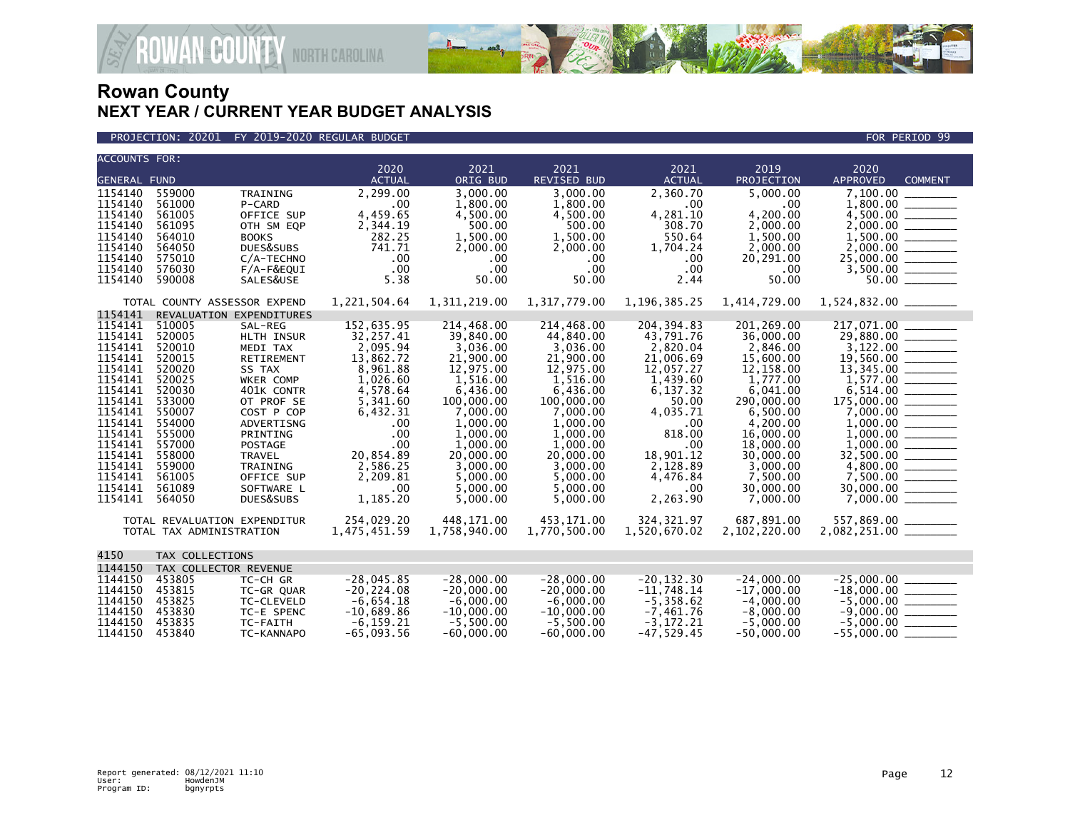

**GOUNTY NORTH CAROLINA** 

| <b>ACCOUNTS FOR:</b>                                                                                                                                                                               |                                                                                                                                                                                                                                                                |                                                                                                                                                                                                                                           | 2020                                                                                                                                                                                                                     | 2021                                                                                                                                                                                                                                           | 2021                                                                                                                                                                                                                                           | 2021                                                                                                                                                                                                                                | 2019                                                                                                                                                                                                                                               | 2020                                                                                                                                                                                                                                                                                                                                                                                                                                                                                                                                                                                                                                                                                                                                             |
|----------------------------------------------------------------------------------------------------------------------------------------------------------------------------------------------------|----------------------------------------------------------------------------------------------------------------------------------------------------------------------------------------------------------------------------------------------------------------|-------------------------------------------------------------------------------------------------------------------------------------------------------------------------------------------------------------------------------------------|--------------------------------------------------------------------------------------------------------------------------------------------------------------------------------------------------------------------------|------------------------------------------------------------------------------------------------------------------------------------------------------------------------------------------------------------------------------------------------|------------------------------------------------------------------------------------------------------------------------------------------------------------------------------------------------------------------------------------------------|-------------------------------------------------------------------------------------------------------------------------------------------------------------------------------------------------------------------------------------|----------------------------------------------------------------------------------------------------------------------------------------------------------------------------------------------------------------------------------------------------|--------------------------------------------------------------------------------------------------------------------------------------------------------------------------------------------------------------------------------------------------------------------------------------------------------------------------------------------------------------------------------------------------------------------------------------------------------------------------------------------------------------------------------------------------------------------------------------------------------------------------------------------------------------------------------------------------------------------------------------------------|
| <b>GENERAL FUND</b>                                                                                                                                                                                |                                                                                                                                                                                                                                                                |                                                                                                                                                                                                                                           | <b>ACTUAL</b>                                                                                                                                                                                                            | ORIG BUD                                                                                                                                                                                                                                       | REVISED BUD                                                                                                                                                                                                                                    | <b>ACTUAL</b>                                                                                                                                                                                                                       | PROJECTION                                                                                                                                                                                                                                         | <b>APPROVED</b><br><b>COMMENT</b>                                                                                                                                                                                                                                                                                                                                                                                                                                                                                                                                                                                                                                                                                                                |
| 1154140<br>1154140<br>1154140<br>1154140<br>1154140<br>1154140<br>1154140<br>1154140<br>1154140                                                                                                    | 559000<br>561000<br>561005<br>561095<br>564010<br>564050<br>575010<br>576030<br>590008                                                                                                                                                                         | TRAINING<br>P-CARD<br>OFFICE SUP<br>OTH SM EQP<br><b>BOOKS</b><br>DUES&SUBS<br>C/A-TECHNO<br>$F/A-F&EQUI$<br>SALES&USE                                                                                                                    | 2,299.00<br>.00<br>4,459.65<br>2,344.19<br>282.25<br>741.71<br>.00.<br>.00<br>5.38                                                                                                                                       | 3,000.00<br>1,800.00<br>4,500.00<br>500.00<br>1,500.00<br>2,000.00<br>$.00 \,$<br>$.00 \times$<br>50.00                                                                                                                                        | 3,000.00<br>1,800.00<br>4,500.00<br>500.00<br>1,500.00<br>2,000.00<br>.00.<br>.00<br>50.00                                                                                                                                                     | 2,360.70<br>$.00 \times$<br>4,281.10<br>308.70<br>550.64<br>1,704.24<br>$.00 \,$<br>$.00 \,$<br>2.44                                                                                                                                | 5,000.00<br>.00<br>4,200.00<br>2,000.00<br>1,500.00<br>2,000.00<br>20,291.00<br>.00<br>50.00                                                                                                                                                       | 7,100.00<br>$\frac{1,500.00}{2,000.00}$<br>$25,000.00$ _________                                                                                                                                                                                                                                                                                                                                                                                                                                                                                                                                                                                                                                                                                 |
|                                                                                                                                                                                                    | TOTAL COUNTY ASSESSOR EXPEND                                                                                                                                                                                                                                   |                                                                                                                                                                                                                                           | 1,221,504.64                                                                                                                                                                                                             | 1,311,219.00                                                                                                                                                                                                                                   | 1,317,779.00                                                                                                                                                                                                                                   | 1, 196, 385. 25                                                                                                                                                                                                                     | 1,414,729.00                                                                                                                                                                                                                                       |                                                                                                                                                                                                                                                                                                                                                                                                                                                                                                                                                                                                                                                                                                                                                  |
| 1154141<br>1154141<br>1154141<br>1154141<br>1154141<br>1154141<br>1154141<br>1154141<br>1154141<br>1154141<br>1154141<br>1154141<br>1154141<br>1154141<br>1154141<br>1154141<br>1154141<br>1154141 | REVALUATION EXPENDITURES<br>510005<br>520005<br>520010<br>520015<br>520020<br>520025<br>520030<br>533000<br>550007<br>554000<br>555000<br>557000<br>558000<br>559000<br>561005<br>561089<br>564050<br>TOTAL REVALUATION EXPENDITUR<br>TOTAL TAX ADMINISTRATION | SAL-REG<br>HLTH INSUR<br>MEDI TAX<br><b>RETIREMENT</b><br>SS TAX<br>WKER COMP<br>401K CONTR<br>OT PROF SE<br>COST P COP<br>ADVERTISNG<br>PRINTING<br><b>POSTAGE</b><br><b>TRAVEL</b><br>TRAINING<br>OFFICE SUP<br>SOFTWARE L<br>DUES&SUBS | 152,635.95<br>32,257.41<br>2,095.94<br>13,862.72<br>8,961.88<br>1,026.60<br>4,578.64<br>5,341.60<br>6,432.31<br>.00.<br>.00<br>.00<br>20,854.89<br>2,586.25<br>2.209.81<br>.00<br>1,185.20<br>254,029.20<br>1,475,451.59 | 214,468.00<br>39,840.00<br>3,036.00<br>21,900.00<br>12,975.00<br>1,516.00<br>6,436.00<br>100,000.00<br>7,000.00<br>1,000.00<br>1,000.00<br>1.000.00<br>20,000.00<br>3,000.00<br>5,000.00<br>5,000.00<br>5,000.00<br>448.171.00<br>1,758,940.00 | 214,468.00<br>44,840.00<br>3.036.00<br>21,900.00<br>12,975.00<br>1,516.00<br>6,436.00<br>100,000.00<br>7,000.00<br>1,000.00<br>1,000.00<br>1.000.00<br>20,000.00<br>3,000.00<br>5,000.00<br>5,000.00<br>5,000.00<br>453.171.00<br>1,770,500.00 | 204, 394.83<br>43,791.76<br>2.820.04<br>21,006.69<br>12,057.27<br>1,439.60<br>6,137.32<br>50.00<br>4,035.71<br>$.00 \times$<br>818.00<br>.00<br>18,901.12<br>2,128.89<br>4,476.84<br>.00<br>2,263.90<br>324, 321.97<br>1,520,670.02 | 201, 269.00<br>36,000.00<br>2,846.00<br>15,600.00<br>12,158.00<br>1,777.00<br>6,041.00<br>290,000.00<br>6,500.00<br>4,200.00<br>16,000.00<br>18,000,00<br>30,000.00<br>3,000.00<br>7,500.00<br>30,000.00<br>7,000.00<br>687,891.00<br>2,102,220.00 | 217,071.00<br>$\frac{29,880.00}{3,122.00}$<br>$19,560.00$ - 19, 345.00<br>$1,577.00$ $\overline{\phantom{0}}$<br>$6,514.00$ $\overline{\phantom{0}}$<br>30,000.00<br>$\begin{array}{c} \begin{array}{c} \begin{array}{c} \begin{array}{c} \end{array} \\ \end{array} \end{array} \end{array} \end{array} \end{array} \end{array} \begin{array}{c} \begin{array}{c} \begin{array}{c} \end{array} \\ \end{array} \end{array} \end{array} \begin{array}{c} \begin{array}{c} \begin{array}{c} \end{array} \\ \end{array} \end{array} \end{array} \begin{array}{c} \begin{array}{c} \end{array} \end{array} \end{array} \begin{array}{c} \begin{array}{c} \begin{array}{c} \end{array} \end{array} \end{array} \begin{array}{c}$<br>557,869.00 ______ |
| 4150                                                                                                                                                                                               | TAX COLLECTIONS                                                                                                                                                                                                                                                |                                                                                                                                                                                                                                           |                                                                                                                                                                                                                          |                                                                                                                                                                                                                                                |                                                                                                                                                                                                                                                |                                                                                                                                                                                                                                     |                                                                                                                                                                                                                                                    |                                                                                                                                                                                                                                                                                                                                                                                                                                                                                                                                                                                                                                                                                                                                                  |
| 1144150<br>1144150<br>1144150<br>1144150<br>1144150<br>1144150<br>1144150                                                                                                                          | TAX COLLECTOR REVENUE<br>453805<br>453815<br>453825<br>453830<br>453835<br>453840                                                                                                                                                                              | TC-CH GR<br>TC-GR QUAR<br>TC-CLEVELD<br>TC-E SPENC<br>TC-FAITH<br>TC-KANNAPO                                                                                                                                                              | $-28,045.85$<br>$-20, 224.08$<br>$-6,654.18$<br>$-10,689.86$<br>$-6.159.21$<br>$-65,093.56$                                                                                                                              | $-28,000.00$<br>$-20,000.00$<br>$-6.000.00$<br>$-10,000.00$<br>$-5.500.00$<br>$-60,000.00$                                                                                                                                                     | $-28,000.00$<br>$-20,000.00$<br>$-6,000.00$<br>$-10,000.00$<br>$-5.500.00$<br>$-60,000.00$                                                                                                                                                     | $-20, 132.30$<br>$-11,748.14$<br>$-5,358.62$<br>$-7,461.76$<br>$-3.172.21$<br>$-47,529.45$                                                                                                                                          | $-24,000.00$<br>$-17,000.00$<br>$-4,000.00$<br>$-8,000.00$<br>$-5.000.00$<br>$-50,000.00$                                                                                                                                                          | $-18,000.00$<br>$-5,000.00$<br>$-9,000.00$<br>$-55,000.00$                                                                                                                                                                                                                                                                                                                                                                                                                                                                                                                                                                                                                                                                                       |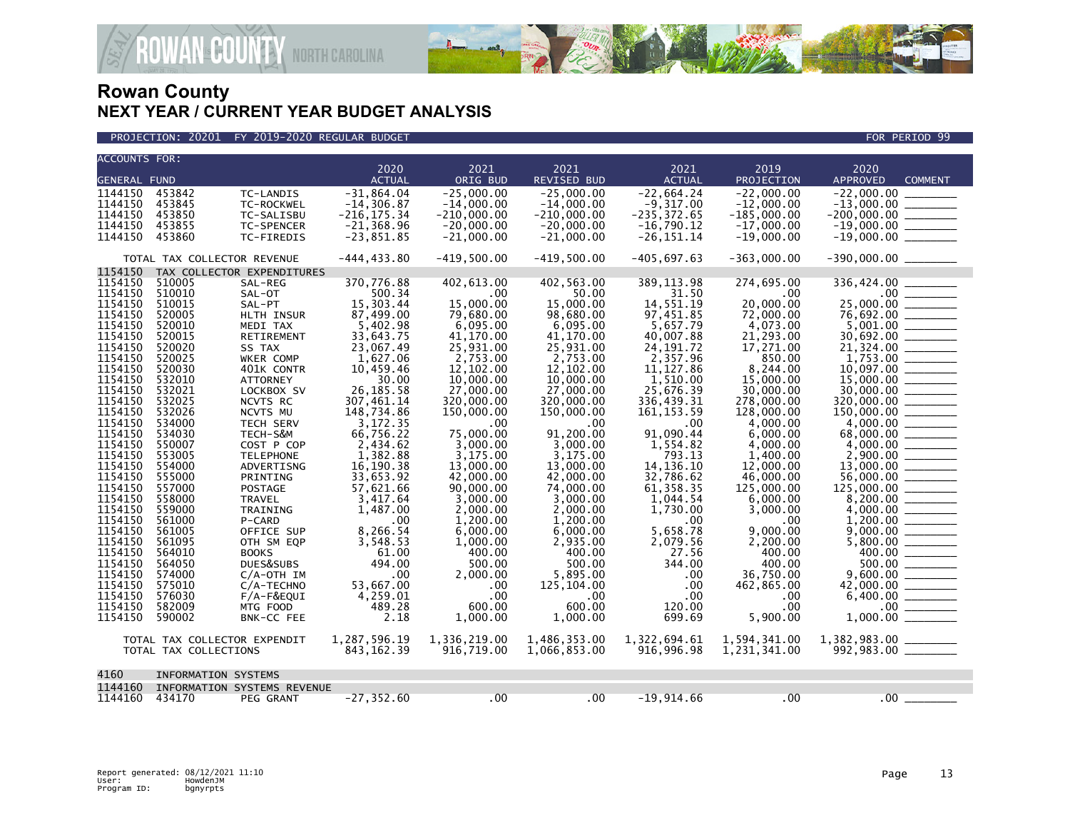

| <b>ACCOUNTS FOR:</b> |                              |                             | 2020                           | 2021                          | 2021                          | 2021                           | 2019                          | 2020                                                                                                                                                                                                                                                                                                                                                                                                                               |
|----------------------|------------------------------|-----------------------------|--------------------------------|-------------------------------|-------------------------------|--------------------------------|-------------------------------|------------------------------------------------------------------------------------------------------------------------------------------------------------------------------------------------------------------------------------------------------------------------------------------------------------------------------------------------------------------------------------------------------------------------------------|
| <b>GENERAL FUND</b>  |                              |                             | <b>ACTUAL</b>                  | ORIG BUD                      | <b>REVISED BUD</b>            | <b>ACTUAL</b>                  | <b>PROJECTION</b>             | <b>APPROVED</b><br><b>COMMENT</b>                                                                                                                                                                                                                                                                                                                                                                                                  |
| 1144150              | 453842                       | TC-LANDIS                   | $-31.864.04$                   | $-25.000.00$                  | $-25.000.00$                  | $-22.664.24$                   | $-22.000.00$                  | $-22.000.00$                                                                                                                                                                                                                                                                                                                                                                                                                       |
| 1144150              | 453845                       | TC-ROCKWEL                  | $-14, 306.87$                  | $-14.000.00$                  | $-14.000.00$                  | $-9,317.00$                    | $-12,000.00$                  | $-13.000.00$                                                                                                                                                                                                                                                                                                                                                                                                                       |
| 1144150<br>1144150   | 453850<br>453855             | TC-SALISBU<br>TC-SPENCER    | $-216, 175.34$<br>$-21,368.96$ | $-210,000.00$<br>$-20,000.00$ | $-210.000.00$<br>$-20,000.00$ | $-235, 372.65$<br>$-16,790.12$ | $-185,000.00$<br>$-17,000.00$ | $-200,000.00$<br>$-19,000.00$                                                                                                                                                                                                                                                                                                                                                                                                      |
| 1144150              | 453860                       | TC-FIREDIS                  | $-23,851.85$                   | $-21,000.00$                  | $-21,000.00$                  | $-26, 151.14$                  | $-19,000.00$                  | $-19,000.00$ ________                                                                                                                                                                                                                                                                                                                                                                                                              |
|                      |                              |                             |                                |                               |                               |                                |                               |                                                                                                                                                                                                                                                                                                                                                                                                                                    |
|                      | TOTAL TAX COLLECTOR REVENUE  |                             | $-444, 433.80$                 | $-419,500.00$                 | $-419.500.00$                 | $-405.697.63$                  | $-363,000.00$                 |                                                                                                                                                                                                                                                                                                                                                                                                                                    |
| 1154150              |                              | TAX COLLECTOR EXPENDITURES  |                                |                               |                               |                                |                               |                                                                                                                                                                                                                                                                                                                                                                                                                                    |
| 1154150              | 510005                       | SAL-REG                     | 370,776.88                     | 402.613.00                    | 402.563.00                    | 389, 113.98                    | 274,695.00                    | 336,424.00                                                                                                                                                                                                                                                                                                                                                                                                                         |
| 1154150              | 510010                       | SAL-OT                      | 500.34                         | $.00 \,$                      | 50.00                         | 31.50                          | .00.                          |                                                                                                                                                                                                                                                                                                                                                                                                                                    |
| 1154150              | 510015                       | SAL-PT                      | 15,303.44                      | 15,000.00                     | 15,000.00                     | 14,551.19                      | 20,000,00                     | 25,000.00 _______                                                                                                                                                                                                                                                                                                                                                                                                                  |
| 1154150<br>1154150   | 520005<br>520010             | <b>HLTH INSUR</b>           | 87,499.00<br>5,402.98          | 79.680.00<br>6,095.00         | 98.680.00<br>6,095.00         | 97,451.85<br>5,657.79          | 72.000.00<br>4,073.00         | 76,692.00                                                                                                                                                                                                                                                                                                                                                                                                                          |
| 1154150              | 520015                       | MEDI TAX<br>RETIREMENT      | 33,643.75                      | 41,170.00                     | 41,170.00                     | 40,007.88                      | 21,293.00                     |                                                                                                                                                                                                                                                                                                                                                                                                                                    |
| 1154150              | 520020                       | SS TAX                      | 23,067.49                      | 25,931.00                     | 25,931.00                     | 24.191.72                      | 17.271.00                     |                                                                                                                                                                                                                                                                                                                                                                                                                                    |
| 1154150              | 520025                       | WKER COMP                   | 1,627.06                       | 2,753.00                      | 2,753.00                      | 2,357.96                       | 850.00                        |                                                                                                                                                                                                                                                                                                                                                                                                                                    |
| 1154150              | 520030                       | 401K CONTR                  | 10,459.46                      | 12,102.00                     | 12,102.00                     | 11, 127.86                     | 8,244.00                      | 10,097.00<br>$\frac{1}{1-\frac{1}{1-\frac{1}{1-\frac{1}{1-\frac{1}{1-\frac{1}{1-\frac{1}{1-\frac{1}{1-\frac{1}{1-\frac{1}{1-\frac{1}{1-\frac{1}{1-\frac{1}{1-\frac{1}{1-\frac{1}{1-\frac{1}{1-\frac{1}{1-\frac{1}{1-\frac{1}{1-\frac{1}{1-\frac{1}{1-\frac{1}{1-\frac{1}{1-\frac{1}{1-\frac{1}{1-\frac{1}{1-\frac{1}{1-\frac{1}{1-\frac{1}{1-\frac{1}{1-\frac{1}{1-\frac{1}{1-\frac{1}{1-\frac{1}{1-\frac{1}{1-\frac{1}{1-\frac{1$ |
| 1154150              | 532010                       | <b>ATTORNEY</b>             | 30.00                          | 10,000.00                     | 10,000.00                     | 1,510.00                       | 15,000,00                     | 15,000.00                                                                                                                                                                                                                                                                                                                                                                                                                          |
| 1154150              | 532021                       | LOCKBOX SV                  | 26, 185. 58                    | 27,000.00                     | 27,000.00                     | 25,676.39                      | 30,000.00                     | 30,000.00                                                                                                                                                                                                                                                                                                                                                                                                                          |
| 1154150              | 532025                       | NCVTS RC                    | 307,461.14                     | 320,000.00                    | 320,000.00                    | 336,439.31                     | 278,000.00                    |                                                                                                                                                                                                                                                                                                                                                                                                                                    |
| 1154150              | 532026                       | NCVTS MU                    | 148,734.86                     | 150,000.00                    | 150,000.00                    | 161.153.59                     | 128,000.00                    | 150.000.00                                                                                                                                                                                                                                                                                                                                                                                                                         |
| 1154150              | 534000                       | TECH SERV                   | 3,172.35                       | $.00 \,$                      | .00                           | .00                            | 4,000.00                      | 4,000.00<br>$\overline{\phantom{a}}$                                                                                                                                                                                                                                                                                                                                                                                               |
| 1154150              | 534030                       | TECH-S&M                    | 66,756.22                      | 75,000.00                     | 91,200.00                     | 91,090.44                      | 6,000.00                      | 68,000.00                                                                                                                                                                                                                                                                                                                                                                                                                          |
| 1154150              | 550007                       | COST P COP                  | 2.434.62                       | 3,000,00                      | 3.000.00                      | 1.554.82                       | 4.000.00                      | 4.000.00                                                                                                                                                                                                                                                                                                                                                                                                                           |
| 1154150              | 553005                       | <b>TELEPHONE</b>            | 1,382.88                       | 3,175.00                      | 3.175.00                      | 793.13                         | 1,400.00                      |                                                                                                                                                                                                                                                                                                                                                                                                                                    |
| 1154150              | 554000                       | ADVERTISNG                  | 16,190.38                      | 13,000.00                     | 13,000.00                     | 14, 136. 10                    | 12,000.00                     | 13,000.00                                                                                                                                                                                                                                                                                                                                                                                                                          |
| 1154150              | 555000                       | PRINTING                    | 33,653.92                      | 42,000.00                     | 42,000.00                     | 32,786.62                      | 46,000,00                     | 56.000.00                                                                                                                                                                                                                                                                                                                                                                                                                          |
| 1154150              | 557000                       | <b>POSTAGE</b>              | 57,621.66                      | 90,000,00                     | 74,000,00                     | 61, 358.35                     | 125,000,00                    | 125,000,00                                                                                                                                                                                                                                                                                                                                                                                                                         |
| 1154150              | 558000                       | <b>TRAVEL</b>               | 3,417.64                       | 3,000.00                      | 3,000.00                      | 1,044.54                       | 6,000.00                      |                                                                                                                                                                                                                                                                                                                                                                                                                                    |
| 1154150              | 559000                       | TRAINING                    | 1,487.00                       | 2,000,00                      | 2,000.00                      | 1,730.00                       | 3,000.00                      | 4,000.00                                                                                                                                                                                                                                                                                                                                                                                                                           |
| 1154150<br>1154150   | 561000                       | P-CARD                      | .00                            | 1.200.00                      | 1.200.00                      | .00                            | .00<br>9,000.00               | 1.200.00<br>$\frac{1}{2}$                                                                                                                                                                                                                                                                                                                                                                                                          |
| 1154150              | 561005<br>561095             | OFFICE SUP                  | 8,266.54<br>3,548.53           | 6,000.00<br>1,000.00          | 6,000.00<br>2,935.00          | 5,658.78<br>2,079.56           | 2,200.00                      | 9,000.00                                                                                                                                                                                                                                                                                                                                                                                                                           |
| 1154150              | 564010                       | OTH SM EQP<br><b>BOOKS</b>  | 61.00                          | 400.00                        | 400.00                        | 27.56                          | 400.00                        |                                                                                                                                                                                                                                                                                                                                                                                                                                    |
| 1154150              | 564050                       | DUES&SUBS                   | 494.00                         | 500.00                        | 500.00                        | 344.00                         | 400.00                        | $500.00$ _______                                                                                                                                                                                                                                                                                                                                                                                                                   |
| 1154150              | 574000                       | $C/A$ -OTH IM               | .00                            | 2,000.00                      | 5,895.00                      | .00                            | 36,750.00                     | 9.600.00                                                                                                                                                                                                                                                                                                                                                                                                                           |
| 1154150              | 575010                       | C/A-TECHNO                  | 53,667.00                      | .00                           | 125,104.00                    | .00                            | 462,865.00                    |                                                                                                                                                                                                                                                                                                                                                                                                                                    |
| 1154150              | 576030                       | $F/A-F\&EQUI$               | 4,259.01                       | .00                           | .00                           | .00                            | .00                           | 6,400.00                                                                                                                                                                                                                                                                                                                                                                                                                           |
| 1154150              | 582009                       | MTG FOOD                    | 489.28                         | 600.00                        | 600.00                        | 120.00                         | .00                           | $.00 \,$                                                                                                                                                                                                                                                                                                                                                                                                                           |
| 1154150              | 590002                       | BNK-CC FEE                  | 2.18                           | 1,000.00                      | 1,000.00                      | 699.69                         | 5,900.00                      | 1,000.00                                                                                                                                                                                                                                                                                                                                                                                                                           |
|                      | TOTAL TAX COLLECTOR EXPENDIT |                             | 1,287,596.19                   | 1,336,219.00                  | 1,486,353.00                  | 1,322,694.61                   | 1,594,341.00                  | 1,382,983.00 ________                                                                                                                                                                                                                                                                                                                                                                                                              |
|                      | TOTAL TAX COLLECTIONS        |                             | 843, 162.39                    | 916,719.00                    | 1,066,853.00                  | 916,996.98                     | 1,231,341.00                  |                                                                                                                                                                                                                                                                                                                                                                                                                                    |
| 4160                 | <b>INFORMATION SYSTEMS</b>   |                             |                                |                               |                               |                                |                               |                                                                                                                                                                                                                                                                                                                                                                                                                                    |
| 1144160              |                              | INFORMATION SYSTEMS REVENUE |                                |                               |                               |                                |                               |                                                                                                                                                                                                                                                                                                                                                                                                                                    |
| 1144160 434170       |                              | PEG GRANT                   | $-27, 352.60$                  | .00                           | .00                           | $-19,914.66$                   | .00                           | .00                                                                                                                                                                                                                                                                                                                                                                                                                                |
|                      |                              |                             |                                |                               |                               |                                |                               |                                                                                                                                                                                                                                                                                                                                                                                                                                    |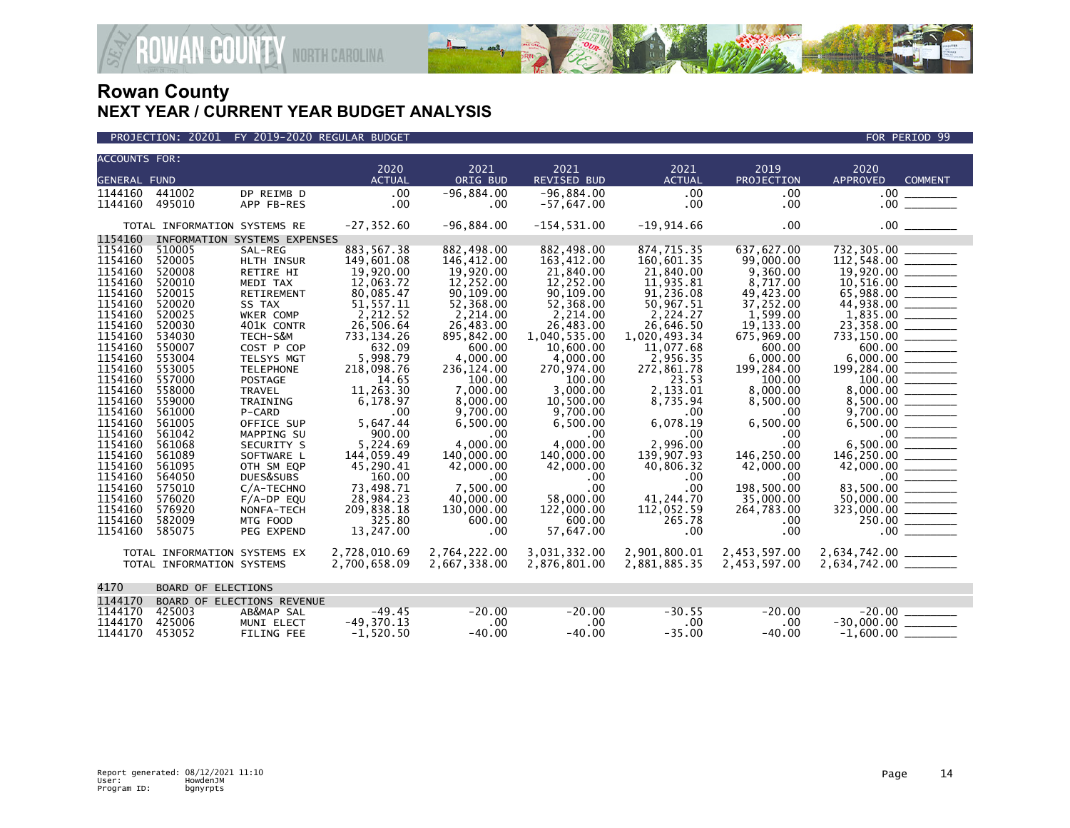



| <b>ACCOUNTS FOR:</b> |                              |                              |               |              |                |               |              |                                                                                           |
|----------------------|------------------------------|------------------------------|---------------|--------------|----------------|---------------|--------------|-------------------------------------------------------------------------------------------|
|                      |                              |                              | 2020          | 2021         | 2021           | 2021          | 2019         | 2020                                                                                      |
| <b>GENERAL FUND</b>  |                              |                              | <b>ACTUAL</b> | ORIG BUD     | REVISED BUD    | <b>ACTUAL</b> | PROJECTION   | <b>APPROVED</b><br><b>COMMENT</b>                                                         |
| 1144160              | 441002                       | DP REIMB D                   | .00           | $-96,884.00$ | $-96,884.00$   | .00           | .00          | .00                                                                                       |
| 1144160              | 495010                       | APP FB-RES                   | .00           | $.00 \,$     | $-57,647.00$   | .00           | .00          |                                                                                           |
|                      | TOTAL INFORMATION SYSTEMS RE |                              | $-27, 352.60$ | $-96,884.00$ | $-154, 531.00$ | $-19,914.66$  | .00          |                                                                                           |
| 1154160              |                              | INFORMATION SYSTEMS EXPENSES |               |              |                |               |              |                                                                                           |
| 1154160              | 510005                       | SAL-REG                      | 883, 567.38   | 882,498.00   | 882,498.00     | 874,715.35    | 637,627.00   | 732,305.00                                                                                |
| 1154160              | 520005                       | HLTH INSUR                   | 149,601.08    | 146,412.00   | 163,412.00     | 160,601.35    | 99,000.00    |                                                                                           |
| 1154160              | 520008                       | RETIRE HI                    | 19,920.00     | 19,920.00    | 21,840.00      | 21,840.00     | 9,360.00     |                                                                                           |
| 1154160              | 520010                       | MEDI TAX                     | 12,063.72     | 12,252.00    | 12,252.00      | 11,935.81     | 8,717.00     |                                                                                           |
| 1154160              | 520015                       | <b>RETIREMENT</b>            | 80,085.47     | 90,109.00    | 90,109.00      | 91,236.08     | 49,423.00    |                                                                                           |
| 1154160              | 520020                       | SS TAX                       | 51, 557.11    | 52,368.00    | 52,368.00      | 50,967.51     | 37,252.00    | 44,938.00                                                                                 |
| 1154160              | 520025                       | <b>WKER COMP</b>             | 2,212.52      | 2,214.00     | 2,214.00       | 2.224.27      | 1,599.00     |                                                                                           |
| 1154160              | 520030                       | 401K CONTR                   | 26,506.64     | 26,483.00    | 26,483.00      | 26,646.50     | 19, 133, 00  |                                                                                           |
| 1154160              | 534030                       | TECH-S&M                     | 733, 134. 26  | 895,842.00   | 1,040,535.00   | 1,020,493.34  | 675,969.00   | $733,150.00$ ________                                                                     |
| 1154160              | 550007                       | COST P COP                   | 632.09        | 600.00       | 10.600.00      | 11.077.68     | 600.00       | 600.00                                                                                    |
| 1154160              | 553004                       | TELSYS MGT                   | 5,998.79      | 4,000.00     | 4,000.00       | 2,956.35      | 6.000.00     |                                                                                           |
| 1154160              | 553005                       | <b>TELEPHONE</b>             | 218,098.76    | 236, 124.00  | 270,974.00     | 272,861.78    | 199,284.00   |                                                                                           |
| 1154160              | 557000                       | <b>POSTAGE</b>               | 14.65         | 100.00       | 100.00         | 23.53         | 100.00       |                                                                                           |
| 1154160              | 558000                       | <b>TRAVEL</b>                | 11,263.30     | 7,000.00     | 3,000.00       | 2,133.01      | 8,000.00     | 8,000.00 _______                                                                          |
| 1154160              | 559000                       | TRAINING                     | 6,178.97      | 8,000.00     | 10,500.00      | 8,735.94      | 8,500.00     |                                                                                           |
| 1154160              | 561000                       | P-CARD                       | .00           | 9,700.00     | 9,700.00       | .00           | .00          |                                                                                           |
| 1154160              | 561005                       | OFFICE SUP                   | 5,647.44      | 6,500.00     | 6,500.00       | 6,078.19      | 6,500.00     |                                                                                           |
| 1154160              | 561042                       | MAPPING SU                   | 900.00        | .00          | .00            | .00           | .00          |                                                                                           |
| 1154160              | 561068                       | SECURITY S                   | 5.224.69      | 4.000.00     | 4.000.00       | 2,996.00      | .00          | $\begin{array}{r} 9,700.00 \\ 6,500.00 \\ 0.00 \\ 6,500.00 \\ 0.00 \\ \hline \end{array}$ |
| 1154160              | 561089                       | SOFTWARE L                   | 144,059.49    | 140,000.00   | 140,000.00     | 139,907.93    | 146,250.00   | 146,250.00 ________                                                                       |
| 1154160              | 561095                       | OTH SM EQP                   | 45,290.41     | 42,000.00    | 42,000.00      | 40,806.32     | 42,000.00    |                                                                                           |
| 1154160              | 564050                       | DUES&SUBS                    | 160.00        | .00          | $.00 \,$       | .00           | .00          |                                                                                           |
| 1154160              | 575010                       | C/A-TECHNO                   | 73.498.71     | 7.500.00     | .00            | .00           | 198.500.00   | 83,500.00 _______                                                                         |
| 1154160              | 576020                       | $F/A-DP$ EQU                 | 28,984.23     | 40,000.00    | 58,000.00      | 41,244.70     | 35,000.00    |                                                                                           |
| 1154160              | 576920                       | NONFA-TECH                   | 209,838.18    | 130,000.00   | 122,000.00     | 112,052.59    | 264,783.00   | 323,000.00 _______                                                                        |
| 1154160              | 582009                       | MTG FOOD                     | 325.80        | 600.00       | 600.00         | 265.78        | .00          | 250.00 ______                                                                             |
| 1154160              | 585075                       | PEG EXPEND                   | 13,247.00     | $.00 \,$     | 57,647.00      | .00           | .00          | 00                                                                                        |
|                      | TOTAL INFORMATION SYSTEMS EX |                              | 2,728,010.69  | 2,764,222.00 | 3,031,332.00   | 2,901,800.01  | 2,453,597.00 | 2,634,742.00 ________                                                                     |
|                      | TOTAL INFORMATION SYSTEMS    |                              | 2,700,658.09  | 2,667,338.00 | 2,876,801.00   | 2,881,885.35  | 2,453,597.00 |                                                                                           |
| 4170                 | <b>BOARD OF ELECTIONS</b>    |                              |               |              |                |               |              |                                                                                           |
|                      |                              |                              |               |              |                |               |              |                                                                                           |
| 1144170              |                              | BOARD OF ELECTIONS REVENUE   |               |              |                |               |              |                                                                                           |
| 1144170              | 425003                       | AB&MAP SAL                   | $-49.45$      | $-20.00$     | $-20.00$       | $-30.55$      | $-20.00$     | $-20.00$                                                                                  |
| 1144170              | 425006                       | MUNI ELECT                   | $-49,370.13$  | .00          | .00            | .00           | .00          |                                                                                           |
| 1144170              | 453052                       | <b>FILING FEE</b>            | $-1,520.50$   | $-40.00$     | $-40.00$       | $-35.00$      | $-40.00$     | $-1.600.00$                                                                               |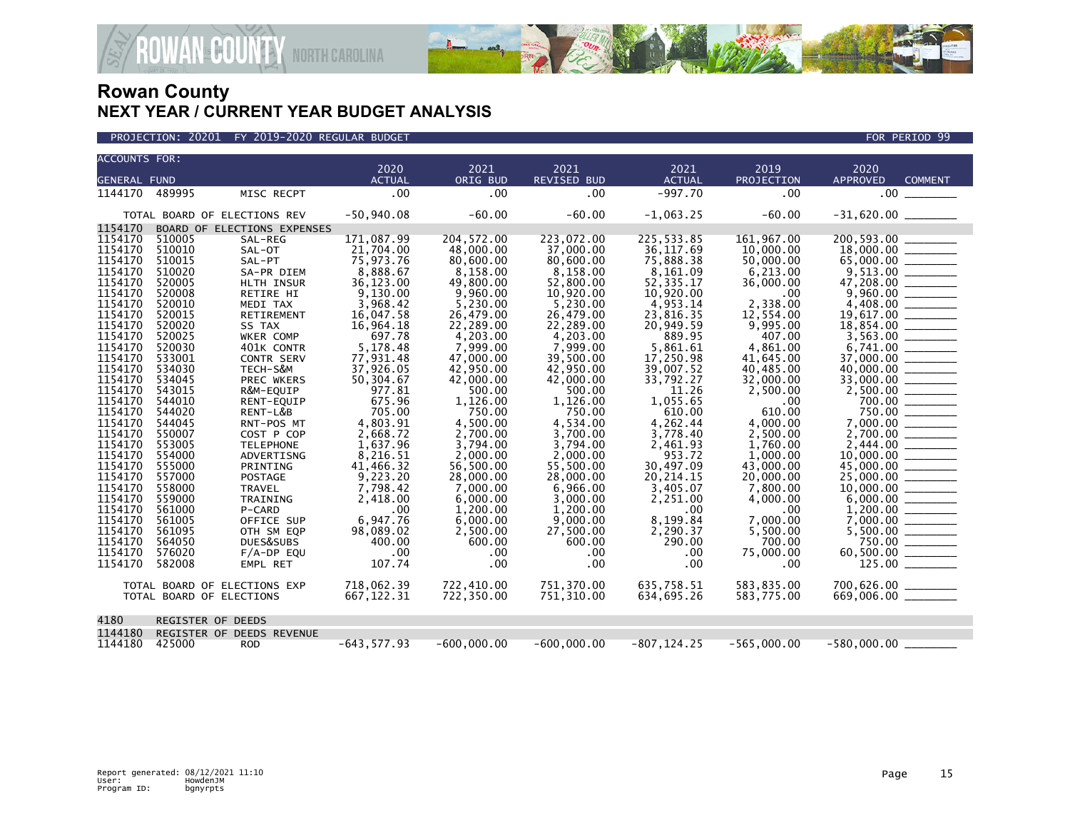

| <b>ACCOUNTS FOR:</b> |                              |                             |                       |                  |                            |                       |                    |                                              |
|----------------------|------------------------------|-----------------------------|-----------------------|------------------|----------------------------|-----------------------|--------------------|----------------------------------------------|
| <b>GENERAL FUND</b>  |                              |                             | 2020<br><b>ACTUAL</b> | 2021<br>ORIG BUD | 2021<br><b>REVISED BUD</b> | 2021<br><b>ACTUAL</b> | 2019<br>PROJECTION | 2020<br><b>APPROVED</b><br><b>COMMENT</b>    |
|                      |                              |                             |                       |                  |                            |                       |                    |                                              |
| 1144170              | 489995                       | MISC RECPT                  | .00                   | .00              | .00                        | $-997.70$             | .00                | $.00 \,$                                     |
|                      | TOTAL BOARD OF ELECTIONS REV |                             | $-50,940.08$          | $-60.00$         | $-60.00$                   | $-1,063.25$           | $-60.00$           |                                              |
| 1154170              |                              | BOARD OF ELECTIONS EXPENSES |                       |                  |                            |                       |                    |                                              |
| 1154170              | 510005                       | SAL-REG                     | 171,087.99            | 204, 572.00      | 223,072.00                 | 225,533.85            | 161,967.00         | 200,593.00                                   |
| 1154170              | 510010                       | SAL-OT                      | 21,704.00             | 48,000.00        | 37,000.00                  | 36, 117.69            | 10,000,00          | 18,000.00                                    |
| 1154170              | 510015                       | SAL-PT                      | 75,973.76             | 80,600.00        | 80,600.00                  | 75,888.38             | 50,000.00          | 65,000.00                                    |
| 1154170              | 510020                       | SA-PR DIEM                  | 8,888.67              | 8.158.00         | 8.158.00                   | 8,161.09              | 6.213.00           | 9,513.00                                     |
| 1154170              | 520005                       | HLTH INSUR                  | 36,123.00             | 49,800.00        | 52,800.00                  | 52, 335.17            | 36,000.00          | 47,208.00                                    |
| 1154170              | 520008                       | RETIRE HI                   | 9,130.00              | 9,960.00         | 10,920.00                  | 10,920.00             | .00                | 9,960.00                                     |
| 1154170              | 520010                       | MEDI TAX                    | 3,968.42              | 5,230.00         | 5,230.00                   | 4,953.14              | 2,338.00           | 4,408.00                                     |
| 1154170              | 520015                       | RETIREMENT                  | 16,047.58             | 26,479.00        | 26,479.00                  | 23,816.35             | 12,554.00          | 19,617.00                                    |
| 1154170              | 520020                       | SS TAX                      | 16,964.18             | 22,289.00        | 22.289.00                  | 20,949.59             | 9,995.00           | 18,854.00                                    |
| 1154170              | 520025                       | WKER COMP                   | 697.78                | 4,203.00         | 4,203.00                   | 889.95                | 407.00             |                                              |
| 1154170              | 520030                       | 401K CONTR                  | 5,178.48              | 7,999.00         | 7,999.00                   | 5,861.61              | 4,861.00           | 6,741.00                                     |
| 1154170              | 533001                       | <b>CONTR SERV</b>           | 77,931.48             | 47,000,00        | 39,500.00                  | 17.250.98             | 41.645.00          | 37,000,00                                    |
| 1154170              | 534030                       | TECH-S&M                    | 37,926.05             | 42,950.00        | 42,950.00                  | 39,007.52             | 40,485.00          | 40,000.00                                    |
| 1154170              | 534045                       | PREC WKERS                  | 50,304.67             | 42,000.00        | 42,000.00                  | 33.792.27             | 32,000.00          | 33,000.00                                    |
| 1154170              | 543015                       | R&M-EQUIP                   | 977.81                | 500.00           | 500.00                     | 11.26                 | 2,500.00           | 2,500.00                                     |
| 1154170              | 544010                       | RENT-EQUIP                  | 675.96                | 1,126.00         | 1,126.00                   | 1,055.65              | .00.               |                                              |
| 1154170              | 544020                       | RENT-L&B                    | 705.00                | 750.00           | 750.00                     | 610.00                | 610.00             | 750.00                                       |
| 1154170              | 544045                       | RNT-POS MT                  | 4,803.91              | 4,500.00         | 4,534.00                   | 4,262.44              | 4,000.00           | 7,000.00                                     |
| 1154170              | 550007                       | COST P COP                  | 2,668.72              | 2,700.00         | 3,700.00                   | 3,778.40              | 2,500.00           | 2,700.00                                     |
| 1154170              | 553005                       | <b>TELEPHONE</b>            | 1,637.96              | 3,794.00         | 3.794.00                   | 2,461.93              | 1.760.00           | 2,444.00                                     |
| 1154170              | 554000                       | ADVERTISNG                  | 8,216.51              | 2,000.00         | 2,000.00                   | 953.72                | 1,000.00           | 10,000.00                                    |
| 1154170              | 555000                       | PRINTING                    | 41,466.32             | 56,500.00        | 55,500.00                  | 30,497.09             | 43,000.00          | 45,000.00                                    |
| 1154170              | 557000                       | POSTAGE                     | 9,223.20              | 28,000.00        | 28,000.00                  | 20, 214. 15           | 20,000.00          | 25,000.00                                    |
| 1154170              | 558000                       | <b>TRAVEL</b>               | 7,798.42              | 7,000.00         | 6,966.00                   | 3,405.07              | 7,800.00           | 10,000.00                                    |
| 1154170              | 559000                       | TRAINING                    | 2,418.00              | 6,000.00         | 3,000.00                   | 2,251.00              | 4,000.00           |                                              |
| 1154170              | 561000                       | P-CARD                      | .00                   | 1,200.00         | 1,200.00                   | .00                   | .00                | 1,200.00                                     |
| 1154170              | 561005                       | OFFICE SUP                  | 6,947.76              | 6,000.00         | 9,000.00                   | 8,199.84              | 7,000.00           | 7,000.00                                     |
| 1154170              | 561095                       | OTH SM EQP                  | 98,089.02             | 2,500.00         | 27,500.00                  | 2,290.37              | 5,500.00           | 5,500.00                                     |
| 1154170              | 564050                       | DUES&SUBS                   | 400.00                | 600.00           | 600.00                     | 290.00                | 700.00             | 750.00                                       |
| 1154170              | 576020                       | $F/A-DP$ EOU                | .00                   | .00              | .00                        | .00                   | 75,000.00          | 60,500.00                                    |
| 1154170              | 582008                       | EMPL RET                    | 107.74                | .00              | .00                        | .00                   | .00                |                                              |
|                      | TOTAL BOARD OF ELECTIONS EXP |                             | 718,062.39            | 722,410.00       | 751,370.00                 | 635,758.51            | 583,835.00         |                                              |
|                      | TOTAL BOARD OF ELECTIONS     |                             | 667, 122.31           | 722,350.00       | 751,310.00                 | 634,695.26            | 583,775.00         | $700,626.00$ ________<br>669,006.00 ________ |
| 4180                 | <b>REGISTER OF DEEDS</b>     |                             |                       |                  |                            |                       |                    |                                              |
| 1144180              |                              | REGISTER OF DEEDS REVENUE   |                       |                  |                            |                       |                    |                                              |
| 1144180              | 425000                       | <b>ROD</b>                  | $-643.577.93$         | $-600.000.00$    | $-600.000.00$              | $-807.124.25$         | $-565.000.00$      | $-580.000.00$                                |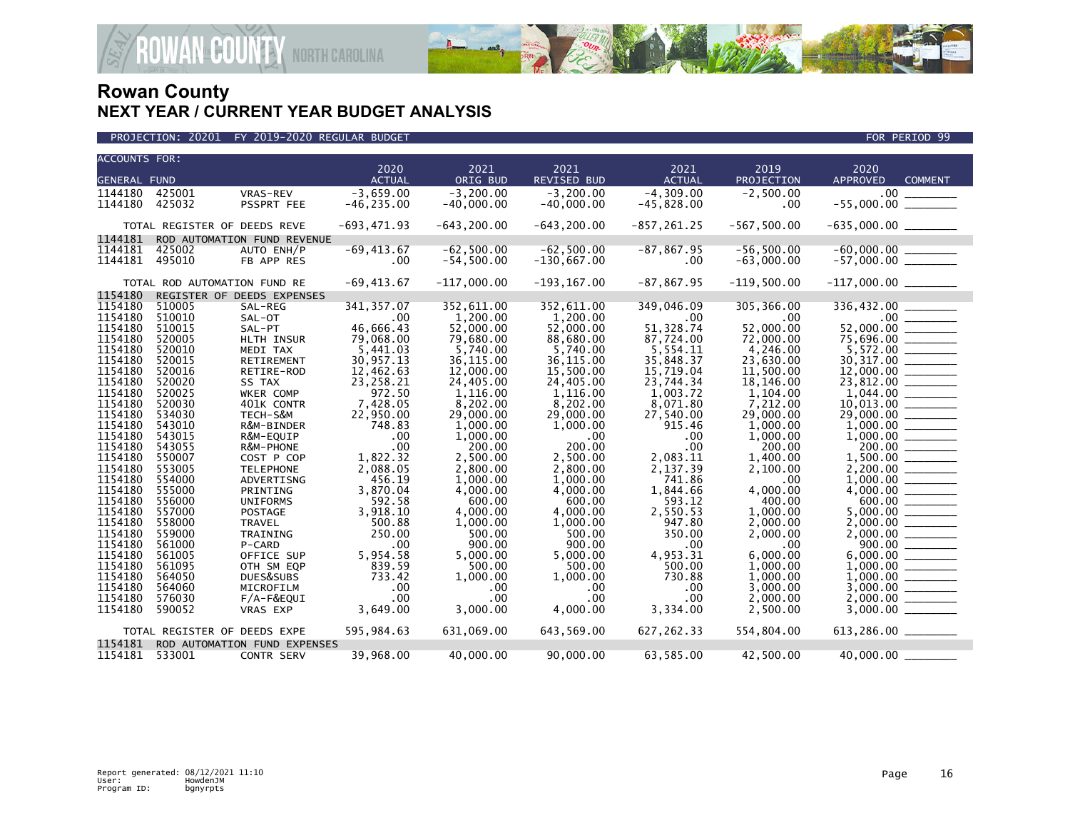

| <b>ACCOUNTS FOR:</b> |                              |                              |                  |                    |                    |                    |                 |                                                                                                                                                                                                                                                                                                                                                                                                                                    |  |
|----------------------|------------------------------|------------------------------|------------------|--------------------|--------------------|--------------------|-----------------|------------------------------------------------------------------------------------------------------------------------------------------------------------------------------------------------------------------------------------------------------------------------------------------------------------------------------------------------------------------------------------------------------------------------------------|--|
|                      |                              |                              | 2020             | 2021               | 2021               | 2021               | 2019            | 2020                                                                                                                                                                                                                                                                                                                                                                                                                               |  |
| <b>GENERAL FUND</b>  |                              |                              | <b>ACTUAL</b>    | ORIG BUD           | REVISED BUD        | <b>ACTUAL</b>      | PROJECTION      | APPROVED<br><b>COMMENT</b>                                                                                                                                                                                                                                                                                                                                                                                                         |  |
| 1144180              | 425001                       | VRAS-REV                     | $-3,659.00$      | $-3, 200.00$       | $-3, 200.00$       | $-4, 309.00$       | $-2,500.00$     | .00 <sub>1</sub>                                                                                                                                                                                                                                                                                                                                                                                                                   |  |
| 1144180              | 425032                       | PSSPRT FEE                   | $-46, 235.00$    | $-40,000.00$       | $-40,000.00$       | $-45,828.00$       |                 | $-55,000.00$                                                                                                                                                                                                                                                                                                                                                                                                                       |  |
|                      |                              |                              |                  |                    |                    |                    | .00             |                                                                                                                                                                                                                                                                                                                                                                                                                                    |  |
|                      | TOTAL REGISTER OF DEEDS REVE |                              | $-693,471.93$    | $-643, 200.00$     | $-643, 200.00$     | $-857, 261.25$     | $-567, 500.00$  | $-635,000.00$ ________                                                                                                                                                                                                                                                                                                                                                                                                             |  |
| 1144181              |                              | ROD AUTOMATION FUND REVENUE  |                  |                    |                    |                    |                 |                                                                                                                                                                                                                                                                                                                                                                                                                                    |  |
| 1144181              | 425002                       | AUTO ENH/P                   | $-69, 413.67$    | $-62,500.00$       | $-62,500.00$       | $-87, 867.95$      | $-56,500.00$    | $-60,000.00$ _________<br>-57,000.00 _________                                                                                                                                                                                                                                                                                                                                                                                     |  |
| 1144181              | 495010                       | FB APP RES                   | $.00 \,$         | $-54, 500.00$      | $-130,667.00$      | $.00 \,$           | $-63,000.00$    |                                                                                                                                                                                                                                                                                                                                                                                                                                    |  |
|                      |                              |                              |                  |                    |                    |                    |                 |                                                                                                                                                                                                                                                                                                                                                                                                                                    |  |
|                      | TOTAL ROD AUTOMATION FUND RE |                              | $-69, 413.67$    | $-117,000.00$      | $-193, 167.00$     | $-87, 867.95$      | $-119,500.00$   | $-117,000.00$ ________                                                                                                                                                                                                                                                                                                                                                                                                             |  |
| 1154180              |                              | REGISTER OF DEEDS EXPENSES   |                  |                    |                    |                    |                 |                                                                                                                                                                                                                                                                                                                                                                                                                                    |  |
| 1154180              | 510005                       | SAL-REG                      | 341, 357.07      | 352,611.00         | 352,611.00         | 349,046.09         | 305, 366.00     | 336,432.00                                                                                                                                                                                                                                                                                                                                                                                                                         |  |
| 1154180              | 510010                       | SAL-OT                       | $.00 \,$         | 1,200.00           | 1,200.00           | .00                | .00             |                                                                                                                                                                                                                                                                                                                                                                                                                                    |  |
| 1154180              | 510015                       | SAL-PT                       | 46,666.43        | 52,000.00          | 52,000.00          | 51,328.74          | 52,000.00       | 52,000.00                                                                                                                                                                                                                                                                                                                                                                                                                          |  |
| 1154180              | 520005                       | HLTH INSUR                   | 79,068.00        | 79,680.00          | 88,680.00          | 87,724.00          | 72,000.00       | 75,696.00 _______                                                                                                                                                                                                                                                                                                                                                                                                                  |  |
| 1154180              | 520010                       | MEDI TAX                     | 5,441.03         | 5,740.00           | 5,740.00           | 5,554.11           | 4,246.00        |                                                                                                                                                                                                                                                                                                                                                                                                                                    |  |
| 1154180              | 520015                       | RETIREMENT                   | 30,957.13        | 36, 115.00         | 36,115.00          | 35,848.37          | 23,630.00       | 30, 317.00                                                                                                                                                                                                                                                                                                                                                                                                                         |  |
| 1154180              | 520016                       | RETIRE-ROD                   | 12,462.63        | 12,000.00          | 15,500.00          | 15,719.04          | 11,500.00       |                                                                                                                                                                                                                                                                                                                                                                                                                                    |  |
| 1154180              | 520020                       | SS TAX                       | 23,258.21        | 24,405.00          | 24,405.00          | 23,744.34          | 18,146.00       | 23,812.00                                                                                                                                                                                                                                                                                                                                                                                                                          |  |
| 1154180              | 520025                       | WKER COMP                    | 972.50           | 1.116.00           | 1.116.00           | 1.003.72           | 1.104.00        | 1.044.00                                                                                                                                                                                                                                                                                                                                                                                                                           |  |
| 1154180              | 520030                       | 401K CONTR                   | 7,428.05         | 8,202.00           | 8,202.00           | 8,071.80           | 7,212.00        | 10,013.00                                                                                                                                                                                                                                                                                                                                                                                                                          |  |
| 1154180              | 534030                       | TECH-S&M                     | 22,950.00        | 29,000,00          | 29,000.00          | 27,540.00          | 29,000.00       |                                                                                                                                                                                                                                                                                                                                                                                                                                    |  |
| 1154180              | 543010                       | R&M-BINDER                   | 748.83           | 1,000.00           | 1,000.00           | 915.46             | 1,000.00        | 1,000.00                                                                                                                                                                                                                                                                                                                                                                                                                           |  |
| 1154180              | 543015                       | R&M-EQUIP                    | .00              | 1,000.00           | $.00 \,$           | .00                | 1,000.00        |                                                                                                                                                                                                                                                                                                                                                                                                                                    |  |
| 1154180              | 543055                       | R&M-PHONE                    | .00              | 200.00             | 200.00             | .00                | 200.00          | 200.00                                                                                                                                                                                                                                                                                                                                                                                                                             |  |
| 1154180<br>1154180   | 550007                       | COST P COP                   | 1,822.32         | 2,500.00           | 2,500.00           | 2,083.11           | 1,400.00        |                                                                                                                                                                                                                                                                                                                                                                                                                                    |  |
|                      | 553005                       | <b>TELEPHONE</b>             | 2,088.05         | 2,800.00           | 2,800.00           | 2,137.39           | 2,100.00        | 2,200.00                                                                                                                                                                                                                                                                                                                                                                                                                           |  |
| 1154180              | 554000                       | ADVERTISNG                   | 456.19           | 1.000.00           | 1.000.00           | 741.86             | .00             | 1,000.00                                                                                                                                                                                                                                                                                                                                                                                                                           |  |
| 1154180<br>1154180   | 555000                       | PRINTING                     | 3,870.04         | 4,000.00           | 4,000.00           | 1,844.66           | 4,000.00        |                                                                                                                                                                                                                                                                                                                                                                                                                                    |  |
| 1154180              | 556000                       | <b>UNIFORMS</b>              | 592.58           | 600.00             | 600.00             | 593.12             | 400.00          | 600.00<br>5.000.00                                                                                                                                                                                                                                                                                                                                                                                                                 |  |
| 1154180              | 557000<br>558000             | <b>POSTAGE</b>               | 3,918.10         | 4.000.00           | 4.000.00           | 2,550.53<br>947.80 | 1.000.00        |                                                                                                                                                                                                                                                                                                                                                                                                                                    |  |
| 1154180              | 559000                       | <b>TRAVEL</b>                | 500.88<br>250.00 | 1,000.00<br>500.00 | 1,000.00<br>500.00 | 350.00             | 2,000.00        |                                                                                                                                                                                                                                                                                                                                                                                                                                    |  |
| 1154180              | 561000                       | TRAINING<br>P-CARD           | .00              | 900.00             | 900.00             | .00                | 2,000.00<br>.00 |                                                                                                                                                                                                                                                                                                                                                                                                                                    |  |
| 1154180              | 561005                       | OFFICE SUP                   | 5,954.58         | 5,000.00           | 5,000.00           | 4,953.31           | 6,000.00        | 6,000.00                                                                                                                                                                                                                                                                                                                                                                                                                           |  |
| 1154180              | 561095                       | OTH SM EQP                   | 839.59           | 500.00             | 500.00             | 500.00             | 1,000.00        | $\begin{tabular}{ccccc} \multicolumn{2}{c }{\textbf{1} & \textbf{2} & \textbf{3} & \textbf{4} & \textbf{5} & \textbf{5} & \textbf{6} & \textbf{7} & \textbf{8} & \textbf{9} & \textbf{10} & \textbf{10} & \textbf{10} & \textbf{10} & \textbf{10} & \textbf{10} & \textbf{10} & \textbf{10} & \textbf{10} & \textbf{10} & \textbf{10} & \textbf{10} & \textbf{10} & \textbf{10} & \textbf{10} & \textbf{10} & \textbf$<br>1.000.00 |  |
| 1154180              | 564050                       |                              | 733.42           | 1,000.00           | 1,000.00           | 730.88             | 1,000.00        | 1,000.00                                                                                                                                                                                                                                                                                                                                                                                                                           |  |
| 1154180              | 564060                       | DUES&SUBS                    | .00              | $.00 \,$           | $.00 \,$           | .00                | 3,000.00        | 3,000.00                                                                                                                                                                                                                                                                                                                                                                                                                           |  |
| 1154180              | 576030                       | MICROFILM<br>$F/A-F\&EQUI$   | .00              | $.00 \,$           | .00 <sub>1</sub>   | .00                | 2,000.00        | 2,000.00                                                                                                                                                                                                                                                                                                                                                                                                                           |  |
| 1154180              | 590052                       |                              | 3,649.00         | 3,000.00           | 4,000.00           | 3,334.00           | 2,500.00        |                                                                                                                                                                                                                                                                                                                                                                                                                                    |  |
|                      |                              | <b>VRAS EXP</b>              |                  |                    |                    |                    |                 |                                                                                                                                                                                                                                                                                                                                                                                                                                    |  |
|                      | TOTAL REGISTER OF DEEDS EXPE |                              | 595,984.63       | 631,069.00         | 643,569.00         | 627, 262.33        | 554,804.00      | $613,286.00$ ________                                                                                                                                                                                                                                                                                                                                                                                                              |  |
| 1154181              |                              | ROD AUTOMATION FUND EXPENSES |                  |                    |                    |                    |                 |                                                                                                                                                                                                                                                                                                                                                                                                                                    |  |
| 1154181 533001       |                              | CONTR SERV                   | 39,968.00        | 40,000.00          | 90,000.00          | 63,585.00          | 42,500.00       | 40,000.00                                                                                                                                                                                                                                                                                                                                                                                                                          |  |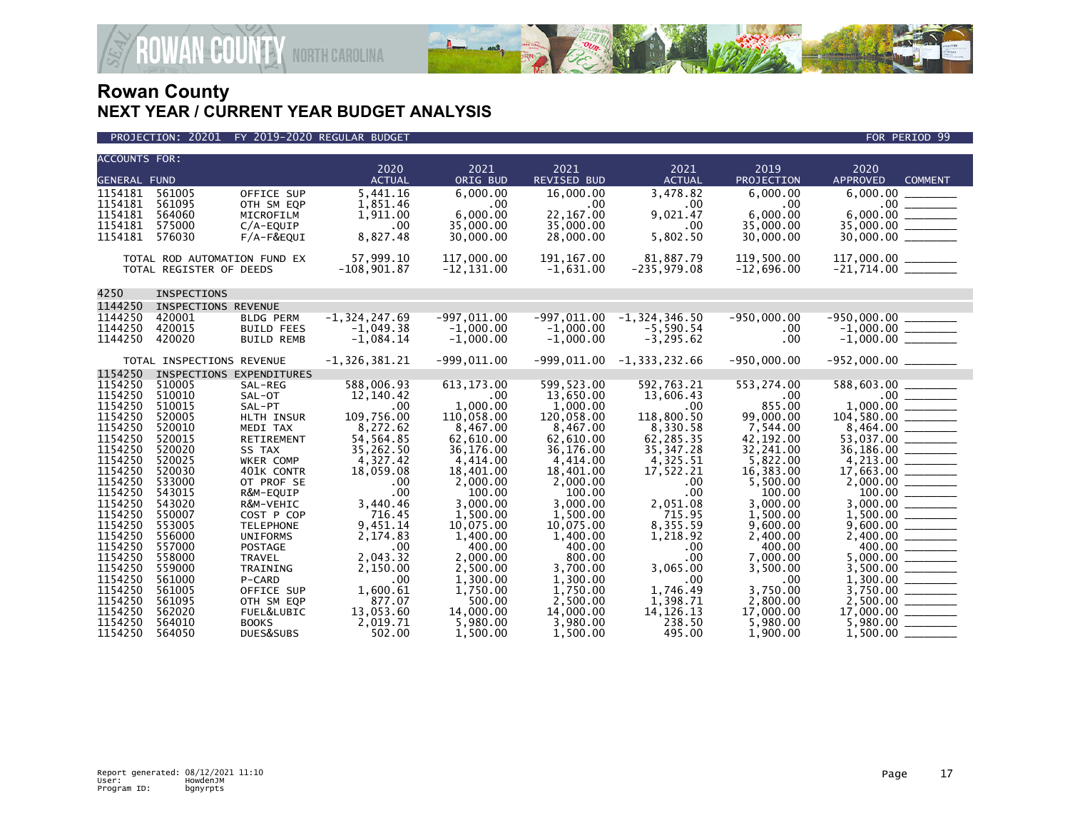



| <b>ACCOUNTS FOR:</b> |                              |                        |                   |                       |                         |                             |                       |                                         |  |
|----------------------|------------------------------|------------------------|-------------------|-----------------------|-------------------------|-----------------------------|-----------------------|-----------------------------------------|--|
|                      |                              |                        | 2020              | 2021                  | 2021                    | 2021                        | 2019                  | 2020                                    |  |
| <b>GENERAL FUND</b>  |                              |                        | <b>ACTUAL</b>     | ORIG BUD              | <b>REVISED BUD</b>      | <b>ACTUAL</b>               | PROJECTION            | <b>APPROVED</b><br><b>COMMENT</b>       |  |
| 1154181              | 561005                       | OFFICE SUP             | 5,441.16          | 6.000.00              | 16,000,00               | 3,478.82                    | 6.000.00              | 6,000.00                                |  |
| 1154181              | 561095                       | OTH SM EQP             | 1,851.46          | .00                   | .00                     | .00                         | .00                   | $.00 \,$<br>$6,000.00$<br>35,000.00     |  |
| 1154181<br>1154181   | 564060<br>575000             | MICROFILM<br>C/A-EQUIP | 1,911.00<br>.00   | 6,000.00<br>35,000.00 | 22, 167.00<br>35,000.00 | 9,021.47<br>.00             | 6,000.00<br>35,000.00 |                                         |  |
| 1154181              | 576030                       | F/A-F&EQUI             | 8,827.48          | 30,000.00             | 28,000.00               | 5,802.50                    | 30,000.00             |                                         |  |
|                      |                              |                        |                   |                       |                         |                             |                       |                                         |  |
|                      | TOTAL ROD AUTOMATION FUND EX |                        | 57,999.10         | 117,000.00            | 191, 167.00             | 81,887.79                   | 119,500.00            | 117,000.00 ______                       |  |
|                      | TOTAL REGISTER OF DEEDS      |                        | $-108,901.87$     | $-12, 131.00$         | $-1,631.00$             | $-235,979.08$               | $-12,696.00$          | $-21,714.00$ ________                   |  |
|                      |                              |                        |                   |                       |                         |                             |                       |                                         |  |
| 4250                 | INSPECTIONS                  |                        |                   |                       |                         |                             |                       |                                         |  |
| 1144250              | INSPECTIONS REVENUE          |                        |                   |                       |                         |                             |                       |                                         |  |
| 1144250              | 420001                       | <b>BLDG PERM</b>       | $-1, 324, 247.69$ | $-997.011.00$         | $-997.011.00$           | $-1, 324, 346.50$           | $-950.000.00$         |                                         |  |
| 1144250              | 420015                       | <b>BUILD FEES</b>      | $-1,049.38$       | $-1,000.00$           | $-1,000.00$             | $-5,590.54$                 | .00                   |                                         |  |
| 1144250              | 420020                       | <b>BUILD REMB</b>      | $-1,084.14$       | $-1,000.00$           | $-1,000.00$             | $-3, 295.62$                | .00                   | $-950,000.00$<br>-1,000.00<br>-1,000.00 |  |
|                      |                              |                        |                   |                       |                         |                             |                       |                                         |  |
|                      | TOTAL INSPECTIONS REVENUE    |                        | $-1, 326, 381.21$ | $-999,011.00$         |                         | $-999,011.00 -1.333,232.66$ | $-950,000.00$         |                                         |  |
| 1154250              | INSPECTIONS EXPENDITURES     |                        |                   |                       |                         |                             |                       |                                         |  |
| 1154250              | 510005                       | SAL-REG                | 588,006.93        | 613, 173.00           | 599,523.00              | 592,763.21                  | 553,274.00            | 588,603.00                              |  |
| 1154250              | 510010                       | SAL-OT                 | 12,140.42         | $.00 \,$              | 13,650.00               | 13,606.43                   | .00.                  |                                         |  |
| 1154250              | 510015                       | SAL-PT                 | .00               | 1.000.00              | 1,000.00                | .00                         | 855.00                |                                         |  |
| 1154250              | 520005                       | HLTH INSUR             | 109,756.00        | 110,058.00            | 120,058.00              | 118,800.50                  | 99,000.00             |                                         |  |
| 1154250              | 520010                       | MEDI TAX               | 8,272.62          | 8,467.00              | 8,467.00                | 8,330.58                    | 7,544.00              |                                         |  |
| 1154250              | 520015                       | RETIREMENT             | 54,564.85         | 62,610.00             | 62,610.00               | 62,285.35                   | 42,192.00             |                                         |  |
| 1154250              | 520020                       | SS TAX                 | 35,262.50         | 36,176.00             | 36,176.00               | 35, 347.28                  | 32,241.00             |                                         |  |
| 1154250              | 520025                       | WKER COMP              | 4,327.42          | 4,414.00              | 4,414.00                | 4,325.51                    | 5,822.00              |                                         |  |
| 1154250              | 520030                       | 401K CONTR             | 18,059.08         | 18,401.00             | 18,401.00               | 17,522.21                   | 16,383.00             |                                         |  |
| 1154250<br>1154250   | 533000<br>543015             | OT PROF SE             | $.00 \,$<br>.00   | 2,000.00<br>100.00    | 2,000.00<br>100.00      | .00<br>.00                  | 5,500.00<br>100.00    |                                         |  |
| 1154250              | 543020                       | R&M-EQUIP<br>R&M-VEHIC | 3,440.46          | 3,000.00              | 3,000.00                | 2,051.08                    | 3,000.00              | 3,000.00 _______                        |  |
| 1154250              | 550007                       | COST P COP             | 716.45            | 1,500.00              | 1,500.00                | 715.95                      | 1,500.00              |                                         |  |
| 1154250              | 553005                       | <b>TELEPHONE</b>       | 9,451.14          | 10,075.00             | 10.075.00               | 8,355.59                    | 9,600.00              |                                         |  |
| 1154250              | 556000                       | <b>UNIFORMS</b>        | 2,174.83          | 1,400.00              | 1,400.00                | 1,218.92                    | 2,400.00              |                                         |  |
| 1154250              | 557000                       | <b>POSTAGE</b>         | .00               | 400.00                | 400.00                  | .00                         | 400.00                |                                         |  |
| 1154250              | 558000                       | <b>TRAVEL</b>          | 2,043.32          | 2,000.00              | 800.00                  | .00                         | 7,000.00              | 5,000.00 _______                        |  |
| 1154250              | 559000                       | TRAINING               | 2,150.00          | 2,500.00              | 3,700.00                | 3,065.00                    | 3,500.00              |                                         |  |
| 1154250              | 561000                       | P-CARD                 | .00               | 1,300.00              | 1,300.00                | .00                         | .00                   |                                         |  |
| 1154250              | 561005                       | OFFICE SUP             | 1,600.61          | 1,750.00              | 1.750.00                | 1,746.49                    | 3,750.00              |                                         |  |
| 1154250              | 561095                       | OTH SM EQP             | 877.07            | 500.00                | 2,500.00                | 1,398.71                    | 2,800.00              |                                         |  |
| 1154250              | 562020                       | FUEL&LUBIC             | 13,053.60         | 14,000.00             | 14,000.00               | 14, 126. 13                 | 17,000.00             |                                         |  |
| 1154250              | 564010                       | <b>BOOKS</b>           | 2,019.71          | 5,980.00              | 3,980.00                | 238.50                      | 5,980.00              | $5,980.00$ _________                    |  |
| 1154250              | 564050                       | DUES&SUBS              | 502.00            | 1.500.00              | 1.500.00                | 495.00                      | 1.900.00              | 1.500.00                                |  |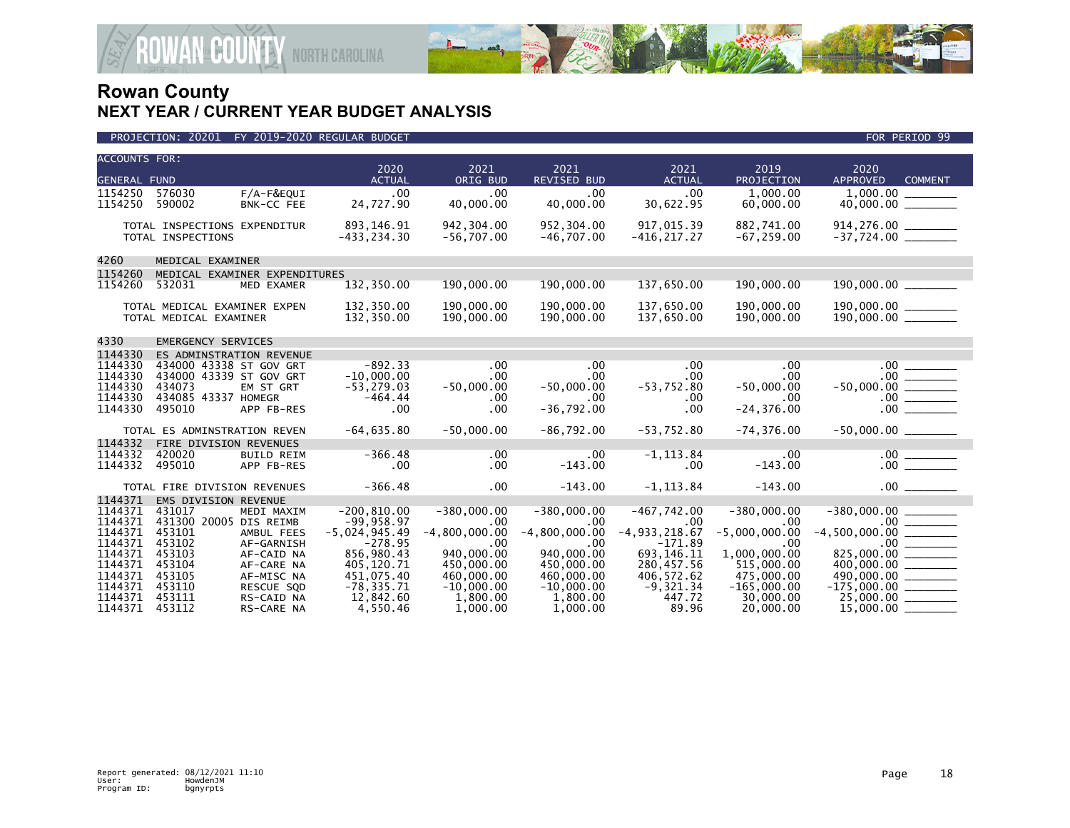

| <b>ACCOUNTS FOR:</b><br><b>GENERAL FUND</b>         |                                                                                               |                                        | 2020<br><b>ACTUAL</b>                                          | 2021<br>ORIG BUD                                           | 2021<br><b>REVISED BUD</b>                                | 2021<br><b>ACTUAL</b>                         | 2019<br>PROJECTION                                 | 2020<br><b>APPROVED</b><br><b>COMMENT</b>                    |
|-----------------------------------------------------|-----------------------------------------------------------------------------------------------|----------------------------------------|----------------------------------------------------------------|------------------------------------------------------------|-----------------------------------------------------------|-----------------------------------------------|----------------------------------------------------|--------------------------------------------------------------|
| 1154250<br>1154250                                  | 576030<br>590002                                                                              | F/A-F&EQUI<br>BNK-CC FEE               | .00<br>24,727.90                                               | .00.<br>40,000.00                                          | .00.<br>40,000.00                                         | .00<br>30,622.95                              | 1.000.00<br>60,000.00                              |                                                              |
|                                                     | TOTAL INSPECTIONS EXPENDITUR<br>TOTAL INSPECTIONS                                             |                                        | 893,146.91<br>$-433, 234.30$                                   | 942, 304.00<br>$-56,707.00$                                | 952,304.00<br>$-46,707.00$                                | 917,015.39<br>$-416, 217.27$                  | 882,741.00<br>$-67, 259.00$                        | 914,276.00<br>-37,724.00                                     |
| 4260                                                | MEDICAL EXAMINER                                                                              |                                        |                                                                |                                                            |                                                           |                                               |                                                    |                                                              |
| 1154260                                             | MEDICAL EXAMINER EXPENDITURES                                                                 |                                        |                                                                |                                                            |                                                           |                                               |                                                    |                                                              |
| 1154260                                             | 532031                                                                                        | MED EXAMER                             | 132,350.00                                                     | 190,000.00                                                 | 190,000.00                                                | 137,650.00                                    | 190,000.00                                         | 190,000.00                                                   |
|                                                     | TOTAL MEDICAL EXAMINER EXPEN<br>TOTAL MEDICAL EXAMINER                                        |                                        | 132,350.00<br>132,350.00                                       | 190,000.00<br>190,000.00                                   | 190,000.00<br>190,000.00                                  | 137,650.00<br>137,650.00                      | 190,000.00<br>190,000.00                           |                                                              |
| 4330                                                | <b>EMERGENCY SERVICES</b>                                                                     |                                        |                                                                |                                                            |                                                           |                                               |                                                    |                                                              |
| 1144330                                             | ES ADMINSTRATION REVENUE                                                                      |                                        |                                                                |                                                            |                                                           |                                               |                                                    |                                                              |
| 1144330<br>1144330<br>1144330<br>1144330<br>1144330 | 434000 43338 ST GOV GRT<br>434000 43339 ST GOV GRT<br>434073<br>434085 43337 HOMEGR<br>495010 | EM ST GRT<br>APP FB-RES                | $-892.33$<br>$-10,000.00$<br>$-53, 279.03$<br>$-464.44$<br>.00 | .00<br>$.00 \,$<br>$-50,000.00$<br>.00<br>.00 <sub>1</sub> | .00<br>$.00 \ \,$<br>$-50,000.00$<br>.00.<br>$-36,792.00$ | .00<br>$.00 \,$<br>$-53,752.80$<br>.00<br>.00 | .00<br>.00<br>$-50,000.00$<br>.00<br>$-24, 376.00$ | $.00 -$<br>$-50,000.00$ ________                             |
|                                                     |                                                                                               |                                        |                                                                |                                                            |                                                           |                                               |                                                    |                                                              |
|                                                     | TOTAL ES ADMINSTRATION REVEN                                                                  |                                        | $-64,635.80$                                                   | $-50,000.00$                                               | $-86,792.00$                                              | $-53,752.80$                                  | $-74, 376.00$                                      | $-50,000.00$ ________                                        |
| 1144332                                             | FIRE DIVISION REVENUES                                                                        |                                        |                                                                |                                                            |                                                           |                                               |                                                    |                                                              |
| 1144332<br>1144332                                  | 420020<br>495010                                                                              | <b>BUILD REIM</b><br>APP FB-RES        | $-366.48$<br>.00                                               | .00<br>.00                                                 | .00<br>$-143.00$                                          | $-1, 113.84$<br>$.00 \cdot$                   | .00<br>$-143.00$                                   | $\frac{1}{100}$<br>.00                                       |
|                                                     | TOTAL FIRE DIVISION REVENUES                                                                  |                                        | $-366.48$                                                      | $.00 \,$                                                   | $-143.00$                                                 | $-1, 113.84$                                  | $-143.00$                                          | .00                                                          |
| 1144371<br>1144371                                  | EMS DIVISION REVENUE<br>431017                                                                | MEDI MAXIM                             | $-200, 810.00$                                                 | $-380,000.00$                                              | $-380,000.00$                                             | $-467,742.00$                                 | $-380,000.00$                                      | $-380,000.00$                                                |
| 1144371<br>1144371                                  | 431300 20005 DIS REIMB<br>453101                                                              | AMBUL FEES                             | $-99.958.97$<br>$-5,024,945.49$                                | .00<br>$-4,800,000.00$                                     | $.00 \times$<br>$-4,800,000.00$                           | .00<br>$-4, 933, 218.67$                      | .00<br>$-5,000,000.00$                             | .00<br>$-4,500,000.00$ _______                               |
| 1144371<br>1144371<br>1144371                       | 453102<br>453103<br>453104                                                                    | AF-GARNISH<br>AF-CAID NA<br>AF-CARE NA | $-278.95$<br>856,980.43<br>405,120.71                          | .00<br>940,000.00<br>450,000,00                            | .00<br>940.000.00<br>450,000,00                           | $-171.89$<br>693, 146. 11<br>280,457.56       | .00<br>1,000,000.00<br>515,000,00                  | $.00$ $\qquad$<br>825,000.00 ______<br>$400,000.00$ ________ |
| 1144371<br>1144371                                  | 453105<br>453110                                                                              | AF-MISC NA<br><b>RESCUE SOD</b>        | 451,075.40<br>$-78, 335.71$                                    | 460,000.00<br>$-10,000.00$                                 | 460,000.00<br>$-10,000.00$                                | 406,572.62<br>$-9,321.34$                     | 475,000.00<br>$-165,000.00$                        | $490,000.00$ ________<br>$-175,000.00$ _________             |
| 1144371<br>1144371                                  | 453111<br>453112                                                                              | RS-CAID NA<br>RS-CARE NA               | 12,842.60<br>4,550.46                                          | 1,800.00<br>1,000.00                                       | 1,800.00<br>1,000.00                                      | 447.72<br>89.96                               | 30,000.00<br>20,000.00                             | $25,000.00$ ________<br>15,000.00                            |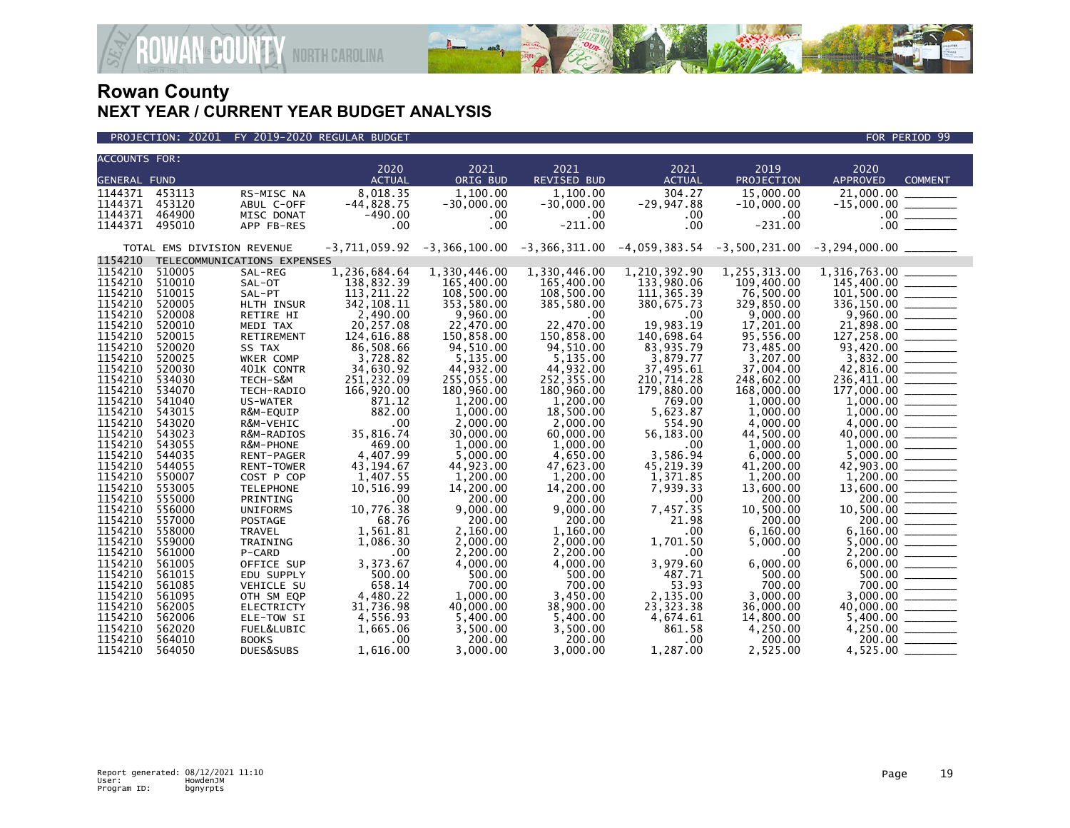

PROJECTION: 20201 FY 2019-2020 REGULAR BUDGET FOR PERIOD 99

| <b>ACCOUNTS FOR:</b> |                            |                             |                  |                      |                       |                    |                      |                                                                                          |
|----------------------|----------------------------|-----------------------------|------------------|----------------------|-----------------------|--------------------|----------------------|------------------------------------------------------------------------------------------|
|                      |                            |                             | 2020             | 2021                 | 2021                  | 2021               | 2019                 | 2020                                                                                     |
| <b>GENERAL FUND</b>  |                            |                             | <b>ACTUAL</b>    | ORIG BUD             | <b>REVISED BUD</b>    | <b>ACTUAL</b>      | PROJECTION           | <b>APPROVED</b><br><b>COMMENT</b>                                                        |
| 1144371              | 453113                     | RS-MISC NA                  | 8,018.35         | 1,100.00             | 1,100.00              | 304.27             | 15,000.00            | 21,000.00                                                                                |
| 1144371              | 453120                     | ABUL C-OFF                  | $-44,828.75$     | $-30,000.00$         | $-30,000.00$          | $-29,947.88$       | $-10,000.00$         |                                                                                          |
| 1144371              | 464900                     | MISC DONAT                  | $-490.00$        | $.00 \,$             | .00.                  | $.00 \,$           | .00.                 |                                                                                          |
| 1144371              | 495010                     | APP FB-RES                  | .00              | .00                  | $-211.00$             | .00                | $-231.00$            |                                                                                          |
|                      | TOTAL EMS DIVISION REVENUE |                             | $-3,711,059.92$  |                      |                       |                    |                      | $-3,366,100.00$ $-3,366,311.00$ $-4,059,383.54$ $-3,500,231.00$ $-3,294,000.00$ $\ldots$ |
| 1154210              |                            | TELECOMMUNICATIONS EXPENSES |                  |                      |                       |                    |                      |                                                                                          |
| 1154210              | 510005                     | SAL-REG                     | 1,236,684.64     | 1,330,446.00         | 1,330,446.00          | 1,210,392.90       | 1,255,313.00         | 1,316,763.00                                                                             |
| 1154210              | 510010                     | SAL-OT                      | 138,832.39       | 165,400.00           | 165,400.00            | 133,980.06         | 109,400.00           | 145,400.00 _______                                                                       |
| 1154210              | 510015                     | SAL-PT                      | 113, 211, 22     | 108,500.00           | 108,500.00            | 111, 365.39        | 76,500.00            |                                                                                          |
| 1154210              | 520005                     | HLTH INSUR                  | 342, 108.11      | 353,580.00           | 385,580.00            | 380,675.73         | 329,850.00           |                                                                                          |
| 1154210              | 520008                     | RETIRE HI                   | 2,490.00         | 9,960.00             | $.00 \,$              | .00                | 9,000.00             |                                                                                          |
| 1154210              | 520010                     | MEDI TAX                    | 20,257.08        | 22,470.00            | 22.470.00             | 19.983.19          | 17,201.00            |                                                                                          |
| 1154210              | 520015                     | RETIREMENT                  | 124,616.88       | 150,858.00           | 150,858.00            | 140,698.64         | 95,556.00            | $101,500.00$<br>$336,150.00$<br>$9,960.00$<br>$21,898.00$<br>$127,258.00$<br>$93,420.00$ |
| 1154210              | 520020                     | SS TAX                      | 86,508.66        | 94,510.00            | 94,510.00             | 83.935.79          | 73,485.00            |                                                                                          |
| 1154210              | 520025                     | WKER COMP                   | 3,728.82         | 5,135.00             | 5,135.00              | 3,879.77           | 3,207.00             | $3,832.00$<br>42,816.00                                                                  |
| 1154210              | 520030                     | 401K CONTR                  | 34,630.92        | 44,932.00            | 44,932.00             | 37,495.61          | 37,004.00            |                                                                                          |
| 1154210              | 534030                     | TECH-S&M                    | 251,232.09       | 255,055.00           | 252,355.00            | 210,714.28         | 248,602.00           | $\frac{236,411.00}{277,222.02}$                                                          |
| 1154210              | 534070                     | TECH-RADIO                  | 166,920.00       | 180,960.00           | 180,960.00            | 179,880.00         | 168,000.00           | $177,000.00$<br>1,000.00                                                                 |
| 1154210<br>1154210   | 541040                     | US-WATER                    | 871.12<br>882.00 | 1,200.00             | 1,200.00              | 769.00             | 1,000.00             |                                                                                          |
| 1154210              | 543015<br>543020           | R&M-EQUIP<br>R&M-VEHIC      | .00              | 1,000.00<br>2,000.00 | 18,500.00<br>2,000.00 | 5,623.87<br>554.90 | 1,000.00<br>4,000.00 |                                                                                          |
| 1154210              | 543023                     | R&M-RADIOS                  | 35,816.74        | 30,000.00            | 60,000.00             | 56,183.00          | 44,500.00            |                                                                                          |
| 1154210              | 543055                     | R&M-PHONE                   | 469.00           | 1.000.00             | 1,000.00              | .00                | 1.000.00             |                                                                                          |
| 1154210              | 544035                     | RENT-PAGER                  | 4,407.99         | 5,000.00             | 4,650.00              | 3,586.94           | 6,000.00             |                                                                                          |
| 1154210              | 544055                     | <b>RENT-TOWER</b>           | 43, 194.67       | 44,923.00            | 47,623.00             | 45,219.39          | 41,200.00            |                                                                                          |
| 1154210              | 550007                     | COST P COP                  | 1,407.55         | 1,200.00             | 1.200.00              | 1,371.85           | 1.200.00             |                                                                                          |
| 1154210              | 553005                     | <b>TELEPHONE</b>            | 10,516.99        | 14,200.00            | 14,200.00             | 7,939.33           | 13,600.00            |                                                                                          |
| 1154210              | 555000                     | PRINTING                    | .00              | 200.00               | 200.00                | .00                | 200.00               |                                                                                          |
| 1154210              | 556000                     | <b>UNIFORMS</b>             | 10,776.38        | 9.000.00             | 9,000.00              | 7,457.35           | 10,500.00            |                                                                                          |
| 1154210              | 557000                     | POSTAGE                     | 68.76            | 200.00               | 200.00                | 21.98              | 200.00               | $13,600.00$<br>$200.00$<br>$10,500.00$<br>$200.00$<br>$6,160.00$                         |
| 1154210              | 558000                     | TRAVEL                      | 1,561.81         | 2,160.00             | 1,160.00              | .00                | 6,160.00             |                                                                                          |
| 1154210              | 559000                     | TRAINING                    | 1,086.30         | 2,000.00             | 2,000.00              | 1,701.50           | 5,000.00             |                                                                                          |
| 1154210              | 561000                     | P-CARD                      | .00              | 2,200.00             | 2,200.00              | .00                | .00                  |                                                                                          |
| 1154210              | 561005                     | OFFICE SUP                  | 3,373.67         | 4,000.00             | 4,000.00              | 3,979.60           | 6,000.00             |                                                                                          |
| 1154210              | 561015                     | EDU SUPPLY                  | 500.00           | 500.00               | 500.00                | 487.71             | 500.00               |                                                                                          |
| 1154210              | 561085                     | <b>VEHICLE SU</b>           | 658.14           | 700.00               | 700.00                | 53.93              | 700.00               | $6,000.00$<br>500.00                                                                     |
| 1154210              | 561095                     | OTH SM EQP                  | 4,480.22         | 1,000.00             | 3,450.00              | 2,135.00           | 3,000.00             |                                                                                          |
| 1154210              | 562005                     | <b>ELECTRICTY</b>           | 31,736.98        | 40,000.00            | 38,900.00             | 23, 323. 38        | 36,000.00            |                                                                                          |
| 1154210              | 562006                     | ELE-TOW SI                  | 4,556.93         | 5,400.00             | 5,400.00              | 4,674.61           | 14,800.00            |                                                                                          |
| 1154210              | 562020                     | FUEL&LUBIC                  | 1,665.06         | 3,500.00             | 3,500.00              | 861.58             | 4,250.00             |                                                                                          |
| 1154210              | 564010                     | <b>BOOKS</b>                | .00              | 200.00               | 200.00                | .00                | 200.00               | 200.00                                                                                   |
| 1154210              | 564050                     | DUES&SUBS                   | 1,616.00         | 3.000.00             | 3,000.00              | 1,287.00           | 2,525.00             |                                                                                          |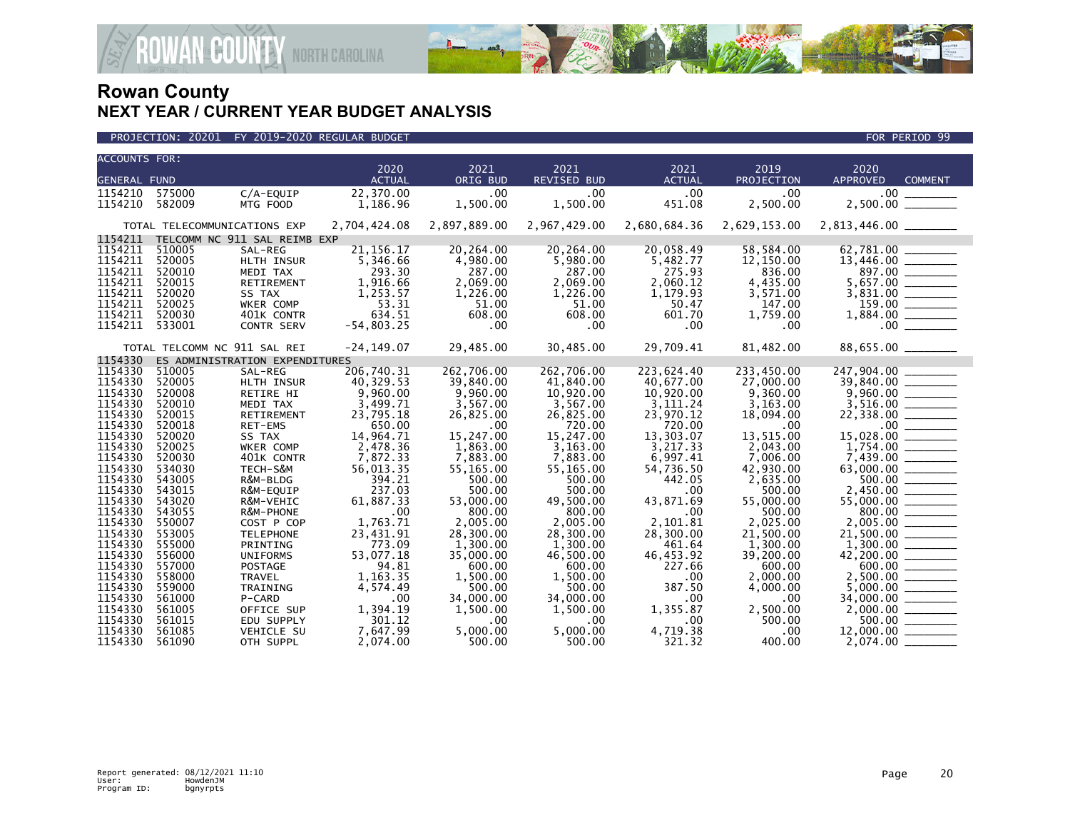

| <b>ACCOUNTS FOR:</b> |                              |                                |                       |              |                    |                       |                    |                         |
|----------------------|------------------------------|--------------------------------|-----------------------|--------------|--------------------|-----------------------|--------------------|-------------------------|
|                      |                              |                                | 2020<br><b>ACTUAL</b> | 2021         | 2021               | 2021<br><b>ACTUAL</b> | 2019<br>PROJECTION | 2020<br><b>APPROVED</b> |
| <b>GENERAL FUND</b>  |                              |                                |                       | ORIG BUD     | <b>REVISED BUD</b> |                       |                    | <b>COMMENT</b>          |
| 1154210              | 575000                       | $C/A$ -EOUIP                   | 22.370.00             | .00          | .00                | .00                   | .00                | .00 <sub>1</sub>        |
| 1154210              | 582009                       | MTG FOOD                       | 1,186.96              | 1,500.00     | 1,500.00           | 451.08                | 2,500.00           | $2,500.00$ _________    |
|                      | TOTAL TELECOMMUNICATIONS EXP |                                | 2,704,424.08          | 2,897,889.00 | 2,967,429.00       | 2,680,684.36          | 2,629,153.00       | 2,813,446.00 _______    |
| 1154211              |                              | TELCOMM NC 911 SAL REIMB EXP   |                       |              |                    |                       |                    |                         |
| 1154211              | 510005                       | SAL-REG                        | 21, 156. 17           | 20,264.00    | 20,264.00          | 20,058.49             | 58,584.00          |                         |
| 1154211              | 520005                       | HLTH INSUR                     | 5,346.66              | 4,980.00     | 5,980.00           | 5,482.77              | 12,150.00          |                         |
| 1154211              | 520010                       | MEDI TAX                       | 293.30                | 287.00       | 287.00             | 275.93                | 836.00             | 897.00 ______           |
| 1154211              | 520015                       | <b>RETIREMENT</b>              | 1.916.66              | 2.069.00     | 2.069.00           | 2.060.12              | 4.435.00           | 5,657.00 _______        |
| 1154211              | 520020                       | SS TAX                         | 1,253.57              | 1,226.00     | 1,226.00           | 1,179.93              | 3,571.00           |                         |
| 1154211              | 520025                       | WKER COMP                      | 53.31                 | 51.00        | 51.00              | 50.47                 | 147.00             | $159.00$ _______        |
| 1154211              | 520030                       | 401K CONTR                     | 634.51                | 608.00       | 608.00             | 601.70                | 1,759.00           |                         |
| 1154211              | 533001                       | <b>CONTR SERV</b>              | $-54,803.25$          | .00          | .00                | .00                   | .00                | .00                     |
|                      | TOTAL TELCOMM NC 911 SAL REI |                                | $-24, 149.07$         | 29,485.00    | 30,485.00          | 29,709.41             | 81,482.00          |                         |
| 1154330              |                              | ES ADMINISTRATION EXPENDITURES |                       |              |                    |                       |                    |                         |
| 1154330              | 510005                       | SAL-REG                        | 206,740.31            | 262,706.00   | 262,706.00         | 223,624.40            | 233,450.00         | 247,904.00              |
| 1154330              | 520005                       | HLTH INSUR                     | 40,329.53             | 39,840.00    | 41,840.00          | 40,677.00             | 27,000,00          | 39,840.00 _______       |
| 1154330              | 520008                       | RETIRE HI                      | 9,960.00              | 9,960.00     | 10,920.00          | 10,920.00             | 9,360.00           |                         |
| 1154330              | 520010                       | MEDI TAX                       | 3,499.71              | 3,567.00     | 3,567.00           | 3,111.24              | 3,163.00           |                         |
| 1154330              | 520015                       | <b>RETIREMENT</b>              | 23.795.18             | 26.825.00    | 26,825.00          | 23,970.12             | 18.094.00          |                         |
| 1154330              | 520018                       | RET-EMS                        | 650.00                | .00          | 720.00             | 720.00                | .00                | $.00 \,$                |
| 1154330              | 520020                       | SS TAX                         | 14,964.71             | 15,247.00    | 15,247.00          | 13,303.07             | 13,515.00          | 15,028.00               |
| 1154330              | 520025                       | <b>WKER COMP</b>               | 2,478.36              | 1,863.00     | 3,163.00           | 3,217.33              | 2,043.00           | 1,754.00                |
| 1154330              | 520030                       | 401K CONTR                     | 7,872.33              | 7,883.00     | 7,883.00           | 6,997.41              | 7.006.00           |                         |
| 1154330              | 534030                       | TECH-S&M                       | 56,013.35             | 55,165.00    | 55,165.00          | 54,736.50             | 42,930.00          |                         |
| 1154330              | 543005                       | R&M-BLDG                       | 394.21                | 500.00       | 500.00             | 442.05                | 2.635.00           | 500.00                  |
| 1154330              | 543015                       | R&M-EQUIP                      | 237.03                | 500.00       | 500.00             | .00                   | 500.00             | 2,450.00 ______         |
| 1154330              | 543020                       | R&M-VEHIC                      | 61,887.33             | 53,000.00    | 49,500.00          | 43,871.69             | 55,000.00          |                         |
| 1154330              | 543055                       | R&M-PHONE                      | .00                   | 800.00       | 800.00             | .00                   | 500.00             | 800.00                  |
| 1154330              | 550007                       | COST P COP                     | 1,763.71              | 2,005.00     | 2,005.00           | 2,101.81              | 2,025.00           | 2,005.00                |
| 1154330              | 553005                       | <b>TELEPHONE</b>               | 23,431.91             | 28,300.00    | 28,300.00          | 28,300.00             | 21,500.00          |                         |
| 1154330              | 555000                       | PRINTING                       | 773.09                | 1.300.00     | 1,300.00           | 461.64                | 1.300.00           |                         |
| 1154330              | 556000                       | <b>UNIFORMS</b>                | 53,077.18             | 35,000.00    | 46,500.00          | 46,453.92             | 39,200.00          |                         |
| 1154330              | 557000                       | POSTAGE                        | 94.81                 | 600.00       | 600.00             | 227.66                | 600.00             |                         |
| 1154330              | 558000                       | <b>TRAVEL</b>                  | 1.163.35              | 1,500.00     | 1.500.00           | .00                   | 2,000.00           | 2.500.00                |
| 1154330              | 559000                       | TRAINING                       | 4,574.49              | 500.00       | 500.00             | 387.50                | 4,000.00           | 5,000.00                |
| 1154330              | 561000                       | P-CARD                         | .00                   | 34,000.00    | 34,000.00          | .00                   | .00                | 34,000.00 _______       |
| 1154330              | 561005                       | OFFICE SUP                     | 1,394.19              | 1,500.00     | 1,500.00           | 1,355.87              | 2,500.00           |                         |
| 1154330              | 561015                       | EDU SUPPLY                     | 301.12                | .00          | .00                | $.00 \,$              | 500.00             | $500.00$ ________       |
| 1154330              | 561085                       | VEHICLE SU                     | 7,647.99              | 5,000.00     | 5,000.00           | 4,719.38              | .00                | 12,000.00               |
| 1154330              | 561090                       | OTH SUPPL                      | 2,074.00              | 500.00       | 500.00             | 321.32                | 400.00             | 2.074.00                |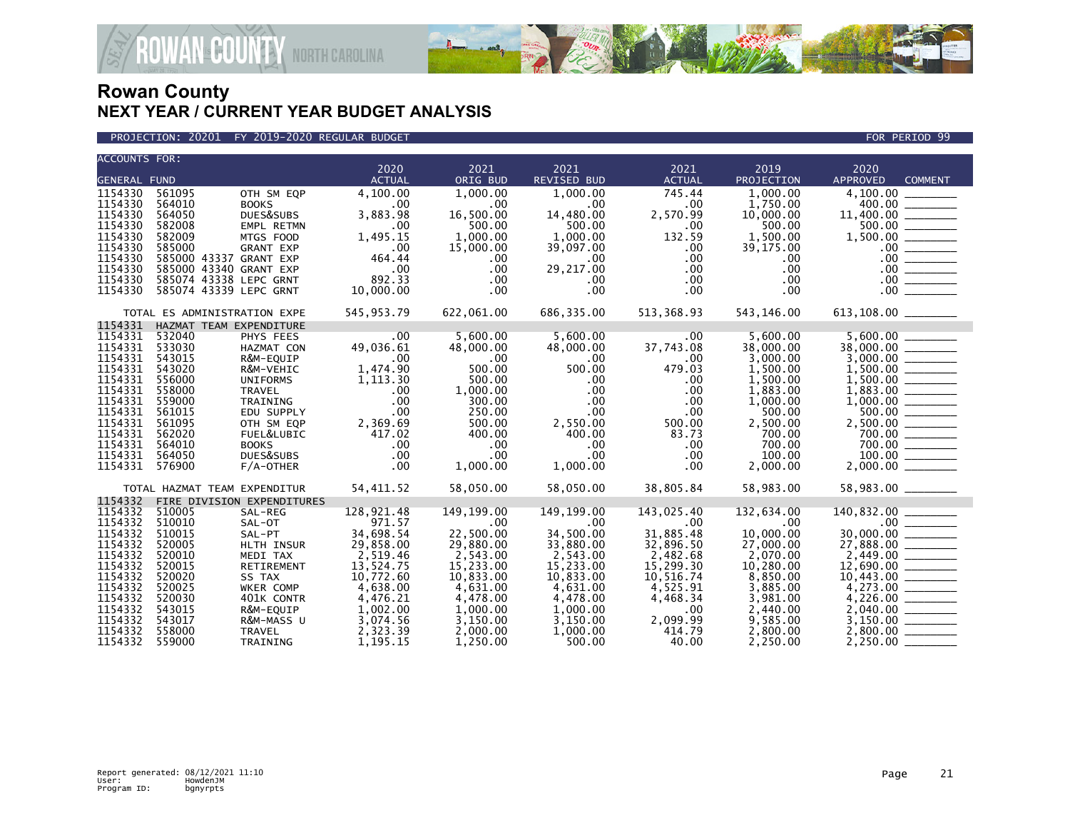



| <b>ACCOUNTS FOR:</b>      |                                 |                            |                      |                       |                       |                          |                      |                                                                                                                                                        |
|---------------------------|---------------------------------|----------------------------|----------------------|-----------------------|-----------------------|--------------------------|----------------------|--------------------------------------------------------------------------------------------------------------------------------------------------------|
|                           |                                 |                            | 2020                 | 2021                  | 2021                  | 2021                     | 2019                 | 2020                                                                                                                                                   |
| <b>GENERAL FUND</b>       |                                 |                            | <b>ACTUAL</b>        | ORIG BUD              | REVISED BUD           | <b>ACTUAL</b>            | PROJECTION           | APPROVED<br><b>COMMENT</b>                                                                                                                             |
| 1154330                   | 561095                          | OTH SM EQP                 | 4,100.00             | 1.000.00              | 1,000.00              | 745.44                   | 1.000.00             |                                                                                                                                                        |
| 1154330                   | 564010                          | <b>BOOKS</b>               | .00                  | .00                   | .00                   | .00                      | 1,750.00             | 400.00                                                                                                                                                 |
| 1154330                   | 564050                          | DUES&SUBS                  | 3,883.98             | 16,500.00             | 14,480.00             | 2,570.99                 | 10,000.00            |                                                                                                                                                        |
| 1154330<br>1154330        | 582008<br>582009                | EMPL RETMN                 | .00                  | 500.00                | 500.00                | .00                      | 500.00               |                                                                                                                                                        |
| 1154330                   | 585000                          | MTGS FOOD                  | 1,495.15             | 1,000.00<br>15,000.00 | 1,000.00<br>39,097.00 | 132.59                   | 1,500.00             |                                                                                                                                                        |
| 1154330                   | 585000 43337 GRANT EXP          | <b>GRANT EXP</b>           | .00<br>464.44        | $.00 \ \,$            | $.00 \times$          | $.00 \,$<br>$.00 \times$ | 39,175.00<br>.00     |                                                                                                                                                        |
| 1154330                   | 585000 43340 GRANT EXP          |                            | .00                  | $.00 \,$              | 29,217.00             | $.00 \,$                 | .00                  | $11,400.00$<br>$500.00$<br>$1,500.00$<br>$$<br>$00$<br>$$<br>$00$<br>$$<br>$00$<br>$$<br>$00$                                                          |
| 1154330                   | 585074 43338 LEPC GRNT          |                            | 892.33               | $.00 \,$              | $.00 \times$          | $.00 \,$                 | $.00 \,$             |                                                                                                                                                        |
| 1154330                   | 585074 43339 LEPC GRNT          |                            | 10,000.00            | $.00 \,$              | .00                   | $.00 \,$                 | .00                  |                                                                                                                                                        |
|                           |                                 |                            |                      |                       |                       |                          |                      |                                                                                                                                                        |
|                           | TOTAL ES ADMINISTRATION EXPE    |                            | 545,953.79           | 622,061.00            | 686,335.00            | 513,368.93               | 543,146.00           | 613,108.00 ________                                                                                                                                    |
|                           | 1154331 HAZMAT TEAM EXPENDITURE |                            |                      |                       |                       |                          |                      |                                                                                                                                                        |
| 1154331 532040            |                                 | PHYS FEES                  | $\sim$ .00           | 5,600.00              | 5,600.00              | $.00 \,$                 | 5,600.00             |                                                                                                                                                        |
| 1154331                   | 533030                          | HAZMAT CON                 | 49,036.61            | 48,000.00             | 48,000.00             | 37,743.08                | 38,000.00            | $\begin{array}{c}\n 38,000.00 \overline{\hspace{1.5cm}} \\  3,000.00 \overline{\hspace{1.5cm}} \\  1,500.00 \overline{\hspace{1.5cm}} \\  \end{array}$ |
| 1154331                   | 543015                          | R&M-EQUIP                  | $\sim$ .00           | 500.00                | $.00 \times$          | $.00 \,$                 | 3,000.00             |                                                                                                                                                        |
| 1154331 543020            |                                 | R&M-VEHIC                  | 1,474.90             | 500.00                | 500.00                | 479.03                   | 1,500.00             |                                                                                                                                                        |
| 1154331                   | 556000                          | <b>UNIFORMS</b>            | 1,113.30             | 500.00                | $.00 \ \,$            | $.00 \,$                 | 1,500.00             | $1,500.00$<br>$1,800.00$<br>$1,800.00$<br>$1,000.00$<br>$500.00$<br>$2,500.00$<br>$700.00$                                                             |
| 1154331 558000<br>1154331 | 559000                          | TRAVEL                     | .00<br>.00           | 1,000.00              | $.00 \,$<br>$.00 \,$  | $.00 \,$<br>$.00 \,$     | 1,883.00<br>1,000.00 |                                                                                                                                                        |
| 1154331                   | 561015                          | TRAINING<br>EDU SUPPLY     | .00                  | 300.00<br>250.00      | $.00 \,$              | $.00 \times$             | 500.00               |                                                                                                                                                        |
| 1154331                   | 561095                          | OTH SM EQP                 | 2,369.69             | 500.00                | 2,550.00              | 500.00                   | 2,500.00             |                                                                                                                                                        |
| 1154331                   | 562020                          | FUEL&LUBIC                 | 417.02               | 400.00                | 400.00                | 83.73                    | 700.00               |                                                                                                                                                        |
| 1154331                   | 564010                          | <b>BOOKS</b>               | .00                  | .00                   | $.00 \,$              | $.00 \times$             | 700.00               |                                                                                                                                                        |
| 1154331                   | 564050                          | DUES&SUBS                  | .00                  | .00                   | $.00 \ \,$            | $.00 \,$                 | 100.00               |                                                                                                                                                        |
| 1154331                   | 576900                          | $F/A$ -OTHER               | .00                  | 1,000.00              | 1,000.00              | $.00 \times$             | 2,000.00             | $700.00$<br>100.00                                                                                                                                     |
|                           |                                 |                            |                      |                       |                       |                          |                      |                                                                                                                                                        |
|                           | TOTAL HAZMAT TEAM EXPENDITUR    |                            | 54,411.52            | 58,050.00             | 58,050.00             | 38,805.84                | 58,983.00            | 58,983.00 _______                                                                                                                                      |
| 1154332                   |                                 | FIRE DIVISION EXPENDITURES |                      |                       |                       |                          |                      |                                                                                                                                                        |
| 1154332<br>1154332        | 510005<br>510010                | SAL-REG                    | 128,921.48<br>971.57 | 149,199.00            | 149,199.00            | 143,025.40               | 132,634.00           | 140,832.00                                                                                                                                             |
| 1154332                   | 510015                          | SAL-OT                     | 34,698.54            | $.00 \,$<br>22,500.00 | .00<br>34,500.00      | $.00 \,$<br>31,885.48    | .00<br>10,000.00     |                                                                                                                                                        |
| 1154332                   | 520005                          | SAL-PT<br>HLTH INSUR       | 29,858.00            | 29,880.00             | 33,880.00             | 32,896.50                | 27,000.00            | $170,09200$<br>$30,000.00$<br>$27,888.00$<br>$2,449.00$<br>$12,690.00$                                                                                 |
| 1154332                   | 520010                          | MEDI TAX                   | 2,519.46             | 2,543.00              | 2,543.00              | 2,482.68                 | 2,070.00             |                                                                                                                                                        |
| 1154332                   | 520015                          | RETIREMENT                 | 13,524.75            | 15,233.00             | 15,233.00             | 15,299.30                | 10,280.00            |                                                                                                                                                        |
| 1154332                   | 520020                          | SS TAX                     | 10,772.60            | 10,833.00             | 10,833.00             | 10,516.74                | 8,850.00             |                                                                                                                                                        |
| 1154332                   | 520025                          | WKER COMP                  | 4,638.00             | 4,631.00              | 4,631.00              | 4,525.91                 | 3,885.00             | $10,443.00$<br>$4,273.00$<br>$4,226.00$                                                                                                                |
| 1154332                   | 520030                          | 401K CONTR                 | 4,476.21             | 4,478.00              | 4,478.00              | 4,468.34                 | 3,981.00             |                                                                                                                                                        |
| 1154332                   | 543015                          | R&M-EQUIP                  | 1,002.00             | 1,000.00              | 1,000.00              | $.00 \,$                 | 2,440.00             |                                                                                                                                                        |
| 1154332                   | 543017                          | R&M-MASS U                 | 3,074.56             | 3,150.00              | 3,150.00              | 2,099.99                 | 9,585.00             |                                                                                                                                                        |
| 1154332                   | 558000                          | TRAVEL                     | 2,323.39             | 2,000.00              | 1,000.00              | 414.79                   | 2,800.00             |                                                                                                                                                        |
| 1154332                   | 559000                          | TRAINING                   | 1,195.15             | 1.250.00              | 500.00                | 40.00                    | 2.250.00             |                                                                                                                                                        |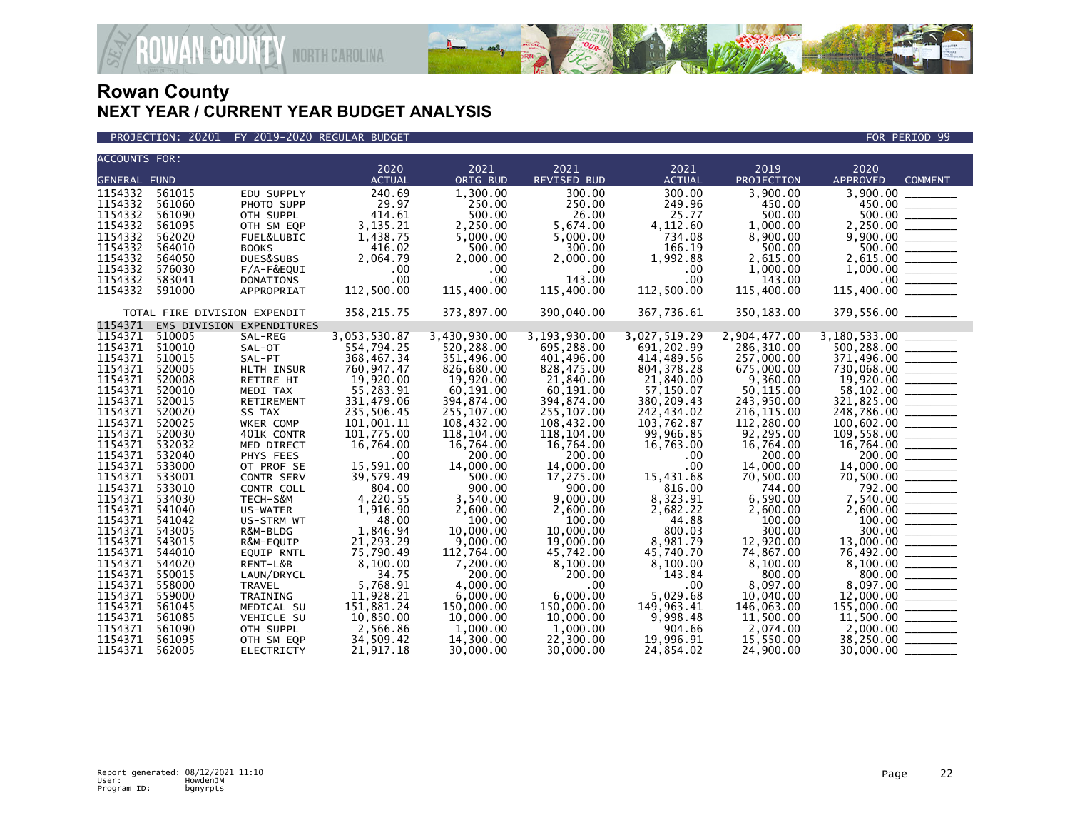

### PROJECTION: 20201 FY 2019-2020 REGULAR BUDGET FOR PERIOD 99

| <b>ACCOUNTS FOR:</b> |                              |                           |               |              |                    |                  |              |                                                                                                                                                                                                                                                                                                                         |
|----------------------|------------------------------|---------------------------|---------------|--------------|--------------------|------------------|--------------|-------------------------------------------------------------------------------------------------------------------------------------------------------------------------------------------------------------------------------------------------------------------------------------------------------------------------|
|                      |                              |                           | 2020          | 2021         | 2021               | 2021             | 2019         | 2020                                                                                                                                                                                                                                                                                                                    |
| <b>GENERAL FUND</b>  |                              |                           | <b>ACTUAL</b> | ORIG BUD     | <b>REVISED BUD</b> | <b>ACTUAL</b>    | PROJECTION   | <b>APPROVED</b><br><b>COMMENT</b>                                                                                                                                                                                                                                                                                       |
| 1154332              | 561015                       | EDU SUPPLY                | 240.69        | 1,300.00     | 300.00             | 300.00           | 3,900.00     | 3,900.00                                                                                                                                                                                                                                                                                                                |
| 1154332              | 561060                       | PHOTO SUPP                | 29.97         | 250.00       | 250.00             | 249.96           | 450.00       |                                                                                                                                                                                                                                                                                                                         |
| 1154332              | 561090                       | OTH SUPPL                 | 414.61        | 500.00       | 26.00              | 25.77            | 500.00       |                                                                                                                                                                                                                                                                                                                         |
| 1154332              | 561095                       | OTH SM EQP                | 3,135.21      | 2,250.00     | 5,674.00           | 4,112.60         | 1,000.00     |                                                                                                                                                                                                                                                                                                                         |
| 1154332              | 562020                       | FUEL&LUBIC                | 1,438.75      | 5,000.00     | 5,000.00           | 734.08           | 8,900.00     |                                                                                                                                                                                                                                                                                                                         |
| 1154332              | 564010                       | <b>BOOKS</b>              | 416.02        | 500.00       | 300.00             | 166.19           | 500.00       |                                                                                                                                                                                                                                                                                                                         |
| 1154332              | 564050                       | DUES&SUBS                 | 2,064.79      | 2,000.00     | 2,000.00           | 1,992.88         | 2,615.00     |                                                                                                                                                                                                                                                                                                                         |
| 1154332              | 576030                       | $F/A-F\&EQUI$             | .00           | .00          | $.00 \,$           | .00              | 1,000.00     |                                                                                                                                                                                                                                                                                                                         |
| 1154332              | 583041                       | <b>DONATIONS</b>          | .00           | .00          | 143.00             | .00              | 143.00       |                                                                                                                                                                                                                                                                                                                         |
| 1154332              | 591000                       | APPROPRIAT                | 112,500.00    | 115,400.00   | 115,400.00         | 112,500.00       | 115,400.00   | $\begin{array}{r} 3,900.00 \ \hline 450.00 \ \hline 500.00 \ \hline 2,250.00 \ \hline 9,900.00 \ \hline 500.00 \ \hline 500.00 \ \hline 500.00 \ \hline 1,000.00 \ \hline 1,000.00 \ \hline 15,400.00 \ \hline \end{array}$<br>115,400.00                                                                               |
|                      | TOTAL FIRE DIVISION EXPENDIT |                           | 358, 215.75   | 373,897.00   | 390,040.00         | 367,736.61       | 350,183.00   |                                                                                                                                                                                                                                                                                                                         |
|                      |                              |                           |               |              |                    |                  |              | 379,556.00 ________                                                                                                                                                                                                                                                                                                     |
| 1154371              |                              | EMS DIVISION EXPENDITURES |               |              |                    |                  |              |                                                                                                                                                                                                                                                                                                                         |
| 1154371              | 510005                       | SAL-REG                   | 3,053,530.87  | 3,430,930.00 | 3,193,930.00       | 3,027,519.29     | 2,904,477.00 |                                                                                                                                                                                                                                                                                                                         |
| 1154371              | 510010                       | SAL-OT                    | 554,794.25    | 520.288.00   | 695,288.00         | 691,202.99       | 286.310.00   | $500, 288.00$ _________                                                                                                                                                                                                                                                                                                 |
| 1154371              | 510015                       | SAL-PT                    | 368,467.34    | 351,496.00   | 401,496.00         | 414,489.56       | 257,000.00   |                                                                                                                                                                                                                                                                                                                         |
| 1154371              | 520005                       | HLTH INSUR                | 760,947.47    | 826,680.00   | 828,475.00         | 804, 378.28      | 675,000.00   |                                                                                                                                                                                                                                                                                                                         |
| 1154371              | 520008                       | RETIRE HI                 | 19,920.00     | 19,920.00    | 21,840.00          | 21,840.00        | 9,360.00     |                                                                                                                                                                                                                                                                                                                         |
| 1154371              | 520010                       | MEDI TAX                  | 55,283.91     | 60,191.00    | 60,191.00          | 57,150.07        | 50,115.00    |                                                                                                                                                                                                                                                                                                                         |
| 1154371              | 520015                       | RETIREMENT                | 331,479.06    | 394,874.00   | 394,874.00         | 380,209.43       | 243,950.00   | $\begin{array}{r} 371,496.00 \\ 730,068.00 \\ 19,920.00 \\ 58,102.00 \\ 321,825.00 \\ \hline \end{array}$<br>$321,825.00$<br>$248,786.00$<br>$100,602.00$<br>$100,602.00$<br>$100,558.00$<br>$16,764.00$<br>$200.00$<br>$14,000.00$<br>$70,500.00$<br>$7,540.00$<br>$7,540.00$<br>$2,600.00$<br>$100.00$<br>$13,000.00$ |
| 1154371              | 520020                       | SS TAX                    | 235,506.45    | 255,107.00   | 255,107.00         | 242,434.02       | 216, 115.00  |                                                                                                                                                                                                                                                                                                                         |
| 1154371              | 520025                       | WKER COMP                 | 101,001.11    | 108,432.00   | 108,432.00         | 103,762.87       | 112,280.00   |                                                                                                                                                                                                                                                                                                                         |
| 1154371              | 520030                       | 401K CONTR                | 101,775.00    | 118,104.00   | 118,104.00         | 99,966.85        | 92,295.00    |                                                                                                                                                                                                                                                                                                                         |
| 1154371              | 532032                       | MED DIRECT                | 16,764.00     | 16,764.00    | 16,764.00          | 16,763.00        | 16,764.00    |                                                                                                                                                                                                                                                                                                                         |
| 1154371              | 532040                       | PHYS FEES                 | $.00 \,$      | 200.00       | 200.00             | .00              | 200.00       |                                                                                                                                                                                                                                                                                                                         |
| 1154371              | 533000                       | OT PROF SE                | 15,591.00     | 14,000.00    | 14,000.00          | .00 <sub>1</sub> | 14,000.00    |                                                                                                                                                                                                                                                                                                                         |
| 1154371              | 533001                       | <b>CONTR SERV</b>         | 39,579.49     | 500.00       | 17,275.00          | 15,431.68        | 70,500.00    |                                                                                                                                                                                                                                                                                                                         |
| 1154371              | 533010                       | CONTR COLL                | 804.00        | 900.00       | 900.00             | 816.00           | 744.00       |                                                                                                                                                                                                                                                                                                                         |
| 1154371              | 534030                       | TECH-S&M                  | 4,220.55      | 3,540.00     | 9,000.00           | 8,323.91         | 6,590.00     |                                                                                                                                                                                                                                                                                                                         |
| 1154371              | 541040                       | US-WATER                  | 1,916.90      | 2.600.00     | 2,600.00           | 2,682.22         | 2,600.00     |                                                                                                                                                                                                                                                                                                                         |
| 1154371              | 541042                       | US-STRM WT                | 48.00         | 100.00       | 100.00             | 44.88            | 100.00       |                                                                                                                                                                                                                                                                                                                         |
| 1154371              | 543005                       | R&M-BLDG                  | 1,846.94      | 10,000.00    | 10,000.00          | 800.03           | 300.00       |                                                                                                                                                                                                                                                                                                                         |
| 1154371              | 543015                       | R&M-EQUIP                 | 21,293.29     | 9,000.00     | 19,000.00          | 8,981.79         | 12,920.00    | $\frac{13,000.00}{76,492.00}$                                                                                                                                                                                                                                                                                           |
| 1154371              | 544010                       | EQUIP RNTL                | 75,790.49     | 112,764.00   | 45,742.00          | 45,740.70        | 74,867.00    |                                                                                                                                                                                                                                                                                                                         |
| 1154371              | 544020                       | RENT-L&B                  | 8,100.00      | 7,200.00     | 8,100.00           | 8,100.00         | 8,100.00     |                                                                                                                                                                                                                                                                                                                         |
| 1154371              | 550015                       | LAUN/DRYCL                | 34.75         | 200.00       | 200.00             | 143.84           | 800.00       |                                                                                                                                                                                                                                                                                                                         |
| 1154371              | 558000                       | <b>TRAVEL</b>             | 5,768.91      | 4.000.00     | $.00 \,$           | $.00 \,$         | 8.097.00     | $\begin{array}{r} 76,49200\ 8,100.00\ \hline 8,097.00\ \hline 12,000.00\ \hline 155,000.00\ \hline 11,500.00\ \hline 2,000.00\ \hline \end{array}$                                                                                                                                                                      |
| 1154371              | 559000                       | TRAINING                  | 11,928.21     | 6,000.00     | 6,000.00           | 5,029.68         | 10,040.00    |                                                                                                                                                                                                                                                                                                                         |
| 1154371              | 561045                       | MEDICAL SU                | 151,881.24    | 150,000.00   | 150,000.00         | 149,963.41       | 146,063,00   |                                                                                                                                                                                                                                                                                                                         |
| 1154371              | 561085                       | VEHICLE SU                | 10,850.00     | 10,000.00    | 10,000.00          | 9,998.48         | 11,500.00    |                                                                                                                                                                                                                                                                                                                         |
| 1154371              | 561090                       | OTH SUPPL                 | 2,566.86      | 1,000.00     | 1,000.00           | 904.66           | 2,074.00     |                                                                                                                                                                                                                                                                                                                         |
| 1154371              | 561095                       | OTH SM EQP                | 34,509.42     | 14,300.00    | 22,300.00          | 19,996.91        | 15,550.00    | 38,250.00 _______                                                                                                                                                                                                                                                                                                       |
| 1154371              | 562005                       | <b>ELECTRICTY</b>         | 21,917.18     | 30,000.00    | 30,000.00          | 24,854.02        | 24,900.00    | 30,000.00                                                                                                                                                                                                                                                                                                               |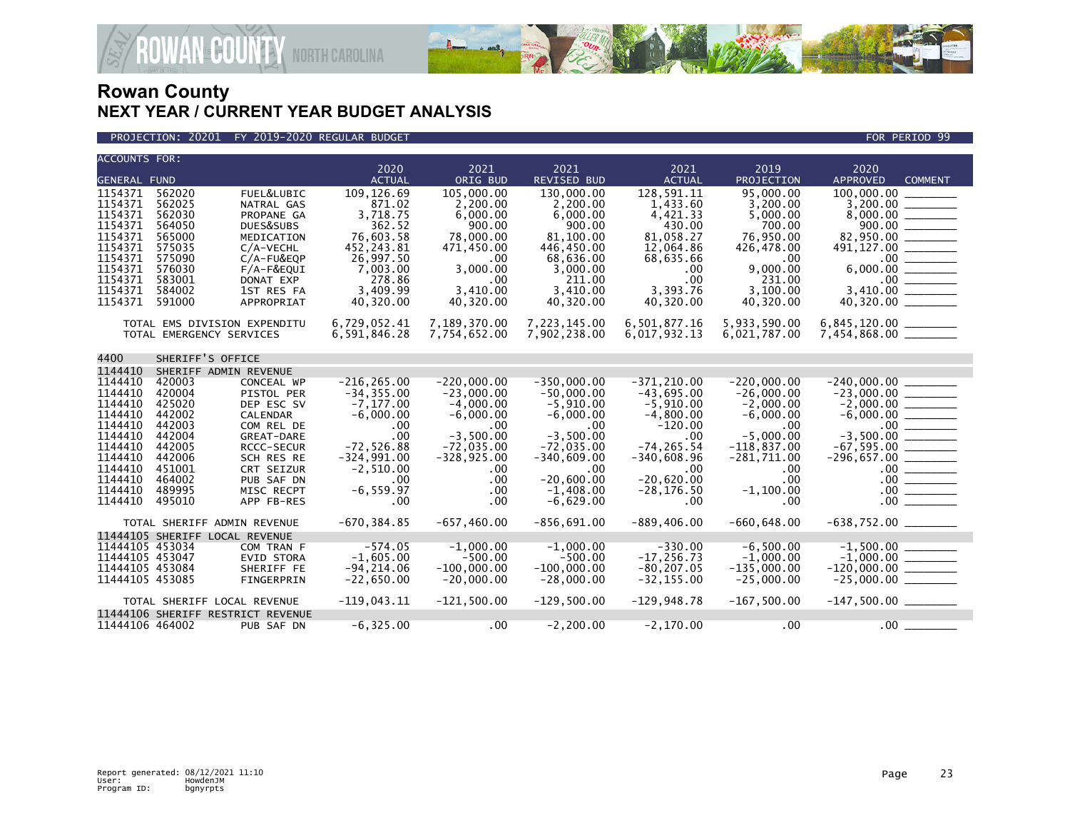

### PROJECTION: 20201 FY 2019-2020 REGULAR BUDGET FOR PERIOD 99

| <b>ACCOUNTS FOR:</b> |                  |                                   |                       |                      |                            |                       |                      |                                    |
|----------------------|------------------|-----------------------------------|-----------------------|----------------------|----------------------------|-----------------------|----------------------|------------------------------------|
| <b>GENERAL FUND</b>  |                  |                                   | 2020<br><b>ACTUAL</b> | 2021<br>ORIG BUD     | 2021<br><b>REVISED BUD</b> | 2021<br><b>ACTUAL</b> | 2019<br>PROJECTION   | 2020<br>APPROVED<br><b>COMMENT</b> |
|                      |                  |                                   |                       |                      |                            |                       |                      |                                    |
| 1154371              | 562020           | FUEL&LUBIC                        | 109, 126.69           | 105,000,00           | 130,000.00                 | 128.591.11            | 95,000,00            | 100,000,00                         |
| 1154371<br>1154371   | 562025<br>562030 | NATRAL GAS                        | 871.02<br>3,718.75    | 2,200.00<br>6,000.00 | 2,200.00<br>6,000.00       | 1,433.60<br>4,421.33  | 3,200.00<br>5.000.00 |                                    |
| 1154371              | 564050           | PROPANE GA<br>DUES&SUBS           | 362.52                | 900.00               | 900.00                     | 430.00                | 700.00               |                                    |
| 1154371              | 565000           | MEDICATION                        | 76,603.58             | 78,000.00            | 81,100.00                  | 81,058.27             | 76,950.00            | 82,950.00 ______                   |
| 1154371              | 575035           | C/A-VECHL                         | 452,243.81            | 471,450.00           | 446,450.00                 | 12,064.86             | 426,478.00           | $491, 127.00$ ________             |
| 1154371              | 575090           | $C/A$ -FU&EQP                     | 26,997.50             | .00                  | 68,636.00                  | 68,635.66             | .00                  |                                    |
| 1154371              | 576030           | F/A-F&EQUI                        | 7,003.00              | 3,000.00             | 3,000.00                   | .00                   | 9,000.00             |                                    |
| 1154371              | 583001           | DONAT EXP                         | 278.86                | .00                  | 211.00                     | .00                   | 231.00               |                                    |
| 1154371              | 584002           | 1ST RES FA                        | 3,409.99              | 3,410.00             | 3,410.00                   | 3,393.76              | 3,100.00             |                                    |
| 1154371              | 591000           | APPROPRIAT                        | 40,320.00             | 40,320.00            | 40,320.00                  | 40,320.00             | 40,320.00            | 40,320.00 _______                  |
|                      |                  |                                   |                       |                      |                            |                       |                      |                                    |
|                      |                  | TOTAL EMS DIVISION EXPENDITU      | 6,729,052.41          | 7,189,370.00         | 7,223,145.00               | 6,501,877.16          | 5,933,590.00         | $6, 845, 120.00$ _________         |
|                      |                  | TOTAL EMERGENCY SERVICES          | 6,591,846.28          | 7,754,652.00         | 7,902,238.00               | 6,017,932.13          | 6,021,787.00         | $7,454,868.00$ ________            |
|                      |                  |                                   |                       |                      |                            |                       |                      |                                    |
| 4400                 | SHERIFF'S OFFICE |                                   |                       |                      |                            |                       |                      |                                    |
| 1144410              |                  | SHERIFF ADMIN REVENUE             |                       |                      |                            |                       |                      |                                    |
| 1144410              | 420003           | CONCEAL WP                        | $-216, 265.00$        | $-220,000.00$        | $-350,000.00$              | $-371.210.00$         | $-220.000.00$        |                                    |
| 1144410              | 420004           | PISTOL PER                        | $-34, 355.00$         | $-23,000.00$         | $-50,000.00$               | $-43,695.00$          | $-26,000.00$         | $-23,000.00$ _________             |
| 1144410              | 425020           | DEP ESC SV                        | $-7, 177.00$          | $-4,000.00$          | $-5,910.00$                | $-5,910.00$           | $-2,000.00$          | $-2,000.00$ ________               |
| 1144410              | 442002           | <b>CALENDAR</b>                   | $-6.000.00$           | $-6.000.00$          | $-6.000.00$                | $-4,800.00$           | $-6,000.00$          |                                    |
| 1144410              | 442003           | COM REL DE                        | .00                   | .00                  | .00                        | $-120.00$             | $.00 \,$             |                                    |
| 1144410              | 442004           | GREAT-DARE                        | .00                   | $-3,500.00$          | $-3,500.00$                | .00                   | $-5,000.00$          | $-3,500.00$ _________              |
| 1144410              | 442005           | <b>RCCC-SECUR</b>                 | $-72,526.88$          | $-72,035.00$         | $-72,035.00$               | $-74.265.54$          | $-118,837.00$        |                                    |
| 1144410              | 442006           | SCH RES RE                        | $-324,991.00$         | $-328, 925.00$       | $-340,609.00$              | $-340,608.96$         | $-281,711.00$        | $-296,657.00$ ________             |
| 1144410              | 451001           | CRT SEIZUR                        | $-2,510.00$           | .00                  | .00                        | .00                   | .00                  |                                    |
| 1144410              | 464002           | PUB SAF DN                        | .00                   | .00                  | $-20.600.00$               | $-20.620.00$          | .00                  |                                    |
| 1144410              | 489995           | MISC RECPT                        | $-6.559.97$           | .00                  | $-1.408.00$                | $-28.176.50$          | $-1,100.00$          |                                    |
| 1144410              | 495010           | APP FB-RES                        | .00                   | .00                  | $-6,629.00$                | $.00 \,$              | .00                  | 00                                 |
|                      |                  | TOTAL SHERIFF ADMIN REVENUE       | $-670, 384.85$        | $-657, 460.00$       | $-856,691.00$              | $-889, 406.00$        | $-660, 648.00$       | $-638,752.00$ _________            |
|                      |                  | 11444105 SHERIFF LOCAL REVENUE    |                       |                      |                            |                       |                      |                                    |
| 11444105 453034      |                  | COM TRAN F                        | $-574.05$             | $-1,000.00$          | $-1,000.00$                | $-330.00$             | $-6,500.00$          | $-1,500.00$ ________               |
| 11444105 453047      |                  | <b>EVID STORA</b>                 | $-1.605.00$           | $-500.00$            | $-500.00$                  | $-17, 256.73$         | $-1.000.00$          | $-1,000.00$ ________               |
| 11444105 453084      |                  | SHERIFF FE                        | $-94, 214.06$         | $-100,000.00$        | $-100,000.00$              | $-80, 207.05$         | $-135,000.00$        | $-120,000.00$ ________             |
| 11444105 453085      |                  | FINGERPRIN                        | $-22,650.00$          | $-20,000.00$         | $-28,000.00$               | $-32, 155.00$         | $-25,000.00$         | $-25,000.00$ ________              |
|                      |                  |                                   |                       |                      |                            |                       |                      |                                    |
|                      |                  | TOTAL SHERIFF LOCAL REVENUE       | $-119,043.11$         | $-121,500.00$        | $-129,500.00$              | $-129,948.78$         | $-167,500.00$        | $-147,500.00$ _________            |
|                      |                  | 11444106 SHERIFF RESTRICT REVENUE |                       |                      |                            |                       |                      |                                    |
| 11444106 464002      |                  | PUB SAF DN                        | $-6, 325.00$          | $.00 \,$             | $-2, 200.00$               | $-2,170.00$           | .00                  | $.00$ $\_$                         |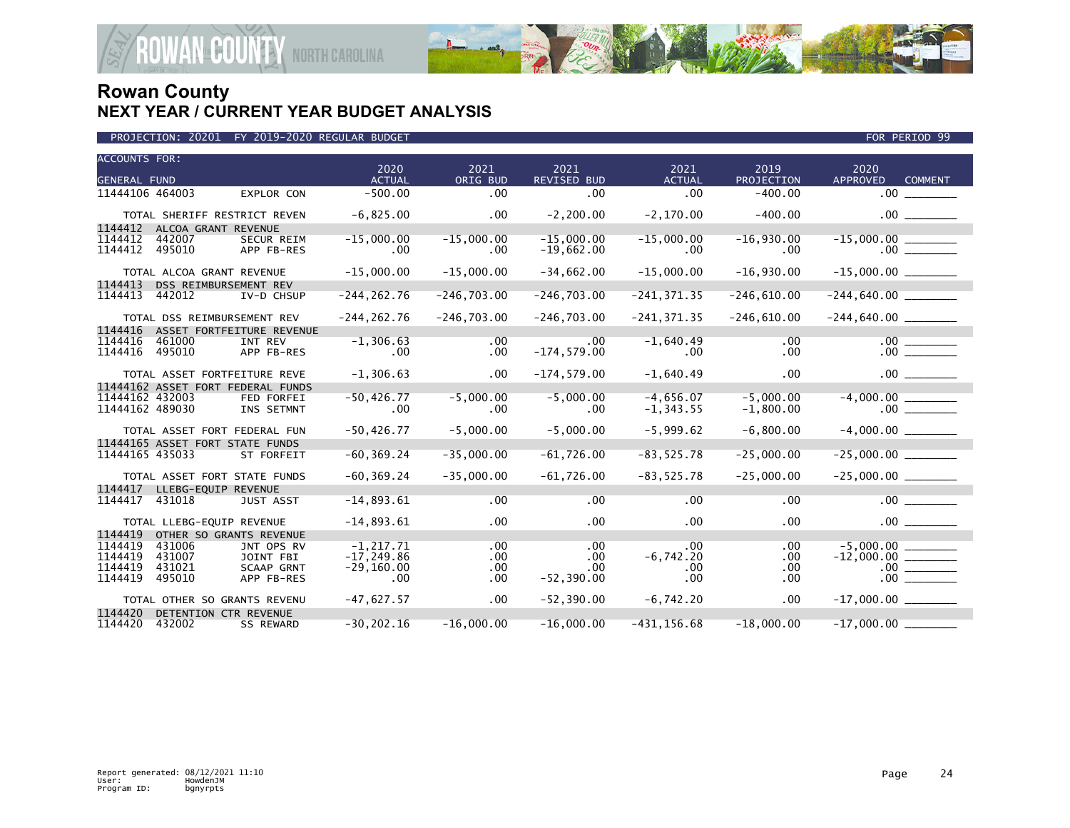

|  |  |  | PROJECTION: 20201 FY 2019-2020 REGULAR BUDGET |  |
|--|--|--|-----------------------------------------------|--|
|--|--|--|-----------------------------------------------|--|

| <b>ACCOUNTS FOR:</b>                   | 2020           | 2021          | 2021               | 2021           | 2019          | 2020                              |  |
|----------------------------------------|----------------|---------------|--------------------|----------------|---------------|-----------------------------------|--|
| <b>GENERAL FUND</b>                    | <b>ACTUAL</b>  | ORIG BUD      | <b>REVISED BUD</b> | <b>ACTUAL</b>  | PROJECTION    | <b>APPROVED</b><br><b>COMMENT</b> |  |
| 11444106 464003<br>EXPLOR CON          | $-500.00$      | .00           | .00                | .00            | $-400.00$     | .00                               |  |
| TOTAL SHERIFF RESTRICT REVEN           | $-6,825.00$    | .00           | $-2, 200.00$       | $-2,170.00$    | $-400.00$     | $.00$ $\qquad \qquad$             |  |
| 1144412<br>ALCOA GRANT REVENUE         |                |               |                    |                |               |                                   |  |
| 1144412<br>442007<br><b>SECUR REIM</b> | $-15,000.00$   | $-15,000.00$  | $-15,000.00$       | $-15,000.00$   | $-16,930.00$  |                                   |  |
| 1144412<br>495010<br>APP FB-RES        | $.00 \,$       | .00           | $-19,662.00$       | .00            | .00           | .00                               |  |
| TOTAL ALCOA GRANT REVENUE              | $-15,000.00$   | $-15,000.00$  | $-34,662.00$       | $-15,000.00$   | $-16,930.00$  |                                   |  |
| 1144413<br>DSS REIMBURSEMENT REV       |                |               |                    |                |               |                                   |  |
| 1144413<br>442012<br>IV-D CHSUP        | $-244, 262.76$ | $-246,703.00$ | $-246,703.00$      | $-241, 371.35$ | $-246,610.00$ |                                   |  |
| TOTAL DSS REIMBURSEMENT REV            | $-244, 262.76$ | $-246,703.00$ | $-246,703.00$      | $-241, 371.35$ | $-246,610.00$ |                                   |  |
| 1144416<br>ASSET FORTFEITURE REVENUE   |                |               |                    |                |               |                                   |  |
| 1144416<br>461000<br>INT REV           | $-1, 306.63$   | .00           | .00                | $-1,640.49$    | .00           | $\frac{.00}{.00}$                 |  |
| 1144416<br>495010<br>APP FB-RES        | $.00 \,$       | .00           | $-174, 579.00$     | $.00 \times$   | .00           |                                   |  |
| TOTAL ASSET FORTFEITURE REVE           | $-1, 306.63$   | .00           | $-174,579.00$      | $-1,640.49$    | .00           | .00                               |  |
| 11444162 ASSET FORT FEDERAL FUNDS      |                |               |                    |                |               |                                   |  |
| 11444162 432003<br><b>FED FORFEI</b>   | $-50, 426.77$  | $-5,000.00$   | $-5,000.00$        | $-4,656.07$    | $-5,000.00$   |                                   |  |
| 11444162 489030<br>INS SETMNT          | $.00 \,$       | .00           | .00                | $-1, 343.55$   | $-1,800.00$   |                                   |  |
| TOTAL ASSET FORT FEDERAL FUN           | $-50, 426.77$  | $-5,000.00$   | $-5,000.00$        | $-5,999.62$    | $-6,800.00$   | $-4,000.00$                       |  |
| 11444165 ASSET FORT STATE FUNDS        |                |               |                    |                |               |                                   |  |
| 11444165 435033<br>ST FORFEIT          | $-60, 369.24$  | $-35,000.00$  | $-61,726.00$       | $-83, 525.78$  | $-25,000.00$  |                                   |  |
| TOTAL ASSET FORT STATE FUNDS           | $-60, 369.24$  | $-35,000.00$  | $-61,726.00$       | $-83, 525.78$  | $-25,000.00$  |                                   |  |
| 1144417<br>LLEBG-EOUIP REVENUE         |                |               |                    |                |               |                                   |  |
| 1144417<br>431018<br><b>JUST ASST</b>  | $-14,893.61$   | .00           | .00                | .00            | .00           | .00                               |  |
| TOTAL LLEBG-EQUIP REVENUE              | $-14,893.61$   | .00           | .00                | $.00 \times$   | .00           |                                   |  |
| 1144419<br>OTHER SO GRANTS REVENUE     |                |               |                    |                |               |                                   |  |
| 1144419<br>431006<br>JNT OPS RV        | $-1.217.71$    | .00           | .00                | .00            | .00           | $-5.000.00$                       |  |
| 1144419<br>431007<br>JOINT FBI         | $-17, 249.86$  | .00           | .00                | $-6,742.20$    | .00           |                                   |  |
| 1144419<br>431021<br><b>SCAAP GRNT</b> | $-29, 160.00$  | .00           | .00                | .00            | .00           |                                   |  |
| 1144419<br>495010<br>APP FB-RES        | $.00 \,$       | .00           | $-52, 390.00$      | .00            | .00.          | .00                               |  |
| TOTAL OTHER SO GRANTS REVENU           | $-47,627.57$   | .00           | $-52, 390.00$      | $-6,742.20$    | .00           |                                   |  |
| 1144420<br>DETENTION CTR REVENUE       |                |               |                    |                |               |                                   |  |
| 1144420<br>432002<br><b>SS REWARD</b>  | $-30, 202.16$  | $-16,000.00$  | $-16,000.00$       | $-431, 156.68$ | $-18,000.00$  | $-17,000.00$                      |  |

FOR PERIOD 99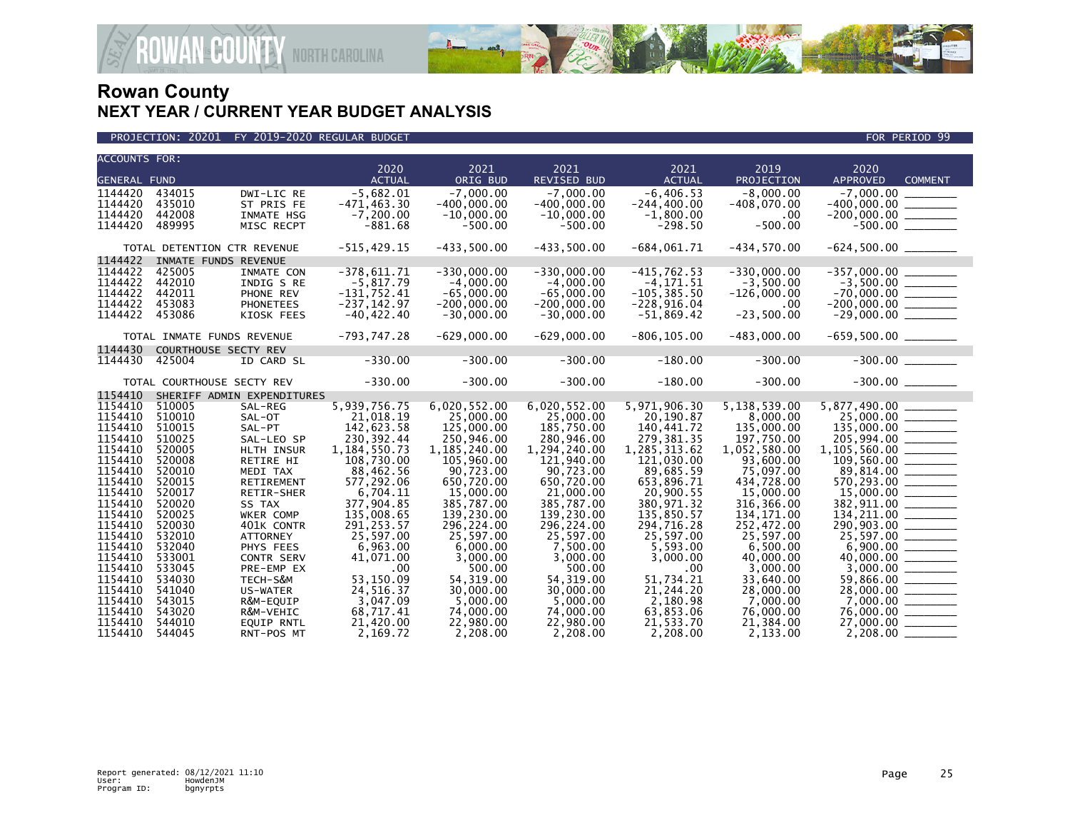



| <b>ACCOUNTS FOR:</b> |                            |                             |                 |                |                    |                |               |                                                                                                              |  |
|----------------------|----------------------------|-----------------------------|-----------------|----------------|--------------------|----------------|---------------|--------------------------------------------------------------------------------------------------------------|--|
|                      |                            |                             | 2020            | 2021           | 2021               | 2021           | 2019          | 2020                                                                                                         |  |
| <b>GENERAL FUND</b>  |                            |                             | <b>ACTUAL</b>   | ORIG BUD       | <b>REVISED BUD</b> | <b>ACTUAL</b>  | PROJECTION    | <b>APPROVED</b><br><b>COMMENT</b>                                                                            |  |
| 1144420              | 434015                     | DWI-LIC RE                  | $-5,682.01$     | $-7,000.00$    | $-7,000.00$        | $-6, 406.53$   | $-8,000.00$   |                                                                                                              |  |
| 1144420              | 435010                     | ST PRIS FE                  | $-471, 463.30$  | $-400,000.00$  | $-400,000.00$      | $-244, 400.00$ | $-408,070.00$ |                                                                                                              |  |
| 1144420              | 442008                     | INMATE HSG                  | $-7, 200.00$    | $-10,000.00$   | $-10,000.00$       | $-1,800.00$    | .00           |                                                                                                              |  |
| 1144420              | 489995                     | MISC RECPT                  | $-881.68$       | $-500.00$      | $-500.00$          | $-298.50$      | $-500.00$     |                                                                                                              |  |
|                      |                            | TOTAL DETENTION CTR REVENUE | $-515,429.15$   | $-433,500.00$  | $-433,500.00$      | $-684,061.71$  | $-434,570.00$ | $-624,500.00$ _________                                                                                      |  |
| 1144422              | INMATE FUNDS REVENUE       |                             |                 |                |                    |                |               |                                                                                                              |  |
| 1144422              | 425005                     | INMATE CON                  | $-378,611.71$   | $-330,000.00$  | $-330,000.00$      | $-415,762.53$  | $-330,000.00$ |                                                                                                              |  |
| 1144422              | 442010                     | INDIG S RE                  | $-5,817.79$     | $-4.000.00$    | $-4,000.00$        | $-4, 171.51$   | $-3,500.00$   |                                                                                                              |  |
| 1144422              | 442011                     | PHONE REV                   | $-131,752.41$   | $-65,000.00$   | $-65,000.00$       | $-105, 385.50$ | $-126.000.00$ |                                                                                                              |  |
| 1144422              | 453083                     | <b>PHONETEES</b>            | $-237, 142.97$  | $-200,000.00$  | $-200,000.00$      | $-228,916.04$  | .00           |                                                                                                              |  |
| 1144422              | 453086                     | KIOSK FEES                  | $-40, 422.40$   | $-30,000.00$   | $-30,000.00$       | $-51,869.42$   | $-23,500.00$  | $\begin{array}{r} -357,000.00 \\ -3,500.00 \\ -70,000.00 \\ -200,000.00 \\ -29,000.00 \\ \hline \end{array}$ |  |
|                      |                            |                             |                 |                |                    |                |               |                                                                                                              |  |
|                      | TOTAL INMATE FUNDS REVENUE |                             | $-793, 747.28$  | $-629,000.00$  | $-629,000.00$      | $-806, 105.00$ | $-483,000.00$ | $-659,500.00$ ________                                                                                       |  |
| 1144430              | COURTHOUSE SECTY REV       |                             |                 |                |                    |                |               |                                                                                                              |  |
| 1144430              | 425004                     | ID CARD SL                  | $-330.00$       | $-300.00$      | $-300.00$          | $-180.00$      | $-300.00$     | $-300.00$                                                                                                    |  |
|                      | TOTAL COURTHOUSE SECTY REV |                             | $-330.00$       | $-300.00$      | $-300.00$          | $-180.00$      | $-300.00$     |                                                                                                              |  |
| 1154410              |                            | SHERIFF ADMIN EXPENDITURES  |                 |                |                    |                |               |                                                                                                              |  |
| 1154410              | 510005                     | SAL-REG                     | 5,939,756.75    | 6,020,552.00   | 6,020,552.00       | 5,971,906.30   | 5,138,539.00  | 5,877,490.00 ________                                                                                        |  |
| 1154410              | 510010                     | SAL-OT                      | 21,018.19       | 25,000.00      | 25,000.00          | 20,190.87      | 8,000.00      |                                                                                                              |  |
| 1154410              | 510015                     | SAL-PT                      | 142,623.58      | 125,000,00     | 185,750.00         | 140.441.72     | 135,000.00    |                                                                                                              |  |
| 1154410              | 510025                     | SAL-LEO SP                  | 230, 392.44     | 250,946.00     | 280,946.00         | 279,381.35     | 197,750.00    |                                                                                                              |  |
| 1154410              | 520005                     | HLTH INSUR                  | 1, 184, 550. 73 | 1, 185, 240.00 | 1,294,240.00       | 1,285,313.62   | 1,052,580.00  |                                                                                                              |  |
| 1154410              | 520008                     | RETIRE HI                   | 108,730.00      | 105,960.00     | 121,940.00         | 121,030.00     | 93,600.00     |                                                                                                              |  |
| 1154410              | 520010                     | MEDI TAX                    | 88,462.56       | 90,723.00      | 90,723.00          | 89,685.59      | 75,097.00     |                                                                                                              |  |
| 1154410              | 520015                     | RETIREMENT                  | 577,292.06      | 650,720.00     | 650,720.00         | 653,896.71     | 434,728.00    | $89,814.00$<br>570,293.00<br>15,000.00                                                                       |  |
| 1154410              | 520017                     | RETIR-SHER                  | 6,704.11        | 15,000.00      | 21,000.00          | 20.900.55      | 15,000.00     |                                                                                                              |  |
| 1154410              | 520020                     | SS TAX                      | 377,904.85      | 385,787.00     | 385,787.00         | 380,971.32     | 316, 366.00   |                                                                                                              |  |
| 1154410              | 520025                     | WKER COMP                   | 135,008.65      | 139,230.00     | 139,230.00         | 135,850.57     | 134, 171.00   | $\frac{382,911.00}{134,211.00}$                                                                              |  |
| 1154410              | 520030                     | 401K CONTR                  | 291, 253.57     | 296,224.00     | 296,224.00         | 294,716.28     | 252,472.00    | $\begin{array}{r} 290,903.00 \ \hline 25,597.00 \ \hline 6,900.00 \ \hline 40,000.00 \ \hline \end{array}$   |  |
| 1154410              | 532010                     | <b>ATTORNEY</b>             | 25,597.00       | 25.597.00      | 25.597.00          | 25,597.00      | 25,597.00     |                                                                                                              |  |
| 1154410              | 532040                     | PHYS FEES                   | 6,963.00        | 6,000.00       | 7,500.00           | 5,593.00       | 6,500.00      |                                                                                                              |  |
| 1154410              | 533001                     | CONTR SERV                  | 41,071.00       | 3,000.00       | 3,000.00           | 3,000.00       | 40,000.00     |                                                                                                              |  |
| 1154410              | 533045                     | PRE-EMP EX                  | .00             | 500.00         | 500.00             | $.00 \,$       | 3,000.00      |                                                                                                              |  |
| 1154410              | 534030                     | TECH-S&M                    | 53,150.09       | 54, 319.00     | 54, 319.00         | 51,734.21      | 33,640.00     |                                                                                                              |  |
| 1154410              | 541040                     | US-WATER                    | 24,516.37       | 30,000,00      | 30,000.00          | 21,244.20      | 28,000.00     | $28,000.00$ ________                                                                                         |  |
| 1154410              | 543015                     | R&M-EQUIP                   | 3,047.09        | 5,000.00       | 5,000.00           | 2,180.98       | 7,000.00      |                                                                                                              |  |
| 1154410              | 543020                     | R&M-VEHIC                   | 68,717.41       | 74,000.00      | 74,000.00          | 63,853.06      | 76,000.00     |                                                                                                              |  |
| 1154410              | 544010                     | <b>EQUIP RNTL</b>           | 21,420.00       | 22,980.00      | 22,980.00          | 21,533.70      | 21,384.00     | 27,000.00 ______                                                                                             |  |
| 1154410              | 544045                     | RNT-POS MT                  | 2.169.72        | 2.208.00       | 2,208.00           | 2.208.00       | 2.133.00      |                                                                                                              |  |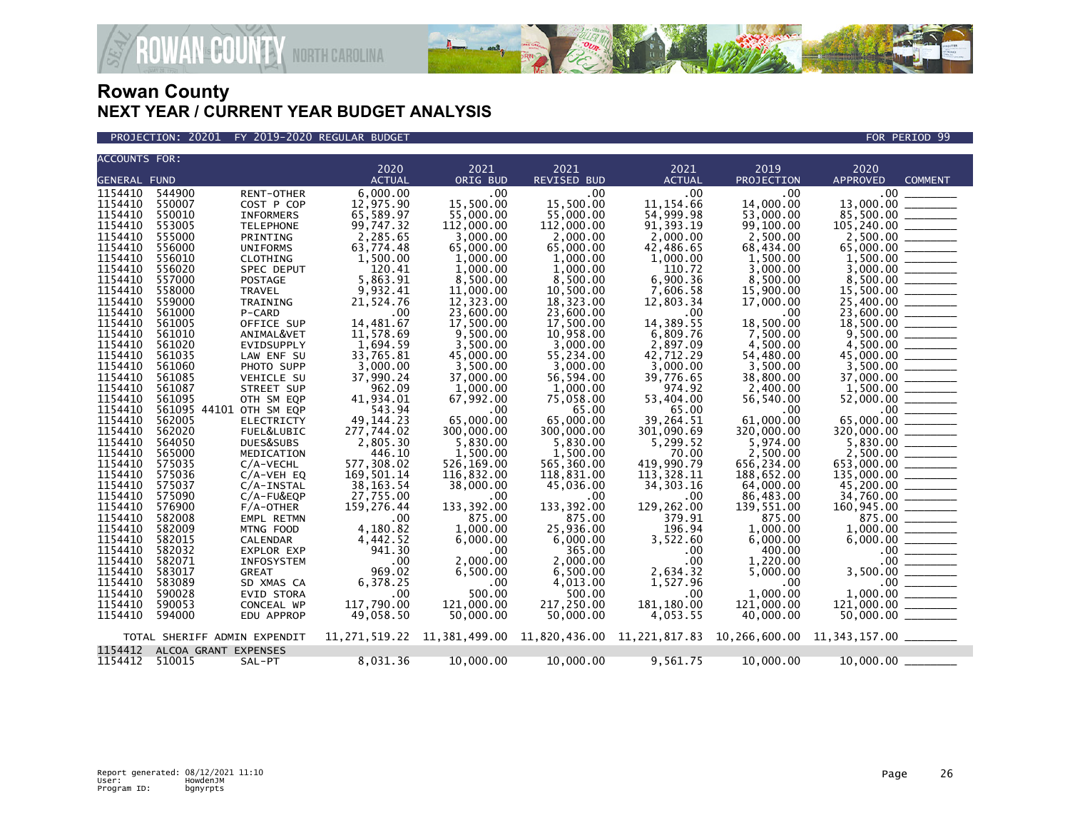

PROJECTION: 20201 FY 2019-2020 REGULAR BUDGET FOR PERIOD 99

| <b>ACCOUNTS FOR:</b> |                      |                                 |                           |                         |                            |                         |                         |                                                                                                                                                                                                                                                                                                                                                                                                                                                                                                                                                                                                                             |
|----------------------|----------------------|---------------------------------|---------------------------|-------------------------|----------------------------|-------------------------|-------------------------|-----------------------------------------------------------------------------------------------------------------------------------------------------------------------------------------------------------------------------------------------------------------------------------------------------------------------------------------------------------------------------------------------------------------------------------------------------------------------------------------------------------------------------------------------------------------------------------------------------------------------------|
| <b>GENERAL FUND</b>  |                      |                                 | 2020<br><b>ACTUAL</b>     | 2021<br>ORIG BUD        | 2021<br><b>REVISED BUD</b> | 2021<br><b>ACTUAL</b>   | 2019<br>PROJECTION      | 2020<br><b>APPROVED</b><br><b>COMMENT</b>                                                                                                                                                                                                                                                                                                                                                                                                                                                                                                                                                                                   |
| 1154410              | 544900               | RENT-OTHER                      | 6,000.00                  | .00                     | $.00 \times$               | .00                     | .00                     | .00 <sub>1</sub>                                                                                                                                                                                                                                                                                                                                                                                                                                                                                                                                                                                                            |
| 1154410              | 550007               | COST P COP                      | 12,975.90                 | 15,500.00               | 15,500.00                  | 11, 154.66              | 14,000.00               | 13,000.00                                                                                                                                                                                                                                                                                                                                                                                                                                                                                                                                                                                                                   |
| 1154410              | 550010               | <b>INFORMERS</b>                | 65,589.97                 | 55,000.00               | 55,000.00                  | 54,999.98               | 53,000.00               | 85,500.00                                                                                                                                                                                                                                                                                                                                                                                                                                                                                                                                                                                                                   |
| 1154410              | 553005               | <b>TELEPHONE</b>                | 99,747.32                 | 112,000.00              | 112,000.00                 | 91, 393.19              | 99,100.00               | 105,240.00<br>$\frac{1}{1}$                                                                                                                                                                                                                                                                                                                                                                                                                                                                                                                                                                                                 |
| 1154410<br>1154410   | 555000<br>556000     | PRINTING<br><b>UNIFORMS</b>     | 2,285.65<br>63,774.48     | 3,000.00<br>65,000.00   | 2,000.00                   | 2,000.00                | 2,500.00<br>68,434.00   |                                                                                                                                                                                                                                                                                                                                                                                                                                                                                                                                                                                                                             |
| 1154410              | 556010               | CLOTHING                        | 1,500.00                  | 1,000.00                | 65,000.00<br>1,000.00      | 42,486.65<br>1,000.00   | 1,500.00                |                                                                                                                                                                                                                                                                                                                                                                                                                                                                                                                                                                                                                             |
| 1154410              | 556020               | SPEC DEPUT                      | 120.41                    | 1.000.00                | 1,000.00                   | 110.72                  | 3.000.00                |                                                                                                                                                                                                                                                                                                                                                                                                                                                                                                                                                                                                                             |
| 1154410              | 557000               | <b>POSTAGE</b>                  | 5,863.91                  | 8,500.00                | 8,500.00                   | 6,900.36                | 8,500.00                |                                                                                                                                                                                                                                                                                                                                                                                                                                                                                                                                                                                                                             |
| 1154410              | 558000               | TRAVEL                          | 9,932.41                  | 11,000.00               | 10,500.00                  | 7,606.58                | 15,900.00               |                                                                                                                                                                                                                                                                                                                                                                                                                                                                                                                                                                                                                             |
| 1154410              | 559000               | TRAINING                        | 21,524.76                 | 12,323.00               | 18,323.00                  | 12,803.34               | 17,000.00               | 25,400.00 _______                                                                                                                                                                                                                                                                                                                                                                                                                                                                                                                                                                                                           |
| 1154410              | 561000               | P-CARD                          | .00                       | 23,600.00               | 23,600,00                  | .00                     | $.00 \,$                | 23,600,00                                                                                                                                                                                                                                                                                                                                                                                                                                                                                                                                                                                                                   |
| 1154410              | 561005               | OFFICE SUP                      | 14,481.67                 | 17,500.00               | 17,500.00                  | 14,389.55               | 18,500.00               | 18,500.00<br>$\begin{array}{cccccccccc} \multicolumn{2}{c}{} & \multicolumn{2}{c}{} & \multicolumn{2}{c}{} & \multicolumn{2}{c}{} & \multicolumn{2}{c}{} & \multicolumn{2}{c}{} & \multicolumn{2}{c}{} & \multicolumn{2}{c}{} & \multicolumn{2}{c}{} & \multicolumn{2}{c}{} & \multicolumn{2}{c}{} & \multicolumn{2}{c}{} & \multicolumn{2}{c}{} & \multicolumn{2}{c}{} & \multicolumn{2}{c}{} & \multicolumn{2}{c}{} & \multicolumn{2}{c}{} & \multicolumn{2}{c}{} & \multicolumn{2}{c}{} & \mult$                                                                                                                         |
| 1154410<br>1154410   | 561010<br>561020     | ANIMAL&VET<br><b>EVIDSUPPLY</b> | 11,578.69<br>1,694.59     | 9,500.00<br>3,500.00    | 10,958.00<br>3.000.00      | 6,809.76<br>2,897.09    | 7,500.00<br>4,500.00    | 4.500.00                                                                                                                                                                                                                                                                                                                                                                                                                                                                                                                                                                                                                    |
| 1154410              | 561035               | LAW ENF SU                      | 33,765.81                 | 45,000.00               | 55,234.00                  | 42,712.29               | 54,480.00               | 45,000.00 _______                                                                                                                                                                                                                                                                                                                                                                                                                                                                                                                                                                                                           |
| 1154410              | 561060               | PHOTO SUPP                      | 3,000.00                  | 3,500.00                | 3.000.00                   | 3,000.00                | 3,500.00                | 3.500.00                                                                                                                                                                                                                                                                                                                                                                                                                                                                                                                                                                                                                    |
| 1154410              | 561085               | VEHICLE SU                      | 37,990.24                 | 37,000.00               | 56,594.00                  | 39,776.65               | 38,800.00               | 37,000.00 ______                                                                                                                                                                                                                                                                                                                                                                                                                                                                                                                                                                                                            |
| 1154410              | 561087               | STREET SUP                      | 962.09                    | 1,000.00                | 1,000.00                   | 974.92                  | 2,400.00                |                                                                                                                                                                                                                                                                                                                                                                                                                                                                                                                                                                                                                             |
| 1154410              | 561095               | OTH SM EQP                      | 41,934.01                 | 67,992.00               | 75,058.00                  | 53,404.00               | 56,540.00               |                                                                                                                                                                                                                                                                                                                                                                                                                                                                                                                                                                                                                             |
| 1154410<br>1154410   |                      | 561095 44101 OTH SM EQP         | 543.94                    | .00                     | 65.00                      | 65.00                   | .00                     |                                                                                                                                                                                                                                                                                                                                                                                                                                                                                                                                                                                                                             |
| 1154410              | 562005<br>562020     | <b>ELECTRICTY</b><br>FUEL&LUBIC | 49, 144, 23<br>277,744.02 | 65,000.00<br>300,000,00 | 65,000.00<br>300,000,00    | 39,264.51<br>301,090.69 | 61,000.00<br>320,000,00 | 65,000.00<br>$\begin{array}{cccccccccc} \multicolumn{2}{c}{} & \multicolumn{2}{c}{} & \multicolumn{2}{c}{} & \multicolumn{2}{c}{} & \multicolumn{2}{c}{} & \multicolumn{2}{c}{} & \multicolumn{2}{c}{} & \multicolumn{2}{c}{} & \multicolumn{2}{c}{} & \multicolumn{2}{c}{} & \multicolumn{2}{c}{} & \multicolumn{2}{c}{} & \multicolumn{2}{c}{} & \multicolumn{2}{c}{} & \multicolumn{2}{c}{} & \multicolumn{2}{c}{} & \multicolumn{2}{c}{} & \multicolumn{2}{c}{} & \multicolumn{2}{c}{} & \mult$<br>320,000,00                                                                                                           |
| 1154410              | 564050               | DUES&SUBS                       | 2,805.30                  | 5,830.00                | 5,830.00                   | 5,299.52                | 5,974.00                |                                                                                                                                                                                                                                                                                                                                                                                                                                                                                                                                                                                                                             |
| 1154410              | 565000               | MEDICATION                      | 446.10                    | 1.500.00                | 1,500.00                   | 70.00                   | 2.500.00                |                                                                                                                                                                                                                                                                                                                                                                                                                                                                                                                                                                                                                             |
| 1154410              | 575035               | C/A-VECHL                       | 577,308.02                | 526,169.00              | 565,360.00                 | 419,990.79              | 656,234.00              | 653,000.00                                                                                                                                                                                                                                                                                                                                                                                                                                                                                                                                                                                                                  |
| 1154410              | 575036               | $C/A-VEH$ EQ                    | 169,501.14                | 116,832.00              | 118,831.00                 | 113,328.11              | 188,652.00              | $135,000.00$ ________                                                                                                                                                                                                                                                                                                                                                                                                                                                                                                                                                                                                       |
| 1154410              | 575037               | $C/A$ -INSTAL                   | 38,163.54                 | 38,000.00               | 45,036.00                  | 34, 303. 16             | 64,000.00               |                                                                                                                                                                                                                                                                                                                                                                                                                                                                                                                                                                                                                             |
| 1154410              | 575090               | C/A-FU&EQP                      | 27,755.00                 | .00                     | $.00 \,$                   | .00                     | 86,483.00               | 34,760.00 _______                                                                                                                                                                                                                                                                                                                                                                                                                                                                                                                                                                                                           |
| 1154410<br>1154410   | 576900<br>582008     | $F/A$ -OTHER<br>EMPL RETMN      | 159,276.44<br>.00         | 133,392.00<br>875.00    | 133, 392.00<br>875.00      | 129,262.00<br>379.91    | 139,551.00<br>875.00    | 875.00 ______                                                                                                                                                                                                                                                                                                                                                                                                                                                                                                                                                                                                               |
| 1154410              | 582009               | MTNG FOOD                       | 4,180.82                  | 1,000.00                | 25,936.00                  | 196.94                  | 1,000.00                | 1,000.00<br>$\begin{tabular}{ccccc} \multicolumn{2}{c }{\textbf{1} & \multicolumn{2}{c }{\textbf{2} & \multicolumn{2}{c }{\textbf{3} & \multicolumn{2}{c }{\textbf{4} & \multicolumn{2}{c }{\textbf{5} & \multicolumn{2}{c }{\textbf{6} & \multicolumn{2}{c }{\textbf{6} & \multicolumn{2}{c }{\textbf{6} & \multicolumn{2}{c }{\textbf{6} & \multicolumn{2}{c }{\textbf{6} & \multicolumn{2}{c }{\textbf{6} & \multicolumn{2}{c }{\textbf{6} & \multicolumn{2}{$                                                                                                                                                           |
| 1154410              | 582015               | <b>CALENDAR</b>                 | 4,442.52                  | 6,000.00                | 6,000.00                   | 3,522.60                | 6,000.00                | 6,000.00                                                                                                                                                                                                                                                                                                                                                                                                                                                                                                                                                                                                                    |
| 1154410              | 582032               | EXPLOR EXP                      | 941.30                    | .00                     | 365.00                     | $.00 \,$                | 400.00                  | $\begin{tabular}{ c c c c c } \hline \quad \quad & \quad \quad & \quad \quad & \quad \quad \\ \hline \quad \quad & \quad \quad & \quad \quad & \quad \quad \\ \hline \quad \quad & \quad \quad & \quad \quad & \quad \quad \\ \hline \quad \quad & \quad \quad & \quad \quad & \quad \quad \\ \hline \quad \quad & \quad \quad & \quad \quad & \quad \quad \\ \hline \quad \quad & \quad \quad & \quad \quad & \quad \quad \\ \hline \quad \quad & \quad \quad & \quad \quad & \quad \quad \\ \hline \quad \quad & \quad \quad & \quad \quad & \quad \quad \\ \hline \quad \quad & \quad \quad & \quad \quad &$<br>$.00 \,$ |
| 1154410              | 582071               | <b>INFOSYSTEM</b>               | .00                       | 2,000.00                | 2.000.00                   | .00                     | 1,220.00                | .00 <sub>1</sub>                                                                                                                                                                                                                                                                                                                                                                                                                                                                                                                                                                                                            |
| 1154410              | 583017               | <b>GREAT</b>                    | 969.02                    | 6,500.00                | 6,500.00                   | 2,634.32                | 5,000.00                | 3,500.00                                                                                                                                                                                                                                                                                                                                                                                                                                                                                                                                                                                                                    |
| 1154410              | 583089               | SD XMAS CA                      | 6,378.25                  | .00                     | 4,013.00                   | 1,527.96                | $.00 \,$                | .00                                                                                                                                                                                                                                                                                                                                                                                                                                                                                                                                                                                                                         |
| 1154410<br>1154410   | 590028<br>590053     | <b>EVID STORA</b><br>CONCEAL WP | .00<br>117,790.00         | 500.00<br>121,000.00    | 500.00<br>217,250.00       | $.00 \,$<br>181, 180.00 | 1.000.00<br>121,000.00  | 1.000.00<br>$\frac{1}{1}$<br>121,000.00                                                                                                                                                                                                                                                                                                                                                                                                                                                                                                                                                                                     |
| 1154410              | 594000               | EDU APPROP                      | 49,058.50                 | 50,000.00               | 50,000.00                  | 4,053.55                | 40,000.00               | 50,000.00                                                                                                                                                                                                                                                                                                                                                                                                                                                                                                                                                                                                                   |
|                      |                      |                                 |                           |                         |                            |                         |                         |                                                                                                                                                                                                                                                                                                                                                                                                                                                                                                                                                                                                                             |
|                      |                      | TOTAL SHERIFF ADMIN EXPENDIT    |                           |                         |                            |                         |                         | $11,271,519.22$ $11,381,499.00$ $11,820,436.00$ $11,221,817.83$ $10,266,600.00$ $11,343,157.00$ $\ldots$                                                                                                                                                                                                                                                                                                                                                                                                                                                                                                                    |
| 1154412              | ALCOA GRANT EXPENSES |                                 |                           |                         |                            |                         |                         |                                                                                                                                                                                                                                                                                                                                                                                                                                                                                                                                                                                                                             |
| 1154412 510015       |                      | SAL-PT                          | 8,031.36                  | 10,000.00               | 10,000.00                  | 9,561.75                | 10,000.00               | 10,000.00                                                                                                                                                                                                                                                                                                                                                                                                                                                                                                                                                                                                                   |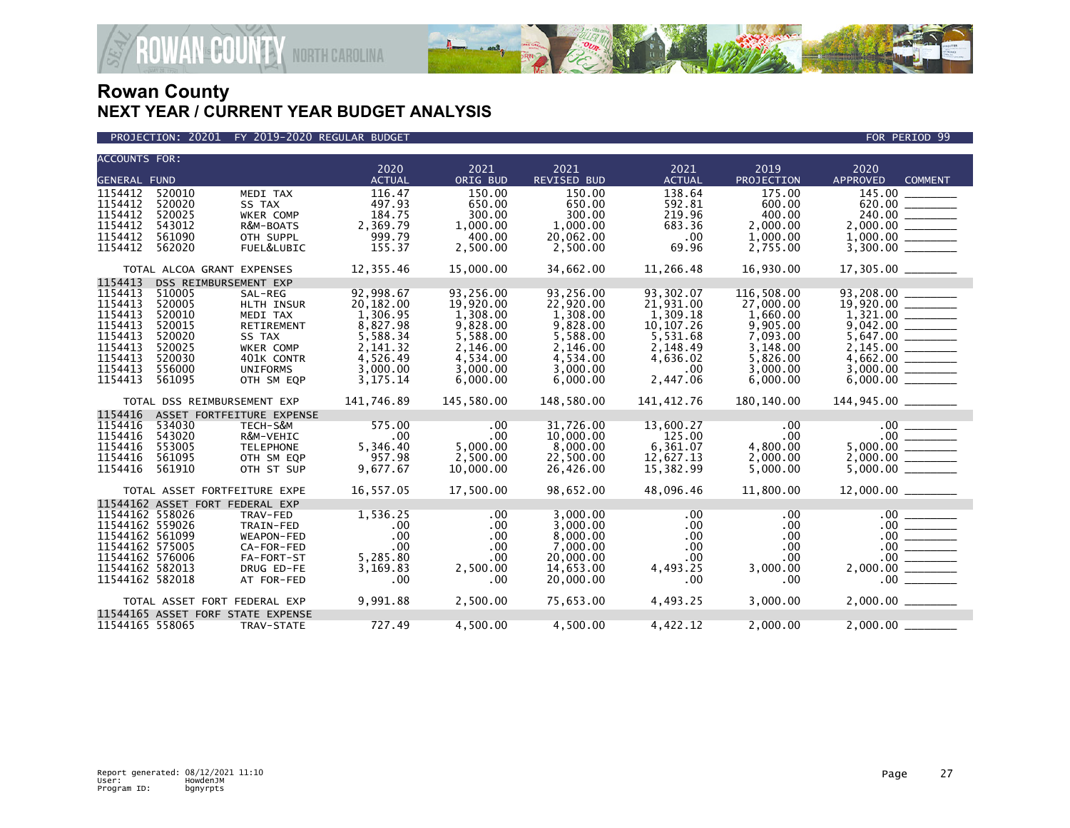

PROJECTION: 20201 FY 2019-2020 REGULAR BUDGET FOR PERIOD 99

| <b>ACCOUNTS FOR:</b>               |                                   |                           |                       |                  |                            |                       |                      |                                           |
|------------------------------------|-----------------------------------|---------------------------|-----------------------|------------------|----------------------------|-----------------------|----------------------|-------------------------------------------|
| <b>GENERAL FUND</b>                |                                   |                           | 2020<br><b>ACTUAL</b> | 2021<br>ORIG BUD | 2021<br><b>REVISED BUD</b> | 2021<br><b>ACTUAL</b> | 2019<br>PROJECTION   | 2020<br><b>APPROVED</b><br><b>COMMENT</b> |
| 1154412                            | 520010                            | MEDI TAX                  | 116.47                | 150.00           | 150.00                     | 138.64                | 175.00               | 145.00 _____                              |
| 1154412                            | 520020                            | SS TAX                    | 497.93                | 650.00           | 650.00                     | 592.81                | 600.00               |                                           |
| 1154412                            | 520025                            | WKER COMP                 | 184.75                | 300.00           | 300.00                     | 219.96                | 400.00               | 240.00                                    |
| 1154412                            | 543012                            | R&M-BOATS                 | 2,369.79              | 1,000.00         | 1,000.00                   | 683.36                | 2,000.00             |                                           |
| 1154412                            | 561090                            | OTH SUPPL                 | 999.79                | 400.00           | 20,062.00                  | .00                   | 1,000.00             |                                           |
| 1154412                            | 562020                            | FUEL&LUBIC                | 155.37                | 2,500.00         | 2,500.00                   | 69.96                 | 2,755.00             | 3,300.00                                  |
|                                    | TOTAL ALCOA GRANT EXPENSES        |                           | 12,355.46             | 15,000.00        | 34,662.00                  | 11,266.48             | 16,930.00            |                                           |
| 1154413                            | DSS REIMBURSEMENT EXP             |                           |                       |                  |                            |                       |                      |                                           |
| 1154413                            | 510005                            | SAL-REG                   | 92,998.67             | 93,256.00        | 93,256.00                  | 93,302.07             | 116,508.00           | 93,208.00                                 |
| 1154413                            | 520005                            | HLTH INSUR                | 20,182.00             | 19,920.00        | 22,920.00                  | 21,931.00             | 27,000.00            |                                           |
| 1154413                            | 520010                            | MEDI TAX                  | 1,306.95              | 1,308.00         | 1,308.00                   | 1.309.18              | 1,660.00             |                                           |
| 1154413                            | 520015                            | <b>RETIREMENT</b>         | 8,827.98              | 9,828.00         | 9,828.00                   | 10, 107.26            | 9,905.00             |                                           |
| 1154413                            | 520020                            | SS TAX                    | 5,588.34              | 5,588.00         | 5,588.00                   | 5,531.68              | 7,093.00             |                                           |
| 1154413                            | 520025                            | WKER COMP                 | 2,141.32              | 2,146.00         | 2,146.00                   | 2,148.49              | 3,148.00             |                                           |
| 1154413                            | 520030                            | 401K CONTR                | 4,526.49              | 4,534.00         | 4,534.00                   | 4,636.02              | 5,826.00             |                                           |
| 1154413                            | 556000                            | <b>UNIFORMS</b>           | 3,000.00              | 3,000.00         | 3,000.00                   | .00                   | 3,000.00             | 3,000.00                                  |
| 1154413                            | 561095                            | OTH SM EQP                | 3,175.14              | 6,000.00         | 6,000.00                   | 2,447.06              | 6,000.00             |                                           |
|                                    | TOTAL DSS REIMBURSEMENT EXP       |                           | 141,746.89            | 145,580.00       | 148,580.00                 | 141,412.76            | 180,140.00           |                                           |
| 1154416                            |                                   | ASSET FORTFEITURE EXPENSE |                       |                  |                            |                       |                      |                                           |
| 1154416                            | 534030                            | TECH-S&M                  | 575.00                | .00              | 31,726.00                  | 13,600.27             | $.00 \,$             |                                           |
| 1154416                            | 543020                            | R&M-VEHIC                 | .00                   | .00              | 10,000.00                  | 125.00                | $.00 \,$             |                                           |
| 1154416                            | 553005                            | <b>TELEPHONE</b>          | 5,346.40              | 5,000.00         | 8,000.00                   | 6,361.07              | 4,800.00             |                                           |
| 1154416                            | 561095                            | OTH SM EQP                | 957.98                | 2,500.00         | 22,500.00                  | 12,627.13             | 2,000.00             | 2,000.00                                  |
| 1154416                            | 561910                            | OTH ST SUP                | 9,677.67              | 10,000.00        | 26,426.00                  | 15,382.99             | 5,000.00             |                                           |
|                                    | TOTAL ASSET FORTFEITURE EXPE      |                           | 16,557.05             | 17.500.00        | 98.652.00                  | 48.096.46             | 11,800,00            |                                           |
|                                    | 11544162 ASSET FORT FEDERAL EXP   |                           |                       |                  |                            |                       |                      |                                           |
| 11544162 558026                    |                                   | TRAV-FED                  | 1,536.25              | .00              | 3,000.00                   | .00.                  | .00                  | .00                                       |
| 11544162 559026                    |                                   | TRAIN-FED                 | .00                   | .00              | 3,000.00                   | .00                   | .00.                 |                                           |
| 11544162 561099                    |                                   | WEAPON-FED                | .00                   | .00              | 8,000.00                   | .00                   | .00.                 | $\frac{00}{00}$                           |
| 11544162 575005<br>11544162 576006 |                                   | CA-FOR-FED                | .00                   | $.00 \,$         | 7,000.00                   | .00                   | .00                  |                                           |
| 11544162 582013                    |                                   | FA-FORT-ST<br>DRUG ED-FE  | 5,285.80<br>3,169.83  | .00<br>2,500.00  | 20,000.00<br>14,653.00     | .00<br>4,493.25       | $.00 \,$<br>3,000.00 |                                           |
| 11544162 582018                    |                                   | AT FOR-FED                | .00                   | .00              | 20,000.00                  | .00                   | .00                  |                                           |
|                                    |                                   |                           |                       |                  |                            |                       |                      |                                           |
|                                    | TOTAL ASSET FORT FEDERAL EXP      |                           | 9,991.88              | 2,500.00         | 75,653.00                  | 4,493.25              | 3,000.00             |                                           |
|                                    | 11544165 ASSET FORF STATE EXPENSE |                           |                       |                  |                            |                       |                      |                                           |
| 11544165 558065                    |                                   | TRAV-STATE                | 727.49                | 4,500.00         | 4,500.00                   | 4,422.12              | 2,000.00             | 2,000.00                                  |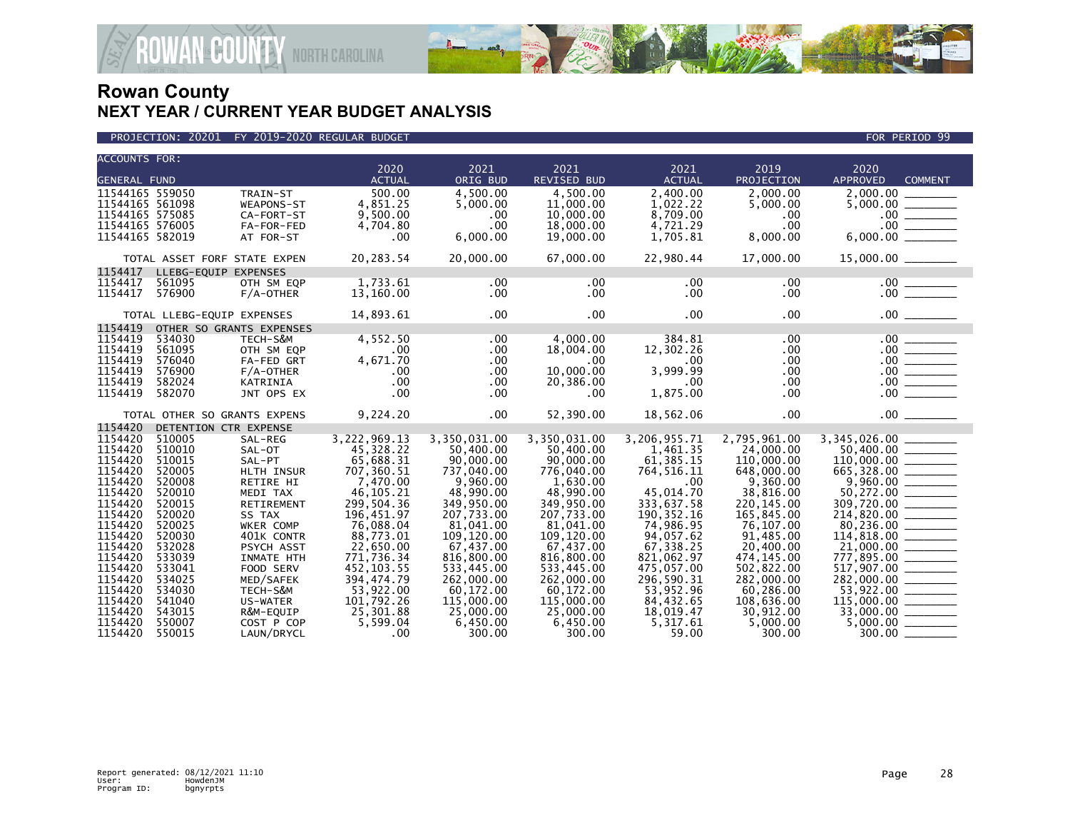

| <b>ACCOUNTS FOR:</b> |                            |                              | 2020                     | 2021                     |                            |                          | 2019                      | 2020                                                                                                                                                                                                                                                    |
|----------------------|----------------------------|------------------------------|--------------------------|--------------------------|----------------------------|--------------------------|---------------------------|---------------------------------------------------------------------------------------------------------------------------------------------------------------------------------------------------------------------------------------------------------|
| <b>GENERAL FUND</b>  |                            |                              | <b>ACTUAL</b>            | ORIG BUD                 | 2021<br><b>REVISED BUD</b> | 2021<br><b>ACTUAL</b>    | PROJECTION                | <b>APPROVED</b><br><b>COMMENT</b>                                                                                                                                                                                                                       |
| 11544165 559050      |                            | TRAIN-ST                     | 500.00                   | 4.500.00                 | 4.500.00                   | 2,400.00                 | 2.000.00                  | 2,000.00 _____                                                                                                                                                                                                                                          |
| 11544165 561098      |                            | WEAPONS-ST                   | 4,851.25                 | 5.000.00                 | 11,000.00                  | 1,022.22                 | 5,000.00                  |                                                                                                                                                                                                                                                         |
| 11544165 575085      |                            | CA-FORT-ST                   | 9,500.00                 | .00                      | 10,000.00                  | 8,709.00                 | .00                       |                                                                                                                                                                                                                                                         |
| 11544165 576005      |                            | FA-FOR-FED                   | 4,704.80                 | .00                      | 18,000.00                  | 4,721.29                 | .00                       |                                                                                                                                                                                                                                                         |
| 11544165 582019      |                            | AT FOR-ST                    | .00                      | 6,000.00                 | 19,000.00                  | 1,705.81                 | 8,000.00                  | $\begin{array}{r} 5,000.00 \ \hline 5,000.00 \ \hline 0.00 \ \hline 0.00 \ \hline 6,000.00 \ \hline \end{array}$                                                                                                                                        |
|                      |                            | TOTAL ASSET FORF STATE EXPEN | 20,283.54                | 20,000.00                | 67,000.00                  | 22,980.44                | 17,000.00                 |                                                                                                                                                                                                                                                         |
| 1154417              | LLEBG-EQUIP EXPENSES       |                              |                          |                          |                            |                          |                           |                                                                                                                                                                                                                                                         |
| 1154417              | 561095                     | OTH SM EQP                   | 1,733.61                 | $.00 \times$             | $.00 \times$               | $.00 \,$                 | .00                       |                                                                                                                                                                                                                                                         |
| 1154417              | 576900                     | $F/A$ -OTHER                 | 13,160.00                | $.00 \,$                 | $.00 \,$                   | $.00 \,$                 | .00.                      |                                                                                                                                                                                                                                                         |
|                      |                            |                              |                          |                          |                            |                          |                           |                                                                                                                                                                                                                                                         |
|                      | TOTAL LLEBG-EQUIP EXPENSES |                              | 14,893.61                | $.00 \,$                 | $.00 \,$                   | .00                      | $.00 \,$                  |                                                                                                                                                                                                                                                         |
| 1154419<br>1154419   | 534030                     | OTHER SO GRANTS EXPENSES     | 4,552.50                 |                          |                            | 384.81                   |                           |                                                                                                                                                                                                                                                         |
| 1154419              |                            | TECH-S&M                     |                          | .00                      | 4,000.00                   |                          | .00                       |                                                                                                                                                                                                                                                         |
| 1154419              | 561095<br>576040           | OTH SM EQP<br>FA-FED GRT     | .00<br>4,671.70          | $.00 \,$<br>.00          | 18,004.00<br>$.00 \ \,$    | 12,302.26<br>.00         | .00<br>.00                |                                                                                                                                                                                                                                                         |
| 1154419              | 576900                     | F/A-OTHER                    | .00                      | .00                      | 10,000.00                  | 3,999.99                 | .00                       |                                                                                                                                                                                                                                                         |
| 1154419              | 582024                     | KATRINIA                     | .00                      | .00                      | 20,386.00                  | .00                      | .00                       |                                                                                                                                                                                                                                                         |
| 1154419              | 582070                     | JNT OPS EX                   | .00                      | .00                      | .00                        | 1,875.00                 | .00                       | $\begin{array}{c c} .00 & \overline{\hspace{1.5cm}} \\ 0.00 & \overline{\hspace{1.5cm}} \\ 0.00 & \overline{\hspace{1.5cm}} \\ 0.00 & \overline{\hspace{1.5cm}} \\ 0.00 & \overline{\hspace{1.5cm}} \\ 0.00 & \overline{\hspace{1.5cm}} \\ \end{array}$ |
|                      |                            |                              |                          |                          |                            |                          |                           |                                                                                                                                                                                                                                                         |
|                      |                            | TOTAL OTHER SO GRANTS EXPENS | 9,224.20                 | $.00 \,$                 | 52,390.00                  | 18,562.06                | .00                       |                                                                                                                                                                                                                                                         |
| 1154420              | DETENTION CTR EXPENSE      |                              |                          |                          |                            |                          |                           |                                                                                                                                                                                                                                                         |
| 1154420              | 510005                     | SAL-REG                      | 3,222,969.13             | 3,350,031.00             | 3,350,031.00               | 3,206,955.71             | 2,795,961.00              | 3,345,026.00                                                                                                                                                                                                                                            |
| 1154420              | 510010                     | SAL-OT                       | 45,328.22                | 50,400.00                | 50,400.00                  | 1,461.35                 | 24,000.00                 |                                                                                                                                                                                                                                                         |
| 1154420              | 510015                     | SAL-PT                       | 65.688.31                | 90,000.00                | 90,000,00                  | 61.385.15                | 110,000.00                | $\begin{array}{r} 110,000.00 \ \hline 665,328.00 \ \hline 9,960.00 \ \hline 0.00 \ \hline 0.00 \ \hline 0.00 \ \hline 50,272.00 \ \hline \end{array}$                                                                                                   |
| 1154420              | 520005                     | HLTH INSUR                   | 707,360.51               | 737,040.00               | 776,040.00                 | 764, 516. 11             | 648,000.00                |                                                                                                                                                                                                                                                         |
| 1154420              | 520008                     | RETIRE HI                    | 7,470.00                 | 9,960.00                 | 1,630.00                   | .00.                     | 9,360.00                  |                                                                                                                                                                                                                                                         |
| 1154420              | 520010                     | MEDI TAX                     | 46, 105.21               | 48,990.00                | 48,990.00                  | 45.014.70                | 38,816.00                 |                                                                                                                                                                                                                                                         |
| 1154420<br>1154420   | 520015<br>520020           | <b>RETIREMENT</b>            | 299,504.36<br>196,451.97 | 349,950.00<br>207,733.00 | 349,950.00<br>207,733.00   | 333,637.58<br>190.352.16 | 220, 145.00<br>165,845.00 | $\frac{309,720.00}{214,820.00}$                                                                                                                                                                                                                         |
| 1154420              | 520025                     | SS TAX<br><b>WKER COMP</b>   | 76.088.04                | 81.041.00                | 81.041.00                  | 74.986.95                | 76.107.00                 |                                                                                                                                                                                                                                                         |
| 1154420              | 520030                     | 401K CONTR                   | 88,773.01                | 109,120.00               | 109,120.00                 | 94,057.62                | 91,485.00                 | 80,236.00                                                                                                                                                                                                                                               |
| 1154420              | 532028                     | PSYCH ASST                   | 22,650.00                | 67,437.00                | 67,437.00                  | 67,338.25                | 20,400.00                 | $114,818.00$<br>$21,000.00$                                                                                                                                                                                                                             |
| 1154420              | 533039                     | INMATE HTH                   | 771,736.34               | 816,800.00               | 816,800.00                 | 821,062.97               | 474, 145.00               |                                                                                                                                                                                                                                                         |
| 1154420              | 533041                     | FOOD SERV                    | 452, 103.55              | 533,445.00               | 533,445.00                 | 475,057.00               | 502,822.00                |                                                                                                                                                                                                                                                         |
| 1154420              | 534025                     | MED/SAFEK                    | 394, 474.79              | 262,000.00               | 262,000.00                 | 296,590.31               | 282,000.00                | $517,907.00$<br>282,000.00                                                                                                                                                                                                                              |
| 1154420              | 534030                     | TECH-S&M                     | 53,922.00                | 60,172.00                | 60,172.00                  | 53,952.96                | 60,286.00                 |                                                                                                                                                                                                                                                         |
| 1154420              | 541040                     | US-WATER                     | 101,792.26               | 115,000.00               | 115,000.00                 | 84,432.65                | 108,636.00                |                                                                                                                                                                                                                                                         |
| 1154420              | 543015                     | R&M-EQUIP                    | 25,301.88                | 25,000.00                | 25,000.00                  | 18,019.47                | 30,912.00                 |                                                                                                                                                                                                                                                         |
| 1154420              | 550007                     | COST P COP                   | 5,599.04                 | 6,450.00                 | 6,450.00                   | 5,317.61                 | 5,000.00                  |                                                                                                                                                                                                                                                         |
| 1154420              | 550015                     | LAUN/DRYCL                   | .00                      | 300.00                   | 300.00                     | 59.00                    | 300.00                    |                                                                                                                                                                                                                                                         |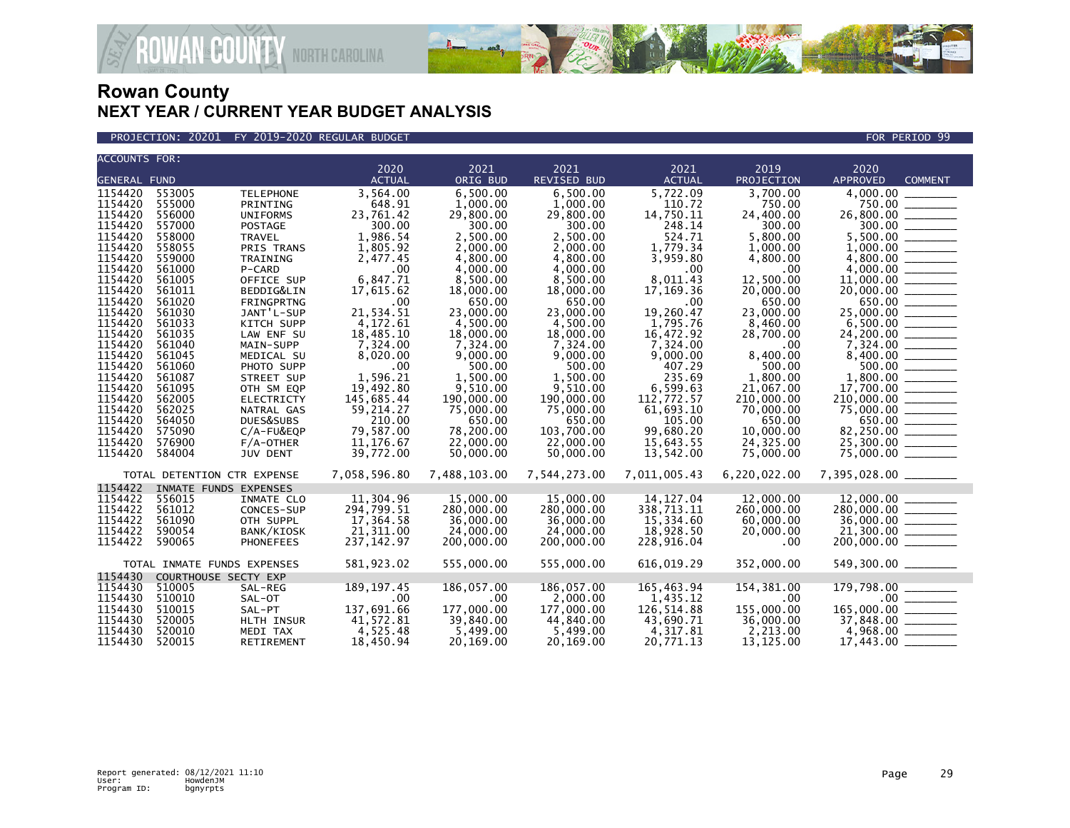

PROJECTION: 20201 FY 2019-2020 REGULAR BUDGET FOR PERIOD 99

| <b>ACCOUNTS FOR:</b> |                  |                             |                       |                       |                       |                       |                        |                                               |                                                                                                                                                                                                                                                                                                                                                                                                                                                                            |
|----------------------|------------------|-----------------------------|-----------------------|-----------------------|-----------------------|-----------------------|------------------------|-----------------------------------------------|----------------------------------------------------------------------------------------------------------------------------------------------------------------------------------------------------------------------------------------------------------------------------------------------------------------------------------------------------------------------------------------------------------------------------------------------------------------------------|
|                      |                  |                             | 2020<br><b>ACTUAL</b> | 2021                  | $\overline{2021}$     | 2021<br><b>ACTUAL</b> | 2019<br>PROJECTION     | 2020                                          | <b>COMMENT</b>                                                                                                                                                                                                                                                                                                                                                                                                                                                             |
| <b>GENERAL FUND</b>  |                  |                             |                       | ORIG BUD              | <b>REVISED BUD</b>    |                       |                        | APPROVED                                      |                                                                                                                                                                                                                                                                                                                                                                                                                                                                            |
| 1154420              | 553005           | <b>TELEPHONE</b>            | 3,564.00              | 6,500.00              | 6,500.00              | 5,722.09              | 3,700.00               | 4,000.00                                      |                                                                                                                                                                                                                                                                                                                                                                                                                                                                            |
| 1154420              | 555000           | PRINTING                    | 648.91                | 1,000.00              | 1.000.00              | 110.72                | 750.00                 | 750.00                                        |                                                                                                                                                                                                                                                                                                                                                                                                                                                                            |
| 1154420              | 556000           | <b>UNIFORMS</b>             | 23,761.42             | 29,800.00             | 29,800.00             | 14,750.11             | 24,400.00              | 26,800.00                                     |                                                                                                                                                                                                                                                                                                                                                                                                                                                                            |
| 1154420              | 557000           | <b>POSTAGE</b>              | 300.00                | 300.00                | 300.00                | 248.14                | 300.00                 |                                               |                                                                                                                                                                                                                                                                                                                                                                                                                                                                            |
| 1154420              | 558000           | <b>TRAVEL</b>               | 1,986.54              | 2,500.00              | 2,500.00              | 524.71                | 5,800.00               | 5,500.00                                      | $\frac{1}{2} \left( \frac{1}{2} \right) \left( \frac{1}{2} \right) \left( \frac{1}{2} \right) \left( \frac{1}{2} \right) \left( \frac{1}{2} \right) \left( \frac{1}{2} \right) \left( \frac{1}{2} \right) \left( \frac{1}{2} \right) \left( \frac{1}{2} \right) \left( \frac{1}{2} \right) \left( \frac{1}{2} \right) \left( \frac{1}{2} \right) \left( \frac{1}{2} \right) \left( \frac{1}{2} \right) \left( \frac{1}{2} \right) \left( \frac{1}{2} \right) \left( \frac$ |
| 1154420              | 558055           | PRIS TRANS                  | 1,805.92              | 2,000.00              | 2,000.00              | 1,779.34              | 1,000.00               |                                               |                                                                                                                                                                                                                                                                                                                                                                                                                                                                            |
| 1154420<br>1154420   | 559000<br>561000 | TRAINING                    | 2,477.45              | 4,800.00              | 4,800.00              | 3,959.80              | 4,800.00               |                                               |                                                                                                                                                                                                                                                                                                                                                                                                                                                                            |
| 1154420              |                  | P-CARD                      | .00                   | 4.000.00              | 4.000.00              | .00                   | .00                    |                                               |                                                                                                                                                                                                                                                                                                                                                                                                                                                                            |
| 1154420              | 561005<br>561011 | OFFICE SUP<br>BEDDIG&LIN    | 6,847.71<br>17,615.62 | 8,500.00<br>18,000.00 | 8,500.00<br>18,000.00 | 8,011.43<br>17,169.36 | 12,500.00<br>20,000.00 |                                               |                                                                                                                                                                                                                                                                                                                                                                                                                                                                            |
| 1154420              | 561020           | FRINGPRTNG                  | .00                   | 650.00                | 650.00                | .00                   | 650.00                 |                                               |                                                                                                                                                                                                                                                                                                                                                                                                                                                                            |
| 1154420              | 561030           | JANT'L-SUP                  | 21.534.51             | 23,000,00             | 23,000,00             | 19.260.47             | 23,000,00              | 25,000.00 ______                              | 650.00 ______                                                                                                                                                                                                                                                                                                                                                                                                                                                              |
| 1154420              | 561033           | KITCH SUPP                  | 4,172.61              | 4,500.00              | 4,500.00              | 1,795.76              | 8,460.00               | $6,500.00$ _________                          |                                                                                                                                                                                                                                                                                                                                                                                                                                                                            |
| 1154420              | 561035           | LAW ENF SU                  | 18,485.10             | 18,000.00             | 18,000.00             | 16,472.92             | 28,700.00              | 24,200.00                                     | $\frac{1}{1}$                                                                                                                                                                                                                                                                                                                                                                                                                                                              |
| 1154420              | 561040           | MAIN-SUPP                   | 7,324.00              | 7,324.00              | 7,324.00              | 7,324.00              | .00                    |                                               |                                                                                                                                                                                                                                                                                                                                                                                                                                                                            |
| 1154420              | 561045           | MEDICAL SU                  | 8,020.00              | 9,000.00              | 9,000.00              | 9,000.00              | 8,400.00               |                                               |                                                                                                                                                                                                                                                                                                                                                                                                                                                                            |
| 1154420              | 561060           | PHOTO SUPP                  | .00                   | 500.00                | 500.00                | 407.29                | 500.00                 |                                               | 500.00                                                                                                                                                                                                                                                                                                                                                                                                                                                                     |
| 1154420              | 561087           | STREET SUP                  | 1,596.21              | 1,500.00              | 1,500.00              | 235.69                | 1,800.00               |                                               |                                                                                                                                                                                                                                                                                                                                                                                                                                                                            |
| 1154420              | 561095           | OTH SM EQP                  | 19,492.80             | 9,510.00              | 9,510.00              | 6,599.63              | 21,067.00              |                                               |                                                                                                                                                                                                                                                                                                                                                                                                                                                                            |
| 1154420              | 562005           | <b>ELECTRICTY</b>           | 145,685.44            | 190,000.00            | 190,000.00            | 112,772.57            | 210,000.00             | 210,000.00 ________                           |                                                                                                                                                                                                                                                                                                                                                                                                                                                                            |
| 1154420              | 562025           | NATRAL GAS                  | 59,214.27             | 75,000.00             | 75,000.00             | 61,693.10             | 70,000.00              |                                               |                                                                                                                                                                                                                                                                                                                                                                                                                                                                            |
| 1154420              | 564050           | DUES&SUBS                   | 210.00                | 650.00                | 650.00                | 105.00                | 650.00                 | $75,000.00$ $\overline{\hspace{1.5cm}000.00}$ |                                                                                                                                                                                                                                                                                                                                                                                                                                                                            |
| 1154420              | 575090           | $C/A$ -FU&EQP               | 79,587.00             | 78,200,00             | 103.700.00            | 99.680.20             | 10,000,00              | 82,250.00 _______                             |                                                                                                                                                                                                                                                                                                                                                                                                                                                                            |
| 1154420              | 576900           | $F/A$ -OTHER                | 11, 176.67            | 22,000.00             | 22,000.00             | 15,643.55             | 24,325.00              | 25,300.00                                     |                                                                                                                                                                                                                                                                                                                                                                                                                                                                            |
| 1154420              | 584004           | <b>JUV DENT</b>             | 39,772.00             | 50,000.00             | 50,000.00             | 13,542.00             | 75,000.00              | 75,000.00 ______                              |                                                                                                                                                                                                                                                                                                                                                                                                                                                                            |
|                      |                  |                             |                       |                       |                       |                       |                        |                                               |                                                                                                                                                                                                                                                                                                                                                                                                                                                                            |
|                      |                  | TOTAL DETENTION CTR EXPENSE | 7,058,596.80          | 7,488,103.00          | 7,544,273.00          | 7,011,005.43          | 6,220,022.00           | 7,395,028.00 _______                          |                                                                                                                                                                                                                                                                                                                                                                                                                                                                            |
| 1154422              |                  | INMATE FUNDS EXPENSES       |                       |                       |                       |                       |                        |                                               |                                                                                                                                                                                                                                                                                                                                                                                                                                                                            |
| 1154422              | 556015           | INMATE CLO                  | 11,304.96             | 15,000,00             | 15,000,00             | 14, 127.04            | 12,000.00              |                                               |                                                                                                                                                                                                                                                                                                                                                                                                                                                                            |
| 1154422              | 561012           | CONCES-SUP                  | 294,799.51            | 280,000.00            | 280,000.00            | 338,713.11            | 260,000.00             | $280,000.00$ _________                        |                                                                                                                                                                                                                                                                                                                                                                                                                                                                            |
| 1154422              | 561090           | OTH SUPPL                   | 17,364.58             | 36,000.00             | 36,000,00             | 15,334.60             | 60,000.00              | 36,000.00 _______                             |                                                                                                                                                                                                                                                                                                                                                                                                                                                                            |
| 1154422              | 590054           | BANK/KIOSK                  | 21,311.00             | 24,000.00             | 24,000.00             | 18,928.50             | 20,000.00              |                                               |                                                                                                                                                                                                                                                                                                                                                                                                                                                                            |
| 1154422              | 590065           | <b>PHONEFEES</b>            | 237, 142.97           | 200,000,00            | 200,000,00            | 228,916.04            | .00                    |                                               |                                                                                                                                                                                                                                                                                                                                                                                                                                                                            |
|                      |                  |                             |                       |                       |                       |                       |                        |                                               |                                                                                                                                                                                                                                                                                                                                                                                                                                                                            |
|                      |                  | TOTAL INMATE FUNDS EXPENSES | 581,923.02            | 555,000.00            | 555,000.00            | 616,019.29            | 352,000.00             | 549,300.00 _______                            |                                                                                                                                                                                                                                                                                                                                                                                                                                                                            |
| 1154430              |                  | COURTHOUSE SECTY EXP        |                       |                       |                       |                       |                        |                                               |                                                                                                                                                                                                                                                                                                                                                                                                                                                                            |
| 1154430              | 510005           | SAL-REG                     | 189, 197.45           | 186,057.00            | 186,057.00            | 165,463.94            | 154,381.00             | 179,798.00                                    |                                                                                                                                                                                                                                                                                                                                                                                                                                                                            |
| 1154430              | 510010           | SAL-OT                      | .00                   | $.00 \,$              | 2,000.00              | 1,435.12              | .00.                   |                                               |                                                                                                                                                                                                                                                                                                                                                                                                                                                                            |
| 1154430              | 510015           | SAL-PT                      | 137,691.66            | 177,000.00            | 177,000.00            | 126,514.88            | 155,000.00             | 165,000.00                                    |                                                                                                                                                                                                                                                                                                                                                                                                                                                                            |
| 1154430              | 520005           | HLTH INSUR                  | 41,572.81             | 39,840.00             | 44,840.00             | 43,690.71             | 36,000.00              |                                               |                                                                                                                                                                                                                                                                                                                                                                                                                                                                            |
| 1154430              | 520010           | MEDI TAX                    | 4,525.48              | 5,499.00              | 5,499.00              | 4,317.81              | 2,213.00               | $4,968.00$ _________                          |                                                                                                                                                                                                                                                                                                                                                                                                                                                                            |
| 1154430              | 520015           | RETIREMENT                  | 18,450.94             | 20,169.00             | 20.169.00             | 20,771.13             | 13,125.00              | 17,443.00                                     |                                                                                                                                                                                                                                                                                                                                                                                                                                                                            |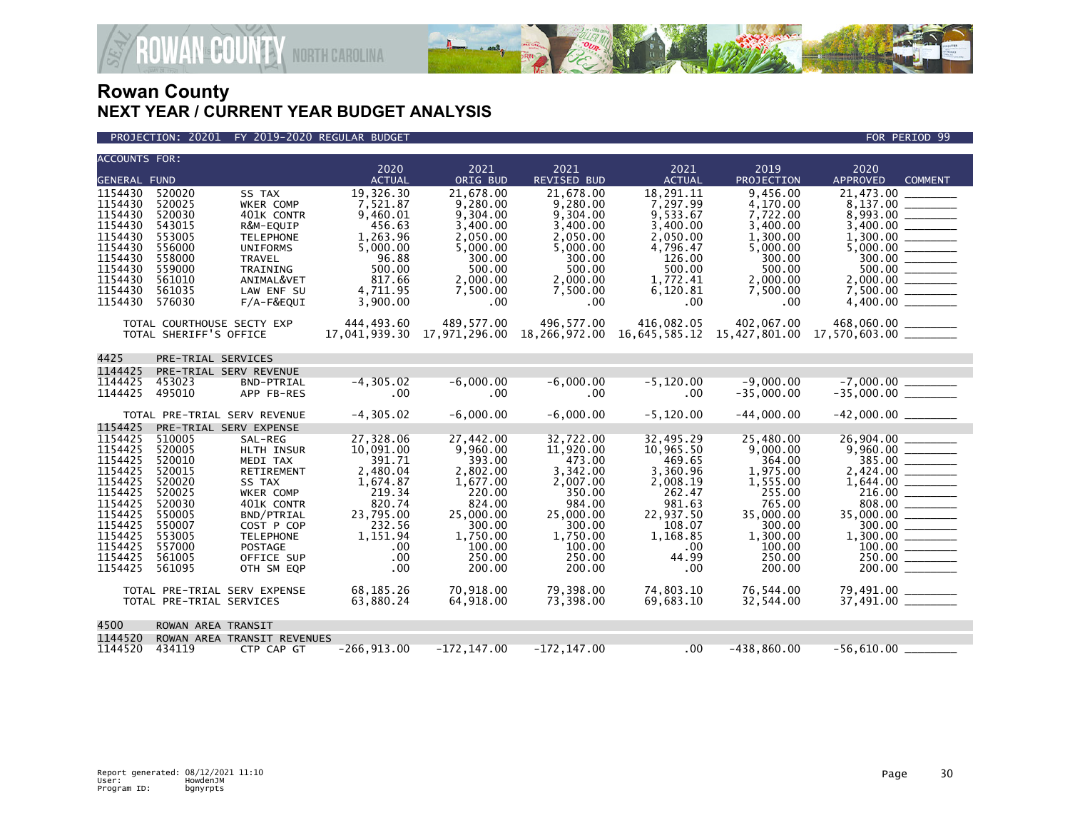

**JAN<sup>&</sup>COUNTY** NORTH CAROLINA

| <b>ACCOUNTS FOR:</b>                                                                                                                                   |                                                                                                                                                            |                                                                                                                                                                                                                                              | 2020                                                                                                                                                                | 2021                                                                                                                                                                   | 2021                                                                                                                                                                    | 2021                                                                                                                                                                       | 2019                                                                                                                                                                   | 2020                                                                                                                           |
|--------------------------------------------------------------------------------------------------------------------------------------------------------|------------------------------------------------------------------------------------------------------------------------------------------------------------|----------------------------------------------------------------------------------------------------------------------------------------------------------------------------------------------------------------------------------------------|---------------------------------------------------------------------------------------------------------------------------------------------------------------------|------------------------------------------------------------------------------------------------------------------------------------------------------------------------|-------------------------------------------------------------------------------------------------------------------------------------------------------------------------|----------------------------------------------------------------------------------------------------------------------------------------------------------------------------|------------------------------------------------------------------------------------------------------------------------------------------------------------------------|--------------------------------------------------------------------------------------------------------------------------------|
| <b>GENERAL FUND</b>                                                                                                                                    |                                                                                                                                                            |                                                                                                                                                                                                                                              | <b>ACTUAL</b>                                                                                                                                                       | ORIG BUD                                                                                                                                                               | <b>REVISED BUD</b>                                                                                                                                                      | <b>ACTUAL</b>                                                                                                                                                              | PROJECTION                                                                                                                                                             | <b>APPROVED</b><br><b>COMMENT</b>                                                                                              |
| 1154430<br>1154430<br>1154430<br>1154430<br>1154430<br>1154430<br>1154430<br>1154430<br>1154430<br>1154430<br>1154430                                  | 520020<br>520025<br>520030<br>543015<br>553005<br>556000<br>558000<br>559000<br>561010<br>561035<br>576030                                                 | SS TAX<br>WKER COMP<br>401K CONTR<br>R&M-EQUIP<br><b>TELEPHONE</b><br><b>UNIFORMS</b><br><b>TRAVEL</b><br><b>TRAINING</b><br>ANIMAL&VET<br>LAW ENF SU<br>$F/A-F\&EQUI$                                                                       | 19,326.30<br>7,521.87<br>9,460.01<br>456.63<br>1,263.96<br>5,000.00<br>96.88<br>500.00<br>817.66<br>4,711.95<br>3,900.00                                            | 21.678.00<br>9,280.00<br>9.304.00<br>3,400.00<br>2,050.00<br>5,000.00<br>300.00<br>500.00<br>2,000.00<br>7,500.00<br>.00                                               | 21,678.00<br>9,280.00<br>9,304.00<br>3,400.00<br>2,050.00<br>5,000.00<br>300.00<br>500.00<br>2,000.00<br>7,500.00<br>.00                                                | 18,291.11<br>7,297.99<br>9,533.67<br>3.400.00<br>2.050.00<br>4.796.47<br>126.00<br>500.00<br>1,772.41<br>6,120.81<br>$.00 \,$                                              | 9.456.00<br>4,170.00<br>7,722.00<br>3,400.00<br>1,300.00<br>5,000.00<br>300.00<br>500.00<br>2,000.00<br>7,500.00<br>.00                                                | 21.473.00<br>8,137.00                                                                                                          |
|                                                                                                                                                        | TOTAL COURTHOUSE SECTY EXP<br>TOTAL SHERIFF'S OFFICE                                                                                                       |                                                                                                                                                                                                                                              | 444,493.60<br>17,041,939.30                                                                                                                                         | 489,577.00                                                                                                                                                             | 496,577.00                                                                                                                                                              | 416,082.05                                                                                                                                                                 | 402,067.00                                                                                                                                                             | 468,060.00 _______<br>$17,971,296.00$ $18,266,972.00$ $16,645,585.12$ $15,427,801.00$ $17,570,603.00$ $\ldots$                 |
| 4425                                                                                                                                                   | PRE-TRIAL SERVICES                                                                                                                                         |                                                                                                                                                                                                                                              |                                                                                                                                                                     |                                                                                                                                                                        |                                                                                                                                                                         |                                                                                                                                                                            |                                                                                                                                                                        |                                                                                                                                |
| 1144425<br>1144425<br>1144425                                                                                                                          | 453023<br>495010                                                                                                                                           | PRE-TRIAL SERV REVENUE<br>BND-PTRIAL<br>APP FB-RES                                                                                                                                                                                           | $-4, 305.02$<br>.00                                                                                                                                                 | $-6,000.00$<br>.00                                                                                                                                                     | $-6,000.00$<br>.00                                                                                                                                                      | $-5.120.00$<br>.00                                                                                                                                                         | $-9.000.00$<br>$-35,000.00$                                                                                                                                            | $-7,000.00$ ________<br>-35,000.00 _________                                                                                   |
|                                                                                                                                                        |                                                                                                                                                            | TOTAL PRE-TRIAL SERV REVENUE                                                                                                                                                                                                                 | $-4.305.02$                                                                                                                                                         | $-6.000.00$                                                                                                                                                            | $-6.000.00$                                                                                                                                                             | $-5.120.00$                                                                                                                                                                | $-44.000.00$                                                                                                                                                           |                                                                                                                                |
| 1154425<br>1154425<br>1154425<br>1154425<br>1154425<br>1154425<br>1154425<br>1154425<br>1154425<br>1154425<br>1154425<br>1154425<br>1154425<br>1154425 | 510005<br>520005<br>520010<br>520015<br>520020<br>520025<br>520030<br>550005<br>550007<br>553005<br>557000<br>561005<br>561095<br>TOTAL PRE-TRIAL SERVICES | PRE-TRIAL SERV EXPENSE<br>SAL-REG<br>HLTH INSUR<br>MEDI TAX<br>RETIREMENT<br>SS TAX<br>WKER COMP<br>401K CONTR<br>BND/PTRIAL<br>COST P COP<br><b>TELEPHONE</b><br><b>POSTAGE</b><br>OFFICE SUP<br>OTH SM EOP<br>TOTAL PRE-TRIAL SERV EXPENSE | 27,328.06<br>10,091.00<br>391.71<br>2,480.04<br>1,674.87<br>219.34<br>820.74<br>23,795.00<br>232.56<br>1,151.94<br>$.00 \,$<br>.00<br>.00<br>68.185.26<br>63,880.24 | 27,442.00<br>9,960.00<br>393.00<br>2,802.00<br>1,677.00<br>220.00<br>824.00<br>25,000.00<br>300.00<br>1,750.00<br>100.00<br>250.00<br>200.00<br>70.918.00<br>64,918.00 | 32,722.00<br>11,920.00<br>473.00<br>3,342.00<br>2,007.00<br>350.00<br>984.00<br>25,000.00<br>300.00<br>1,750.00<br>100.00<br>250.00<br>200.00<br>79.398.00<br>73,398.00 | 32,495.29<br>10,965.50<br>469.65<br>3,360.96<br>2,008.19<br>262.47<br>981.63<br>22,937.50<br>108.07<br>1,168.85<br>$.00 \,$<br>44.99<br>$.00 \,$<br>74.803.10<br>69,683.10 | 25,480.00<br>9,000.00<br>364.00<br>1,975.00<br>1,555.00<br>255.00<br>765.00<br>35,000.00<br>300.00<br>1,300.00<br>100.00<br>250.00<br>200.00<br>76,544.00<br>32,544.00 | 26,904.00<br>9,960.00<br>385.00<br>35,000.00 ________<br>300.00<br>250.00<br>200.00<br>79,491.00 _______<br>37,491.00 ________ |
| 4500                                                                                                                                                   | ROWAN AREA TRANSIT                                                                                                                                         |                                                                                                                                                                                                                                              |                                                                                                                                                                     |                                                                                                                                                                        |                                                                                                                                                                         |                                                                                                                                                                            |                                                                                                                                                                        |                                                                                                                                |
| 1144520<br>1144520                                                                                                                                     | 434119                                                                                                                                                     | ROWAN AREA TRANSIT REVENUES<br>CTP CAP GT                                                                                                                                                                                                    | $-266, 913.00$                                                                                                                                                      | $-172, 147.00$                                                                                                                                                         | $-172, 147.00$                                                                                                                                                          | .00                                                                                                                                                                        | $-438,860.00$                                                                                                                                                          | $-56,610.00$                                                                                                                   |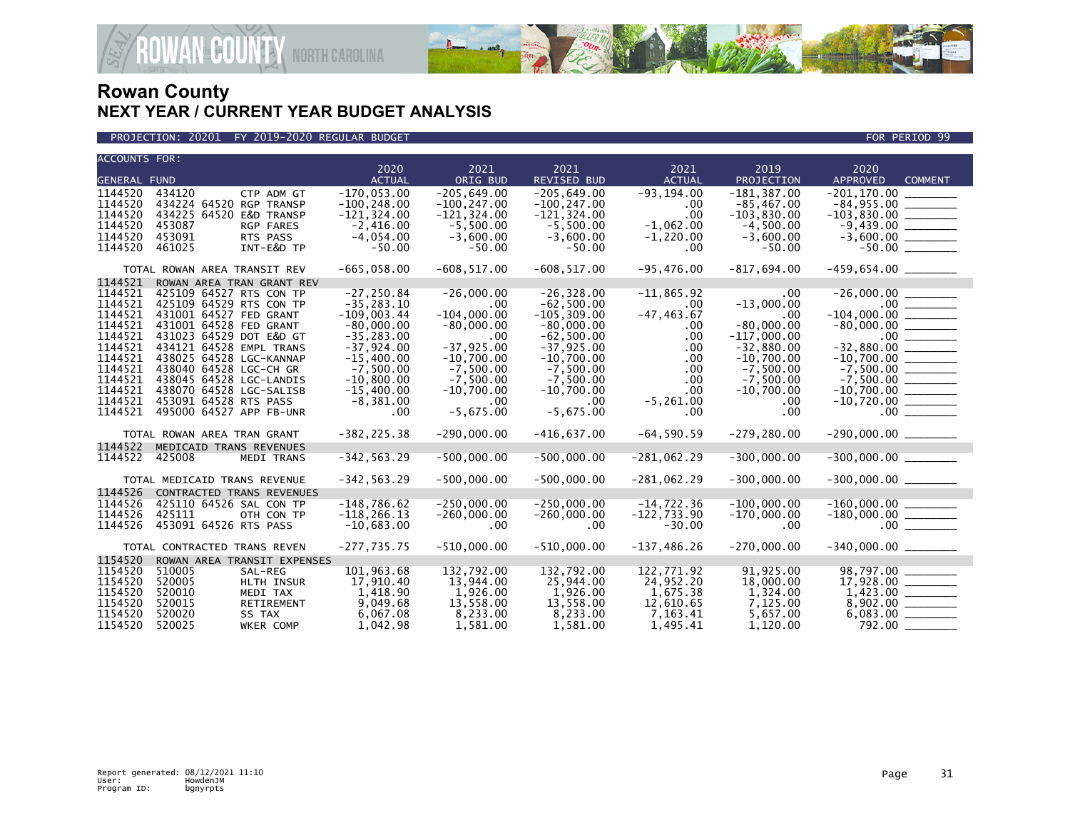

PROJECTION: 20201 FY 2019-2020 REGULAR BUDGET FOR PERIOD 99

| <b>ACCOUNTS FOR:</b>                                                                                                             |                                                                                                                                                                                                                                                                                                                               | 2020                                                                                                                                                                           | 2021                                                                                                                                                      | 2021                                                                                                                                                                      | 2021                                                                                                                | 2019                                                                                                                                             | 2020                                                                                                                |
|----------------------------------------------------------------------------------------------------------------------------------|-------------------------------------------------------------------------------------------------------------------------------------------------------------------------------------------------------------------------------------------------------------------------------------------------------------------------------|--------------------------------------------------------------------------------------------------------------------------------------------------------------------------------|-----------------------------------------------------------------------------------------------------------------------------------------------------------|---------------------------------------------------------------------------------------------------------------------------------------------------------------------------|---------------------------------------------------------------------------------------------------------------------|--------------------------------------------------------------------------------------------------------------------------------------------------|---------------------------------------------------------------------------------------------------------------------|
| <b>GENERAL FUND</b>                                                                                                              |                                                                                                                                                                                                                                                                                                                               | <b>ACTUAL</b>                                                                                                                                                                  | ORIG BUD                                                                                                                                                  | <b>REVISED BUD</b>                                                                                                                                                        | <b>ACTUAL</b>                                                                                                       | PROJECTION                                                                                                                                       | <b>APPROVED</b><br><b>COMMENT</b>                                                                                   |
| 1144520<br>1144520<br>1144520<br>1144520<br>1144520<br>1144520                                                                   | 434120<br>CTP ADM GT<br>434224 64520 RGP TRANSP<br>434225 64520 E&D TRANSP<br>453087<br><b>RGP FARES</b><br>453091<br>RTS PASS<br>INT-E&D TP<br>461025                                                                                                                                                                        | $-170,053.00$<br>$-100, 248.00$<br>$-121, 324.00$<br>$-2,416.00$<br>$-4,054.00$<br>$-50.00$                                                                                    | $-205.649.00$<br>$-100, 247.00$<br>$-121, 324.00$<br>$-5,500.00$<br>$-3,600.00$<br>$-50.00$                                                               | $-205.649.00$<br>$-100, 247.00$<br>$-121, 324.00$<br>$-5,500.00$<br>$-3,600.00$<br>$-50.00$                                                                               | $-93.194.00$<br>.00<br>.00<br>$-1,062.00$<br>$-1,220.00$<br>$.00 \,$                                                | $-181.387.00$<br>$-85, 467.00$<br>$-103,830.00$<br>$-4,500.00$<br>$-3,600.00$<br>$-50.00$                                                        | $-103,830.00$ _________                                                                                             |
|                                                                                                                                  | TOTAL ROWAN AREA TRANSIT REV                                                                                                                                                                                                                                                                                                  | $-665,058.00$                                                                                                                                                                  | $-608, 517.00$                                                                                                                                            | $-608, 517.00$                                                                                                                                                            | $-95,476.00$                                                                                                        | -817,694.00                                                                                                                                      |                                                                                                                     |
| 1144521<br>1144521<br>1144521<br>1144521<br>1144521<br>1144521<br>1144521<br>1144521<br>1144521<br>1144521<br>1144521<br>1144521 | ROWAN AREA TRAN GRANT REV<br>425109 64527 RTS CON TP<br>425109 64529 RTS CON TP<br>431001 64527 FED GRANT<br>431001 64528 FED GRANT<br>431023 64529 DOT E&D GT<br>434121 64528 EMPL TRANS<br>438025 64528 LGC-KANNAP<br>438040 64528 LGC-CH GR<br>438045 64528 LGC-LANDIS<br>438070 64528 LGC-SALISB<br>453091 64528 RTS PASS | $-27, 250.84$<br>$-35, 283.10$<br>$-109,003.44$<br>$-80,000.00$<br>$-35, 283.00$<br>$-37,924.00$<br>$-15,400.00$<br>$-7,500.00$<br>$-10,800.00$<br>$-15,400.00$<br>$-8,381.00$ | $-26,000.00$<br>.00<br>$-104,000.00$<br>$-80,000.00$<br>.00<br>$-37, 925.00$<br>$-10,700.00$<br>$-7,500.00$<br>$-7,500.00$<br>$-10,700.00$<br>$.00 \cdot$ | $-26, 328.00$<br>$-62,500.00$<br>$-105, 309.00$<br>$-80,000.00$<br>$-62,500.00$<br>$-37,925.00$<br>$-10,700.00$<br>$-7,500.00$<br>$-7,500.00$<br>$-10,700.00$<br>$.00 \,$ | $-11,865.92$<br>$.00 \,$<br>$-47, 463.67$<br>.00<br>.00<br>.00<br>.00<br>.00<br>.00<br>$.00 \times$<br>$-5, 261.00$ | .00<br>$-13,000.00$<br>.00<br>$-80,000.00$<br>$-117,000.00$<br>$-32,880.00$<br>$-10,700.00$<br>$-7,500.00$<br>$-7,500.00$<br>$-10,700.00$<br>.00 | $-7,500.00$<br>$-10,700.00$                                                                                         |
| 1144521                                                                                                                          | 495000 64527 APP FB-UNR<br>TOTAL ROWAN AREA TRAN GRANT                                                                                                                                                                                                                                                                        | $.00 \,$<br>$-382, 225.38$                                                                                                                                                     | $-5,675.00$<br>$-290,000.00$                                                                                                                              | $-5.675.00$<br>$-416,637.00$                                                                                                                                              | .00<br>$-64, 590.59$                                                                                                | .00<br>$-279, 280.00$                                                                                                                            | $-290,000.00$ _________                                                                                             |
| 1144522                                                                                                                          | MEDICAID TRANS REVENUES                                                                                                                                                                                                                                                                                                       |                                                                                                                                                                                |                                                                                                                                                           |                                                                                                                                                                           |                                                                                                                     |                                                                                                                                                  |                                                                                                                     |
| 1144522                                                                                                                          | 425008<br><b>MEDI TRANS</b>                                                                                                                                                                                                                                                                                                   | $-342, 563.29$                                                                                                                                                                 | $-500,000.00$                                                                                                                                             | $-500,000.00$                                                                                                                                                             | $-281,062.29$                                                                                                       | $-300,000.00$                                                                                                                                    |                                                                                                                     |
| 1144526                                                                                                                          | TOTAL MEDICAID TRANS REVENUE<br><b>CONTRACTED TRANS REVENUES</b>                                                                                                                                                                                                                                                              | $-342, 563.29$                                                                                                                                                                 | $-500,000.00$                                                                                                                                             | $-500,000.00$                                                                                                                                                             | $-281,062.29$                                                                                                       | $-300,000.00$                                                                                                                                    | $-300,000.00$ _________                                                                                             |
| 1144526<br>1144526<br>1144526                                                                                                    | 425110 64526 SAL CON TP<br>425111<br>OTH CON TP<br>453091 64526 RTS PASS                                                                                                                                                                                                                                                      | $-148,786.62$<br>$-118, 266.13$<br>$-10,683.00$                                                                                                                                | $-250,000.00$<br>$-260,000.00$<br>$.00 \,$                                                                                                                | $-250,000.00$<br>$-260,000.00$<br>.00                                                                                                                                     | $-14,722.36$<br>$-122,733.90$<br>$-30.00$                                                                           | $-100,000.00$<br>$-170,000.00$<br>.00.                                                                                                           |                                                                                                                     |
|                                                                                                                                  | TOTAL CONTRACTED TRANS REVEN                                                                                                                                                                                                                                                                                                  | $-277,735.75$                                                                                                                                                                  | $-510,000.00$                                                                                                                                             | $-510,000.00$                                                                                                                                                             | $-137, 486.26$                                                                                                      | $-270.000.00$                                                                                                                                    |                                                                                                                     |
| 1154520<br>1154520<br>1154520<br>1154520<br>1154520<br>1154520<br>1154520                                                        | ROWAN AREA TRANSIT EXPENSES<br>510005<br>SAL-REG<br>520005<br>HLTH INSUR<br>520010<br>MEDI TAX<br>520015<br>RETIREMENT<br>520020<br>SS TAX<br>520025<br><b>WKER COMP</b>                                                                                                                                                      | 101.963.68<br>17,910.40<br>1,418.90<br>9,049.68<br>6,067.08<br>1,042.98                                                                                                        | 132,792.00<br>13,944.00<br>1,926.00<br>13,558.00<br>8,233.00<br>1.581.00                                                                                  | 132,792.00<br>25,944.00<br>1,926.00<br>13,558.00<br>8,233.00<br>1.581.00                                                                                                  | 122.771.92<br>24,952.20<br>1,675.38<br>12,610.65<br>7,163.41<br>1,495.41                                            | 91.925.00<br>18,000.00<br>1,324.00<br>7,125.00<br>5,657.00<br>1,120.00                                                                           | 98,797.00<br>$1,423.00$ $\overline{\hspace{1.5cm}}$<br>8,902.00 $\overline{\hspace{1.5cm}}$<br>$6,083.00$ _________ |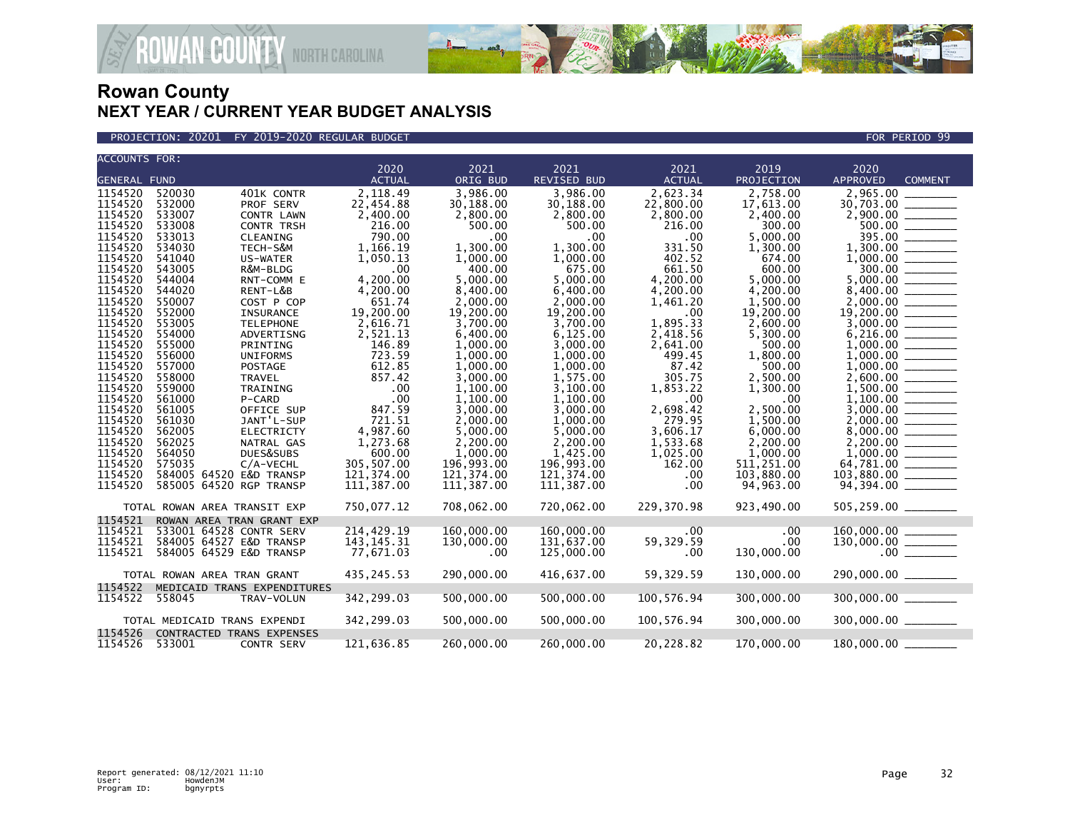

PROJECTION: 20201 FY 2019-2020 REGULAR BUDGET FOR PERIOD 99

| <b>ACCOUNTS FOR:</b> |                                            |                 |                      |                      |                          |                         |                                                                                                                                      |
|----------------------|--------------------------------------------|-----------------|----------------------|----------------------|--------------------------|-------------------------|--------------------------------------------------------------------------------------------------------------------------------------|
|                      |                                            | 2020            | 2021                 | 2021                 | 2021                     | 2019                    | 2020                                                                                                                                 |
| <b>GENERAL FUND</b>  |                                            | <b>ACTUAL</b>   | ORIG BUD             | REVISED BUD          | <b>ACTUAL</b>            | PROJECTION              | <b>APPROVED</b><br><b>COMMENT</b>                                                                                                    |
| 1154520              | 520030<br>401K CONTR                       | 2,118.49        | 3,986.00             | 3,986.00             | 2,623.34                 | 2,758.00                | 2,965.00                                                                                                                             |
| 1154520              | 532000<br>PROF SERV                        | 22,454.88       | 30,188.00            | 30,188.00            | 22,800.00                | 17,613.00               |                                                                                                                                      |
| 1154520              | 533007<br>CONTR LAWN                       | 2,400.00        | 2,800.00             | 2,800.00             | 2,800.00                 | 2,400.00                |                                                                                                                                      |
| 1154520              | 533008<br><b>CONTR TRSH</b>                | 216.00          | 500.00               | 500.00               | 216.00                   | 300.00                  |                                                                                                                                      |
| 1154520              | 533013<br>CLEANING                         | 790.00          | .00                  | $.00 \,$             | .00                      | 5,000.00                |                                                                                                                                      |
| 1154520              | 534030<br>TECH-S&M                         | 1,166.19        | 1.300.00             | 1.300.00             | 331.50                   | 1,300.00                |                                                                                                                                      |
| 1154520<br>1154520   | 541040<br>US-WATER                         | 1,050.13        | 1,000.00             | 1,000.00             | 402.52<br>661.50         | 674.00                  |                                                                                                                                      |
| 1154520              | 543005<br>R&M-BLDG<br>544004<br>RNT-COMM E | .00<br>4.200.00 | 400.00<br>5.000.00   | 675.00<br>5,000.00   | 4,200.00                 | 600.00<br>5,000.00      | $\frac{300.00}{5,000.00}$                                                                                                            |
| 1154520              | 544020<br>RENT-L&B                         | 4,200.00        | 8,400.00             | 6,400.00             | 4,200.00                 | 4,200.00                |                                                                                                                                      |
| 1154520              | 550007<br>COST P COP                       | 651.74          | 2,000.00             | 2.000.00             | 1,461.20                 | 1,500.00                |                                                                                                                                      |
| 1154520              | 552000<br>INSURANCE                        | 19,200.00       | 19,200.00            | 19,200.00            | .00                      | 19,200.00               |                                                                                                                                      |
| 1154520              | 553005<br><b>TELEPHONE</b>                 | 2,616.71        | 3,700.00             | 3,700.00             | 1,895.33                 | 2,600.00                | $\frac{19,200.00}{3,000.00}$                                                                                                         |
| 1154520              | 554000<br>ADVERTISNG                       | 2,521.13        | 6,400.00             | 6,125.00             | 2,418.56                 | 5,300.00                |                                                                                                                                      |
| 1154520              | 555000<br>PRINTING                         | 146.89          | 1,000.00             | 3,000.00             | 2,641.00                 | 500.00                  |                                                                                                                                      |
| 1154520              | 556000<br><b>UNIFORMS</b>                  | 723.59          | 1,000.00             | 1,000.00             | 499.45                   | 1,800.00                |                                                                                                                                      |
| 1154520              | 557000<br>POSTAGE                          | 612.85          | 1,000.00             | 1,000.00             | 87.42                    | 500.00                  |                                                                                                                                      |
| 1154520              | 558000<br>TRAVEL                           | 857.42          | 3,000.00             | 1,575.00             | 305.75                   | 2,500.00                |                                                                                                                                      |
| 1154520<br>1154520   | 559000<br>TRAINING<br>561000<br>P-CARD     | .00<br>.00      | 1,100.00<br>1.100.00 | 3,100.00<br>1,100.00 | 1,853.22<br>$.00 \times$ | 1,300.00<br>$.00 \cdot$ |                                                                                                                                      |
| 1154520              | 561005<br>OFFICE SUP                       | 847.59          | 3,000.00             | 3,000.00             | 2,698.42                 | 2,500.00                |                                                                                                                                      |
| 1154520              | 561030<br>JANT'L-SUP                       | 721.51          | 2,000.00             | 1,000.00             | 279.95                   | 1,500.00                |                                                                                                                                      |
| 1154520              | 562005<br><b>ELECTRICTY</b>                | 4,987.60        | 5,000.00             | 5,000.00             | 3,606.17                 | 6,000.00                |                                                                                                                                      |
| 1154520              | 562025<br>NATRAL GAS                       | 1,273.68        | 2,200.00             | 2,200.00             | 1,533.68                 | 2,200.00                |                                                                                                                                      |
| 1154520              | 564050<br>DUES&SUBS                        | 600.00          | 1,000.00             | 1,425.00             | 1,025.00                 | 1,000.00                |                                                                                                                                      |
| 1154520              | 575035<br>C/A-VECHL                        | 305,507.00      | 196,993.00           | 196,993.00           | 162.00                   | 511,251.00              | 64,781.00                                                                                                                            |
| 1154520              | 584005 64520 E&D TRANSP                    | 121,374.00      | 121,374.00           | 121,374.00           | $.00 \,$                 | 103,880.00              | 103,880.00 ______                                                                                                                    |
| 1154520              | 585005 64520 RGP TRANSP                    | 111,387.00      | 111,387.00           | 111,387.00           | .00                      | 94,963.00               |                                                                                                                                      |
|                      | TOTAL ROWAN AREA TRANSIT EXP               | 750,077.12      | 708,062.00           | 720,062.00           | 229,370.98               | 923,490.00              | 505,259.00 _______                                                                                                                   |
| 1154521              | ROWAN AREA TRAN GRANT EXP                  |                 |                      |                      |                          |                         |                                                                                                                                      |
| 1154521              | 533001 64528 CONTR SERV                    | 214,429.19      | 160,000.00           | 160,000.00           | .00                      | .00                     | $\begin{array}{r} 160\, ,000\, .00\, \rule{0mm}{2mm} \\ 130\, ,000\, .00\, \rule{0mm}{2mm} \\ 0 \, 0 \, \rule{0mm}{2mm} \end{array}$ |
| 1154521              | 584005 64527 E&D TRANSP                    | 143, 145. 31    | 130,000.00           | 131,637.00           | 59,329.59                | $.00 \,$                |                                                                                                                                      |
| 1154521              | 584005 64529 E&D TRANSP                    | 77,671.03       | .00                  | 125,000.00           | .00                      | 130,000.00              |                                                                                                                                      |
|                      | TOTAL ROWAN AREA TRAN GRANT                | 435, 245.53     | 290,000.00           | 416,637.00           | 59,329.59                | 130,000.00              | 290,000.00 _______                                                                                                                   |
| 1154522              | MEDICAID TRANS EXPENDITURES                |                 |                      |                      |                          |                         |                                                                                                                                      |
| 1154522              | 558045<br>TRAV-VOLUN                       | 342,299.03      | 500,000.00           | 500,000.00           | 100,576.94               | 300,000.00              | 300,000.00                                                                                                                           |
|                      | TOTAL MEDICAID TRANS EXPENDI               | 342,299.03      | 500,000.00           | 500,000.00           | 100,576.94               | 300,000.00              | $300,000.00$ ________                                                                                                                |
| 1154526              | CONTRACTED TRANS EXPENSES                  |                 |                      |                      |                          |                         |                                                                                                                                      |
| 1154526              | 533001<br><b>CONTR SERV</b>                | 121,636.85      | 260,000.00           | 260,000.00           | 20,228.82                | 170,000.00              | 180,000.00                                                                                                                           |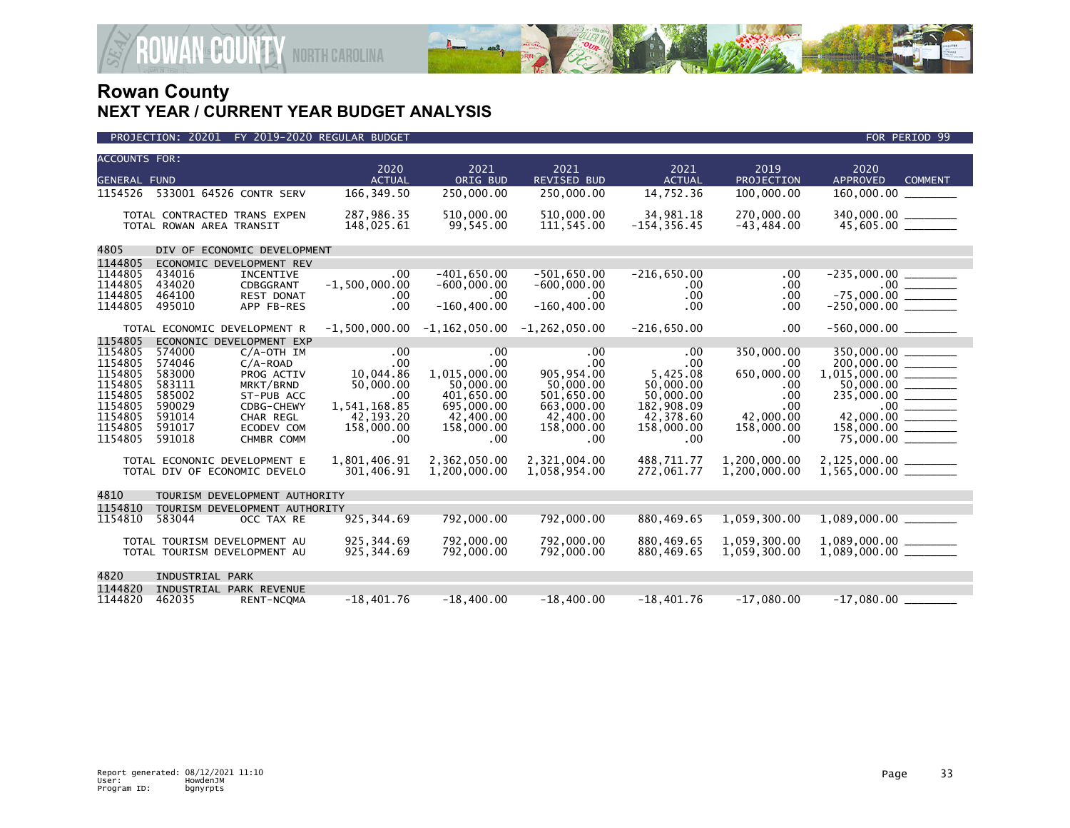

| PROJECTION: 20201 FY 2019-2020 REGULAR BUDGET | FOR PERIOD 99 |
|-----------------------------------------------|---------------|

| <b>ACCOUNTS FOR:</b> |                                                    | 2020                   | 2021                                        | 2021                    | 2021                  | 2019              | 2020                                              |  |
|----------------------|----------------------------------------------------|------------------------|---------------------------------------------|-------------------------|-----------------------|-------------------|---------------------------------------------------|--|
| <b>GENERAL FUND</b>  |                                                    | <b>ACTUAL</b>          | ORIG BUD                                    | REVISED BUD             | <b>ACTUAL</b>         | PROJECTION        | <b>APPROVED</b><br><b>COMMENT</b>                 |  |
| 1154526              | 533001 64526 CONTR SERV                            | 166, 349.50            | 250,000.00                                  | 250,000.00              | 14,752.36             | 100,000,00        | 160,000.00                                        |  |
|                      | TOTAL CONTRACTED TRANS EXPEN                       | 287,986.35             | 510.000.00                                  | 510,000,00              | 34.981.18             | 270,000,00        | 340,000.00<br>45,605.00                           |  |
|                      | TOTAL ROWAN AREA TRANSIT                           | 148,025.61             | 99,545.00                                   | 111,545.00              | $-154, 356.45$        | $-43, 484.00$     |                                                   |  |
| 4805                 | DIV OF ECONOMIC DEVELOPMENT                        |                        |                                             |                         |                       |                   |                                                   |  |
| 1144805              | ECONOMIC DEVELOPMENT REV                           |                        |                                             |                         |                       |                   |                                                   |  |
| 1144805              | 434016<br>INCENTIVE                                | .00 <sub>1</sub>       | $-401,650.00$                               | $-501,650.00$           | $-216,650.00$         | .00               |                                                   |  |
| 1144805<br>1144805   | 434020<br>CDBGGRANT<br>464100<br><b>REST DONAT</b> | $-1,500,000.00$<br>.00 | $-600.000.00$<br>.00                        | $-600,000.00$<br>.00    | $.00 \,$<br>.00       | .00<br>.00        | $-75,000.00$                                      |  |
| 1144805              | 495010<br>APP FB-RES                               | .00                    | $-160, 400.00$                              | $-160, 400.00$          | .00                   | .00               |                                                   |  |
|                      | TOTAL ECONOMIC DEVELOPMENT R                       |                        | $-1,500,000.00 -1,162,050.00 -1,262,050.00$ |                         | $-216.650.00$         | .00               | $-560,000.00$ _________                           |  |
| 1154805              | ECONONIC DEVELOPMENT EXP                           |                        |                                             |                         |                       |                   |                                                   |  |
| 1154805              | 574000<br>$C/A$ -OTH IM                            | .00                    | .00                                         | $.00 \ \,$              | .00                   | 350,000.00        | 350,000.00                                        |  |
| 1154805              | 574046<br>$C/A-ROAD$                               | .00                    | $.00 \,$                                    | .00                     | .00                   | .00               | $200,000.00$ ________                             |  |
| 1154805<br>1154805   | 583000<br>PROG ACTIV<br>583111<br>MRKT/BRND        | 10,044.86<br>50,000.00 | 1,015,000.00<br>50,000.00                   | 905,954.00<br>50,000.00 | 5,425.08<br>50,000.00 | 650,000.00<br>.00 |                                                   |  |
| 1154805              | 585002<br>ST-PUB ACC                               | .00                    | 401,650.00                                  | 501,650.00              | 50,000.00             | .00               |                                                   |  |
| 1154805              | 590029<br>CDBG-CHEWY                               | 1,541,168.85           | 695,000.00                                  | 663,000.00              | 182,908.09            | .00               |                                                   |  |
| 1154805              | 591014<br>CHAR REGL                                | 42,193.20              | 42,400.00                                   | 42,400.00               | 42,378.60             | 42,000.00         |                                                   |  |
| 1154805              | 591017<br>ECODEV COM                               | 158,000.00             | 158,000.00                                  | 158,000.00              | 158,000.00            | 158,000.00        |                                                   |  |
| 1154805              | 591018<br>CHMBR COMM                               | .00                    | $.00 \,$                                    | .00                     | .00                   | .00               |                                                   |  |
|                      | TOTAL ECONONIC DEVELOPMENT E                       | 1,801,406.91           | 2,362,050.00                                | 2,321,004.00            | 488,711.77            | 1,200,000.00      | $2,125,000.00$ _________<br>1,565,000.00 ________ |  |
|                      | TOTAL DIV OF ECONOMIC DEVELO                       | 301,406.91             | 1,200,000.00                                | 1,058,954.00            | 272,061.77            | 1,200,000.00      |                                                   |  |
| 4810                 | TOURISM DEVELOPMENT AUTHORITY                      |                        |                                             |                         |                       |                   |                                                   |  |
| 1154810              | TOURISM DEVELOPMENT AUTHORITY                      |                        |                                             |                         |                       |                   |                                                   |  |
| 1154810              | 583044<br>OCC TAX RE                               | 925, 344.69            | 792,000.00                                  | 792,000.00              | 880,469.65            | 1,059,300.00      | 1,089,000.00                                      |  |
|                      | TOTAL TOURISM DEVELOPMENT AU                       | 925.344.69             | 792,000,00                                  | 792,000,00              | 880.469.65            | 1.059.300.00      |                                                   |  |
|                      | TOTAL TOURISM DEVELOPMENT AU                       | 925, 344.69            | 792,000.00                                  | 792,000.00              | 880,469.65            | 1,059,300.00      | $1,089,000.00$ _________<br>1,089,000.00 ________ |  |
| 4820                 | INDUSTRIAL PARK                                    |                        |                                             |                         |                       |                   |                                                   |  |
| 1144820              | INDUSTRIAL PARK REVENUE                            |                        |                                             |                         |                       |                   |                                                   |  |
| 1144820              | 462035<br><b>RENT-NCOMA</b>                        | $-18.401.76$           | $-18.400.00$                                | $-18.400.00$            | $-18.401.76$          | $-17.080.00$      | $-17.080.00$                                      |  |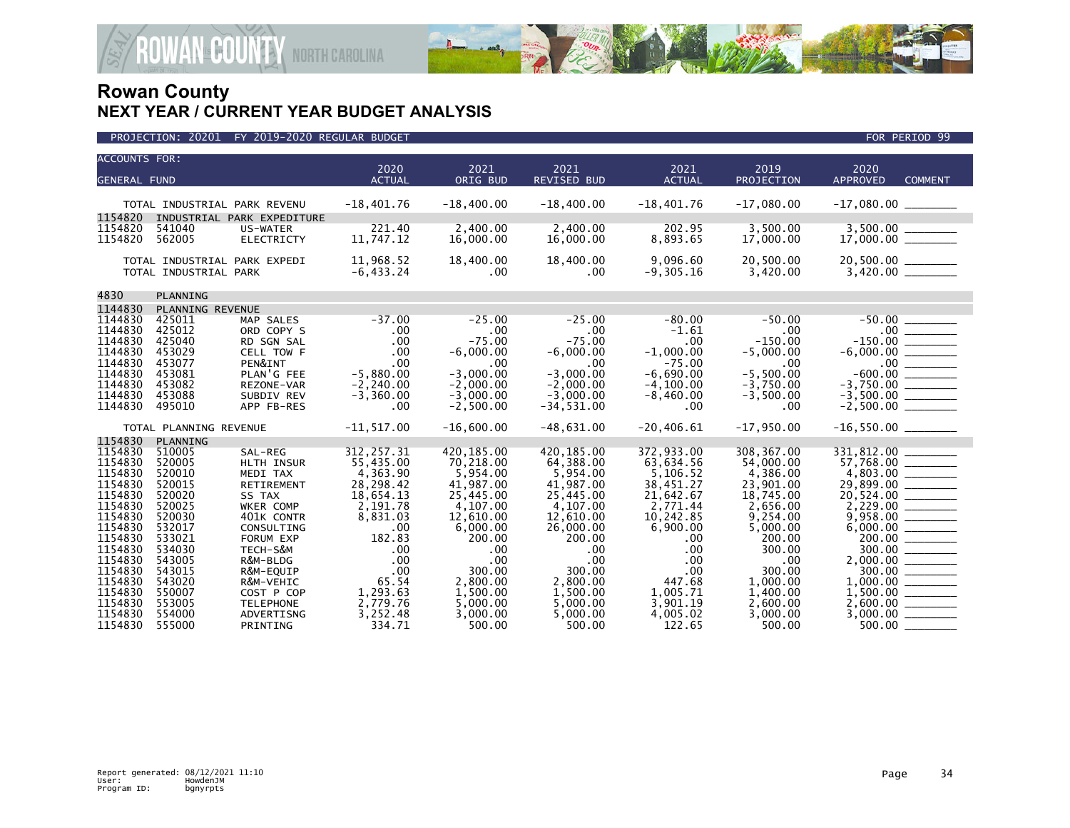

| <b>ACCOUNTS FOR:</b><br><b>GENERAL FUND</b> |                                                       |                               | 2020<br><b>ACTUAL</b>     | 2021<br>ORIG BUD      | 2021<br><b>REVISED BUD</b> | 2021<br><b>ACTUAL</b>    | 2019<br>PROJECTION    | 2020<br><b>APPROVED</b><br><b>COMMENT</b> |
|---------------------------------------------|-------------------------------------------------------|-------------------------------|---------------------------|-----------------------|----------------------------|--------------------------|-----------------------|-------------------------------------------|
| 1154820                                     | TOTAL INDUSTRIAL PARK REVENU                          | INDUSTRIAL PARK EXPEDITURE    | $-18,401.76$              | $-18,400.00$          | $-18,400.00$               | $-18,401.76$             | $-17,080.00$          | $-17,080.00$ ________                     |
| 1154820<br>1154820                          | 541040<br>562005                                      | US-WATER<br><b>ELECTRICTY</b> | 221.40<br>11,747.12       | 2,400.00<br>16,000.00 | 2.400.00<br>16,000.00      | 202.95<br>8,893.65       | 3,500.00<br>17,000.00 |                                           |
|                                             | TOTAL INDUSTRIAL PARK EXPEDI<br>TOTAL INDUSTRIAL PARK |                               | 11,968.52<br>$-6, 433.24$ | 18,400.00<br>.00      | 18,400.00<br>$.00 \,$      | 9,096.60<br>$-9, 305.16$ | 20,500.00<br>3,420.00 |                                           |
| 4830                                        | PLANNING                                              |                               |                           |                       |                            |                          |                       |                                           |
| 1144830                                     | PLANNING REVENUE                                      |                               |                           |                       |                            |                          |                       |                                           |
| 1144830                                     | 425011                                                | MAP SALES                     | $-37.00$                  | $-25.00$              | $-25.00$                   | $-80.00$                 | $-50.00$              |                                           |
| 1144830                                     | 425012                                                | ORD COPY S                    | .00                       | .00                   | $.00 \ \,$                 | $-1.61$                  | .00                   |                                           |
| 1144830                                     | 425040                                                | RD SGN SAL                    | .00                       | $-75.00$              | $-75.00$                   | .00                      | $-150.00$             | $-150.00$ $\overline{\qquad}$             |
| 1144830                                     | 453029                                                | CELL TOW F                    | .00                       | $-6,000.00$           | $-6,000.00$                | $-1,000.00$              | $-5,000.00$           |                                           |
| 1144830                                     | 453077                                                | PEN&INT                       | .00                       | .00                   | .00                        | $-75.00$                 | .00                   | $-600.00$ $-$                             |
| 1144830                                     | 453081                                                | PLAN'G FEE                    | $-5,880.00$               | $-3.000.00$           | $-3.000.00$                | $-6.690.00$              | $-5.500.00$           |                                           |
| 1144830                                     | 453082                                                | REZONE-VAR                    | $-2, 240.00$              | $-2,000.00$           | $-2,000.00$                | $-4, 100.00$             | $-3,750.00$           |                                           |
| 1144830                                     | 453088                                                | SUBDIV REV                    | $-3,360.00$               | $-3,000.00$           | $-3.000.00$                | $-8,460.00$              | $-3,500.00$           |                                           |
| 1144830                                     | 495010                                                | APP FB-RES                    | .00                       | $-2,500.00$           | $-34,531.00$               | $.00 \,$                 | $.00 \,$              |                                           |
|                                             | TOTAL PLANNING REVENUE                                |                               | $-11, 517.00$             | $-16,600.00$          | $-48.631.00$               | $-20.406.61$             | $-17.950.00$          | $-16,550.00$ ________                     |
| 1154830                                     | PLANNING                                              |                               |                           |                       |                            |                          |                       |                                           |
| 1154830                                     | 510005                                                | SAL-REG                       | 312, 257.31               | 420,185.00            | 420.185.00                 | 372,933.00               | 308, 367, 00          | 331,812.00                                |
| 1154830                                     | 520005                                                | HLTH INSUR                    | 55,435.00                 | 70,218.00             | 64,388.00                  | 63,634.56                | 54,000.00             | $\frac{57,768.00}{4,803.00}$              |
| 1154830                                     | 520010                                                | MEDI TAX                      | 4,363.90                  | 5,954.00              | 5,954.00                   | 5,106.52                 | 4,386.00              |                                           |
| 1154830                                     | 520015                                                | RETIREMENT                    | 28,298.42                 | 41,987.00             | 41,987.00                  | 38,451.27                | 23,901.00             |                                           |
| 1154830                                     | 520020                                                | SS TAX                        | 18,654.13                 | 25,445.00             | 25,445.00                  | 21,642.67                | 18,745.00             |                                           |
| 1154830                                     | 520025                                                | WKER COMP                     | 2,191.78                  | 4,107.00              | 4.107.00                   | 2,771.44                 | 2,656.00              |                                           |
| 1154830                                     | 520030                                                | 401K CONTR                    | 8,831.03                  | 12,610.00             | 12,610.00                  | 10,242.85                | 9,254.00              |                                           |
| 1154830                                     | 532017                                                | CONSULTING                    | .00                       | 6,000.00              | 26,000.00                  | 6,900.00                 | 5,000.00              |                                           |
| 1154830<br>1154830                          | 533021<br>534030                                      | FORUM EXP<br>TECH-S&M         | 182.83<br>.00             | 200.00<br>.00         | 200.00<br>.00              | .00<br>.00               | 200.00<br>300.00      |                                           |
| 1154830                                     | 543005                                                | R&M-BLDG                      | .00                       | .00                   | $.00 \,$                   | .00                      | .00                   |                                           |
| 1154830                                     | 543015                                                | R&M-EQUIP                     | .00                       | 300.00                | 300.00                     | .00                      | 300.00                | $300.00$ ________                         |
| 1154830                                     | 543020                                                | R&M-VEHIC                     | 65.54                     | 2,800.00              | 2,800.00                   | 447.68                   | 1,000.00              |                                           |
| 1154830                                     | 550007                                                | COST P COP                    | 1,293.63                  | 1,500.00              | 1,500.00                   | 1,005.71                 | 1,400.00              |                                           |
| 1154830                                     | 553005                                                | <b>TELEPHONE</b>              | 2,779.76                  | 5,000.00              | 5,000,00                   | 3,901.19                 | 2,600.00              |                                           |
| 1154830                                     | 554000                                                | ADVERTISNG                    | 3,252.48                  | 3,000.00              | 5,000.00                   | 4,005.02                 | 3,000.00              |                                           |
| 1154830                                     | 555000                                                | PRINTING                      | 334.71                    | 500.00                | 500.00                     | 122.65                   | 500.00                | $500.00$ $-$                              |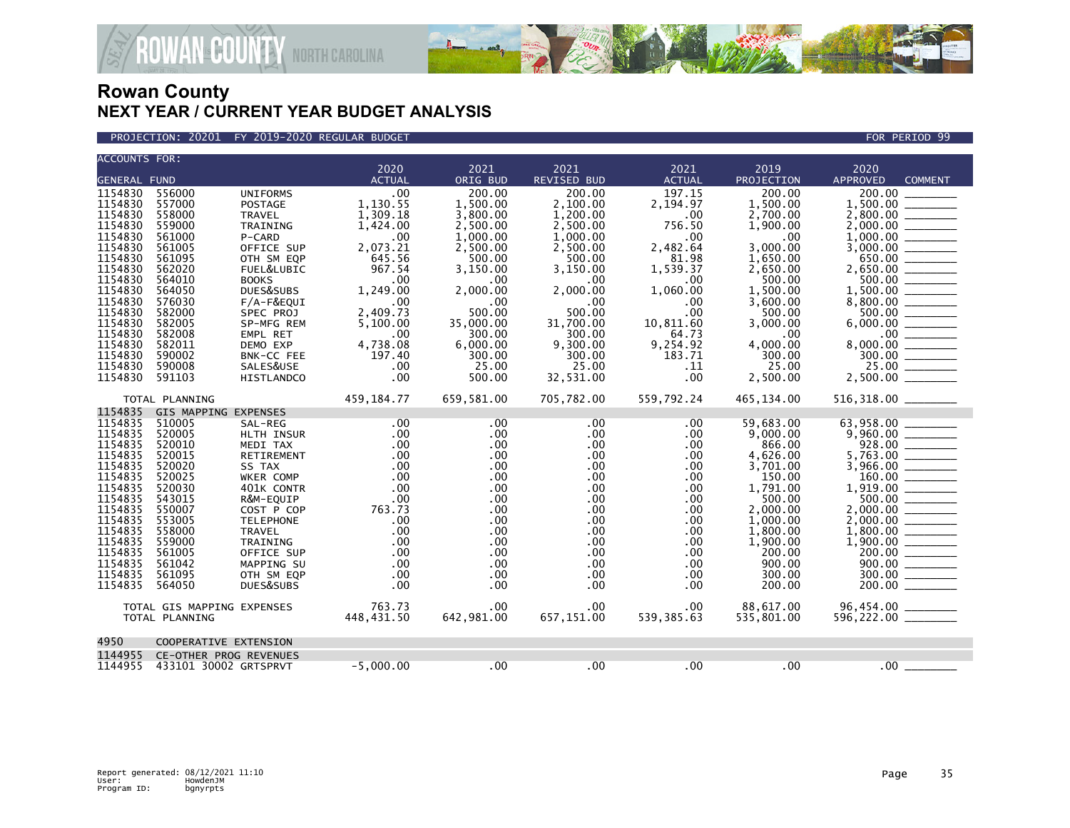

PROJECTION: 20201 FY 2019-2020 REGULAR BUDGET FOR PERIOD 99

| <b>ACCOUNTS FOR:</b> |                            |                            |                 |                      |                          |               |                       |                                              |  |  |  |
|----------------------|----------------------------|----------------------------|-----------------|----------------------|--------------------------|---------------|-----------------------|----------------------------------------------|--|--|--|
|                      |                            |                            | 2020            | 2021                 | 2021                     | 2021          | 2019                  | 2020                                         |  |  |  |
| <b>GENERAL FUND</b>  |                            |                            | <b>ACTUAL</b>   | ORIG BUD             | <b>REVISED BUD</b>       | <b>ACTUAL</b> | PROJECTION            | <b>APPROVED</b><br><b>COMMENT</b>            |  |  |  |
| 1154830              | 556000                     | <b>UNIFORMS</b>            | .00             | 200.00               | 200.00                   | 197.15        | 200.00                | 200.00                                       |  |  |  |
| 1154830              | 557000                     | <b>POSTAGE</b>             | 1,130.55        | 1,500.00             | 2,100.00                 | 2,194.97      | 1,500.00              | 1,500.00                                     |  |  |  |
| 1154830<br>1154830   | 558000<br>559000           | <b>TRAVEL</b>              | 1,309.18        | 3.800.00             | 1.200.00                 | .00           | 2.700.00              | 2.800.00                                     |  |  |  |
| 1154830              | 561000                     | TRAINING<br>P-CARD         | 1,424.00<br>.00 | 2,500.00<br>1,000.00 | 2,500.00<br>1,000.00     | 756.50<br>.00 | 1,900.00<br>.00       | 1.000.00                                     |  |  |  |
| 1154830              | 561005                     | OFFICE SUP                 | 2,073.21        | 2,500.00             | 2,500.00                 | 2,482.64      | 3,000.00              | 3,000.00                                     |  |  |  |
| 1154830              | 561095                     | OTH SM EQP                 | 645.56          | 500.00               | 500.00                   | 81.98         | 1,650.00              | 650.00                                       |  |  |  |
| 1154830              | 562020                     | FUEL&LUBIC                 | 967.54          | 3,150.00             | 3,150.00                 | 1,539.37      | 2,650.00              | 2,650.00                                     |  |  |  |
| 1154830              | 564010                     | <b>BOOKS</b>               | .00             | .00                  | .00                      | .00           | 500.00                |                                              |  |  |  |
| 1154830<br>1154830   | 564050<br>576030           | DUES&SUBS                  | 1,249.00<br>.00 | 2.000.00             | 2,000.00                 | 1,060.00      | 1,500.00              | 1.500.00                                     |  |  |  |
| 1154830              | 582000                     | $F/A-F\&EQUI$<br>SPEC PROJ | 2,409.73        | .00<br>500.00        | .00.<br>500.00           | .00<br>.00    | 3,600.00<br>500.00    | 8,800.00<br>500.00                           |  |  |  |
| 1154830              | 582005                     | SP-MFG REM                 | 5,100.00        | 35,000.00            | 31,700.00                | 10,811.60     | 3,000.00              |                                              |  |  |  |
| 1154830              | 582008                     | EMPL RET                   | .00             | 300.00               | 300.00                   | 64.73         | .00                   | $.00$ $\_\_$                                 |  |  |  |
| 1154830              | 582011                     | DEMO EXP                   | 4,738.08        | 6,000.00             | 9,300.00                 | 9,254.92      | 4,000.00              |                                              |  |  |  |
| 1154830              | 590002                     | BNK-CC FEE                 | 197.40          | 300.00               | 300.00                   | 183.71        | 300.00                |                                              |  |  |  |
| 1154830<br>1154830   | 590008                     | SALES&USE                  | .00<br>.00      | 25.00                | 25.00                    | . 11<br>.00   | 25.00                 |                                              |  |  |  |
|                      | 591103                     | <b>HISTLANDCO</b>          |                 | 500.00               | 32,531.00                |               | 2,500.00              |                                              |  |  |  |
|                      | TOTAL PLANNING             |                            | 459,184.77      | 659,581.00           | 705,782.00               | 559,792.24    | 465,134.00            | 516,318.00 ________                          |  |  |  |
| 1154835              | GIS MAPPING EXPENSES       |                            |                 |                      |                          |               |                       |                                              |  |  |  |
| 1154835<br>1154835   | 510005<br>520005           | SAL-REG<br>HLTH INSUR      | .00<br>.00      | .00<br>$.00 \,$      | .00<br>$.00 \ \,$        | .00<br>.00    | 59.683.00<br>9,000.00 | 63,958.00                                    |  |  |  |
| 1154835              | 520010                     | MEDI TAX                   | .00             | $.00 \,$             | $.00 \,$                 | .00           | 866.00                | 928.00                                       |  |  |  |
| 1154835              | 520015                     | RETIREMENT                 | .00             | $.00 \,$             | $.00 \,$                 | .00           | 4,626.00              | 5,763.00 ______                              |  |  |  |
| 1154835              | 520020                     | SS TAX                     | .00             | $.00 \,$             | $.00 \,$                 | .00           | 3,701.00              |                                              |  |  |  |
| 1154835              | 520025                     | WKER COMP                  | .00             | $.00 \,$             | $.00 \,$                 | .00           | 150.00                |                                              |  |  |  |
| 1154835              | 520030                     | 401K CONTR                 | .00             | $.00 \,$             | .00                      | .00           | 1,791.00              | $1,919.00$ $\frac{\phantom{0}}{\phantom{0}}$ |  |  |  |
| 1154835<br>1154835   | 543015<br>550007           | R&M-EQUIP<br>COST P COP    | .00<br>763.73   | $.00 \,$<br>$.00 \,$ | $.00 \times$<br>$.00 \,$ | .00<br>.00    | 500.00<br>2.000.00    | 500.00<br>2,000.00 _______                   |  |  |  |
| 1154835              | 553005                     | <b>TELEPHONE</b>           | .00             | $.00 \,$             | $.00 \,$                 | .00           | 1,000.00              | $2,000.00$ _________                         |  |  |  |
| 1154835              | 558000                     | <b>TRAVEL</b>              | .00             | $.00 \,$             | $.00 \,$                 | .00           | 1,800.00              |                                              |  |  |  |
| 1154835              | 559000                     | TRAINING                   | .00             | $.00 \,$             | .00                      | .00           | 1,900.00              |                                              |  |  |  |
| 1154835              | 561005                     | OFFICE SUP                 | .00             | $.00 \,$             | $.00 \,$                 | .00           | 200.00                | 200.00                                       |  |  |  |
| 1154835              | 561042                     | MAPPING SU                 | .00             | $.00 \,$             | .00                      | .00           | 900.00                |                                              |  |  |  |
| 1154835<br>1154835   | 561095<br>564050           | OTH SM EQP<br>DUES&SUBS    | .00<br>.00      | $.00 \,$<br>$.00 \,$ | $.00 \,$<br>$.00 \,$     | .00<br>.00    | 300.00<br>200.00      | 300.00                                       |  |  |  |
|                      |                            |                            |                 |                      |                          |               |                       |                                              |  |  |  |
|                      | TOTAL GIS MAPPING EXPENSES |                            | 763.73          | $.00 \,$             | .00 <sub>1</sub>         | .00           | 88,617.00             |                                              |  |  |  |
| TOTAL PLANNING       |                            | 448,431.50                 | 642,981.00      | 657,151.00           | 539,385.63               | 535,801.00    |                       |                                              |  |  |  |
| 4950                 | COOPERATIVE EXTENSION      |                            |                 |                      |                          |               |                       |                                              |  |  |  |
| 1144955              | CE-OTHER PROG REVENUES     |                            |                 |                      |                          |               |                       |                                              |  |  |  |
| 1144955              | 433101 30002 GRTSPRVT      |                            | $-5,000.00$     | .00                  | .00                      | .00           | .00                   | .00                                          |  |  |  |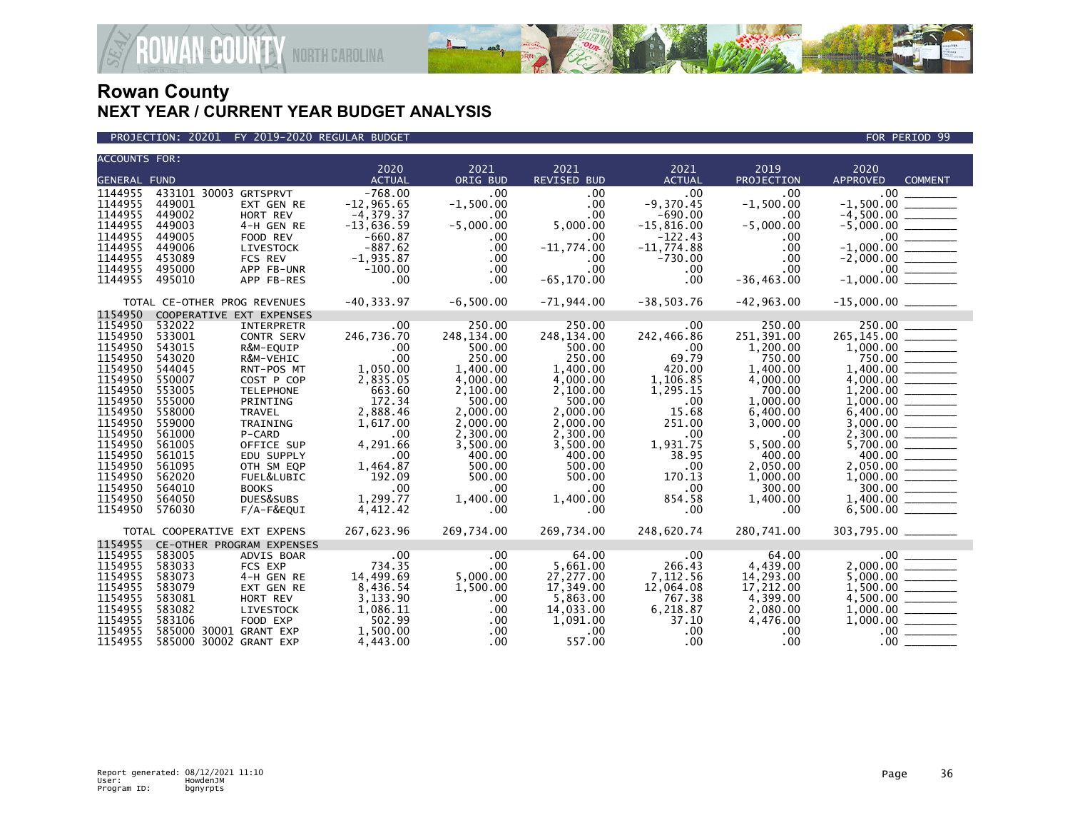



| <b>ACCOUNTS FOR:</b>         |                              |                        | 2020                     | 2021                 | 2021                 | 2021              | 2019            | 2020                                                |                          |  |
|------------------------------|------------------------------|------------------------|--------------------------|----------------------|----------------------|-------------------|-----------------|-----------------------------------------------------|--------------------------|--|
| <b>GENERAL FUND</b>          |                              |                        | <b>ACTUAL</b>            | ORIG BUD             | <b>REVISED BUD</b>   | <b>ACTUAL</b>     | PROJECTION      | <b>APPROVED</b>                                     | <b>COMMENT</b>           |  |
| 1144955                      | 433101 30003 GRTSPRVT        |                        | $-768.00$                | .00                  | $.00 \times$         | .00               | .00             | $.00 \,$                                            |                          |  |
| 1144955                      | 449001                       |                        | $-12, 965.65$            | $-1,500.00$          | $.00 \times$         | $-9,370.45$       | $-1,500.00$     | $-1,500.00$                                         |                          |  |
| 1144955                      | 449002                       | EXT GEN RE<br>HORT REV | $-4,379.37$              | $.00 \,$             | .00                  | $-690.00$         | .00.            | $-4,500.00$                                         |                          |  |
| 1144955                      | 449003                       | 4-H GEN RE             | $-13,636.59$             | $-5,000.00$          | 5,000.00             | $-15,816.00$      | $-5,000.00$     |                                                     |                          |  |
| 1144955                      | 449005                       | FOOD REV               | $-660.87$                | $.00 \,$             | $.00 \,$             | $-122.43$         | .00             |                                                     |                          |  |
| 1144955                      | 449006                       | LIVESTOCK              | $-887.62$                | $.00 \cdot$          | $-11,774.00$         | $-11,774.88$      | .00             | $-1.000.00$                                         | $\overline{\phantom{a}}$ |  |
| 1144955                      | 453089                       | FCS REV                | $-1,935.87$              | $.00 \,$             | $.00 \,$             | -730.00           | .00             | $-2,000.00$                                         |                          |  |
| 1144955                      | 495000                       | APP FB-UNR             | $-100.00$                | .00                  | $.00 \,$             | $.00 \,$          | .00             |                                                     |                          |  |
| 1144955                      | 495010                       | APP FB-RES             | .00                      | $.00 \,$             | $-65, 170.00$        | .00               | $-36, 463.00$   | $-1,000.00$ $\overline{\hspace{1.5cm}1\phantom{1}}$ |                          |  |
|                              |                              |                        |                          |                      |                      |                   |                 |                                                     |                          |  |
| TOTAL CE-OTHER PROG REVENUES |                              |                        | $-40,333.97$ $-6,500.00$ |                      | -71,944.00           | $-38,503.76$      | -42,963.00      |                                                     |                          |  |
| 1154950                      | COOPERATIVE EXT EXPENSES     |                        |                          |                      |                      |                   |                 |                                                     |                          |  |
| 1154950                      | 532022                       | <b>INTERPRETR</b>      | .00                      | 250.00               | 250.00               | .00               | 250.00          | 250.00                                              |                          |  |
| 1154950                      | 533001                       | <b>CONTR SERV</b>      | 246,736.70               | 248,134.00           | 248,134.00           | 242,466.86        | 251,391.00      | 265,145.00 ______                                   |                          |  |
| 1154950                      | 543015                       | R&M-EQUIP              | .00                      | 500.00               | 500.00               | 60.00             | 1,200.00        |                                                     |                          |  |
| 1154950                      | 543020                       | R&M-VEHIC              | .00                      | 250.00               | 250.00               | 69.79             | 750.00          |                                                     |                          |  |
| 1154950                      | 544045                       | RNT-POS MT             | 1,050.00                 | 1,400.00             | 1,400.00             | 420.00            | 1,400.00        | 1,400.00                                            |                          |  |
| 1154950                      | 550007                       | COST P COP             | 2,835.05                 | 4,000.00             | 4,000.00             | 1,106.85          | 4,000.00        |                                                     |                          |  |
| 1154950                      | 553005                       | <b>TELEPHONE</b>       | 663.60                   | 2,100.00             | 2,100.00             | 1,295.15          | 700.00          |                                                     |                          |  |
| 1154950<br>1154950           | 555000                       | PRINTING               | 172.34                   | 500.00               | 500.00               | $.00 \,$          | 1,000.00        |                                                     |                          |  |
|                              | 558000                       | TRAVEL                 | 2,888.46                 | 2,000.00             | 2,000,00             | 15.68             | 6,400.00        | 6.400.00                                            |                          |  |
| 1154950<br>1154950           | 559000                       | TRAINING               | 1,617.00                 | 2,000.00<br>2,300.00 | 2,000.00             | 251.00<br>.00     | 3,000.00<br>.00 | 3,000.00                                            |                          |  |
| 1154950                      | 561000<br>561005             | P-CARD<br>OFFICE SUP   | .00                      | 3,500.00             | 2,300.00<br>3,500.00 |                   | 5.500.00        | 5,700.00                                            |                          |  |
| 1154950                      | 561015                       | EDU SUPPLY             | 4,291.66<br>.00          | 400.00               | 400.00               | 1,931.75<br>38.95 | 400.00          |                                                     |                          |  |
| 1154950                      | 561095                       | OTH SM EQP             | 1,464.87                 | 500.00               | 500.00               | .00               | 2,050.00        |                                                     |                          |  |
| 1154950                      | 562020                       | FUEL&LUBIC             | 192.09                   | 500.00               | 500.00               | 170.13            | 1,000.00        | 1,000.00                                            |                          |  |
| 1154950                      | 564010                       | <b>BOOKS</b>           | .00                      | .00                  | $.00 \,$             | $.00 \,$          | 300.00          | 300.00                                              |                          |  |
| 1154950                      | 564050                       | DUES&SUBS              | 1,299.77                 | 1,400.00             | 1,400.00             | 854.58            | 1,400.00        |                                                     |                          |  |
| 1154950                      | 576030                       | F/A-F&EQUI             | 4,412.42                 | .00                  | $.00 \,$             | $.00 \,$          | .00             |                                                     |                          |  |
|                              |                              |                        |                          |                      |                      |                   |                 |                                                     |                          |  |
|                              | TOTAL COOPERATIVE EXT EXPENS |                        | 267,623.96               | 269,734.00           | 269,734.00           | 248,620.74        | 280,741.00      | 303,795.00 _______                                  |                          |  |
| 1154955                      | CE-OTHER PROGRAM EXPENSES    |                        |                          |                      |                      |                   |                 |                                                     |                          |  |
| 1154955                      | 583005                       | ADVIS BOAR             | $\sim$ 00 $\sim$         | .00                  | 64.00                | $\sim$ 00         | 64.00           | .00                                                 |                          |  |
| 1154955                      | 583033                       | FCS EXP                | 734.35                   | $.00 \,$             | 5.661.00             | 266.43            | 4,439.00        | 2.000.00                                            |                          |  |
| 1154955                      | 583073                       | 4-H GEN RE             | 14,499.69                | 5,000.00             | 27,277.00            | 7,112.56          | 14,293.00       | 5,000.00                                            |                          |  |
| 1154955                      | 583079                       | EXT GEN RE             | 8,436.54                 | 1,500.00             | 17,349.00            | 12,064.08         | 17,212.00       | 1,500.00                                            |                          |  |
| 1154955                      | 583081                       | HORT REV               | 3,133.90                 | $.00 \,$             | 5,863.00             | 767.38            | 4,399.00        | 4,500.00                                            |                          |  |
| 1154955                      | 583082                       | LIVESTOCK              | 1,086.11                 | .00                  | 14,033.00            | 6,218.87          | 2,080.00        | 1,000.00                                            |                          |  |
| 1154955                      | 583106                       | FOOD EXP               | 502.99                   | .00                  | 1,091.00             | 37.10             | 4,476.00        | 1,000.00                                            |                          |  |
| 1154955                      | 585000 30001 GRANT EXP       |                        | 1,500.00                 | $.00 \,$             | $.00 \,$             | $.00 \,$          | .00.            |                                                     | .00                      |  |
| 1154955                      | 585000 30002 GRANT EXP       |                        | 4,443.00                 | $.00 \,$             | 557.00               | .00               | .00             | .00 <sub>1</sub>                                    |                          |  |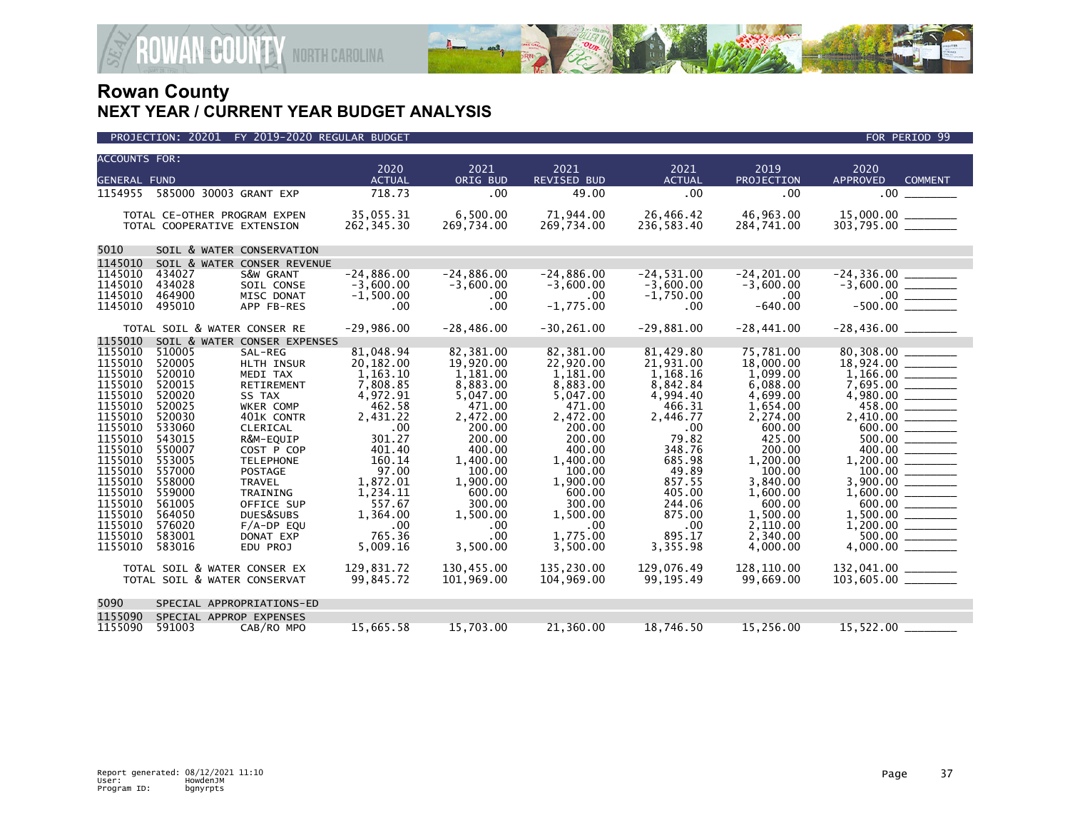

|                                                                                                                                                                                                                          | PROJECTION: 20201                                                                                                                                                                          | FY 2019-2020 REGULAR BUDGET                                                                                                                                                                                                                                                                        |                                                                                                                                                                                                           |                                                                                                                                                                                                            |                                                                                                                                                                                                                  |                                                                                                                                                                                                    |                                                                                                                                                                                                                          | FOR PERIOD 99                                                                                                          |  |  |
|--------------------------------------------------------------------------------------------------------------------------------------------------------------------------------------------------------------------------|--------------------------------------------------------------------------------------------------------------------------------------------------------------------------------------------|----------------------------------------------------------------------------------------------------------------------------------------------------------------------------------------------------------------------------------------------------------------------------------------------------|-----------------------------------------------------------------------------------------------------------------------------------------------------------------------------------------------------------|------------------------------------------------------------------------------------------------------------------------------------------------------------------------------------------------------------|------------------------------------------------------------------------------------------------------------------------------------------------------------------------------------------------------------------|----------------------------------------------------------------------------------------------------------------------------------------------------------------------------------------------------|--------------------------------------------------------------------------------------------------------------------------------------------------------------------------------------------------------------------------|------------------------------------------------------------------------------------------------------------------------|--|--|
| <b>ACCOUNTS FOR:</b>                                                                                                                                                                                                     |                                                                                                                                                                                            |                                                                                                                                                                                                                                                                                                    |                                                                                                                                                                                                           |                                                                                                                                                                                                            |                                                                                                                                                                                                                  |                                                                                                                                                                                                    |                                                                                                                                                                                                                          |                                                                                                                        |  |  |
| <b>GENERAL FUND</b>                                                                                                                                                                                                      |                                                                                                                                                                                            |                                                                                                                                                                                                                                                                                                    | 2020<br><b>ACTUAL</b>                                                                                                                                                                                     | 2021<br>ORIG BUD                                                                                                                                                                                           | 2021<br>REVISED BUD                                                                                                                                                                                              | 2021<br><b>ACTUAL</b>                                                                                                                                                                              | 2019<br>PROJECTION                                                                                                                                                                                                       | 2020<br><b>APPROVED</b><br><b>COMMENT</b>                                                                              |  |  |
|                                                                                                                                                                                                                          |                                                                                                                                                                                            | 1154955 585000 30003 GRANT EXP                                                                                                                                                                                                                                                                     | 718.73                                                                                                                                                                                                    | .00                                                                                                                                                                                                        | 49.00                                                                                                                                                                                                            | .00                                                                                                                                                                                                | .00                                                                                                                                                                                                                      | $.00 \,$                                                                                                               |  |  |
|                                                                                                                                                                                                                          |                                                                                                                                                                                            | TOTAL CE-OTHER PROGRAM EXPEN<br>TOTAL COOPERATIVE EXTENSION                                                                                                                                                                                                                                        | 35,055.31<br>262, 345.30                                                                                                                                                                                  | 6,500.00<br>269,734.00                                                                                                                                                                                     | 71,944.00<br>269,734.00                                                                                                                                                                                          | 26,466.42<br>236,583.40                                                                                                                                                                            | 46,963.00<br>284,741.00                                                                                                                                                                                                  | 15,000.00 _______<br>$303,795.00$ _________                                                                            |  |  |
| 5010<br>SOIL & WATER CONSERVATION                                                                                                                                                                                        |                                                                                                                                                                                            |                                                                                                                                                                                                                                                                                                    |                                                                                                                                                                                                           |                                                                                                                                                                                                            |                                                                                                                                                                                                                  |                                                                                                                                                                                                    |                                                                                                                                                                                                                          |                                                                                                                        |  |  |
| 1145010                                                                                                                                                                                                                  |                                                                                                                                                                                            | SOIL & WATER CONSER REVENUE                                                                                                                                                                                                                                                                        |                                                                                                                                                                                                           |                                                                                                                                                                                                            |                                                                                                                                                                                                                  |                                                                                                                                                                                                    |                                                                                                                                                                                                                          |                                                                                                                        |  |  |
| 1145010<br>1145010<br>1145010<br>1145010                                                                                                                                                                                 | 434027<br>434028<br>464900<br>495010                                                                                                                                                       | S&W GRANT<br>SOIL CONSE<br>MISC DONAT<br>APP FB-RES                                                                                                                                                                                                                                                | $-24,886.00$<br>$-3,600.00$<br>$-1,500.00$<br>.00                                                                                                                                                         | $-24,886.00$<br>$-3.600.00$<br>.00<br>.00                                                                                                                                                                  | $-24,886.00$<br>$-3.600.00$<br>$.00 \,$<br>$-1,775.00$                                                                                                                                                           | $-24,531.00$<br>$-3,600.00$<br>$-1,750.00$<br>.00                                                                                                                                                  | $-24.201.00$<br>$-3,600.00$<br>.00<br>$-640.00$                                                                                                                                                                          |                                                                                                                        |  |  |
|                                                                                                                                                                                                                          |                                                                                                                                                                                            | TOTAL SOIL & WATER CONSER RE                                                                                                                                                                                                                                                                       | $-29.986.00$                                                                                                                                                                                              | $-28.486.00$                                                                                                                                                                                               | $-30.261.00$                                                                                                                                                                                                     | $-29.881.00$                                                                                                                                                                                       | $-28.441.00$                                                                                                                                                                                                             |                                                                                                                        |  |  |
| 1155010<br>1155010<br>1155010<br>1155010<br>1155010<br>1155010<br>1155010<br>1155010<br>1155010<br>1155010<br>1155010<br>1155010<br>1155010<br>1155010<br>1155010<br>1155010<br>1155010<br>1155010<br>1155010<br>1155010 | 510005<br>520005<br>520010<br>520015<br>520020<br>520025<br>520030<br>533060<br>543015<br>550007<br>553005<br>557000<br>558000<br>559000<br>561005<br>564050<br>576020<br>583001<br>583016 | SOIL & WATER CONSER EXPENSES<br>SAL-REG<br>HLTH INSUR<br>MEDI TAX<br>RETIREMENT<br>SS TAX<br>WKER COMP<br>401K CONTR<br>CLERICAL<br>R&M-EQUIP<br>COST P COP<br><b>TELEPHONE</b><br><b>POSTAGE</b><br><b>TRAVEL</b><br>TRAINING<br>OFFICE SUP<br>DUES&SUBS<br>$F/A-DP$ EQU<br>DONAT EXP<br>EDU PROJ | 81,048.94<br>20,182.00<br>1.163.10<br>7,808.85<br>4,972.91<br>462.58<br>2,431.22<br>.00<br>301.27<br>401.40<br>160.14<br>97.00<br>1,872.01<br>1,234.11<br>557.67<br>1.364.00<br>.00<br>765.36<br>5,009.16 | 82,381.00<br>19,920.00<br>1.181.00<br>8,883.00<br>5,047.00<br>471.00<br>2,472.00<br>200.00<br>200.00<br>400.00<br>1.400.00<br>100.00<br>1,900.00<br>600.00<br>300.00<br>1.500.00<br>.00<br>.00<br>3,500.00 | 82,381.00<br>22,920.00<br>1.181.00<br>8,883.00<br>5,047.00<br>471.00<br>2,472.00<br>200.00<br>200.00<br>400.00<br>1.400.00<br>100.00<br>1,900.00<br>600.00<br>300.00<br>1.500.00<br>.00.<br>1,775.00<br>3,500.00 | 81,429.80<br>21,931.00<br>1,168.16<br>8,842.84<br>4,994.40<br>466.31<br>2,446.77<br>.00<br>79.82<br>348.76<br>685.98<br>49.89<br>857.55<br>405.00<br>244.06<br>875.00<br>.00<br>895.17<br>3,355.98 | 75,781.00<br>18,000.00<br>1.099.00<br>6,088.00<br>4,699.00<br>1,654.00<br>2,274.00<br>600.00<br>425.00<br>200.00<br>1.200.00<br>100.00<br>3,840.00<br>1,600.00<br>600.00<br>1,500.00<br>2.110.00<br>2.340.00<br>4,000.00 | 458.00 _______<br>500.00 _______<br>1.200.00<br>3,900.00<br>$\overline{\phantom{a}}$<br>1.200.00<br>500.00<br>4,000.00 |  |  |
|                                                                                                                                                                                                                          |                                                                                                                                                                                            | TOTAL SOIL & WATER CONSER EX<br>TOTAL SOIL & WATER CONSERVAT                                                                                                                                                                                                                                       | 129.831.72<br>99,845.72                                                                                                                                                                                   | 130,455.00<br>101,969.00                                                                                                                                                                                   | 135.230.00<br>104,969.00                                                                                                                                                                                         | 129,076.49<br>99,195.49                                                                                                                                                                            | 128,110.00<br>99,669.00                                                                                                                                                                                                  | 132,041.00 _______                                                                                                     |  |  |
| 5090                                                                                                                                                                                                                     |                                                                                                                                                                                            | SPECIAL APPROPRIATIONS-ED                                                                                                                                                                                                                                                                          |                                                                                                                                                                                                           |                                                                                                                                                                                                            |                                                                                                                                                                                                                  |                                                                                                                                                                                                    |                                                                                                                                                                                                                          |                                                                                                                        |  |  |
| 1155090<br>1155090                                                                                                                                                                                                       | 591003                                                                                                                                                                                     | SPECIAL APPROP EXPENSES<br>CAB/RO MPO                                                                                                                                                                                                                                                              | 15,665.58                                                                                                                                                                                                 | 15,703.00                                                                                                                                                                                                  | 21,360.00                                                                                                                                                                                                        | 18,746.50                                                                                                                                                                                          | 15,256.00                                                                                                                                                                                                                | $15,522.00$ $-$                                                                                                        |  |  |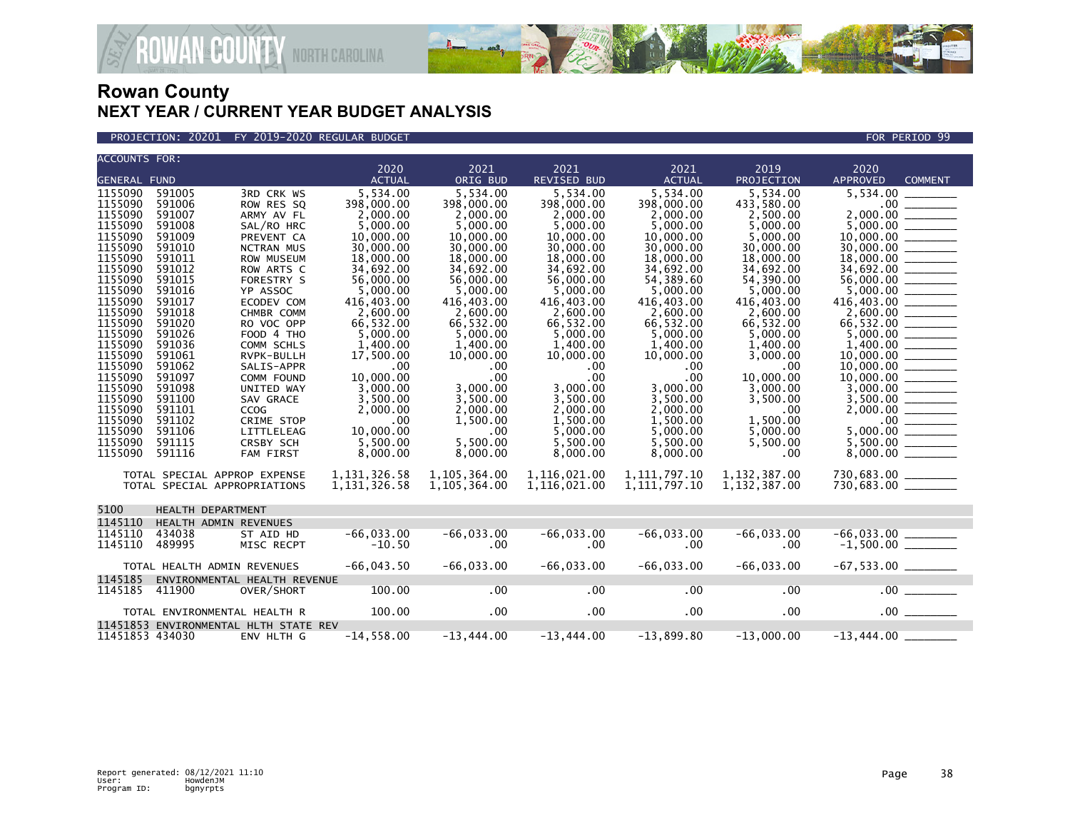

PROJECTION: 20201 FY 2019-2020 REGULAR BUDGET FOR PERIOD 99

| <b>ACCOUNTS FOR:</b>                                                                                                                                                                                                                                      |                                                                                                                                                                                                                                    |                                                                                                                                                                                                                                                                                                                                            |                                                                                                                                                                                                                                                                                     |                                                                                                                                                                                                                                                                              |                                                                                                                                                                                                                                                                                   |                                                                                                                                                                                                                                                                                   |                                                                                                                                                                                                                                                                                  |                                                                                             |  |
|-----------------------------------------------------------------------------------------------------------------------------------------------------------------------------------------------------------------------------------------------------------|------------------------------------------------------------------------------------------------------------------------------------------------------------------------------------------------------------------------------------|--------------------------------------------------------------------------------------------------------------------------------------------------------------------------------------------------------------------------------------------------------------------------------------------------------------------------------------------|-------------------------------------------------------------------------------------------------------------------------------------------------------------------------------------------------------------------------------------------------------------------------------------|------------------------------------------------------------------------------------------------------------------------------------------------------------------------------------------------------------------------------------------------------------------------------|-----------------------------------------------------------------------------------------------------------------------------------------------------------------------------------------------------------------------------------------------------------------------------------|-----------------------------------------------------------------------------------------------------------------------------------------------------------------------------------------------------------------------------------------------------------------------------------|----------------------------------------------------------------------------------------------------------------------------------------------------------------------------------------------------------------------------------------------------------------------------------|---------------------------------------------------------------------------------------------|--|
|                                                                                                                                                                                                                                                           |                                                                                                                                                                                                                                    |                                                                                                                                                                                                                                                                                                                                            | 2020                                                                                                                                                                                                                                                                                | 2021                                                                                                                                                                                                                                                                         | 2021                                                                                                                                                                                                                                                                              | 2021                                                                                                                                                                                                                                                                              | 2019                                                                                                                                                                                                                                                                             | 2020                                                                                        |  |
| <b>GENERAL FUND</b>                                                                                                                                                                                                                                       |                                                                                                                                                                                                                                    |                                                                                                                                                                                                                                                                                                                                            | <b>ACTUAL</b>                                                                                                                                                                                                                                                                       | ORIG BUD                                                                                                                                                                                                                                                                     | <b>REVISED BUD</b>                                                                                                                                                                                                                                                                | <b>ACTUAL</b>                                                                                                                                                                                                                                                                     | PROJECTION                                                                                                                                                                                                                                                                       | <b>APPROVED</b><br><b>COMMENT</b>                                                           |  |
| 1155090<br>1155090<br>1155090<br>1155090<br>1155090<br>1155090<br>1155090<br>1155090<br>1155090<br>1155090<br>1155090<br>1155090<br>1155090<br>1155090<br>1155090<br>1155090<br>1155090<br>1155090<br>1155090<br>1155090<br>1155090<br>1155090<br>1155090 | 591005<br>591006<br>591007<br>591008<br>591009<br>591010<br>591011<br>591012<br>591015<br>591016<br>591017<br>591018<br>591020<br>591026<br>591036<br>591061<br>591062<br>591097<br>591098<br>591100<br>591101<br>591102<br>591106 | 3RD CRK WS<br>ROW RES SQ<br>ARMY AV FL<br>SAL/RO HRC<br>PREVENT CA<br><b>NCTRAN MUS</b><br>ROW MUSEUM<br>ROW ARTS C<br>FORESTRY S<br>YP ASSOC<br>ECODEV COM<br>CHMBR COMM<br>RO VOC OPP<br>FOOD 4 THO<br>COMM SCHLS<br>RVPK-BULLH<br>SALIS-APPR<br>COMM FOUND<br>UNITED WAY<br>SAV GRACE<br><b>CCOG</b><br><b>CRIME STOP</b><br>LITTLELEAG | 5,534.00<br>398,000.00<br>2,000.00<br>5,000.00<br>10,000,00<br>30,000.00<br>18,000.00<br>34,692.00<br>56,000,00<br>5.000.00<br>416,403.00<br>2.600.00<br>66,532.00<br>5,000.00<br>1,400.00<br>17,500.00<br>.00<br>10.000.00<br>3,000.00<br>3,500.00<br>2,000.00<br>.00<br>10,000,00 | 5,534.00<br>398,000.00<br>2,000.00<br>5,000.00<br>10,000,00<br>30,000.00<br>18,000.00<br>34.692.00<br>56,000,00<br>5,000,00<br>416,403.00<br>2.600.00<br>66,532.00<br>5,000.00<br>1,400.00<br>10,000.00<br>.00<br>.00<br>3,000.00<br>3.500.00<br>2,000.00<br>1,500.00<br>.00 | 5,534.00<br>398,000.00<br>2,000.00<br>5,000.00<br>10.000.00<br>30,000.00<br>18,000.00<br>34.692.00<br>56,000,00<br>5,000.00<br>416,403.00<br>2.600.00<br>66,532.00<br>5,000.00<br>1,400.00<br>10,000.00<br>.00<br>.00<br>3,000.00<br>3,500.00<br>2,000.00<br>1,500.00<br>5,000.00 | 5,534.00<br>398,000.00<br>2,000.00<br>5,000.00<br>10,000,00<br>30,000.00<br>18,000.00<br>34,692.00<br>54.389.60<br>5.000.00<br>416,403.00<br>2.600.00<br>66,532.00<br>5,000.00<br>1,400.00<br>10,000.00<br>.00<br>.00<br>3,000.00<br>3,500.00<br>2,000.00<br>1,500.00<br>5,000.00 | 5,534.00<br>433,580.00<br>2,500.00<br>5,000.00<br>5.000.00<br>30,000.00<br>18,000.00<br>34.692.00<br>54,390,00<br>5.000.00<br>416,403.00<br>2.600.00<br>66,532.00<br>5,000.00<br>1,400.00<br>3,000.00<br>.00<br>10,000.00<br>3,000.00<br>3,500.00<br>.00<br>1,500.00<br>5,000,00 | 5,534.00<br>2,000.00<br>10,000.00<br>56,000.00<br>66,532.00 _______<br>$5,000.00$ _________ |  |
| 1155090<br>1155090                                                                                                                                                                                                                                        | 591115<br>591116                                                                                                                                                                                                                   | <b>CRSBY SCH</b><br><b>FAM FIRST</b>                                                                                                                                                                                                                                                                                                       | 5.500.00<br>8,000.00                                                                                                                                                                                                                                                                | 5.500.00<br>8,000.00                                                                                                                                                                                                                                                         | 5.500.00<br>8,000.00                                                                                                                                                                                                                                                              | 5,500.00<br>8,000.00                                                                                                                                                                                                                                                              | 5,500.00<br>.00                                                                                                                                                                                                                                                                  |                                                                                             |  |
|                                                                                                                                                                                                                                                           | TOTAL SPECIAL APPROP EXPENSE<br>TOTAL SPECIAL APPROPRIATIONS                                                                                                                                                                       |                                                                                                                                                                                                                                                                                                                                            | 1, 131, 326.58<br>1, 131, 326.58                                                                                                                                                                                                                                                    | 1,105,364.00<br>1,105,364.00                                                                                                                                                                                                                                                 | 1,116,021.00<br>1,116,021.00                                                                                                                                                                                                                                                      | 1,111,797.10<br>1, 111, 797. 10                                                                                                                                                                                                                                                   | 1, 132, 387.00<br>1, 132, 387.00                                                                                                                                                                                                                                                 | 730,683.00 _______<br>730,683.00 _______                                                    |  |
| 5100                                                                                                                                                                                                                                                      | HEALTH DEPARTMENT                                                                                                                                                                                                                  |                                                                                                                                                                                                                                                                                                                                            |                                                                                                                                                                                                                                                                                     |                                                                                                                                                                                                                                                                              |                                                                                                                                                                                                                                                                                   |                                                                                                                                                                                                                                                                                   |                                                                                                                                                                                                                                                                                  |                                                                                             |  |
| 1145110                                                                                                                                                                                                                                                   | HEALTH ADMIN REVENUES                                                                                                                                                                                                              |                                                                                                                                                                                                                                                                                                                                            |                                                                                                                                                                                                                                                                                     |                                                                                                                                                                                                                                                                              |                                                                                                                                                                                                                                                                                   |                                                                                                                                                                                                                                                                                   |                                                                                                                                                                                                                                                                                  |                                                                                             |  |
| 1145110<br>1145110                                                                                                                                                                                                                                        | 434038<br>489995                                                                                                                                                                                                                   | ST AID HD<br>MISC RECPT                                                                                                                                                                                                                                                                                                                    | $-66,033.00$<br>$-10.50$                                                                                                                                                                                                                                                            | $-66,033.00$<br>.00                                                                                                                                                                                                                                                          | $-66,033.00$<br>$.00 \,$                                                                                                                                                                                                                                                          | $-66,033.00$<br>.00                                                                                                                                                                                                                                                               | $-66,033.00$<br>$.00 \,$                                                                                                                                                                                                                                                         | $-1,500.00$ ________                                                                        |  |
|                                                                                                                                                                                                                                                           | TOTAL HEALTH ADMIN REVENUES                                                                                                                                                                                                        |                                                                                                                                                                                                                                                                                                                                            | $-66,043.50$                                                                                                                                                                                                                                                                        | $-66,033.00$                                                                                                                                                                                                                                                                 | $-66,033.00$                                                                                                                                                                                                                                                                      | $-66,033.00$                                                                                                                                                                                                                                                                      | $-66,033.00$                                                                                                                                                                                                                                                                     |                                                                                             |  |
| 1145185                                                                                                                                                                                                                                                   |                                                                                                                                                                                                                                    | ENVIRONMENTAL HEALTH REVENUE                                                                                                                                                                                                                                                                                                               |                                                                                                                                                                                                                                                                                     |                                                                                                                                                                                                                                                                              |                                                                                                                                                                                                                                                                                   |                                                                                                                                                                                                                                                                                   |                                                                                                                                                                                                                                                                                  |                                                                                             |  |
| 1145185                                                                                                                                                                                                                                                   | 411900                                                                                                                                                                                                                             | OVER/SHORT                                                                                                                                                                                                                                                                                                                                 | 100.00                                                                                                                                                                                                                                                                              | .00                                                                                                                                                                                                                                                                          | $.00 \,$                                                                                                                                                                                                                                                                          | $.00 \,$                                                                                                                                                                                                                                                                          | $.00 \,$                                                                                                                                                                                                                                                                         | .00                                                                                         |  |
|                                                                                                                                                                                                                                                           | TOTAL ENVIRONMENTAL HEALTH R                                                                                                                                                                                                       |                                                                                                                                                                                                                                                                                                                                            | 100.00                                                                                                                                                                                                                                                                              | $.00 \,$                                                                                                                                                                                                                                                                     | $.00 \times$                                                                                                                                                                                                                                                                      | $.00 \times$                                                                                                                                                                                                                                                                      | .00                                                                                                                                                                                                                                                                              | $.00$ $\qquad$                                                                              |  |
|                                                                                                                                                                                                                                                           |                                                                                                                                                                                                                                    | 11451853 ENVIRONMENTAL HLTH STATE REV                                                                                                                                                                                                                                                                                                      |                                                                                                                                                                                                                                                                                     |                                                                                                                                                                                                                                                                              |                                                                                                                                                                                                                                                                                   |                                                                                                                                                                                                                                                                                   |                                                                                                                                                                                                                                                                                  |                                                                                             |  |
| 11451853 434030                                                                                                                                                                                                                                           |                                                                                                                                                                                                                                    | ENV HLTH G                                                                                                                                                                                                                                                                                                                                 | $-14,558.00$                                                                                                                                                                                                                                                                        | $-13,444.00$                                                                                                                                                                                                                                                                 | $-13.444.00$                                                                                                                                                                                                                                                                      | $-13.899.80$                                                                                                                                                                                                                                                                      | $-13.000.00$                                                                                                                                                                                                                                                                     | $-13,444.00$                                                                                |  |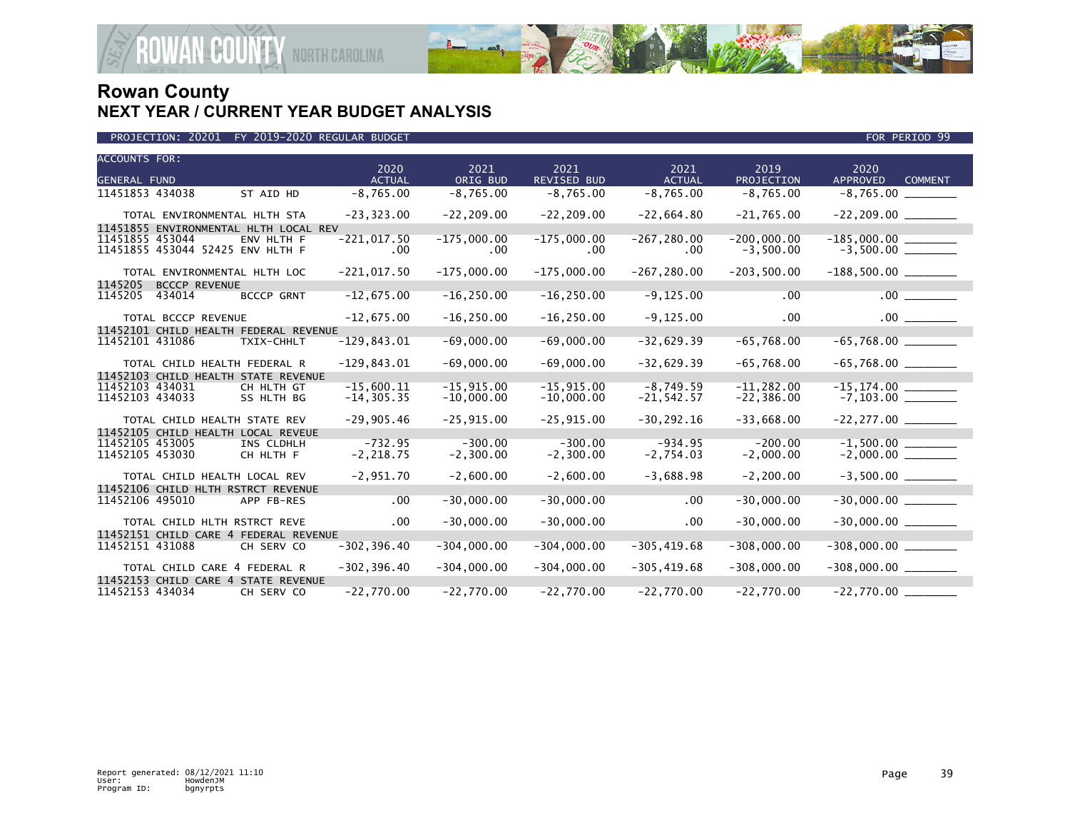

|                                             | PROJECTION: 20201<br>FY 2019-2020 REGULAR BUDGET<br>FOR PERIOD 99 |                                                                 |                               |                               |                              |                              |                                |                                           |  |
|---------------------------------------------|-------------------------------------------------------------------|-----------------------------------------------------------------|-------------------------------|-------------------------------|------------------------------|------------------------------|--------------------------------|-------------------------------------------|--|
| <b>ACCOUNTS FOR:</b><br><b>GENERAL FUND</b> |                                                                   |                                                                 | 2020<br><b>ACTUAL</b>         | 2021<br>ORIG BUD              | 2021<br>REVISED BUD          | 2021<br><b>ACTUAL</b>        | 2019<br>PROJECTION             | 2020<br><b>APPROVED</b><br><b>COMMENT</b> |  |
| 11451853 434038                             |                                                                   | ST AID HD                                                       | $-8,765.00$                   | $-8,765.00$                   | $-8,765.00$                  | $-8,765.00$                  | $-8,765.00$                    |                                           |  |
|                                             | TOTAL ENVIRONMENTAL HLTH STA                                      |                                                                 | $-23, 323.00$                 | $-22, 209.00$                 | $-22, 209.00$                | $-22,664.80$                 | $-21,765.00$                   | $-22, 209.00$ ________                    |  |
| 11451855 453044                             | 11451855 453044 52425 ENV HLTH F                                  | 11451855 ENVIRONMENTAL HLTH LOCAL REV<br>ENV HLTH F             | $-221,017.50$<br>.00          | $-175,000.00$<br>.00          | $-175,000.00$<br>$.00 \,$    | $-267, 280.00$<br>.00.       | $-200,000.00$<br>$-3,500.00$   |                                           |  |
|                                             | TOTAL ENVIRONMENTAL HLTH LOC                                      |                                                                 | $-221,017.50$                 | $-175,000.00$                 | $-175,000.00$                | $-267, 280.00$               | $-203,500.00$                  |                                           |  |
| 1145205<br>1145205                          | <b>BCCCP REVENUE</b><br>434014                                    | <b>BCCCP GRNT</b>                                               | $-12,675.00$                  | $-16, 250.00$                 | $-16, 250.00$                | $-9, 125.00$                 | .00                            | $.00$ $\qquad$                            |  |
|                                             | TOTAL BCCCP REVENUE                                               |                                                                 | $-12,675.00$                  | $-16, 250.00$                 | $-16, 250.00$                | $-9, 125.00$                 | .00                            | $.00$ $\qquad$                            |  |
| 11452101 431086                             |                                                                   | 11452101 CHILD HEALTH FEDERAL REVENUE<br>TXIX-CHHLT             | $-129, 843.01$                | $-69,000.00$                  | $-69,000.00$                 | $-32,629.39$                 | $-65,768.00$                   |                                           |  |
|                                             | TOTAL CHILD HEALTH FEDERAL R                                      |                                                                 | $-129,843.01$                 | $-69,000.00$                  | $-69,000.00$                 | $-32,629.39$                 | $-65,768.00$                   | $-65,768.00$ _________                    |  |
| 11452103 434031<br>11452103 434033          |                                                                   | 11452103 CHILD HEALTH STATE REVENUE<br>CH HLTH GT<br>SS HLTH BG | $-15,600.11$<br>$-14, 305.35$ | $-15, 915.00$<br>$-10,000.00$ | $-15,915.00$<br>$-10,000.00$ | $-8,749.59$<br>$-21, 542.57$ | $-11, 282.00$<br>$-22, 386.00$ |                                           |  |
|                                             | TOTAL CHILD HEALTH STATE REV                                      |                                                                 | $-29,905.46$                  | $-25, 915.00$                 | $-25,915.00$                 | $-30, 292.16$                | $-33,668.00$                   |                                           |  |
| 11452105 453005<br>11452105 453030          | 11452105 CHILD HEALTH LOCAL REVEUE                                | INS CLDHLH<br>CH HLTH F                                         | $-732.95$<br>$-2, 218.75$     | $-300.00$<br>$-2,300.00$      | $-300.00$<br>$-2,300.00$     | $-934.95$<br>$-2,754.03$     | $-200.00$<br>$-2,000.00$       | $-1,500.00$<br>$-2,000.00$                |  |
|                                             | TOTAL CHILD HEALTH LOCAL REV                                      |                                                                 | $-2,951.70$                   | $-2,600.00$                   | $-2,600.00$                  | $-3,688.98$                  | $-2, 200.00$                   |                                           |  |
| 11452106 495010                             | 11452106 CHILD HLTH RSTRCT REVENUE                                | APP FB-RES                                                      | .00                           | $-30,000.00$                  | $-30,000.00$                 | .00                          | $-30,000.00$                   |                                           |  |
|                                             | TOTAL CHILD HLTH RSTRCT REVE                                      |                                                                 | .00                           | $-30,000.00$                  | $-30,000.00$                 | .00                          | $-30,000.00$                   |                                           |  |
| 11452151 431088                             |                                                                   | 11452151 CHILD CARE 4 FEDERAL REVENUE<br>CH SERV CO             | $-302, 396.40$                | $-304,000.00$                 | $-304,000.00$                | $-305, 419.68$               | $-308,000.00$                  | $-308,000.00$                             |  |
|                                             | TOTAL CHILD CARE 4 FEDERAL R                                      |                                                                 | $-302, 396.40$                | $-304,000.00$                 | $-304,000.00$                | $-305, 419.68$               | $-308,000.00$                  | $-308,000.00$ ________                    |  |
| 11452153 434034                             |                                                                   | 11452153 CHILD CARE 4 STATE REVENUE<br>CH SERV CO               | $-22,770.00$                  | $-22,770.00$                  | $-22,770.00$                 | $-22,770.00$                 | $-22,770.00$                   |                                           |  |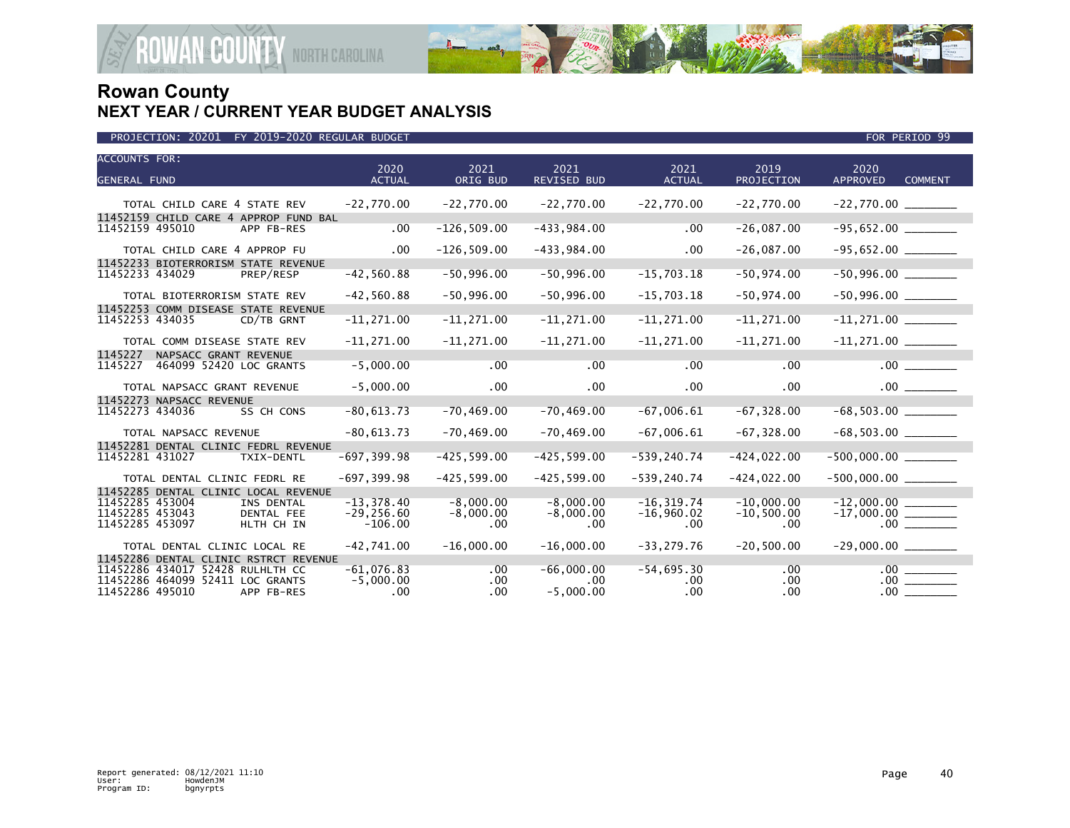

| PROJECTION: 20201 FY 2019-2020 REGULAR BUDGET | FOR PERIOD 99 |
|-----------------------------------------------|---------------|

| <b>ACCOUNTS FOR:</b><br><b>GENERAL FUND</b>                            | 2020<br><b>ACTUAL</b> | 2021<br>ORIG BUD | 2021<br><b>REVISED BUD</b> | 2021<br><b>ACTUAL</b> | 2019<br>PROJECTION | 2020<br><b>APPROVED</b><br><b>COMMENT</b> |
|------------------------------------------------------------------------|-----------------------|------------------|----------------------------|-----------------------|--------------------|-------------------------------------------|
|                                                                        |                       |                  |                            |                       |                    |                                           |
| TOTAL CHILD CARE 4 STATE REV                                           | $-22,770.00$          | $-22,770.00$     | $-22,770.00$               | $-22,770.00$          | $-22,770.00$       |                                           |
| 11452159 CHILD CARE 4 APPROP FUND BAL<br>11452159 495010<br>APP FB-RES | .00                   | $-126, 509.00$   | $-433,984.00$              | .00                   | $-26,087.00$       |                                           |
|                                                                        |                       |                  |                            |                       |                    |                                           |
| TOTAL CHILD CARE 4 APPROP FU                                           | $.00 \,$              | $-126, 509.00$   | $-433,984.00$              | $.00 \,$              | $-26,087.00$       |                                           |
| 11452233 BIOTERRORISM STATE REVENUE                                    |                       |                  |                            |                       |                    |                                           |
| 11452233 434029<br>PREP/RESP                                           | $-42,560.88$          | $-50,996.00$     | $-50,996.00$               | $-15,703.18$          | $-50, 974.00$      |                                           |
| TOTAL BIOTERRORISM STATE REV                                           | $-42,560.88$          | $-50,996.00$     | $-50,996.00$               | $-15,703.18$          | $-50,974.00$       |                                           |
| 11452253 COMM DISEASE STATE REVENUE                                    |                       |                  |                            |                       |                    |                                           |
| 11452253 434035<br>CD/TB GRNT                                          | $-11, 271.00$         | $-11, 271.00$    | $-11, 271.00$              | $-11, 271.00$         | $-11, 271.00$      |                                           |
| TOTAL COMM DISEASE STATE REV                                           | $-11, 271.00$         | $-11, 271.00$    | $-11, 271.00$              | $-11, 271.00$         | $-11, 271.00$      |                                           |
| 1145227<br>NAPSACC GRANT REVENUE                                       |                       |                  |                            |                       |                    |                                           |
| 464099 52420 LOC GRANTS<br>1145227                                     | $-5,000.00$           | .00              | .00                        | $.00 \,$              | .00                | .00                                       |
| TOTAL NAPSACC GRANT REVENUE                                            | $-5,000.00$           | $.00 \,$         | $.00 \,$                   | $.00 \,$              | .00.               |                                           |
| 11452273 NAPSACC REVENUE                                               |                       |                  |                            |                       |                    |                                           |
| 11452273 434036<br>SS CH CONS                                          | $-80,613.73$          | $-70, 469.00$    | $-70, 469.00$              | $-67,006.61$          | $-67, 328.00$      |                                           |
| TOTAL NAPSACC REVENUE                                                  | $-80,613.73$          | $-70, 469.00$    | $-70, 469.00$              | $-67,006.61$          | $-67, 328.00$      | $-68,503.00$ ________                     |
| 11452281 DENTAL CLINIC FEDRL REVENUE                                   |                       |                  |                            |                       |                    |                                           |
| 11452281 431027<br>TXIX-DENTL                                          | $-697, 399.98$        | $-425, 599.00$   | $-425, 599.00$             | $-539, 240.74$        | $-424,022.00$      | $-500,000.00$                             |
| TOTAL DENTAL CLINIC FEDRL RE                                           | $-697, 399.98$        | $-425, 599.00$   | $-425, 599.00$             | $-539, 240.74$        | $-424,022.00$      | $-500,000.00$ ________                    |
| 11452285 DENTAL CLINIC LOCAL REVENUE                                   |                       |                  |                            |                       |                    |                                           |
| 11452285 453004<br>INS DENTAL                                          | $-13, 378.40$         | $-8,000.00$      | $-8,000.00$                | $-16, 319.74$         | $-10,000.00$       |                                           |
| 11452285 453043<br>DENTAL FEE                                          | $-29, 256.60$         | $-8,000.00$      | $-8,000.00$                | $-16,960.02$          | $-10,500.00$       |                                           |
| 11452285 453097<br>HLTH CH IN                                          | $-106.00$             | .00              | .00                        | $.00 \,$              | .00                | .00                                       |
| TOTAL DENTAL CLINIC LOCAL RE                                           | $-42,741.00$          | $-16.000.00$     | $-16,000.00$               | $-33, 279.76$         | $-20,500.00$       |                                           |
| 11452286 DENTAL CLINIC RSTRCT REVENUE                                  |                       |                  |                            |                       |                    |                                           |
| 11452286 434017 52428 RULHLTH CC                                       | $-61.076.83$          | $.00 \,$         | $-66,000.00$               | $-54,695.30$          | .00                | .00                                       |
| 11452286 464099 52411 LOC GRANTS                                       | $-5,000.00$           | $.00 \times$     | .00.                       | $.00 \,$              | .00                | .00                                       |
| 11452286 495010<br>APP FB-RES                                          | .00.                  | $.00 \times$     | $-5,000.00$                | $.00 \,$              | $.00 \,$           | .00                                       |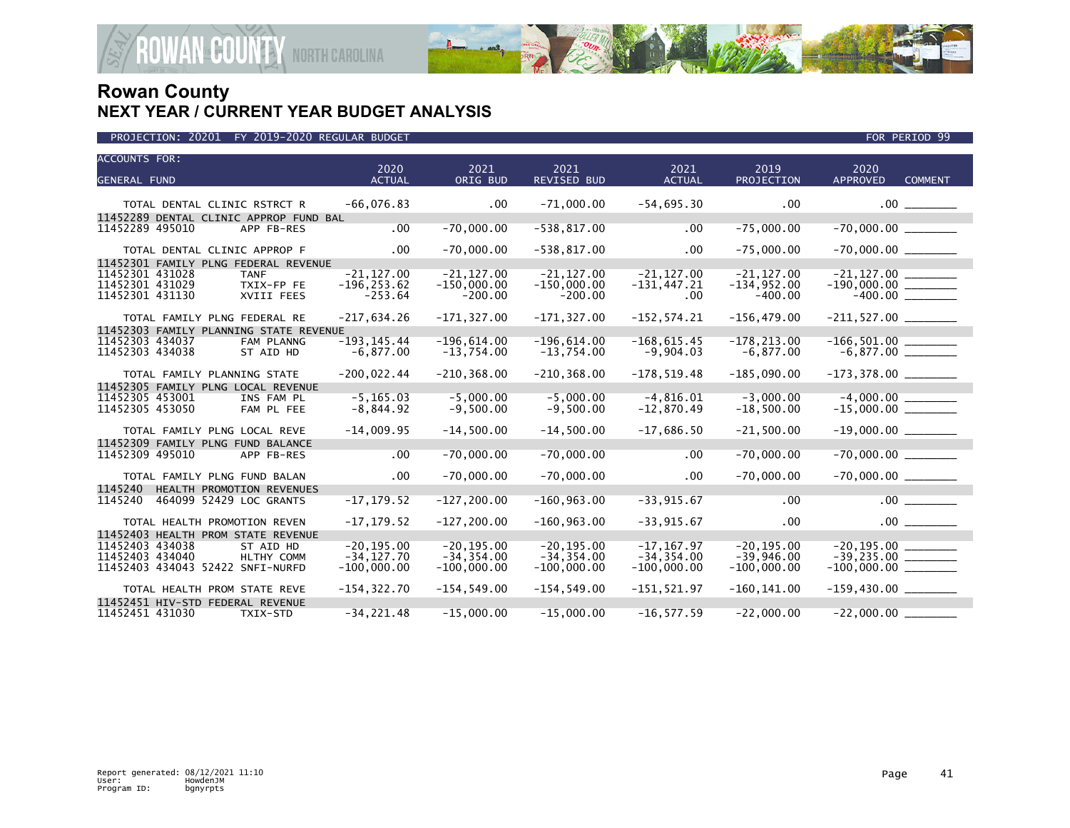

| <b>ACCOUNTS FOR:</b><br><b>GENERAL FUND</b>                                                                                              | 2020<br><b>ACTUAL</b>                           | 2021<br>ORIG BUD                                | 2021<br><b>REVISED BUD</b>                      | 2021<br><b>ACTUAL</b>                           | 2019<br>PROJECTION                             | 2020<br><b>APPROVED</b><br><b>COMMENT</b> |
|------------------------------------------------------------------------------------------------------------------------------------------|-------------------------------------------------|-------------------------------------------------|-------------------------------------------------|-------------------------------------------------|------------------------------------------------|-------------------------------------------|
| TOTAL DENTAL CLINIC RSTRCT R                                                                                                             | $-66,076.83$                                    | .00                                             | $-71,000.00$                                    | $-54,695.30$                                    | .00                                            |                                           |
| 11452289 DENTAL CLINIC APPROP FUND BAL<br>11452289 495010<br>APP FB-RES                                                                  | $.00 \,$                                        | $-70,000.00$                                    | $-538, 817.00$                                  | .00                                             | $-75,000.00$                                   | $-70,000.00$ ________                     |
| TOTAL DENTAL CLINIC APPROP F                                                                                                             | .00                                             | $-70,000.00$                                    | $-538, 817.00$                                  | .00 <sub>1</sub>                                | $-75,000.00$                                   | $-70,000.00$ _________                    |
| 11452301 FAMILY PLNG FEDERAL REVENUE<br>11452301 431028<br><b>TANF</b><br>11452301 431029<br>TXIX-FP FE<br>11452301 431130<br>XVIII FEES | $-21.127.00$<br>$-196, 253.62$<br>$-253.64$     | $-21.127.00$<br>$-150,000.00$<br>$-200.00$      | $-21.127.00$<br>$-150,000.00$<br>$-200.00$      | $-21, 127.00$<br>$-131, 447.21$<br>.00.         | $-21.127.00$<br>$-134,952.00$<br>$-400.00$     | $-190,000.00$ $\overline{\qquad \qquad }$ |
| TOTAL FAMILY PLNG FEDERAL RE                                                                                                             | $-217,634.26$                                   | $-171, 327.00$                                  | $-171, 327.00$                                  | $-152, 574.21$                                  | $-156, 479.00$                                 |                                           |
| 11452303 FAMILY PLANNING STATE REVENUE<br>11452303 434037<br>FAM PLANNG<br>11452303 434038<br>ST AID HD                                  | $-193, 145.44$<br>$-6,877.00$                   | $-196,614.00$<br>$-13,754.00$                   | $-196, 614.00$<br>$-13,754.00$                  | $-168,615.45$<br>$-9,904.03$                    | $-178, 213.00$<br>$-6,877.00$                  |                                           |
| TOTAL FAMILY PLANNING STATE                                                                                                              | $-200.022.44$                                   | $-210, 368.00$                                  | $-210.368.00$                                   | $-178.519.48$                                   | $-185,090.00$                                  |                                           |
| 11452305 FAMILY PLNG LOCAL REVENUE<br>11452305 453001<br>INS FAM PL<br>11452305 453050<br>FAM PL FEE                                     | $-5, 165.03$<br>$-8,844.92$                     | $-5,000.00$<br>$-9,500.00$                      | $-5,000.00$<br>$-9,500.00$                      | $-4, 816.01$<br>$-12,870.49$                    | $-3,000.00$<br>$-18,500.00$                    | $-4,000.00$<br>$-15,000.00$               |
| TOTAL FAMILY PLNG LOCAL REVE                                                                                                             | $-14,009.95$                                    | $-14,500.00$                                    | $-14,500.00$                                    | $-17,686.50$                                    | $-21,500.00$                                   | $-19,000.00$ _________                    |
| 11452309 FAMILY PLNG FUND BALANCE<br>11452309 495010<br>APP FB-RES                                                                       | $.00 \,$                                        | $-70,000.00$                                    | $-70,000.00$                                    | .00                                             | $-70,000.00$                                   | $-70,000.00$ _________                    |
| TOTAL FAMILY PLNG FUND BALAN                                                                                                             | $.00 \,$                                        | $-70,000.00$                                    | $-70,000.00$                                    | .00                                             | $-70,000.00$                                   | $-70,000.00$ ________                     |
| 1145240<br>HEALTH PROMOTION REVENUES<br>1145240<br>464099 52429 LOC GRANTS                                                               | $-17, 179.52$                                   | $-127, 200.00$                                  | $-160, 963.00$                                  | $-33,915.67$                                    | .00                                            | .00                                       |
| TOTAL HEALTH PROMOTION REVEN                                                                                                             | $-17, 179.52$                                   | $-127, 200.00$                                  | $-160, 963.00$                                  | $-33,915.67$                                    | .00                                            | $.00$ $\qquad$                            |
| 11452403 HEALTH PROM STATE REVENUE<br>11452403 434038<br>ST AID HD<br>11452403 434040<br>HLTHY COMM<br>11452403 434043 52422 SNFI-NURFD  | $-20, 195.00$<br>$-34, 127.70$<br>$-100,000.00$ | $-20, 195.00$<br>$-34, 354.00$<br>$-100,000.00$ | $-20, 195.00$<br>$-34, 354.00$<br>$-100,000.00$ | $-17, 167.97$<br>$-34, 354.00$<br>$-100,000.00$ | $-20, 195.00$<br>$-39,946.00$<br>$-100,000.00$ | $-20,195.00$<br>$-39,235.00$              |
| TOTAL HEALTH PROM STATE REVE                                                                                                             | $-154, 322.70$                                  | $-154, 549.00$                                  | $-154, 549.00$                                  | $-151,521.97$                                   | $-160, 141.00$                                 | $-159,430.00$ ________                    |
| 11452451 HIV-STD FEDERAL REVENUE<br>11452451 431030<br>TXIX-STD                                                                          | $-34, 221.48$                                   | $-15,000.00$                                    | $-15,000.00$                                    | $-16, 577.59$                                   | $-22,000.00$                                   | $-22,000.00$                              |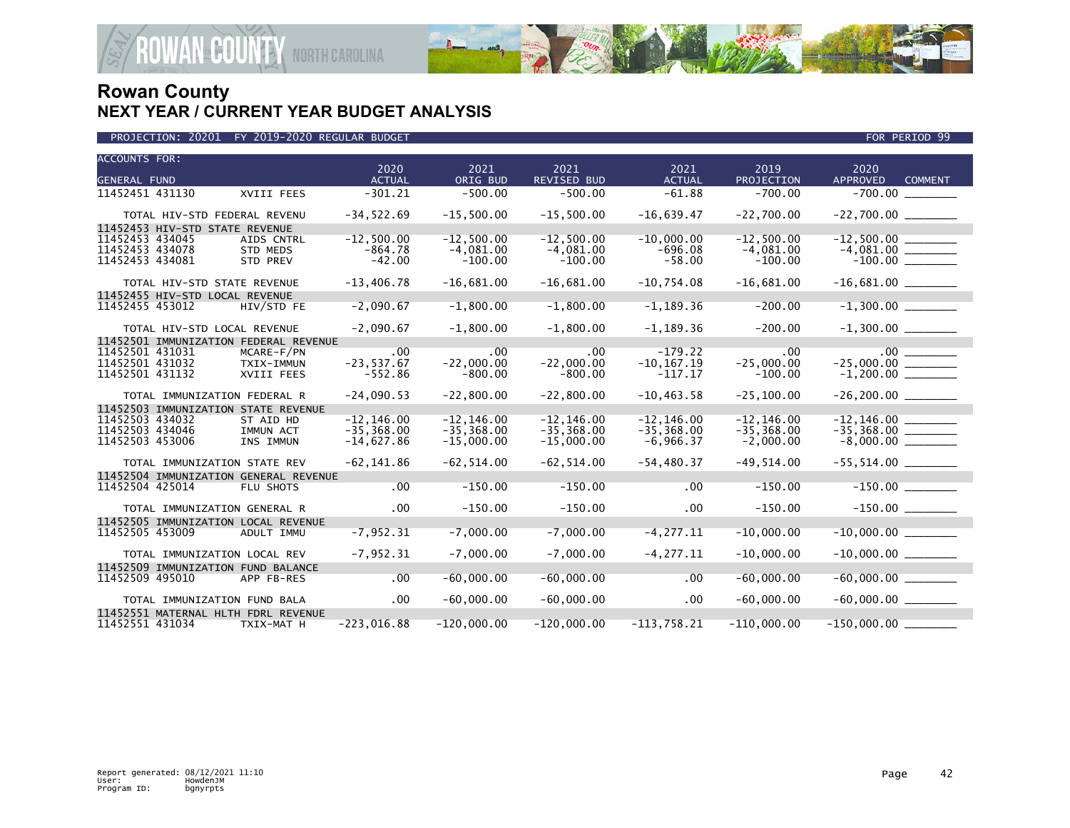

| PROJECTION: 20201 FY 2019-2020 REGULAR BUDGET |  |  |
|-----------------------------------------------|--|--|
|-----------------------------------------------|--|--|

| <b>ACCOUNTS FOR:</b> |                                       | 2020          | 2021          | 2021               | 2021          | 2019          | 2020                              |
|----------------------|---------------------------------------|---------------|---------------|--------------------|---------------|---------------|-----------------------------------|
| <b>GENERAL FUND</b>  |                                       | <b>ACTUAL</b> | ORIG BUD      | <b>REVISED BUD</b> | <b>ACTUAL</b> | PROJECTION    | <b>APPROVED</b><br><b>COMMENT</b> |
| 11452451 431130      | XVIII FEES                            | $-301.21$     | $-500.00$     | $-500.00$          | $-61.88$      | $-700.00$     |                                   |
|                      | TOTAL HIV-STD FEDERAL REVENU          | $-34,522.69$  | $-15,500.00$  | $-15,500.00$       | $-16,639.47$  | $-22,700.00$  |                                   |
|                      | 11452453 HIV-STD STATE REVENUE        |               |               |                    |               |               |                                   |
| 11452453 434045      | AIDS CNTRL                            | $-12,500.00$  | $-12,500.00$  | $-12,500.00$       | $-10.000.00$  | $-12,500.00$  |                                   |
| 11452453 434078      | <b>STD MEDS</b>                       | $-864.78$     | $-4,081.00$   | $-4,081.00$        | $-696.08$     | $-4,081.00$   |                                   |
| 11452453 434081      | STD PREV                              | $-42.00$      | $-100.00$     | $-100.00$          | $-58.00$      | $-100.00$     |                                   |
|                      | TOTAL HIV-STD STATE REVENUE           | $-13,406.78$  | $-16,681.00$  | $-16,681.00$       | $-10,754.08$  | $-16,681.00$  |                                   |
|                      | 11452455 HIV-STD LOCAL REVENUE        |               |               |                    |               |               |                                   |
| 11452455 453012      | HIV/STD FE                            | $-2,090.67$   | $-1,800.00$   | $-1,800.00$        | $-1, 189.36$  | $-200.00$     |                                   |
|                      | TOTAL HIV-STD LOCAL REVENUE           | $-2,090.67$   | $-1,800.00$   | $-1,800.00$        | $-1, 189.36$  | $-200.00$     |                                   |
|                      | 11452501 IMMUNIZATION FEDERAL REVENUE |               |               |                    |               |               |                                   |
| 11452501 431031      | MCARE-F/PN                            | .00           | .00           | .00                | $-179.22$     | .00           |                                   |
| 11452501 431032      | TXIX-IMMUN                            | $-23,537.67$  | $-22,000.00$  | $-22,000.00$       | $-10, 167.19$ | $-25,000.00$  | $-25,000.00$ _________            |
| 11452501 431132      | XVIII FEES                            | $-552.86$     | $-800.00$     | $-800.00$          | $-117.17$     | $-100.00$     |                                   |
|                      | TOTAL IMMUNIZATION FEDERAL R          | $-24,090.53$  | $-22,800.00$  | $-22,800.00$       | $-10, 463.58$ | $-25, 100.00$ |                                   |
|                      | 11452503 IMMUNIZATION STATE REVENUE   |               |               |                    |               |               |                                   |
| 11452503 434032      | ST AID HD                             | $-12, 146.00$ | $-12, 146.00$ | $-12.146.00$       | $-12.146.00$  | $-12.146.00$  |                                   |
| 11452503 434046      | IMMUN ACT                             | $-35.368.00$  | $-35, 368.00$ | $-35, 368.00$      | $-35, 368.00$ | $-35, 368.00$ |                                   |
| 11452503 453006      | INS IMMUN                             | $-14,627.86$  | $-15,000.00$  | $-15,000.00$       | $-6,966.37$   | $-2,000.00$   |                                   |
|                      | TOTAL IMMUNIZATION STATE REV          | $-62, 141.86$ | $-62, 514.00$ | $-62, 514.00$      | $-54, 480.37$ | $-49,514.00$  |                                   |
|                      | 11452504 IMMUNIZATION GENERAL REVENUE |               |               |                    |               |               |                                   |
| 11452504 425014      | FLU SHOTS                             | .00           | $-150.00$     | $-150.00$          | .00           | $-150.00$     |                                   |
|                      | TOTAL IMMUNIZATION GENERAL R          | .00           | $-150.00$     | $-150.00$          | $.00 \times$  | $-150.00$     |                                   |
|                      | 11452505 IMMUNIZATION LOCAL REVENUE   |               |               |                    |               |               |                                   |
| 11452505 453009      | ADULT IMMU                            | $-7, 952.31$  | $-7,000.00$   | $-7,000.00$        | $-4, 277.11$  | $-10,000.00$  | $-10,000.00$ ________             |
|                      | TOTAL IMMUNIZATION LOCAL REV          | $-7,952.31$   | $-7,000.00$   | $-7,000.00$        | $-4, 277.11$  | $-10,000.00$  |                                   |
|                      | 11452509 IMMUNIZATION FUND BALANCE    |               |               |                    |               |               |                                   |
| 11452509 495010      | APP FB-RES                            | .00           | $-60,000.00$  | $-60.000.00$       | .00           | $-60,000.00$  | $-60,000.00$                      |
|                      | TOTAL IMMUNIZATION FUND BALA          | $.00 \,$      | $-60,000.00$  | $-60,000.00$       | .00           | $-60,000.00$  |                                   |
|                      | 11452551 MATERNAL HLTH FDRL REVENUE   |               |               |                    |               |               |                                   |
| 11452551 431034      | TXIX-MAT H                            | $-223,016.88$ | $-120,000.00$ | $-120,000.00$      | $-113,758.21$ | $-110,000.00$ |                                   |

FOR PERIOD 99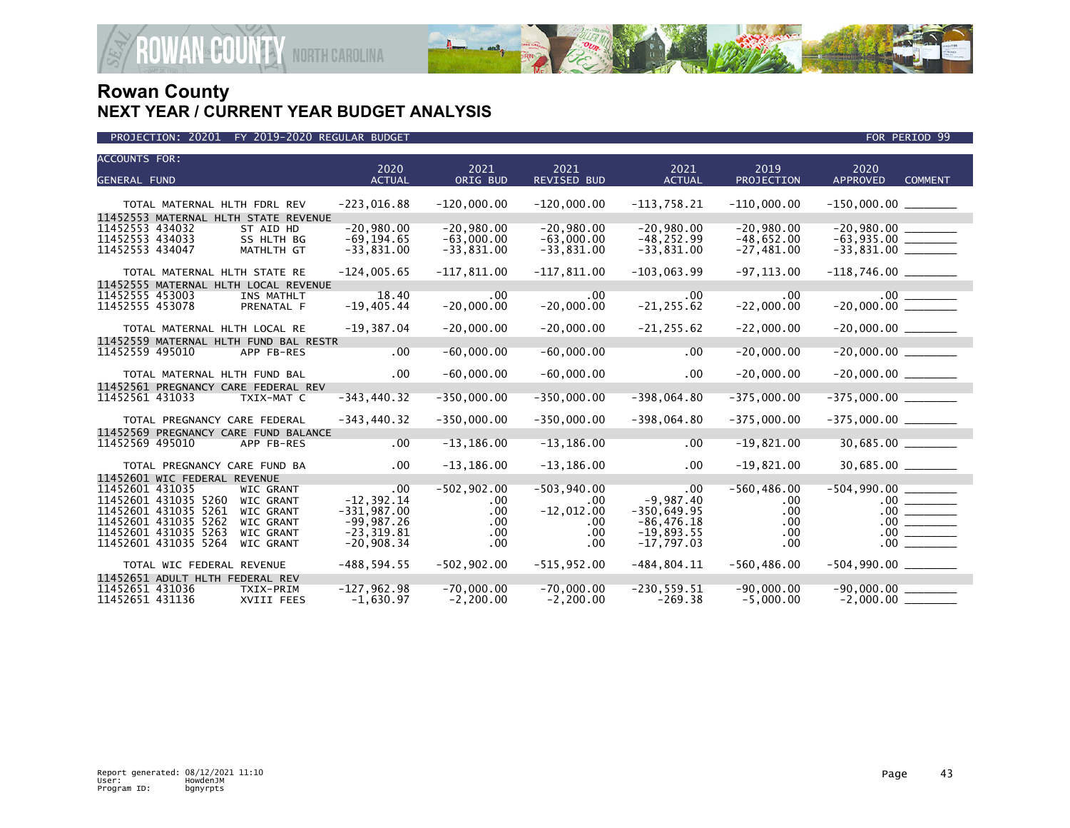

| <b>ACCOUNTS FOR:</b>                                                                                  | 2020                          | 2021                         | 2021                         | 2021                          | 2019                         | 2020                                  |
|-------------------------------------------------------------------------------------------------------|-------------------------------|------------------------------|------------------------------|-------------------------------|------------------------------|---------------------------------------|
| <b>GENERAL FUND</b>                                                                                   | <b>ACTUAL</b>                 | ORIG BUD                     | <b>REVISED BUD</b>           | <b>ACTUAL</b>                 | PROJECTION                   | <b>APPROVED</b><br><b>COMMENT</b>     |
| TOTAL MATERNAL HLTH FDRL REV                                                                          | $-223,016.88$                 | $-120,000.00$                | $-120,000.00$                | $-113,758.21$                 | $-110,000.00$                | $-150,000.00$ _________               |
| 11452553 MATERNAL HLTH STATE REVENUE<br>11452553 434032<br>ST AID HD<br>11452553 434033<br>SS HLTH BG | $-20.980.00$<br>$-69, 194.65$ | $-20,980.00$<br>$-63,000.00$ | $-20.980.00$<br>$-63,000.00$ | $-20,980.00$<br>$-48, 252.99$ | $-20,980.00$<br>$-48,652.00$ | $-20,980.00$<br>$-63,935.00$ ________ |
| 11452553 434047<br>MATHLTH GT                                                                         | $-33,831.00$                  | $-33,831.00$                 | $-33,831.00$                 | $-33,831.00$                  | $-27,481.00$                 | $-33,831.00$ ________                 |
| TOTAL MATERNAL HLTH STATE RE                                                                          | $-124,005.65$                 | $-117,811.00$                | $-117,811.00$                | $-103,063.99$                 | $-97, 113.00$                | $-118,746.00$ ________                |
| 11452555 MATERNAL HLTH LOCAL REVENUE                                                                  |                               |                              |                              |                               |                              |                                       |
| 11452555 453003<br>INS MATHLT<br>11452555 453078<br>PRENATAL F                                        | 18.40<br>$-19,405.44$         | $.00 \,$<br>$-20,000.00$     | $.00 \ \,$<br>$-20,000.00$   | $.00 \times$<br>$-21, 255.62$ | .00<br>$-22,000.00$          | $-20,000.00$                          |
| TOTAL MATERNAL HLTH LOCAL RE                                                                          | $-19,387.04$                  | $-20,000.00$                 | $-20,000.00$                 | $-21, 255.62$                 | $-22,000.00$                 |                                       |
| 11452559 MATERNAL HLTH FUND BAL RESTR                                                                 |                               |                              |                              |                               |                              |                                       |
| 11452559 495010<br>APP FB-RES                                                                         | .00                           | $-60,000.00$                 | $-60,000.00$                 | .00                           | $-20,000.00$                 |                                       |
| TOTAL MATERNAL HLTH FUND BAL                                                                          | $.00 \,$                      | $-60,000.00$                 | $-60,000.00$                 | $.00 \,$                      | $-20,000.00$                 | $-20,000.00$ ________                 |
| 11452561 PREGNANCY CARE FEDERAL REV                                                                   |                               |                              |                              |                               |                              |                                       |
| 11452561 431033<br>TXIX-MAT C                                                                         | $-343, 440.32$                | $-350,000.00$                | $-350,000.00$                | $-398,064.80$                 | $-375,000.00$                | $-375,000.00$ ________                |
| TOTAL PREGNANCY CARE FEDERAL                                                                          | $-343, 440.32$                | $-350,000.00$                | $-350,000.00$                | $-398,064.80$                 | $-375,000.00$                |                                       |
| 11452569 PREGNANCY CARE FUND BALANCE                                                                  |                               |                              |                              |                               |                              |                                       |
| 11452569 495010<br>APP FB-RES                                                                         | .00                           | $-13, 186.00$                | $-13, 186.00$                | $.00 \,$                      | $-19,821.00$                 | 30,685.00 ________                    |
| TOTAL PREGNANCY CARE FUND BA                                                                          | $.00 \,$                      | $-13, 186.00$                | $-13, 186.00$                | $.00 \,$                      | $-19,821.00$                 | 30,685.00 _______                     |
| 11452601 WIC FEDERAL REVENUE                                                                          |                               |                              |                              |                               |                              |                                       |
| 11452601 431035<br><b>WIC GRANT</b>                                                                   | .00.                          | $-502,902.00$                | $-503,940.00$                | .00                           | $-560, 486.00$               | $-504,990.00$ ____                    |
| 11452601 431035 5260<br><b>WIC GRANT</b>                                                              | $-12.392.14$                  | .00                          | $.00 \ \,$                   | $-9.987.40$                   | .00                          |                                       |
| 11452601 431035 5261<br><b>WIC GRANT</b>                                                              | $-331,987.00$                 | .00                          | $-12,012.00$                 | $-350,649.95$                 | .00                          |                                       |
| 11452601 431035 5262<br><b>WIC GRANT</b>                                                              | $-99,987.26$                  | $.00 \,$                     | .00                          | $-86, 476.18$                 | .00                          |                                       |
| 11452601 431035 5263<br><b>WIC GRANT</b>                                                              | $-23.319.81$                  | $.00 \,$                     | .00                          | $-19,893.55$                  | $.00 \,$                     |                                       |
| 11452601 431035 5264<br><b>WIC GRANT</b>                                                              | $-20,908.34$                  | $.00 \,$                     | $.00 \,$                     | $-17,797.03$                  | $.00 \cdot$                  | .00                                   |
| TOTAL WIC FEDERAL REVENUE                                                                             | $-488, 594.55$                | $-502, 902.00$               | $-515,952.00$                | $-484, 804.11$                | $-560, 486.00$               | $-504,990.00$ _________               |
| 11452651 ADULT HLTH FEDERAL REV                                                                       |                               |                              |                              |                               |                              |                                       |
| 11452651 431036<br>TXIX-PRIM<br>11452651 431136<br>XVIII FEES                                         | $-127,962.98$<br>$-1,630.97$  | $-70,000.00$<br>$-2, 200.00$ | $-70,000.00$<br>$-2, 200.00$ | $-230, 559.51$<br>$-269.38$   | $-90,000.00$<br>$-5,000.00$  | $-90,000.00$                          |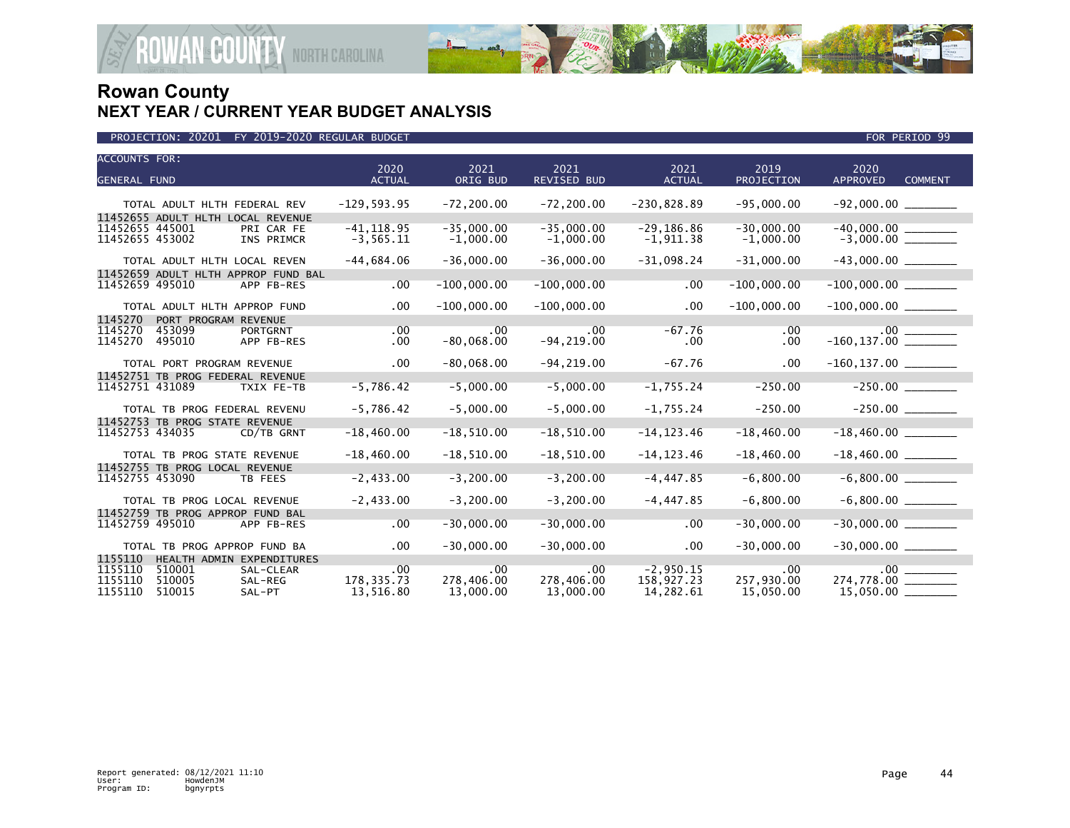

| <b>ACCOUNTS FOR:</b><br><b>GENERAL FUND</b>                                                         | 2020<br><b>ACTUAL</b>                   | 2021<br>ORIG BUD               | 2021<br><b>REVISED BUD</b>     | 2021<br><b>ACTUAL</b>                  | 2019<br>PROJECTION                  | 2020<br><b>APPROVED</b><br><b>COMMENT</b> |
|-----------------------------------------------------------------------------------------------------|-----------------------------------------|--------------------------------|--------------------------------|----------------------------------------|-------------------------------------|-------------------------------------------|
|                                                                                                     |                                         |                                |                                |                                        |                                     |                                           |
| TOTAL ADULT HLTH FEDERAL REV                                                                        | $-129,593.95$                           | $-72, 200.00$                  | $-72, 200.00$                  | $-230,828.89$                          | $-95,000.00$                        |                                           |
| 11452655 ADULT HLTH LOCAL REVENUE<br>11452655 445001<br>PRI CAR FE<br>11452655 453002<br>INS PRIMCR | $-41, 118.95$<br>$-3, 565.11$           | $-35,000.00$<br>$-1,000.00$    | $-35,000.00$<br>$-1,000.00$    | $-29, 186.86$<br>$-1,911.38$           | $-30,000.00$<br>$-1,000.00$         |                                           |
| TOTAL ADULT HLTH LOCAL REVEN                                                                        | $-44,684.06$                            | $-36,000.00$                   | $-36,000.00$                   | $-31,098.24$                           | $-31,000.00$                        |                                           |
| 11452659 ADULT HLTH APPROP FUND BAL                                                                 |                                         |                                |                                |                                        |                                     |                                           |
| 11452659 495010<br>APP FB-RES                                                                       | $.00 \,$                                | $-100,000.00$                  | $-100,000.00$                  | $.00 \,$                               | $-100,000.00$                       |                                           |
| TOTAL ADULT HLTH APPROP FUND                                                                        | $.00 \,$                                | $-100,000.00$                  | $-100,000.00$                  | .00                                    | $-100,000.00$                       |                                           |
| 1145270<br>PORT PROGRAM REVENUE                                                                     |                                         |                                |                                |                                        |                                     |                                           |
| 1145270<br>453099<br><b>PORTGRNT</b><br>1145270<br>495010<br>APP FB-RES                             | .00<br>$.00 \,$                         | $.00 \,$<br>$-80,068.00$       | .00<br>$-94, 219.00$           | $-67.76$<br>$.00 \,$                   | .00<br>.00.                         | $-160, 137.00$                            |
| TOTAL PORT PROGRAM REVENUE                                                                          | $.00 \,$                                | $-80,068.00$                   | $-94, 219.00$                  | $-67.76$                               | .00                                 | $-160, 137.00$ ________                   |
| 11452751 TB PROG FEDERAL REVENUE                                                                    |                                         |                                |                                |                                        |                                     |                                           |
| 11452751 431089<br>TXIX FE-TB                                                                       | $-5,786.42$                             | $-5,000.00$                    | $-5,000.00$                    | $-1,755.24$                            | $-250.00$                           |                                           |
| TOTAL TB PROG FEDERAL REVENU                                                                        | $-5,786.42$                             | $-5,000.00$                    | $-5,000.00$                    | $-1,755.24$                            | $-250.00$                           |                                           |
| 11452753 TB PROG STATE REVENUE<br>11452753 434035<br>CD/TB GRNT                                     | $-18,460.00$                            | $-18,510.00$                   | $-18,510.00$                   | $-14, 123.46$                          | $-18,460.00$                        |                                           |
| TOTAL TB PROG STATE REVENUE                                                                         | $-18,460.00$                            | $-18,510.00$                   | $-18,510.00$                   | $-14, 123.46$                          | $-18,460.00$                        |                                           |
| 11452755 TB PROG LOCAL REVENUE<br>11452755 453090<br>TB FEES                                        | $-2,433.00$                             | $-3, 200.00$                   | $-3, 200.00$                   | $-4, 447.85$                           | $-6,800.00$                         |                                           |
| TOTAL TB PROG LOCAL REVENUE                                                                         | $-2,433.00$                             | $-3, 200.00$                   | $-3, 200.00$                   | $-4,447.85$                            | $-6,800.00$                         |                                           |
| 11452759 TB PROG APPROP FUND BAL                                                                    |                                         |                                |                                |                                        |                                     |                                           |
| 11452759 495010<br>APP FB-RES                                                                       | $.00 \,$                                | $-30,000.00$                   | $-30,000.00$                   | .00                                    | $-30,000.00$                        | $-30,000.00$                              |
| TOTAL TB PROG APPROP FUND BA                                                                        | $.00 \,$                                | $-30,000.00$                   | $-30,000.00$                   | $.00 \,$                               | $-30,000.00$                        |                                           |
| 1155110<br>HEALTH ADMIN EXPENDITURES                                                                |                                         |                                |                                |                                        |                                     |                                           |
| 1155110<br>510001<br>SAL-CLEAR<br>1155110<br>510005<br>SAL-REG<br>1155110<br>510015<br>SAL-PT       | $.00 \cdot$<br>178, 335.73<br>13,516.80 | .00<br>278,406.00<br>13,000.00 | .00<br>278,406.00<br>13,000.00 | $-2,950.15$<br>158,927.23<br>14,282.61 | $.00 \,$<br>257,930.00<br>15,050.00 | 274,778.00 _______<br>$15,050.00$ __      |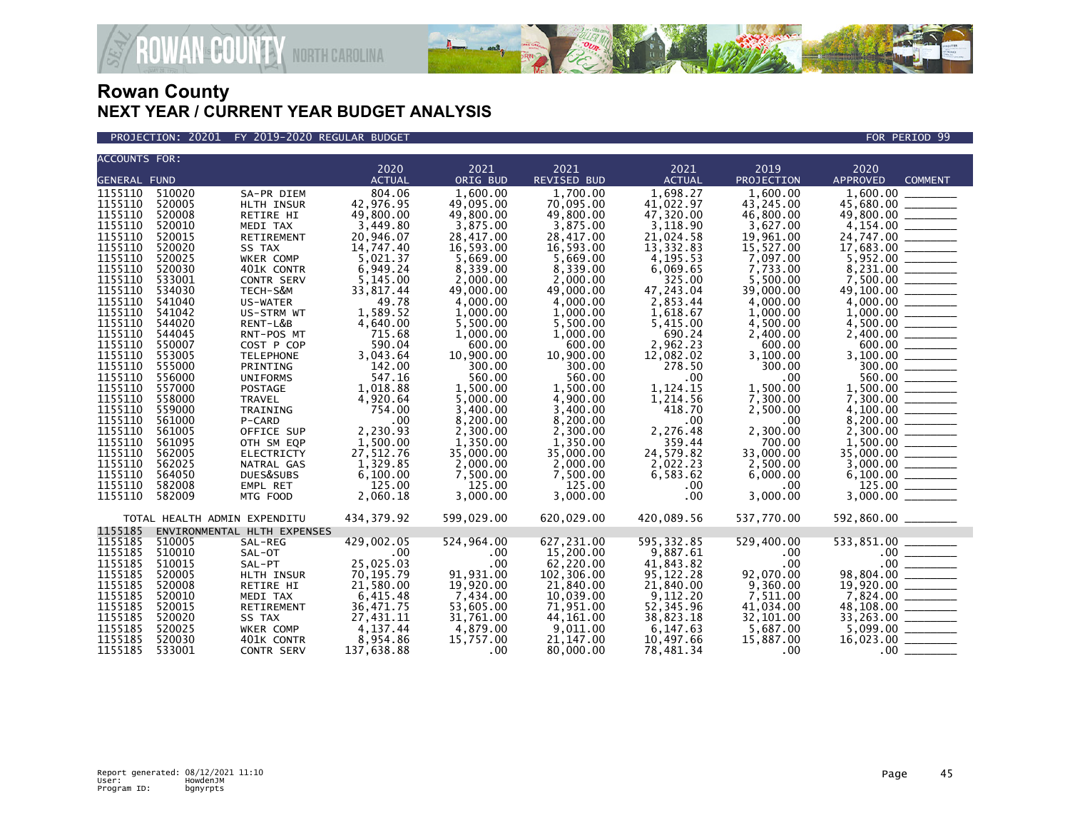

PROJECTION: 20201 FY 2019-2020 REGULAR BUDGET FOR PERIOD 99

| <b>ACCOUNTS FOR:</b> |        |                              |               |            |                    |                    |            |                                                                                                                                                                                                                                                                                                                                                                                                                              |
|----------------------|--------|------------------------------|---------------|------------|--------------------|--------------------|------------|------------------------------------------------------------------------------------------------------------------------------------------------------------------------------------------------------------------------------------------------------------------------------------------------------------------------------------------------------------------------------------------------------------------------------|
|                      |        |                              | 2020          | 2021       | 2021               | 2021               | 2019       | 2020                                                                                                                                                                                                                                                                                                                                                                                                                         |
| <b>GENERAL FUND</b>  |        |                              | <b>ACTUAL</b> | ORIG BUD   | <b>REVISED BUD</b> | <b>ACTUAL</b>      | PROJECTION | <b>APPROVED</b><br><b>COMMENT</b>                                                                                                                                                                                                                                                                                                                                                                                            |
| 1155110              | 510020 | SA-PR DIEM                   | 804.06        | 1,600.00   | 1.700.00           | 1,698.27           | 1.600.00   | $\overline{1}$ , 600.00                                                                                                                                                                                                                                                                                                                                                                                                      |
| 1155110              | 520005 | HLTH INSUR                   | 42,976.95     | 49,095.00  | 70,095.00          | 41,022.97          | 43,245.00  | 45,680.00 _______                                                                                                                                                                                                                                                                                                                                                                                                            |
| 1155110              | 520008 | RETIRE HI                    | 49,800.00     | 49,800.00  | 49,800.00          | 47,320.00          | 46,800.00  | 49,800.00 ______                                                                                                                                                                                                                                                                                                                                                                                                             |
| 1155110              | 520010 | MEDI TAX                     | 3,449.80      | 3,875.00   | 3,875.00           | 3,118.90           | 3,627.00   |                                                                                                                                                                                                                                                                                                                                                                                                                              |
| 1155110              | 520015 | <b>RETIREMENT</b>            | 20,946.07     | 28,417.00  | 28,417.00          | 21,024.58          | 19,961.00  |                                                                                                                                                                                                                                                                                                                                                                                                                              |
| 1155110              | 520020 | SS TAX                       | 14,747.40     | 16,593.00  | 16,593.00          | 13,332.83          | 15,527.00  |                                                                                                                                                                                                                                                                                                                                                                                                                              |
| 1155110              | 520025 | WKER COMP                    | 5,021.37      | 5,669.00   | 5.669.00           | 4,195.53           | 7,097.00   |                                                                                                                                                                                                                                                                                                                                                                                                                              |
| 1155110              | 520030 | 401K CONTR                   | 6,949.24      | 8,339.00   | 8,339.00           | 6,069.65           | 7,733.00   |                                                                                                                                                                                                                                                                                                                                                                                                                              |
| 1155110              | 533001 | <b>CONTR SERV</b>            | 5,145.00      | 2,000,00   | 2,000.00           | 325.00             | 5.500.00   |                                                                                                                                                                                                                                                                                                                                                                                                                              |
| 1155110              | 534030 | TECH-S&M                     | 33,817.44     | 49,000.00  | 49,000.00          | 47,243.04          | 39,000.00  |                                                                                                                                                                                                                                                                                                                                                                                                                              |
| 1155110              | 541040 | US-WATER                     | 49.78         | 4.000.00   | 4.000.00           | 2,853.44           | 4,000.00   |                                                                                                                                                                                                                                                                                                                                                                                                                              |
| 1155110              | 541042 | US-STRM WT                   | 1,589.52      | 1,000.00   | 1,000.00           | 1,618.67           | 1,000.00   |                                                                                                                                                                                                                                                                                                                                                                                                                              |
| 1155110              | 544020 | RENT-L&B                     | 4,640.00      | 5,500.00   | 5,500.00           | 5,415.00           | 4,500.00   |                                                                                                                                                                                                                                                                                                                                                                                                                              |
| 1155110              | 544045 | RNT-POS MT                   | 715.68        | 1,000.00   | 1,000.00           | 690.24             | 2,400.00   |                                                                                                                                                                                                                                                                                                                                                                                                                              |
| 1155110              | 550007 | COST P COP                   | 590.04        | 600.00     | 600.00             | 2,962.23           | 600.00     |                                                                                                                                                                                                                                                                                                                                                                                                                              |
| 1155110              | 553005 | <b>TELEPHONE</b>             | 3,043.64      | 10,900.00  | 10,900.00          | 12,082.02          | 3,100.00   | $\frac{600.00}{3,100.00}$                                                                                                                                                                                                                                                                                                                                                                                                    |
| 1155110              | 555000 | PRINTING                     | 142.00        | 300.00     | 300.00             | 278.50             | 300.00     |                                                                                                                                                                                                                                                                                                                                                                                                                              |
| 1155110              | 556000 | <b>UNIFORMS</b>              | 547.16        | 560.00     | 560.00             | .00                | .00        | $\frac{300.00}{560.00}$                                                                                                                                                                                                                                                                                                                                                                                                      |
| 1155110              | 557000 | POSTAGE                      | 1,018.88      | 1,500.00   | 1.500.00           | 1,124.15           | 1,500.00   |                                                                                                                                                                                                                                                                                                                                                                                                                              |
| 1155110              | 558000 | TRAVEL                       | 4,920.64      | 5,000.00   | 4,900.00           | 1,214.56           | 7,300.00   |                                                                                                                                                                                                                                                                                                                                                                                                                              |
| 1155110              | 559000 | TRAINING                     | 754.00        | 3.400.00   | 3.400.00           | 418.70             | 2,500.00   |                                                                                                                                                                                                                                                                                                                                                                                                                              |
| 1155110              | 561000 | P-CARD                       | .00           | 8,200.00   | 8,200.00           | .00                | .00        |                                                                                                                                                                                                                                                                                                                                                                                                                              |
| 1155110              | 561005 |                              | 2,230.93      |            | 2,300.00           |                    | 2,300.00   |                                                                                                                                                                                                                                                                                                                                                                                                                              |
| 1155110              | 561095 | OFFICE SUP                   |               | 2,300.00   |                    | 2,276.48<br>359.44 | 700.00     |                                                                                                                                                                                                                                                                                                                                                                                                                              |
| 1155110              |        | OTH SM EQP                   | 1,500.00      | 1,350.00   | 1,350.00           |                    |            |                                                                                                                                                                                                                                                                                                                                                                                                                              |
|                      | 562005 | ELECTRICTY                   | 27,512.76     | 35,000.00  | 35,000.00          | 24,579.82          | 33,000.00  |                                                                                                                                                                                                                                                                                                                                                                                                                              |
| 1155110              | 562025 | NATRAL GAS                   | 1,329.85      | 2,000.00   | 2,000.00           | 2,022.23           | 2,500.00   |                                                                                                                                                                                                                                                                                                                                                                                                                              |
| 1155110              | 564050 | DUES&SUBS                    | 6,100.00      | 7,500.00   | 7,500.00           | 6,583.62           | 6,000.00   |                                                                                                                                                                                                                                                                                                                                                                                                                              |
| 1155110              | 582008 | EMPL RET                     | 125.00        | 125.00     | 125.00             | $.00 \,$           | .00        | 125.00                                                                                                                                                                                                                                                                                                                                                                                                                       |
| 1155110              | 582009 | MTG FOOD                     | 2,060.18      | 3.000.00   | 3.000.00           | .00                | 3,000.00   |                                                                                                                                                                                                                                                                                                                                                                                                                              |
|                      |        | TOTAL HEALTH ADMIN EXPENDITU | 434, 379.92   | 599,029.00 | 620,029.00         | 420,089.56         | 537,770.00 | 592,860.00 ______                                                                                                                                                                                                                                                                                                                                                                                                            |
| 1155185              |        | ENVIRONMENTAL HLTH EXPENSES  |               |            |                    |                    |            |                                                                                                                                                                                                                                                                                                                                                                                                                              |
| 1155185              | 510005 | SAL-REG                      | 429,002.05    | 524,964.00 | 627,231.00         | 595, 332.85        | 529,400.00 |                                                                                                                                                                                                                                                                                                                                                                                                                              |
| 1155185              | 510010 | SAL-OT                       | .00           | .00        | 15,200.00          | 9,887.61           | .00        |                                                                                                                                                                                                                                                                                                                                                                                                                              |
| 1155185              | 510015 | SAL-PT                       | 25,025.03     | .00        | 62,220.00          | 41,843.82          | .00        |                                                                                                                                                                                                                                                                                                                                                                                                                              |
| 1155185              | 520005 | HLTH INSUR                   | 70,195.79     | 91,931.00  | 102,306.00         | 95,122.28          | 92,070.00  | $\begin{array}{r} .00 \ \hline .00 \ \hline .00 \ \hline .00 \ \hline .00 \ \hline .00 \ \hline .00 \ \hline .00 \ \hline .00 \ \hline .00 \ \hline .00 \ \hline .00 \ \hline .00 \ \hline .00 \ \hline .00 \ \hline .00 \ \hline .00 \ \hline .00 \ \hline .00 \ \hline .00 \ \hline .00 \ \hline .00 \ \hline .00 \ \hline .00 \ \hline .00 \ \hline .00 \ \hline .00 \ \hline .00 \ \hline .00 \ \hline .00 \ \hline .00$ |
| 1155185              | 520008 | RETIRE HI                    | 21,580.00     | 19,920.00  | 21,840.00          | 21,840.00          | 9,360.00   |                                                                                                                                                                                                                                                                                                                                                                                                                              |
| 1155185              | 520010 | MEDI TAX                     | 6,415.48      | 7,434.00   | 10,039.00          | 9,112.20           | 7,511.00   |                                                                                                                                                                                                                                                                                                                                                                                                                              |
| 1155185              | 520015 | RETIREMENT                   | 36,471.75     | 53,605.00  | 71,951.00          | 52, 345.96         | 41,034.00  |                                                                                                                                                                                                                                                                                                                                                                                                                              |
| 1155185              | 520020 | SS TAX                       | 27,431.11     | 31,761.00  | 44, 161.00         | 38,823.18          | 32,101.00  |                                                                                                                                                                                                                                                                                                                                                                                                                              |
| 1155185              | 520025 | WKER COMP                    | 4,137.44      | 4,879.00   | 9,011.00           | 6,147.63           | 5,687.00   | 5,099.00                                                                                                                                                                                                                                                                                                                                                                                                                     |
| 1155185              | 520030 | 401K CONTR                   | 8,954.86      | 15.757.00  | 21, 147.00         | 10.497.66          | 15.887.00  | 16,023.00                                                                                                                                                                                                                                                                                                                                                                                                                    |
| 1155185              | 533001 | <b>CONTR SERV</b>            | 137,638.88    | .00        | 80.000.00          | 78,481.34          | .00        | $.00 -$                                                                                                                                                                                                                                                                                                                                                                                                                      |
|                      |        |                              |               |            |                    |                    |            |                                                                                                                                                                                                                                                                                                                                                                                                                              |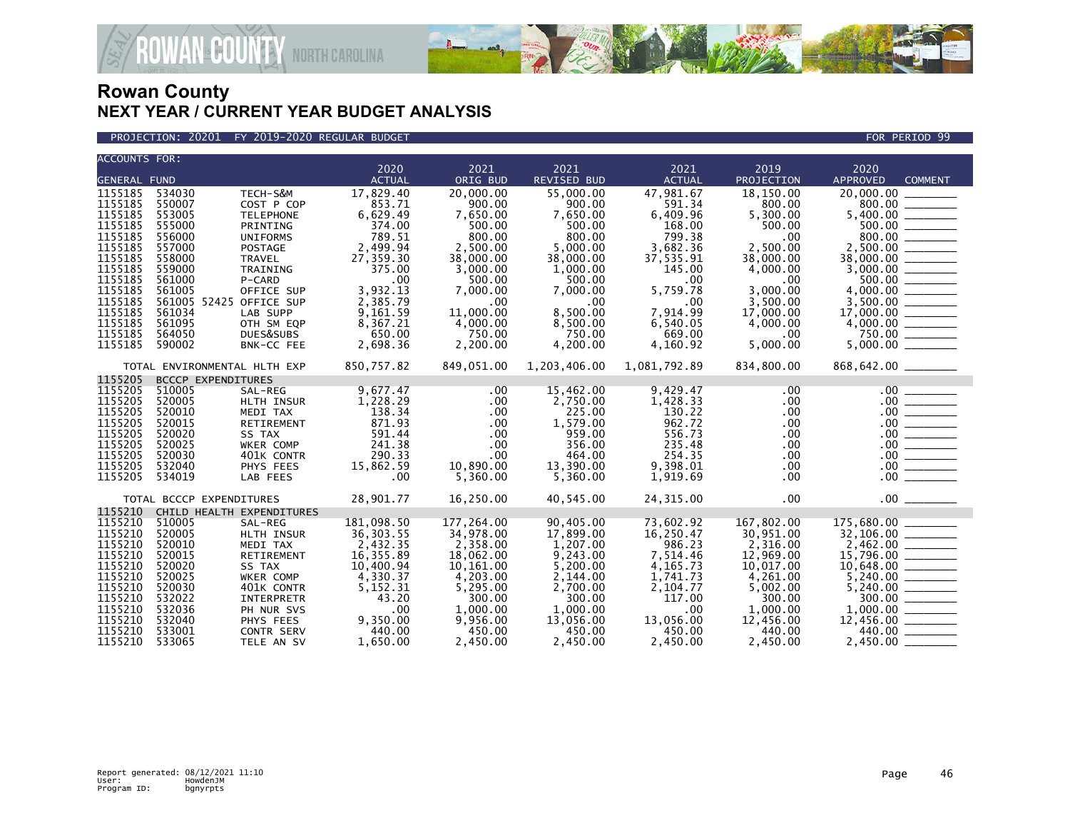

PROJECTION: 20201 FY 2019-2020 REGULAR BUDGET FOR PERIOD 99

| <b>ACCOUNTS FOR:</b>                                                                                                                                              |                                                                                                                                                                     |                                                                                                                                                                                                | 2020                                                                                                                                                                | 2021                                                                                                                                                                 | 2021                                                                                                                                                                 | 2021                                                                                                                                                           | 2019                                                                                                                                                                  | 2020                                                                                                  |                                                                                                                                                                                                                                                                                                                                                                                                                                                                                                               |
|-------------------------------------------------------------------------------------------------------------------------------------------------------------------|---------------------------------------------------------------------------------------------------------------------------------------------------------------------|------------------------------------------------------------------------------------------------------------------------------------------------------------------------------------------------|---------------------------------------------------------------------------------------------------------------------------------------------------------------------|----------------------------------------------------------------------------------------------------------------------------------------------------------------------|----------------------------------------------------------------------------------------------------------------------------------------------------------------------|----------------------------------------------------------------------------------------------------------------------------------------------------------------|-----------------------------------------------------------------------------------------------------------------------------------------------------------------------|-------------------------------------------------------------------------------------------------------|---------------------------------------------------------------------------------------------------------------------------------------------------------------------------------------------------------------------------------------------------------------------------------------------------------------------------------------------------------------------------------------------------------------------------------------------------------------------------------------------------------------|
| <b>GENERAL FUND</b>                                                                                                                                               |                                                                                                                                                                     |                                                                                                                                                                                                | <b>ACTUAL</b>                                                                                                                                                       | ORIG BUD                                                                                                                                                             | <b>REVISED BUD</b>                                                                                                                                                   | <b>ACTUAL</b>                                                                                                                                                  | PROJECTION                                                                                                                                                            | <b>APPROVED</b>                                                                                       | <b>COMMENT</b>                                                                                                                                                                                                                                                                                                                                                                                                                                                                                                |
| 1155185<br>1155185<br>1155185<br>1155185<br>1155185<br>1155185<br>1155185<br>1155185<br>1155185<br>1155185<br>1155185<br>1155185<br>1155185<br>1155185<br>1155185 | 534030<br>550007<br>553005<br>555000<br>556000<br>557000<br>558000<br>559000<br>561000<br>561005<br>561005 52425 OFFICE SUP<br>561034<br>561095<br>564050<br>590002 | TECH-S&M<br>COST P COP<br><b>TELEPHONE</b><br>PRINTING<br><b>UNIFORMS</b><br><b>POSTAGE</b><br>TRAVEL<br>TRAINING<br>P-CARD<br>OFFICE SUP<br>LAB SUPP<br>OTH SM EQP<br>DUES&SUBS<br>BNK-CC FEE | 17,829.40<br>853.71<br>6,629.49<br>374.00<br>789.51<br>2,499.94<br>27,359.30<br>375.00<br>.00<br>3,932.13<br>2,385.79<br>9,161.59<br>8,367.21<br>650.00<br>2,698.36 | 20,000.00<br>900.00<br>7,650.00<br>500.00<br>800.00<br>2,500.00<br>38,000.00<br>3,000.00<br>500.00<br>7,000.00<br>.00<br>11,000.00<br>4,000.00<br>750.00<br>2,200.00 | 55,000.00<br>900.00<br>7,650.00<br>500.00<br>800.00<br>5,000.00<br>38,000.00<br>1,000.00<br>500.00<br>7,000.00<br>.00.<br>8,500.00<br>8,500.00<br>750.00<br>4,200.00 | 47,981.67<br>591.34<br>6,409.96<br>168.00<br>799.38<br>3,682.36<br>37,535.91<br>145.00<br>.00<br>5,759.78<br>.00<br>7,914.99<br>6,540.05<br>669.00<br>4,160.92 | 18,150.00<br>800.00<br>5,300.00<br>500.00<br>.00<br>2,500.00<br>38,000.00<br>4,000.00<br>.00<br>3,000.00<br>3,500.00<br>17,000.00<br>4,000.00<br>$.00 \,$<br>5,000.00 | 20,000.00<br>800.00<br>2,500.00<br>38,000.00<br>$17,000.00$<br>4,000.00<br>750.00<br>5,000.00         | $\frac{500.00}{4,000.00}$<br>__________                                                                                                                                                                                                                                                                                                                                                                                                                                                                       |
|                                                                                                                                                                   | TOTAL ENVIRONMENTAL HLTH EXP                                                                                                                                        |                                                                                                                                                                                                | 850,757.82                                                                                                                                                          | 849,051.00                                                                                                                                                           | 1,203,406.00                                                                                                                                                         | 1,081,792.89                                                                                                                                                   | 834,800.00                                                                                                                                                            |                                                                                                       |                                                                                                                                                                                                                                                                                                                                                                                                                                                                                                               |
| 1155205<br>1155205<br>1155205<br>1155205<br>1155205<br>1155205<br>1155205<br>1155205<br>1155205<br>1155205                                                        | <b>BCCCP EXPENDITURES</b><br>510005<br>520005<br>520010<br>520015<br>520020<br>520025<br>520030<br>532040<br>534019<br>TOTAL BCCCP EXPENDITURES                     | SAL-REG<br>HLTH INSUR<br>MEDI TAX<br>RETIREMENT<br>SS TAX<br>WKER COMP<br>401K CONTR<br>PHYS FEES<br>LAB FEES                                                                                  | 9,677.47<br>1,228.29<br>138.34<br>871.93<br>591.44<br>241.38<br>290.33<br>15,862.59<br>.00<br>28,901.77                                                             | $.00 \,$<br>$.00 \,$<br>$.00 \,$<br>$.00 \,$<br>$.00 \,$<br>$.00 \,$<br>$.00 \,$<br>10,890.00<br>5,360.00<br>16,250.00                                               | 15,462.00<br>2,750.00<br>225.00<br>1,579.00<br>959.00<br>356.00<br>464.00<br>13,390.00<br>5,360.00<br>40,545.00                                                      | 9,429.47<br>1,428.33<br>130.22<br>962.72<br>556.73<br>235.48<br>254.35<br>9,398.01<br>1,919.69<br>24,315.00                                                    | .00<br>.00<br>.00<br>.00<br>.00<br>.00<br>.00<br>.00<br>$.00 \,$<br>.00                                                                                               | $.00$ $\_$<br>.00<br>.00 <sub>1</sub><br>$.00 \,$<br>$.00 \,$<br>.00 <sub>1</sub><br>.00 <sub>1</sub> | $\begin{array}{ccccccccc} \multicolumn{3}{c}{} & \multicolumn{3}{c}{} & \multicolumn{3}{c}{} & \multicolumn{3}{c}{} & \multicolumn{3}{c}{} & \multicolumn{3}{c}{} & \multicolumn{3}{c}{} & \multicolumn{3}{c}{} & \multicolumn{3}{c}{} & \multicolumn{3}{c}{} & \multicolumn{3}{c}{} & \multicolumn{3}{c}{} & \multicolumn{3}{c}{} & \multicolumn{3}{c}{} & \multicolumn{3}{c}{} & \multicolumn{3}{c}{} & \multicolumn{3}{c}{} & \multicolumn{3}{c}{} & \multicolumn{3}{c}{} & \mult$<br><u>essent</u><br>.00 |
| 1155210<br>1155210<br>1155210<br>1155210<br>1155210<br>1155210<br>1155210<br>1155210<br>1155210<br>1155210<br>1155210<br>1155210<br>1155210                       | CHILD HEALTH EXPENDITURES<br>510005<br>520005<br>520010<br>520015<br>520020<br>520025<br>520030<br>532022<br>532036<br>532040<br>533001<br>533065                   | SAL-REG<br>HLTH INSUR<br>MEDI TAX<br>RETIREMENT<br>SS TAX<br>WKER COMP<br>401K CONTR<br>INTERPRETR<br>PH NUR SVS<br>PHYS FEES<br>CONTR SERV<br>TELE AN SV                                      | 181,098.50<br>36, 303.55<br>2,432.35<br>16,355.89<br>10,400.94<br>4,330.37<br>5,152.31<br>43.20<br>.00<br>9,350.00<br>440.00<br>1,650.00                            | 177,264.00<br>34,978.00<br>2,358.00<br>18,062.00<br>10,161.00<br>4,203.00<br>5,295.00<br>300.00<br>1,000.00<br>9,956.00<br>450.00<br>2,450.00                        | 90,405.00<br>17,899.00<br>1,207.00<br>9,243.00<br>5,200.00<br>2,144.00<br>2.700.00<br>300.00<br>1,000.00<br>13,056.00<br>450.00<br>2,450.00                          | 73,602.92<br>16,250.47<br>986.23<br>7,514.46<br>4,165.73<br>1,741.73<br>2,104.77<br>117.00<br>.00<br>13,056.00<br>450.00<br>2,450.00                           | 167,802.00<br>30,951.00<br>2,316.00<br>12,969.00<br>10,017.00<br>4,261.00<br>5,002.00<br>300.00<br>1,000.00<br>12,456.00<br>440.00<br>2,450.00                        | 175,680.00<br>5,240.00<br>440.00<br>2,450.00                                                          | 300.00                                                                                                                                                                                                                                                                                                                                                                                                                                                                                                        |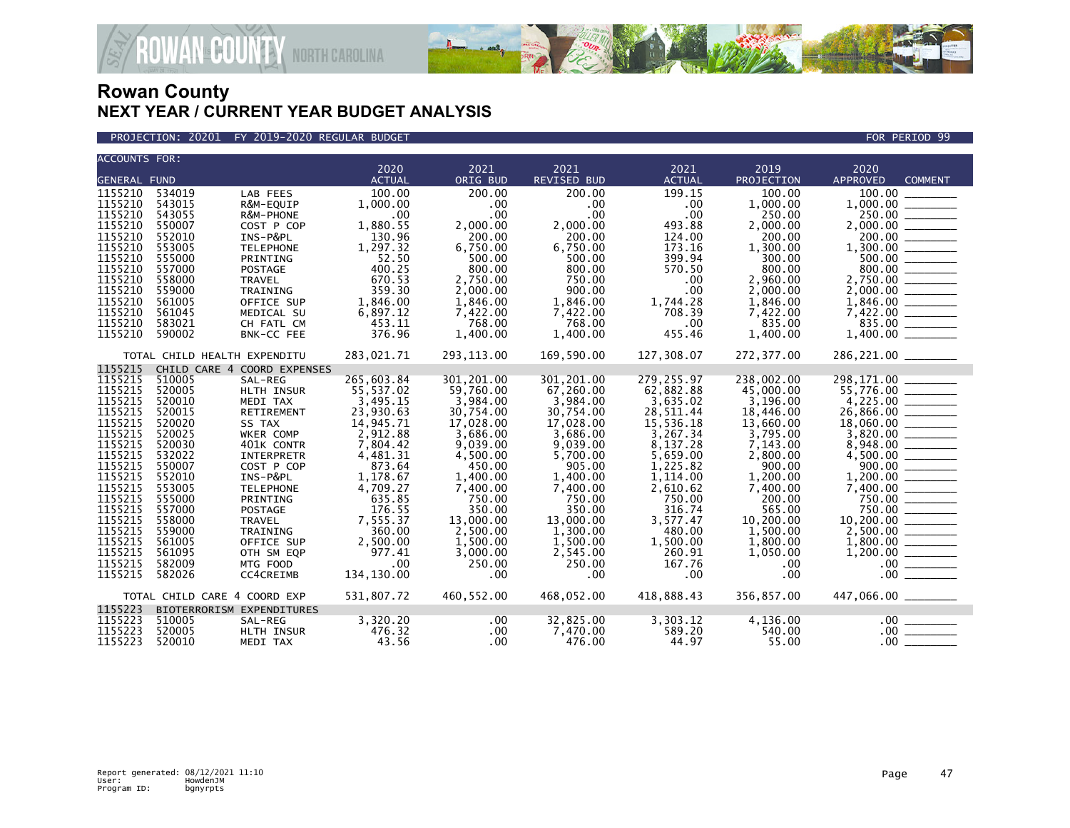

| <b>ACCOUNTS FOR:</b> |                                                                                                    |                              |                       |                      |                            |                       | 2019                 |                         |                |
|----------------------|----------------------------------------------------------------------------------------------------|------------------------------|-----------------------|----------------------|----------------------------|-----------------------|----------------------|-------------------------|----------------|
| <b>GENERAL FUND</b>  |                                                                                                    |                              | 2020<br><b>ACTUAL</b> | 2021<br>ORIG BUD     | 2021<br><b>REVISED BUD</b> | 2021<br><b>ACTUAL</b> | PROJECTION           | 2020<br><b>APPROVED</b> | <b>COMMENT</b> |
|                      |                                                                                                    |                              |                       |                      | 200.00                     |                       | 100.00               |                         |                |
| 1155210<br>1155210   | 534019<br>543015                                                                                   | LAB FEES                     | 100.00                | 200.00<br>.00        | .00 <sub>1</sub>           | 199.15                | 1,000.00             | 100.00<br>1,000.00      |                |
| 1155210              | 543055                                                                                             | R&M-EQUIP<br>R&M-PHONE       | 1,000.00<br>.00       | .00                  | .00                        | .00<br>.00            | 250.00               | 250.00                  |                |
| 1155210              | 550007                                                                                             | COST P COP                   | 1,880.55              | 2,000.00             | 2,000.00                   | 493.88                | 2,000.00             |                         |                |
| 1155210              | 552010                                                                                             | INS-P&PL                     | 130.96                | 200.00               | 200.00                     | 124.00                | 200.00               | 200.00                  |                |
| 1155210              | 553005                                                                                             | <b>TELEPHONE</b>             | 1,297.32              | 6,750.00             | 6,750.00                   | 173.16                | 1,300.00             |                         |                |
| 1155210              | 555000                                                                                             | PRINTING                     | 52.50                 | 500.00               | 500.00                     | 399.94                | 300.00               |                         |                |
| 1155210              | 557000                                                                                             | POSTAGE                      | 400.25                | 800.00               | 800.00                     | 570.50                | 800.00               |                         | 800.00         |
| 1155210              | 558000                                                                                             | <b>TRAVEL</b>                | 670.53                | 2,750.00             | 750.00                     | .00                   | 2,960.00             |                         |                |
| 1155210              | 559000                                                                                             | TRAINING                     | 359.30                | 2,000.00             | 900.00                     | .00                   | 2,000.00             |                         |                |
| 1155210              | 561005                                                                                             | OFFICE SUP                   | 1,846.00              | 1,846.00             | 1,846.00                   | 1,744.28              | 1,846.00             |                         |                |
| 1155210              | 561045                                                                                             | MEDICAL SU                   | 6,897.12              | 7,422.00             | 7,422.00                   | 708.39                | 7,422.00             |                         |                |
| 1155210              | 583021                                                                                             | CH FATL CM                   | 453.11                | 768.00               | 768.00                     | .00                   | 835.00               |                         |                |
| 1155210              | 590002                                                                                             | BNK-CC FEE                   | 376.96                | 1,400.00             | 1,400.00                   | 455.46                | 1,400.00             |                         |                |
|                      |                                                                                                    |                              |                       |                      |                            |                       |                      |                         |                |
|                      | TOTAL CHILD HEALTH EXPENDITU                                                                       |                              | 283,021.71            | 293, 113.00          | 169,590.00                 | 127,308.07            | 272,377.00           | 286,221.00 _______      |                |
| 1155215              |                                                                                                    | CHILD CARE 4 COORD EXPENSES  |                       |                      |                            |                       |                      |                         |                |
| 1155215              | 510005                                                                                             | SAL-REG                      | 265,603.84            | 301,201.00           | 301,201.00                 | 279,255.97            | 238,002.00           | 298,171.00              |                |
| 1155215              | 520005                                                                                             | HLTH INSUR                   | 55,537.02             | 59,760.00            | 67,260.00                  | 62,882.88             | 45,000.00            |                         |                |
| 1155215              | 520010                                                                                             | MEDI TAX                     | 3,495.15              | 3,984.00             | 3,984.00                   | 3,635.02              | 3,196.00             |                         |                |
| 1155215              | 520015                                                                                             | RETIREMENT                   | 23,930.63             | 30,754.00            | 30,754.00                  | 28,511.44             | 18,446.00            |                         |                |
| 1155215              | 520020                                                                                             | SS TAX                       | 14,945.71             | 17,028.00            | 17,028.00                  | 15,536.18             | 13,660.00            |                         |                |
| 1155215              | 520025                                                                                             | WKER COMP                    | 2,912.88              | 3,686.00             | 3,686.00                   | 3,267.34              | 3,795.00             |                         |                |
| 1155215              | 520030                                                                                             | 401K CONTR                   | 7,804.42              | 9.039.00             | 9,039.00                   | 8,137.28              | 7,143.00             |                         |                |
| 1155215              | 532022                                                                                             | <b>INTERPRETR</b>            | 4,481.31              | 4,500.00             | 5.700.00                   | 5,659.00              | 2,800.00             |                         |                |
| 1155215<br>1155215   | 550007<br>552010                                                                                   | COST P COP                   | 873.64                | 450.00               | 905.00                     | 1,225.82              | 900.00               | 900.00<br>1,200.00      |                |
| 1155215              | 553005                                                                                             | INS-P&PL<br><b>TELEPHONE</b> | 1,178.67<br>4,709.27  | 1,400.00<br>7,400.00 | 1,400.00<br>7,400.00       | 1,114.00<br>2,610.62  | 1,200.00<br>7,400.00 |                         |                |
| 1155215              | 555000                                                                                             | PRINTING                     | 635.85                | 750.00               | 750.00                     | 750.00                | 200.00               |                         | 750.00         |
| 1155215              | 557000                                                                                             | POSTAGE                      | 176.55                | 350.00               | 350.00                     | 316.74                | 565.00               |                         | 750.00         |
| 1155215              | 558000                                                                                             | <b>TRAVEL</b>                | 7,555.37              | 13,000.00            | 13,000,00                  | 3,577.47              | 10,200.00            | 10,200.00 ______        |                |
| 1155215              | 559000                                                                                             | TRAINING                     | 360.00                | 2,500.00             | 1,300.00                   | 480.00                | 1,500.00             |                         |                |
| 1155215              | 561005                                                                                             | OFFICE SUP                   | 2,500.00              | 1,500.00             | 1,500.00                   | 1,500.00              | 1,800.00             |                         |                |
| 1155215              | 561095                                                                                             | OTH SM EQP                   | 977.41                | 3,000.00             | 2,545.00                   | 260.91                | 1,050.00             |                         |                |
| 1155215              | 582009                                                                                             | MTG FOOD                     | .00                   | 250.00               | 250.00                     | 167.76                | .00                  | .00 <sub>1</sub>        |                |
| 1155215              | 582026                                                                                             | CC4CREIMB                    | 134,130.00            | .00                  | .00                        | .00                   | .00                  | .00.                    |                |
|                      |                                                                                                    |                              |                       |                      |                            |                       |                      |                         |                |
|                      | 531,807.72<br>460,552.00<br>468,052.00<br>418,888.43<br>356,857.00<br>TOTAL CHILD CARE 4 COORD EXP |                              |                       |                      |                            |                       |                      |                         |                |
| 1155223              |                                                                                                    | BIOTERRORISM EXPENDITURES    |                       |                      |                            |                       |                      |                         |                |
| 1155223              | 510005                                                                                             | SAL-REG                      | 3,320.20              | $.00 \ \,$           | 32,825.00                  | 3,303.12              | 4,136.00             |                         | .00            |
| 1155223              | 520005                                                                                             | HLTH INSUR                   | 476.32                | .00                  | 7,470.00                   | 589.20                | 540.00               | $.00 \cdot$             |                |
| 1155223              | 520010                                                                                             | MEDI TAX                     | 43.56                 | .00                  | 476.00                     | 44.97                 | 55.00                | .00 <sub>1</sub>        |                |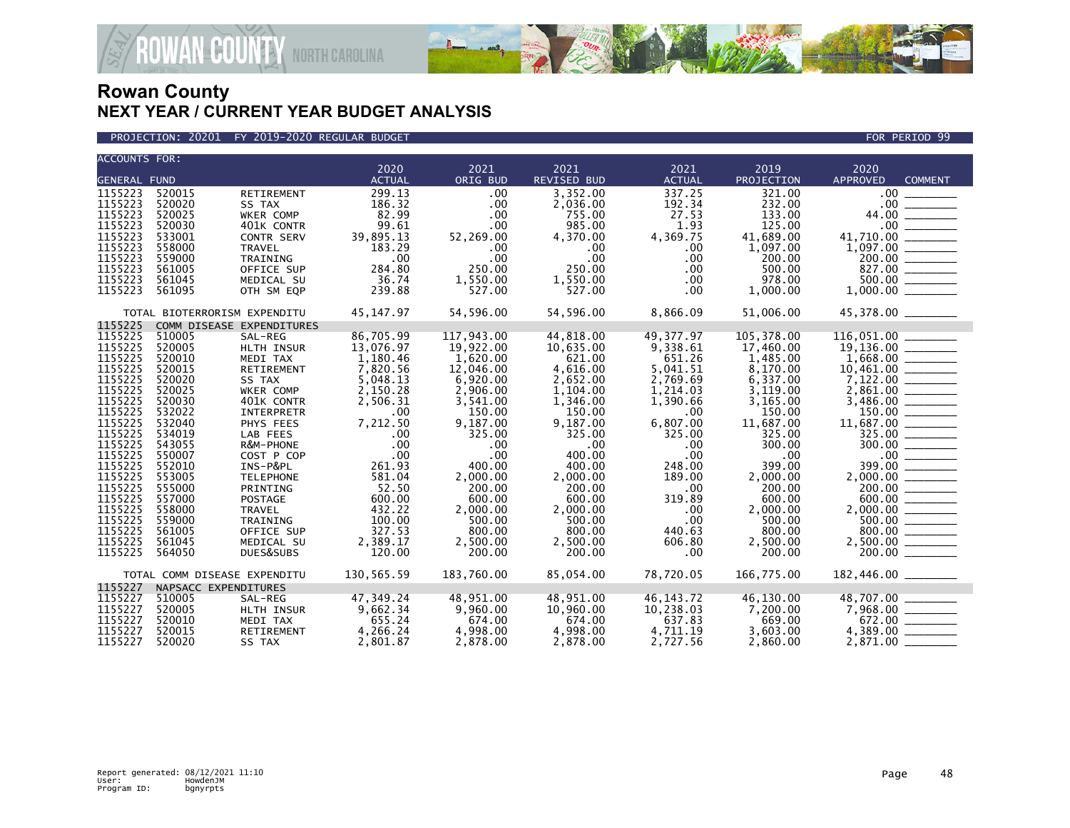



| <b>ACCOUNTS FOR:</b>         |                              |                           |               |            |                    |               |            |                                                                                                                                       |
|------------------------------|------------------------------|---------------------------|---------------|------------|--------------------|---------------|------------|---------------------------------------------------------------------------------------------------------------------------------------|
|                              |                              |                           | 2020          | 2021       | 2021               | 2021          | 2019       | 2020                                                                                                                                  |
| <b>GENERAL FUND</b>          |                              |                           | <b>ACTUAL</b> | ORIG BUD   | <b>REVISED BUD</b> | <b>ACTUAL</b> | PROJECTION | <b>APPROVED</b><br><b>COMMENT</b>                                                                                                     |
| 1155223                      | 520015                       | RETIREMENT                | 299.13        | .00        | 3,352.00           | 337.25        | 321.00     | .00 <sub>1</sub>                                                                                                                      |
| 1155223                      | 520020                       | SS TAX                    | 186.32        | .00        | 2,036.00           | 192.34        | 232.00     |                                                                                                                                       |
| 1155223                      | 520025                       | WKER COMP                 | 82.99         | .00        | 755.00             | 27.53         | 133.00     |                                                                                                                                       |
| 1155223                      | 520030                       | 401K CONTR                | 99.61         | .00        | 985.00             | 1.93          | 125.00     |                                                                                                                                       |
| 1155223                      | 533001                       | CONTR SERV                | 39,895.13     | 52,269.00  | 4,370.00           | 4,369.75      | 41,689.00  |                                                                                                                                       |
| 1155223                      | 558000                       | <b>TRAVEL</b>             | 183.29        | $.00 \,$   | .00.               | .00.          | 1,097.00   | $\begin{array}{r} 14.710.00 \ \hline 1,097.00 \ \hline 200.00 \ \hline 827.00 \ \hline \end{array}$                                   |
| 1155223                      | 559000                       | TRAINING                  | .00           | .00        | $.00 \times$       | $.00 \,$      | 200.00     |                                                                                                                                       |
| 1155223                      | 561005                       | OFFICE SUP                | 284.80        | 250.00     | 250.00             | $.00 \,$      | 500.00     |                                                                                                                                       |
| 1155223                      | 561045                       | MEDICAL SU                | 36.74         | 1,550.00   | 1,550.00           | .00           | 978.00     | $\frac{500.00}{1,000.00}$                                                                                                             |
| 1155223                      | 561095                       | OTH SM EQP                | 239.88        | 527.00     | 527.00             | $.00 \,$      | 1,000.00   |                                                                                                                                       |
|                              |                              |                           |               |            |                    |               |            |                                                                                                                                       |
|                              | TOTAL BIOTERRORISM EXPENDITU |                           | 45,147.97     | 54,596.00  | 54,596.00          | 8,866.09      | 51,006.00  | 45,378.00 _______                                                                                                                     |
| 1155225                      |                              | COMM DISEASE EXPENDITURES |               |            |                    |               |            |                                                                                                                                       |
| 1155225                      | 510005                       | SAL-REG                   | 86,705.99     | 117,943.00 | 44,818.00          | 49,377.97     | 105,378.00 |                                                                                                                                       |
| 1155225                      | 520005                       | HLTH INSUR                | 13,076.97     | 19,922.00  | 10,635.00          | 9,338.61      | 17,460.00  |                                                                                                                                       |
| 1155225                      | 520010                       | MEDI TAX                  | 1,180.46      | 1,620.00   | 621.00             | 651.26        | 1,485.00   |                                                                                                                                       |
| 1155225                      | 520015                       | RETIREMENT                | 7,820.56      | 12,046.00  | 4,616.00           | 5,041.51      | 8,170.00   |                                                                                                                                       |
| 1155225                      | 520020                       | SS TAX                    | 5,048.13      | 6,920.00   | 2,652.00           | 2,769.69      | 6,337.00   |                                                                                                                                       |
| 1155225                      | 520025                       | WKER COMP                 | 2,150.28      | 2,906.00   | 1,104.00           | 1,214.03      | 3,119.00   |                                                                                                                                       |
| 1155225                      | 520030                       | 401K CONTR                | 2,506.31      | 3,541.00   | 1,346.00           | 1.390.66      | 3,165.00   | $\begin{array}{r} 3,486.00 \ \hline 3,486.00 \ \hline 150.00 \ \hline 11,687.00 \ \hline 325.00 \ \hline 300.00 \ \hline \end{array}$ |
| 1155225                      | 532022                       | INTERPRETR                | .00           | 150.00     | 150.00             | $.00 \,$      | 150.00     |                                                                                                                                       |
| 1155225                      | 532040                       | PHYS FEES                 | 7,212.50      | 9,187.00   | 9,187.00           | 6,807.00      | 11,687.00  |                                                                                                                                       |
| 1155225                      | 534019                       | LAB FEES                  | .00           | 325.00     | 325.00             | 325.00        | 325.00     |                                                                                                                                       |
| 1155225                      | 543055                       | R&M-PHONE                 | .00           | .00        | .00                | .00           | 300.00     |                                                                                                                                       |
| 1155225                      | 550007                       | COST P COP                | .00           | .00        | 400.00             | $.00 \,$      | .00        | $\frac{100}{399.00}$                                                                                                                  |
| 1155225                      | 552010                       | INS-P&PL                  | 261.93        | 400.00     | 400.00             | 248.00        | 399.00     |                                                                                                                                       |
| 1155225                      | 553005                       | <b>TELEPHONE</b>          | 581.04        | 2,000.00   | 2,000.00           | 189.00        | 2,000.00   |                                                                                                                                       |
| 1155225                      | 555000                       | PRINTING                  | 52.50         | 200.00     | 200.00             | $.00 \,$      | 200.00     | $2,000.00$<br>$200.00$<br>$600.00$                                                                                                    |
| 1155225                      | 557000                       | <b>POSTAGE</b>            | 600.00        | 600.00     | 600.00             | 319.89        | 600.00     |                                                                                                                                       |
| 1155225                      | 558000                       | TRAVEL                    | 432.22        | 2,000.00   | 2,000.00           | .00           | 2,000.00   | $2,000.00$<br>500.00                                                                                                                  |
| 1155225                      | 559000                       | TRAINING                  | 100.00        | 500.00     | 500.00             | .00.          | 500.00     |                                                                                                                                       |
| 1155225                      | 561005                       | OFFICE SUP                | 327.53        | 800.00     | 800.00             | 440.63        | 800.00     |                                                                                                                                       |
| 1155225                      | 561045                       | MEDICAL SU                | 2,389.17      | 2,500.00   | 2,500.00           | 606.80        | 2,500.00   |                                                                                                                                       |
| 1155225                      | 564050                       | DUES&SUBS                 | 120.00        | 200.00     | 200.00             | $.00 \,$      | 200.00     |                                                                                                                                       |
|                              |                              |                           |               |            |                    |               |            |                                                                                                                                       |
| TOTAL COMM DISEASE EXPENDITU |                              |                           | 130,565.59    | 183,760.00 | 85,054.00          | 78,720.05     | 166,775.00 | 182,446.00 _______                                                                                                                    |
| 1155227                      | NAPSACC EXPENDITURES         |                           |               |            |                    |               |            |                                                                                                                                       |
| 1155227                      | 510005                       | SAL-REG                   | 47,349.24     | 48,951.00  | 48,951.00          | 46, 143. 72   | 46,130.00  | 48,707.00                                                                                                                             |
| 1155227                      | 520005                       | HLTH INSUR                | 9,662.34      | 9,960.00   | 10,960.00          | 10,238.03     | 7,200.00   |                                                                                                                                       |
| 1155227                      | 520010                       | MEDI TAX                  | 655.24        | 674.00     | 674.00             | 637.83        | 669.00     |                                                                                                                                       |
| 1155227                      | 520015                       | RETIREMENT                | 4,266.24      | 4,998.00   | 4,998.00           | 4,711.19      | 3,603.00   |                                                                                                                                       |
| 1155227                      | 520020                       | SS TAX                    | 2,801.87      | 2,878.00   | 2,878.00           | 2,727.56      | 2,860.00   |                                                                                                                                       |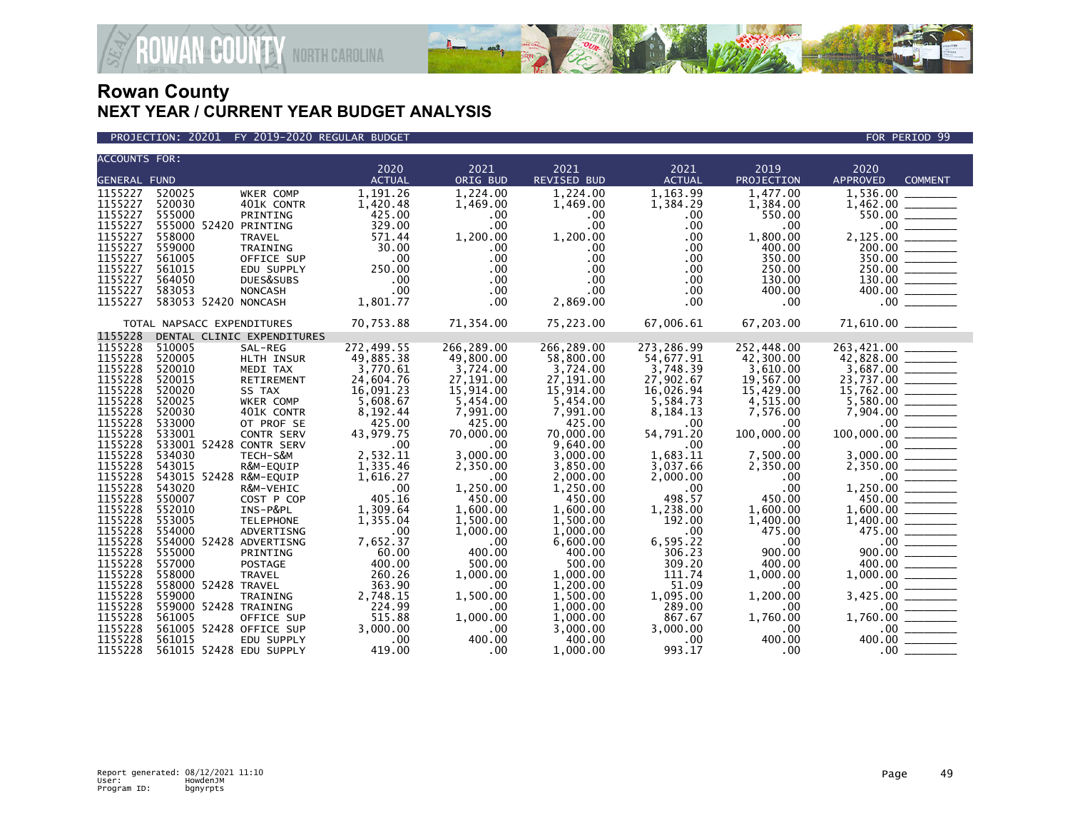

PROJECTION: 20201 FY 2019-2020 REGULAR BUDGET FOR PERIOD 99

| <b>ACCOUNTS FOR:</b> |                                                 | 2020             | 2021                     | 2021                 | 2021            | 2019            | 2020                                                                                                                                                                                                                                                                                                                                                                                                                                                                                 |
|----------------------|-------------------------------------------------|------------------|--------------------------|----------------------|-----------------|-----------------|--------------------------------------------------------------------------------------------------------------------------------------------------------------------------------------------------------------------------------------------------------------------------------------------------------------------------------------------------------------------------------------------------------------------------------------------------------------------------------------|
| <b>GENERAL FUND</b>  |                                                 | <b>ACTUAL</b>    | ORIG BUD                 | <b>REVISED BUD</b>   | <b>ACTUAL</b>   | PROJECTION      | <b>APPROVED</b><br><b>COMMENT</b>                                                                                                                                                                                                                                                                                                                                                                                                                                                    |
| 1155227              | 520025<br>WKER COMP                             | 1,191.26         | 1,224.00                 | 1,224.00             | 1,163.99        | 1,477.00        | 1,536.00                                                                                                                                                                                                                                                                                                                                                                                                                                                                             |
| 1155227              | 520030<br>401K CONTR                            | 1,420.48         | 1,469.00                 | 1,469.00             | 1,384.29        | 1,384.00        |                                                                                                                                                                                                                                                                                                                                                                                                                                                                                      |
| 1155227              | 555000<br>PRINTING                              | 425.00           | .00                      | .00                  | .00             | 550.00          |                                                                                                                                                                                                                                                                                                                                                                                                                                                                                      |
| 1155227              | 555000 52420 PRINTING                           | 329.00           | .00                      | .00                  | $.00 \,$        | .00             | 550.00                                                                                                                                                                                                                                                                                                                                                                                                                                                                               |
| 1155227              | 558000<br><b>TRAVEL</b>                         | 571.44           | 1,200.00                 | 1,200.00             | $.00 \,$        | 1,800.00        | 2,125.00                                                                                                                                                                                                                                                                                                                                                                                                                                                                             |
| 1155227              | 559000<br>TRAINING                              | 30.00            | .00.                     | .00                  | $.00 \,$        | 400.00          |                                                                                                                                                                                                                                                                                                                                                                                                                                                                                      |
| 1155227              | 561005<br>OFFICE SUP                            | .00              | .00                      | .00                  | $.00 \,$        | 350.00          | $125.00$<br>$125.00$<br>$200.00$<br>$350.00$                                                                                                                                                                                                                                                                                                                                                                                                                                         |
| 1155227              | 561015<br>EDU SUPPLY                            | 250.00           | .00                      | .00                  | $.00 \,$        | 250.00          | 250.00                                                                                                                                                                                                                                                                                                                                                                                                                                                                               |
| 1155227              | 564050<br>DUES&SUBS                             | .00              | $.00 \,$                 | .00                  | $.00 \,$        | 130.00          |                                                                                                                                                                                                                                                                                                                                                                                                                                                                                      |
| 1155227              | 583053<br><b>NONCASH</b>                        | .00              | .00.                     | .00                  | $.00 \,$        | 400.00          | $400.00$ ________                                                                                                                                                                                                                                                                                                                                                                                                                                                                    |
| 1155227              | 583053 52420 NONCASH                            | 1,801.77         | .00.                     | 2,869.00             | $.00 \,$        | .00             | .00                                                                                                                                                                                                                                                                                                                                                                                                                                                                                  |
|                      | TOTAL NAPSACC EXPENDITURES                      | 70,753.88        | 71,354.00                | 75,223.00            | 67,006.61       | 67,203.00       |                                                                                                                                                                                                                                                                                                                                                                                                                                                                                      |
|                      |                                                 |                  |                          |                      |                 |                 |                                                                                                                                                                                                                                                                                                                                                                                                                                                                                      |
| 1155228<br>1155228   | DENTAL CLINIC EXPENDITURES<br>510005<br>SAL-REG | 272,499.55       | 266,289.00               | 266,289.00           | 273,286.99      | 252,448.00      | 263,421.00                                                                                                                                                                                                                                                                                                                                                                                                                                                                           |
| 1155228              | 520005<br>HLTH INSUR                            | 49,885.38        | 49,800.00                | 58,800.00            | 54,677.91       | 42,300.00       |                                                                                                                                                                                                                                                                                                                                                                                                                                                                                      |
| 1155228              | 520010<br>MEDI TAX                              | 3,770.61         | 3,724.00                 | 3,724.00             | 3,748.39        | 3,610.00        |                                                                                                                                                                                                                                                                                                                                                                                                                                                                                      |
| 1155228              | 520015<br>RETIREMENT                            | 24,604.76        | 27,191.00                | 27,191.00            | 27,902.67       | 19,567.00       | $\begin{array}{c} 3,687.00 \\ 23,737.00 \\ 15,762.00 \\ 5,580.00 \\ \hline \end{array}$                                                                                                                                                                                                                                                                                                                                                                                              |
| 1155228              | 520020<br>SS TAX                                | 16,091.23        | 15,914.00                | 15,914.00            | 16,026.94       | 15,429.00       |                                                                                                                                                                                                                                                                                                                                                                                                                                                                                      |
| 1155228              | 520025<br>WKER COMP                             | 5,608.67         | 5,454.00                 | 5,454.00             | 5,584.73        | 4,515.00        |                                                                                                                                                                                                                                                                                                                                                                                                                                                                                      |
| 1155228              | 520030<br>401K CONTR                            | 8,192.44         | 7,991.00                 | 7,991.00             | 8.184.13        | 7,576.00        |                                                                                                                                                                                                                                                                                                                                                                                                                                                                                      |
| 1155228              | 533000<br>OT PROF SE                            | 425.00           | 425.00                   | 425.00               | .00             | .00             |                                                                                                                                                                                                                                                                                                                                                                                                                                                                                      |
| 1155228              | 533001<br><b>CONTR SERV</b>                     | 43,979.75        | 70,000.00                | 70,000.00            | 54,791.20       | 100,000.00      | 100,000.00                                                                                                                                                                                                                                                                                                                                                                                                                                                                           |
| 1155228              | 533001 52428 CONTR SERV                         | .00              | .00                      | 9.640.00             | .00             | .00             |                                                                                                                                                                                                                                                                                                                                                                                                                                                                                      |
| 1155228              | 534030<br>TECH-S&M                              | 2,532.11         | 3,000.00                 | 3,000.00             | 1,683.11        | 7,500.00        |                                                                                                                                                                                                                                                                                                                                                                                                                                                                                      |
| 1155228              | 543015<br>R&M-EQUIP                             | 1,335.46         | 2,350.00                 | 3,850.00             | 3,037.66        | 2,350.00        |                                                                                                                                                                                                                                                                                                                                                                                                                                                                                      |
| 1155228              | 543015 52428 R&M-EQUIP                          | 1,616.27         | .00                      | 2,000.00             | 2,000.00        | .00             |                                                                                                                                                                                                                                                                                                                                                                                                                                                                                      |
| 1155228              | 543020<br>R&M-VEHIC                             | .00              | 1,250.00                 | 1,250.00             | $.00 \,$        | .00             | $250.00$ $\overline{\hspace{1.5cm}1.00}$<br>1,250.00                                                                                                                                                                                                                                                                                                                                                                                                                                 |
| 1155228              | 550007<br>COST P COP                            | 405.16           | 450.00                   | 450.00               | 498.57          | 450.00          |                                                                                                                                                                                                                                                                                                                                                                                                                                                                                      |
| 1155228              | 552010<br>INS-P&PL                              | 1,309.64         | 1.600.00                 | 1,600.00             | 1,238.00        | 1,600.00        | $1,600.00$<br>$1,400.00$<br>$475.00$                                                                                                                                                                                                                                                                                                                                                                                                                                                 |
| 1155228              | 553005<br><b>TELEPHONE</b>                      | 1,355.04         | 1.500.00                 | 1,500.00             | 192.00          | 1,400.00        |                                                                                                                                                                                                                                                                                                                                                                                                                                                                                      |
| 1155228              | 554000<br>ADVERTISNG                            | .00              | 1,000.00                 | 1,000.00             | .00             | 475.00          |                                                                                                                                                                                                                                                                                                                                                                                                                                                                                      |
| 1155228              | 554000 52428 ADVERTISNG                         | 7,652.37         | .00                      | 6,600.00             | 6,595.22        | .00             | .00 <sub>1</sub>                                                                                                                                                                                                                                                                                                                                                                                                                                                                     |
| 1155228              | 555000<br>PRINTING                              | 60.00            | 400.00                   | 400.00               | 306.23          | 900.00          | 900.00                                                                                                                                                                                                                                                                                                                                                                                                                                                                               |
| 1155228              | 557000<br>POSTAGE                               | 400.00           | 500.00                   | 500.00               | 309.20          | 400.00          | 400.00<br>$\frac{1}{2} \left( \frac{1}{2} \right) \left( \frac{1}{2} \right) \left( \frac{1}{2} \right) \left( \frac{1}{2} \right) \left( \frac{1}{2} \right) \left( \frac{1}{2} \right) \left( \frac{1}{2} \right) \left( \frac{1}{2} \right) \left( \frac{1}{2} \right) \left( \frac{1}{2} \right) \left( \frac{1}{2} \right) \left( \frac{1}{2} \right) \left( \frac{1}{2} \right) \left( \frac{1}{2} \right) \left( \frac{1}{2} \right) \left( \frac{1}{2} \right) \left( \frac$ |
| 1155228<br>1155228   | 558000<br><b>TRAVEL</b><br>558000 52428 TRAVEL  | 260.26<br>363.90 | 1,000.00<br>$.00 \times$ | 1.000.00<br>1,200.00 | 111.74<br>51.09 | 1,000.00        | $1,000.00$<br>$0$<br>$3,425.00$                                                                                                                                                                                                                                                                                                                                                                                                                                                      |
| 1155228              | 559000<br>TRAINING                              | 2,748.15         | 1,500.00                 | 1,500.00             | 1,095.00        | .00<br>1,200.00 |                                                                                                                                                                                                                                                                                                                                                                                                                                                                                      |
| 1155228              | 559000 52428 TRAINING                           | 224.99           | .00                      | 1,000.00             | 289.00          | .00             | .00 <sub>1</sub>                                                                                                                                                                                                                                                                                                                                                                                                                                                                     |
| 1155228              | 561005<br>OFFICE SUP                            | 515.88           | 1,000.00                 | 1,000.00             | 867.67          | 1,760.00        | 1.760.00                                                                                                                                                                                                                                                                                                                                                                                                                                                                             |
| 1155228              | 561005 52428 OFFICE SUP                         | 3,000.00         | .00.                     | 3,000.00             | 3,000.00        | .00             | .00 <sub>1</sub>                                                                                                                                                                                                                                                                                                                                                                                                                                                                     |
| 1155228              | 561015<br>EDU SUPPLY                            | .00              | 400.00                   | 400.00               | $.00 \,$        | 400.00          | 400.00                                                                                                                                                                                                                                                                                                                                                                                                                                                                               |
| 1155228              | 561015 52428 EDU SUPPLY                         | 419.00           | .00                      | 1.000.00             | 993.17          | .00             | $.00$ $\_\_$                                                                                                                                                                                                                                                                                                                                                                                                                                                                         |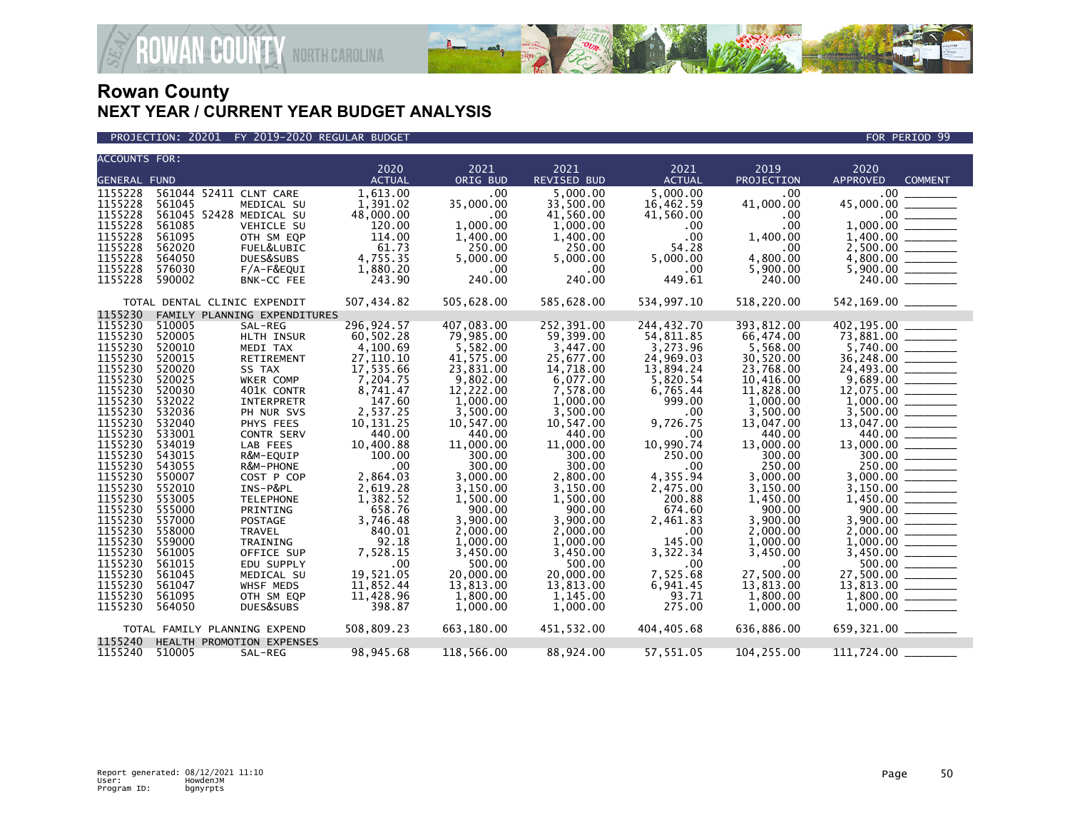

PROJECTION: 20201 FY 2019-2020 REGULAR BUDGET FOR PERIOD 99

| <b>ACCOUNTS FOR:</b> |        |                              | 2020          | 2021       | 2021               | 2021          | 2019       | 2020                                                                                                                                                                                                                                                                                                                                                                                                                                                                                                          |  |
|----------------------|--------|------------------------------|---------------|------------|--------------------|---------------|------------|---------------------------------------------------------------------------------------------------------------------------------------------------------------------------------------------------------------------------------------------------------------------------------------------------------------------------------------------------------------------------------------------------------------------------------------------------------------------------------------------------------------|--|
| <b>GENERAL FUND</b>  |        |                              | <b>ACTUAL</b> | ORIG BUD   | <b>REVISED BUD</b> | <b>ACTUAL</b> | PROJECTION | APPROVED<br><b>COMMENT</b>                                                                                                                                                                                                                                                                                                                                                                                                                                                                                    |  |
|                      |        |                              |               |            |                    |               |            |                                                                                                                                                                                                                                                                                                                                                                                                                                                                                                               |  |
| 1155228              |        | 561044 52411 CLNT CARE       | 1,613.00      | .00        | 5.000.00           | 5.000.00      | .00        | .00 <sub>1</sub>                                                                                                                                                                                                                                                                                                                                                                                                                                                                                              |  |
| 1155228              | 561045 | MEDICAL SU                   | 1,391.02      | 35,000.00  | 33,500.00          | 16,462.59     | 41,000.00  | 45,000.00                                                                                                                                                                                                                                                                                                                                                                                                                                                                                                     |  |
| 1155228              |        | 561045 52428 MEDICAL SU      | 48,000.00     | .00.       | 41,560.00          | 41,560.00     | .00.       | .00                                                                                                                                                                                                                                                                                                                                                                                                                                                                                                           |  |
| 1155228              | 561085 | VEHICLE SU                   | 120.00        | 1,000.00   | 1,000.00           | .00           | .00        | 1,000.00                                                                                                                                                                                                                                                                                                                                                                                                                                                                                                      |  |
| 1155228              | 561095 | OTH SM EQP                   | 114.00        | 1,400.00   | 1,400.00           | .00           | 1,400.00   | 1,400.00                                                                                                                                                                                                                                                                                                                                                                                                                                                                                                      |  |
| 1155228              | 562020 | FUEL&LUBIC                   | 61.73         | 250.00     | 250.00             | 54.28         | .00        |                                                                                                                                                                                                                                                                                                                                                                                                                                                                                                               |  |
| 1155228              | 564050 | DUES&SUBS                    | 4,755.35      | 5,000.00   | 5,000.00           | 5,000.00      | 4,800.00   |                                                                                                                                                                                                                                                                                                                                                                                                                                                                                                               |  |
| 1155228              | 576030 | F/A-F&EQUI                   | 1,880.20      | $.00 \,$   | .00                | .00           | 5,900.00   |                                                                                                                                                                                                                                                                                                                                                                                                                                                                                                               |  |
| 1155228              | 590002 | BNK-CC FEE                   | 243.90        | 240.00     | 240.00             | 449.61        | 240.00     |                                                                                                                                                                                                                                                                                                                                                                                                                                                                                                               |  |
|                      |        | TOTAL DENTAL CLINIC EXPENDIT | 507,434.82    | 505,628.00 | 585,628.00         | 534,997.10    | 518,220.00 | 542,169.00 _______                                                                                                                                                                                                                                                                                                                                                                                                                                                                                            |  |
| 1155230              |        | FAMILY PLANNING EXPENDITURES |               |            |                    |               |            |                                                                                                                                                                                                                                                                                                                                                                                                                                                                                                               |  |
| 1155230              | 510005 | SAL-REG                      | 296,924.57    | 407,083.00 | 252,391.00         | 244,432.70    | 393,812.00 | 402,195.00                                                                                                                                                                                                                                                                                                                                                                                                                                                                                                    |  |
| 1155230              | 520005 | HLTH INSUR                   | 60,502.28     | 79,985.00  | 59,399.00          | 54,811.85     | 66,474.00  | 73,881.00<br>$\begin{tabular}{ll} \multicolumn{2}{c} {\textbf{1}} & \multicolumn{2}{c} {\textbf{1}} & \multicolumn{2}{c} {\textbf{1}} \\ \multicolumn{2}{c} {\textbf{2}} & \multicolumn{2}{c} {\textbf{3}} & \multicolumn{2}{c} {\textbf{4}} \\ \multicolumn{2}{c} {\textbf{5}} & \multicolumn{2}{c} {\textbf{6}} & \multicolumn{2}{c} {\textbf{6}} \\ \multicolumn{2}{c} {\textbf{6}} & \multicolumn{2}{c} {\textbf{7}} & \multicolumn{2}{c} {\textbf{8}} \\ \multicolumn{2}{c} {\textbf{1}} & \multicolumn$ |  |
| 1155230              | 520010 | MEDI TAX                     | 4,100.69      | 5,582.00   | 3,447.00           | 3,273.96      | 5,568.00   |                                                                                                                                                                                                                                                                                                                                                                                                                                                                                                               |  |
| 1155230              | 520015 | RETIREMENT                   | 27,110.10     | 41,575.00  | 25,677.00          | 24,969.03     | 30,520.00  |                                                                                                                                                                                                                                                                                                                                                                                                                                                                                                               |  |
| 1155230              | 520020 | SS TAX                       | 17,535.66     | 23,831.00  | 14,718.00          | 13,894.24     | 23,768.00  | 24,493.00 ________                                                                                                                                                                                                                                                                                                                                                                                                                                                                                            |  |
| 1155230              | 520025 | WKER COMP                    | 7,204.75      | 9,802.00   | 6,077.00           | 5,820.54      | 10,416.00  | 9,689.00                                                                                                                                                                                                                                                                                                                                                                                                                                                                                                      |  |
| 1155230              | 520030 | 401K CONTR                   | 8,741.47      | 12,222.00  | 7,578.00           | 6,765.44      | 11,828.00  | 12,075.00                                                                                                                                                                                                                                                                                                                                                                                                                                                                                                     |  |
| 1155230              | 532022 | INTERPRETR                   | 147.60        | 1,000.00   | 1,000.00           | 999.00        | 1,000.00   |                                                                                                                                                                                                                                                                                                                                                                                                                                                                                                               |  |
| 1155230              | 532036 | PH NUR SVS                   | 2,537.25      | 3,500.00   | 3,500.00           | .00           | 3,500.00   |                                                                                                                                                                                                                                                                                                                                                                                                                                                                                                               |  |
| 1155230              | 532040 | PHYS FEES                    | 10,131.25     | 10,547.00  | 10,547.00          | 9,726.75      | 13,047.00  |                                                                                                                                                                                                                                                                                                                                                                                                                                                                                                               |  |
| 1155230              | 533001 | CONTR SERV                   | 440.00        | 440.00     | 440.00             | .00           | 440.00     | $13,047.00$ $440.00$                                                                                                                                                                                                                                                                                                                                                                                                                                                                                          |  |
| 1155230              | 534019 | LAB FEES                     | 10,400.88     | 11,000.00  | 11,000.00          | 10,990.74     | 13,000.00  | 13,000.00<br>$\frac{1}{1}$                                                                                                                                                                                                                                                                                                                                                                                                                                                                                    |  |
| 1155230              | 543015 | R&M-EQUIP                    | 100.00        | 300.00     | 300.00             | 250.00        | 300.00     | $300.00$ ______                                                                                                                                                                                                                                                                                                                                                                                                                                                                                               |  |
| 1155230              | 543055 | R&M-PHONE                    | .00           | 300.00     | 300.00             | .00           | 250.00     | 250.00                                                                                                                                                                                                                                                                                                                                                                                                                                                                                                        |  |
| 1155230              | 550007 | COST P COP                   | 2,864.03      | 3,000.00   | 2,800.00           | 4,355.94      | 3,000.00   | 3,000.00                                                                                                                                                                                                                                                                                                                                                                                                                                                                                                      |  |
| 1155230              | 552010 | INS-P&PL                     | 2,619.28      | 3,150.00   | 3,150.00           | 2,475.00      | 3,150.00   |                                                                                                                                                                                                                                                                                                                                                                                                                                                                                                               |  |
| 1155230              | 553005 | <b>TELEPHONE</b>             | 1,382.52      | 1,500.00   | 1,500.00           | 200.88        | 1,450.00   |                                                                                                                                                                                                                                                                                                                                                                                                                                                                                                               |  |
| 1155230              | 555000 | PRINTING                     | 658.76        | 900.00     | 900.00             | 674.60        | 900.00     | $1,450.00$ $-$ 000.00                                                                                                                                                                                                                                                                                                                                                                                                                                                                                         |  |
| 1155230              | 557000 | <b>POSTAGE</b>               | 3,746.48      | 3.900.00   | 3.900.00           | 2,461.83      | 3.900.00   | 3.900.00                                                                                                                                                                                                                                                                                                                                                                                                                                                                                                      |  |
| 1155230              | 558000 | <b>TRAVEL</b>                | 840.01        | 2,000.00   | 2,000.00           | .00           | 2,000.00   |                                                                                                                                                                                                                                                                                                                                                                                                                                                                                                               |  |
| 1155230              | 559000 | TRAINING                     | 92.18         | 1.000.00   | 1.000.00           | 145.00        | 1.000.00   |                                                                                                                                                                                                                                                                                                                                                                                                                                                                                                               |  |
| 1155230              | 561005 | OFFICE SUP                   | 7,528.15      | 3,450.00   | 3,450.00           | 3,322.34      | 3,450.00   |                                                                                                                                                                                                                                                                                                                                                                                                                                                                                                               |  |
| 1155230              | 561015 | EDU SUPPLY                   | .00           | 500.00     | 500.00             | .00           | .00        | 500.00 _______                                                                                                                                                                                                                                                                                                                                                                                                                                                                                                |  |
| 1155230              | 561045 | MEDICAL SU                   | 19,521.05     | 20,000.00  | 20,000.00          | 7,525.68      | 27,500.00  | 27,500.00 ________                                                                                                                                                                                                                                                                                                                                                                                                                                                                                            |  |
| 1155230              | 561047 | WHSF MEDS                    | 11,852.44     | 13,813.00  | 13,813.00          | 6,941.45      | 13,813.00  | 13,813.00                                                                                                                                                                                                                                                                                                                                                                                                                                                                                                     |  |
| 1155230              | 561095 | OTH SM EQP                   | 11,428.96     | 1,800.00   | 1,145.00           | 93.71         | 1,800.00   | 1,800.00                                                                                                                                                                                                                                                                                                                                                                                                                                                                                                      |  |
| 1155230              |        |                              | 398.87        |            |                    | 275.00        |            |                                                                                                                                                                                                                                                                                                                                                                                                                                                                                                               |  |
|                      | 564050 | DUES&SUBS                    |               | 1,000.00   | 1,000.00           |               | 1,000.00   |                                                                                                                                                                                                                                                                                                                                                                                                                                                                                                               |  |
|                      |        | TOTAL FAMILY PLANNING EXPEND | 508,809.23    | 663,180.00 | 451,532.00         | 404,405.68    | 636,886.00 | 659,321.00 ________                                                                                                                                                                                                                                                                                                                                                                                                                                                                                           |  |
| 1155240              |        | HEALTH PROMOTION EXPENSES    |               |            |                    |               |            |                                                                                                                                                                                                                                                                                                                                                                                                                                                                                                               |  |
| 1155240              | 510005 | SAL-REG                      | 98,945.68     | 118,566.00 | 88,924.00          | 57,551.05     | 104,255.00 | 111,724.00                                                                                                                                                                                                                                                                                                                                                                                                                                                                                                    |  |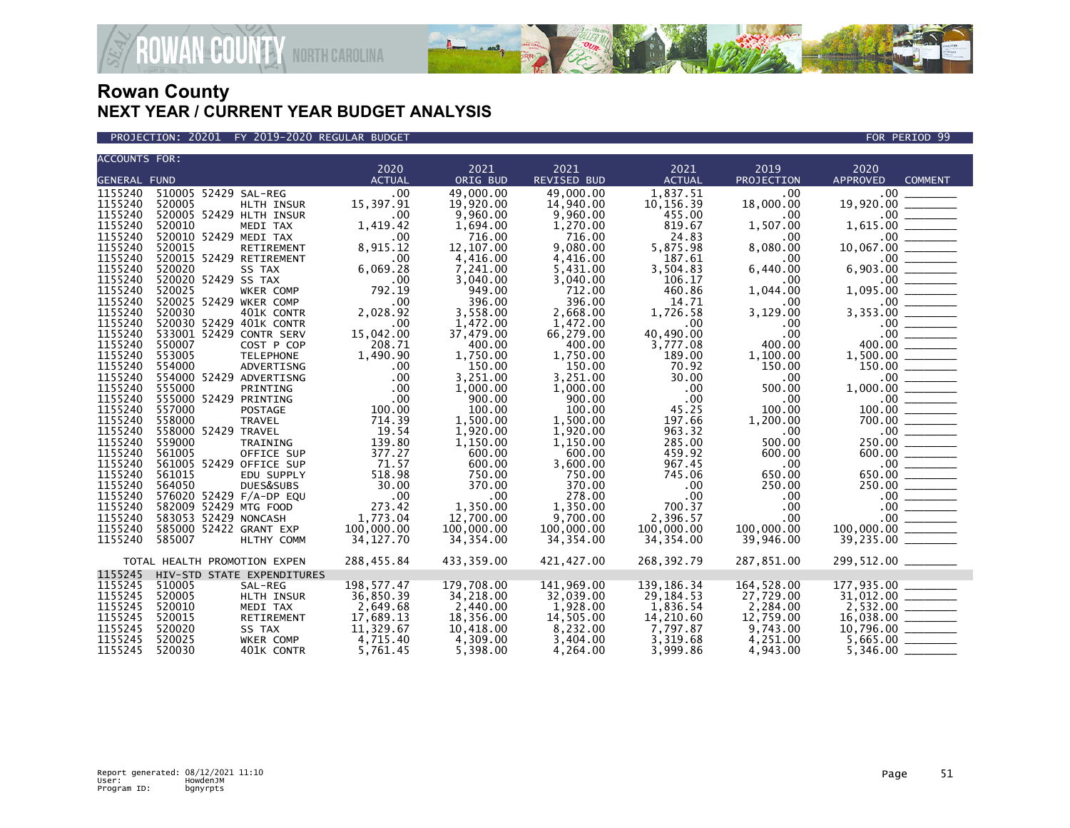

PROJECTION: 20201 FY 2019-2020 REGULAR BUDGET FOR PERIOD 99

| <b>ACCOUNTS FOR:</b> |                              |                  |               |            |                    |               |            |                  |                |
|----------------------|------------------------------|------------------|---------------|------------|--------------------|---------------|------------|------------------|----------------|
|                      |                              |                  | 2020          | 2021       | 2021               | 2021          | 2019       | 2020             |                |
| <b>GENERAL FUND</b>  |                              |                  | <b>ACTUAL</b> | ORIG BUD   | <b>REVISED BUD</b> | <b>ACTUAL</b> | PROJECTION | <b>APPROVED</b>  | <b>COMMENT</b> |
| 1155240              | 510005 52429 SAL-REG         |                  | .00           | 49,000.00  | 49.000.00          | 1,837.51      | .00        | .00 <sub>1</sub> |                |
| 1155240              | 520005                       | HLTH INSUR       | 15,397.91     | 19,920.00  | 14,940.00          | 10,156.39     | 18,000.00  | 19,920.00        |                |
| 1155240              | 520005 52429 HLTH INSUR      |                  | .00           | 9,960.00   | 9,960.00           | 455.00        | .00        | $.00 \,$         |                |
| 1155240              | 520010                       | MEDI TAX         | 1,419.42      | 1,694.00   | 1,270.00           | 819.67        | 1,507.00   | 1,615.00         |                |
| 1155240              | 520010 52429 MEDI TAX        |                  | .00           | 716.00     | 716.00             | 24.83         | .00        | $.00 \,$         |                |
| 1155240              | 520015                       | RETIREMENT       | 8,915.12      | 12,107.00  | 9.080.00           | 5,875.98      | 8,080.00   | 10,067.00        |                |
| 1155240              | 520015 52429 RETIREMENT      |                  | .00           | 4,416.00   | 4,416.00           | 187.61        | .00        | $.00 \,$         |                |
| 1155240              | 520020                       | SS TAX           | 6,069.28      | 7,241.00   | 5,431.00           | 3,504.83      | 6,440.00   | 6,903.00         |                |
| 1155240              | 520020 52429 SS TAX          |                  | .00           | 3,040.00   | 3,040.00           | 106.17        | .00        | .00 <sub>1</sub> |                |
| 1155240              | 520025                       | WKER COMP        | 792.19        | 949.00     | 712.00             | 460.86        | 1,044.00   | 1,095.00         |                |
| 1155240              | 520025 52429 WKER COMP       |                  | .00           | 396.00     | 396.00             | 14.71         | .00        | .00              |                |
| 1155240              | 520030                       | 401K CONTR       | 2,028.92      | 3,558.00   | 2,668.00           | 1,726.58      | 3,129.00   | 3,353.00         |                |
| 1155240              | 520030 52429 401K CONTR      |                  | .00           | 1,472.00   | 1,472.00           | .00           | .00        | $.00 \,$         |                |
| 1155240              | 533001 52429 CONTR SERV      |                  | 15,042.00     | 37,479.00  | 66,279.00          | 40,490.00     | .00        | .00              |                |
| 1155240              | 550007                       | COST P COP       | 208.71        | 400.00     | 400.00             | 3,777.08      | 400.00     | 400.00           |                |
| 1155240              | 553005                       | <b>TELEPHONE</b> | 1,490.90      | 1,750.00   | 1,750.00           | 189.00        | 1,100.00   | 1,500.00         |                |
| 1155240              | 554000                       | ADVERTISNG       | .00           | 150.00     | 150.00             | 70.92         | 150.00     | 150.00           |                |
| 1155240              | 554000 52429 ADVERTISNG      |                  | .00           | 3,251.00   | 3.251.00           | 30.00         | .00        | .00 <sub>1</sub> |                |
| 1155240              | 555000                       | PRINTING         | .00           | 1,000.00   | 1,000.00           | .00           | 500.00     | 1,000.00         |                |
| 1155240              | 555000 52429 PRINTING        |                  | .00           | 900.00     | 900.00             | .00           | .00        | $.00 \,$         |                |
| 1155240              | 557000                       | <b>POSTAGE</b>   | 100.00        | 100.00     | 100.00             | 45.25         | 100.00     | 100.00           |                |
| 1155240              | 558000                       | <b>TRAVEL</b>    | 714.39        | 1,500.00   | 1,500.00           | 197.66        | 1,200.00   | 700.00           |                |
| 1155240              | 558000 52429 TRAVEL          |                  | 19.54         | 1,920.00   | 1,920.00           | 963.32        | .00        | .00 <sub>1</sub> |                |
| 1155240              | 559000                       | TRAINING         | 139.80        | 1,150.00   | 1,150.00           | 285.00        | 500.00     | 250.00           |                |
| 1155240              | 561005                       | OFFICE SUP       | 377.27        | 600.00     | 600.00             | 459.92        | 600.00     | 600.00           |                |
| 1155240              | 561005 52429 OFFICE SUP      |                  | 71.57         | 600.00     | 3,600.00           | 967.45        | .00        | .00              |                |
| 1155240              | 561015                       | EDU SUPPLY       | 518.98        | 750.00     | 750.00             | 745.06        | 650.00     | 650.00           |                |
| 1155240              | 564050                       | DUES&SUBS        | 30.00         | 370.00     | 370.00             | .00           | 250.00     | 250.00           |                |
| 1155240              | 576020 52429 F/A-DP EQU      |                  | .00           | .00        | 278.00             | .00           | .00        | $.00 \,$         |                |
| 1155240              | 582009 52429 MTG FOOD        |                  | 273.42        | 1,350.00   | 1.350.00           | 700.37        | .00        | $.00 \,$         |                |
| 1155240              | 583053 52429 NONCASH         |                  |               | 12,700.00  |                    | 2,396.57      |            | $.00 \,$         |                |
|                      |                              |                  | 1,773.04      |            | 9,700.00           |               | .00.       |                  |                |
| 1155240              | 585000 52422 GRANT EXP       |                  | 100,000.00    | 100,000.00 | 100,000.00         | 100,000,00    | 100,000.00 | 100,000.00       |                |
| 1155240              | 585007                       | HLTHY COMM       | 34, 127.70    | 34,354.00  | 34,354.00          | 34,354.00     | 39,946.00  | 39,235.00        |                |
|                      | TOTAL HEALTH PROMOTION EXPEN |                  | 288,455.84    | 433,359.00 | 421,427.00         | 268,392.79    | 287,851.00 |                  |                |
| 1155245              | HIV-STD STATE EXPENDITURES   |                  |               |            |                    |               |            |                  |                |
| 1155245              | 510005                       | SAL-REG          | 198, 577.47   | 179,708.00 | 141,969.00         | 139, 186. 34  | 164,528.00 | 177,935.00       |                |
| 1155245              | 520005                       | HLTH INSUR       | 36,850.39     | 34,218.00  | 32,039.00          | 29,184.53     | 27,729.00  | 31,012.00        |                |
| 1155245              | 520010                       | MEDI TAX         | 2,649.68      | 2,440.00   | 1,928.00           | 1,836.54      | 2,284.00   | 2,532.00         |                |
| 1155245              | 520015                       | RETIREMENT       | 17,689.13     | 18,356.00  | 14,505.00          | 14,210.60     | 12,759.00  | 16,038.00        |                |
| 1155245              | 520020                       | SS TAX           | 11,329.67     | 10,418.00  | 8,232.00           | 7,797.87      | 9,743.00   | 10,796.00        |                |
| 1155245              | 520025                       | WKER COMP        | 4,715.40      | 4,309.00   | 3,404.00           | 3,319.68      | 4,251.00   | 5,665.00         |                |
| 1155245              | 520030                       | 401K CONTR       | 5,761.45      | 5,398.00   | 4,264.00           | 3,999.86      | 4,943.00   | 5,346.00         |                |
|                      |                              |                  |               |            |                    |               |            |                  |                |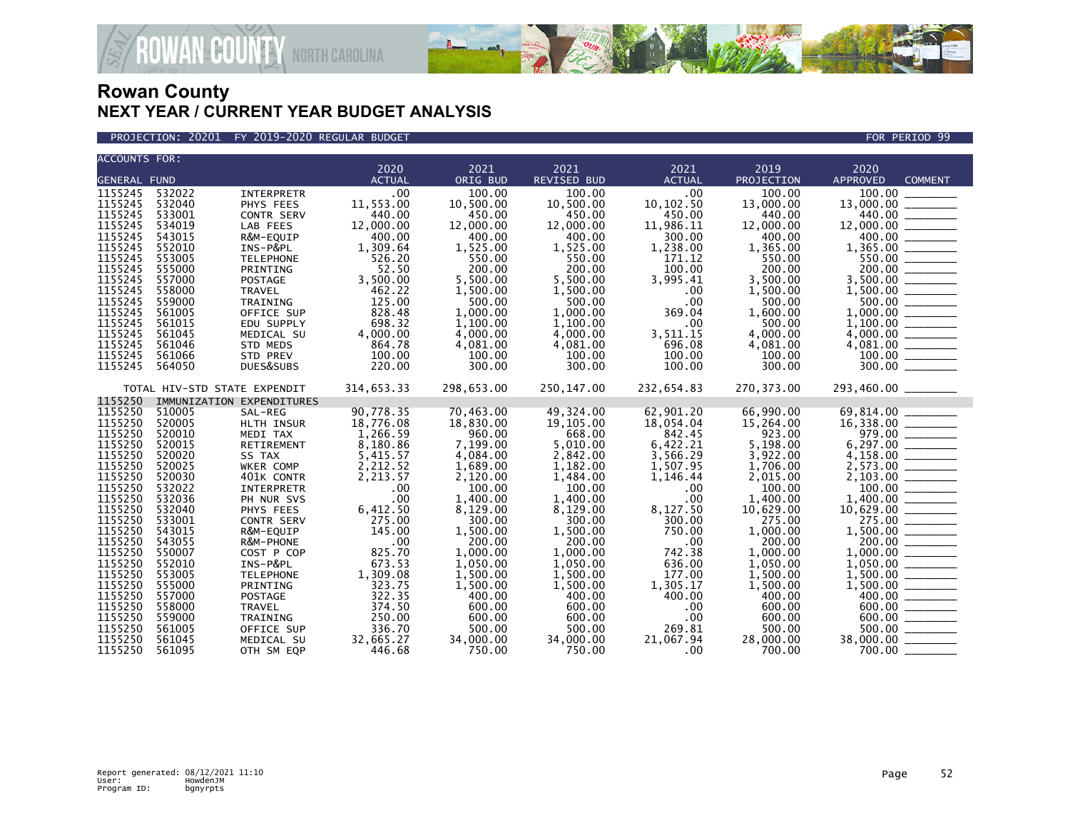

PROJECTION: 20201 FY 2019-2020 REGULAR BUDGET FOR PERIOD 99

| <b>ACCOUNTS FOR:</b> |                              |                           | 2020          | 2021       |                     | 2021          | 2019       |                                                                                                                                                                                               |  |  |
|----------------------|------------------------------|---------------------------|---------------|------------|---------------------|---------------|------------|-----------------------------------------------------------------------------------------------------------------------------------------------------------------------------------------------|--|--|
| <b>GENERAL FUND</b>  |                              |                           | <b>ACTUAL</b> | ORIG BUD   | 2021<br>REVISED BUD | <b>ACTUAL</b> | PROJECTION | 2020<br>APPROVED<br><b>COMMENT</b>                                                                                                                                                            |  |  |
|                      |                              |                           |               |            |                     |               |            |                                                                                                                                                                                               |  |  |
| 1155245              | 532022                       | <b>INTERPRETR</b>         | .00.          | 100.00     | 100.00              | .00.          | 100.00     | 100.00<br>$13,000.00$<br>$14,400.00$<br>$12,000.00$<br>$13,000.00$<br>$13,355.00$<br>$550.00$<br>$3,500.00$<br>$1,500.00$<br>$1,000.00$<br>$1,000.00$<br>$1,100.00$<br>$4,081.00$<br>$300.00$ |  |  |
| 1155245              | 532040                       | PHYS FEES                 | 11,553.00     | 10,500.00  | 10,500.00           | 10, 102.50    | 13,000.00  |                                                                                                                                                                                               |  |  |
| 1155245              | 533001                       | <b>CONTR SERV</b>         | 440.00        | 450.00     | 450.00              | 450.00        | 440.00     |                                                                                                                                                                                               |  |  |
| 1155245              | 534019                       | LAB FEES                  | 12,000.00     | 12,000.00  | 12,000.00           | 11,986.11     | 12,000.00  |                                                                                                                                                                                               |  |  |
| 1155245              | 543015                       | R&M-EQUIP                 | 400.00        | 400.00     | 400.00              | 300.00        | 400.00     |                                                                                                                                                                                               |  |  |
| 1155245              | 552010                       | INS-P&PL                  | 1,309.64      | 1,525.00   | 1,525.00            | 1,238.00      | 1,365.00   |                                                                                                                                                                                               |  |  |
| 1155245              | 553005                       | <b>TELEPHONE</b>          | 526.20        | 550.00     | 550.00              | 171.12        | 550.00     |                                                                                                                                                                                               |  |  |
| 1155245              | 555000                       | PRINTING                  | 52.50         | 200.00     | 200.00              | 100.00        | 200.00     |                                                                                                                                                                                               |  |  |
| 1155245              | 557000                       | <b>POSTAGE</b>            | 3,500.00      | 5.500.00   | 5.500.00            | 3,995.41      | 3.500.00   |                                                                                                                                                                                               |  |  |
| 1155245              | 558000                       | TRAVEL                    | 462.22        | 1,500.00   | 1,500.00            | .00           | 1,500.00   |                                                                                                                                                                                               |  |  |
| 1155245              | 559000                       | TRAINING                  | 125.00        | 500.00     | 500.00              | .00           | 500.00     |                                                                                                                                                                                               |  |  |
| 1155245              | 561005                       | OFFICE SUP                | 828.48        | 1.000.00   | 1.000.00            | 369.04        | 1.600.00   |                                                                                                                                                                                               |  |  |
| 1155245              | 561015                       | EDU SUPPLY                | 698.32        | 1,100.00   | 1,100.00            | .00           | 500.00     |                                                                                                                                                                                               |  |  |
| 1155245              | 561045                       | MEDICAL SU                | 4,000.00      | 4,000.00   | 4.000.00            | 3,511.15      | 4,000.00   |                                                                                                                                                                                               |  |  |
| 1155245              | 561046                       | STD MEDS                  | 864.78        | 4,081.00   | 4,081.00            | 696.08        | 4,081.00   |                                                                                                                                                                                               |  |  |
| 1155245              | 561066                       | STD PREV                  | 100.00        | 100.00     | 100.00              | 100.00        | 100.00     |                                                                                                                                                                                               |  |  |
| 1155245              | 564050                       | DUES&SUBS                 | 220.00        | 300.00     | 300.00              | 100.00        | 300.00     | 300.00                                                                                                                                                                                        |  |  |
|                      | TOTAL HIV-STD STATE EXPENDIT |                           | 314,653.33    | 298,653.00 | 250,147.00          | 232,654.83    | 270,373.00 | 293,460.00 _______                                                                                                                                                                            |  |  |
| 1155250              |                              | IMMUNIZATION EXPENDITURES |               |            |                     |               |            |                                                                                                                                                                                               |  |  |
| 1155250              | 510005                       | SAL-REG                   | 90,778.35     | 70,463.00  | 49,324.00           | 62,901.20     | 66,990.00  |                                                                                                                                                                                               |  |  |
| 1155250              | 520005                       | HLTH INSUR                | 18,776.08     | 18,830.00  | 19,105.00           | 18,054.04     | 15,264.00  |                                                                                                                                                                                               |  |  |
| 1155250              | 520010                       | MEDI TAX                  | 1,266.59      | 960.00     | 668.00              | 842.45        | 923.00     |                                                                                                                                                                                               |  |  |
| 1155250              | 520015                       | RETIREMENT                | 8,180.86      | 7,199.00   | 5,010.00            | 6,422.21      | 5,198.00   |                                                                                                                                                                                               |  |  |
| 1155250              | 520020                       | SS TAX                    | 5,415.57      | 4,084.00   | 2,842.00            | 3,566.29      | 3,922.00   |                                                                                                                                                                                               |  |  |
| 1155250              | 520025                       | WKER COMP                 | 2,212.52      | 1,689.00   | 1,182.00            | 1,507.95      | 1,706.00   |                                                                                                                                                                                               |  |  |
| 1155250              | 520030                       | 401K CONTR                | 2,213.57      | 2,120.00   | 1,484.00            | 1,146.44      | 2,015.00   |                                                                                                                                                                                               |  |  |
| 1155250              | 532022                       | INTERPRETR                | .00           | 100.00     | 100.00              | .00           | 100.00     |                                                                                                                                                                                               |  |  |
| 1155250              | 532036                       | PH NUR SVS                | .00           | 1,400.00   | 1,400.00            | .00           | 1,400.00   |                                                                                                                                                                                               |  |  |
| 1155250              | 532040                       | PHYS FEES                 | 6,412.50      | 8,129.00   | 8,129.00            | 8,127.50      | 10,629.00  |                                                                                                                                                                                               |  |  |
| 1155250              | 533001                       | <b>CONTR SERV</b>         | 275.00        | 300.00     | 300.00              | 300.00        | 275.00     |                                                                                                                                                                                               |  |  |
| 1155250              | 543015                       | R&M-EQUIP                 | 145.00        | 1,500.00   | 1,500.00            | 750.00        | 1,000.00   |                                                                                                                                                                                               |  |  |
| 1155250              | 543055                       | R&M-PHONE                 | .00           | 200.00     | 200.00              | .00           | 200.00     |                                                                                                                                                                                               |  |  |
| 1155250              | 550007                       | COST P COP                | 825.70        | 1,000.00   | 1,000.00            | 742.38        | 1,000.00   |                                                                                                                                                                                               |  |  |
| 1155250              | 552010                       | INS-P&PL                  | 673.53        | 1,050.00   | 1,050.00            | 636.00        | 1,050.00   |                                                                                                                                                                                               |  |  |
| 1155250              | 553005                       | <b>TELEPHONE</b>          | 1,309.08      | 1.500.00   | 1.500.00            | 177.00        | 1,500.00   |                                                                                                                                                                                               |  |  |
| 1155250              | 555000                       | PRINTING                  | 323.75        | 1,500.00   | 1,500.00            | 1,305.17      | 1,500.00   |                                                                                                                                                                                               |  |  |
| 1155250              | 557000                       | POSTAGE                   | 322.35        | 400.00     | 400.00              | 400.00        | 400.00     |                                                                                                                                                                                               |  |  |
| 1155250              | 558000                       | <b>TRAVEL</b>             | 374.50        | 600.00     | 600.00              | $.00 \,$      | 600.00     |                                                                                                                                                                                               |  |  |
| 1155250              | 559000                       | TRAINING                  | 250.00        | 600.00     | 600.00              | .00           | 600.00     |                                                                                                                                                                                               |  |  |
| 1155250              | 561005                       | OFFICE SUP                | 336.70        | 500.00     | 500.00              | 269.81        | 500.00     |                                                                                                                                                                                               |  |  |
| 1155250              | 561045                       | MEDICAL SU                | 32,665.27     | 34,000.00  | 34,000.00           | 21.067.94     | 28,000.00  | $38,000.00$ ________                                                                                                                                                                          |  |  |
| 1155250              | 561095                       | OTH SM EQP                | 446.68        | 750.00     | 750.00              | $.00 \,$      | 700.00     | 700.00                                                                                                                                                                                        |  |  |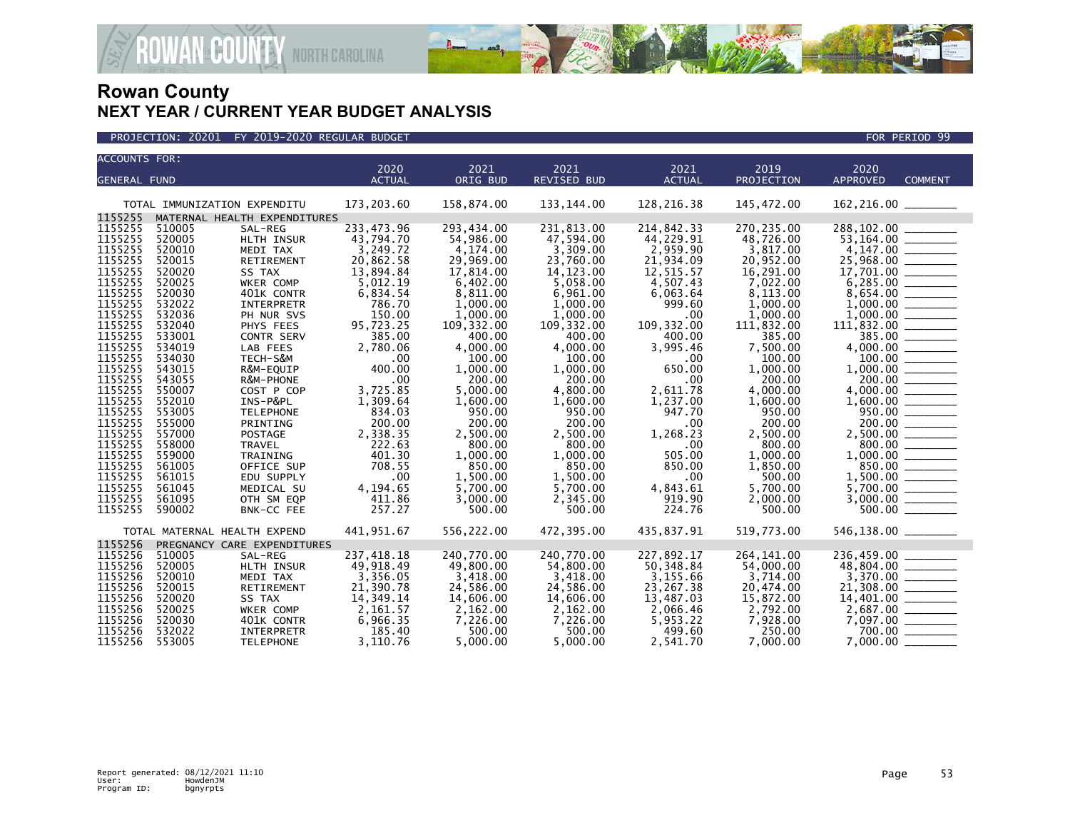



| <b>ACCOUNTS FOR:</b> |                  |                              |                    |                      |                      |                    |                    |                                                                                                                                                                                                                                                                                                                                                                                                                                                                                                  |
|----------------------|------------------|------------------------------|--------------------|----------------------|----------------------|--------------------|--------------------|--------------------------------------------------------------------------------------------------------------------------------------------------------------------------------------------------------------------------------------------------------------------------------------------------------------------------------------------------------------------------------------------------------------------------------------------------------------------------------------------------|
|                      |                  |                              | 2020               | 2021                 | 2021                 | 2021               | 2019               | 2020                                                                                                                                                                                                                                                                                                                                                                                                                                                                                             |
| <b>GENERAL FUND</b>  |                  |                              | <b>ACTUAL</b>      | ORIG BUD             | <b>REVISED BUD</b>   | <b>ACTUAL</b>      | PROJECTION         | <b>APPROVED</b><br><b>COMMENT</b>                                                                                                                                                                                                                                                                                                                                                                                                                                                                |
|                      |                  |                              |                    |                      |                      |                    |                    |                                                                                                                                                                                                                                                                                                                                                                                                                                                                                                  |
|                      |                  | TOTAL IMMUNIZATION EXPENDITU | 173,203.60         | 158,874.00           | 133, 144.00          | 128, 216.38        | 145,472.00         | 162, 216.00                                                                                                                                                                                                                                                                                                                                                                                                                                                                                      |
| 1155255              |                  | MATERNAL HEALTH EXPENDITURES |                    |                      |                      |                    |                    |                                                                                                                                                                                                                                                                                                                                                                                                                                                                                                  |
| 1155255              | 510005           | SAL-REG                      | 233,473.96         | 293,434.00           | 231,813.00           | 214,842.33         | 270,235.00         | 288,102.00                                                                                                                                                                                                                                                                                                                                                                                                                                                                                       |
| 1155255              | 520005           | HLTH INSUR                   | 43,794.70          | 54,986.00            | 47,594.00            | 44,229.91          | 48,726.00          | 53,164.00 _______                                                                                                                                                                                                                                                                                                                                                                                                                                                                                |
| 1155255              | 520010           | MEDI TAX                     | 3,249.72           | 4,174.00             | 3,309.00             | 2,959.90           | 3,817.00           |                                                                                                                                                                                                                                                                                                                                                                                                                                                                                                  |
| 1155255              | 520015           | <b>RETIREMENT</b>            | 20,862.58          | 29,969.00            | 23,760.00            | 21,934.09          | 20.952.00          | $4,147.00$<br>25,968.00                                                                                                                                                                                                                                                                                                                                                                                                                                                                          |
| 1155255              | 520020           | SS TAX                       | 13,894.84          | 17,814.00            | 14, 123.00           | 12,515.57          | 16,291.00          |                                                                                                                                                                                                                                                                                                                                                                                                                                                                                                  |
| 1155255              | 520025           | WKER COMP                    | 5,012.19           | 6.402.00             | 5.058.00             | 4.507.43           | 7,022.00           |                                                                                                                                                                                                                                                                                                                                                                                                                                                                                                  |
| 1155255              | 520030           | 401K CONTR                   | 6,834.54           | 8,811.00             | 6,961.00             | 6,063.64           | 8,113.00           | 8,654.00                                                                                                                                                                                                                                                                                                                                                                                                                                                                                         |
| 1155255              | 532022           | <b>INTERPRETR</b>            | 786.70             | 1,000.00             | 1,000.00             | 999.60             | 1,000.00           |                                                                                                                                                                                                                                                                                                                                                                                                                                                                                                  |
| 1155255              | 532036           | PH NUR SVS                   | 150.00             | 1.000.00             | 1.000.00             | .00                | 1,000.00           |                                                                                                                                                                                                                                                                                                                                                                                                                                                                                                  |
| 1155255              | 532040           | PHYS FEES                    | 95,723.25          | 109,332.00           | 109,332.00           | 109,332.00         | 111,832.00         |                                                                                                                                                                                                                                                                                                                                                                                                                                                                                                  |
| 1155255              | 533001           | CONTR SERV                   | 385.00             | 400.00               | 400.00               | 400.00             | 385.00             | $11\overline{1}$ , 832.00                                                                                                                                                                                                                                                                                                                                                                                                                                                                        |
| 1155255              | 534019           | LAB FEES                     | 2.780.06           | 4,000.00             | 4.000.00             | 3.995.46           | 7,500.00           |                                                                                                                                                                                                                                                                                                                                                                                                                                                                                                  |
| 1155255              | 534030           | TECH-S&M                     | .00                | 100.00               | 100.00               | $.00 \,$           | 100.00             |                                                                                                                                                                                                                                                                                                                                                                                                                                                                                                  |
| 1155255              | 543015           | R&M-EQUIP                    | 400.00             | 1,000.00             | 1,000.00             | 650.00             | 1,000.00           |                                                                                                                                                                                                                                                                                                                                                                                                                                                                                                  |
| 1155255              | 543055           | R&M-PHONE                    | .00                | 200.00               | 200.00               | .00                | 200.00             | 200.00                                                                                                                                                                                                                                                                                                                                                                                                                                                                                           |
| 1155255              | 550007           | COST P COP                   | 3,725.85           | 5.000.00             | 4,800.00             | 2,611.78           | 4,000.00           |                                                                                                                                                                                                                                                                                                                                                                                                                                                                                                  |
| 1155255              | 552010           | INS-P&PL                     | 1,309.64           | 1,600.00             | 1,600.00             | 1,237.00           | 1,600.00           |                                                                                                                                                                                                                                                                                                                                                                                                                                                                                                  |
| 1155255              | 553005           | <b>TELEPHONE</b>             | 834.03             | 950.00               | 950.00               | 947.70             | 950.00             | 950.00 ______                                                                                                                                                                                                                                                                                                                                                                                                                                                                                    |
| 1155255              | 555000           | PRINTING                     | 200.00             | 200.00               | 200.00               | .00                | 200.00             |                                                                                                                                                                                                                                                                                                                                                                                                                                                                                                  |
| 1155255              | 557000           | POSTAGE                      | 2,338.35           | 2,500.00             | 2,500.00             | 1,268.23           | 2,500.00           |                                                                                                                                                                                                                                                                                                                                                                                                                                                                                                  |
| 1155255              | 558000           | <b>TRAVEL</b>                | 222.63             | 800.00               | 800.00               | .00                | 800.00             | 800.00                                                                                                                                                                                                                                                                                                                                                                                                                                                                                           |
| 1155255              | 559000           | TRAINING                     | 401.30             | 1,000.00             | 1,000.00             | 505.00             | 1,000.00           |                                                                                                                                                                                                                                                                                                                                                                                                                                                                                                  |
| 1155255              | 561005           |                              | 708.55             | 850.00               | 850.00               | 850.00             | 1,850.00           |                                                                                                                                                                                                                                                                                                                                                                                                                                                                                                  |
| 1155255              |                  | OFFICE SUP                   | .00                |                      |                      |                    |                    |                                                                                                                                                                                                                                                                                                                                                                                                                                                                                                  |
| 1155255              | 561015<br>561045 | EDU SUPPLY                   |                    | 1,500.00<br>5,700.00 | 1.500.00<br>5,700.00 | .00                | 500.00<br>5,700.00 |                                                                                                                                                                                                                                                                                                                                                                                                                                                                                                  |
| 1155255              |                  | MEDICAL SU                   | 4,194.65<br>411.86 |                      |                      | 4,843.61<br>919.90 |                    | 3,000.00                                                                                                                                                                                                                                                                                                                                                                                                                                                                                         |
| 1155255              | 561095           | OTH SM EQP                   | 257.27             | 3,000.00             | 2,345.00             | 224.76             | 2,000.00<br>500.00 | $\begin{array}{cccccccccc} \multicolumn{2}{c}{} & \multicolumn{2}{c}{} & \multicolumn{2}{c}{} & \multicolumn{2}{c}{} & \multicolumn{2}{c}{} & \multicolumn{2}{c}{} & \multicolumn{2}{c}{} & \multicolumn{2}{c}{} & \multicolumn{2}{c}{} & \multicolumn{2}{c}{} & \multicolumn{2}{c}{} & \multicolumn{2}{c}{} & \multicolumn{2}{c}{} & \multicolumn{2}{c}{} & \multicolumn{2}{c}{} & \multicolumn{2}{c}{} & \multicolumn{2}{c}{} & \multicolumn{2}{c}{} & \multicolumn{2}{c}{} & \mult$<br>500.00 |
|                      | 590002           | BNK-CC FEE                   |                    | 500.00               | 500.00               |                    |                    |                                                                                                                                                                                                                                                                                                                                                                                                                                                                                                  |
|                      |                  | TOTAL MATERNAL HEALTH EXPEND | 441,951.67         | 556,222.00           | 472,395.00           | 435,837.91         | 519,773.00         | 546,138.00 _______                                                                                                                                                                                                                                                                                                                                                                                                                                                                               |
| 1155256              |                  | PREGNANCY CARE EXPENDITURES  |                    |                      |                      |                    |                    |                                                                                                                                                                                                                                                                                                                                                                                                                                                                                                  |
| 1155256              | 510005           | SAL-REG                      | 237,418.18         | 240,770.00           | 240,770.00           | 227,892.17         | 264, 141.00        | 236,459.00                                                                                                                                                                                                                                                                                                                                                                                                                                                                                       |
| 1155256              | 520005           | HLTH INSUR                   | 49,918.49          | 49,800.00            | 54,800.00            | 50,348.84          | 54,000.00          |                                                                                                                                                                                                                                                                                                                                                                                                                                                                                                  |
| 1155256              | 520010           | MEDI TAX                     | 3,356.05           | 3,418.00             | 3,418.00             | 3,155.66           | 3,714.00           |                                                                                                                                                                                                                                                                                                                                                                                                                                                                                                  |
| 1155256              | 520015           | RETIREMENT                   | 21,390.78          | 24,586.00            | 24,586.00            | 23,267.38          | 20,474.00          | $3,370.00$ $\overline{\hspace{1.5cm}}$<br>21,308.00                                                                                                                                                                                                                                                                                                                                                                                                                                              |
| 1155256              | 520020           | SS TAX                       | 14,349.14          | 14,606.00            | 14,606.00            | 13,487.03          | 15,872.00          |                                                                                                                                                                                                                                                                                                                                                                                                                                                                                                  |
| 1155256              | 520025           | WKER COMP                    | 2,161.57           | 2,162.00             | 2,162.00             | 2,066.46           | 2,792.00           |                                                                                                                                                                                                                                                                                                                                                                                                                                                                                                  |
| 1155256              | 520030           | 401K CONTR                   | 6,966.35           | 7,226.00             | 7,226.00             | 5,953.22           | 7,928.00           |                                                                                                                                                                                                                                                                                                                                                                                                                                                                                                  |
| 1155256              | 532022           | INTERPRETR                   | 185.40             | 500.00               | 500.00               | 499.60             | 250.00             | 700.00                                                                                                                                                                                                                                                                                                                                                                                                                                                                                           |
| 1155256              | 553005           | <b>TELEPHONE</b>             | 3,110.76           | 5.000.00             | 5.000.00             | 2,541.70           | 7.000.00           | 7.000.00                                                                                                                                                                                                                                                                                                                                                                                                                                                                                         |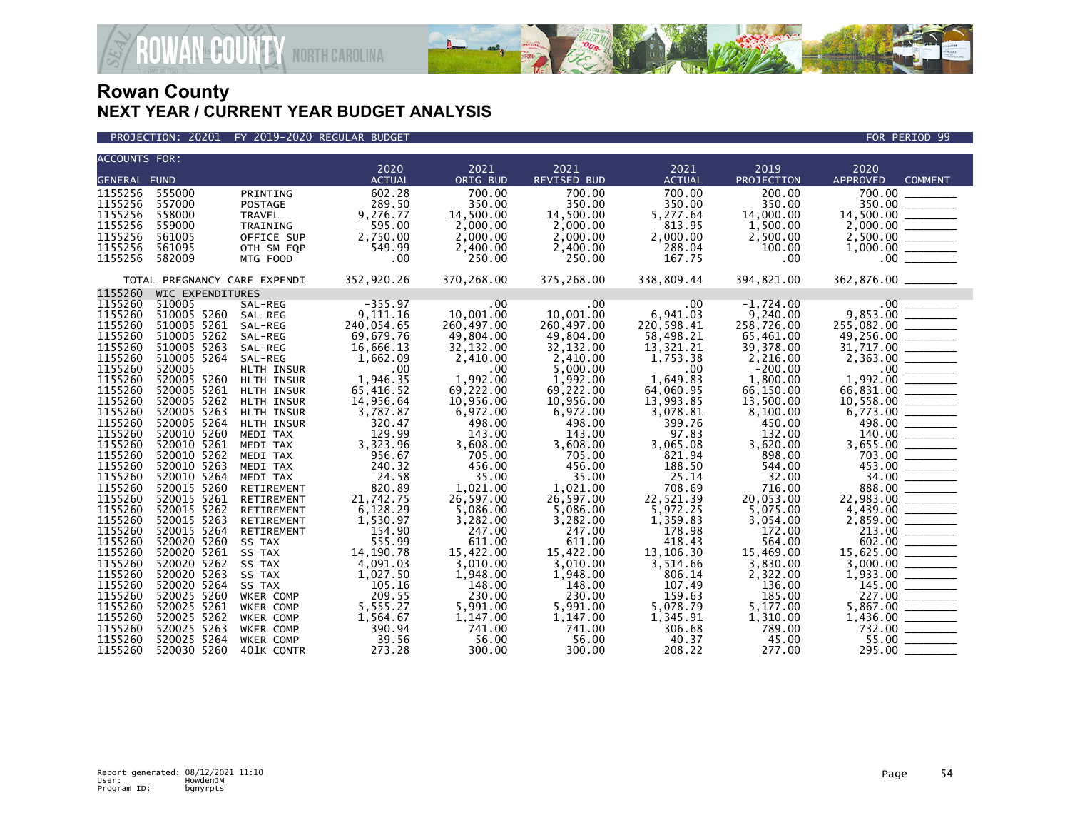



| <b>ACCOUNTS FOR:</b> |                              |                               |                    |                      |                      |                      |                    |                                                                                                                                                                                                                                |
|----------------------|------------------------------|-------------------------------|--------------------|----------------------|----------------------|----------------------|--------------------|--------------------------------------------------------------------------------------------------------------------------------------------------------------------------------------------------------------------------------|
|                      |                              |                               | 2020               | 2021                 | 2021                 | 2021                 | 2019               | 2020                                                                                                                                                                                                                           |
| <b>GENERAL FUND</b>  |                              |                               | <b>ACTUAL</b>      | ORIG BUD             | <b>REVISED BUD</b>   | <b>ACTUAL</b>        | PROJECTION         | <b>APPROVED</b><br><b>COMMENT</b>                                                                                                                                                                                              |
| 1155256              | 555000                       | PRINTING                      | 602.28             | 700.00               | 700.00               | 700.00               | 200.00             | $\frac{1}{700}.00$                                                                                                                                                                                                             |
| 1155256              | 557000                       | POSTAGE                       | 289.50             | 350.00               | 350.00               | 350.00               | 350.00             | 350.00                                                                                                                                                                                                                         |
| 1155256              | 558000                       | TRAVEL                        | 9,276.77           | 14,500.00            | 14,500.00            | 5,277.64             | 14,000.00          |                                                                                                                                                                                                                                |
| 1155256              | 559000                       | TRAINING                      | 595.00             | 2,000.00             | 2,000.00             | 813.95               | 1,500.00           |                                                                                                                                                                                                                                |
| 1155256              | 561005                       | OFFICE SUP                    | 2,750.00           | 2,000.00             | 2,000.00             | 2,000.00             | 2,500.00           |                                                                                                                                                                                                                                |
| 1155256              | 561095                       | OTH SM EQP                    | 549.99             | 2,400.00             | 2,400.00             | 288.04               | 100.00             |                                                                                                                                                                                                                                |
| 1155256              | 582009                       | MTG FOOD                      | .00                | 250.00               | 250.00               | 167.75               | .00                |                                                                                                                                                                                                                                |
|                      | TOTAL PREGNANCY CARE EXPENDI |                               | 352,920.26         | 370,268.00           | 375,268.00           | 338,809.44           | 394,821.00         |                                                                                                                                                                                                                                |
| 1155260              | WIC EXPENDITURES             |                               |                    |                      |                      |                      |                    |                                                                                                                                                                                                                                |
| 1155260              | 510005                       | SAL-REG                       | $-355.97$          | .00                  | .00                  | .00                  | $-1,724.00$        |                                                                                                                                                                                                                                |
| 1155260              | 510005 5260                  | SAL-REG                       | 9,111.16           | 10.001.00            | 10,001.00            | 6,941.03             | 9,240.00           |                                                                                                                                                                                                                                |
| 1155260              | 510005 5261                  | SAL-REG                       | 240,054.65         | 260,497.00           | 260,497.00           | 220,598.41           | 258,726.00         |                                                                                                                                                                                                                                |
| 1155260              | 510005 5262                  | SAL-REG                       | 69,679.76          | 49,804.00            | 49,804.00            | 58,498.21            | 65,461.00          |                                                                                                                                                                                                                                |
| 1155260              | 510005 5263                  | SAL-REG                       | 16,666.13          | 32,132.00            | 32,132.00            | 13,321.21            | 39,378.00          |                                                                                                                                                                                                                                |
| 1155260              | 510005 5264                  | SAL-REG                       | 1,662.09           | 2,410.00             | 2,410.00             | 1,753.38             | 2,216.00           |                                                                                                                                                                                                                                |
| 1155260              | 520005                       | HLTH INSUR                    | .00                | .00                  | 5,000.00             | $.00 \,$             | $-200.00$          |                                                                                                                                                                                                                                |
| 1155260              | 520005 5260                  | HLTH INSUR                    | 1,946.35           | 1,992.00             | 1,992.00             | 1.649.83             | 1,800.00           |                                                                                                                                                                                                                                |
| 1155260              | 520005 5261                  | HLTH INSUR                    | 65,416.52          | 69,222.00            | 69,222.00            | 64,060.95            | 66,150.00          |                                                                                                                                                                                                                                |
| 1155260              | 520005 5262                  | HLTH INSUR                    | 14,956.64          | 10,956.00            | 10,956.00            | 13,993.85            | 13,500.00          |                                                                                                                                                                                                                                |
| 1155260              | 520005 5263                  | HLTH INSUR                    | 3,787.87           | 6,972.00             | 6,972.00             | 3,078.81             | 8,100.00           |                                                                                                                                                                                                                                |
| 1155260              | 520005 5264                  | HLTH INSUR                    | 320.47             | 498.00               | 498.00               | 399.76               | 450.00             |                                                                                                                                                                                                                                |
| 1155260              | 520010 5260                  | MEDI TAX                      | 129.99             | 143.00               | 143.00               | 97.83                | 132.00             |                                                                                                                                                                                                                                |
| 1155260              | 520010 5261                  | MEDI TAX                      | 3,323.96           | 3,608.00             | 3,608.00             | 3,065.08             | 3,620.00           |                                                                                                                                                                                                                                |
| 1155260              | 520010 5262                  | MEDI TAX                      | 956.67             | 705.00               | 705.00               | 821.94               | 898.00             |                                                                                                                                                                                                                                |
| 1155260              | 520010 5263                  | MEDI TAX                      | 240.32             | 456.00               | 456.00               | 188.50               | 544.00             |                                                                                                                                                                                                                                |
| 1155260              | 520010 5264                  | MEDI TAX                      | 24.58              | 35.00                | 35.00                | 25.14                | 32.00              |                                                                                                                                                                                                                                |
| 1155260              | 520015 5260                  | RETIREMENT                    | 820.89             | 1,021.00             | 1,021.00             | 708.69               | 716.00             |                                                                                                                                                                                                                                |
| 1155260              | 520015 5261                  | RETIREMENT                    | 21,742.75          | 26,597.00            | 26,597.00            | 22,521.39            | 20,053.00          |                                                                                                                                                                                                                                |
| 1155260              | 520015 5262                  | RETIREMENT                    | 6,128.29           | 5,086.00             | 5,086.00             | 5,972.25             | 5,075.00           |                                                                                                                                                                                                                                |
| 1155260              | 520015 5263                  | RETIREMENT                    | 1,530.97           | 3,282.00             | 3,282.00             | 1,359.83             | 3,054.00           | $\begin{array}{r} 498.00 \ \hline 140.00 \ \hline 3,655.00 \ \hline 703.00 \ \hline 453.00 \ \hline 453.00 \ \hline 388.00 \ \hline 22,983.00 \ \hline 4,439.00 \ \hline 2,859.00 \ \hline 213.00 \ \hline 602.00 \end{array}$ |
| 1155260              | 520015 5264                  | RETIREMENT                    | 154.90             | 247.00               | 247.00               | 178.98               | 172.00             |                                                                                                                                                                                                                                |
| 1155260<br>1155260   | 520020 5260                  | SS TAX                        | 555.99             | 611.00               | 611.00               | 418.43               | 564.00             | $\frac{602.00}{15,625.00}$                                                                                                                                                                                                     |
|                      | 520020 5261                  | SS TAX                        | 14, 190. 78        | 15,422.00            | 15,422.00            | 13.106.30            | 15,469.00          |                                                                                                                                                                                                                                |
| 1155260              | 520020 5262                  | SS TAX                        | 4,091.03           | 3,010.00             | 3,010.00             | 3,514.66             | 3,830.00           |                                                                                                                                                                                                                                |
| 1155260              | 520020 5263                  | SS TAX                        | 1,027.50           | 1,948.00             | 1,948.00             | 806.14               | 2,322.00           |                                                                                                                                                                                                                                |
| 1155260<br>1155260   | 520020 5264<br>520025 5260   | SS TAX<br>WKER COMP           | 105.16<br>209.55   | 148.00<br>230.00     | 148.00               | 107.49<br>159.63     | 136.00<br>185.00   | $1,900.00$<br>$1,933.00$<br>$145.00$<br>$227.00$<br>$5,867.00$<br>$1,436.00$<br>$732.00$                                                                                                                                       |
| 1155260              | 520025 5261                  |                               | 5,555.27           |                      | 230.00               |                      |                    |                                                                                                                                                                                                                                |
| 1155260              | 520025 5262                  | WKER COMP                     |                    | 5,991.00<br>1,147.00 | 5,991.00<br>1,147.00 | 5,078.79<br>1,345.91 | 5,177.00           |                                                                                                                                                                                                                                |
| 1155260              | 520025 5263                  | WKER COMP<br><b>WKER COMP</b> | 1,564.67<br>390.94 | 741.00               | 741.00               | 306.68               | 1,310.00<br>789.00 |                                                                                                                                                                                                                                |
| 1155260              | 520025 5264                  | <b>WKER COMP</b>              | 39.56              | 56.00                | 56.00                | 40.37                | 45.00              |                                                                                                                                                                                                                                |
| 1155260              | 520030 5260                  | 401K CONTR                    | 273.28             | 300.00               | 300.00               | 208.22               | 277.00             | 295.00 _______                                                                                                                                                                                                                 |
|                      |                              |                               |                    |                      |                      |                      |                    |                                                                                                                                                                                                                                |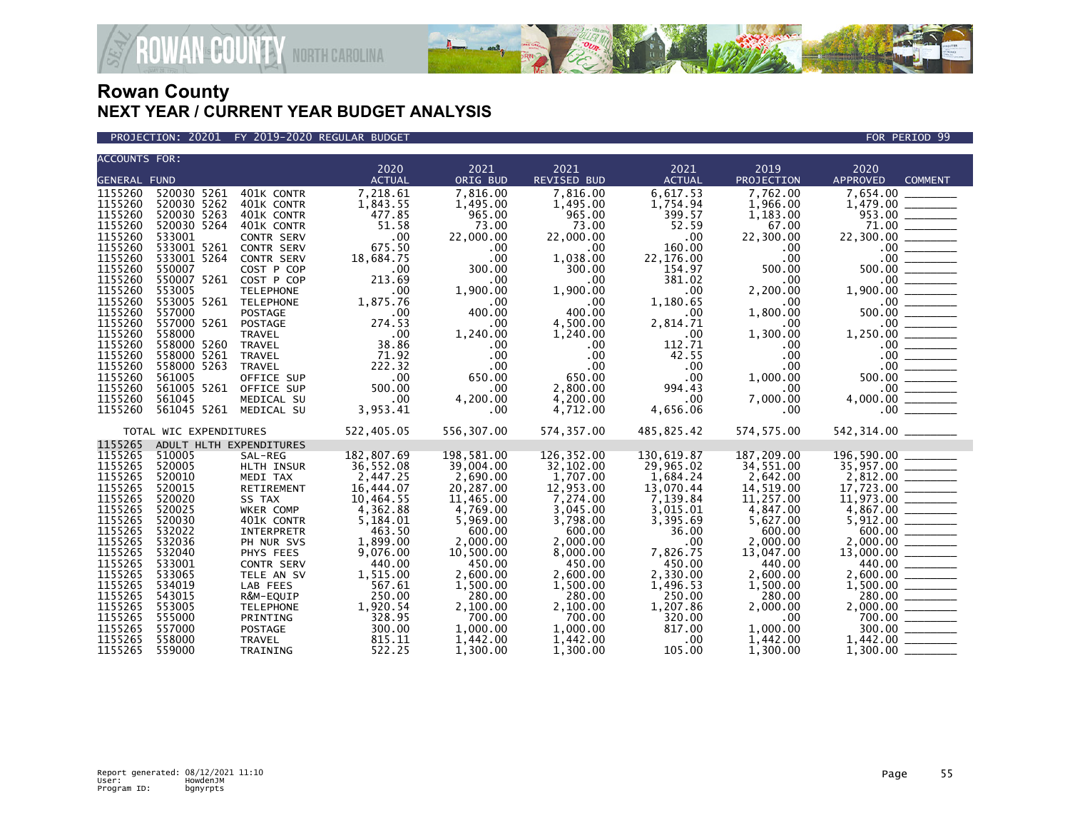

PROJECTION: 20201 FY 2019-2020 REGULAR BUDGET FOR PERIOD 99

| <b>ACCOUNTS FOR:</b> |                         |                   |               |            |              |               |              |                                                                                                                                                                                                                                                                                            |
|----------------------|-------------------------|-------------------|---------------|------------|--------------|---------------|--------------|--------------------------------------------------------------------------------------------------------------------------------------------------------------------------------------------------------------------------------------------------------------------------------------------|
|                      |                         |                   | 2020          | 2021       | 2021         | 2021          | 2019         | 2020                                                                                                                                                                                                                                                                                       |
| <b>GENERAL FUND</b>  |                         |                   | <b>ACTUAL</b> | ORIG BUD   | REVISED BUD  | <b>ACTUAL</b> | PROJECTION   | APPROVED<br><b>COMMENT</b>                                                                                                                                                                                                                                                                 |
| 1155260              | 520030 5261             | 401K CONTR        | 7,218.61      | 7,816.00   | 7,816.00     | 6,617.53      | 7,762.00     | 7,654.00<br>$7,654.00$<br>$1,479.00$<br>$953.00$<br>$71.00$<br>$71.00$<br>$71.00$<br>$71.00$<br>$71.00$<br>$70.00$<br>$500.00$<br>$500.00$<br>$500.00$<br>$1,900.00$<br>$0.00$<br>$0.00$<br>$0.00$<br>$0.00$<br>$0.00$<br>$0.00$<br>$0.00$<br>$0.00$<br>$0.00$<br>$0.00$<br>$0.00$<br>$0.$ |
| 1155260              | 520030 5262             | 401K CONTR        | 1,843.55      | 1,495.00   | 1,495.00     | 1,754.94      | 1,966.00     |                                                                                                                                                                                                                                                                                            |
| 1155260              | 520030 5263             | 401K CONTR        | 477.85        | 965.00     | 965.00       | 399.57        | 1,183.00     |                                                                                                                                                                                                                                                                                            |
| 1155260              | 520030 5264             | 401K CONTR        | 51.58         | 73.00      | 73.00        | 52.59         | 67.00        |                                                                                                                                                                                                                                                                                            |
| 1155260              | 533001                  | <b>CONTR SERV</b> | .00           | 22,000.00  | 22,000.00    | .00           | 22,300.00    | 22,300.00                                                                                                                                                                                                                                                                                  |
| 1155260              | 533001 5261             | <b>CONTR SERV</b> | 675.50        | .00        | $.00 \,$     | 160.00        | $.00 \,$     |                                                                                                                                                                                                                                                                                            |
| 1155260              | 533001 5264             | CONTR SERV        | 18,684.75     | .00        | 1,038.00     | 22,176.00     | .00.         |                                                                                                                                                                                                                                                                                            |
| 1155260              | 550007                  | COST P COP        | .00           | 300.00     | 300.00       | 154.97        | 500.00       |                                                                                                                                                                                                                                                                                            |
| 1155260              | 550007 5261             | COST P COP        | 213.69        | .00        | .00          | 381.02        | $.00 \,$     |                                                                                                                                                                                                                                                                                            |
| 1155260              | 553005                  | <b>TELEPHONE</b>  | .00           | 1,900.00   | 1.900.00     | .00           | 2,200.00     |                                                                                                                                                                                                                                                                                            |
| 1155260              | 553005 5261 TELEPHONE   |                   | 1,875.76      | .00        | .00.         | 1,180.65      | .00          |                                                                                                                                                                                                                                                                                            |
| 1155260              | 557000                  | <b>POSTAGE</b>    | .00           | 400.00     | 400.00       | .00           | 1,800.00     |                                                                                                                                                                                                                                                                                            |
| 1155260              | 557000 5261             | POSTAGE           | 274.53        | .00        | 4,500.00     | 2,814.71      | .00          |                                                                                                                                                                                                                                                                                            |
| 1155260              | 558000                  | <b>TRAVEL</b>     | .00           | 1,240.00   | 1,240.00     | $.00 \times$  | 1,300.00     |                                                                                                                                                                                                                                                                                            |
| 1155260              | 558000 5260             | TRAVEL            | 38.86         | .00        | $.00 \,$     | 112.71        | $.00 \,$     |                                                                                                                                                                                                                                                                                            |
| 1155260              | 558000 5261             | TRAVEL            | 71.92         | .00        | $.00 \,$     | 42.55         | $.00 \,$     |                                                                                                                                                                                                                                                                                            |
| 1155260              | 558000 5263             | <b>TRAVEL</b>     | 222.32        | .00        | $.00 \times$ | .00           | $.00 \times$ |                                                                                                                                                                                                                                                                                            |
| 1155260              | 561005                  | OFFICE SUP        | .00           | 650.00     | 650.00       | .00.          | 1,000.00     |                                                                                                                                                                                                                                                                                            |
| 1155260              | 561005 5261             | OFFICE SUP        | 500.00        | .00        | 2,800.00     | 994.43        | $.00 \,$     |                                                                                                                                                                                                                                                                                            |
| 1155260              | 561045                  | MEDICAL SU        | .00           | 4,200.00   | 4,200.00     | .00           | 7,000.00     |                                                                                                                                                                                                                                                                                            |
| 1155260              | 561045 5261             | MEDICAL SU        | 3,953.41      | .00        | 4,712.00     | 4,656.06      | $.00 \,$     |                                                                                                                                                                                                                                                                                            |
|                      |                         |                   |               |            |              |               |              |                                                                                                                                                                                                                                                                                            |
|                      | TOTAL WIC EXPENDITURES  |                   | 522,405.05    | 556,307.00 | 574,357.00   | 485,825.42    | 574, 575.00  |                                                                                                                                                                                                                                                                                            |
| 1155265              | ADULT HLTH EXPENDITURES |                   |               |            |              |               |              |                                                                                                                                                                                                                                                                                            |
| 1155265              | 510005                  | SAL-REG           | 182,807.69    | 198,581.00 | 126,352.00   | 130,619.87    | 187,209.00   | 196,590.00 ______                                                                                                                                                                                                                                                                          |
| 1155265              | 520005                  | HLTH INSUR        | 36,552.08     | 39,004.00  | 32,102.00    | 29,965.02     | 34,551.00    | $\begin{array}{r} 196, 390 \ 35, 957.00 \ \hline 2, 812.00 \ \hline 17, 723.00 \ \hline 11, 973.00 \ \hline 4, 867.00 \ \hline 5, 912.00 \ \hline 600.00 \ \hline \end{array}$                                                                                                             |
| 1155265              | 520010                  | MEDI TAX          | 2,447.25      | 2,690.00   | 1,707.00     | 1,684.24      | 2,642.00     |                                                                                                                                                                                                                                                                                            |
| 1155265              | 520015                  | RETIREMENT        | 16,444.07     | 20,287.00  | 12,953.00    | 13,070.44     | 14,519.00    |                                                                                                                                                                                                                                                                                            |
| 1155265              | 520020                  | SS TAX            | 10,464.55     | 11,465.00  | 7,274.00     | 7,139.84      | 11,257.00    |                                                                                                                                                                                                                                                                                            |
| 1155265              | 520025                  | WKER COMP         | 4,362.88      | 4,769.00   | 3,045.00     | 3,015.01      | 4,847.00     |                                                                                                                                                                                                                                                                                            |
| 1155265              | 520030                  | 401K CONTR        | 5,184.01      | 5,969.00   | 3,798.00     | 3,395.69      | 5,627.00     |                                                                                                                                                                                                                                                                                            |
| 1155265              | 532022                  | INTERPRETR        | 463.50        | 600.00     | 600.00       | 36.00         | 600.00       |                                                                                                                                                                                                                                                                                            |
| 1155265              | 532036                  | PH NUR SVS        | 1,899.00      | 2,000.00   | 2,000.00     | .00           | 2,000.00     |                                                                                                                                                                                                                                                                                            |
| 1155265              | 532040                  | PHYS FEES         | 9,076.00      | 10,500.00  | 8,000.00     | 7,826.75      | 13,047.00    |                                                                                                                                                                                                                                                                                            |
| 1155265              | 533001                  | <b>CONTR SERV</b> | 440.00        | 450.00     | 450.00       | 450.00        | 440.00       |                                                                                                                                                                                                                                                                                            |
| 1155265              | 533065                  | TELE AN SV        | 1,515.00      | 2.600.00   | 2.600.00     | 2,330.00      | 2.600.00     |                                                                                                                                                                                                                                                                                            |
| 1155265              | 534019                  | LAB FEES          | 567.61        | 1,500.00   | 1,500.00     | 1,496.53      | 1,500.00     |                                                                                                                                                                                                                                                                                            |
| 1155265              | 543015                  | R&M-EQUIP         | 250.00        | 280.00     | 280.00       | 250.00        | 280.00       |                                                                                                                                                                                                                                                                                            |
| 1155265              | 553005                  | <b>TELEPHONE</b>  | 1,920.54      | 2,100.00   | 2.100.00     | 1,207.86      | 2,000.00     | $2,000.00$<br>$13,000.00$<br>$440.00$<br>$2,600.00$<br>$1,500.00$<br>$2,000.00$<br>$700.00$<br>$700.00$<br>$1,442.00$                                                                                                                                                                      |
| 1155265              | 555000                  | PRINTING          | 328.95        | 700.00     | 700.00       | 320.00        | $.00 \,$     |                                                                                                                                                                                                                                                                                            |
| 1155265              | 557000                  | <b>POSTAGE</b>    | 300.00        | 1,000.00   | 1,000.00     | 817.00        | 1.000.00     |                                                                                                                                                                                                                                                                                            |
| 1155265              | 558000                  | <b>TRAVEL</b>     | 815.11        | 1,442.00   | 1,442.00     | .00           | 1,442.00     | 1,442.00                                                                                                                                                                                                                                                                                   |
| 1155265              | 559000                  | TRAINING          | 522.25        | 1,300.00   | 1,300.00     | 105.00        | 1,300.00     | 1,300.00                                                                                                                                                                                                                                                                                   |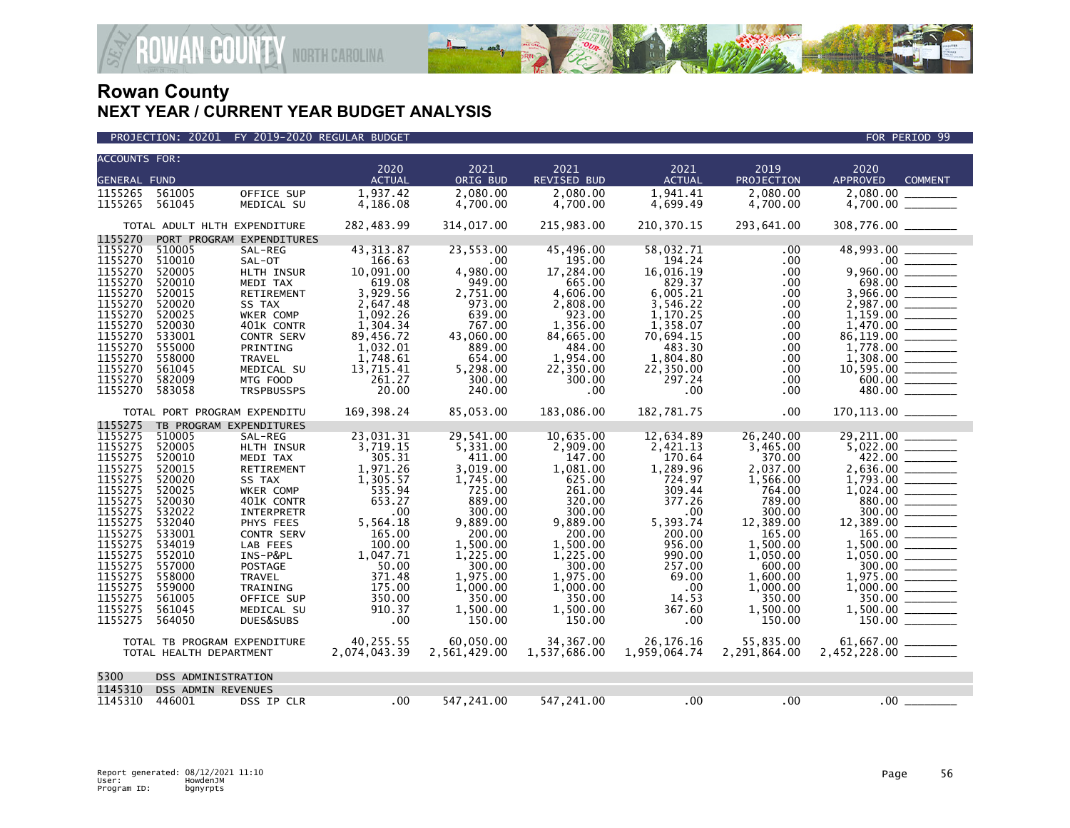

|                     | <b>ACCOUNTS FOR:</b>         |                           |               |              |                    |               |              |                                   |  |  |  |
|---------------------|------------------------------|---------------------------|---------------|--------------|--------------------|---------------|--------------|-----------------------------------|--|--|--|
|                     |                              |                           | 2020          | 2021         | 2021               | 2021          | 2019         | 2020                              |  |  |  |
| <b>GENERAL FUND</b> |                              |                           | <b>ACTUAL</b> | ORIG BUD     | <b>REVISED BUD</b> | <b>ACTUAL</b> | PROJECTION   | <b>APPROVED</b><br><b>COMMENT</b> |  |  |  |
| 1155265             | 561005                       | OFFICE SUP                | 1,937.42      | 2.080.00     | 2.080.00           | 1.941.41      | 2.080.00     | 2.080.00                          |  |  |  |
| 1155265             | 561045                       | MEDICAL SU                | 4,186.08      | 4,700.00     | 4,700.00           | 4,699.49      | 4,700.00     | 4,700.00                          |  |  |  |
|                     |                              |                           |               |              |                    |               |              |                                   |  |  |  |
|                     | TOTAL ADULT HLTH EXPENDITURE |                           | 282,483.99    | 314,017.00   | 215,983.00         | 210,370.15    | 293,641.00   | 308,776.00                        |  |  |  |
| 1155270             |                              | PORT PROGRAM EXPENDITURES |               |              |                    |               |              |                                   |  |  |  |
| 1155270             | 510005                       | SAL-REG                   | 43, 313.87    | 23,553.00    | 45,496.00          | 58,032.71     | .00          | 48,993.00                         |  |  |  |
| 1155270             | 510010                       | SAL-OT                    | 166.63        | .00.         | 195.00             | 194.24        | .00          | $.00 \,$                          |  |  |  |
| 1155270             | 520005                       | HLTH INSUR                | 10,091.00     | 4,980.00     | 17,284.00          | 16,016.19     | .00          | 9,960.00                          |  |  |  |
| 1155270             | 520010                       | MEDI TAX                  | 619.08        | 949.00       | 665.00             | 829.37        | .00          | 698.00                            |  |  |  |
| 1155270             | 520015                       | RETIREMENT                | 3,929.56      | 2.751.00     | 4.606.00           | 6.005.21      | .00          | 3,966.00                          |  |  |  |
| 1155270             | 520020                       | SS TAX                    | 2,647.48      | 973.00       | 2,808.00           | 3,546.22      | .00          | 2,987.00                          |  |  |  |
| 1155270             | 520025                       | WKER COMP                 | 1,092.26      | 639.00       | 923.00             | 1,170.25      | .00          | 1,159.00                          |  |  |  |
| 1155270             | 520030                       | 401K CONTR                | 1,304.34      | 767.00       | 1,356.00           | 1,358.07      | .00.         | 1,470.00                          |  |  |  |
| 1155270             | 533001                       | CONTR SERV                | 89,456.72     | 43,060.00    | 84,665.00          | 70,694.15     | .00.         | 86,119.00                         |  |  |  |
| 1155270             | 555000                       | PRINTING                  | 1,032.01      | 889.00       | 484.00             | 483.30        | .00.         | 1,778.00                          |  |  |  |
| 1155270             | 558000                       | <b>TRAVEL</b>             | 1,748.61      | 654.00       | 1,954.00           | 1,804.80      | .00          | 1,308.00                          |  |  |  |
| 1155270             | 561045                       | MEDICAL SU                | 13,715.41     | 5,298.00     | 22,350.00          | 22,350.00     | .00          | 10,595.00                         |  |  |  |
| 1155270             | 582009                       | MTG FOOD                  | 261.27        | 300.00       | 300.00             | 297.24        | .00          | 600.00                            |  |  |  |
| 1155270             | 583058                       | <b>TRSPBUSSPS</b>         | 20.00         | 240.00       | .00                | .00           | .00.         | 480.00                            |  |  |  |
|                     | TOTAL PORT PROGRAM EXPENDITU |                           | 169, 398.24   | 85,053.00    | 183.086.00         | 182,781.75    | .00          |                                   |  |  |  |
| 1155275             | TB PROGRAM EXPENDITURES      |                           |               |              |                    |               |              |                                   |  |  |  |
| 1155275             | 510005                       | SAL-REG                   | 23,031.31     | 29,541.00    | 10,635.00          | 12,634.89     | 26,240.00    | 29,211.00                         |  |  |  |
| 1155275             | 520005                       | HLTH INSUR                | 3,719.15      | 5,331.00     | 2,909.00           | 2,421.13      | 3,465.00     | 5,022.00                          |  |  |  |
| 1155275             | 520010                       | MEDI TAX                  | 305.31        | 411.00       | 147.00             | 170.64        | 370.00       | 422.00                            |  |  |  |
| 1155275             | 520015                       | RETIREMENT                | 1,971.26      | 3,019.00     | 1,081.00           | 1,289.96      | 2,037.00     | 2,636.00                          |  |  |  |
| 1155275             | 520020                       | SS TAX                    | 1.305.57      | 1,745.00     | 625.00             | 724.97        | 1,566.00     | 1,793.00                          |  |  |  |
| 1155275             | 520025                       | WKER COMP                 | 535.94        | 725.00       | 261.00             | 309.44        | 764.00       | 1,024.00                          |  |  |  |
| 1155275             | 520030                       | 401K CONTR                | 653.27        | 889.00       | 320.00             | 377.26        | 789.00       | 880.00                            |  |  |  |
| 1155275             | 532022                       | <b>INTERPRETR</b>         | .00           | 300.00       | 300.00             | .00           | 300.00       | 300.00                            |  |  |  |
| 1155275             | 532040                       | PHYS FEES                 | 5,564.18      | 9,889.00     | 9,889.00           | 5,393.74      | 12,389.00    | 12,389.00                         |  |  |  |
| 1155275             | 533001                       | CONTR SERV                | 165.00        | 200.00       | 200.00             | 200.00        | 165.00       | 165.00                            |  |  |  |
| 1155275             | 534019                       | LAB FEES                  | 100.00        | 1,500.00     | 1,500.00           | 956.00        | 1,500.00     | 1,500.00                          |  |  |  |
| 1155275             | 552010                       | INS-P&PL                  | 1,047.71      | 1,225.00     | 1,225.00           | 990.00        | 1,050.00     | 1,050.00                          |  |  |  |
| 1155275             | 557000                       | POSTAGE                   | 50.00         | 300.00       | 300.00             | 257.00        | 600.00       | 300.00                            |  |  |  |
| 1155275             | 558000                       | <b>TRAVEL</b>             | 371.48        | 1,975.00     | 1,975.00           | 69.00         | 1,600.00     | 1,975.00                          |  |  |  |
| 1155275             | 559000                       | TRAINING                  | 175.00        | 1,000.00     | 1,000.00           | .00           | 1,000.00     | 1,000.00                          |  |  |  |
| 1155275             | 561005                       | OFFICE SUP                | 350.00        | 350.00       | 350.00             | 14.53         | 350.00       | 350.00                            |  |  |  |
| 1155275             | 561045                       | MEDICAL SU                | 910.37        | 1,500.00     | 1,500.00           | 367.60        | 1,500.00     | 1,500.00                          |  |  |  |
| 1155275             | 564050                       | DUES&SUBS                 | .00           | 150.00       | 150.00             | .00           | 150.00       | 150.00                            |  |  |  |
|                     | TOTAL TB PROGRAM EXPENDITURE |                           | 40,255.55     | 60,050.00    | 34, 367.00         | 26, 176. 16   | 55,835.00    |                                   |  |  |  |
|                     | TOTAL HEALTH DEPARTMENT      |                           | 2,074,043.39  | 2,561,429.00 | 1,537,686.00       | 1,959,064.74  | 2,291,864.00 |                                   |  |  |  |
|                     |                              |                           |               |              |                    |               |              |                                   |  |  |  |
| 5300                | DSS ADMINISTRATION           |                           |               |              |                    |               |              |                                   |  |  |  |
| 1145310             | <b>DSS ADMIN REVENUES</b>    |                           |               |              |                    |               |              |                                   |  |  |  |
| 1145310             | 446001                       | DSS IP CLR                | $.00 \,$      | 547,241.00   | 547,241.00         | $.00 \,$      | .00          | .00                               |  |  |  |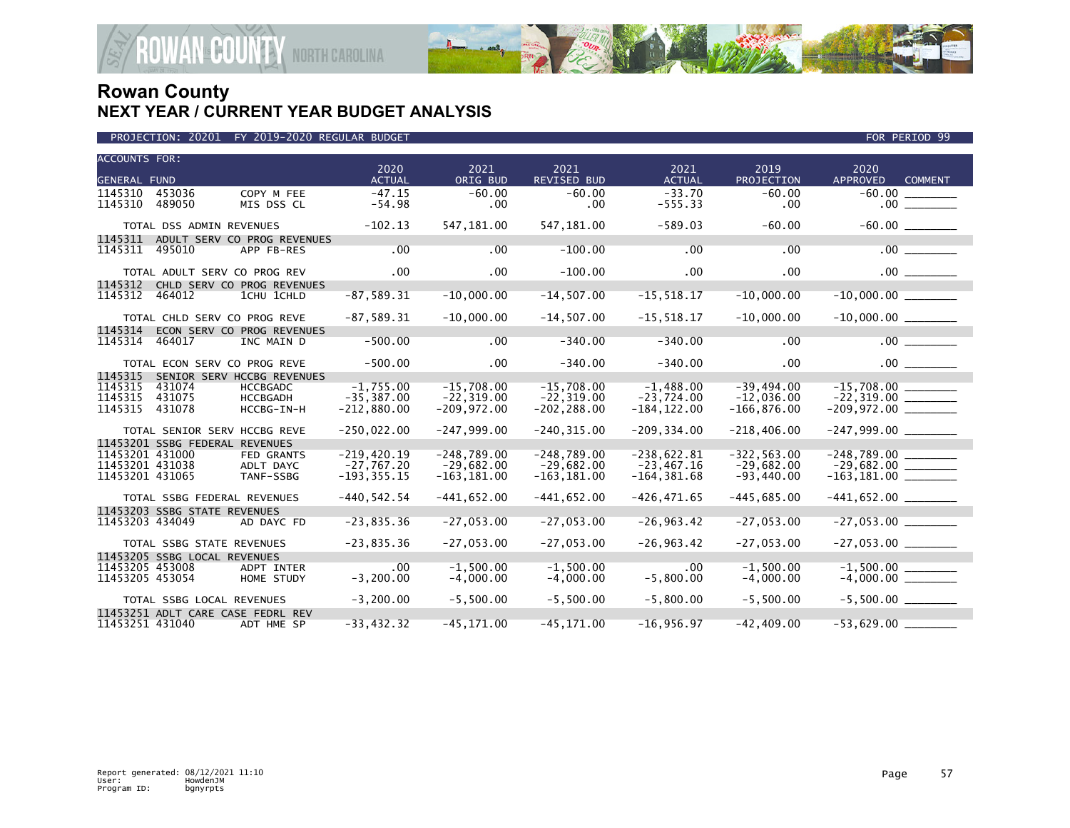

|                                                       | PROJECTION: 20201              | FY 2019-2020 REGULAR BUDGET                                                    |                                                 |                                                 |                                                 |                                                 |                                                | FOR PERIOD 99                             |
|-------------------------------------------------------|--------------------------------|--------------------------------------------------------------------------------|-------------------------------------------------|-------------------------------------------------|-------------------------------------------------|-------------------------------------------------|------------------------------------------------|-------------------------------------------|
| <b>ACCOUNTS FOR:</b>                                  |                                |                                                                                |                                                 |                                                 |                                                 |                                                 |                                                |                                           |
| <b>GENERAL FUND</b>                                   |                                |                                                                                | 2020<br><b>ACTUAL</b>                           | 2021<br>ORIG BUD                                | 2021<br><b>REVISED BUD</b>                      | 2021<br><b>ACTUAL</b>                           | 2019<br>PROJECTION                             | 2020<br><b>APPROVED</b><br><b>COMMENT</b> |
| 1145310<br>1145310                                    | 453036<br>489050               | COPY M FEE<br>MIS DSS CL                                                       | $-47.15$<br>$-54.98$                            | $-60.00$<br>.00.                                | $-60.00$<br>.00                                 | $-33.70$<br>$-555.33$                           | $-60.00$<br>.00                                |                                           |
|                                                       | TOTAL DSS ADMIN REVENUES       |                                                                                | $-102.13$                                       | 547,181.00                                      | 547, 181.00                                     | $-589.03$                                       | $-60.00$                                       |                                           |
| 1145311                                               |                                | ADULT SERV CO PROG REVENUES                                                    |                                                 |                                                 |                                                 |                                                 |                                                |                                           |
| 1145311                                               | 495010                         | APP FB-RES                                                                     | .00                                             | .00                                             | $-100.00$                                       | .00                                             | .00                                            | $.00$ $\qquad$                            |
|                                                       | TOTAL ADULT SERV CO PROG REV   |                                                                                | .00                                             | .00                                             | $-100.00$                                       | .00                                             | .00                                            |                                           |
| 1145312<br>1145312                                    | 464012                         | CHLD SERV CO PROG REVENUES<br>1CHU 1CHLD                                       | $-87,589.31$                                    | $-10,000.00$                                    | $-14,507.00$                                    | $-15, 518.17$                                   | $-10,000.00$                                   | $-10,000.00$                              |
|                                                       | TOTAL CHLD SERV CO PROG REVE   |                                                                                | $-87,589.31$                                    | $-10,000.00$                                    | $-14,507.00$                                    | $-15,518.17$                                    | $-10,000.00$                                   |                                           |
| 1145314<br>1145314                                    | 464017                         | ECON SERV CO PROG REVENUES<br>INC MAIN D                                       | $-500.00$                                       | .00                                             | $-340.00$                                       | $-340.00$                                       | .00                                            | .00                                       |
|                                                       | TOTAL ECON SERV CO PROG REVE   |                                                                                | $-500.00$                                       | .00.                                            | $-340.00$                                       | $-340.00$                                       | .00.                                           |                                           |
| 1145315<br>1145315<br>1145315<br>1145315              | 431074<br>431075<br>431078     | SENIOR SERV HCCBG REVENUES<br><b>HCCBGADC</b><br><b>HCCBGADH</b><br>HCCBG-IN-H | $-1,755.00$<br>$-35, 387.00$<br>$-212,880.00$   | $-15,708.00$<br>$-22, 319.00$<br>$-209,972.00$  | $-15,708.00$<br>$-22, 319.00$<br>$-202, 288.00$ | $-1,488.00$<br>$-23,724.00$<br>$-184, 122.00$   | -39,494.00<br>$-12.036.00$<br>$-166, 876.00$   | $-22,319.00$ _________                    |
|                                                       | TOTAL SENIOR SERV HCCBG REVE   |                                                                                | $-250,022.00$                                   | $-247,999.00$                                   | $-240, 315.00$                                  | $-209, 334.00$                                  | $-218,406.00$                                  |                                           |
|                                                       | 11453201 SSBG FEDERAL REVENUES |                                                                                |                                                 |                                                 |                                                 |                                                 |                                                |                                           |
| 11453201 431000<br>11453201 431038<br>11453201 431065 |                                | <b>FED GRANTS</b><br>ADLT DAYC<br>TANF-SSBG                                    | $-219,420.19$<br>$-27,767.20$<br>$-193, 355.15$ | $-248,789.00$<br>$-29,682.00$<br>$-163, 181.00$ | $-248,789.00$<br>$-29,682.00$<br>$-163, 181.00$ | $-238,622.81$<br>$-23,467.16$<br>$-164, 381.68$ | $-322, 563.00$<br>$-29,682.00$<br>$-93,440.00$ |                                           |
|                                                       | TOTAL SSBG FEDERAL REVENUES    |                                                                                | $-440, 542.54$                                  | $-441,652.00$                                   | $-441,652.00$                                   | $-426, 471.65$                                  | $-445,685.00$                                  |                                           |
|                                                       | 11453203 SSBG STATE REVENUES   |                                                                                |                                                 |                                                 |                                                 |                                                 |                                                |                                           |
| 11453203 434049                                       |                                | AD DAYC FD                                                                     | $-23,835.36$                                    | $-27,053.00$                                    | $-27,053.00$                                    | $-26, 963.42$                                   | $-27,053.00$                                   |                                           |
|                                                       | TOTAL SSBG STATE REVENUES      |                                                                                | $-23,835.36$                                    | $-27,053.00$                                    | $-27,053.00$                                    | $-26,963.42$                                    | $-27,053.00$                                   |                                           |
| 11453205 453008<br>11453205 453054                    | 11453205 SSBG LOCAL REVENUES   | <b>ADPT INTER</b><br>HOME STUDY                                                | $.00 \times$<br>$-3, 200.00$                    | $-1.500.00$<br>$-4,000.00$                      | $-1,500.00$<br>$-4,000.00$                      | .00.<br>$-5,800.00$                             | $-1.500.00$<br>$-4,000.00$                     |                                           |
|                                                       | TOTAL SSBG LOCAL REVENUES      |                                                                                | $-3,200.00$                                     | $-5,500.00$                                     | $-5,500.00$                                     | $-5.800.00$                                     | $-5,500.00$                                    |                                           |
| 11453251 431040                                       |                                | 11453251 ADLT CARE CASE FEDRL REV<br>ADT HME SP                                | $-33, 432.32$                                   | $-45, 171.00$                                   | $-45, 171.00$                                   | $-16,956.97$                                    | $-42, 409.00$                                  | $-53,629.00$                              |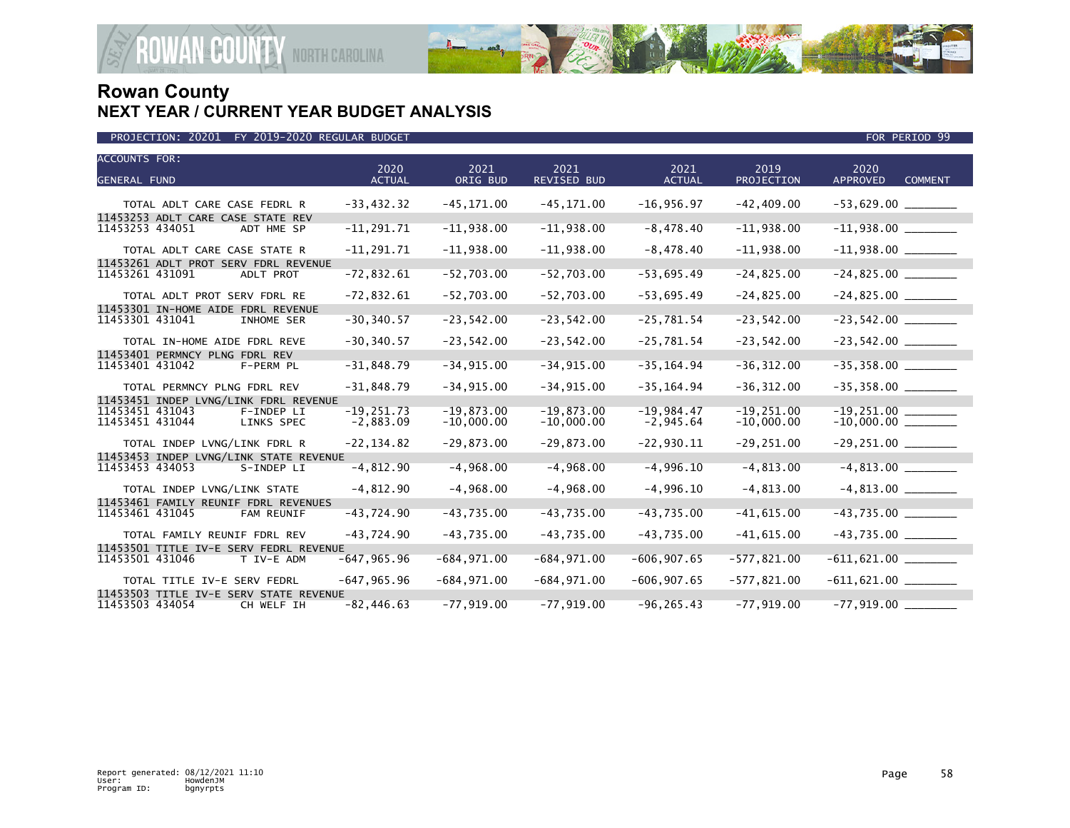

| <b>ACCOUNTS FOR:</b><br><b>GENERAL FUND</b>                            | 2020<br><b>ACTUAL</b>        | 2021<br>ORIG BUD             | 2021<br><b>REVISED BUD</b>   | 2021<br><b>ACTUAL</b>       | 2019<br>PROJECTION            | 2020<br><b>APPROVED</b><br><b>COMMENT</b> |
|------------------------------------------------------------------------|------------------------------|------------------------------|------------------------------|-----------------------------|-------------------------------|-------------------------------------------|
| TOTAL ADLT CARE CASE FEDRL R                                           | $-33,432.32$                 | $-45, 171.00$                | $-45, 171.00$                | $-16,956.97$                | $-42, 409.00$                 |                                           |
| 11453253 ADLT CARE CASE STATE REV<br>11453253 434051<br>ADT HME SP     | $-11, 291.71$                | $-11,938.00$                 | $-11,938.00$                 | $-8,478.40$                 | $-11,938.00$                  |                                           |
| TOTAL ADLT CARE CASE STATE R<br>11453261 ADLT PROT SERV FDRL REVENUE   | $-11, 291.71$                | $-11,938.00$                 | $-11,938.00$                 | $-8,478.40$                 | $-11,938.00$                  | $-11,938.00$ ________                     |
| 11453261 431091<br>ADLT PROT                                           | $-72,832.61$                 | $-52,703.00$                 | $-52,703.00$                 | $-53,695.49$                | $-24,825.00$                  |                                           |
| TOTAL ADLT PROT SERV FDRL RE<br>11453301 IN-HOME AIDE FDRL REVENUE     | $-72,832.61$                 | $-52,703.00$                 | $-52,703.00$                 | $-53,695.49$                | $-24,825.00$                  | $-24,825.00$ ________                     |
| 11453301 431041<br>INHOME SER                                          | $-30, 340.57$                | $-23,542.00$                 | $-23,542.00$                 | $-25,781.54$                | $-23,542.00$                  | $-23,542.00$                              |
| TOTAL IN-HOME AIDE FDRL REVE<br>11453401 PERMNCY PLNG FDRL REV         | $-30, 340.57$                | $-23,542.00$                 | $-23,542.00$                 | $-25,781.54$                | $-23,542.00$                  |                                           |
| 11453401 431042<br>F-PERM PL                                           | $-31,848.79$                 | $-34, 915.00$                | $-34, 915.00$                | $-35, 164.94$               | $-36, 312.00$                 | $-35,358.00$                              |
| TOTAL PERMNCY PLNG FDRL REV<br>11453451 INDEP LVNG/LINK FDRL REVENUE   | $-31,848.79$                 | $-34, 915.00$                | $-34,915.00$                 | $-35, 164.94$               | $-36, 312.00$                 |                                           |
| 11453451 431043<br>F-INDEP LI<br>11453451 431044<br>LINKS SPEC         | $-19, 251.73$<br>$-2,883.09$ | $-19,873.00$<br>$-10,000.00$ | $-19.873.00$<br>$-10,000.00$ | $-19,984.47$<br>$-2,945.64$ | $-19, 251.00$<br>$-10,000.00$ | $-19,251.00$                              |
| TOTAL INDEP LVNG/LINK FDRL R<br>11453453 INDEP LVNG/LINK STATE REVENUE | $-22, 134.82$                | $-29,873.00$                 | $-29,873.00$                 | $-22,930.11$                | $-29, 251.00$                 | $-29,251.00$ ________                     |
| 11453453 434053<br>S-INDEP LI                                          | $-4,812.90$                  | $-4,968.00$                  | $-4,968.00$                  | $-4,996.10$                 | $-4, 813.00$                  |                                           |
| TOTAL INDEP LVNG/LINK STATE<br>11453461 FAMILY REUNIF FDRL REVENUES    | $-4,812.90$                  | $-4,968.00$                  | $-4,968.00$                  | $-4,996.10$                 | $-4,813.00$                   |                                           |
| 11453461 431045<br>FAM REUNIF                                          | $-43,724.90$                 | $-43,735.00$                 | $-43,735.00$                 | $-43,735.00$                | $-41,615.00$                  | $-43,735.00$                              |
| TOTAL FAMILY REUNIF FDRL REV<br>11453501 TITLE IV-E SERV FEDRL REVENUE | $-43,724.90$                 | $-43,735.00$                 | $-43,735.00$                 | $-43,735.00$                | $-41,615.00$                  | $-43,735.00$ ________                     |
| 11453501 431046<br>T IV-E ADM                                          | $-647, 965.96$               | $-684, 971.00$               | $-684, 971.00$               | $-606, 907.65$              | $-577,821.00$                 |                                           |
| TOTAL TITLE IV-E SERV FEDRL<br>11453503 TITLE IV-E SERV STATE REVENUE  | $-647, 965.96$               | $-684, 971.00$               | $-684, 971.00$               | $-606, 907.65$              | $-577,821.00$                 | $-611,621.00$ ________                    |
| 11453503 434054<br>CH WELF IH                                          | $-82, 446.63$                | $-77,919.00$                 | $-77,919.00$                 | $-96, 265.43$               | $-77,919.00$                  | $-77,919.00$                              |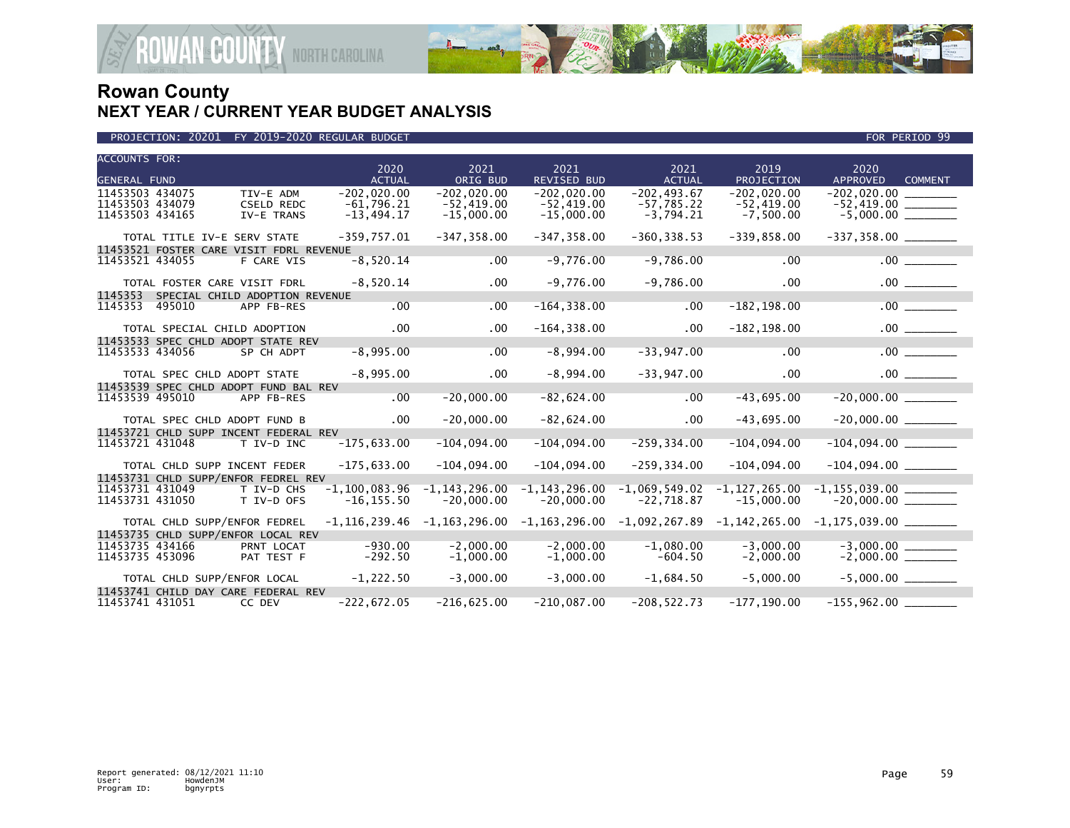

| PROJECTION: 20201 FY 2019-2020 REGULAR BUDGET | FOR PERIOD 99 |
|-----------------------------------------------|---------------|

| <b>ACCOUNTS FOR:</b>               |        |                                         | 2020                   | 2021              | 2021                       | 2021                     | 2019                       | 2020                              |
|------------------------------------|--------|-----------------------------------------|------------------------|-------------------|----------------------------|--------------------------|----------------------------|-----------------------------------|
| <b>GENERAL FUND</b>                |        |                                         | <b>ACTUAL</b>          | ORIG BUD          | <b>REVISED BUD</b>         | <b>ACTUAL</b>            | PROJECTION                 | <b>APPROVED</b><br><b>COMMENT</b> |
| 11453503 434075                    |        | TIV-E ADM                               | $-202,020.00$          | $-202,020.00$     | $-202,020.00$              | $-202, 493.67$           | $-202,020.00$              | $-202,020.00$                     |
| 11453503 434079                    |        | <b>CSELD REDC</b>                       | $-61.796.21$           | $-52,419.00$      | $-52,419.00$               | $-57.785.22$             | $-52.419.00$               |                                   |
| 11453503 434165                    |        | IV-E TRANS                              | $-13,494.17$           | $-15,000.00$      | $-15,000.00$               | $-3,794.21$              | $-7,500.00$                |                                   |
|                                    |        | TOTAL TITLE IV-E SERV STATE             | $-359,757.01$          | $-347, 358.00$    | $-347, 358.00$             | $-360, 338.53$           | $-339,858.00$              |                                   |
|                                    |        | 11453521 FOSTER CARE VISIT FDRL REVENUE |                        |                   |                            |                          |                            |                                   |
| 11453521 434055                    |        | F CARE VIS                              | $-8,520.14$            | .00               | $-9,776.00$                | $-9,786.00$              | .00                        | .00                               |
|                                    |        | TOTAL FOSTER CARE VISIT FDRL            | $-8,520.14$            | $.00 \times$      | $-9,776.00$                | $-9,786.00$              | $.00 \times$               | .00                               |
| 1145353                            |        | SPECIAL CHILD ADOPTION REVENUE          |                        |                   |                            |                          |                            |                                   |
| 1145353                            | 495010 | APP FB-RES                              | .00                    | .00               | $-164, 338.00$             | .00                      | $-182, 198.00$             | .00                               |
|                                    |        | TOTAL SPECIAL CHILD ADOPTION            | .00                    | $.00 \,$          | $-164, 338.00$             | $.00 \,$                 | $-182, 198.00$             |                                   |
|                                    |        | 11453533 SPEC CHLD ADOPT STATE REV      |                        |                   |                            |                          |                            |                                   |
| 11453533 434056                    |        | SP CH ADPT                              | $-8,995.00$            | .00               | $-8,994.00$                | $-33,947.00$             | .00                        | .00                               |
|                                    |        | TOTAL SPEC CHLD ADOPT STATE             | $-8,995.00$            | $.00 \,$          | $-8,994.00$                | $-33,947.00$             | .00                        |                                   |
|                                    |        | 11453539 SPEC CHLD ADOPT FUND BAL REV   |                        |                   |                            |                          |                            |                                   |
| 11453539 495010                    |        | APP FB-RES                              | $.00 \,$               | $-20,000.00$      | $-82,624.00$               | .00                      | $-43,695.00$               | $-20,000.00$                      |
|                                    |        | TOTAL SPEC CHLD ADOPT FUND B            | $.00 \,$               | $-20,000.00$      | $-82,624.00$               | $.00 \times$             | $-43,695.00$               | $-20,000.00$ ________             |
|                                    |        | 11453721 CHLD SUPP INCENT FEDERAL REV   |                        |                   |                            |                          |                            |                                   |
| 11453721 431048                    |        | T IV-D INC                              | $-175,633.00$          | $-104,094.00$     | $-104,094.00$              | $-259, 334.00$           | $-104,094.00$              |                                   |
|                                    |        | TOTAL CHLD SUPP INCENT FEDER            | $-175,633.00$          | $-104,094.00$     | $-104,094.00$              | $-259, 334.00$           | $-104,094.00$              |                                   |
|                                    |        | 11453731 CHLD SUPP/ENFOR FEDREL REV     |                        |                   |                            |                          |                            |                                   |
| 11453731 431049                    |        | T IV-D CHS                              | $-1.100.083.96$        | $-1, 143, 296.00$ | $-1, 143, 296.00$          | $-1,069,549.02$          | $-1, 127, 265.00$          |                                   |
| 11453731 431050                    |        | T IV-D OFS                              | $-16, 155.50$          | $-20,000.00$      | $-20,000.00$               | $-22,718.87$             | $-15,000.00$               |                                   |
|                                    |        | TOTAL CHLD SUPP/ENFOR FEDREL            | -1,116,239.46          | $-1, 163, 296.00$ | $-1, 163, 296.00$          | $-1,092,267.89$          | $-1, 142, 265.00$          | $-1, 175, 039.00$ _________       |
|                                    |        | 11453735 CHLD SUPP/ENFOR LOCAL REV      |                        |                   |                            |                          |                            |                                   |
| 11453735 434166<br>11453735 453096 |        | PRNT LOCAT                              | $-930.00$<br>$-292.50$ | $-2.000.00$       | $-2.000.00$<br>$-1.000.00$ | $-1.080.00$<br>$-604.50$ | $-3.000.00$<br>$-2.000.00$ |                                   |
|                                    |        | PAT TEST F                              |                        | $-1,000.00$       |                            |                          |                            |                                   |
|                                    |        | TOTAL CHLD SUPP/ENFOR LOCAL             | $-1,222.50$            | $-3,000.00$       | $-3,000.00$                | $-1,684.50$              | $-5,000.00$                |                                   |
|                                    |        | 11453741 CHILD DAY CARE FEDERAL REV     |                        |                   |                            |                          |                            |                                   |
| 11453741 431051                    |        | CC DEV                                  | $-222,672.05$          | $-216,625.00$     | $-210,087.00$              | $-208, 522.73$           | $-177, 190.00$             | $-155,962.00$                     |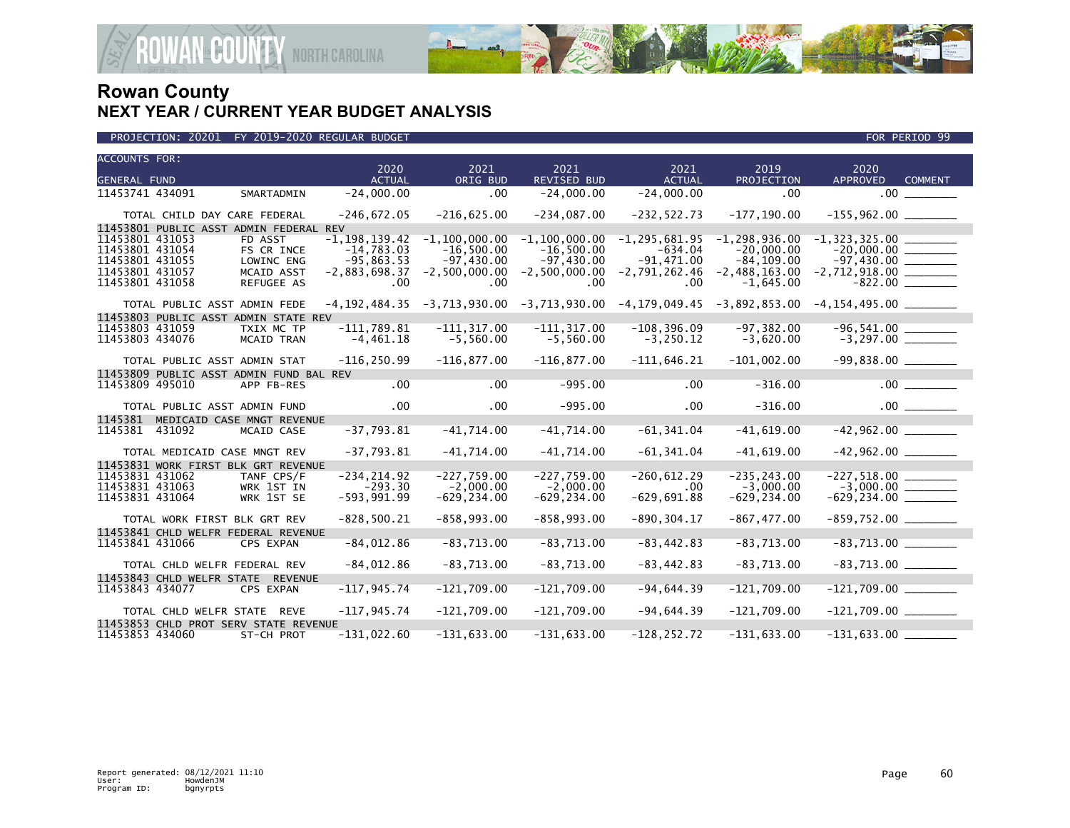

| <b>ACCOUNTS FOR:</b>               |                              |                                         | 2020                              | 2021                              | 2021                                                            | 2021                           | 2019                              | 2020                     |                |
|------------------------------------|------------------------------|-----------------------------------------|-----------------------------------|-----------------------------------|-----------------------------------------------------------------|--------------------------------|-----------------------------------|--------------------------|----------------|
| <b>GENERAL FUND</b>                |                              |                                         | <b>ACTUAL</b>                     | ORIG BUD                          | <b>REVISED BUD</b>                                              | <b>ACTUAL</b>                  | PROJECTION                        | <b>APPROVED</b>          | <b>COMMENT</b> |
| 11453741 434091                    |                              | SMARTADMIN                              | $-24,000.00$                      | .00                               | $-24,000.00$                                                    | $-24,000.00$                   | .00                               | .00                      |                |
|                                    |                              |                                         |                                   |                                   |                                                                 |                                |                                   |                          |                |
|                                    | TOTAL CHILD DAY CARE FEDERAL |                                         | $-246,672.05$                     | $-216,625.00$                     | $-234,087.00$                                                   | $-232, 522.73$                 | $-177, 190.00$                    | $-155,962.00$ ________   |                |
|                                    |                              | 11453801 PUBLIC ASST ADMIN FEDERAL REV  |                                   |                                   |                                                                 |                                |                                   |                          |                |
| 11453801 431053<br>11453801 431054 |                              | FD ASST<br>FS CR INCE                   | $-1, 198, 139.42$<br>$-14,783.03$ | $-1, 100, 000.00$<br>$-16,500.00$ | $-1, 100, 000.00$<br>$-16,500.00$                               | $-1, 295, 681.95$<br>$-634.04$ | $-1, 298, 936.00$<br>$-20.000.00$ | $-1, 323, 325.00$        |                |
| 11453801 431055                    |                              | LOWINC ENG                              | $-95,863.53$                      | $-97,430.00$                      | $-97,430.00$                                                    | $-91,471.00$                   | $-84, 109.00$                     |                          |                |
| 11453801 431057                    |                              | MCAID ASST                              | $-2,883,698.37$                   | $-2,500,000.00$                   | $-2,500,000.00$                                                 | $-2,791,262.46$                | $-2,488,163.00$                   | $-2,712,918.00$ ________ |                |
| 11453801 431058                    |                              | REFUGEE AS                              | .00                               | .00                               | .00                                                             | .00                            | $-1,645.00$                       | $-822.00$                |                |
|                                    | TOTAL PUBLIC ASST ADMIN FEDE |                                         | $-4, 192, 484.35$                 |                                   | $-3,713,930.00$ $-3,713,930.00$ $-4,179,049.45$ $-3,892,853.00$ |                                |                                   |                          |                |
|                                    |                              | 11453803 PUBLIC ASST ADMIN STATE REV    |                                   |                                   |                                                                 |                                |                                   |                          |                |
| 11453803 431059                    |                              | TXIX MC TP                              | $-111.789.81$                     | $-111.317.00$                     | $-111.317.00$                                                   | $-108.396.09$                  | $-97.382.00$                      |                          |                |
| 11453803 434076                    |                              | <b>MCAID TRAN</b>                       | $-4,461.18$                       | $-5,560.00$                       | $-5,560.00$                                                     | $-3, 250.12$                   | $-3,620.00$                       |                          |                |
|                                    | TOTAL PUBLIC ASST ADMIN STAT |                                         | $-116, 250.99$                    | $-116,877.00$                     | $-116,877.00$                                                   | $-111,646.21$                  | $-101,002.00$                     | $-99,838.00$ _________   |                |
|                                    |                              | 11453809 PUBLIC ASST ADMIN FUND BAL REV |                                   |                                   |                                                                 |                                |                                   |                          |                |
| 11453809 495010                    |                              | APP FB-RES                              | .00                               | .00                               | $-995.00$                                                       | .00                            | $-316.00$                         |                          | .00            |
|                                    | TOTAL PUBLIC ASST ADMIN FUND |                                         | .00 <sub>1</sub>                  | .00                               | $-995.00$                                                       | $.00 \times$                   | $-316.00$                         |                          |                |
| 1145381                            |                              | MEDICAID CASE MNGT REVENUE              |                                   |                                   |                                                                 |                                |                                   |                          |                |
| 1145381                            | 431092                       | MCAID CASE                              | $-37,793.81$                      | $-41,714.00$                      | $-41,714.00$                                                    | $-61, 341.04$                  | $-41,619.00$                      | $-42,962.00$             |                |
|                                    | TOTAL MEDICAID CASE MNGT REV |                                         | $-37,793.81$                      | $-41,714.00$                      | $-41,714.00$                                                    | $-61, 341.04$                  | $-41,619.00$                      |                          |                |
|                                    |                              | 11453831 WORK FIRST BLK GRT REVENUE     |                                   |                                   |                                                                 |                                |                                   |                          |                |
| 11453831 431062                    |                              | TANF CPS/F                              | $-234, 214.92$                    | $-227,759.00$                     | $-227,759.00$                                                   | $-260, 612.29$                 | $-235.243.00$                     |                          |                |
| 11453831 431063                    |                              | WRK 1ST IN                              | $-293.30$                         | $-2,000.00$                       | $-2,000.00$                                                     | .00                            | $-3,000.00$                       |                          |                |
| 11453831 431064                    |                              | WRK 1ST SE                              | $-593,991.99$                     | $-629, 234.00$                    | $-629, 234.00$                                                  | $-629,691.88$                  | $-629, 234.00$                    | $-629, 234.00$ ________  |                |
|                                    | TOTAL WORK FIRST BLK GRT REV |                                         | $-828,500.21$                     | $-858, 993.00$                    | $-858,993.00$                                                   | $-890, 304.17$                 | $-867, 477.00$                    | $-859,752.00$ ________   |                |
|                                    |                              | 11453841 CHLD WELFR FEDERAL REVENUE     |                                   |                                   |                                                                 |                                |                                   |                          |                |
| 11453841 431066                    |                              | CPS EXPAN                               | $-84,012.86$                      | $-83,713.00$                      | $-83,713.00$                                                    | $-83, 442.83$                  | $-83,713.00$                      |                          |                |
|                                    | TOTAL CHLD WELFR FEDERAL REV |                                         | $-84,012.86$                      | $-83,713.00$                      | $-83,713.00$                                                    | $-83,442.83$                   | $-83,713.00$                      |                          |                |
|                                    | 11453843 CHLD WELFR STATE    | <b>REVENUE</b>                          |                                   |                                   |                                                                 |                                |                                   |                          |                |
| 11453843 434077                    |                              | CPS EXPAN                               | $-117, 945.74$                    | $-121,709.00$                     | $-121,709.00$                                                   | $-94,644.39$                   | $-121,709.00$                     |                          |                |
|                                    | TOTAL CHLD WELFR STATE REVE  |                                         | $-117, 945.74$                    | $-121,709.00$                     | $-121,709.00$                                                   | $-94,644.39$                   | $-121,709.00$                     | $-121,709.00$ _________  |                |
|                                    |                              | 11453853 CHLD PROT SERV STATE REVENUE   |                                   |                                   |                                                                 |                                |                                   |                          |                |
| 11453853 434060                    |                              | ST-CH PROT                              | $-131,022.60$                     | $-131,633.00$                     | $-131,633.00$                                                   | $-128, 252.72$                 | $-131,633.00$                     | $-131,633.00$            |                |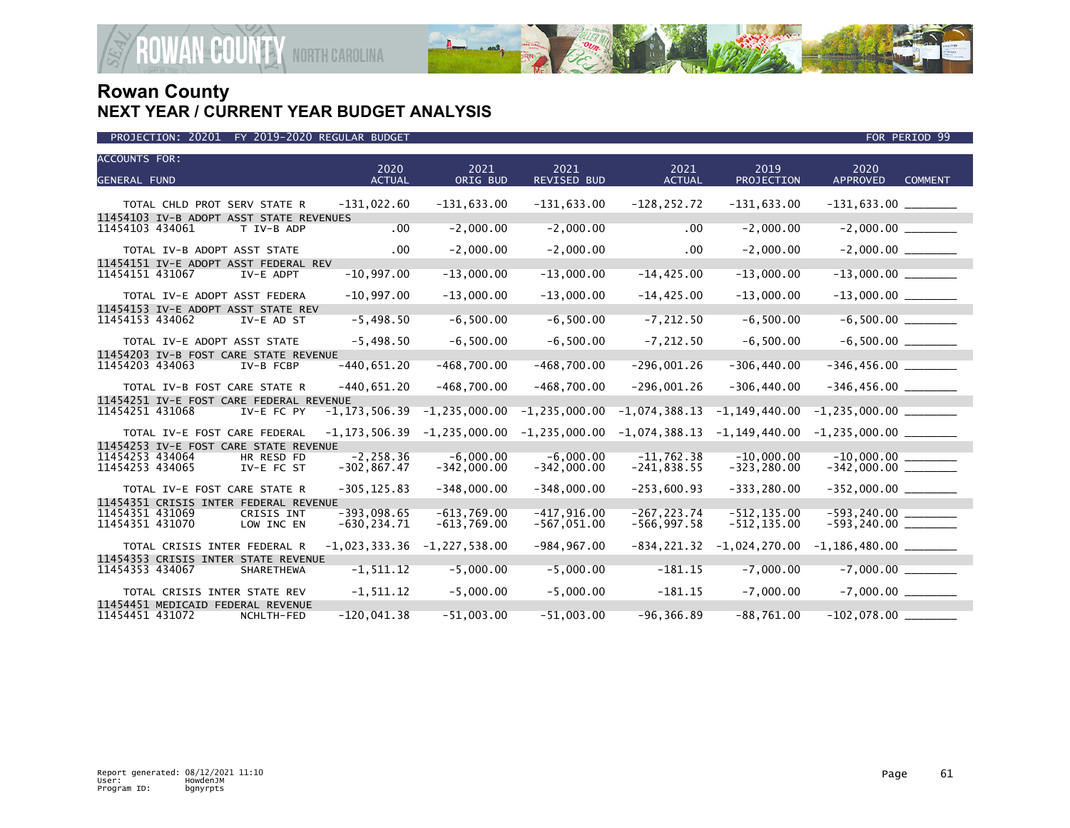

| PROJECTION: 20201 FY 2019-2020 REGULAR BUDGET | FOR PERIOD 99 |
|-----------------------------------------------|---------------|

| <b>ACCOUNTS FOR:</b>                                                     | 2020                            | 2021                           | 2021                            | 2021                             | 2019                             | 2020                      |                |
|--------------------------------------------------------------------------|---------------------------------|--------------------------------|---------------------------------|----------------------------------|----------------------------------|---------------------------|----------------|
| <b>GENERAL FUND</b>                                                      | <b>ACTUAL</b>                   | ORIG BUD                       | <b>REVISED BUD</b>              | <b>ACTUAL</b>                    | <b>PROJECTION</b>                | <b>APPROVED</b>           | <b>COMMENT</b> |
| TOTAL CHLD PROT SERV STATE R                                             | $-131,022.60$                   | $-131,633.00$                  | $-131,633.00$                   | $-128, 252.72$                   | $-131,633.00$                    |                           |                |
| 11454103 IV-B ADOPT ASST STATE REVENUES<br>11454103 434061<br>T IV-B ADP | .00                             | $-2,000.00$                    | $-2,000.00$                     | .00                              | $-2,000.00$                      |                           |                |
| TOTAL IV-B ADOPT ASST STATE<br>11454151 IV-E ADOPT ASST FEDERAL REV      | $.00 \,$                        | $-2,000.00$                    | $-2,000.00$                     | .00                              | $-2,000.00$                      | $-2,000.00$ _________     |                |
| 11454151 431067<br>IV-E ADPT                                             | $-10,997.00$                    | $-13,000.00$                   | $-13,000.00$                    | $-14, 425.00$                    | $-13,000.00$                     |                           |                |
| TOTAL IV-E ADOPT ASST FEDERA                                             | $-10,997.00$                    | $-13,000.00$                   | $-13,000.00$                    | $-14, 425.00$                    | $-13,000.00$                     | $-13,000.00$ ________     |                |
| 11454153 IV-E ADOPT ASST STATE REV<br>11454153 434062<br>IV-E AD ST      | $-5,498.50$                     | $-6,500.00$                    | $-6,500.00$                     | $-7, 212.50$                     | $-6,500.00$                      |                           |                |
| TOTAL IV-E ADOPT ASST STATE                                              | $-5,498.50$                     | $-6,500.00$                    | $-6,500.00$                     | $-7, 212.50$                     | $-6,500.00$                      |                           |                |
| 11454203 IV-B FOST CARE STATE REVENUE<br>11454203 434063<br>IV-B FCBP    | $-440,651.20$                   | $-468,700.00$                  | $-468,700.00$                   | $-296,001.26$                    | $-306, 440.00$                   |                           |                |
| TOTAL IV-B FOST CARE STATE R                                             | $-440,651.20$                   | $-468,700.00$                  | $-468,700.00$                   | $-296,001.26$                    | $-306, 440.00$                   | $-346, 456.00$ ________   |                |
| 11454251 IV-E FOST CARE FEDERAL REVENUE<br>11454251 431068<br>IV-E FC PY | $-1, 173, 506.39$               | $-1, 235, 000.00$              | $-1, 235, 000.00$               | $-1,074,388.13$                  | $-1, 149, 440.00$                |                           |                |
| TOTAL IV-E FOST CARE FEDERAL<br>11454253 IV-E FOST CARE STATE REVENUE    | $-1, 173, 506.39$               | $-1, 235, 000.00$              | $-1, 235, 000.00$               | $-1,074,388.13$                  | $-1, 149, 440.00$                |                           |                |
| 11454253 434064<br>HR RESD FD                                            | $-2, 258.36$                    | $-6,000.00$                    | $-6,000.00$                     | $-11,762.38$                     | $-10,000.00$                     |                           |                |
| 11454253 434065<br>IV-E FC ST                                            | $-302, 867.47$                  | $-342,000.00$                  | $-342,000.00$                   | $-241,838.55$                    | $-323, 280.00$                   |                           |                |
| TOTAL IV-E FOST CARE STATE R                                             | $-305, 125.83$                  | $-348,000.00$                  | $-348,000.00$                   | $-253,600.93$                    | $-333, 280.00$                   |                           |                |
| 11454351 CRISIS INTER FEDERAL REVENUE                                    |                                 |                                |                                 |                                  |                                  |                           |                |
| 11454351 431069<br>CRISIS INT<br>11454351 431070<br>LOW INC EN           | $-393,098.65$<br>$-630, 234.71$ | $-613,769.00$<br>$-613,769.00$ | $-417, 916.00$<br>$-567,051.00$ | $-267, 223.74$<br>$-566, 997.58$ | $-512, 135.00$<br>$-512, 135.00$ | $-593, 240.00$            |                |
| TOTAL CRISIS INTER FEDERAL R                                             | $-1,023,333.36$                 | $-1, 227, 538.00$              | $-984, 967.00$                  | $-834, 221.32$                   | $-1,024,270.00$                  | $-1,186,480.00$ _________ |                |
| 11454353 CRISIS INTER STATE REVENUE                                      |                                 |                                |                                 |                                  |                                  |                           |                |
| 11454353 434067<br>SHARETHEWA                                            | $-1, 511.12$                    | $-5,000.00$                    | $-5,000.00$                     | $-181.15$                        | $-7,000.00$                      |                           |                |
| TOTAL CRISIS INTER STATE REV                                             | $-1, 511.12$                    | $-5,000.00$                    | $-5,000.00$                     | $-181.15$                        | $-7,000.00$                      | $-7,000.00$               |                |
| 11454451 MEDICAID FEDERAL REVENUE                                        |                                 |                                |                                 |                                  |                                  |                           |                |
| 11454451 431072<br>NCHLTH-FED                                            | $-120,041.38$                   | $-51,003.00$                   | $-51,003.00$                    | $-96, 366.89$                    | $-88,761.00$                     | $-102,078.00$             |                |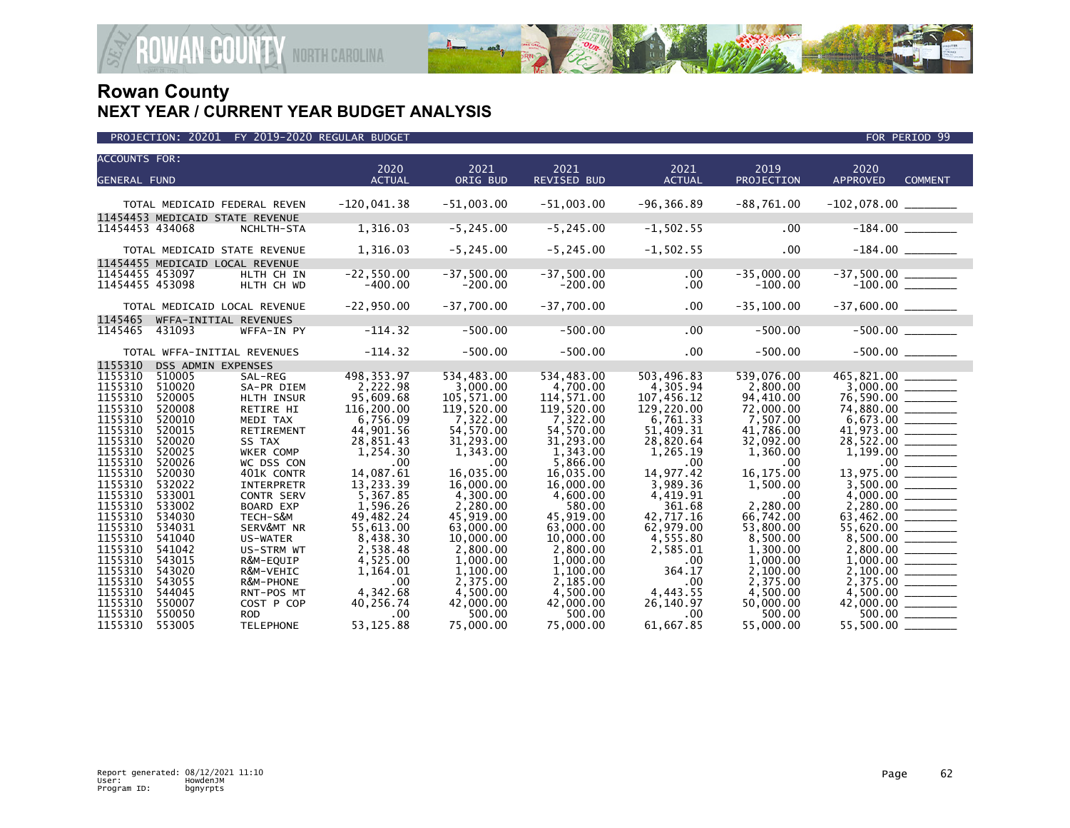

| <b>ACCOUNTS FOR:</b>          |                            |                                               |                                |                                  |                                  |                               |                                  |                                                     |                |
|-------------------------------|----------------------------|-----------------------------------------------|--------------------------------|----------------------------------|----------------------------------|-------------------------------|----------------------------------|-----------------------------------------------------|----------------|
|                               |                            |                                               | 2020                           | 2021                             | 2021                             | 2021                          | 2019                             | 2020<br><b>APPROVED</b>                             | <b>COMMENT</b> |
| <b>GENERAL FUND</b>           |                            |                                               | <b>ACTUAL</b>                  | ORIG BUD                         | REVISED BUD                      | <b>ACTUAL</b>                 | PROJECTION                       |                                                     |                |
|                               |                            | TOTAL MEDICAID FEDERAL REVEN                  | $-120,041.38$                  | $-51,003.00$                     | $-51,003.00$                     | $-96, 366.89$                 | $-88,761.00$                     |                                                     |                |
|                               |                            |                                               |                                |                                  |                                  |                               |                                  |                                                     |                |
| 11454453 434068               |                            | 11454453 MEDICAID STATE REVENUE<br>NCHLTH-STA | 1,316.03                       | $-5, 245.00$                     | $-5, 245.00$                     | $-1, 502.55$                  | .00                              | $-184.00$ _________                                 |                |
|                               |                            |                                               |                                |                                  |                                  |                               |                                  |                                                     |                |
|                               |                            | TOTAL MEDICAID STATE REVENUE                  | 1,316.03                       | $-5, 245.00$                     | $-5, 245.00$                     | $-1,502.55$                   | .00                              |                                                     |                |
|                               |                            | 11454455 MEDICAID LOCAL REVENUE               |                                |                                  |                                  |                               |                                  |                                                     |                |
| 11454455 453097               |                            | HLTH CH IN                                    | $-22, 550.00$                  | $-37,500.00$                     | $-37,500.00$                     | .00                           | $-35,000.00$                     |                                                     |                |
| 11454455 453098               |                            | HLTH CH WD                                    | $-400.00$                      | $-200.00$                        | $-200.00$                        | .00                           | $-100.00$                        |                                                     |                |
|                               |                            |                                               |                                |                                  |                                  |                               |                                  |                                                     |                |
|                               |                            | TOTAL MEDICAID LOCAL REVENUE                  | $-22,950.00$                   | $-37,700.00$                     | $-37,700.00$                     | .00                           | $-35,100.00$                     |                                                     |                |
| 1145465                       |                            | WFFA-INITIAL REVENUES                         |                                |                                  |                                  |                               |                                  |                                                     |                |
| 1145465                       | 431093                     | WFFA-IN PY                                    | $-114.32$                      | $-500.00$                        | $-500.00$                        | .00                           | $-500.00$                        |                                                     |                |
|                               |                            |                                               |                                |                                  |                                  |                               |                                  |                                                     |                |
|                               |                            | TOTAL WFFA-INITIAL REVENUES                   | $-114.32$                      | $-500.00$                        | $-500.00$                        | .00                           | $-500.00$                        |                                                     |                |
| 1155310                       | DSS ADMIN EXPENSES         |                                               |                                |                                  |                                  |                               |                                  |                                                     |                |
| 1155310                       | 510005                     | SAL-REG                                       | 498, 353.97                    | 534,483.00                       | 534,483.00                       | 503,496.83                    | 539,076.00                       |                                                     |                |
| 1155310                       | 510020                     | SA-PR DIEM                                    | 2,222.98                       | 3,000.00                         | 4,700.00                         | 4,305.94                      | 2,800.00                         |                                                     |                |
| 1155310                       | 520005                     | HLTH INSUR                                    | 95,609.68                      | 105,571.00                       | 114,571.00                       | 107,456.12                    | 94,410.00                        |                                                     |                |
| 1155310                       | 520008                     | RETIRE HI                                     | 116,200.00                     | 119,520.00                       | 119,520.00                       | 129,220.00                    | 72,000.00                        |                                                     |                |
| 1155310                       | 520010                     | MEDI TAX                                      | 6,756.09                       | 7,322.00                         | 7,322.00                         | 6,761.33                      | 7,507.00                         |                                                     |                |
| 1155310                       | 520015                     | RETIREMENT                                    | 44,901.56                      | 54,570.00                        | 54,570.00                        | 51.409.31                     | 41,786.00                        |                                                     |                |
| 1155310                       | 520020                     | SS TAX                                        | 28,851.43                      | 31,293.00                        | 31,293.00                        | 28,820.64                     | 32,092.00                        | 28,522.00 _______                                   |                |
| 1155310                       | 520025                     | WKER COMP                                     | 1,254.30                       | 1,343.00                         | 1,343.00                         | 1,265.19                      | 1,360.00                         |                                                     |                |
| 1155310                       | 520026                     | WC DSS CON                                    | .00                            | .00                              | 5.866.00                         | .00                           | .00                              |                                                     |                |
| 1155310                       | 520030                     | 401K CONTR                                    | 14.087.61                      | 16.035.00                        | 16.035.00                        | 14.977.42                     | 16.175.00                        | 13.975.00                                           |                |
| 1155310                       | 532022                     | <b>INTERPRETR</b>                             | 13,233.39                      | 16,000.00                        | 16,000.00                        | 3,989.36                      | 1,500.00                         |                                                     |                |
| 1155310                       | 533001                     | CONTR SERV                                    | 5,367.85                       | 4,300.00                         | 4,600.00                         | 4,419.91                      | .00                              |                                                     |                |
| 1155310                       | 533002                     | <b>BOARD EXP</b>                              | 1.596.26                       | 2.280.00                         | 580.00                           | 361.68                        | 2.280.00                         |                                                     |                |
| 1155310                       | 534030                     | TECH-S&M                                      | 49,482.24                      | 45,919.00                        | 45,919.00                        | 42,717.16                     | 66,742.00                        |                                                     |                |
| 1155310                       | 534031                     | SERV&MT NR                                    | 55,613.00                      | 63,000.00                        | 63,000.00                        | 62,979.00                     | 53,800.00                        |                                                     |                |
| 1155310                       | 541040                     | US-WATER                                      | 8,438.30                       | 10,000.00                        | 10,000.00                        | 4,555.80                      | 8,500.00                         |                                                     |                |
| 1155310                       | 541042                     | US-STRM WT                                    | 2,538.48                       | 2,800.00                         | 2,800.00                         | 2,585.01                      | 1,300.00                         |                                                     |                |
| 1155310                       | 543015                     | R&M-EQUIP                                     | 4,525.00                       | 1,000.00                         | 1,000.00                         | .00                           | 1,000.00                         |                                                     |                |
| 1155310                       | 543020                     | R&M-VEHIC                                     | 1,164.01                       | 1,100.00                         | 1,100.00                         | 364.17                        | 2,100.00                         |                                                     |                |
| 1155310<br>1155310            | 543055                     | R&M-PHONE                                     | .00                            | 2,375.00                         | 2,185.00                         | .00                           | 2,375.00                         |                                                     |                |
|                               | 544045                     | RNT-POS MT                                    | 4,342.68                       | 4,500.00                         | 4.500.00                         | 4,443.55                      | 4,500.00                         |                                                     |                |
|                               |                            |                                               |                                |                                  |                                  |                               |                                  |                                                     |                |
|                               |                            |                                               |                                |                                  |                                  |                               |                                  |                                                     |                |
| 1155310<br>1155310<br>1155310 | 550007<br>550050<br>553005 | COST P COP<br><b>ROD</b><br><b>TELEPHONE</b>  | 40,256.74<br>.00<br>53, 125.88 | 42,000.00<br>500.00<br>75,000,00 | 42,000.00<br>500.00<br>75,000,00 | 26,140.97<br>.00<br>61,667.85 | 50,000.00<br>500.00<br>55,000,00 | $42,000.00$ ________<br>500.00 _______<br>55,500.00 |                |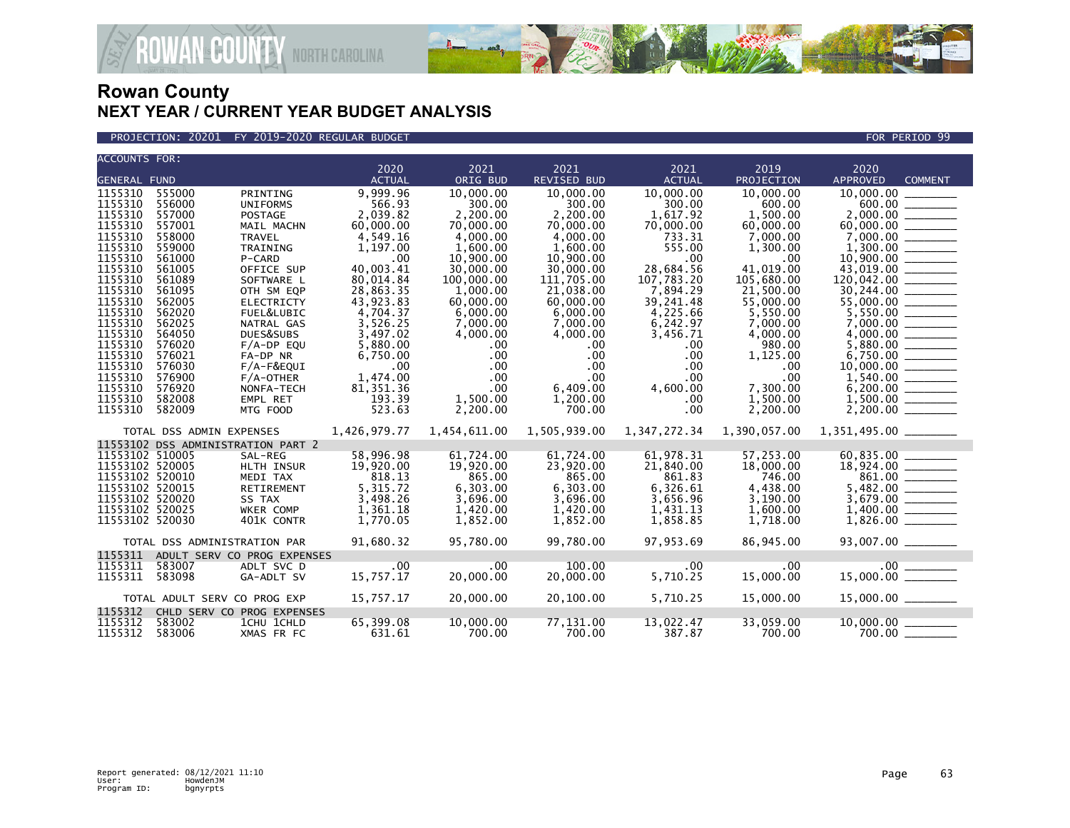

PROJECTION: 20201 FY 2019-2020 REGULAR BUDGET FOR PERIOD 99

| <b>ACCOUNTS FOR:</b>               |                              |                                    |                       |                       |                       |                       |                     |                         |                |
|------------------------------------|------------------------------|------------------------------------|-----------------------|-----------------------|-----------------------|-----------------------|---------------------|-------------------------|----------------|
| <b>GENERAL FUND</b>                |                              |                                    | 2020<br><b>ACTUAL</b> | 2021<br>ORIG BUD      | 2021<br>REVISED BUD   | 2021<br><b>ACTUAL</b> | 2019<br>PROJECTION  | 2020<br><b>APPROVED</b> | <b>COMMENT</b> |
|                                    |                              |                                    |                       |                       |                       |                       |                     |                         |                |
| 1155310                            | 555000                       | PRINTING                           | 9,999.96              | 10,000.00             | 10,000.00             | 10,000.00             | 10,000.00           | 10,000.00               |                |
| 1155310<br>1155310                 | 556000<br>557000             | <b>UNIFORMS</b><br><b>POSTAGE</b>  | 566.93<br>2.039.82    | 300.00<br>2.200.00    | 300.00                | 300.00                | 600.00<br>1.500.00  |                         |                |
| 1155310                            | 557001                       |                                    | 60,000.00             |                       | 2,200.00<br>70,000.00 | 1,617.92<br>70,000.00 | 60,000.00           |                         |                |
| 1155310                            | 558000                       | MAIL MACHN<br><b>TRAVEL</b>        | 4,549.16              | 70,000.00<br>4,000,00 | 4,000.00              | 733.31                | 7,000,00            | 7,000,00                |                |
| 1155310                            | 559000                       | TRAINING                           | 1,197.00              | 1,600.00              | 1,600.00              | 555.00                | 1,300.00            | 1,300.00                |                |
| 1155310                            | 561000                       | P-CARD                             | .00                   | 10,900.00             | 10,900.00             | .00                   | .00                 |                         |                |
| 1155310                            | 561005                       | OFFICE SUP                         | 40,003.41             | 30,000,00             | 30,000.00             | 28,684.56             | 41.019.00           | 43.019.00               |                |
| 1155310                            | 561089                       | SOFTWARE L                         | 80,014.84             | 100,000.00            | 111,705.00            | 107,783.20            | 105,680.00          | 120,042.00              |                |
| 1155310                            | 561095                       | OTH SM EQP                         | 28,863.35             | 1.000.00              | 21,038.00             | 7,894.29              | 21,500.00           | 30,244.00               |                |
| 1155310                            | 562005                       | <b>ELECTRICTY</b>                  | 43,923.83             | 60,000,00             | 60,000.00             | 39,241.48             | 55,000.00           |                         |                |
| 1155310                            | 562020                       | FUEL&LUBIC                         | 4,704.37              | 6,000.00              | 6,000.00              | 4,225.66              | 5,550.00            |                         |                |
| 1155310                            | 562025                       | NATRAL GAS                         | 3,526.25              | 7,000.00              | 7,000.00              | 6,242.97              | 7,000.00            |                         |                |
| 1155310                            | 564050                       | DUES&SUBS                          | 3,497.02              | 4,000.00              | 4,000.00              | 3,456.71              | 4,000.00            |                         |                |
| 1155310                            | 576020                       | $F/A-DP$ EQU                       | 5,880.00              | $.00 \,$              | $.00 \,$              | .00                   | 980.00              | 5,880.00                |                |
| 1155310                            | 576021                       | FA-DP NR                           | 6,750.00              | .00                   | $.00 \times$          | .00                   | 1,125.00            |                         |                |
| 1155310                            | 576030                       | F/A-F&EQUI                         | .00                   | $.00 \,$              | .00                   | .00                   | .00                 |                         |                |
| 1155310                            | 576900                       | $F/A$ -OTHER                       | 1,474.00              | $.00 \,$              | $.00 \,$              | .00                   | .00                 |                         |                |
| 1155310                            | 576920                       | NONFA-TECH                         | 81,351.36             | $.00 \times$          | 6,409.00              | 4,600.00              | 7,300.00            |                         |                |
| 1155310                            | 582008                       | EMPL RET                           | 193.39                | 1,500.00              | 1,200.00              | .00                   | 1,500.00            | 1,500.00                |                |
| 1155310                            | 582009                       | MTG FOOD                           | 523.63                | 2,200.00              | 700.00                | .00                   | 2,200.00            |                         |                |
|                                    |                              |                                    | 1,426,979.77          |                       | 1,505,939.00          | 1,347,272.34          | 1,390,057.00        |                         |                |
|                                    | TOTAL DSS ADMIN EXPENSES     |                                    |                       | 1,454,611.00          |                       |                       |                     |                         |                |
|                                    |                              | 11553102 DSS ADMINISTRATION PART 2 |                       |                       |                       |                       |                     |                         |                |
| 11553102 510005<br>11553102 520005 |                              | SAL-REG<br>HLTH INSUR              | 58,996.98             | 61,724.00             | 61,724.00             | 61,978.31             | 57,253.00           |                         |                |
| 11553102 520010                    |                              | MEDI TAX                           | 19,920.00<br>818.13   | 19,920.00<br>865.00   | 23,920.00<br>865.00   | 21,840.00<br>861.83   | 18,000.00<br>746.00 |                         |                |
| 11553102 520015                    |                              | RETIREMENT                         | 5,315.72              | 6,303.00              | 6,303.00              | 6,326.61              | 4,438.00            | 5,482.00                | 861.00         |
| 11553102 520020                    |                              | SS TAX                             | 3,498.26              | 3,696.00              | 3,696.00              | 3,656.96              | 3,190.00            |                         |                |
| 11553102 520025                    |                              | WKER COMP                          | 1,361.18              | 1,420.00              | 1,420.00              | 1,431.13              | 1,600.00            |                         |                |
| 11553102 520030                    |                              | 401K CONTR                         | 1,770.05              | 1,852.00              | 1,852.00              | 1,858.85              | 1,718.00            |                         |                |
|                                    |                              |                                    |                       |                       |                       |                       |                     |                         |                |
|                                    | TOTAL DSS ADMINISTRATION PAR |                                    | 91,680.32             | 95,780.00             | 99,780.00             | 97,953.69             | 86,945.00           | 93,007.00 _______       |                |
| 1155311                            |                              | ADULT SERV CO PROG EXPENSES        |                       |                       |                       |                       |                     |                         |                |
| 1155311                            | 583007                       | ADLT SVC D                         | .00                   | $.00 \times$          | 100.00                | .00                   | .00                 |                         |                |
| 1155311                            | 583098                       | GA-ADLT SV                         | 15,757.17             | 20,000.00             | 20,000.00             | 5,710.25              | 15,000.00           |                         |                |
|                                    | TOTAL ADULT SERV CO PROG EXP |                                    | 15,757.17             | 20,000.00             | 20,100.00             | 5,710.25              | 15,000.00           |                         |                |
| 1155312                            |                              | CHLD SERV CO PROG EXPENSES         |                       |                       |                       |                       |                     |                         |                |
| 1155312                            | 583002                       | 1CHU 1CHLD                         | 65,399.08             | 10,000.00             | 77,131.00             | 13,022.47             | 33,059.00           |                         |                |
| 1155312                            | 583006                       | XMAS FR FC                         | 631.61                | 700.00                | 700.00                | 387.87                | 700.00              |                         |                |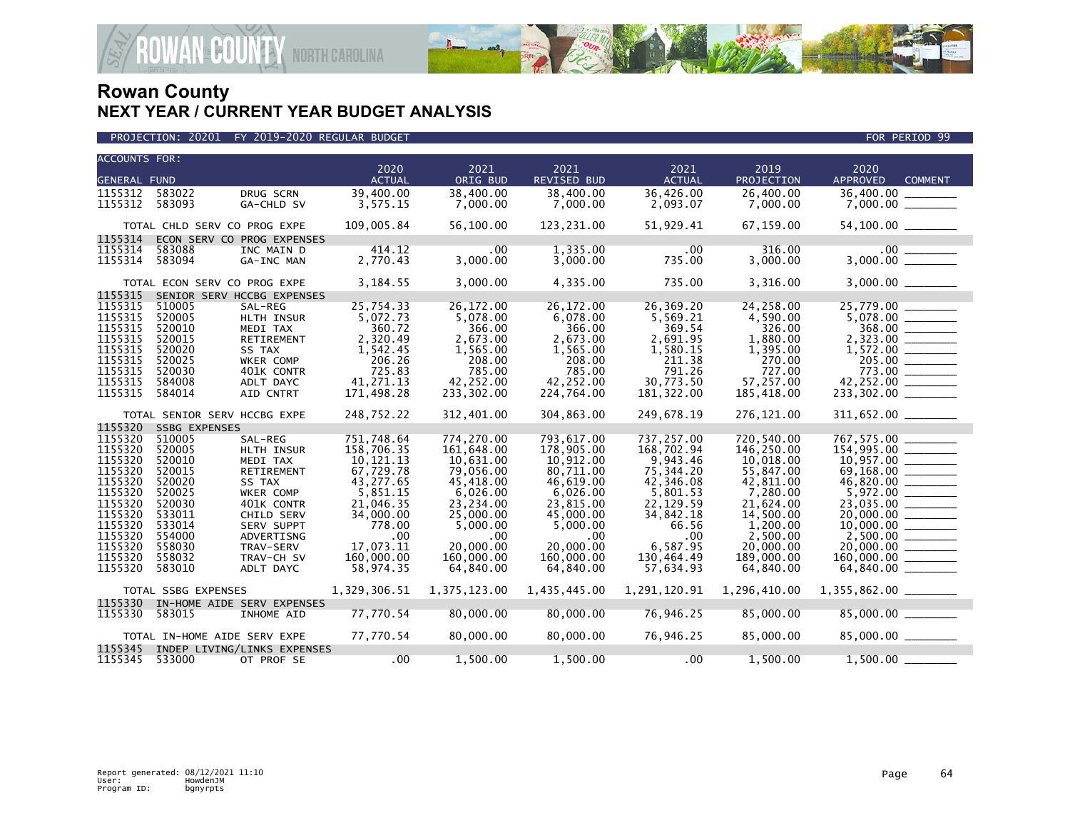

| <b>ACCOUNTS FOR:</b> |                              |                             | 2020                   | 2021                  | 2021                   | 2021                   | 2019                   | 2020                       |  |
|----------------------|------------------------------|-----------------------------|------------------------|-----------------------|------------------------|------------------------|------------------------|----------------------------|--|
| <b>GENERAL FUND</b>  |                              |                             | <b>ACTUAL</b>          | ORIG BUD              | REVISED BUD            | <b>ACTUAL</b>          | <b>PROJECTION</b>      | APPROVED<br><b>COMMENT</b> |  |
| 1155312              | 583022                       | DRUG SCRN                   | 39,400.00              | 38,400.00             | 38,400.00              | 36,426.00              | 26,400.00              | 36,400.00                  |  |
| 1155312 583093       |                              | GA-CHLD SV                  | 3,575.15               | 7,000.00              | 7,000.00               | 2,093.07               | 7,000.00               |                            |  |
|                      |                              |                             |                        |                       |                        |                        |                        |                            |  |
|                      | TOTAL CHLD SERV CO PROG EXPE |                             | 109,005.84             | 56,100.00             | 123,231.00             | 51,929.41              | 67,159.00              | 54,100.00 ________         |  |
| 1155314              |                              | ECON SERV CO PROG EXPENSES  |                        |                       |                        |                        |                        |                            |  |
| 1155314              | 583088                       | INC MAIN D                  | 414.12                 | $.00 \,$              | 1,335.00               | $.00 \,$               | 316.00                 |                            |  |
| 1155314              | 583094                       | GA-INC MAN                  | 2,770.43               | 3,000.00              | 3,000.00               | 735.00                 | 3,000.00               |                            |  |
|                      | TOTAL ECON SERV CO PROG EXPE |                             | 3,184.55               | 3,000.00              | 4,335.00               | 735.00                 | 3,316.00               |                            |  |
| 1155315              |                              | SENIOR SERV HCCBG EXPENSES  |                        |                       |                        |                        |                        |                            |  |
| 1155315              | 510005                       | SAL-REG                     | 25,754.33              | 26,172.00             | 26,172.00              | 26,369.20              | 24,258.00              | 25,779.00                  |  |
| 1155315              | 520005                       | HLTH INSUR                  | 5,072.73               | 5,078.00              | 6,078.00               | 5,569.21               | 4,590.00               |                            |  |
| 1155315              | 520010                       | MEDI TAX                    | 360.72                 | 366.00                | 366.00                 | 369.54                 | 326.00                 | 368.00                     |  |
| 1155315              | 520015                       | RETIREMENT                  | 2,320.49               | 2,673.00              | 2,673.00               | 2,691.95               | 1,880.00               |                            |  |
| 1155315              | 520020                       | SS TAX                      | 1,542.45               | 1,565.00              | 1,565.00               | 1,580.15               | 1,395.00               |                            |  |
| 1155315<br>1155315   | 520025<br>520030             | WKER COMP                   | 206.26<br>725.83       | 208.00<br>785.00      | 208.00<br>785.00       | 211.38<br>791.26       | 270.00<br>727.00       |                            |  |
| 1155315              | 584008                       | 401K CONTR                  | 41,271.13              | 42,252.00             | 42,252.00              | 30,773.50              | 57,257.00              | 773.00<br>42,252.00        |  |
| 1155315              | 584014                       | ADLT DAYC<br>AID CNTRT      | 171,498.28             | 233,302.00            | 224,764.00             | 181,322.00             | 185,418.00             | $233,302.00$ ________      |  |
|                      |                              |                             |                        |                       |                        |                        |                        |                            |  |
|                      | TOTAL SENIOR SERV HCCBG EXPE |                             | 248,752.22             | 312,401.00            | 304,863.00             | 249,678.19             | 276,121.00             |                            |  |
| 1155320              | <b>SSBG EXPENSES</b>         |                             |                        |                       |                        |                        |                        |                            |  |
| 1155320              | 510005                       | SAL-REG                     | 751,748.64             | 774,270.00            | 793,617.00             | 737,257.00             | 720,540.00             | 767,575.00<br>154,995.00   |  |
| 1155320              | 520005                       | HLTH INSUR                  | 158,706.35             | 161,648.00            | 178,905.00             | 168,702.94             | 146,250.00             |                            |  |
| 1155320              | 520010                       | MEDI TAX                    | 10,121.13              | 10,631.00             | 10,912.00              | 9,943.46               | 10,018.00              | $10,957.00$<br>69,168.00   |  |
| 1155320              | 520015                       | <b>RETIREMENT</b>           | 67,729.78              | 79.056.00             | 80.711.00              | 75,344.20              | 55,847.00              |                            |  |
| 1155320              | 520020                       | SS TAX                      | 43,277.65              | 45,418.00             | 46,619.00              | 42,346.08              | 42,811.00              | 46,820.00                  |  |
| 1155320              | 520025                       | WKER COMP                   | 5,851.15               | 6,026.00              | 6,026.00               | 5,801.53               | 7,280.00               |                            |  |
| 1155320<br>1155320   | 520030<br>533011             | 401K CONTR                  | 21,046.35<br>34,000.00 | 23,234.00             | 23,815.00<br>45,000.00 | 22,129.59<br>34,842.18 | 21,624.00<br>14,500.00 |                            |  |
| 1155320              | 533014                       | CHILD SERV<br>SERV SUPPT    | 778.00                 | 25,000.00<br>5,000.00 | 5,000.00               | 66.56                  | 1,200.00               |                            |  |
| 1155320              | 554000                       | ADVERTISNG                  | $.00 \,$               | .00                   | $.00 \times$           | .00                    | 2,500.00               | $2,500.00$ ________        |  |
| 1155320              | 558030                       | TRAV-SERV                   | 17,073.11              | 20,000.00             | 20,000.00              | 6,587.95               | 20,000.00              | $20,000.00$ _________      |  |
| 1155320              | 558032                       | TRAV-CH SV                  | 160,000.00             | 160,000.00            | 160,000.00             | 130,464.49             | 189,000.00             | $160,000.00$ ________      |  |
| 1155320              | 583010                       | ADLT DAYC                   | 58,974.35              | 64,840.00             | 64,840.00              | 57,634.93              | 64,840.00              | 64,840.00 _______          |  |
|                      |                              |                             |                        |                       |                        |                        |                        |                            |  |
|                      | TOTAL SSBG EXPENSES          |                             | 1,329,306.51           | 1,375,123.00          | 1,435,445.00           | 1,291,120.91           | 1,296,410.00           | $1,355,862.00$ ________    |  |
| 1155330              |                              | IN-HOME AIDE SERV EXPENSES  |                        |                       |                        |                        |                        |                            |  |
| 1155330              | 583015                       | INHOME AID                  | 77,770.54              | 80,000.00             | 80,000.00              | 76,946.25              | 85,000.00              | $85,000.00$ _________      |  |
|                      | TOTAL IN-HOME AIDE SERV EXPE |                             | 77,770.54              | 80,000.00             | 80,000.00              | 76,946.25              | 85,000.00              | 85,000.00 ______           |  |
| 1155345              |                              | INDEP LIVING/LINKS EXPENSES |                        |                       |                        |                        |                        |                            |  |
| 1155345 533000       |                              | OT PROF SE                  | .00                    | 1,500.00              | 1,500.00               | .00                    | 1,500.00               | 1,500.00                   |  |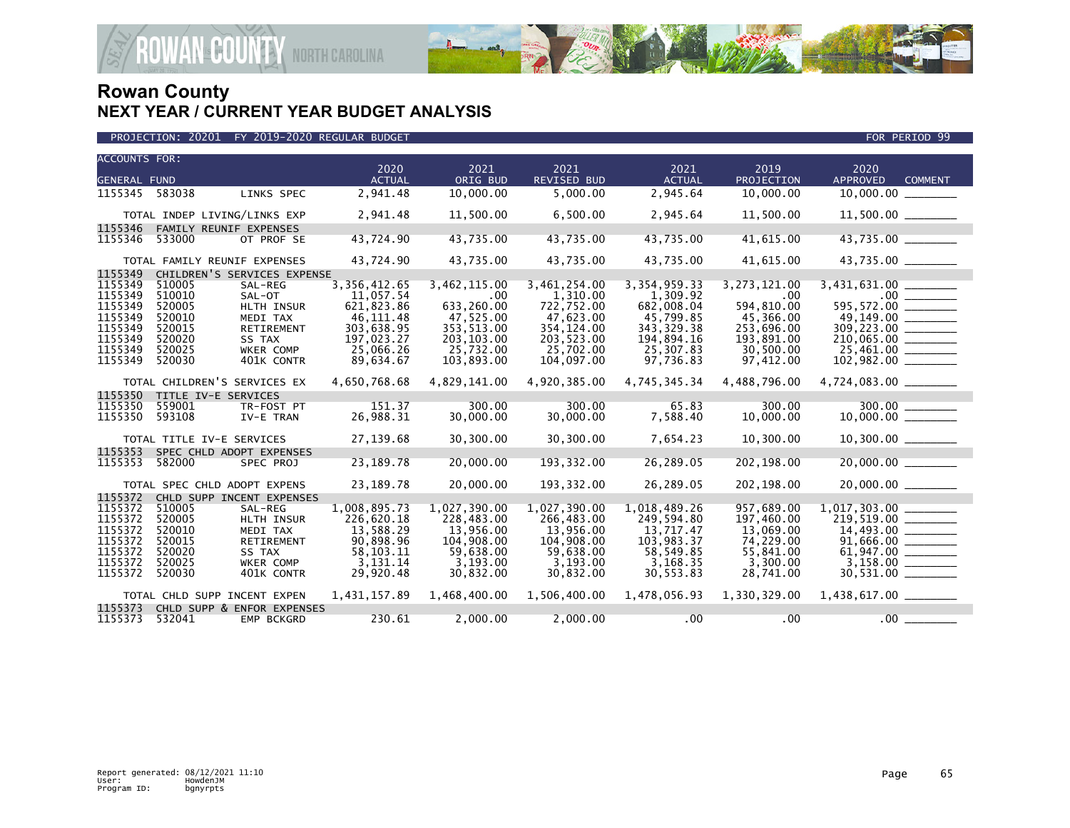

| <b>ACCOUNTS FOR:</b><br><b>GENERAL FUND</b> |                  |                                      | 2020<br><b>ACTUAL</b>       | 2021<br>ORIG BUD         | 2021<br><b>REVISED BUD</b> | 2021<br><b>ACTUAL</b>       | 2019<br><b>PROJECTION</b> | 2020<br><b>APPROVED</b><br><b>COMMENT</b> |
|---------------------------------------------|------------------|--------------------------------------|-----------------------------|--------------------------|----------------------------|-----------------------------|---------------------------|-------------------------------------------|
| 1155345                                     | 583038           | LINKS SPEC                           | 2,941.48                    | 10,000.00                | 5,000.00                   | 2,945.64                    | 10,000.00                 | 10,000.00                                 |
|                                             |                  | TOTAL INDEP LIVING/LINKS EXP         | 2,941.48                    | 11,500.00                | 6,500.00                   | 2,945.64                    | 11,500.00                 | $11,500.00$ ________                      |
| 1155346<br>1155346                          | 533000           | FAMILY REUNIF EXPENSES<br>OT PROF SE | 43,724.90                   | 43,735.00                | 43,735.00                  | 43,735.00                   | 41,615.00                 | 43,735.00                                 |
|                                             |                  | TOTAL FAMILY REUNIF EXPENSES         | 43,724.90                   | 43,735.00                | 43,735.00                  | 43,735.00                   | 41,615.00                 | 43,735.00 ________                        |
| 1155349                                     |                  | CHILDREN'S SERVICES EXPENSE          |                             |                          |                            |                             |                           |                                           |
| 1155349<br>1155349                          | 510005<br>510010 | SAL-REG<br>SAL-OT                    | 3, 356, 412.65<br>11,057.54 | 3,462,115.00<br>.00      | 3, 461, 254.00<br>1,310.00 | 3, 354, 959. 33<br>1,309.92 | 3,273,121.00<br>.00       |                                           |
| 1155349<br>1155349                          | 520005<br>520010 | <b>HLTH INSUR</b><br>MEDI TAX        | 621,823.86<br>46, 111.48    | 633,260.00<br>47,525.00  | 722,752.00<br>47,623.00    | 682.008.04<br>45,799.85     | 594,810.00<br>45,366.00   | 49,149.00 ______                          |
| 1155349<br>1155349                          | 520015<br>520020 | RETIREMENT<br>SS TAX                 | 303,638.95<br>197,023.27    | 353,513.00<br>203,103.00 | 354, 124.00<br>203,523.00  | 343, 329.38<br>194,894.16   | 253,696.00<br>193,891.00  |                                           |
| 1155349                                     | 520025           | WKER COMP                            | 25,066.26                   | 25,732.00                | 25,702.00                  | 25,307.83                   | 30,500.00                 | 25,461.00                                 |
| 1155349                                     | 520030           | 401K CONTR                           | 89,634.67                   | 103,893.00               | 104.097.00                 | 97,736.83                   | 97,412.00                 | $102,982.00$ ________                     |
|                                             |                  | TOTAL CHILDREN'S SERVICES EX         | 4,650,768.68                | 4,829,141.00             | 4,920,385.00               | 4,745,345.34                | 4,488,796.00              |                                           |
| 1155350                                     |                  | TITLE IV-E SERVICES                  |                             |                          |                            |                             |                           |                                           |
| 1155350<br>1155350                          | 559001<br>593108 | TR-FOST PT<br>IV-E TRAN              | 151.37<br>26,988.31         | 300.00<br>30,000.00      | 300.00<br>30,000.00        | 65.83<br>7,588.40           | 300.00<br>10,000.00       | $300.00$ ________                         |
|                                             |                  | TOTAL TITLE IV-E SERVICES            | 27,139.68                   | 30,300.00                | 30,300.00                  | 7,654.23                    | 10,300.00                 | $10,300.00$ ________                      |
| 1155353                                     |                  | SPEC CHLD ADOPT EXPENSES             |                             |                          |                            |                             |                           |                                           |
| 1155353                                     | 582000           | SPEC PROJ                            | 23, 189. 78                 | 20,000.00                | 193,332.00                 | 26,289.05                   | 202,198.00                |                                           |
|                                             |                  | TOTAL SPEC CHLD ADOPT EXPENS         | 23, 189. 78                 | 20,000.00                | 193,332.00                 | 26,289.05                   | 202,198.00                | 20,000.00                                 |
| 1155372                                     |                  | CHLD SUPP INCENT EXPENSES            |                             |                          |                            |                             |                           |                                           |
| 1155372                                     | 510005           | SAL-REG                              | 1,008,895.73                | 1,027,390.00             | 1,027,390.00               | 1,018,489.26                | 957,689.00                |                                           |
| 1155372                                     | 520005           | HLTH INSUR                           | 226,620.18                  | 228,483.00               | 266,483.00                 | 249.594.80                  | 197,460.00                | 219.519.00                                |
| 1155372                                     | 520010           | MEDI TAX                             | 13,588.29                   | 13,956.00                | 13,956.00                  | 13,717.47                   | 13,069.00                 | 14,493.00 _______                         |
| 1155372                                     | 520015           | <b>RETIREMENT</b>                    | 90,898.96                   | 104,908,00               | 104.908.00                 | 103.983.37                  | 74.229.00                 | 91,666.00                                 |
| 1155372                                     | 520020           | SS TAX                               | 58, 103. 11                 | 59,638.00                | 59,638.00                  | 58,549.85                   | 55,841.00                 |                                           |
| 1155372                                     | 520025           | <b>WKER COMP</b>                     | 3,131.14                    | 3,193.00                 | 3,193.00                   | 3,168.35                    | 3,300.00                  |                                           |
| 1155372                                     | 520030           | 401K CONTR                           | 29,920.48                   | 30,832.00                | 30,832.00                  | 30,553.83                   | 28,741.00                 | 30,531.00 _______                         |
|                                             |                  | TOTAL CHLD SUPP INCENT EXPEN         | 1,431,157.89                | 1,468,400.00             | 1,506,400.00               | 1,478,056.93                | 1,330,329.00              |                                           |
| 1155373                                     |                  | CHLD SUPP & ENFOR EXPENSES           |                             |                          |                            |                             |                           |                                           |
| 1155373                                     | 532041           | EMP BCKGRD                           | 230.61                      | 2,000.00                 | 2,000.00                   | $.00 \,$                    | .00                       | $.00$ .                                   |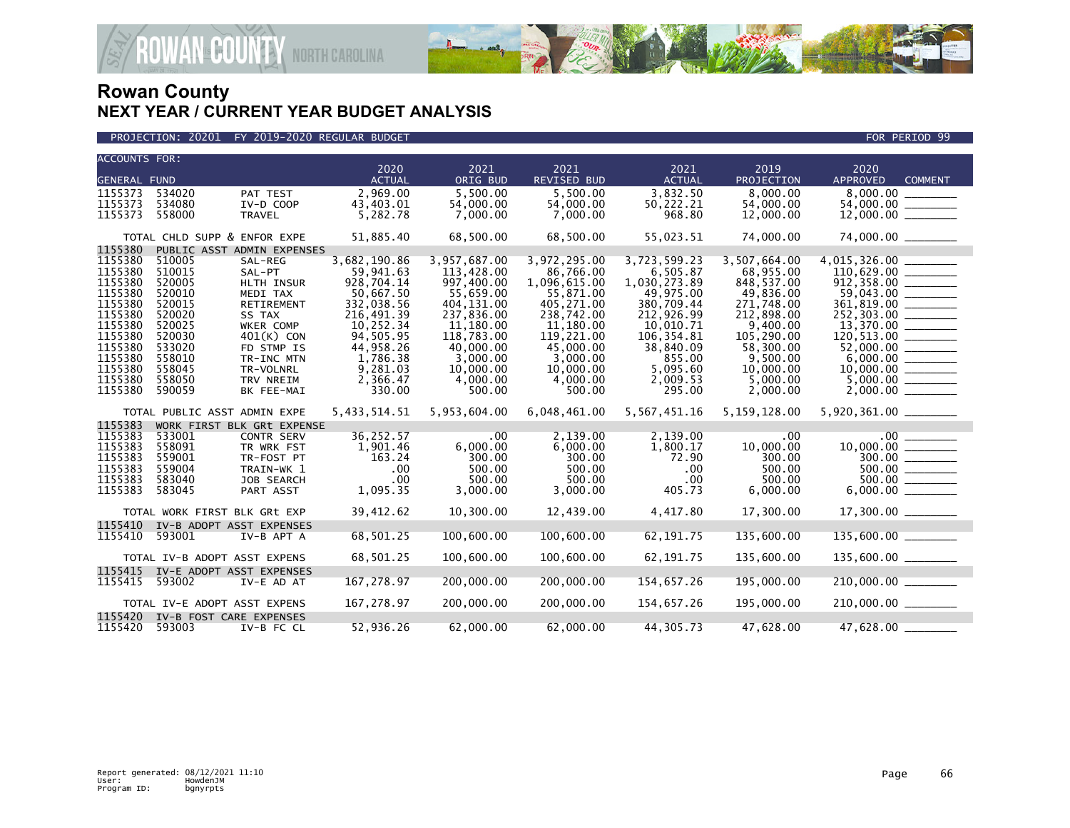

PROJECTION: 20201 FY 2019-2020 REGULAR BUDGET FOR PERIOD 99

| <b>ACCOUNTS FOR:</b> |                              |                            |               |              |              |               |                |                         |                |
|----------------------|------------------------------|----------------------------|---------------|--------------|--------------|---------------|----------------|-------------------------|----------------|
|                      |                              |                            | 2020          | 2021         | 2021         | 2021          | 2019           | 2020                    |                |
| <b>GENERAL FUND</b>  |                              |                            | <b>ACTUAL</b> | ORIG BUD     | REVISED BUD  | <b>ACTUAL</b> | PROJECTION     | <b>APPROVED</b>         | <b>COMMENT</b> |
| 1155373              | 534020                       | PAT TEST                   | 2,969.00      | 5.500.00     | 5.500.00     | 3,832.50      | 8.000.00       | 8,000.00                |                |
| 1155373              | 534080                       | IV-D COOP                  | 43,403.01     | 54,000.00    | 54,000.00    | 50,222.21     | 54,000.00      |                         |                |
| 1155373              | 558000                       | <b>TRAVEL</b>              | 5,282.78      | 7,000.00     | 7,000.00     | 968.80        | 12,000.00      |                         |                |
|                      | TOTAL CHLD SUPP & ENFOR EXPE |                            | 51,885.40     | 68,500.00    | 68,500.00    | 55,023.51     | 74,000.00      | 74,000.00 _______       |                |
| 1155380              |                              | PUBLIC ASST ADMIN EXPENSES |               |              |              |               |                |                         |                |
| 1155380              | 510005                       | SAL-REG                    | 3,682,190.86  | 3,957,687.00 | 3,972,295.00 | 3,723,599.23  | 3.507.664.00   |                         |                |
| 1155380              | 510015                       | SAL-PT                     | 59,941.63     | 113,428.00   | 86,766.00    | 6,505.87      | 68,955.00      |                         |                |
| 1155380              | 520005                       | HLTH INSUR                 | 928,704.14    | 997,400.00   | 1,096,615.00 | 1,030,273.89  | 848,537.00     |                         |                |
| 1155380              | 520010                       | MEDI TAX                   | 50,667.50     | 55,659.00    | 55,871.00    | 49,975.00     | 49,836.00      | $59,043.00$ _________   |                |
| 1155380              | 520015                       | RETIREMENT                 | 332,038.56    | 404, 131.00  | 405,271.00   | 380,709.44    | 271,748.00     |                         |                |
| 1155380              | 520020                       | SS TAX                     | 216,491.39    | 237,836.00   | 238,742.00   | 212,926.99    | 212,898.00     |                         |                |
| 1155380              | 520025                       | WKER COMP                  | 10,252.34     | 11,180.00    | 11,180.00    | 10,010.71     | 9,400.00       |                         |                |
| 1155380              | 520030                       | $401(K)$ CON               | 94,505.95     | 118,783.00   | 119,221.00   | 106,354.81    | 105,290.00     |                         |                |
| 1155380              | 533020                       | FD STMP IS                 | 44,958.26     | 40,000,00    | 45,000,00    | 38,840.09     | 58.300.00      | 52,000.00 _______       |                |
| 1155380              | 558010                       | TR-INC MTN                 | 1,786.38      | 3.000.00     | 3.000.00     | 855.00        | 9.500.00       |                         |                |
| 1155380              | 558045                       | TR-VOLNRL                  | 9,281.03      | 10,000.00    | 10,000.00    | 5,095.60      | 10,000.00      |                         |                |
| 1155380              | 558050                       | TRV NREIM                  | 2,366.47      | 4,000.00     | 4,000.00     | 2,009.53      | 5,000.00       |                         |                |
| 1155380              | 590059                       | BK FEE-MAI                 | 330.00        | 500.00       | 500.00       | 295.00        | 2,000.00       |                         |                |
|                      | TOTAL PUBLIC ASST ADMIN EXPE |                            | 5,433,514.51  | 5,953,604.00 | 6,048,461.00 | 5,567,451.16  | 5, 159, 128.00 | 5,920,361.00 ________   |                |
| 1155383              |                              | WORK FIRST BLK GRt EXPENSE |               |              |              |               |                |                         |                |
| 1155383              | 533001                       | <b>CONTR SERV</b>          | 36,252.57     | .00          | 2,139.00     | 2,139.00      | $.00 \,$       | $.00$ $\qquad \qquad$   |                |
| 1155383              | 558091                       | TR WRK FST                 | 1,901.46      | 6,000.00     | 6,000.00     | 1,800.17      | 10,000.00      | $10,000.00$ ________    |                |
| 1155383              | 559001                       | TR-FOST PT                 | 163.24        | 300.00       | 300.00       | 72.90         | 300.00         | $\frac{300.00}{500.00}$ |                |
| 1155383              | 559004                       | TRAIN-WK 1                 | .00           | 500.00       | 500.00       | .00           | 500.00         |                         |                |
| 1155383              | 583040                       | JOB SEARCH                 | .00           | 500.00       | 500.00       | .00           | 500.00         | $500.00$ ________       |                |
| 1155383              | 583045                       | PART ASST                  | 1,095.35      | 3,000.00     | 3,000.00     | 405.73        | 6,000.00       |                         |                |
|                      | TOTAL WORK FIRST BLK GRt EXP |                            | 39,412.62     | 10,300.00    | 12,439.00    | 4,417.80      | 17,300.00      |                         |                |
| 1155410              |                              | IV-B ADOPT ASST EXPENSES   |               |              |              |               |                |                         |                |
| 1155410              | 593001                       | IV-B APT A                 | 68,501.25     | 100,600.00   | 100,600.00   | 62, 191.75    | 135,600.00     | $135,600.00$ ________   |                |
|                      | TOTAL IV-B ADOPT ASST EXPENS |                            | 68,501.25     | 100,600.00   | 100,600.00   | 62, 191.75    | 135,600.00     | 135,600.00 _______      |                |
| 1155415              |                              | IV-E ADOPT ASST EXPENSES   |               |              |              |               |                |                         |                |
| 1155415              | 593002                       | IV-E AD AT                 | 167,278.97    | 200,000.00   | 200,000.00   | 154,657.26    | 195,000.00     | $210,000.00$ ________   |                |
|                      | TOTAL IV-E ADOPT ASST EXPENS |                            | 167,278.97    | 200,000.00   | 200,000.00   | 154,657.26    | 195,000.00     | 210,000.00 ______       |                |
| 1155420              | IV-B FOST CARE EXPENSES      |                            |               |              |              |               |                |                         |                |
| 1155420              | 593003                       | IV-B FC CL                 | 52,936.26     | 62,000.00    | 62,000.00    | 44,305.73     | 47,628.00      | 47,628.00 ______        |                |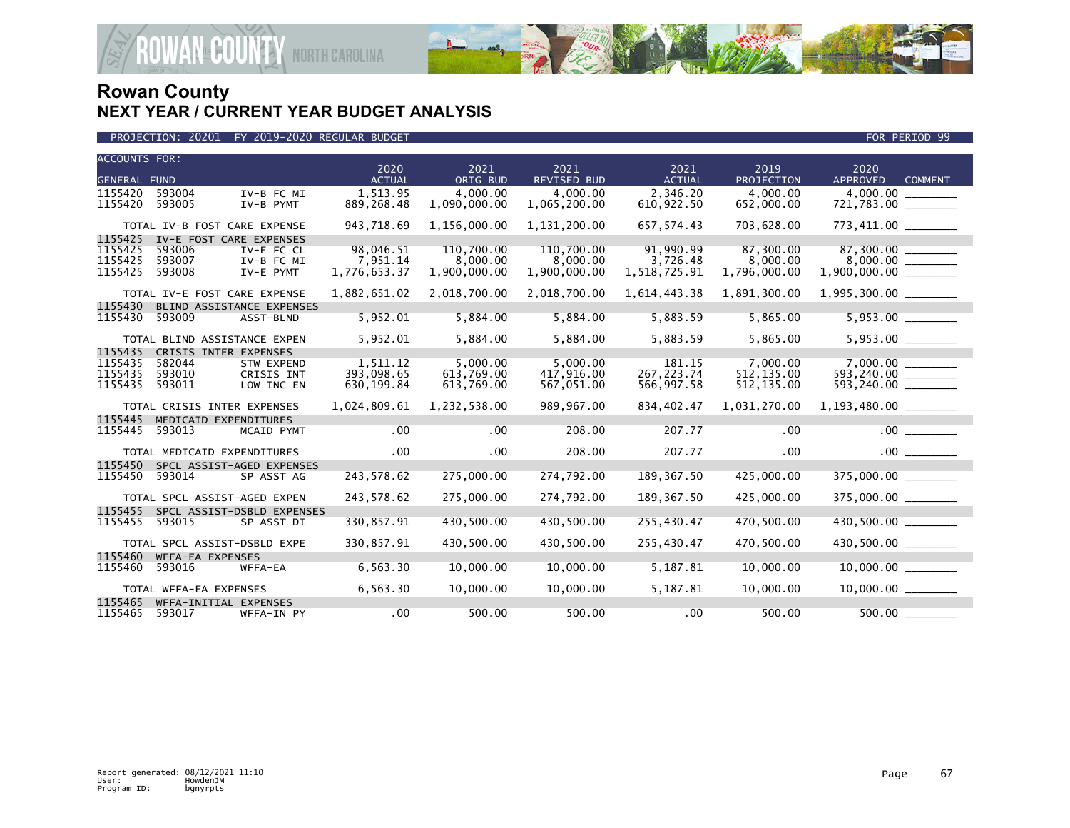

| <b>ACCOUNTS FOR:</b> |                              |                            | 2020          | 2021         | 2021               | 2021          | 2019              | 2020                     |                |
|----------------------|------------------------------|----------------------------|---------------|--------------|--------------------|---------------|-------------------|--------------------------|----------------|
| <b>GENERAL FUND</b>  |                              |                            | <b>ACTUAL</b> | ORIG BUD     | <b>REVISED BUD</b> | <b>ACTUAL</b> | <b>PROJECTION</b> | <b>APPROVED</b>          | <b>COMMENT</b> |
| 1155420              | 593004                       | IV-B FC MI                 | 1,513.95      | 4,000.00     | 4.000.00           | 2,346.20      | 4,000.00          | 4,000.00                 |                |
| 1155420              | 593005                       | IV-B PYMT                  | 889,268.48    | 1,090,000.00 | 1,065,200.00       | 610,922.50    | 652,000.00        |                          |                |
|                      | TOTAL IV-B FOST CARE EXPENSE |                            | 943,718.69    | 1,156,000.00 | 1,131,200.00       | 657, 574.43   | 703,628.00        | 773,411.00 ________      |                |
| 1155425              | IV-E FOST CARE EXPENSES      |                            |               |              |                    |               |                   |                          |                |
| 1155425              | 593006                       | IV-E FC CL                 | 98,046.51     | 110,700.00   | 110,700.00         | 91,990.99     | 87,300.00         |                          |                |
| 1155425              | 593007                       | IV-B FC MI                 | 7,951.14      | 8,000.00     | 8,000.00           | 3,726.48      | 8,000.00          |                          |                |
| 1155425              | 593008                       | IV-E PYMT                  | 1,776,653.37  | 1,900,000.00 | 1,900,000.00       | 1,518,725.91  | 1,796,000.00      |                          |                |
|                      | TOTAL IV-E FOST CARE EXPENSE |                            | 1,882,651.02  | 2,018,700.00 | 2,018,700.00       | 1,614,443.38  | 1,891,300.00      | $1,995,300.00$ _________ |                |
| 1155430              |                              | BLIND ASSISTANCE EXPENSES  |               |              |                    |               |                   |                          |                |
| 1155430              | 593009                       | ASST-BLND                  | 5,952.01      | 5,884.00     | 5,884.00           | 5,883.59      | 5,865.00          |                          |                |
|                      | TOTAL BLIND ASSISTANCE EXPEN |                            | 5,952.01      | 5,884.00     | 5,884.00           | 5,883.59      | 5,865.00          | 5,953.00 _______         |                |
| 1155435              | CRISIS INTER EXPENSES        |                            |               |              |                    |               |                   |                          |                |
| 1155435              | 582044                       | <b>STW EXPEND</b>          | 1,511.12      | 5,000.00     | 5.000.00           | 181.15        | 7,000.00          | 7.000.00                 |                |
| 1155435              | 593010                       | CRISIS INT                 | 393,098.65    | 613,769.00   | 417,916.00         | 267, 223.74   | 512, 135.00       | 593,240.00               |                |
| 1155435              | 593011                       | LOW INC EN                 | 630,199.84    | 613,769.00   | 567,051.00         | 566,997.58    | 512, 135.00       |                          |                |
|                      | TOTAL CRISIS INTER EXPENSES  |                            | 1,024,809.61  | 1,232,538.00 | 989,967.00         | 834,402.47    | 1,031,270.00      | $1,193,480.00$ _________ |                |
| 1155445              | MEDICAID EXPENDITURES        |                            |               |              |                    |               |                   |                          |                |
| 1155445              | 593013                       | MCAID PYMT                 | $.00 \,$      | .00          | 208.00             | 207.77        | .00               | $.00$ $\qquad \qquad$    |                |
|                      | TOTAL MEDICAID EXPENDITURES  |                            | .00           | $.00 \times$ | 208.00             | 207.77        | $.00 \,$          | $.00$ $\qquad$           |                |
| 1155450              |                              | SPCL ASSIST-AGED EXPENSES  |               |              |                    |               |                   |                          |                |
| 1155450              | 593014                       | SP ASST AG                 | 243,578.62    | 275,000.00   | 274,792.00         | 189, 367.50   | 425,000.00        | 375,000.00               |                |
|                      | TOTAL SPCL ASSIST-AGED EXPEN |                            | 243,578.62    | 275,000.00   | 274,792.00         | 189, 367.50   | 425,000.00        | 375,000.00 _______       |                |
| 1155455              |                              | SPCL ASSIST-DSBLD EXPENSES |               |              |                    |               |                   |                          |                |
| 1155455              | 593015                       | SP ASST DI                 | 330,857.91    | 430,500.00   | 430,500.00         | 255,430.47    | 470,500.00        | 430,500.00               |                |
|                      | TOTAL SPCL ASSIST-DSBLD EXPE |                            | 330,857.91    | 430,500.00   | 430,500.00         | 255,430.47    | 470,500.00        | 430,500.00 _______       |                |
| 1155460              | WFFA-EA EXPENSES             |                            |               |              |                    |               |                   |                          |                |
| 1155460              | 593016                       | WFFA-EA                    | 6,563.30      | 10,000.00    | 10,000.00          | 5,187.81      | 10,000.00         |                          |                |
|                      | TOTAL WFFA-EA EXPENSES       |                            | 6,563.30      | 10,000.00    | 10,000.00          | 5,187.81      | 10,000.00         |                          |                |
| 1155465              | WFFA-INITIAL EXPENSES        |                            |               |              |                    |               |                   |                          |                |
| 1155465              | 593017                       | WFFA-IN PY                 | .00           | 500.00       | 500.00             | .00           | 500.00            |                          |                |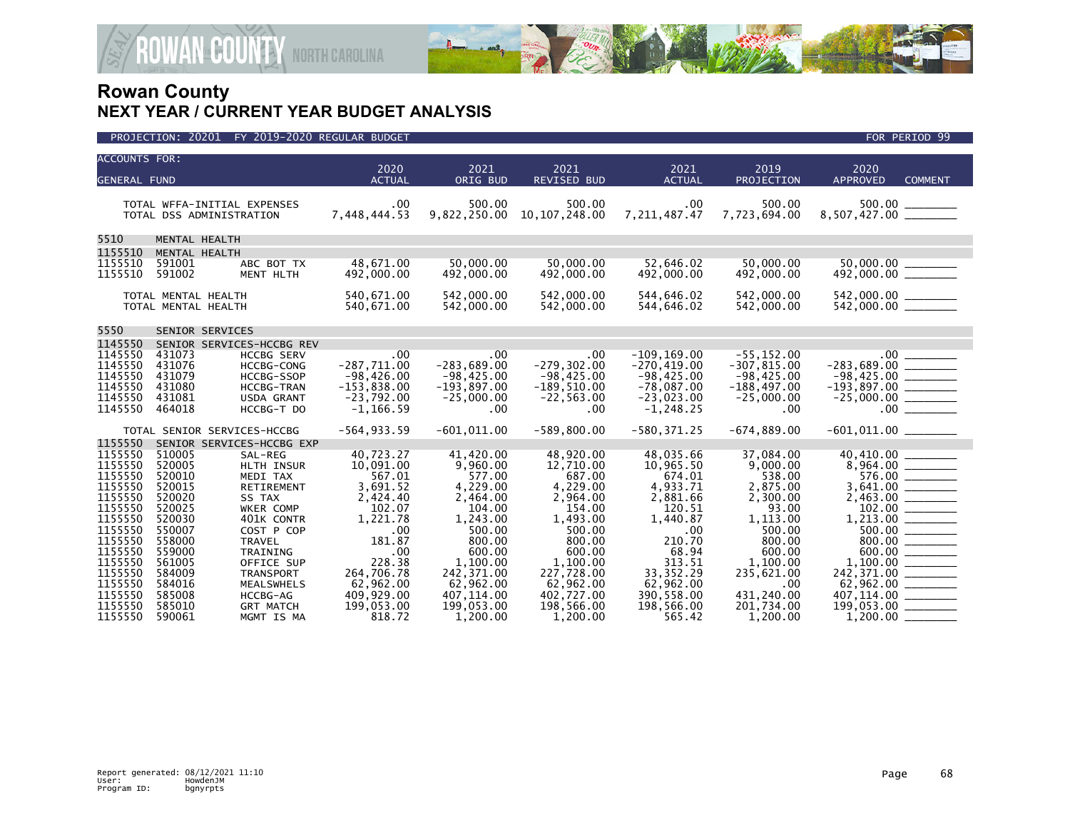

| <b>ACCOUNTS FOR:</b> |                     |                             |                       |                    |                            |                       |                    |                                                                                                              |
|----------------------|---------------------|-----------------------------|-----------------------|--------------------|----------------------------|-----------------------|--------------------|--------------------------------------------------------------------------------------------------------------|
| <b>GENERAL FUND</b>  |                     |                             | 2020<br><b>ACTUAL</b> | 2021<br>ORIG BUD   | 2021<br><b>REVISED BUD</b> | 2021<br><b>ACTUAL</b> | 2019<br>PROJECTION | 2020<br><b>APPROVED</b><br><b>COMMENT</b>                                                                    |
|                      |                     |                             |                       |                    |                            |                       |                    |                                                                                                              |
|                      |                     | TOTAL WFFA-INITIAL EXPENSES | .00                   | 500.00             | 500.00                     | $.00 \,$              | 500.00             |                                                                                                              |
|                      |                     | TOTAL DSS ADMINISTRATION    | 7,448,444.53          | 9,822,250.00       | 10, 107, 248, 00           | 7,211,487.47          | 7,723,694.00       |                                                                                                              |
| 5510                 | MENTAL HEALTH       |                             |                       |                    |                            |                       |                    |                                                                                                              |
| 1155510              | MENTAL HEALTH       |                             |                       |                    |                            |                       |                    |                                                                                                              |
| 1155510              | 591001              | ABC BOT TX                  | 48.671.00             | 50.000.00          | 50.000.00                  | 52.646.02             | 50.000.00          | 50,000.00 ______                                                                                             |
| 1155510              | 591002              | MENT HLTH                   | 492,000.00            | 492,000.00         | 492,000.00                 | 492,000.00            | 492,000.00         |                                                                                                              |
|                      | TOTAL MENTAL HEALTH |                             | 540,671.00            | 542,000.00         | 542,000.00                 | 544,646.02            | 542,000.00         |                                                                                                              |
|                      | TOTAL MENTAL HEALTH |                             | 540,671.00            | 542,000.00         | 542,000.00                 | 544,646.02            | 542,000.00         |                                                                                                              |
| 5550                 | SENIOR SERVICES     |                             |                       |                    |                            |                       |                    |                                                                                                              |
| 1145550              |                     | SENIOR SERVICES-HCCBG REV   |                       |                    |                            |                       |                    |                                                                                                              |
| 1145550              | 431073              | <b>HCCBG SERV</b>           | .00                   | .00                | .00.                       | $-109, 169.00$        | $-55, 152.00$      |                                                                                                              |
| 1145550              | 431076              | <b>HCCBG-CONG</b>           | $-287,711.00$         | $-283,689.00$      | $-279, 302.00$             | $-270, 419.00$        | $-307, 815.00$     | $-283,689.00$ ________                                                                                       |
| 1145550              | 431079              | HCCBG-SSOP                  | $-98,426.00$          | $-98,425.00$       | $-98,425.00$               | $-98,425.00$          | $-98,425.00$       |                                                                                                              |
| 1145550              | 431080              | <b>HCCBG-TRAN</b>           | $-153,838.00$         | $-193,897.00$      | $-189,510.00$              | $-78,087.00$          | $-188,497.00$      | $-98,425.00$<br>$-193,897.00$                                                                                |
| 1145550              | 431081              | USDA GRANT                  | $-23,792.00$          | $-25,000.00$       | $-22, 563.00$              | $-23,023.00$          | $-25,000.00$       |                                                                                                              |
| 1145550              | 464018              | HCCBG-T DO                  | $-1, 166.59$          | $.00 \,$           | .00                        | $-1, 248.25$          | .00.               | $.00$ $\qquad$                                                                                               |
|                      |                     | TOTAL SENIOR SERVICES-HCCBG | $-564, 933.59$        | $-601,011.00$      | $-589, 800.00$             | $-580, 371.25$        | $-674,889.00$      |                                                                                                              |
| 1155550              |                     | SENIOR SERVICES-HCCBG EXP   |                       |                    |                            |                       |                    |                                                                                                              |
| 1155550              | 510005              | SAL-REG                     | 40,723.27             | 41,420.00          | 48,920.00                  | 48,035.66             | 37,084.00          | 40,410.00 ______                                                                                             |
| 1155550              | 520005              | HLTH INSUR                  | 10,091.00             | 9,960.00           | 12,710.00                  | 10,965.50             | 9,000.00           |                                                                                                              |
| 1155550              | 520010              | MEDI TAX                    | 567.01                | 577.00             | 687.00                     | 674.01                | 538.00             | 576.00                                                                                                       |
| 1155550              | 520015              | RETIREMENT                  | 3,691.52              | 4,229.00           | 4,229.00                   | 4,933.71              | 2,875.00           |                                                                                                              |
| 1155550              | 520020              | SS TAX                      | 2,424.40              | 2,464.00           | 2,964.00                   | 2,881.66              | 2,300.00           |                                                                                                              |
| 1155550<br>1155550   | 520025<br>520030    | WKER COMP                   | 102.07<br>1,221.78    | 104.00             | 154.00                     | 120.51                | 93.00              |                                                                                                              |
| 1155550              | 550007              | 401K CONTR<br>COST P COP    | .00                   | 1,243.00<br>500.00 | 1,493.00<br>500.00         | 1,440.87<br>.00       | 1,113.00<br>500.00 | $1,213.00$ $\frac{1}{\sqrt{2}}$                                                                              |
| 1155550              | 558000              | TRAVEL                      | 181.87                | 800.00             | 800.00                     | 210.70                | 800.00             |                                                                                                              |
| 1155550              | 559000              | <b>TRAINING</b>             | .00                   | 600.00             | 600.00                     | 68.94                 | 600.00             | $\begin{array}{c}\n 800.00 \ \underline{\hspace{1cm}} \\  600.00 \ \underline{\hspace{1cm}} \\  \end{array}$ |
| 1155550              | 561005              | OFFICE SUP                  | 228.38                | 1,100.00           | 1,100.00                   | 313.51                | 1,100.00           |                                                                                                              |
| 1155550              | 584009              | <b>TRANSPORT</b>            | 264,706.78            | 242, 371.00        | 227,728.00                 | 33, 352. 29           | 235,621.00         | 242,371.00 ________                                                                                          |
| 1155550              | 584016              | <b>MEALSWHELS</b>           | 62,962.00             | 62,962.00          | 62,962.00                  | 62,962.00             | .00                |                                                                                                              |
| 1155550              | 585008              | HCCBG-AG                    | 409,929.00            | 407, 114.00        | 402,727.00                 | 390,558.00            | 431,240.00         |                                                                                                              |
| 1155550              | 585010              | <b>GRT MATCH</b>            | 199,053.00            | 199,053.00         | 198,566.00                 | 198,566.00            | 201,734.00         |                                                                                                              |
| 1155550              | 590061              | MGMT IS MA                  | 818.72                | 1.200.00           | 1.200.00                   | 565.42                | 1,200.00           |                                                                                                              |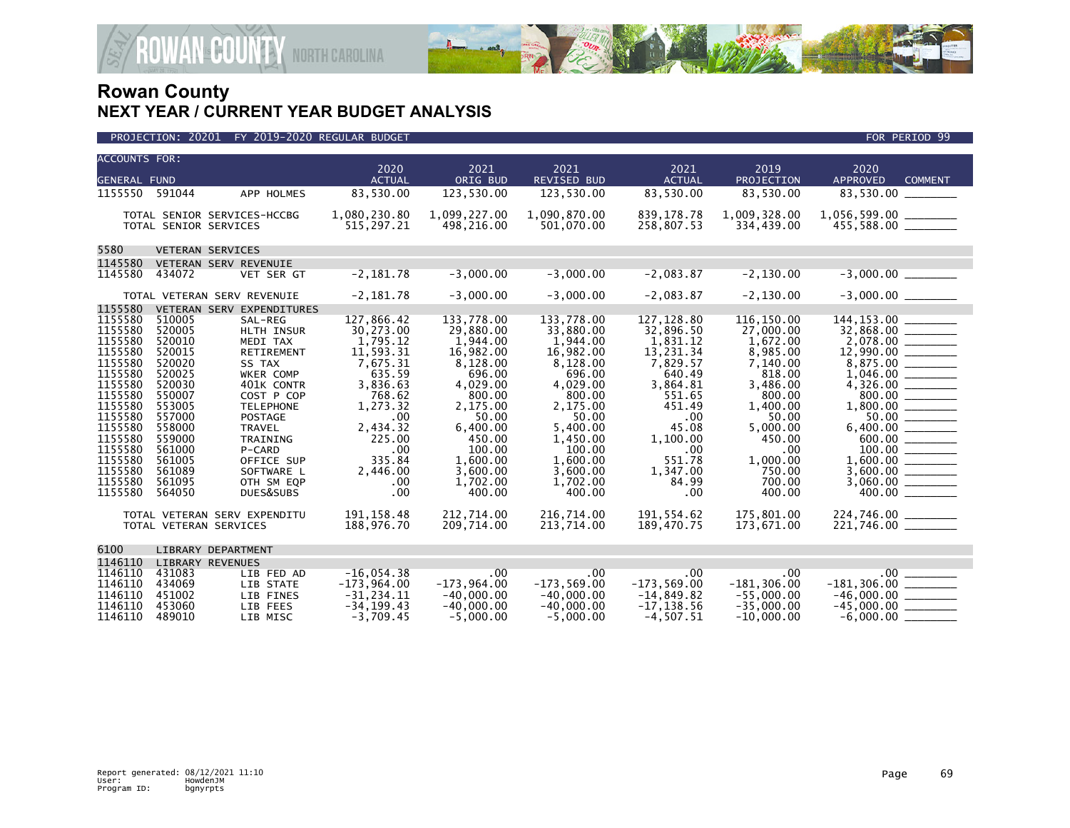

| <b>ACCOUNTS FOR:</b><br><b>GENERAL FUND</b>                                                                                                                                  |                                                                                                                                                              |                                                                                                                                                                                                                    | 2020<br><b>ACTUAL</b>                                                                                                                                                     | 2021<br>ORIG BUD                                                                                                                                                                      | 2021<br>REVISED BUD                                                                                                                                                                     | 2021<br><b>ACTUAL</b>                                                                                                                                                     | 2019<br>PROJECTION                                                                                                                                                             | 2020<br><b>APPROVED</b><br><b>COMMENT</b>                                                                                                                                                        |
|------------------------------------------------------------------------------------------------------------------------------------------------------------------------------|--------------------------------------------------------------------------------------------------------------------------------------------------------------|--------------------------------------------------------------------------------------------------------------------------------------------------------------------------------------------------------------------|---------------------------------------------------------------------------------------------------------------------------------------------------------------------------|---------------------------------------------------------------------------------------------------------------------------------------------------------------------------------------|-----------------------------------------------------------------------------------------------------------------------------------------------------------------------------------------|---------------------------------------------------------------------------------------------------------------------------------------------------------------------------|--------------------------------------------------------------------------------------------------------------------------------------------------------------------------------|--------------------------------------------------------------------------------------------------------------------------------------------------------------------------------------------------|
| 1155550                                                                                                                                                                      | 591044                                                                                                                                                       | APP HOLMES                                                                                                                                                                                                         | 83,530.00                                                                                                                                                                 | 123,530.00                                                                                                                                                                            | 123,530.00                                                                                                                                                                              | 83,530.00                                                                                                                                                                 | 83,530.00                                                                                                                                                                      | 83,530.00                                                                                                                                                                                        |
|                                                                                                                                                                              | TOTAL SENIOR SERVICES                                                                                                                                        | TOTAL SENIOR SERVICES-HCCBG                                                                                                                                                                                        | 1,080,230.80<br>515,297.21                                                                                                                                                | 1,099,227.00<br>498,216.00                                                                                                                                                            | 1,090,870.00<br>501,070.00                                                                                                                                                              | 839, 178.78<br>258,807.53                                                                                                                                                 | 1,009,328.00<br>334,439.00                                                                                                                                                     | 1,056,599.00 _______<br>$455,588.00$ ________                                                                                                                                                    |
| 5580                                                                                                                                                                         |                                                                                                                                                              | VETERAN SERVICES                                                                                                                                                                                                   |                                                                                                                                                                           |                                                                                                                                                                                       |                                                                                                                                                                                         |                                                                                                                                                                           |                                                                                                                                                                                |                                                                                                                                                                                                  |
| 1145580                                                                                                                                                                      |                                                                                                                                                              | VETERAN SERV REVENUIE                                                                                                                                                                                              |                                                                                                                                                                           |                                                                                                                                                                                       |                                                                                                                                                                                         |                                                                                                                                                                           |                                                                                                                                                                                |                                                                                                                                                                                                  |
| 1145580                                                                                                                                                                      | 434072                                                                                                                                                       | VET SER GT                                                                                                                                                                                                         | $-2,181.78$                                                                                                                                                               | $-3.000.00$                                                                                                                                                                           | $-3.000.00$                                                                                                                                                                             | $-2,083.87$                                                                                                                                                               | $-2, 130.00$                                                                                                                                                                   |                                                                                                                                                                                                  |
|                                                                                                                                                                              |                                                                                                                                                              | TOTAL VETERAN SERV REVENUIE                                                                                                                                                                                        | $-2,181.78$                                                                                                                                                               | $-3,000.00$                                                                                                                                                                           | $-3,000.00$                                                                                                                                                                             | $-2,083.87$                                                                                                                                                               | $-2, 130.00$                                                                                                                                                                   | $-3,000.00$ _________                                                                                                                                                                            |
| 1155580                                                                                                                                                                      |                                                                                                                                                              | VETERAN SERV EXPENDITURES                                                                                                                                                                                          |                                                                                                                                                                           |                                                                                                                                                                                       |                                                                                                                                                                                         |                                                                                                                                                                           |                                                                                                                                                                                |                                                                                                                                                                                                  |
| 1155580<br>1155580<br>1155580<br>1155580<br>1155580<br>1155580<br>1155580<br>1155580<br>1155580<br>1155580<br>1155580<br>1155580<br>1155580<br>1155580<br>1155580<br>1155580 | 510005<br>520005<br>520010<br>520015<br>520020<br>520025<br>520030<br>550007<br>553005<br>557000<br>558000<br>559000<br>561000<br>561005<br>561089<br>561095 | SAL-REG<br>HLTH INSUR<br>MEDI TAX<br>RETIREMENT<br>SS TAX<br>WKER COMP<br>401K CONTR<br>COST P COP<br><b>TELEPHONE</b><br>POSTAGE<br><b>TRAVEL</b><br>TRAINING<br>P-CARD<br>OFFICE SUP<br>SOFTWARE L<br>OTH SM EQP | 127,866.42<br>30,273.00<br>1,795.12<br>11,593.31<br>7,675.31<br>635.59<br>3,836.63<br>768.62<br>1,273.32<br>.00<br>2,434.32<br>225.00<br>.00<br>335.84<br>2,446.00<br>.00 | 133,778.00<br>29,880.00<br>1,944.00<br>16,982.00<br>8,128.00<br>696.00<br>4,029.00<br>800.00<br>2,175.00<br>50.00<br>6,400.00<br>450.00<br>100.00<br>1.600.00<br>3,600.00<br>1,702.00 | 133,778.00<br>33,880.00<br>1,944.00<br>16,982.00<br>8,128.00<br>696.00<br>4,029.00<br>800.00<br>2,175.00<br>50.00<br>5.400.00<br>1,450.00<br>100.00<br>1.600.00<br>3,600.00<br>1,702.00 | 127, 128.80<br>32,896.50<br>1,831.12<br>13,231.34<br>7,829.57<br>640.49<br>3,864.81<br>551.65<br>451.49<br>.00<br>45.08<br>1,100.00<br>.00<br>551.78<br>1,347.00<br>84.99 | 116, 150.00<br>27,000.00<br>1,672.00<br>8,985.00<br>7,140.00<br>818.00<br>3,486.00<br>800.00<br>1,400.00<br>50.00<br>5,000.00<br>450.00<br>.00<br>1.000.00<br>750.00<br>700.00 | $\frac{2,078.00}{12,990.00}$<br>$1,046.00$ $-$<br>800.00<br>$6,400.00$ _________<br>$\begin{array}{c}\n 600.00 \\  \hline\n 100.00\n \end{array}$<br>$1,600.00$ ________<br>$3,060.00$ _________ |
| 1155580                                                                                                                                                                      | 564050                                                                                                                                                       | DUES&SUBS                                                                                                                                                                                                          | .00                                                                                                                                                                       | 400.00                                                                                                                                                                                | 400.00                                                                                                                                                                                  | .00                                                                                                                                                                       | 400.00                                                                                                                                                                         |                                                                                                                                                                                                  |
|                                                                                                                                                                              |                                                                                                                                                              | TOTAL VETERAN SERV EXPENDITU<br>TOTAL VETERAN SERVICES                                                                                                                                                             | 191, 158.48<br>188,976.70                                                                                                                                                 | 212,714.00<br>209,714.00                                                                                                                                                              | 216,714.00<br>213,714.00                                                                                                                                                                | 191,554.62<br>189,470.75                                                                                                                                                  | 175,801.00<br>173,671.00                                                                                                                                                       | 224,746.00 _________<br>221,746.00 _________                                                                                                                                                     |
| 6100                                                                                                                                                                         |                                                                                                                                                              | LIBRARY DEPARTMENT                                                                                                                                                                                                 |                                                                                                                                                                           |                                                                                                                                                                                       |                                                                                                                                                                                         |                                                                                                                                                                           |                                                                                                                                                                                |                                                                                                                                                                                                  |
| 1146110                                                                                                                                                                      | <b>LIBRARY REVENUES</b>                                                                                                                                      |                                                                                                                                                                                                                    |                                                                                                                                                                           |                                                                                                                                                                                       |                                                                                                                                                                                         |                                                                                                                                                                           |                                                                                                                                                                                |                                                                                                                                                                                                  |
| 1146110<br>1146110<br>1146110<br>1146110<br>1146110                                                                                                                          | 431083<br>434069<br>451002<br>453060<br>489010                                                                                                               | LIB FED AD<br>LIB STATE<br>LIB FINES<br>LIB FEES<br>LIB MISC                                                                                                                                                       | $-16,054.38$<br>$-173,964.00$<br>$-31, 234.11$<br>$-34, 199.43$<br>$-3.709.45$                                                                                            | $.00 \,$<br>$-173,964.00$<br>$-40,000.00$<br>$-40,000.00$<br>$-5.000.00$                                                                                                              | $.00 \,$<br>$-173,569.00$<br>$-40,000.00$<br>$-40,000.00$<br>$-5.000.00$                                                                                                                | $.00 \,$<br>$-173.569.00$<br>$-14,849.82$<br>$-17, 138.56$<br>$-4.507.51$                                                                                                 | $.00 \,$<br>$-181, 306.00$<br>$-55,000.00$<br>$-35,000.00$<br>$-10.000.00$                                                                                                     | $.00$ $\_$<br>$-181,306.00$ ________<br>$-46,000.00$ _________<br>$-45,000.00$ ________<br>$-6,000.00$ $-$                                                                                       |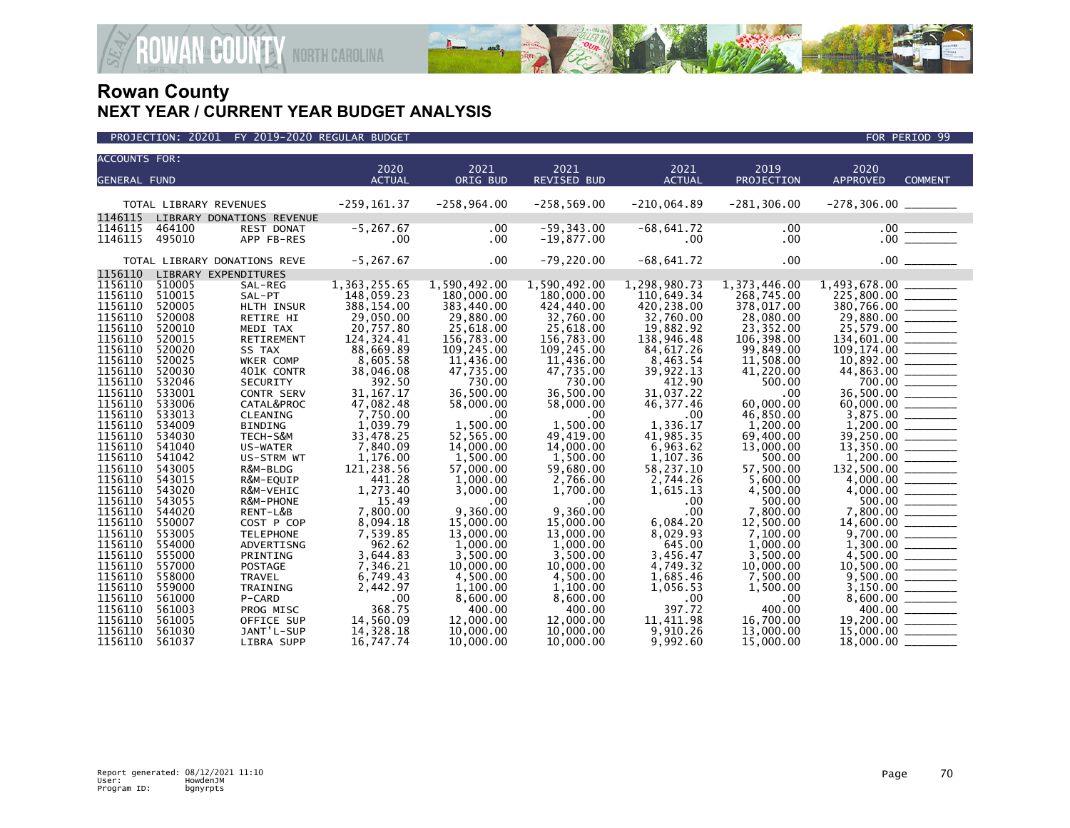

| <b>ACCOUNTS FOR:</b> |                  |                                 | 2020                     | 2021                   | 2021                          | 2021                     | 2019                   | 2020                                              |                |
|----------------------|------------------|---------------------------------|--------------------------|------------------------|-------------------------------|--------------------------|------------------------|---------------------------------------------------|----------------|
| <b>GENERAL FUND</b>  |                  |                                 | <b>ACTUAL</b>            | ORIG BUD               | <b>REVISED BUD</b>            | <b>ACTUAL</b>            | PROJECTION             | <b>APPROVED</b>                                   | <b>COMMENT</b> |
|                      |                  |                                 |                          |                        |                               |                          |                        |                                                   |                |
|                      |                  | TOTAL LIBRARY REVENUES          | $-259, 161.37$           | $-258,964.00$          | $-258,569.00$                 | $-210,064.89$            | $-281, 306.00$         | $-278,306.00$ ________                            |                |
| 1146115<br>1146115   |                  | LIBRARY DONATIONS REVENUE       | $-5, 267.67$             |                        |                               |                          |                        |                                                   |                |
| 1146115              | 464100<br>495010 | <b>REST DONAT</b><br>APP FB-RES | .00                      | .00<br>$.00 \,$        | $-59, 343.00$<br>$-19,877.00$ | $-68,641.72$<br>$.00 \,$ | .00<br>.00             |                                                   |                |
|                      |                  |                                 |                          |                        |                               |                          |                        |                                                   |                |
|                      |                  | TOTAL LIBRARY DONATIONS REVE    | $-5, 267.67$             | .00                    | $-79, 220.00$                 | $-68,641.72$             | .00                    |                                                   |                |
| 1156110              |                  | LIBRARY EXPENDITURES            |                          |                        |                               |                          |                        |                                                   |                |
| 1156110              | 510005           | SAL-REG                         | 1,363,255.65             | 1,590,492.00           | 1,590,492.00                  | 1,298,980.73             | 1,373,446.00           |                                                   |                |
| 1156110              | 510015           | SAL-PT                          | 148,059.23               | 180,000.00             | 180,000.00                    | 110,649.34               | 268,745.00             |                                                   |                |
| 1156110              | 520005           | HLTH INSUR                      | 388,154.00               | 383,440.00             | 424,440.00                    | 420,238.00               | 378,017.00             |                                                   |                |
| 1156110              | 520008           | RETIRE HI                       | 29,050.00                | 29,880.00              | 32,760.00                     | 32,760.00                | 28,080.00              |                                                   |                |
| 1156110              | 520010           | MEDI TAX                        | 20,757.80                | 25,618.00              | 25,618.00                     | 19,882.92                | 23,352.00              |                                                   |                |
| 1156110              | 520015           | RETIREMENT                      | 124,324.41               | 156,783.00             | 156,783.00                    | 138,946.48               | 106,398.00             | $1\overline{34}$ , 601.00                         |                |
| 1156110              | 520020           | SS TAX                          | 88,669.89                | 109,245.00             | 109,245.00                    | 84,617.26                | 99,849.00              |                                                   |                |
| 1156110              | 520025           | WKER COMP                       | 8,605.58                 | 11,436.00              | 11,436.00                     | 8,463.54                 | 11,508.00              |                                                   |                |
| 1156110              | 520030           | 401K CONTR                      | 38,046.08                | 47,735.00              | 47,735.00                     | 39,922.13                | 41,220.00              |                                                   |                |
| 1156110<br>1156110   | 532046<br>533001 | SECURITY                        | 392.50                   | 730.00                 | 730.00<br>36,500.00           | 412.90<br>31,037.22      | 500.00<br>.00          | $700.00$ $\overline{\hspace{1.5cm}}$<br>36,500.00 |                |
| 1156110              | 533006           | CONTR SERV<br>CATAL&PROC        | 31, 167. 17<br>47,082.48 | 36,500.00<br>58,000.00 | 58,000.00                     | 46,377.46                | 60,000.00              |                                                   |                |
| 1156110              | 533013           | CLEANING                        | 7,750.00                 | .00                    | .00                           | .00                      | 46,850.00              |                                                   |                |
| 1156110              | 534009           | <b>BINDING</b>                  | 1,039.79                 | 1.500.00               | 1.500.00                      | 1.336.17                 | 1,200.00               |                                                   |                |
| 1156110              | 534030           | TECH-S&M                        | 33,478.25                | 52,565.00              | 49,419.00                     | 41,985.35                | 69,400.00              | 39,250.00 ______                                  |                |
| 1156110              | 541040           | US-WATER                        | 7.840.09                 | 14,000.00              | 14,000,00                     | 6.963.62                 | 13,000,00              |                                                   |                |
| 1156110              | 541042           | US-STRM WT                      | 1.176.00                 | 1.500.00               | 1,500.00                      | 1,107.36                 | 500.00                 |                                                   |                |
| 1156110              | 543005           | R&M-BLDG                        | 121,238.56               | 57,000.00              | 59,680.00                     | 58,237.10                | 57,500.00              | 132,500.00 ________                               |                |
| 1156110              | 543015           | R&M-EQUIP                       | 441.28                   | 1.000.00               | 2,766.00                      | 2,744.26                 | 5.600.00               |                                                   |                |
| 1156110              | 543020           | R&M-VEHIC                       | 1,273.40                 | 3,000.00               | 1,700.00                      | 1,615.13                 | 4,500.00               |                                                   |                |
| 1156110              | 543055           | R&M-PHONE                       | 15.49                    | .00                    | .00                           | .00                      | 500.00                 |                                                   |                |
| 1156110              | 544020           | RENT-L&B                        | 7,800.00                 | 9,360.00               | 9,360.00                      | .00                      | 7,800.00               | 7,800.00 ______                                   |                |
| 1156110              | 550007           | COST P COP                      | 8,094.18                 | 15,000.00              | 15,000,00                     | 6.084.20                 | 12,500.00              |                                                   |                |
| 1156110              | 553005           | <b>TELEPHONE</b>                | 7,539.85                 | 13,000.00              | 13,000.00                     | 8,029.93                 | 7,100.00               |                                                   |                |
| 1156110              | 554000           | ADVERTISNG                      | 962.62                   | 1,000.00               | 1,000.00                      | 645.00                   | 1,000.00               |                                                   |                |
| 1156110              | 555000           | PRINTING                        | 3,644.83                 | 3,500.00               | 3,500.00                      | 3,456.47                 | 3,500.00               |                                                   |                |
| 1156110              | 557000           | <b>POSTAGE</b>                  | 7,346.21                 | 10,000.00              | 10,000.00                     | 4,749.32                 | 10,000.00              | $10,500.00$ _______                               |                |
| 1156110              | 558000           | <b>TRAVEL</b>                   | 6,749.43                 | 4,500.00               | 4,500.00                      | 1,685.46                 | 7,500.00               |                                                   |                |
| 1156110              | 559000           | TRAINING                        | 2,442.97                 | 1,100.00               | 1,100.00                      | 1,056.53                 | 1,500.00               |                                                   |                |
| 1156110              | 561000           | P-CARD                          | .00                      | 8,600.00               | 8,600.00                      | .00                      | .00                    |                                                   |                |
| 1156110              | 561003           | PROG MISC                       | 368.75                   | 400.00                 | 400.00                        | 397.72                   | 400.00                 | 400.00                                            |                |
| 1156110<br>1156110   | 561005<br>561030 | OFFICE SUP<br>JANT'L-SUP        | 14,560.09<br>14,328.18   | 12,000.00<br>10,000.00 | 12,000.00<br>10,000.00        | 11,411.98<br>9,910.26    | 16,700.00<br>13,000.00 | 19,200.00 ______<br>$15,000.00$ _________         |                |
| 1156110              | 561037           |                                 | 16.747.74                | 10,000,00              | 10.000.00                     | 9.992.60                 | 15,000,00              |                                                   |                |
|                      |                  | LIBRA SUPP                      |                          |                        |                               |                          |                        | 18,000.00                                         |                |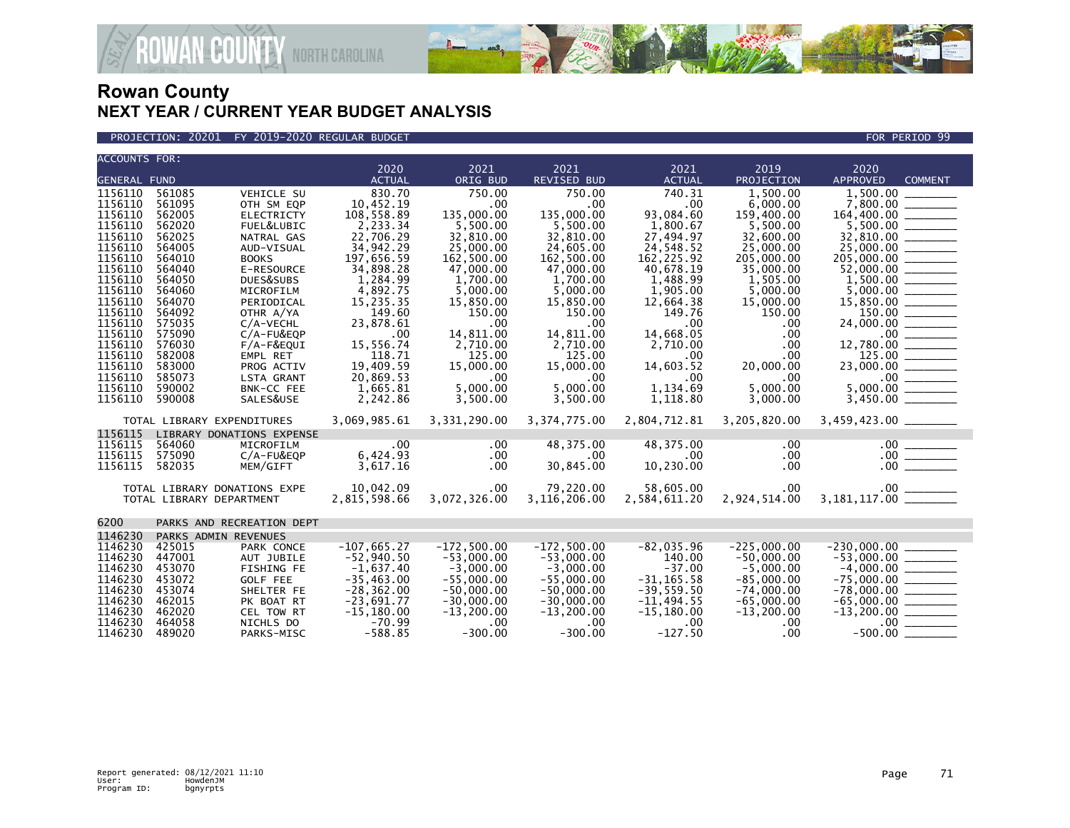

PROJECTION: 20201 FY 2019-2020 REGULAR BUDGET FOR PERIOD 99

| <b>ACCOUNTS FOR:</b>                 |                            |                              | 2020          | 2021          | 2021               | 2021          | 2019                      | 2020                                        |
|--------------------------------------|----------------------------|------------------------------|---------------|---------------|--------------------|---------------|---------------------------|---------------------------------------------|
| <b>GENERAL FUND</b>                  |                            |                              | <b>ACTUAL</b> | ORIG BUD      | <b>REVISED BUD</b> | <b>ACTUAL</b> | <b>PROJECTION</b>         | <b>APPROVED</b><br><b>COMMENT</b>           |
| 1156110                              | 561085                     | VEHICLE SU                   | 830.70        | 750.00        | 750.00             | 740.31        | 1,500.00                  | 1,500.00                                    |
| 1156110                              | 561095                     | OTH SM EQP                   | 10,452.19     | .00           | .00                | .00           | 6.000.00                  |                                             |
| 1156110                              | 562005                     | <b>ELECTRICTY</b>            | 108,558.89    | 135,000.00    | 135,000.00         | 93,084.60     | 159,400.00                |                                             |
| 1156110                              | 562020                     | FUEL&LUBIC                   | 2,233.34      | 5,500.00      | 5,500.00           | 1,800.67      | 5,500.00                  | $164,400.00$ $5,500.00$ $\overline{\qquad}$ |
| 1156110                              | 562025                     | NATRAL GAS                   | 22,706.29     | 32.810.00     | 32,810.00          | 27,494.97     | 32,600,00                 |                                             |
| 1156110                              | 564005                     | AUD-VISUAL                   | 34,942.29     | 25,000.00     | 24,605.00          | 24,548.52     | 25,000.00                 | $\frac{32,810.00}{25,000.00}$               |
| 1156110                              | 564010                     | <b>BOOKS</b>                 | 197,656.59    | 162,500.00    | 162,500.00         | 162, 225.92   | 205,000.00                |                                             |
| 1156110                              | 564040                     | E-RESOURCE                   | 34,898.28     | 47,000.00     | 47,000.00          | 40,678.19     | 35,000.00                 | 205,000.00                                  |
| 1156110                              | 564050                     | DUES&SUBS                    | 1,284.99      | 1.700.00      | 1,700.00           | 1,488.99      | 1.505.00                  |                                             |
| 1156110                              | 564060                     | MICROFILM                    | 4,892.75      | 5,000.00      | 5,000.00           | 1,905.00      | 5,000.00                  |                                             |
| 1156110                              | 564070                     | PERIODICAL                   | 15,235.35     | 15,850.00     | 15,850.00          | 12,664.38     | 15,000.00                 |                                             |
| 1156110                              | 564092                     | OTHR A/YA                    | 149.60        | 150.00        | 150.00             | 149.76        | 150.00                    | $\frac{150.00}{24,000.00}$                  |
| 1156110                              | 575035                     | $C/A-VECHL$                  | 23,878.61     | .00           | .00                | $.00 \,$      | .00                       |                                             |
| 1156110                              | 575090                     | C/A-FU&EQP                   | .00           | 14,811.00     | 14,811.00          | 14,668.05     | .00                       |                                             |
| 1156110                              | 576030                     | $F/A-F\&EQUI$                | 15,556.74     | 2,710.00      | 2,710.00           | 2,710.00      | .00                       |                                             |
| 1156110                              | 582008                     | EMPL RET                     | 118.71        | 125.00        | 125.00             | .00           | .00                       | 12,780.00                                   |
| 1156110                              | 583000                     | PROG ACTIV                   | 19.409.59     | 15,000.00     | 15,000.00          | 14,603.52     | 20,000,00                 |                                             |
| 1156110                              | 585073                     | <b>LSTA GRANT</b>            | 20,869.53     | .00           | $.00 \times$       | .00           | .00                       |                                             |
| 1156110                              | 590002                     | BNK-CC FEE                   | 1,665.81      | 5,000.00      | 5,000.00           | 1,134.69      | 5,000.00                  |                                             |
| 1156110                              | 590008                     | SALES&USE                    | 2,242.86      | 3,500.00      | 3.500.00           | 1,118.80      | 3,000.00                  |                                             |
|                                      | TOTAL LIBRARY EXPENDITURES |                              | 3,069,985.61  | 3,331,290.00  | 3,374,775.00       |               | 2,804,712.81 3,205,820.00 |                                             |
| 1156115<br>LIBRARY DONATIONS EXPENSE |                            |                              |               |               |                    |               |                           |                                             |
| 1156115                              | 564060                     | MICROFILM                    | .00           | $.00 \,$      | 48,375.00          | 48,375.00     | $.00 \,$                  |                                             |
| 1156115                              | 575090                     | C/A-FU&EQP                   | 6,424.93      | $.00 \,$      | $.00 \,$           | $.00 \,$      | $.00 \,$                  |                                             |
| 1156115                              | 582035                     | MEM/GIFT                     | 3,617.16      | $.00 \,$      | 30,845.00          | 10,230.00     | $.00 \,$                  |                                             |
|                                      |                            | TOTAL LIBRARY DONATIONS EXPE | 10,042.09     | $.00 \,$      | 79,220.00          | 58,605.00     | $.00 \,$                  |                                             |
|                                      | TOTAL LIBRARY DEPARTMENT   |                              | 2,815,598.66  | 3,072,326.00  | 3,116,206.00       | 2,584,611.20  | 2,924,514.00              |                                             |
| 6200                                 |                            | PARKS AND RECREATION DEPT    |               |               |                    |               |                           |                                             |
| 1146230                              | PARKS ADMIN REVENUES       |                              |               |               |                    |               |                           |                                             |
| 1146230                              | 425015                     | PARK CONCE                   | $-107,665.27$ | $-172,500.00$ | $-172,500.00$      | -82,035.96    | $-225,000.00$             |                                             |
| 1146230                              | 447001                     | AUT JUBILE                   | $-52,940.50$  | $-53,000.00$  | $-53,000.00$       | 140.00        | $-50.000.00$              |                                             |
| 1146230                              | 453070                     | <b>FISHING FE</b>            | $-1,637.40$   | $-3,000.00$   | $-3,000.00$        | $-37.00$      | $-5,000.00$               |                                             |
| 1146230                              | 453072                     | GOLF FEE                     | $-35,463.00$  | $-55,000.00$  | $-55,000.00$       | $-31, 165.58$ | $-85,000.00$              | $-4,000.00$<br>$-75,000.00$                 |
| 1146230                              | 453074                     | SHELTER FE                   | $-28, 362.00$ | $-50.000.00$  | $-50.000.00$       | $-39,559.50$  | $-74.000.00$              |                                             |
| 1146230                              | 462015                     | PK BOAT RT                   | $-23,691.77$  | $-30,000.00$  | $-30,000.00$       | $-11,494.55$  | $-65,000.00$              |                                             |
| 1146230                              | 462020                     | CEL TOW RT                   | $-15, 180.00$ | $-13, 200.00$ | $-13,200.00$       | $-15,180.00$  | $-13, 200.00$             | $-65,000.00$<br>$-13,200.00$                |
| 1146230                              | 464058                     | NICHLS DO                    | $-70.99$      | .00           | $.00 \,$           | $.00 \,$      | $.00 \,$                  |                                             |
| 1146230                              | 489020                     | PARKS-MISC                   | $-588.85$     | $-300.00$     | $-300.00$          | $-127.50$     | .00                       |                                             |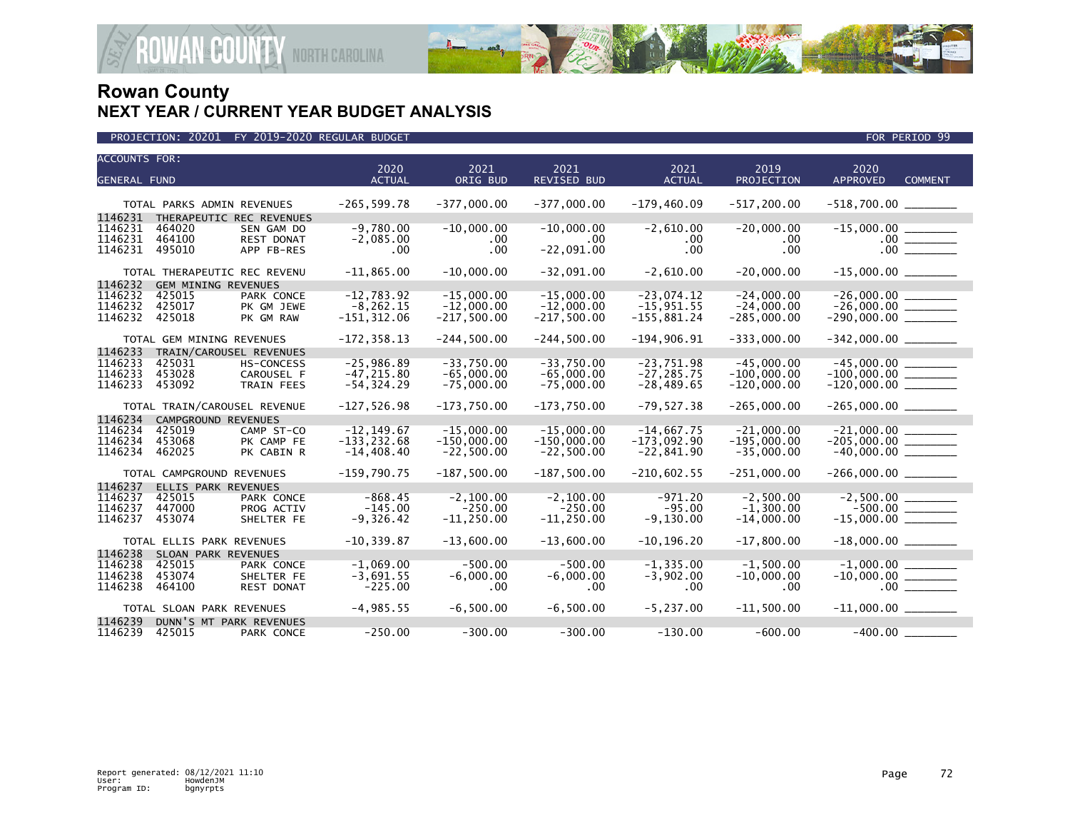

| <b>ACCOUNTS FOR:</b>         |        |                                                        | 2020           | 2021          | 2021               | 2021          | 2019           | 2020                                           |  |
|------------------------------|--------|--------------------------------------------------------|----------------|---------------|--------------------|---------------|----------------|------------------------------------------------|--|
| <b>GENERAL FUND</b>          |        |                                                        | <b>ACTUAL</b>  | ORIG BUD      | <b>REVISED BUD</b> | <b>ACTUAL</b> | PROJECTION     | <b>APPROVED</b><br><b>COMMENT</b>              |  |
|                              |        |                                                        |                |               |                    |               |                |                                                |  |
| 1146231                      |        | TOTAL PARKS ADMIN REVENUES<br>THERAPEUTIC REC REVENUES | $-265, 599.78$ | $-377,000.00$ | $-377,000.00$      | $-179,460.09$ | $-517, 200.00$ | $-518,700.00$ ________                         |  |
| 1146231                      | 464020 | SEN GAM DO                                             | $-9,780.00$    | $-10,000.00$  | $-10,000.00$       | $-2,610.00$   | $-20,000.00$   |                                                |  |
| 1146231                      | 464100 | REST DONAT                                             | $-2,085.00$    | .00           | $.00 \,$           | .00           | .00.           |                                                |  |
| 1146231                      | 495010 | APP FB-RES                                             | .00            | .00           | $-22,091.00$       | .00           | .00            | .00                                            |  |
|                              |        | TOTAL THERAPEUTIC REC REVENU                           | $-11,865.00$   | $-10,000.00$  | $-32,091.00$       | $-2,610.00$   | $-20,000.00$   |                                                |  |
| 1146232                      |        | <b>GEM MINING REVENUES</b>                             |                |               |                    |               |                |                                                |  |
| 1146232                      | 425015 | PARK CONCE                                             | $-12,783.92$   | $-15,000.00$  | $-15,000.00$       | $-23,074.12$  | $-24,000.00$   | $-26,000.00$ _________<br>-26,000.00 ________  |  |
| 1146232                      | 425017 | PK GM JEWE                                             | $-8, 262.15$   | $-12,000.00$  | $-12,000.00$       | $-15,951.55$  | $-24,000.00$   |                                                |  |
| 1146232                      | 425018 | PK GM RAW                                              | $-151, 312.06$ | $-217,500.00$ | $-217,500.00$      | $-155,881.24$ | $-285,000.00$  | $-290,000.00$ _________                        |  |
|                              |        | TOTAL GEM MINING REVENUES                              | $-172, 358.13$ | $-244,500.00$ | $-244,500.00$      | $-194,906.91$ | $-333,000.00$  | $-342,000.00$ ________                         |  |
| 1146233                      |        | TRAIN/CAROUSEL REVENUES                                |                |               |                    |               |                |                                                |  |
| 1146233                      | 425031 | <b>HS-CONCESS</b>                                      | $-25,986.89$   | $-33,750.00$  | $-33,750.00$       | $-23,751.98$  | $-45,000.00$   |                                                |  |
| 1146233                      | 453028 | CAROUSEL F                                             | $-47.215.80$   | $-65.000.00$  | $-65.000.00$       | $-27.285.75$  | $-100.000.00$  | $-100,000.00$ ________<br>-120,000.00 ________ |  |
| 1146233                      | 453092 | <b>TRAIN FEES</b>                                      | $-54, 324.29$  | $-75,000.00$  | $-75,000.00$       | $-28,489.65$  | $-120,000.00$  |                                                |  |
| TOTAL TRAIN/CAROUSEL REVENUE |        |                                                        | $-127,526.98$  | $-173,750.00$ | $-173,750.00$      | $-79,527.38$  | $-265,000.00$  | $-265,000.00$ _________                        |  |
| 1146234                      |        | CAMPGROUND REVENUES                                    |                |               |                    |               |                |                                                |  |
| 1146234                      | 425019 | CAMP ST-CO                                             | $-12.149.67$   | $-15,000.00$  | $-15.000.00$       | $-14.667.75$  | $-21.000.00$   |                                                |  |
| 1146234                      | 453068 | PK CAMP FE                                             | $-133, 232.68$ | $-150,000.00$ | $-150,000.00$      | $-173,092.90$ | $-195,000.00$  | $-205,000.00$ ________                         |  |
| 1146234                      | 462025 | PK CABIN R                                             | $-14,408.40$   | $-22,500.00$  | $-22,500.00$       | $-22,841.90$  | $-35,000.00$   |                                                |  |
|                              |        | TOTAL CAMPGROUND REVENUES                              | $-159,790.75$  | $-187.500.00$ | $-187,500.00$      | $-210.602.55$ | $-251.000.00$  | $-266,000.00$ _________                        |  |
| 1146237                      |        | ELLIS PARK REVENUES                                    |                |               |                    |               |                |                                                |  |
| 1146237                      | 425015 | PARK CONCE                                             | $-868.45$      | $-2.100.00$   | $-2.100.00$        | $-971.20$     | $-2.500.00$    |                                                |  |
| 1146237                      | 447000 | PROG ACTIV                                             | $-145.00$      | $-250.00$     | $-250.00$          | $-95.00$      | $-1.300.00$    |                                                |  |
| 1146237                      | 453074 | SHELTER FE                                             | $-9,326.42$    | $-11, 250.00$ | $-11, 250.00$      | $-9,130.00$   | $-14.000.00$   | $-15,000.00$ ________                          |  |
|                              |        | TOTAL ELLIS PARK REVENUES                              | $-10, 339.87$  | $-13,600.00$  | $-13,600.00$       | $-10, 196.20$ | $-17,800.00$   | $-18,000.00$ ________                          |  |
| 1146238                      |        | SLOAN PARK REVENUES                                    |                |               |                    |               |                |                                                |  |
| 1146238                      | 425015 | PARK CONCE                                             | $-1.069.00$    | $-500.00$     | $-500.00$          | $-1.335.00$   | $-1.500.00$    | $-1.000.00$                                    |  |
| 1146238                      | 453074 | SHELTER FE                                             | $-3,691.55$    | $-6,000.00$   | $-6,000.00$        | $-3,902.00$   | $-10,000.00$   | $-10,000.00$ _________                         |  |
| 1146238                      | 464100 | <b>REST DONAT</b>                                      | $-225.00$      | .00           | $.00 \,$           | .00           | .00.           | $.00$ $\qquad \qquad$                          |  |
|                              |        | TOTAL SLOAN PARK REVENUES                              | $-4,985.55$    | $-6.500.00$   | $-6.500.00$        | $-5, 237.00$  | $-11.500.00$   | $-11,000.00$ ________                          |  |
| 1146239                      |        | DUNN'S MT PARK REVENUES                                |                |               |                    |               |                |                                                |  |
| 1146239                      | 425015 | PARK CONCE                                             | $-250.00$      | $-300.00$     | $-300.00$          | $-130.00$     | $-600.00$      | $-400.00$                                      |  |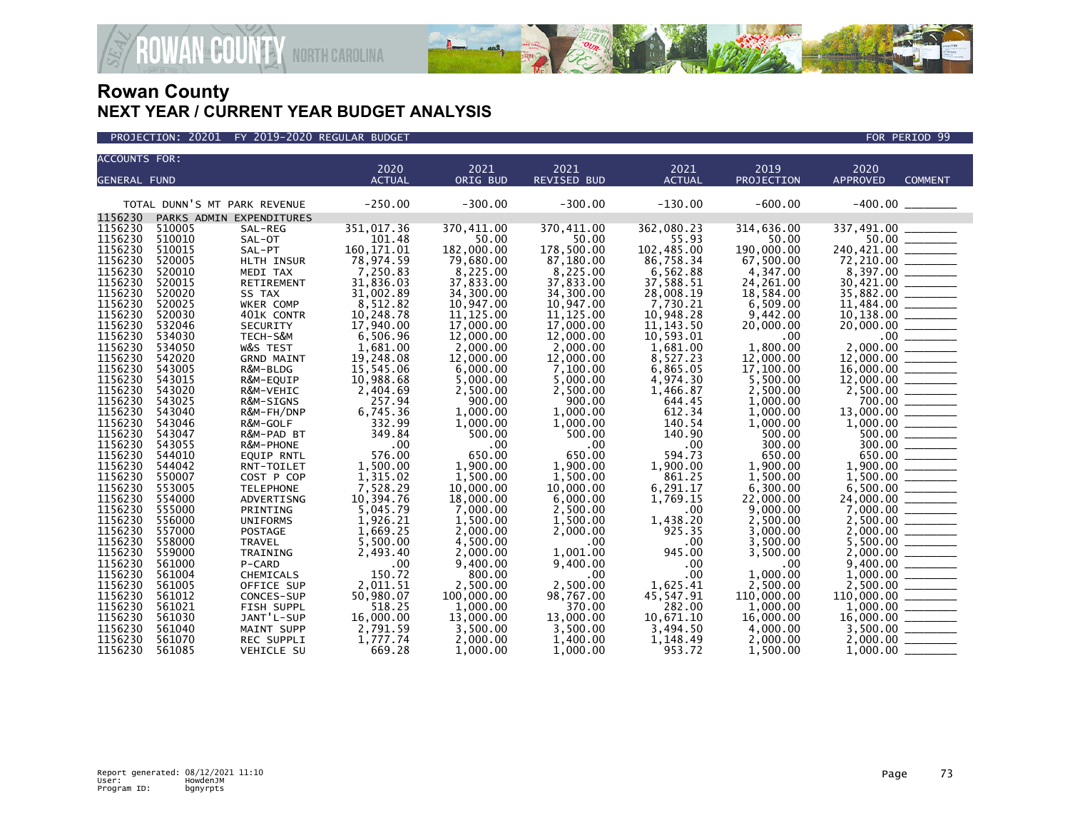

| <b>ACCOUNTS FOR:</b> |                              |                             |                       |                       |                       |                       |                       |                 |                                                                                                                                                                                                                                                                                                                                                                                                                                     |
|----------------------|------------------------------|-----------------------------|-----------------------|-----------------------|-----------------------|-----------------------|-----------------------|-----------------|-------------------------------------------------------------------------------------------------------------------------------------------------------------------------------------------------------------------------------------------------------------------------------------------------------------------------------------------------------------------------------------------------------------------------------------|
|                      |                              |                             | 2020                  | 2021                  | 2021                  | 2021                  | 2019                  | 2020            |                                                                                                                                                                                                                                                                                                                                                                                                                                     |
| <b>GENERAL FUND</b>  |                              |                             | <b>ACTUAL</b>         | ORIG BUD              | <b>REVISED BUD</b>    | <b>ACTUAL</b>         | PROJECTION            | <b>APPROVED</b> | <b>COMMENT</b>                                                                                                                                                                                                                                                                                                                                                                                                                      |
|                      | TOTAL DUNN'S MT PARK REVENUE |                             | $-250.00$             | $-300.00$             | $-300.00$             | $-130.00$             | $-600.00$             |                 |                                                                                                                                                                                                                                                                                                                                                                                                                                     |
| 1156230              |                              | PARKS ADMIN EXPENDITURES    |                       |                       |                       |                       |                       |                 |                                                                                                                                                                                                                                                                                                                                                                                                                                     |
| 1156230              | 510005                       | SAL-REG                     | 351,017.36            | 370,411.00            | 370,411.00            | 362,080.23            | 314,636.00            | 337,491.00      |                                                                                                                                                                                                                                                                                                                                                                                                                                     |
| 1156230              | 510010                       | SAL-OT                      | 101.48                | 50.00                 | 50.00                 | 55.93                 | 50.00                 | 50.00           |                                                                                                                                                                                                                                                                                                                                                                                                                                     |
| 1156230<br>1156230   | 510015<br>520005             | SAL-PT                      | 160, 171.01           | 182,000.00            | 178,500.00            | 102,485.00            | 190,000.00            | 240,421.00      |                                                                                                                                                                                                                                                                                                                                                                                                                                     |
| 1156230              | 520010                       | HLTH INSUR<br>MEDI TAX      | 78,974.59<br>7,250.83 | 79,680.00<br>8,225.00 | 87,180.00<br>8,225.00 | 86,758.34<br>6,562.88 | 67,500.00<br>4,347.00 | 72,210.00       |                                                                                                                                                                                                                                                                                                                                                                                                                                     |
| 1156230              | 520015                       | RETIREMENT                  | 31,836.03             | 37,833.00             | 37,833.00             | 37,588.51             | 24,261.00             | 30,421.00       |                                                                                                                                                                                                                                                                                                                                                                                                                                     |
| 1156230              | 520020                       | SS TAX                      | 31,002.89             | 34,300.00             | 34,300.00             | 28,008.19             | 18,584.00             | 35,882.00       |                                                                                                                                                                                                                                                                                                                                                                                                                                     |
| 1156230              | 520025                       | WKER COMP                   | 8,512.82              | 10,947.00             | 10,947.00             | 7,730.21              | 6,509.00              | 11,484.00       | $\frac{1}{1-\frac{1}{1-\frac{1}{1-\frac{1}{1-\frac{1}{1-\frac{1}{1-\frac{1}{1-\frac{1}{1-\frac{1}{1-\frac{1}{1-\frac{1}{1-\frac{1}{1-\frac{1}{1-\frac{1}{1-\frac{1}{1-\frac{1}{1-\frac{1}{1-\frac{1}{1-\frac{1}{1-\frac{1}{1-\frac{1}{1-\frac{1}{1-\frac{1}{1-\frac{1}{1-\frac{1}{1-\frac{1}{1-\frac{1}{1-\frac{1}{1-\frac{1}{1-\frac{1}{1-\frac{1}{1-\frac{1}{1-\frac{1}{1-\frac{1}{1-\frac{1}{1-\frac{1}{1-\frac{1$               |
| 1156230              | 520030                       | 401K CONTR                  | 10,248.78             | 11, 125.00            | 11, 125.00            | 10,948.28             | 9,442.00              | 10,138.00       |                                                                                                                                                                                                                                                                                                                                                                                                                                     |
| 1156230              | 532046                       | SECURITY                    | 17,940.00             | 17,000.00             | 17,000.00             | 11, 143.50            | 20,000.00             | 20,000.00       |                                                                                                                                                                                                                                                                                                                                                                                                                                     |
| 1156230              | 534030                       | TECH-S&M                    | 6,506.96              | 12,000.00             | 12,000.00             | 10,593.01             | .00.                  | $.00 \,$        |                                                                                                                                                                                                                                                                                                                                                                                                                                     |
| 1156230              | 534050                       | W&S TEST                    | 1,681.00              | 2,000.00              | 2,000.00              | 1,681.00              | 1,800.00              | 2.000.00        | $\frac{\frac{1}{1-\frac{1}{1-\frac{1}{1-\frac{1}{1-\frac{1}{1-\frac{1}{1-\frac{1}{1-\frac{1}{1-\frac{1}{1-\frac{1}{1-\frac{1}{1-\frac{1}{1-\frac{1}{1-\frac{1}{1-\frac{1}{1-\frac{1}{1-\frac{1}{1-\frac{1}{1-\frac{1}{1-\frac{1}{1-\frac{1}{1-\frac{1}{1-\frac{1}{1-\frac{1}{1-\frac{1}{1-\frac{1}{1-\frac{1}{1-\frac{1}{1-\frac{1}{1-\frac{1}{1-\frac{1}{1-\frac{1}{1-\frac{1}{1-\frac{1}{1-\frac{1}{1-\frac{1}{1-\frac$           |
| 1156230              | 542020                       | <b>GRND MAINT</b>           | 19,248.08             | 12,000.00             | 12,000.00             | 8,527.23              | 12,000.00             | 12,000.00       |                                                                                                                                                                                                                                                                                                                                                                                                                                     |
| 1156230              | 543005                       | R&M-BLDG                    | 15,545.06             | 6,000.00              | 7,100.00              | 6,865.05              | 17,100.00             | 16,000.00       | $\begin{tabular}{lcccccc} \multicolumn{2}{c }{\textbf{1} & \textbf{1} & \textbf{1} & \textbf{1} & \textbf{1} & \textbf{1} & \textbf{1} & \textbf{1} & \textbf{1} & \textbf{1} & \textbf{1} & \textbf{1} & \textbf{1} & \textbf{1} & \textbf{1} & \textbf{1} & \textbf{1} & \textbf{1} & \textbf{1} & \textbf{1} & \textbf{1} & \textbf{1} & \textbf{1} & \textbf{1} & \textbf{1} & \textbf{1} & \textbf{1} & \textbf{1} & \textbf{$ |
| 1156230              | 543015                       | R&M-EQUIP                   | 10,988.68             | 5,000.00              | 5,000.00              | 4,974.30              | 5,500.00              | 12,000.00       |                                                                                                                                                                                                                                                                                                                                                                                                                                     |
| 1156230              | 543020                       | R&M-VEHIC                   | 2,404.69              | 2,500.00              | 2,500.00              | 1,466.87              | 2,500.00              |                 |                                                                                                                                                                                                                                                                                                                                                                                                                                     |
| 1156230              | 543025                       | R&M-SIGNS                   | 257.94                | 900.00                | 900.00                | 644.45                | 1,000.00              |                 | $700.00$ _______                                                                                                                                                                                                                                                                                                                                                                                                                    |
| 1156230              | 543040                       | R&M-FH/DNP                  | 6,745.36              | 1,000.00              | 1,000.00              | 612.34                | 1,000.00              | 13,000.00       |                                                                                                                                                                                                                                                                                                                                                                                                                                     |
| 1156230              | 543046                       | R&M-GOLF                    | 332.99                | 1,000.00              | 1,000.00              | 140.54                | 1,000.00              | 1,000.00        |                                                                                                                                                                                                                                                                                                                                                                                                                                     |
| 1156230              | 543047                       | R&M-PAD BT                  | 349.84                | 500.00                | 500.00                | 140.90                | 500.00                | 500.00          |                                                                                                                                                                                                                                                                                                                                                                                                                                     |
| 1156230              | 543055                       | R&M-PHONE                   | .00                   | .00                   | $.00 \times$          | .00                   | 300.00                |                 | 300.00                                                                                                                                                                                                                                                                                                                                                                                                                              |
| 1156230              | 544010                       | <b>EQUIP RNTL</b>           | 576.00                | 650.00                | 650.00                | 594.73                | 650.00                | 650.00          |                                                                                                                                                                                                                                                                                                                                                                                                                                     |
| 1156230              | 544042                       | RNT-TOILET                  | 1,500.00              | 1,900.00              | 1,900.00              | 1,900.00              | 1,900.00              | 1,900.00        |                                                                                                                                                                                                                                                                                                                                                                                                                                     |
| 1156230              | 550007                       | COST P COP                  | 1,315.02              | 1,500.00              | 1.500.00              | 861.25                | 1.500.00              | 1.500.00        |                                                                                                                                                                                                                                                                                                                                                                                                                                     |
| 1156230              | 553005                       | <b>TELEPHONE</b>            | 7,528.29              | 10,000.00             | 10,000,00             | 6,291.17              | 6,300.00              | 6,500.00        |                                                                                                                                                                                                                                                                                                                                                                                                                                     |
| 1156230<br>1156230   | 554000<br>555000             | ADVERTISNG                  | 10,394.76             | 18,000.00             | 6,000.00              | 1,769.15              | 22,000.00             | 24,000.00       |                                                                                                                                                                                                                                                                                                                                                                                                                                     |
| 1156230              | 556000                       | PRINTING<br><b>UNIFORMS</b> | 5,045.79<br>1,926.21  | 7,000.00<br>1,500.00  | 2,500.00<br>1.500.00  | .00<br>1,438.20       | 9,000.00<br>2,500.00  | 2,500.00        |                                                                                                                                                                                                                                                                                                                                                                                                                                     |
| 1156230              | 557000                       | POSTAGE                     | 1,669.25              | 2,000.00              | 2,000.00              | 925.35                | 3,000.00              | 2,000.00        |                                                                                                                                                                                                                                                                                                                                                                                                                                     |
| 1156230              | 558000                       | TRAVEL                      | 5,500.00              | 4,500.00              | .00 <sub>1</sub>      | .00                   | 3,500.00              | 5,500.00        |                                                                                                                                                                                                                                                                                                                                                                                                                                     |
| 1156230              | 559000                       | TRAINING                    | 2,493.40              | 2,000.00              | 1,001.00              | 945.00                | 3,500.00              | 2,000,00        |                                                                                                                                                                                                                                                                                                                                                                                                                                     |
| 1156230              | 561000                       | P-CARD                      | .00                   | 9,400.00              | 9,400.00              | .00                   | .00                   | 9,400.00        |                                                                                                                                                                                                                                                                                                                                                                                                                                     |
| 1156230              | 561004                       | CHEMICALS                   | 150.72                | 800.00                | .00.                  | .00                   | 1.000.00              | 1,000.00        |                                                                                                                                                                                                                                                                                                                                                                                                                                     |
| 1156230              | 561005                       | OFFICE SUP                  | 2,011.51              | 2,500.00              | 2,500.00              | 1,625.41              | 2,500.00              | 2,500.00        |                                                                                                                                                                                                                                                                                                                                                                                                                                     |
| 1156230              | 561012                       | CONCES-SUP                  | 50,980.07             | 100,000.00            | 98,767.00             | 45,547.91             | 110,000.00            | 110,000.00      |                                                                                                                                                                                                                                                                                                                                                                                                                                     |
| 1156230              | 561021                       | FISH SUPPL                  | 518.25                | 1,000.00              | 370.00                | 282.00                | 1.000.00              |                 |                                                                                                                                                                                                                                                                                                                                                                                                                                     |
| 1156230              | 561030                       | JANT'L-SUP                  | 16,000.00             | 13,000.00             | 13,000.00             | 10,671.10             | 16,000.00             | 16,000.00       | $\overline{\phantom{a}}$                                                                                                                                                                                                                                                                                                                                                                                                            |
| 1156230              | 561040                       | MAINT SUPP                  | 2,791.59              | 3,500.00              | 3,500.00              | 3,494.50              | 4,000.00              | 3,500.00        |                                                                                                                                                                                                                                                                                                                                                                                                                                     |
| 1156230              | 561070                       | <b>REC SUPPLI</b>           | 1,777.74              | 2,000.00              | 1,400.00              | 1,148.49              | 2,000.00              | 2,000.00        |                                                                                                                                                                                                                                                                                                                                                                                                                                     |
| 1156230              | 561085                       | VEHICLE SU                  | 669.28                | 1,000.00              | 1,000.00              | 953.72                | 1,500.00              | 1,000.00        |                                                                                                                                                                                                                                                                                                                                                                                                                                     |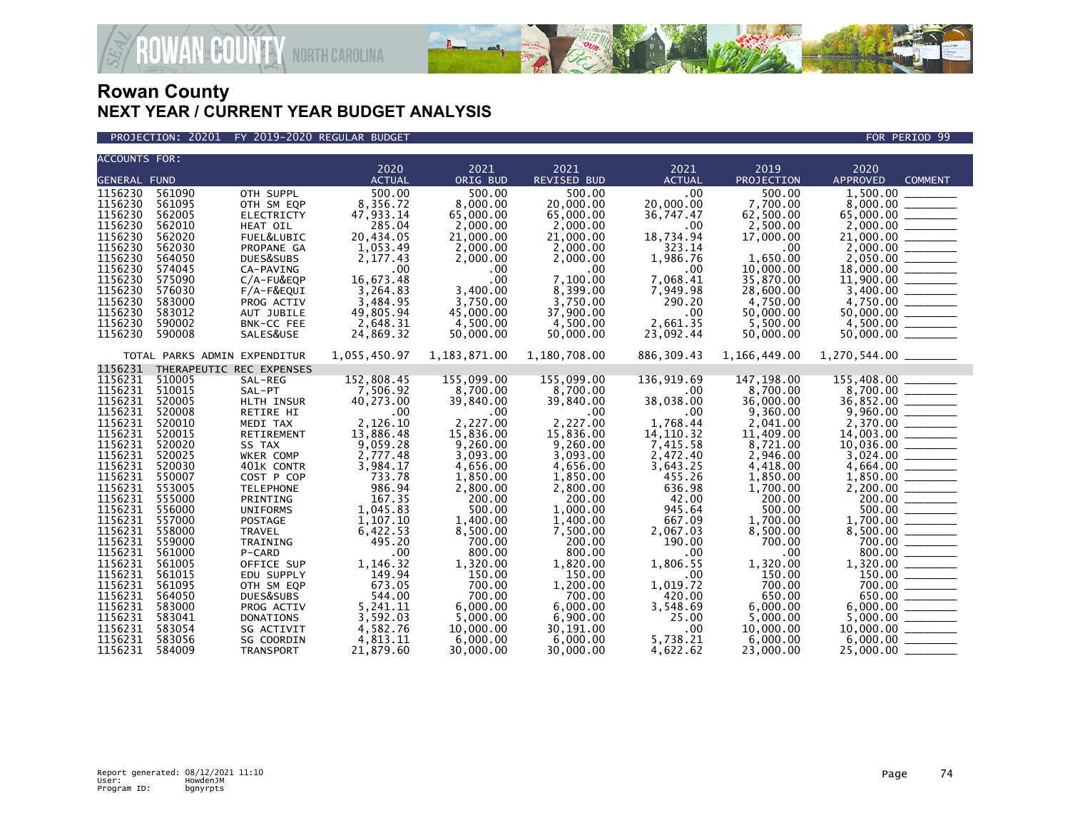

#### PROJECTION: 20201 FY 2019-2020 REGULAR BUDGET FOR PERIOD 99

**ROWAN COUNTY NORTH CAROLINA** 

| <b>ACCOUNTS FOR:</b> |                              |                   |               |              |              |                  |              |                                                                                                                                                                                                                                                                                                                                     |
|----------------------|------------------------------|-------------------|---------------|--------------|--------------|------------------|--------------|-------------------------------------------------------------------------------------------------------------------------------------------------------------------------------------------------------------------------------------------------------------------------------------------------------------------------------------|
|                      |                              |                   | 2020          | 2021         | 2021         | 2021             | 2019         | 2020                                                                                                                                                                                                                                                                                                                                |
| <b>GENERAL FUND</b>  |                              |                   | <b>ACTUAL</b> | ORIG BUD     | REVISED BUD  | <b>ACTUAL</b>    | PROJECTION   | <b>APPROVED</b><br><b>COMMENT</b>                                                                                                                                                                                                                                                                                                   |
| 1156230              | 561090                       | OTH SUPPL         | 500.00        | 500.00       | 500.00       | .00              | 500.00       | 1,500.00 ____                                                                                                                                                                                                                                                                                                                       |
| 1156230              | 561095                       | OTH SM EQP        | 8,356.72      | 8.000.00     | 20,000.00    | 20,000.00        | 7,700.00     |                                                                                                                                                                                                                                                                                                                                     |
| 1156230              | 562005                       | <b>ELECTRICTY</b> | 47,933.14     | 65,000.00    | 65,000.00    | 36,747.47        | 62,500.00    |                                                                                                                                                                                                                                                                                                                                     |
| 1156230              | 562010                       | HEAT OIL          | 285.04        | 2,000.00     | 2,000.00     | .00              | 2,500.00     |                                                                                                                                                                                                                                                                                                                                     |
| 1156230              | 562020                       | FUEL&LUBIC        | 20,434.05     | 21,000.00    | 21,000.00    | 18,734.94        | 17,000.00    |                                                                                                                                                                                                                                                                                                                                     |
| 1156230              | 562030                       | PROPANE GA        | 1,053.49      | 2,000.00     | 2,000.00     | 323.14           | .00          |                                                                                                                                                                                                                                                                                                                                     |
| 1156230              | 564050                       | DUES&SUBS         | 2,177.43      | 2,000.00     | 2,000.00     | 1,986.76         | 1,650.00     |                                                                                                                                                                                                                                                                                                                                     |
| 1156230              | 574045                       | CA-PAVING         | .00           | .00          | .00          | $.00 \,$         | 10,000.00    |                                                                                                                                                                                                                                                                                                                                     |
| 1156230              | 575090                       | C/A-FU&EQP        | 16,673.48     | .00          | 7,100.00     | 7,068.41         | 35,870.00    |                                                                                                                                                                                                                                                                                                                                     |
| 1156230              | 576030                       | F/A-F&EQUI        | 3,264.83      | 3,400.00     | 8,399.00     | 7,949.98         | 28,600.00    | $2,000.00$<br>$2,000.00$<br>$2,000.00$<br>$2,000.00$<br>$2,050.00$<br>$1,900.00$<br>$11,900.00$<br>$3,400.00$                                                                                                                                                                                                                       |
| 1156230              | 583000                       | PROG ACTIV        | 3,484.95      | 3,750.00     | 3,750.00     | 290.20           | 4,750.00     |                                                                                                                                                                                                                                                                                                                                     |
| 1156230              | 583012                       | AUT JUBILE        | 49,805.94     | 45,000,00    | 37,900.00    | .00              | 50,000.00    |                                                                                                                                                                                                                                                                                                                                     |
| 1156230              | 590002                       | BNK-CC FEE        | 2,648.31      | 4,500.00     | 4,500.00     | 2,661.35         | 5,500.00     |                                                                                                                                                                                                                                                                                                                                     |
| 1156230              | 590008                       | SALES&USE         | 24,869.32     | 50,000.00    | 50,000.00    | 23,092.44        | 50,000.00    |                                                                                                                                                                                                                                                                                                                                     |
|                      |                              |                   |               |              |              |                  |              |                                                                                                                                                                                                                                                                                                                                     |
|                      | TOTAL PARKS ADMIN EXPENDITUR |                   | 1,055,450.97  | 1,183,871.00 | 1,180,708.00 | 886, 309.43      | 1,166,449.00 | 1,270,544.00 _______                                                                                                                                                                                                                                                                                                                |
| 1156231              | THERAPEUTIC REC EXPENSES     |                   |               |              |              |                  |              |                                                                                                                                                                                                                                                                                                                                     |
| 1156231              | 510005                       | SAL-REG           | 152,808.45    | 155,099.00   | 155,099.00   | 136,919.69       | 147, 198.00  | 155,408.00                                                                                                                                                                                                                                                                                                                          |
| 1156231              | 510015                       | SAL-PT            | 7,506.92      | 8,700.00     | 8,700.00     | .00              | 8,700.00     |                                                                                                                                                                                                                                                                                                                                     |
| 1156231              | 520005                       | HLTH INSUR        | 40,273.00     | 39,840.00    | 39,840.00    | 38,038.00        | 36,000.00    |                                                                                                                                                                                                                                                                                                                                     |
| 1156231              | 520008                       | RETIRE HI         | .00           | .00          | .00.         | $.00 \,$         | 9,360.00     |                                                                                                                                                                                                                                                                                                                                     |
| 1156231              | 520010                       | MEDI TAX          | 2,126.10      | 2.227.00     | 2.227.00     | 1.768.44         | 2,041.00     |                                                                                                                                                                                                                                                                                                                                     |
| 1156231              | 520015                       | RETIREMENT        | 13,886.48     | 15,836.00    | 15,836.00    | 14, 110. 32      | 11,409.00    | $\begin{array}{r} 8,700.00 \\ 36,852.00 \\ 9,960.00 \\ 2,370.00 \\ 14,003.00 \end{array}$                                                                                                                                                                                                                                           |
| 1156231              | 520020                       | SS TAX            | 9,059.28      | 9,260.00     | 9,260.00     | 7,415.58         | 8,721.00     | $10,036.00$<br>3,024.00<br>4,664.00                                                                                                                                                                                                                                                                                                 |
| 1156231              | 520025                       | WKER COMP         | 2,777.48      | 3,093.00     | 3,093.00     | 2,472.40         | 2,946.00     |                                                                                                                                                                                                                                                                                                                                     |
| 1156231              | 520030                       | 401K CONTR        | 3,984.17      | 4,656.00     | 4,656.00     | 3,643.25         | 4,418.00     |                                                                                                                                                                                                                                                                                                                                     |
| 1156231              | 550007                       | COST P COP        | 733.78        | 1,850.00     | 1,850.00     | 455.26           | 1,850.00     |                                                                                                                                                                                                                                                                                                                                     |
| 1156231              | 553005                       | <b>TELEPHONE</b>  | 986.94        | 2,800.00     | 2,800.00     | 636.98           | 1,700.00     |                                                                                                                                                                                                                                                                                                                                     |
| 1156231              | 555000                       | PRINTING          | 167.35        | 200.00       | 200.00       | 42.00            | 200.00       |                                                                                                                                                                                                                                                                                                                                     |
| 1156231              | 556000                       | <b>UNIFORMS</b>   | 1,045.83      | 500.00       | 1,000.00     | 945.64           | 500.00       |                                                                                                                                                                                                                                                                                                                                     |
| 1156231              | 557000                       | POSTAGE           | 1,107.10      | 1,400.00     | 1,400.00     | 667.09           | 1,700.00     |                                                                                                                                                                                                                                                                                                                                     |
| 1156231              | 558000                       | <b>TRAVEL</b>     | 6,422.53      | 8,500.00     | 7,500.00     | 2,067.03         | 8,500.00     |                                                                                                                                                                                                                                                                                                                                     |
| 1156231              | 559000                       | TRAINING          | 495.20        | 700.00       | 200.00       | 190.00           | 700.00       |                                                                                                                                                                                                                                                                                                                                     |
| 1156231              | 561000                       | P-CARD            | .00           | 800.00       | 800.00       | .00              | .00.         |                                                                                                                                                                                                                                                                                                                                     |
| 1156231              | 561005                       | OFFICE SUP        | 1,146.32      | 1,320.00     | 1,820.00     | 1,806.55         | 1,320.00     |                                                                                                                                                                                                                                                                                                                                     |
| 1156231              | 561015                       | EDU SUPPLY        | 149.94        | 150.00       | 150.00       | .00 <sub>1</sub> | 150.00       |                                                                                                                                                                                                                                                                                                                                     |
| 1156231              | 561095                       | OTH SM EQP        | 673.05        | 700.00       | 1,200.00     | 1,019.72         | 700.00       | $\footnotesize \begin{array}{r} 4,664.00 \ \hline 1,850.00 \ \hline 2,200.00 \ \hline 500.00 \ \hline 500.00 \ \hline 500.00 \ \hline 500.00 \ \hline 8,500.00 \ \hline 8,000.00 \ \hline 1,320.00 \ \hline 1,320.00 \ \hline 5,000.00 \ \hline 6,000.00 \ \hline 1,0,000 \ \hline 6,000.00 \ \hline 6,000.00 \ \hline \end{array}$ |
| 1156231              | 564050                       | DUES&SUBS         | 544.00        | 700.00       | 700.00       | 420.00           | 650.00       |                                                                                                                                                                                                                                                                                                                                     |
| 1156231              | 583000                       | PROG ACTIV        | 5.241.11      | 6.000.00     | 6.000.00     | 3,548.69         | 6.000.00     |                                                                                                                                                                                                                                                                                                                                     |
| 1156231              | 583041                       | DONATIONS         | 3,592.03      | 5,000.00     | 6,900.00     | 25.00            | 5,000.00     |                                                                                                                                                                                                                                                                                                                                     |
| 1156231              | 583054                       | SG ACTIVIT        | 4,582.76      | 10,000.00    | 30,191.00    | .00              | 10,000.00    |                                                                                                                                                                                                                                                                                                                                     |
| 1156231              | 583056                       | SG COORDIN        | 4,813.11      | 6,000.00     | 6,000.00     | 5,738.21         | 6,000.00     |                                                                                                                                                                                                                                                                                                                                     |
| 1156231              | 584009                       | TRANSPORT         | 21,879.60     | 30,000.00    | 30,000.00    | 4,622.62         | 23,000,00    | 25,000.00                                                                                                                                                                                                                                                                                                                           |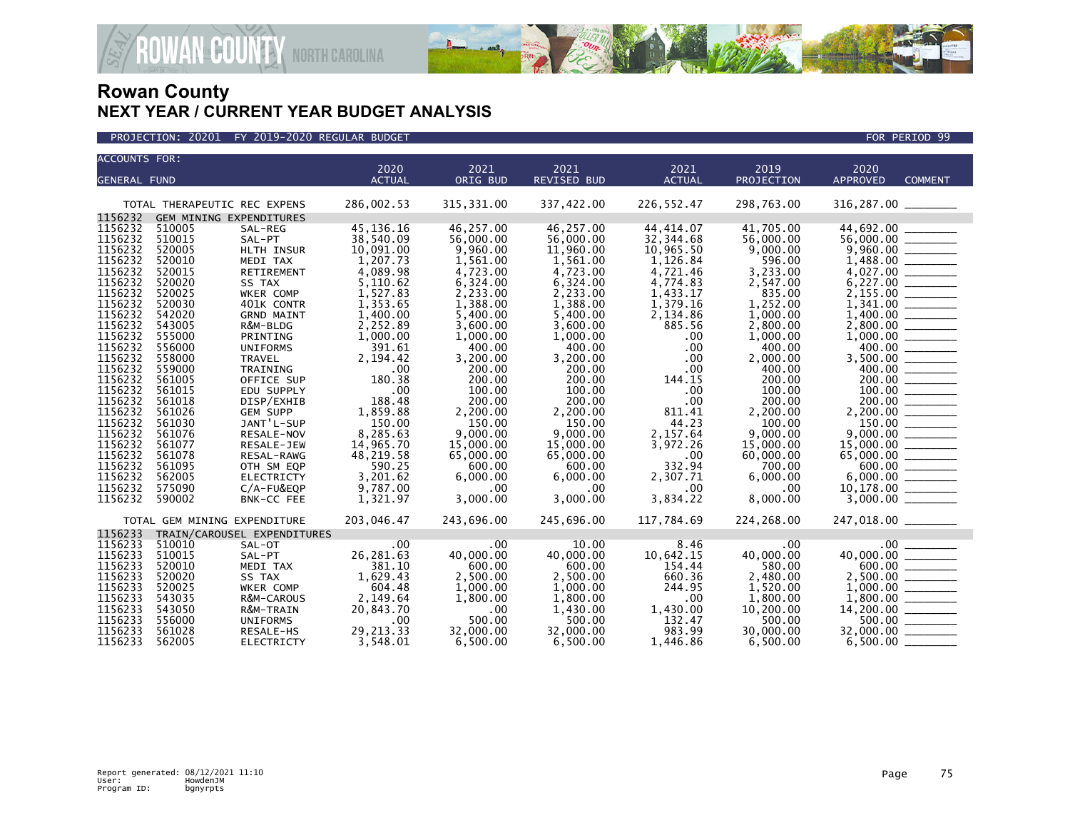

| <b>ACCOUNTS FOR:</b><br>2019<br>2020<br>2021<br>2021<br>2021<br>2020<br><b>REVISED BUD</b><br><b>ACTUAL</b><br>PROJECTION<br><b>ACTUAL</b><br>ORIG BUD<br><b>APPROVED</b><br><b>COMMENT</b><br><b>GENERAL FUND</b><br>286,002.53<br>315, 331.00<br>337,422.00<br>226,552.47<br>298,763.00<br>$316, 287.00$ ________<br>TOTAL THERAPEUTIC REC EXPENS<br>GEM MINING EXPENDITURES<br>1156232<br>44,692.00<br>510005<br>45, 136. 16<br>46,257.00<br>46,257.00<br>44,414.07<br>41,705.00<br>SAL-REG<br>1156232<br>510015<br>38,540.09<br>56,000.00<br>56,000.00<br>56,000.00 _______<br>SAL-PT<br>56,000.00<br>32,344.68<br>1156232<br>520005<br>10,091.00<br>9.960.00<br>11,960.00<br>10,965.50<br>9.000.00<br>HLTH INSUR<br>1156232<br>1,207.73<br>520010<br>MEDI TAX<br>1,561.00<br>1,561.00<br>1,126.84<br>596.00<br>1156232<br>3,233.00<br>520015<br>4,089.98<br>4,723.00<br>4,721.46<br>RETIREMENT<br>4,723.00<br>1156232<br>5,110.62<br>2,547.00<br>520020<br>6,324.00<br>6,324.00<br>4,774.83<br>SS TAX<br>1156232<br>520025<br>1,527.83<br>2,233.00<br>2,233.00<br>1,433.17<br>835.00<br>WKER COMP<br>1156232<br>1,353.65<br>1,388.00<br>1,379.16<br>1,252.00<br>520030<br>401K CONTR<br>1,388.00<br>1156232<br>542020<br>1,400.00<br>5,400.00<br>2,134.86<br>1,000.00<br>5,400.00<br><b>GRND MAINT</b><br>1156232<br>543005<br>2,252.89<br>885.56<br>2,800.00<br>R&M-BLDG<br>3,600.00<br>3,600.00<br>1156232<br>555000<br>1,000.00<br>1,000.00<br>1,000.00<br>PRINTING<br>1,000.00<br>.00<br>400.00<br>1156232<br>556000<br>391.61<br>400.00<br>400.00<br>.00<br>400.00<br><b>UNIFORMS</b><br>3,200.00<br>3,500.00 _______<br>1156232<br>558000<br>2,194.42<br>3,200.00<br>.00<br>2,000.00<br><b>TRAVEL</b><br>1156232<br>559000<br>TRAINING<br>.00<br>200.00<br>200.00<br>.00<br>400.00<br>1156232<br>200.00<br>200.00<br>$\frac{200.00}{100.00}$<br>561005<br>180.38<br>200.00<br>144.15<br>OFFICE SUP<br>1156232<br>561015<br>.00<br>100.00<br>100.00<br>100.00<br>EDU SUPPLY<br>.00<br>188.48<br>1156232<br>200.00<br>200.00<br>200.00<br>561018<br>200.00<br>.00<br>DISP/EXHIB<br>1156232<br>1,859.88<br>2,200.00<br>2,200.00<br>561026<br>2,200.00<br>811.41<br><b>GEM SUPP</b><br>1156232<br>$\frac{150.00}{222.00}$<br>JANT'L-SUP<br>150.00<br>150.00<br>44.23<br>561030<br>150.00<br>100.00<br>1156232<br>8,285.63<br>561076<br>9,000.00<br>9,000.00<br>2,157.64<br>9,000.00<br>RESALE-NOV<br>14,965.70<br>1156232<br>561077<br>15,000.00<br>3,972.26<br>15,000.00<br>15,000.00<br>RESALE-JEW<br>1156232<br>561078<br>48,219.58<br>65,000.00<br>65,000.00<br>.00<br>60,000.00<br>RESAL-RAWG<br>332.94<br>1156232<br>561095<br>590.25<br>600.00<br>600.00<br>700.00<br>OTH SM EQP<br>1156232<br>6,000.00<br>562005<br>3,201.62<br>6,000.00<br>2,307.71<br>6,000.00<br><b>ELECTRICTY</b><br>1156232<br>9,787.00<br>575090<br>.00<br>$C/A$ -FU&EQP<br>$.00 \times$<br>.00<br>.00<br>3,000.00<br>3,000.00<br>3,834.22<br>8,000.00<br>1156232<br>590002<br>1,321.97<br>BNK-CC FEE<br>203,046.47<br>247,018.00 ________<br>243,696.00<br>245,696.00<br>117,784.69<br>224,268.00<br>TOTAL GEM MINING EXPENDITURE<br>1156233<br>TRAIN/CAROUSEL EXPENDITURES<br>1156233<br>510010<br>10.00<br>8.46<br>SAL-OT<br>.00.<br>$.00 \times$<br>.00<br>1156233<br>510015<br>26,281.63<br>40,000.00<br>10,642.15<br>40,000.00<br>40,000.00<br>SAL-PT<br>1156233<br>381.10<br>154.44<br>580.00<br>520010<br>600.00<br>600.00<br>MEDI TAX<br>1156233<br>2,500.00 _______<br>520020<br>1,629.43<br>2,500.00<br>660.36<br>2,480.00<br>SS TAX<br>2,500.00<br>1156233<br>520025<br>604.48<br>244.95<br>1,520.00<br>WKER COMP<br>1,000.00<br>1,000.00<br>1156233<br>543035<br>1,800.00<br>R&M-CAROUS<br>2,149.64<br>1,800.00<br>1,800.00<br>.00<br>1156233<br>543050<br>20,843.70<br>10,200.00<br>1,430.00<br>1,430.00<br>R&M-TRAIN<br>$.00 \,$<br>132.47<br>1156233<br>500.00<br>$500.00$ _________<br>556000<br>500.00<br>500.00<br><b>UNIFORMS</b><br>.00<br>1156233<br>29, 213. 33<br>32,000.00<br>32,000.00<br>30,000.00<br>561028<br>RESALE-HS<br>983.99 |         |        |                   |          |          |          |          |          |                 |  |
|-----------------------------------------------------------------------------------------------------------------------------------------------------------------------------------------------------------------------------------------------------------------------------------------------------------------------------------------------------------------------------------------------------------------------------------------------------------------------------------------------------------------------------------------------------------------------------------------------------------------------------------------------------------------------------------------------------------------------------------------------------------------------------------------------------------------------------------------------------------------------------------------------------------------------------------------------------------------------------------------------------------------------------------------------------------------------------------------------------------------------------------------------------------------------------------------------------------------------------------------------------------------------------------------------------------------------------------------------------------------------------------------------------------------------------------------------------------------------------------------------------------------------------------------------------------------------------------------------------------------------------------------------------------------------------------------------------------------------------------------------------------------------------------------------------------------------------------------------------------------------------------------------------------------------------------------------------------------------------------------------------------------------------------------------------------------------------------------------------------------------------------------------------------------------------------------------------------------------------------------------------------------------------------------------------------------------------------------------------------------------------------------------------------------------------------------------------------------------------------------------------------------------------------------------------------------------------------------------------------------------------------------------------------------------------------------------------------------------------------------------------------------------------------------------------------------------------------------------------------------------------------------------------------------------------------------------------------------------------------------------------------------------------------------------------------------------------------------------------------------------------------------------------------------------------------------------------------------------------------------------------------------------------------------------------------------------------------------------------------------------------------------------------------------------------------------------------------------------------------------------------------------------------------------------------------------------------------------------------------------------------------------------------------------------------------------------------------------------------------------------------------------------------------------------------------------------------------------------------------------------------------------------------------------------------------------------------------------------------------------------------------------------------------------------------|---------|--------|-------------------|----------|----------|----------|----------|----------|-----------------|--|
|                                                                                                                                                                                                                                                                                                                                                                                                                                                                                                                                                                                                                                                                                                                                                                                                                                                                                                                                                                                                                                                                                                                                                                                                                                                                                                                                                                                                                                                                                                                                                                                                                                                                                                                                                                                                                                                                                                                                                                                                                                                                                                                                                                                                                                                                                                                                                                                                                                                                                                                                                                                                                                                                                                                                                                                                                                                                                                                                                                                                                                                                                                                                                                                                                                                                                                                                                                                                                                                                                                                                                                                                                                                                                                                                                                                                                                                                                                                                                                                                                                                     |         |        |                   |          |          |          |          |          |                 |  |
|                                                                                                                                                                                                                                                                                                                                                                                                                                                                                                                                                                                                                                                                                                                                                                                                                                                                                                                                                                                                                                                                                                                                                                                                                                                                                                                                                                                                                                                                                                                                                                                                                                                                                                                                                                                                                                                                                                                                                                                                                                                                                                                                                                                                                                                                                                                                                                                                                                                                                                                                                                                                                                                                                                                                                                                                                                                                                                                                                                                                                                                                                                                                                                                                                                                                                                                                                                                                                                                                                                                                                                                                                                                                                                                                                                                                                                                                                                                                                                                                                                                     |         |        |                   |          |          |          |          |          |                 |  |
|                                                                                                                                                                                                                                                                                                                                                                                                                                                                                                                                                                                                                                                                                                                                                                                                                                                                                                                                                                                                                                                                                                                                                                                                                                                                                                                                                                                                                                                                                                                                                                                                                                                                                                                                                                                                                                                                                                                                                                                                                                                                                                                                                                                                                                                                                                                                                                                                                                                                                                                                                                                                                                                                                                                                                                                                                                                                                                                                                                                                                                                                                                                                                                                                                                                                                                                                                                                                                                                                                                                                                                                                                                                                                                                                                                                                                                                                                                                                                                                                                                                     |         |        |                   |          |          |          |          |          |                 |  |
|                                                                                                                                                                                                                                                                                                                                                                                                                                                                                                                                                                                                                                                                                                                                                                                                                                                                                                                                                                                                                                                                                                                                                                                                                                                                                                                                                                                                                                                                                                                                                                                                                                                                                                                                                                                                                                                                                                                                                                                                                                                                                                                                                                                                                                                                                                                                                                                                                                                                                                                                                                                                                                                                                                                                                                                                                                                                                                                                                                                                                                                                                                                                                                                                                                                                                                                                                                                                                                                                                                                                                                                                                                                                                                                                                                                                                                                                                                                                                                                                                                                     |         |        |                   |          |          |          |          |          |                 |  |
|                                                                                                                                                                                                                                                                                                                                                                                                                                                                                                                                                                                                                                                                                                                                                                                                                                                                                                                                                                                                                                                                                                                                                                                                                                                                                                                                                                                                                                                                                                                                                                                                                                                                                                                                                                                                                                                                                                                                                                                                                                                                                                                                                                                                                                                                                                                                                                                                                                                                                                                                                                                                                                                                                                                                                                                                                                                                                                                                                                                                                                                                                                                                                                                                                                                                                                                                                                                                                                                                                                                                                                                                                                                                                                                                                                                                                                                                                                                                                                                                                                                     | 1156232 |        |                   |          |          |          |          |          |                 |  |
|                                                                                                                                                                                                                                                                                                                                                                                                                                                                                                                                                                                                                                                                                                                                                                                                                                                                                                                                                                                                                                                                                                                                                                                                                                                                                                                                                                                                                                                                                                                                                                                                                                                                                                                                                                                                                                                                                                                                                                                                                                                                                                                                                                                                                                                                                                                                                                                                                                                                                                                                                                                                                                                                                                                                                                                                                                                                                                                                                                                                                                                                                                                                                                                                                                                                                                                                                                                                                                                                                                                                                                                                                                                                                                                                                                                                                                                                                                                                                                                                                                                     |         |        |                   |          |          |          |          |          |                 |  |
|                                                                                                                                                                                                                                                                                                                                                                                                                                                                                                                                                                                                                                                                                                                                                                                                                                                                                                                                                                                                                                                                                                                                                                                                                                                                                                                                                                                                                                                                                                                                                                                                                                                                                                                                                                                                                                                                                                                                                                                                                                                                                                                                                                                                                                                                                                                                                                                                                                                                                                                                                                                                                                                                                                                                                                                                                                                                                                                                                                                                                                                                                                                                                                                                                                                                                                                                                                                                                                                                                                                                                                                                                                                                                                                                                                                                                                                                                                                                                                                                                                                     |         |        |                   |          |          |          |          |          |                 |  |
|                                                                                                                                                                                                                                                                                                                                                                                                                                                                                                                                                                                                                                                                                                                                                                                                                                                                                                                                                                                                                                                                                                                                                                                                                                                                                                                                                                                                                                                                                                                                                                                                                                                                                                                                                                                                                                                                                                                                                                                                                                                                                                                                                                                                                                                                                                                                                                                                                                                                                                                                                                                                                                                                                                                                                                                                                                                                                                                                                                                                                                                                                                                                                                                                                                                                                                                                                                                                                                                                                                                                                                                                                                                                                                                                                                                                                                                                                                                                                                                                                                                     |         |        |                   |          |          |          |          |          |                 |  |
|                                                                                                                                                                                                                                                                                                                                                                                                                                                                                                                                                                                                                                                                                                                                                                                                                                                                                                                                                                                                                                                                                                                                                                                                                                                                                                                                                                                                                                                                                                                                                                                                                                                                                                                                                                                                                                                                                                                                                                                                                                                                                                                                                                                                                                                                                                                                                                                                                                                                                                                                                                                                                                                                                                                                                                                                                                                                                                                                                                                                                                                                                                                                                                                                                                                                                                                                                                                                                                                                                                                                                                                                                                                                                                                                                                                                                                                                                                                                                                                                                                                     |         |        |                   |          |          |          |          |          |                 |  |
|                                                                                                                                                                                                                                                                                                                                                                                                                                                                                                                                                                                                                                                                                                                                                                                                                                                                                                                                                                                                                                                                                                                                                                                                                                                                                                                                                                                                                                                                                                                                                                                                                                                                                                                                                                                                                                                                                                                                                                                                                                                                                                                                                                                                                                                                                                                                                                                                                                                                                                                                                                                                                                                                                                                                                                                                                                                                                                                                                                                                                                                                                                                                                                                                                                                                                                                                                                                                                                                                                                                                                                                                                                                                                                                                                                                                                                                                                                                                                                                                                                                     |         |        |                   |          |          |          |          |          |                 |  |
|                                                                                                                                                                                                                                                                                                                                                                                                                                                                                                                                                                                                                                                                                                                                                                                                                                                                                                                                                                                                                                                                                                                                                                                                                                                                                                                                                                                                                                                                                                                                                                                                                                                                                                                                                                                                                                                                                                                                                                                                                                                                                                                                                                                                                                                                                                                                                                                                                                                                                                                                                                                                                                                                                                                                                                                                                                                                                                                                                                                                                                                                                                                                                                                                                                                                                                                                                                                                                                                                                                                                                                                                                                                                                                                                                                                                                                                                                                                                                                                                                                                     |         |        |                   |          |          |          |          |          |                 |  |
|                                                                                                                                                                                                                                                                                                                                                                                                                                                                                                                                                                                                                                                                                                                                                                                                                                                                                                                                                                                                                                                                                                                                                                                                                                                                                                                                                                                                                                                                                                                                                                                                                                                                                                                                                                                                                                                                                                                                                                                                                                                                                                                                                                                                                                                                                                                                                                                                                                                                                                                                                                                                                                                                                                                                                                                                                                                                                                                                                                                                                                                                                                                                                                                                                                                                                                                                                                                                                                                                                                                                                                                                                                                                                                                                                                                                                                                                                                                                                                                                                                                     |         |        |                   |          |          |          |          |          |                 |  |
|                                                                                                                                                                                                                                                                                                                                                                                                                                                                                                                                                                                                                                                                                                                                                                                                                                                                                                                                                                                                                                                                                                                                                                                                                                                                                                                                                                                                                                                                                                                                                                                                                                                                                                                                                                                                                                                                                                                                                                                                                                                                                                                                                                                                                                                                                                                                                                                                                                                                                                                                                                                                                                                                                                                                                                                                                                                                                                                                                                                                                                                                                                                                                                                                                                                                                                                                                                                                                                                                                                                                                                                                                                                                                                                                                                                                                                                                                                                                                                                                                                                     |         |        |                   |          |          |          |          |          |                 |  |
|                                                                                                                                                                                                                                                                                                                                                                                                                                                                                                                                                                                                                                                                                                                                                                                                                                                                                                                                                                                                                                                                                                                                                                                                                                                                                                                                                                                                                                                                                                                                                                                                                                                                                                                                                                                                                                                                                                                                                                                                                                                                                                                                                                                                                                                                                                                                                                                                                                                                                                                                                                                                                                                                                                                                                                                                                                                                                                                                                                                                                                                                                                                                                                                                                                                                                                                                                                                                                                                                                                                                                                                                                                                                                                                                                                                                                                                                                                                                                                                                                                                     |         |        |                   |          |          |          |          |          |                 |  |
|                                                                                                                                                                                                                                                                                                                                                                                                                                                                                                                                                                                                                                                                                                                                                                                                                                                                                                                                                                                                                                                                                                                                                                                                                                                                                                                                                                                                                                                                                                                                                                                                                                                                                                                                                                                                                                                                                                                                                                                                                                                                                                                                                                                                                                                                                                                                                                                                                                                                                                                                                                                                                                                                                                                                                                                                                                                                                                                                                                                                                                                                                                                                                                                                                                                                                                                                                                                                                                                                                                                                                                                                                                                                                                                                                                                                                                                                                                                                                                                                                                                     |         |        |                   |          |          |          |          |          |                 |  |
|                                                                                                                                                                                                                                                                                                                                                                                                                                                                                                                                                                                                                                                                                                                                                                                                                                                                                                                                                                                                                                                                                                                                                                                                                                                                                                                                                                                                                                                                                                                                                                                                                                                                                                                                                                                                                                                                                                                                                                                                                                                                                                                                                                                                                                                                                                                                                                                                                                                                                                                                                                                                                                                                                                                                                                                                                                                                                                                                                                                                                                                                                                                                                                                                                                                                                                                                                                                                                                                                                                                                                                                                                                                                                                                                                                                                                                                                                                                                                                                                                                                     |         |        |                   |          |          |          |          |          |                 |  |
|                                                                                                                                                                                                                                                                                                                                                                                                                                                                                                                                                                                                                                                                                                                                                                                                                                                                                                                                                                                                                                                                                                                                                                                                                                                                                                                                                                                                                                                                                                                                                                                                                                                                                                                                                                                                                                                                                                                                                                                                                                                                                                                                                                                                                                                                                                                                                                                                                                                                                                                                                                                                                                                                                                                                                                                                                                                                                                                                                                                                                                                                                                                                                                                                                                                                                                                                                                                                                                                                                                                                                                                                                                                                                                                                                                                                                                                                                                                                                                                                                                                     |         |        |                   |          |          |          |          |          |                 |  |
|                                                                                                                                                                                                                                                                                                                                                                                                                                                                                                                                                                                                                                                                                                                                                                                                                                                                                                                                                                                                                                                                                                                                                                                                                                                                                                                                                                                                                                                                                                                                                                                                                                                                                                                                                                                                                                                                                                                                                                                                                                                                                                                                                                                                                                                                                                                                                                                                                                                                                                                                                                                                                                                                                                                                                                                                                                                                                                                                                                                                                                                                                                                                                                                                                                                                                                                                                                                                                                                                                                                                                                                                                                                                                                                                                                                                                                                                                                                                                                                                                                                     |         |        |                   |          |          |          |          |          |                 |  |
|                                                                                                                                                                                                                                                                                                                                                                                                                                                                                                                                                                                                                                                                                                                                                                                                                                                                                                                                                                                                                                                                                                                                                                                                                                                                                                                                                                                                                                                                                                                                                                                                                                                                                                                                                                                                                                                                                                                                                                                                                                                                                                                                                                                                                                                                                                                                                                                                                                                                                                                                                                                                                                                                                                                                                                                                                                                                                                                                                                                                                                                                                                                                                                                                                                                                                                                                                                                                                                                                                                                                                                                                                                                                                                                                                                                                                                                                                                                                                                                                                                                     |         |        |                   |          |          |          |          |          |                 |  |
|                                                                                                                                                                                                                                                                                                                                                                                                                                                                                                                                                                                                                                                                                                                                                                                                                                                                                                                                                                                                                                                                                                                                                                                                                                                                                                                                                                                                                                                                                                                                                                                                                                                                                                                                                                                                                                                                                                                                                                                                                                                                                                                                                                                                                                                                                                                                                                                                                                                                                                                                                                                                                                                                                                                                                                                                                                                                                                                                                                                                                                                                                                                                                                                                                                                                                                                                                                                                                                                                                                                                                                                                                                                                                                                                                                                                                                                                                                                                                                                                                                                     |         |        |                   |          |          |          |          |          |                 |  |
|                                                                                                                                                                                                                                                                                                                                                                                                                                                                                                                                                                                                                                                                                                                                                                                                                                                                                                                                                                                                                                                                                                                                                                                                                                                                                                                                                                                                                                                                                                                                                                                                                                                                                                                                                                                                                                                                                                                                                                                                                                                                                                                                                                                                                                                                                                                                                                                                                                                                                                                                                                                                                                                                                                                                                                                                                                                                                                                                                                                                                                                                                                                                                                                                                                                                                                                                                                                                                                                                                                                                                                                                                                                                                                                                                                                                                                                                                                                                                                                                                                                     |         |        |                   |          |          |          |          |          |                 |  |
|                                                                                                                                                                                                                                                                                                                                                                                                                                                                                                                                                                                                                                                                                                                                                                                                                                                                                                                                                                                                                                                                                                                                                                                                                                                                                                                                                                                                                                                                                                                                                                                                                                                                                                                                                                                                                                                                                                                                                                                                                                                                                                                                                                                                                                                                                                                                                                                                                                                                                                                                                                                                                                                                                                                                                                                                                                                                                                                                                                                                                                                                                                                                                                                                                                                                                                                                                                                                                                                                                                                                                                                                                                                                                                                                                                                                                                                                                                                                                                                                                                                     |         |        |                   |          |          |          |          |          |                 |  |
|                                                                                                                                                                                                                                                                                                                                                                                                                                                                                                                                                                                                                                                                                                                                                                                                                                                                                                                                                                                                                                                                                                                                                                                                                                                                                                                                                                                                                                                                                                                                                                                                                                                                                                                                                                                                                                                                                                                                                                                                                                                                                                                                                                                                                                                                                                                                                                                                                                                                                                                                                                                                                                                                                                                                                                                                                                                                                                                                                                                                                                                                                                                                                                                                                                                                                                                                                                                                                                                                                                                                                                                                                                                                                                                                                                                                                                                                                                                                                                                                                                                     |         |        |                   |          |          |          |          |          |                 |  |
|                                                                                                                                                                                                                                                                                                                                                                                                                                                                                                                                                                                                                                                                                                                                                                                                                                                                                                                                                                                                                                                                                                                                                                                                                                                                                                                                                                                                                                                                                                                                                                                                                                                                                                                                                                                                                                                                                                                                                                                                                                                                                                                                                                                                                                                                                                                                                                                                                                                                                                                                                                                                                                                                                                                                                                                                                                                                                                                                                                                                                                                                                                                                                                                                                                                                                                                                                                                                                                                                                                                                                                                                                                                                                                                                                                                                                                                                                                                                                                                                                                                     |         |        |                   |          |          |          |          |          |                 |  |
|                                                                                                                                                                                                                                                                                                                                                                                                                                                                                                                                                                                                                                                                                                                                                                                                                                                                                                                                                                                                                                                                                                                                                                                                                                                                                                                                                                                                                                                                                                                                                                                                                                                                                                                                                                                                                                                                                                                                                                                                                                                                                                                                                                                                                                                                                                                                                                                                                                                                                                                                                                                                                                                                                                                                                                                                                                                                                                                                                                                                                                                                                                                                                                                                                                                                                                                                                                                                                                                                                                                                                                                                                                                                                                                                                                                                                                                                                                                                                                                                                                                     |         |        |                   |          |          |          |          |          |                 |  |
|                                                                                                                                                                                                                                                                                                                                                                                                                                                                                                                                                                                                                                                                                                                                                                                                                                                                                                                                                                                                                                                                                                                                                                                                                                                                                                                                                                                                                                                                                                                                                                                                                                                                                                                                                                                                                                                                                                                                                                                                                                                                                                                                                                                                                                                                                                                                                                                                                                                                                                                                                                                                                                                                                                                                                                                                                                                                                                                                                                                                                                                                                                                                                                                                                                                                                                                                                                                                                                                                                                                                                                                                                                                                                                                                                                                                                                                                                                                                                                                                                                                     |         |        |                   |          |          |          |          |          |                 |  |
|                                                                                                                                                                                                                                                                                                                                                                                                                                                                                                                                                                                                                                                                                                                                                                                                                                                                                                                                                                                                                                                                                                                                                                                                                                                                                                                                                                                                                                                                                                                                                                                                                                                                                                                                                                                                                                                                                                                                                                                                                                                                                                                                                                                                                                                                                                                                                                                                                                                                                                                                                                                                                                                                                                                                                                                                                                                                                                                                                                                                                                                                                                                                                                                                                                                                                                                                                                                                                                                                                                                                                                                                                                                                                                                                                                                                                                                                                                                                                                                                                                                     |         |        |                   |          |          |          |          |          |                 |  |
|                                                                                                                                                                                                                                                                                                                                                                                                                                                                                                                                                                                                                                                                                                                                                                                                                                                                                                                                                                                                                                                                                                                                                                                                                                                                                                                                                                                                                                                                                                                                                                                                                                                                                                                                                                                                                                                                                                                                                                                                                                                                                                                                                                                                                                                                                                                                                                                                                                                                                                                                                                                                                                                                                                                                                                                                                                                                                                                                                                                                                                                                                                                                                                                                                                                                                                                                                                                                                                                                                                                                                                                                                                                                                                                                                                                                                                                                                                                                                                                                                                                     |         |        |                   |          |          |          |          |          |                 |  |
|                                                                                                                                                                                                                                                                                                                                                                                                                                                                                                                                                                                                                                                                                                                                                                                                                                                                                                                                                                                                                                                                                                                                                                                                                                                                                                                                                                                                                                                                                                                                                                                                                                                                                                                                                                                                                                                                                                                                                                                                                                                                                                                                                                                                                                                                                                                                                                                                                                                                                                                                                                                                                                                                                                                                                                                                                                                                                                                                                                                                                                                                                                                                                                                                                                                                                                                                                                                                                                                                                                                                                                                                                                                                                                                                                                                                                                                                                                                                                                                                                                                     |         |        |                   |          |          |          |          |          |                 |  |
|                                                                                                                                                                                                                                                                                                                                                                                                                                                                                                                                                                                                                                                                                                                                                                                                                                                                                                                                                                                                                                                                                                                                                                                                                                                                                                                                                                                                                                                                                                                                                                                                                                                                                                                                                                                                                                                                                                                                                                                                                                                                                                                                                                                                                                                                                                                                                                                                                                                                                                                                                                                                                                                                                                                                                                                                                                                                                                                                                                                                                                                                                                                                                                                                                                                                                                                                                                                                                                                                                                                                                                                                                                                                                                                                                                                                                                                                                                                                                                                                                                                     |         |        |                   |          |          |          |          |          |                 |  |
|                                                                                                                                                                                                                                                                                                                                                                                                                                                                                                                                                                                                                                                                                                                                                                                                                                                                                                                                                                                                                                                                                                                                                                                                                                                                                                                                                                                                                                                                                                                                                                                                                                                                                                                                                                                                                                                                                                                                                                                                                                                                                                                                                                                                                                                                                                                                                                                                                                                                                                                                                                                                                                                                                                                                                                                                                                                                                                                                                                                                                                                                                                                                                                                                                                                                                                                                                                                                                                                                                                                                                                                                                                                                                                                                                                                                                                                                                                                                                                                                                                                     |         |        |                   |          |          |          |          |          |                 |  |
|                                                                                                                                                                                                                                                                                                                                                                                                                                                                                                                                                                                                                                                                                                                                                                                                                                                                                                                                                                                                                                                                                                                                                                                                                                                                                                                                                                                                                                                                                                                                                                                                                                                                                                                                                                                                                                                                                                                                                                                                                                                                                                                                                                                                                                                                                                                                                                                                                                                                                                                                                                                                                                                                                                                                                                                                                                                                                                                                                                                                                                                                                                                                                                                                                                                                                                                                                                                                                                                                                                                                                                                                                                                                                                                                                                                                                                                                                                                                                                                                                                                     |         |        |                   |          |          |          |          |          |                 |  |
|                                                                                                                                                                                                                                                                                                                                                                                                                                                                                                                                                                                                                                                                                                                                                                                                                                                                                                                                                                                                                                                                                                                                                                                                                                                                                                                                                                                                                                                                                                                                                                                                                                                                                                                                                                                                                                                                                                                                                                                                                                                                                                                                                                                                                                                                                                                                                                                                                                                                                                                                                                                                                                                                                                                                                                                                                                                                                                                                                                                                                                                                                                                                                                                                                                                                                                                                                                                                                                                                                                                                                                                                                                                                                                                                                                                                                                                                                                                                                                                                                                                     |         |        |                   |          |          |          |          |          |                 |  |
|                                                                                                                                                                                                                                                                                                                                                                                                                                                                                                                                                                                                                                                                                                                                                                                                                                                                                                                                                                                                                                                                                                                                                                                                                                                                                                                                                                                                                                                                                                                                                                                                                                                                                                                                                                                                                                                                                                                                                                                                                                                                                                                                                                                                                                                                                                                                                                                                                                                                                                                                                                                                                                                                                                                                                                                                                                                                                                                                                                                                                                                                                                                                                                                                                                                                                                                                                                                                                                                                                                                                                                                                                                                                                                                                                                                                                                                                                                                                                                                                                                                     |         |        |                   |          |          |          |          |          |                 |  |
|                                                                                                                                                                                                                                                                                                                                                                                                                                                                                                                                                                                                                                                                                                                                                                                                                                                                                                                                                                                                                                                                                                                                                                                                                                                                                                                                                                                                                                                                                                                                                                                                                                                                                                                                                                                                                                                                                                                                                                                                                                                                                                                                                                                                                                                                                                                                                                                                                                                                                                                                                                                                                                                                                                                                                                                                                                                                                                                                                                                                                                                                                                                                                                                                                                                                                                                                                                                                                                                                                                                                                                                                                                                                                                                                                                                                                                                                                                                                                                                                                                                     |         |        |                   |          |          |          |          |          |                 |  |
|                                                                                                                                                                                                                                                                                                                                                                                                                                                                                                                                                                                                                                                                                                                                                                                                                                                                                                                                                                                                                                                                                                                                                                                                                                                                                                                                                                                                                                                                                                                                                                                                                                                                                                                                                                                                                                                                                                                                                                                                                                                                                                                                                                                                                                                                                                                                                                                                                                                                                                                                                                                                                                                                                                                                                                                                                                                                                                                                                                                                                                                                                                                                                                                                                                                                                                                                                                                                                                                                                                                                                                                                                                                                                                                                                                                                                                                                                                                                                                                                                                                     |         |        |                   |          |          |          |          |          |                 |  |
|                                                                                                                                                                                                                                                                                                                                                                                                                                                                                                                                                                                                                                                                                                                                                                                                                                                                                                                                                                                                                                                                                                                                                                                                                                                                                                                                                                                                                                                                                                                                                                                                                                                                                                                                                                                                                                                                                                                                                                                                                                                                                                                                                                                                                                                                                                                                                                                                                                                                                                                                                                                                                                                                                                                                                                                                                                                                                                                                                                                                                                                                                                                                                                                                                                                                                                                                                                                                                                                                                                                                                                                                                                                                                                                                                                                                                                                                                                                                                                                                                                                     |         |        |                   |          |          |          |          |          |                 |  |
|                                                                                                                                                                                                                                                                                                                                                                                                                                                                                                                                                                                                                                                                                                                                                                                                                                                                                                                                                                                                                                                                                                                                                                                                                                                                                                                                                                                                                                                                                                                                                                                                                                                                                                                                                                                                                                                                                                                                                                                                                                                                                                                                                                                                                                                                                                                                                                                                                                                                                                                                                                                                                                                                                                                                                                                                                                                                                                                                                                                                                                                                                                                                                                                                                                                                                                                                                                                                                                                                                                                                                                                                                                                                                                                                                                                                                                                                                                                                                                                                                                                     |         |        |                   |          |          |          |          |          |                 |  |
|                                                                                                                                                                                                                                                                                                                                                                                                                                                                                                                                                                                                                                                                                                                                                                                                                                                                                                                                                                                                                                                                                                                                                                                                                                                                                                                                                                                                                                                                                                                                                                                                                                                                                                                                                                                                                                                                                                                                                                                                                                                                                                                                                                                                                                                                                                                                                                                                                                                                                                                                                                                                                                                                                                                                                                                                                                                                                                                                                                                                                                                                                                                                                                                                                                                                                                                                                                                                                                                                                                                                                                                                                                                                                                                                                                                                                                                                                                                                                                                                                                                     |         |        |                   |          |          |          |          |          |                 |  |
|                                                                                                                                                                                                                                                                                                                                                                                                                                                                                                                                                                                                                                                                                                                                                                                                                                                                                                                                                                                                                                                                                                                                                                                                                                                                                                                                                                                                                                                                                                                                                                                                                                                                                                                                                                                                                                                                                                                                                                                                                                                                                                                                                                                                                                                                                                                                                                                                                                                                                                                                                                                                                                                                                                                                                                                                                                                                                                                                                                                                                                                                                                                                                                                                                                                                                                                                                                                                                                                                                                                                                                                                                                                                                                                                                                                                                                                                                                                                                                                                                                                     |         |        |                   |          |          |          |          |          |                 |  |
|                                                                                                                                                                                                                                                                                                                                                                                                                                                                                                                                                                                                                                                                                                                                                                                                                                                                                                                                                                                                                                                                                                                                                                                                                                                                                                                                                                                                                                                                                                                                                                                                                                                                                                                                                                                                                                                                                                                                                                                                                                                                                                                                                                                                                                                                                                                                                                                                                                                                                                                                                                                                                                                                                                                                                                                                                                                                                                                                                                                                                                                                                                                                                                                                                                                                                                                                                                                                                                                                                                                                                                                                                                                                                                                                                                                                                                                                                                                                                                                                                                                     |         |        |                   |          |          |          |          |          |                 |  |
|                                                                                                                                                                                                                                                                                                                                                                                                                                                                                                                                                                                                                                                                                                                                                                                                                                                                                                                                                                                                                                                                                                                                                                                                                                                                                                                                                                                                                                                                                                                                                                                                                                                                                                                                                                                                                                                                                                                                                                                                                                                                                                                                                                                                                                                                                                                                                                                                                                                                                                                                                                                                                                                                                                                                                                                                                                                                                                                                                                                                                                                                                                                                                                                                                                                                                                                                                                                                                                                                                                                                                                                                                                                                                                                                                                                                                                                                                                                                                                                                                                                     | 1156233 | 562005 | <b>ELECTRICTY</b> | 3.548.01 | 6.500.00 | 6.500.00 | 1,446.86 | 6,500.00 | $6,500.00$ $\_$ |  |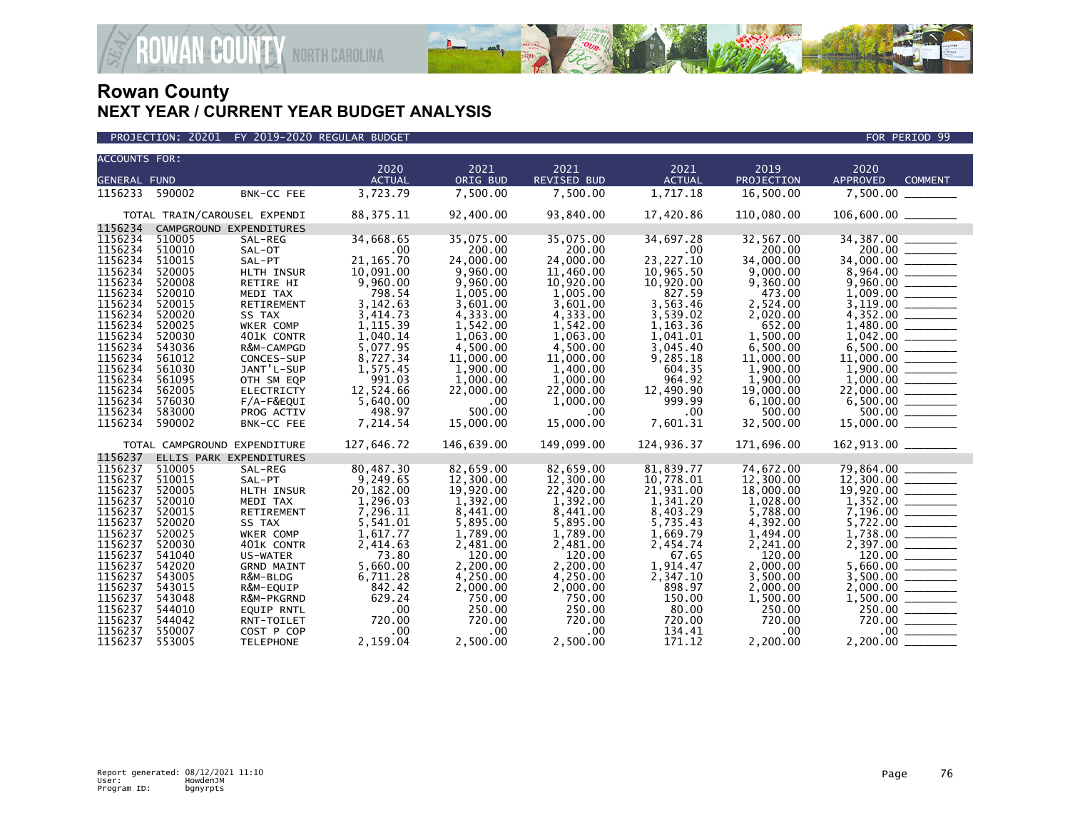

| PROJECTION: 20201 FY 2019-2020 REGULAR BUDGET | FOR PERIOD 99 |
|-----------------------------------------------|---------------|
|-----------------------------------------------|---------------|

| <b>ACCOUNTS FOR:</b> |        |                              |               |            |                    |               |            |                                   |
|----------------------|--------|------------------------------|---------------|------------|--------------------|---------------|------------|-----------------------------------|
|                      |        |                              | 2020          | 2021       | 2021               | 2021          | 2019       | 2020                              |
| <b>GENERAL FUND</b>  |        |                              | <b>ACTUAL</b> | ORIG BUD   | <b>REVISED BUD</b> | <b>ACTUAL</b> | PROJECTION | <b>APPROVED</b><br><b>COMMENT</b> |
| 1156233 590002       |        | BNK-CC FEE                   | 3,723.79      | 7,500.00   | 7,500.00           | 1,717.18      | 16,500.00  | 7,500.00                          |
|                      |        | TOTAL TRAIN/CAROUSEL EXPENDI | 88, 375. 11   | 92,400.00  | 93,840.00          | 17,420.86     | 110,080.00 | 106,600.00 ______                 |
| 1156234              |        | CAMPGROUND EXPENDITURES      |               |            |                    |               |            |                                   |
| 1156234              | 510005 | SAL-REG                      | 34,668.65     | 35,075.00  | 35,075.00          | 34,697.28     | 32,567.00  | 34,387.00                         |
| 1156234              | 510010 | SAL-OT                       | .00           | 200.00     | 200.00             | .00           | 200.00     | 200.00                            |
| 1156234              | 510015 | SAL-PT                       | 21, 165.70    | 24,000.00  | 24,000.00          | 23, 227. 10   | 34,000.00  | 34,000.00 _______                 |
| 1156234              | 520005 | HLTH INSUR                   | 10,091.00     | 9,960.00   | 11,460.00          | 10,965.50     | 9,000.00   |                                   |
| 1156234              | 520008 | RETIRE HI                    | 9,960.00      | 9,960.00   | 10,920.00          | 10,920.00     | 9,360.00   |                                   |
| 1156234              | 520010 | MEDI TAX                     | 798.54        | 1,005.00   | 1,005.00           | 827.59        | 473.00     |                                   |
| 1156234              | 520015 | RETIREMENT                   | 3,142.63      | 3,601.00   | 3,601.00           | 3,563.46      | 2,524.00   |                                   |
| 1156234              | 520020 | SS TAX                       | 3,414.73      | 4,333.00   | 4,333.00           | 3,539.02      | 2,020.00   |                                   |
| 1156234              | 520025 | WKER COMP                    | 1,115.39      | 1,542.00   | 1,542.00           | 1,163.36      | 652.00     |                                   |
| 1156234              | 520030 | 401K CONTR                   | 1,040.14      | 1,063.00   | 1,063.00           | 1,041.01      | 1,500.00   |                                   |
| 1156234              | 543036 | R&M-CAMPGD                   | 5,077.95      | 4,500.00   | 4,500.00           | 3,045.40      | 6,500.00   | 6,500.00                          |
| 1156234              | 561012 | CONCES-SUP                   | 8,727.34      | 11,000.00  | 11,000.00          | 9,285.18      | 11,000.00  |                                   |
| 1156234              | 561030 | JANT'L-SUP                   | 1,575.45      | 1,900.00   | 1,400.00           | 604.35        | 1,900.00   |                                   |
| 1156234              | 561095 | OTH SM EQP                   | 991.03        | 1,000.00   | 1,000.00           | 964.92        | 1,900.00   |                                   |
| 1156234              | 562005 | <b>ELECTRICTY</b>            | 12,524.66     | 22,000.00  | 22,000.00          | 12,490.90     | 19,000.00  |                                   |
| 1156234              | 576030 | F/A-F&EQUI                   | 5,640.00      | .00        | 1,000.00           | 999.99        | 6,100.00   |                                   |
| 1156234              | 583000 | PROG ACTIV                   | 498.97        | 500.00     | .00 <sub>1</sub>   | .00           | 500.00     | 500.00                            |
| 1156234              | 590002 | BNK-CC FEE                   | 7,214.54      | 15,000.00  | 15,000.00          | 7,601.31      | 32,500.00  |                                   |
|                      |        | TOTAL CAMPGROUND EXPENDITURE | 127,646.72    | 146,639.00 | 149,099.00         | 124,936.37    | 171,696.00 | 162,913.00 _______                |
| 1156237              |        | ELLIS PARK EXPENDITURES      |               |            |                    |               |            |                                   |
| 1156237              | 510005 | SAL-REG                      | 80,487.30     | 82,659.00  | 82,659.00          | 81,839.77     | 74,672.00  | 79,864.00                         |
| 1156237              | 510015 | SAL-PT                       | 9,249.65      | 12,300.00  | 12,300.00          | 10,778.01     | 12,300.00  | 12,300.00 _______                 |
| 1156237              | 520005 | HLTH INSUR                   | 20,182.00     | 19,920.00  | 22,420.00          | 21,931.00     | 18,000.00  |                                   |
| 1156237              | 520010 | MEDI TAX                     | 1,296.03      | 1,392.00   | 1,392.00           | 1,341.20      | 1,028.00   |                                   |
| 1156237              | 520015 | RETIREMENT                   | 7,296.11      | 8,441.00   | 8,441.00           | 8,403.29      | 5,788.00   |                                   |
| 1156237              | 520020 | SS TAX                       | 5,541.01      | 5,895.00   | 5,895.00           | 5,735.43      | 4,392.00   | 5,722.00                          |
| 1156237              | 520025 | WKER COMP                    | 1,617.77      | 1,789.00   | 1,789.00           | 1,669.79      | 1,494.00   |                                   |
| 1156237              | 520030 | 401K CONTR                   | 2,414.63      | 2,481.00   | 2,481.00           | 2,454.74      | 2,241.00   |                                   |
| 1156237              | 541040 | US-WATER                     | 73.80         | 120.00     | 120.00             | 67.65         | 120.00     |                                   |
| 1156237              | 542020 | <b>GRND MAINT</b>            | 5,660.00      | 2,200.00   | 2,200.00           | 1,914.47      | 2,000.00   | 5,660.00                          |
| 1156237              | 543005 | R&M-BLDG                     | 6,711.28      | 4,250.00   | 4,250.00           | 2,347.10      | 3,500.00   | 3.500.00                          |
| 1156237              | 543015 | R&M-EQUIP                    | 842.42        | 2,000.00   | 2,000.00           | 898.97        | 2,000.00   |                                   |
| 1156237              | 543048 | R&M-PKGRND                   | 629.24        | 750.00     | 750.00             | 150.00        | 1,500.00   |                                   |
| 1156237              | 544010 | EQUIP RNTL                   | .00           | 250.00     | 250.00             | 80.00         | 250.00     | 250.00                            |
| 1156237              | 544042 | RNT-TOILET                   | 720.00        | 720.00     | 720.00             | 720.00        | 720.00     | 720.00                            |
| 1156237              | 550007 | COST P COP                   | .00           | .00        | $.00 \,$           | 134.41        | $.00 \,$   |                                   |
| 1156237              | 553005 | <b>TELEPHONE</b>             | 2,159.04      | 2,500.00   | 2,500.00           | 171.12        | 2,200.00   | 2,200.00                          |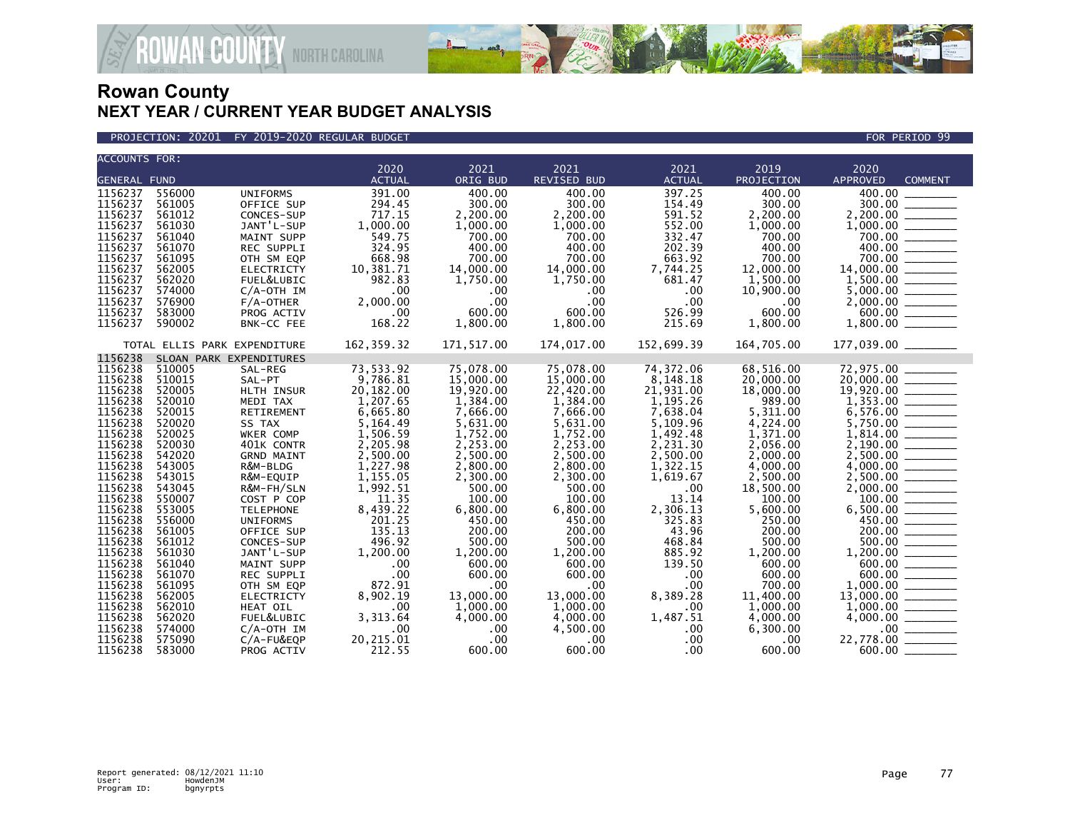

### PROJECTION: 20201 FY 2019-2020 REGULAR BUDGET FOR PERIOD 99

**ROWAN-COUNTY NORTH CAROLINA** 

| <b>ACCOUNTS FOR:</b> |        |                              |               |            |              |               |                   |                                                                                                                                                                                            |
|----------------------|--------|------------------------------|---------------|------------|--------------|---------------|-------------------|--------------------------------------------------------------------------------------------------------------------------------------------------------------------------------------------|
|                      |        |                              | 2020          | 2021       | 2021         | 2021          | 2019              | 2020                                                                                                                                                                                       |
| GENERAL FUND         |        |                              | <b>ACTUAL</b> | ORIG BUD   | REVISED BUD  | <b>ACTUAL</b> | <b>PROJECTION</b> | <b>APPROVED</b><br><b>COMMENT</b>                                                                                                                                                          |
| 1156237              | 556000 | <b>UNIFORMS</b>              | 391.00        | 400.00     | 400.00       | 397.25        | 400.00            | 400.00                                                                                                                                                                                     |
| 1156237              | 561005 | OFFICE SUP                   | 294.45        | 300.00     | 300.00       | 154.49        | 300.00            | 300.00                                                                                                                                                                                     |
| 1156237              | 561012 | CONCES-SUP                   | 717.15        | 2,200.00   | 2,200.00     | 591.52        | 2,200.00          |                                                                                                                                                                                            |
| 1156237              | 561030 | JANT'L-SUP                   | 1,000.00      | 1,000.00   | 1,000.00     | 552.00        | 1,000.00          |                                                                                                                                                                                            |
| 1156237              | 561040 | MAINT SUPP                   | 549.75        | 700.00     | 700.00       | 332.47        | 700.00            |                                                                                                                                                                                            |
| 1156237              | 561070 | REC SUPPLI                   | 324.95        | 400.00     | 400.00       | 202.39        | 400.00            |                                                                                                                                                                                            |
| 1156237              | 561095 | OTH SM EQP                   | 668.98        | 700.00     | 700.00       | 663.92        | 700.00            |                                                                                                                                                                                            |
| 1156237              | 562005 | <b>ELECTRICTY</b>            | 10,381.71     | 14,000.00  | 14,000.00    | 7,744.25      | 12,000.00         |                                                                                                                                                                                            |
| 1156237              | 562020 | FUEL&LUBIC                   | 982.83        | 1,750.00   | 1,750.00     | 681.47        | 1,500.00          |                                                                                                                                                                                            |
| 1156237              | 574000 | $C/A$ -OTH IM                | .00           | .00        | .00.         | .00           | 10,900.00         | $\begin{array}{r} 700.00 \ \hline 400.00 \ \hline 700.00 \ \hline 1,500.00 \ \hline 1,500.00 \ \hline 5,000.00 \ \hline 2,000.00 \ \hline 600.00 \ \hline \end{array}$                     |
| 1156237              | 576900 | $F/A$ -OTHER                 | 2.000.00      | .00        | $.00 \times$ | .00           | .00               |                                                                                                                                                                                            |
| 1156237              | 583000 | PROG ACTIV                   | .00           | 600.00     | 600.00       | 526.99        | 600.00            |                                                                                                                                                                                            |
| 1156237              | 590002 | BNK-CC FEE                   | 168.22        | 1,800.00   | 1,800.00     | 215.69        | 1,800.00          | $1,800.00$ ________                                                                                                                                                                        |
|                      |        |                              |               |            |              |               |                   |                                                                                                                                                                                            |
|                      |        | TOTAL ELLIS PARK EXPENDITURE | 162,359.32    | 171,517.00 | 174,017.00   | 152,699.39    | 164,705.00        |                                                                                                                                                                                            |
| 1156238              |        | SLOAN PARK EXPENDITURES      |               |            |              |               |                   |                                                                                                                                                                                            |
| 1156238              | 510005 | SAL-REG                      | 73,533.92     | 75.078.00  | 75,078.00    | 74,372.06     | 68.516.00         | 72,975.00                                                                                                                                                                                  |
| 1156238              | 510015 | SAL-PT                       | 9,786.81      | 15,000.00  | 15,000.00    | 8,148.18      | 20,000.00         | $20,000.00$ ________                                                                                                                                                                       |
| 1156238              | 520005 | HLTH INSUR                   | 20,182.00     | 19,920.00  | 22,420.00    | 21,931.00     | 18,000.00         |                                                                                                                                                                                            |
| 1156238              | 520010 | MEDI TAX                     | 1,207.65      | 1,384.00   | 1,384.00     | 1,195.26      | 989.00            | $\overline{19,920.00}$ $\overline{1,353.00}$                                                                                                                                               |
| 1156238              | 520015 | RETIREMENT                   | 6,665.80      | 7,666.00   | 7,666.00     | 7,638.04      | 5,311.00          | $6,576.00$<br>$5,750.00$<br>$1,814.00$<br>$2,190.00$<br>$4,000.00$<br>$4,000.00$                                                                                                           |
| 1156238              | 520020 | SS TAX                       | 5,164.49      | 5,631.00   | 5,631.00     | 5,109.96      | 4,224.00          |                                                                                                                                                                                            |
| 1156238              | 520025 | WKER COMP                    | 1,506.59      | 1,752.00   | 1,752.00     | 1,492.48      | 1,371.00          |                                                                                                                                                                                            |
| 1156238              | 520030 | 401K CONTR                   | 2,205.98      | 2,253.00   | 2,253.00     | 2,231.30      | 2,056.00          |                                                                                                                                                                                            |
| 1156238              | 542020 | <b>GRND MAINT</b>            | 2,500.00      | 2,500.00   | 2,500.00     | 2,500.00      | 2,000.00          |                                                                                                                                                                                            |
| 1156238              | 543005 | R&M-BLDG                     | 1,227.98      | 2,800.00   | 2,800.00     | 1,322.15      | 4,000.00          |                                                                                                                                                                                            |
| 1156238              | 543015 | R&M-EQUIP                    | 1,155.05      | 2,300.00   | 2,300.00     | 1,619.67      | 2,500.00          |                                                                                                                                                                                            |
| 1156238              | 543045 | R&M-FH/SLN                   | 1,992.51      | 500.00     | 500.00       | .00           | 18,500.00         |                                                                                                                                                                                            |
| 1156238              | 550007 | COST P COP                   | 11.35         | 100.00     | 100.00       | 13.14         | 100.00            |                                                                                                                                                                                            |
| 1156238              | 553005 | <b>TELEPHONE</b>             | 8,439.22      | 6,800.00   | 6,800.00     | 2,306.13      | 5,600.00          | $2,000.00$<br>$100.00$<br>$6,500.00$<br>$450.00$<br>$200.00$<br>$500.00$<br>$1,200.00$                                                                                                     |
| 1156238              | 556000 | <b>UNIFORMS</b>              | 201.25        | 450.00     | 450.00       | 325.83        | 250.00            |                                                                                                                                                                                            |
| 1156238              | 561005 | OFFICE SUP                   | 135.13        | 200.00     | 200.00       | 43.96         | 200.00            |                                                                                                                                                                                            |
| 1156238              | 561012 | CONCES-SUP                   | 496.92        | 500.00     | 500.00       | 468.84        | 500.00            |                                                                                                                                                                                            |
| 1156238              | 561030 | JANT'L-SUP                   | 1,200.00      | 1,200.00   | 1.200.00     | 885.92        | 1,200.00          |                                                                                                                                                                                            |
| 1156238              | 561040 | MAINT SUPP                   | .00           | 600.00     | 600.00       | 139.50        | 600.00            |                                                                                                                                                                                            |
| 1156238              | 561070 | <b>REC SUPPLI</b>            | .00           | 600.00     | 600.00       | .00           | 600.00            |                                                                                                                                                                                            |
| 1156238              | 561095 | OTH SM EQP                   | 872.91        | .00        | .00.         | .00           | 700.00            | $\begin{array}{r} 1,200.00 \ \hline 600.00 \ \hline 1,000.00 \ \hline 1,000.00 \ \hline 1,000.00 \ \hline 1,000.00 \ \hline 4,000.00 \ \hline 4,000.00 \ \hline 0.00 \ \hline \end{array}$ |
| 1156238              | 562005 | ELECTRICTY                   | 8,902.19      | 13,000.00  | 13,000.00    | 8,389.28      | 11,400.00         |                                                                                                                                                                                            |
| 1156238              | 562010 | HEAT OIL                     | .00           | 1,000.00   | 1,000.00     | .00           | 1,000.00          |                                                                                                                                                                                            |
| 1156238              | 562020 | FUEL&LUBIC                   | 3,313.64      | 4,000.00   | 4,000.00     | 1,487.51      | 4,000.00          |                                                                                                                                                                                            |
| 1156238              | 574000 | $C/A$ -OTH IM                | .00           | .00        | 4,500.00     | $.00 \,$      | 6,300.00          |                                                                                                                                                                                            |
| 1156238              | 575090 | C/A-FU&EQP                   | 20,215.01     | .00        | .00.         | .00           | $.00 \,$          | 22,778.00                                                                                                                                                                                  |
| 1156238              | 583000 | PROG ACTIV                   | 212.55        | 600.00     | 600.00       | $.00 \,$      | 600.00            |                                                                                                                                                                                            |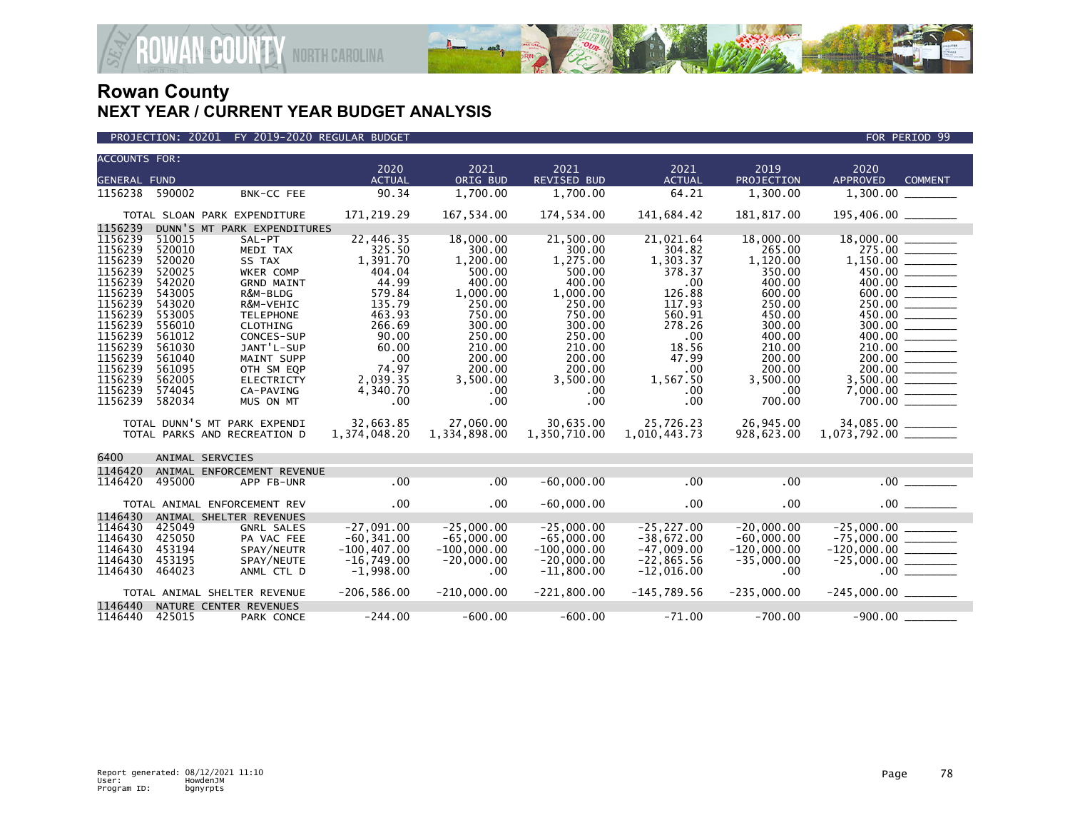

| PROJECTION: 20201 FY 2019-2020 REGULAR BUDGET | FOR PERIOD 99 |
|-----------------------------------------------|---------------|

| <b>ACCOUNTS FOR:</b> |        |                              | 2020           | 2021          | 2021               | 2021          | 2019          | 2020                     |                |
|----------------------|--------|------------------------------|----------------|---------------|--------------------|---------------|---------------|--------------------------|----------------|
| <b>GENERAL FUND</b>  |        |                              | <b>ACTUAL</b>  | ORIG BUD      | <b>REVISED BUD</b> | <b>ACTUAL</b> | PROJECTION    | APPROVED                 | <b>COMMENT</b> |
| 1156238              | 590002 | BNK-CC FEE                   | 90.34          | 1.700.00      | 1,700.00           | 64.21         | 1,300.00      |                          |                |
|                      |        |                              |                |               |                    |               |               |                          |                |
|                      |        | TOTAL SLOAN PARK EXPENDITURE | 171,219.29     | 167,534.00    | 174,534.00         | 141,684.42    | 181,817.00    | 195,406.00 ________      |                |
| 1156239              |        | DUNN'S MT PARK EXPENDITURES  |                |               |                    |               |               |                          |                |
| 1156239              | 510015 | SAL-PT                       | 22,446.35      | 18,000.00     | 21,500.00          | 21,021.64     | 18,000.00     |                          |                |
| 1156239              | 520010 | MEDI TAX                     | 325.50         | 300.00        | 300.00             | 304.82        | 265.00        | 275.00                   |                |
| 1156239              | 520020 | SS TAX                       | 1,391.70       | 1.200.00      | 1.275.00           | 1,303.37      | 1.120.00      |                          |                |
| 1156239              | 520025 | WKER COMP                    | 404.04         | 500.00        | 500.00             | 378.37        | 350.00        | 450.00 _______           |                |
| 1156239              | 542020 | <b>GRND MAINT</b>            | 44.99          | 400.00        | 400.00             | .00           | 400.00        | 400.00                   |                |
| 1156239              | 543005 | R&M-BLDG                     | 579.84         | 1,000.00      | 1,000.00           | 126.88        | 600.00        | 600.00 ________          |                |
| 1156239              | 543020 | R&M-VEHIC                    | 135.79         | 250.00        | 250.00             | 117.93        | 250.00        |                          |                |
| 1156239              | 553005 | <b>TELEPHONE</b>             | 463.93         | 750.00        | 750.00             | 560.91        | 450.00        | 450.00                   |                |
| 1156239              | 556010 | CLOTHING                     | 266.69         | 300.00        | 300.00             | 278.26        | 300.00        |                          |                |
| 1156239              | 561012 | CONCES-SUP                   | 90.00          | 250.00        | 250.00             | .00           | 400.00        |                          |                |
| 1156239              | 561030 | JANT'L-SUP                   | 60.00          | 210.00        | 210.00             | 18.56         | 210.00        | 210.00                   |                |
| 1156239              | 561040 | MAINT SUPP                   | .00            | 200.00        | 200.00             | 47.99         | 200.00        | 200.00                   |                |
| 1156239              | 561095 | OTH SM EQP                   | 74.97          | 200.00        | 200.00             | .00           | 200.00        | 200.00                   |                |
| 1156239              | 562005 | <b>ELECTRICTY</b>            | 2,039.35       | 3,500.00      | 3,500.00           | 1,567.50      | 3,500.00      | 3.500.00                 |                |
| 1156239              | 574045 | CA-PAVING                    | 4,340.70       | .00           | .00                | .00           | .00.          |                          |                |
| 1156239              | 582034 | MUS ON MT                    | .00            | .00           | .00 <sub>1</sub>   | .00           | 700.00        | 700.00                   |                |
|                      |        |                              |                |               |                    |               |               |                          |                |
|                      |        | TOTAL DUNN'S MT PARK EXPENDI | 32,663.85      | 27,060,00     | 30,635.00          | 25,726.23     | 26,945.00     | 34,085.00 _______        |                |
|                      |        | TOTAL PARKS AND RECREATION D | 1,374,048.20   | 1,334,898.00  | 1,350,710.00       | 1,010,443.73  | 928,623.00    | $1,073,792.00$ _________ |                |
| 6400                 |        | ANIMAL SERVCIES              |                |               |                    |               |               |                          |                |
| 1146420              |        | ANIMAL ENFORCEMENT REVENUE   |                |               |                    |               |               |                          |                |
| 1146420              | 495000 | APP FB-UNR                   | .00            | .00           | $-60,000.00$       | .00           | .00           | .00                      |                |
|                      |        |                              |                |               |                    |               |               |                          |                |
|                      |        | TOTAL ANIMAL ENFORCEMENT REV | .00            | $.00 \,$      | $-60,000.00$       | $.00 \times$  | .00           | .00                      |                |
| 1146430              |        | ANIMAL SHELTER REVENUES      |                |               |                    |               |               |                          |                |
| 1146430              | 425049 | <b>GNRL SALES</b>            | $-27,091.00$   | $-25,000.00$  | $-25,000.00$       | $-25, 227.00$ | $-20,000.00$  |                          |                |
| 1146430              | 425050 | PA VAC FEE                   | $-60, 341.00$  | $-65,000.00$  | $-65,000.00$       | $-38,672.00$  | $-60.000.00$  | $-75,000.00$ _________   |                |
| 1146430              | 453194 | SPAY/NEUTR                   | $-100, 407.00$ | $-100,000.00$ | $-100,000.00$      | $-47,009.00$  | $-120,000.00$ |                          |                |
| 1146430              | 453195 | SPAY/NEUTE                   | $-16,749.00$   | $-20,000.00$  | $-20,000.00$       | $-22,865.56$  | $-35,000.00$  |                          |                |
| 1146430              | 464023 | ANML CTL D                   | $-1,998.00$    | $.00 \times$  | $-11,800.00$       | $-12,016.00$  | .00           |                          |                |
|                      |        |                              | $-206,586.00$  | $-210,000.00$ | $-221,800.00$      | $-145,789.56$ | $-235,000.00$ |                          |                |
|                      |        | TOTAL ANIMAL SHELTER REVENUE |                |               |                    |               |               |                          |                |
| 1146440              |        | NATURE CENTER REVENUES       |                |               |                    |               |               |                          |                |
| 1146440              | 425015 | PARK CONCE                   | $-244.00$      | $-600.00$     | $-600.00$          | $-71.00$      | $-700.00$     | $-900.00$                |                |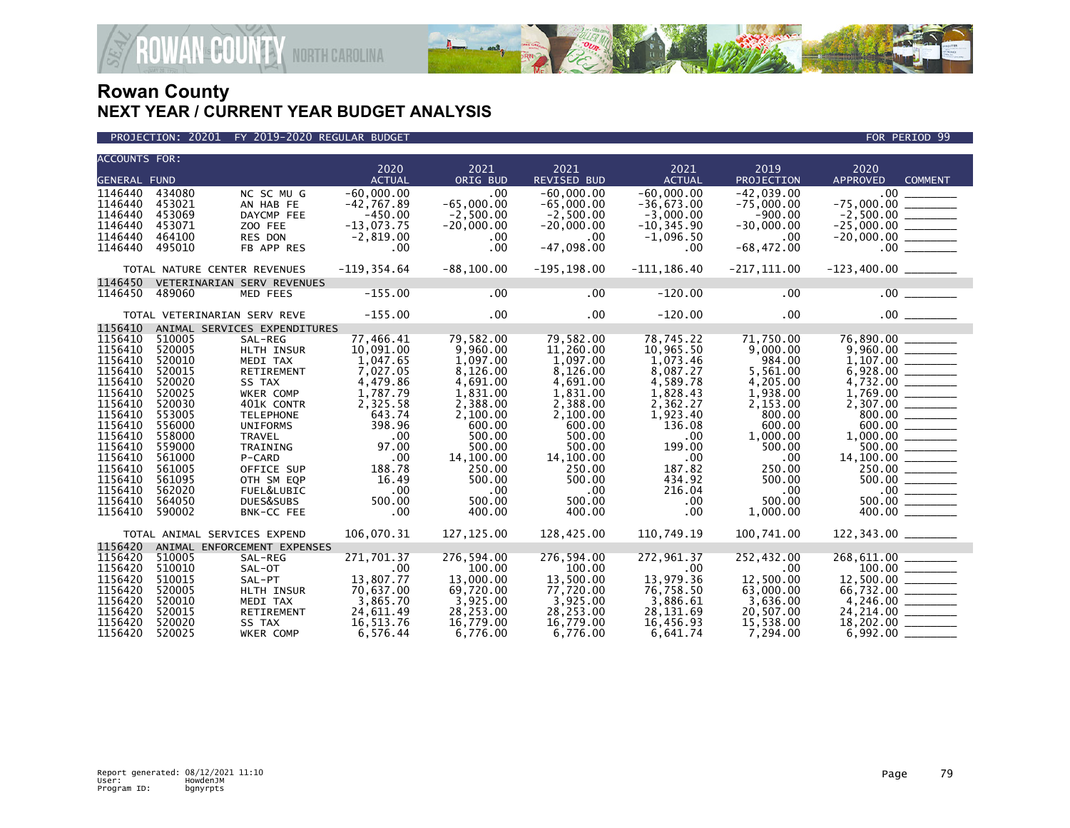



| <b>ACCOUNTS FOR:</b> |                  |                              |                  |                    |                        |                  |                    |                                                                                                                                                                                                                                                                                                                                                                                                                                                                                                        |  |
|----------------------|------------------|------------------------------|------------------|--------------------|------------------------|------------------|--------------------|--------------------------------------------------------------------------------------------------------------------------------------------------------------------------------------------------------------------------------------------------------------------------------------------------------------------------------------------------------------------------------------------------------------------------------------------------------------------------------------------------------|--|
|                      |                  |                              | 2020             | 2021               | 2021                   | 2021             | 2019               | 2020                                                                                                                                                                                                                                                                                                                                                                                                                                                                                                   |  |
| <b>GENERAL FUND</b>  |                  |                              | <b>ACTUAL</b>    | ORIG BUD           | REVISED BUD            | <b>ACTUAL</b>    | PROJECTION         | <b>APPROVED</b><br><b>COMMENT</b>                                                                                                                                                                                                                                                                                                                                                                                                                                                                      |  |
| 1146440              | 434080           | NC SC MU G                   | $-60.000.00$     | .00                | $-60.000.00$           | $-60.000.00$     | $-42.039.00$       | .00 <sub>1</sub>                                                                                                                                                                                                                                                                                                                                                                                                                                                                                       |  |
| 1146440              | 453021           | AN HAB FE                    | $-42,767.89$     | $-65,000.00$       | $-65.000.00$           | $-36.673.00$     | $-75,000.00$       | $-75.000.00$<br>$\begin{array}{cccccccccc} \multicolumn{2}{c}{} & \multicolumn{2}{c}{} & \multicolumn{2}{c}{} & \multicolumn{2}{c}{} & \multicolumn{2}{c}{} & \multicolumn{2}{c}{} & \multicolumn{2}{c}{} & \multicolumn{2}{c}{} & \multicolumn{2}{c}{} & \multicolumn{2}{c}{} & \multicolumn{2}{c}{} & \multicolumn{2}{c}{} & \multicolumn{2}{c}{} & \multicolumn{2}{c}{} & \multicolumn{2}{c}{} & \multicolumn{2}{c}{} & \multicolumn{2}{c}{} & \multicolumn{2}{c}{} & \multicolumn{2}{c}{} & \mult$ |  |
| 1146440              | 453069           | DAYCMP FEE                   | $-450.00$        | $-2,500.00$        | $-2,500.00$            | $-3,000.00$      | $-900.00$          |                                                                                                                                                                                                                                                                                                                                                                                                                                                                                                        |  |
| 1146440              | 453071           | ZOO FEE                      | $-13,073.75$     | $-20,000.00$       | $-20,000.00$           | $-10, 345.90$    | $-30,000.00$       | $-25,000.00$ _________                                                                                                                                                                                                                                                                                                                                                                                                                                                                                 |  |
| 1146440              | 464100           | RES DON                      | $-2,819.00$      | $.00 \,$           | $.00 \cdot$            | $-1,096.50$      | $.00 \,$           |                                                                                                                                                                                                                                                                                                                                                                                                                                                                                                        |  |
| 1146440              | 495010           | FB APP RES                   | $.00 \,$         | $.00 \,$           | $-47,098.00$           | .00              | $-68,472.00$       |                                                                                                                                                                                                                                                                                                                                                                                                                                                                                                        |  |
|                      |                  | TOTAL NATURE CENTER REVENUES | $-119, 354.64$   | $-88, 100.00$      | $-195, 198.00$         | $-111, 186.40$   | $-217, 111.00$     | $-123,400.00$ ________                                                                                                                                                                                                                                                                                                                                                                                                                                                                                 |  |
| 1146450              |                  | VETERINARIAN SERV REVENUES   |                  |                    |                        |                  |                    |                                                                                                                                                                                                                                                                                                                                                                                                                                                                                                        |  |
| 1146450              | 489060           | <b>MED FEES</b>              | $-155.00$        | .00                | .00                    | $-120.00$        | $.00 \,$           | $.00$ $\qquad$                                                                                                                                                                                                                                                                                                                                                                                                                                                                                         |  |
|                      |                  |                              |                  |                    |                        |                  |                    |                                                                                                                                                                                                                                                                                                                                                                                                                                                                                                        |  |
|                      |                  | TOTAL VETERINARIAN SERV REVE | $-155.00$        | $.00 \times$       | $.00 \times$           | $-120.00$        | $.00 \,$           | .00                                                                                                                                                                                                                                                                                                                                                                                                                                                                                                    |  |
| 1156410              |                  | ANIMAL SERVICES EXPENDITURES |                  |                    |                        |                  |                    |                                                                                                                                                                                                                                                                                                                                                                                                                                                                                                        |  |
| 1156410              | 510005           | SAL-REG                      | 77,466.41        | 79,582.00          | 79,582.00              | 78,745.22        | 71,750.00          | 76,890.00                                                                                                                                                                                                                                                                                                                                                                                                                                                                                              |  |
| 1156410              | 520005           | HLTH INSUR                   | 10,091.00        | 9,960.00           | 11,260.00              | 10,965.50        | 9,000.00           |                                                                                                                                                                                                                                                                                                                                                                                                                                                                                                        |  |
| 1156410              | 520010           | MEDI TAX                     | 1,047.65         | 1,097.00           | 1,097.00               | 1,073.46         | 984.00             |                                                                                                                                                                                                                                                                                                                                                                                                                                                                                                        |  |
| 1156410              | 520015           | RETIREMENT                   | 7,027.05         | 8,126.00           | 8,126.00               | 8,087.27         | 5,561.00           |                                                                                                                                                                                                                                                                                                                                                                                                                                                                                                        |  |
| 1156410              | 520020           | SS TAX                       | 4,479.86         | 4,691.00           | 4,691.00               | 4,589.78         | 4,205.00           |                                                                                                                                                                                                                                                                                                                                                                                                                                                                                                        |  |
| 1156410              | 520025           | WKER COMP                    | 1,787.79         | 1.831.00           | 1,831.00               | 1,828.43         | 1,938.00           |                                                                                                                                                                                                                                                                                                                                                                                                                                                                                                        |  |
| 1156410              | 520030           | 401K CONTR                   | 2,325.58         | 2,388.00           | 2,388.00               | 2,362.27         | 2,153.00           |                                                                                                                                                                                                                                                                                                                                                                                                                                                                                                        |  |
| 1156410<br>1156410   | 553005           | <b>TELEPHONE</b>             | 643.74<br>398.96 | 2,100.00           | 2,100.00<br>600.00     | 1,923.40         | 800.00             | $\begin{array}{c}\n 800.00 \\  \hline\n 600.00\n \end{array}$                                                                                                                                                                                                                                                                                                                                                                                                                                          |  |
| 1156410              | 556000<br>558000 | <b>UNIFORMS</b>              | .00              | 600.00<br>500.00   | 500.00                 | 136.08<br>.00    | 600.00<br>1,000.00 |                                                                                                                                                                                                                                                                                                                                                                                                                                                                                                        |  |
| 1156410              | 559000           | <b>TRAVEL</b>                | 97.00            | 500.00             | 500.00                 | 199.00           | 500.00             |                                                                                                                                                                                                                                                                                                                                                                                                                                                                                                        |  |
| 1156410              | 561000           | TRAINING<br>P-CARD           |                  |                    |                        |                  |                    | $\frac{500.00}{14,100.00}$                                                                                                                                                                                                                                                                                                                                                                                                                                                                             |  |
| 1156410              |                  |                              | .00<br>188.78    | 14,100.00          | 14,100.00              | .00              | .00                |                                                                                                                                                                                                                                                                                                                                                                                                                                                                                                        |  |
| 1156410              | 561005<br>561095 | OFFICE SUP                   |                  | 250.00             | 250.00                 | 187.82<br>434.92 | 250.00             | 250.00 _______                                                                                                                                                                                                                                                                                                                                                                                                                                                                                         |  |
| 1156410              | 562020           | OTH SM EQP<br>FUEL&LUBIC     | 16.49<br>.00     | 500.00<br>$.00 \,$ | 500.00<br>$.00 \times$ | 216.04           | 500.00<br>.00.     |                                                                                                                                                                                                                                                                                                                                                                                                                                                                                                        |  |
| 1156410              | 564050           | DUES&SUBS                    | 500.00           | 500.00             | 500.00                 | .00              | 500.00             | $\frac{100}{500.00}$                                                                                                                                                                                                                                                                                                                                                                                                                                                                                   |  |
| 1156410              | 590002           | BNK-CC FEE                   | .00              | 400.00             | 400.00                 | .00              | 1,000.00           | $400.00$ _________                                                                                                                                                                                                                                                                                                                                                                                                                                                                                     |  |
|                      |                  |                              |                  |                    |                        |                  |                    |                                                                                                                                                                                                                                                                                                                                                                                                                                                                                                        |  |
|                      |                  | TOTAL ANIMAL SERVICES EXPEND | 106,070.31       | 127,125.00         | 128,425.00             | 110,749.19       | 100,741.00         |                                                                                                                                                                                                                                                                                                                                                                                                                                                                                                        |  |
| 1156420              |                  | ANIMAL ENFORCEMENT EXPENSES  |                  |                    |                        |                  |                    |                                                                                                                                                                                                                                                                                                                                                                                                                                                                                                        |  |
| 1156420              | 510005           | SAL-REG                      | 271,701.37       | 276,594.00         | 276,594.00             | 272,961.37       | 252,432.00         | 268,611.00 ______                                                                                                                                                                                                                                                                                                                                                                                                                                                                                      |  |
| 1156420              | 510010           | SAL-OT                       | .00              | 100.00             | 100.00                 | $.00 \,$         | .00                | $\frac{100.00}{12,500.00}$                                                                                                                                                                                                                                                                                                                                                                                                                                                                             |  |
| 1156420              | 510015           | SAL-PT                       | 13,807.77        | 13,000.00          | 13,500.00              | 13,979.36        | 12,500.00          |                                                                                                                                                                                                                                                                                                                                                                                                                                                                                                        |  |
| 1156420              | 520005           | HLTH INSUR                   | 70,637.00        | 69,720.00          | 77,720.00              | 76,758.50        | 63,000.00          | 66,732.00                                                                                                                                                                                                                                                                                                                                                                                                                                                                                              |  |
| 1156420              | 520010           | MEDI TAX                     | 3,865.70         | 3,925.00           | 3,925.00               | 3,886.61         | 3,636.00           | $4,246.00$<br>24,214.00                                                                                                                                                                                                                                                                                                                                                                                                                                                                                |  |
| 1156420              | 520015           | RETIREMENT                   | 24,611.49        | 28,253.00          | 28,253.00              | 28,131.69        | 20,507.00          |                                                                                                                                                                                                                                                                                                                                                                                                                                                                                                        |  |
| 1156420              | 520020           | SS TAX                       | 16,513.76        | 16,779.00          | 16,779.00              | 16,456.93        | 15,538.00          |                                                                                                                                                                                                                                                                                                                                                                                                                                                                                                        |  |
| 1156420              | 520025           | WKER COMP                    | 6.576.44         | 6.776.00           | 6.776.00               | 6.641.74         | 7.294.00           | $6,992.00$ $-$                                                                                                                                                                                                                                                                                                                                                                                                                                                                                         |  |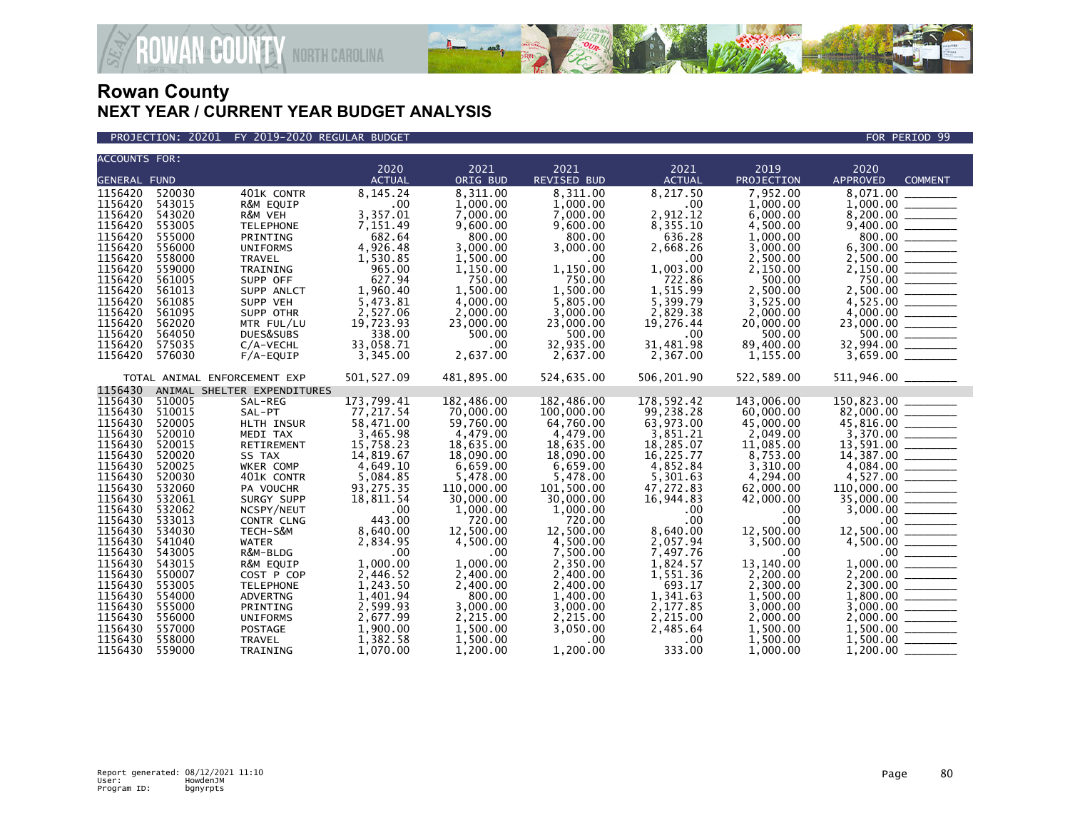

### PROJECTION: 20201 FY 2019-2020 REGULAR BUDGET FOR PERIOD 99

**ROWAN-COUNTY NORTH CAROLINA** 

| <b>ACCOUNTS FOR:</b> |        |                              |               |            |             |               |            |                                                                                                                                                                                                                                                                                   |
|----------------------|--------|------------------------------|---------------|------------|-------------|---------------|------------|-----------------------------------------------------------------------------------------------------------------------------------------------------------------------------------------------------------------------------------------------------------------------------------|
|                      |        |                              | 2020          | 2021       | 2021        | 2021          | 2019       | 2020                                                                                                                                                                                                                                                                              |
| <b>GENERAL FUND</b>  |        |                              | <b>ACTUAL</b> | ORIG BUD   | REVISED BUD | <b>ACTUAL</b> | PROJECTION | <b>APPROVED</b><br><b>COMMENT</b>                                                                                                                                                                                                                                                 |
| 1156420              | 520030 | 401K CONTR                   | 8.145.24      | 8.311.00   | 8,311.00    | 8.217.50      | 7.952.00   | 8.071.00                                                                                                                                                                                                                                                                          |
| 1156420              | 543015 | R&M EQUIP                    | .00           | 1,000.00   | 1.000.00    | .00           | 1,000.00   |                                                                                                                                                                                                                                                                                   |
| 1156420              | 543020 | R&M VEH                      | 3,357.01      | 7,000.00   | 7,000.00    | 2,912.12      | 6,000.00   |                                                                                                                                                                                                                                                                                   |
| 1156420              | 553005 | <b>TELEPHONE</b>             | 7,151.49      | 9,600.00   | 9,600.00    | 8,355.10      | 4,500.00   |                                                                                                                                                                                                                                                                                   |
| 1156420              | 555000 | PRINTING                     | 682.64        | 800.00     | 800.00      | 636.28        | 1,000.00   |                                                                                                                                                                                                                                                                                   |
| 1156420              | 556000 | <b>UNIFORMS</b>              | 4,926.48      | 3,000.00   | 3,000.00    | 2,668.26      | 3,000.00   |                                                                                                                                                                                                                                                                                   |
| 1156420              | 558000 | TRAVEL                       | 1,530.85      | 1,500.00   | .00         | $.00 \,$      | 2,500.00   | $\begin{array}{r} 1,000.00 \\ 8,200.00 \\ 9,400.00 \\ 800.00 \\ 6,300.00 \\ 2,150.00 \\ 750.00 \\ 2,500.00 \\ 2,500.00 \\ 2,500.00 \\ 2,500.00 \\ 2,500.00 \\ 2,500.00 \\ 2,500.00 \\ 2,500.00 \\ 2,500.00 \\ 2,500.00 \\ 2,500.00 \\ 2,500.00 \\ 2,500.00 \\ 2,500.00 \\ 2,500.$ |
| 1156420              | 559000 | TRAINING                     | 965.00        | 1,150.00   | 1,150.00    | 1.003.00      | 2,150.00   |                                                                                                                                                                                                                                                                                   |
| 1156420              | 561005 | SUPP OFF                     | 627.94        | 750.00     | 750.00      | 722.86        | 500.00     |                                                                                                                                                                                                                                                                                   |
| 1156420              | 561013 | SUPP ANLCT                   | 1,960.40      | 1,500.00   | 1,500.00    | 1,515.99      | 2,500.00   |                                                                                                                                                                                                                                                                                   |
| 1156420              | 561085 | SUPP VEH                     | 5,473.81      | 4,000.00   | 5.805.00    | 5.399.79      | 3,525.00   |                                                                                                                                                                                                                                                                                   |
| 1156420              | 561095 | SUPP OTHR                    | 2,527.06      | 2,000.00   | 3,000.00    | 2,829.38      | 2,000.00   |                                                                                                                                                                                                                                                                                   |
| 1156420              | 562020 | MTR FUL/LU                   | 19,723.93     | 23,000.00  | 23,000.00   | 19,276.44     | 20,000.00  |                                                                                                                                                                                                                                                                                   |
| 1156420              | 564050 | DUES&SUBS                    | 338.00        | 500.00     | 500.00      | .00           | 500.00     |                                                                                                                                                                                                                                                                                   |
| 1156420              | 575035 | C/A-VECHL                    | 33,058.71     | .00        | 32,935.00   | 31,481.98     | 89,400.00  | $23,000.00$<br>500.00<br>32,994.00<br>32,994.00                                                                                                                                                                                                                                   |
| 1156420              | 576030 | $F/A$ -EQUIP                 | 3,345.00      | 2,637.00   | 2,637.00    | 2,367.00      | 1,155.00   |                                                                                                                                                                                                                                                                                   |
|                      |        | TOTAL ANIMAL ENFORCEMENT EXP | 501, 527.09   | 481,895.00 | 524,635.00  | 506,201.90    | 522,589.00 | $511,946.00$ _______                                                                                                                                                                                                                                                              |
| 1156430              |        | ANIMAL SHELTER EXPENDITURES  |               |            |             |               |            |                                                                                                                                                                                                                                                                                   |
| 1156430              | 510005 | SAL-REG                      | 173,799.41    | 182,486.00 | 182,486.00  | 178,592.42    | 143,006.00 |                                                                                                                                                                                                                                                                                   |
| 1156430              | 510015 | SAL-PT                       | 77,217.54     | 70,000.00  | 100,000.00  | 99,238.28     | 60,000.00  |                                                                                                                                                                                                                                                                                   |
| 1156430              | 520005 | HLTH INSUR                   | 58,471.00     | 59,760.00  | 64,760.00   | 63,973.00     | 45,000.00  |                                                                                                                                                                                                                                                                                   |
| 1156430              | 520010 | MEDI TAX                     | 3,465.98      | 4,479.00   | 4,479.00    | 3,851.21      | 2,049.00   |                                                                                                                                                                                                                                                                                   |
| 1156430              | 520015 | RETIREMENT                   | 15,758.23     | 18,635.00  | 18,635.00   | 18,285.07     | 11,085.00  |                                                                                                                                                                                                                                                                                   |
| 1156430              | 520020 | SS TAX                       | 14,819.67     | 18,090.00  | 18,090.00   | 16,225.77     | 8,753.00   | $82,000.00$<br>$82,000.00$<br>$45,816.00$<br>$3,370.00$<br>$13,591.00$<br>$14,387.00$<br>$4,084.00$<br>$4,084.00$<br>$4,084.00$<br>$4,087.00$                                                                                                                                     |
| 1156430              | 520025 | WKER COMP                    | 4,649.10      | 6,659.00   | 6,659.00    | 4,852.84      | 3,310.00   |                                                                                                                                                                                                                                                                                   |
| 1156430              | 520030 | 401K CONTR                   | 5,084.85      | 5,478.00   | 5.478.00    | 5,301.63      | 4.294.00   |                                                                                                                                                                                                                                                                                   |
| 1156430              | 532060 | PA VOUCHR                    | 93,275.35     | 110,000.00 | 101,500.00  | 47,272.83     | 62,000.00  |                                                                                                                                                                                                                                                                                   |
| 1156430              | 532061 | SURGY SUPP                   | 18,811.54     | 30,000.00  | 30,000.00   | 16,944.83     | 42,000.00  |                                                                                                                                                                                                                                                                                   |
| 1156430              | 532062 | NCSPY/NEUT                   | .00           | 1,000.00   | 1,000.00    | .00           | .00        |                                                                                                                                                                                                                                                                                   |
| 1156430              | 533013 | CONTR CLNG                   | 443.00        | 720.00     | 720.00      | .00           | .00        |                                                                                                                                                                                                                                                                                   |
| 1156430              | 534030 | TECH-S&M                     | 8,640.00      | 12,500.00  | 12,500.00   | 8,640.00      | 12,500.00  |                                                                                                                                                                                                                                                                                   |
| 1156430              | 541040 | <b>WATER</b>                 | 2.834.95      | 4.500.00   | 4,500.00    | 2,057.94      | 3,500.00   |                                                                                                                                                                                                                                                                                   |
| 1156430              | 543005 | R&M-BLDG                     | .00           | .00        | 7,500.00    | 7,497.76      | .00        |                                                                                                                                                                                                                                                                                   |
| 1156430              | 543015 | R&M EQUIP                    | 1,000.00      | 1,000.00   | 2,350.00    | 1,824.57      | 13,140.00  |                                                                                                                                                                                                                                                                                   |
| 1156430              | 550007 | COST P COP                   | 2,446.52      | 2.400.00   | 2.400.00    | 1.551.36      | 2.200.00   |                                                                                                                                                                                                                                                                                   |
| 1156430              | 553005 | <b>TELEPHONE</b>             | 1,243.50      | 2,400.00   | 2,400.00    | 693.17        | 2,300.00   |                                                                                                                                                                                                                                                                                   |
| 1156430              | 554000 | ADVERTNG                     | 1,401.94      | 800.00     | 1,400.00    | 1,341.63      | 1,500.00   | $\begin{array}{r} 4,527.00 \ \hline 110,000.00 \ \hline 35,000.00 \ \hline 3,000.00 \ \hline 12,500.00 \ \hline 4,500.00 \ \hline 4,500.00 \ \hline 2,200.00 \ \hline 2,200.00 \ \hline 1,800.00 \ \hline 2,000.00 \ \hline 1,500.00 \ \hline 1,500.00 \ \hline \end{array}$      |
| 1156430              | 555000 | PRINTING                     | 2,599.93      | 3,000.00   | 3,000.00    | 2,177.85      | 3,000.00   |                                                                                                                                                                                                                                                                                   |
| 1156430              | 556000 | UNIFORMS                     | 2,677.99      | 2,215.00   | 2,215.00    | 2,215.00      | 2,000.00   |                                                                                                                                                                                                                                                                                   |
| 1156430              | 557000 | POSTAGE                      | 1,900.00      | 1,500.00   | 3,050.00    | 2,485.64      | 1,500.00   |                                                                                                                                                                                                                                                                                   |
| 1156430              | 558000 | TRAVEL                       | 1,382.58      | 1,500.00   | .00.        | $.00 \,$      | 1,500.00   |                                                                                                                                                                                                                                                                                   |
| 1156430              | 559000 | TRAINING                     | 1,070.00      | 1,200,00   | 1,200.00    | 333.00        | 1.000.00   | 1,200.00                                                                                                                                                                                                                                                                          |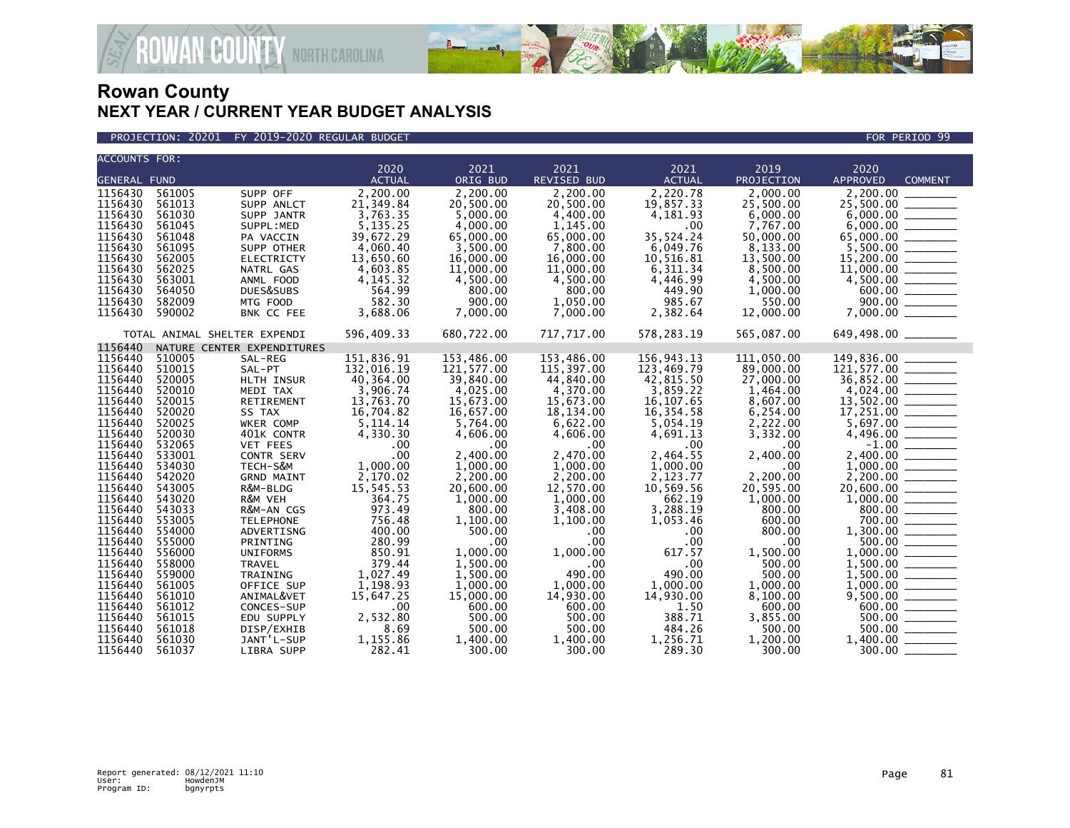

### PROJECTION: 20201 FY 2019-2020 REGULAR BUDGET FOR PERIOD 99

**ROWAN-COUNTY NORTH CAROLINA** 

| <b>ACCOUNTS FOR:</b> |                  |                              |                    |                     |                     |                   |                    |                                                                                                                       |
|----------------------|------------------|------------------------------|--------------------|---------------------|---------------------|-------------------|--------------------|-----------------------------------------------------------------------------------------------------------------------|
|                      |                  |                              | 2020               | 2021                | 2021                | 2021              | 2019               | 2020                                                                                                                  |
| <b>GENERAL FUND</b>  |                  |                              | <b>ACTUAL</b>      | ORIG BUD            | <b>REVISED BUD</b>  | <b>ACTUAL</b>     | PROJECTION         | <b>APPROVED</b><br><b>COMMENT</b>                                                                                     |
| 1156430              | 561005           | SUPP OFF                     | 2,200.00           | 2,200.00            | 2,200.00            | 2,220.78          | 2,000.00           | 2,200.00                                                                                                              |
| 1156430              | 561013           | SUPP ANLCT                   | 21.349.84          | 20.500.00           | 20.500.00           | 19.857.33         | 25.500.00          | 25,500.00 _______                                                                                                     |
| 1156430              | 561030           | SUPP JANTR                   | 3,763.35           | 5,000.00            | 4,400.00            | 4,181.93          | 6,000.00           |                                                                                                                       |
| 1156430              | 561045           | SUPPL:MED                    | 5,135.25           | 4,000.00            | 1,145.00            | $.00 \times$      | 7,767.00           |                                                                                                                       |
| 1156430              | 561048           | PA VACCIN                    | 39,672.29          | 65,000.00           | 65,000.00           | 35,524.24         | 50,000.00          |                                                                                                                       |
| 1156430              | 561095           | SUPP OTHER                   | 4,060.40           | 3,500.00            | 7,800.00            | 6,049.76          | 8,133.00           |                                                                                                                       |
| 1156430              | 562005           | <b>ELECTRICTY</b>            | 13,650.60          | 16,000.00           | 16,000.00           | 10,516.81         | 13,500.00          |                                                                                                                       |
| 1156430              | 562025           | NATRL GAS                    | 4,603.85           | 11,000.00           | 11,000.00           | 6,311.34          | 8,500.00           |                                                                                                                       |
| 1156430              | 563001           | ANML FOOD                    | 4.145.32           | 4.500.00            | 4,500.00            | 4,446.99          | 4.500.00           |                                                                                                                       |
| 1156430              | 564050           | DUES&SUBS                    | 564.99             | 800.00              | 800.00              | 449.90            | 1,000.00           |                                                                                                                       |
| 1156430              | 582009           | MTG FOOD                     | 582.30             | 900.00              | 1.050.00            | 985.67            | 550.00             |                                                                                                                       |
| 1156430              | 590002           | BNK CC FEE                   | 3,688.06           | 7,000.00            | 7.000.00            | 2,382.64          | 12,000.00          | $5,500.00$<br>$15,200.00$<br>$11,000.00$<br>$4,500.00$<br>$900.00$<br>$7,000.00$                                      |
|                      |                  | TOTAL ANIMAL SHELTER EXPENDI | 596,409.33         | 680,722.00          | 717,717.00          | 578,283.19        | 565,087.00         |                                                                                                                       |
| 1156440              |                  | NATURE CENTER EXPENDITURES   |                    |                     |                     |                   |                    |                                                                                                                       |
| 1156440              | 510005           | SAL-REG                      | 151,836.91         | 153,486.00          | 153,486.00          | 156,943.13        | 111,050.00         | 149,836.00                                                                                                            |
| 1156440              | 510015           | SAL-PT                       | 132,016.19         | 121,577.00          | 115,397.00          | 123,469.79        | 89,000.00          |                                                                                                                       |
| 1156440              | 520005           | HLTH INSUR                   | 40,364.00          | 39,840.00           | 44,840.00           | 42,815.50         | 27,000.00          |                                                                                                                       |
| 1156440              | 520010           | MEDI TAX                     | 3,906.74           | 4,025.00            | 4,370.00            | 3,859.22          | 1,464.00           |                                                                                                                       |
| 1156440              | 520015           | RETIREMENT                   | 13,763.70          | 15,673.00           | 15,673.00           | 16, 107.65        | 8,607.00           |                                                                                                                       |
| 1156440              | 520020           | SS TAX                       | 16,704.82          | 16,657.00           | 18,134.00           | 16,354.58         | 6,254.00           | 17,251.00                                                                                                             |
| 1156440              | 520025           | <b>WKER COMP</b>             | 5.114.14           | 5.764.00            | 6,622.00            | 5,054.19          | 2,222.00           |                                                                                                                       |
| 1156440              | 520030           | 401K CONTR                   | 4,330.30           | 4,606.00            | 4,606.00            | 4,691.13          | 3,332.00           |                                                                                                                       |
| 1156440              | 532065           | <b>VET FEES</b>              | .00                | .00                 | $.00 \,$            | $.00 \,$          | .00                |                                                                                                                       |
| 1156440              | 533001           | <b>CONTR SERV</b>            | .00                | 2,400.00            | 2,470.00            | 2,464.55          | 2,400.00           | $\begin{array}{r} 7,697.00 \\ 4,496.00 \ \hline -1.00 \\ 2,400.00 \ \hline \end{array}$                               |
| 1156440              | 534030           | TECH-S&M                     | 1,000.00           | 1,000.00            | 1,000.00            | 1,000.00          | .00.               |                                                                                                                       |
| 1156440              | 542020           | <b>GRND MAINT</b>            | 2,170.02           | 2,200.00            | 2,200.00            | 2,123.77          | 2.200.00           |                                                                                                                       |
| 1156440              | 543005           | R&M-BLDG                     | 15,545.53          | 20,600.00           | 12,570.00           | 10,569.56         | 20,595.00          |                                                                                                                       |
| 1156440              | 543020           | R&M VEH                      | 364.75             | 1,000.00            | 1,000.00            | 662.19            | 1,000.00           |                                                                                                                       |
| 1156440              | 543033           | R&M-AN CGS                   | 973.49             | 800.00              | 3.408.00            | 3,288.19          | 800.00             | $\begin{array}{r} 20,600.00 \ \hline 1,000.00 \ \hline 800.00 \ \hline 700.00 \ \hline 1,300.00 \ \hline \end{array}$ |
| 1156440              | 553005           | <b>TELEPHONE</b>             | 756.48             | 1,100.00            | 1,100.00            | 1,053.46          | 600.00             |                                                                                                                       |
| 1156440              | 554000           | ADVERTISNG                   | 400.00             | 500.00              | .00                 | $.00 \,$          | 800.00             |                                                                                                                       |
| 1156440              | 555000           | PRINTING                     | 280.99             | .00                 | .00                 | .00               | .00                |                                                                                                                       |
| 1156440              | 556000           | <b>UNIFORMS</b>              | 850.91             | 1.000.00            | 1.000.00            | 617.57            | 1,500.00           |                                                                                                                       |
| 1156440              | 558000           | <b>TRAVEL</b>                | 379.44             | 1,500.00            | .00                 | .00               | 500.00             |                                                                                                                       |
| 1156440              | 559000           | TRAINING                     | 1,027.49           | 1,500.00            | 490.00              | 490.00            | 500.00             |                                                                                                                       |
| 1156440              | 561005           | OFFICE SUP                   | 1,198.93           | 1,000.00            | 1,000.00            | 1,000.00          | 1,000.00           |                                                                                                                       |
| 1156440<br>1156440   | 561010<br>561012 | ANIMAL&VET                   | 15,647.25<br>.00   | 15,000.00<br>600.00 | 14,930.00<br>600.00 | 14,930.00<br>1.50 | 8,100.00<br>600.00 | $1,500.00$<br>$1,500.00$<br>$1,000.00$<br>$9,500.00$<br>$600.00$<br>$600.00$                                          |
| 1156440              |                  | CONCES-SUP                   |                    | 500.00              |                     | 388.71            | 3,855.00           |                                                                                                                       |
| 1156440              | 561015           | EDU SUPPLY                   | 2,532.80<br>8.69   | 500.00              | 500.00              | 484.26            | 500.00             | $\frac{500.00}{500.00}$                                                                                               |
| 1156440              | 561018<br>561030 | DISP/EXHIB                   |                    |                     | 500.00              | 1,256.71          | 1.200.00           |                                                                                                                       |
| 1156440              | 561037           | JANT'L-SUP<br>LIBRA SUPP     | 1,155.86<br>282.41 | 1,400.00<br>300.00  | 1,400.00<br>300.00  | 289.30            | 300.00             |                                                                                                                       |
|                      |                  |                              |                    |                     |                     |                   |                    |                                                                                                                       |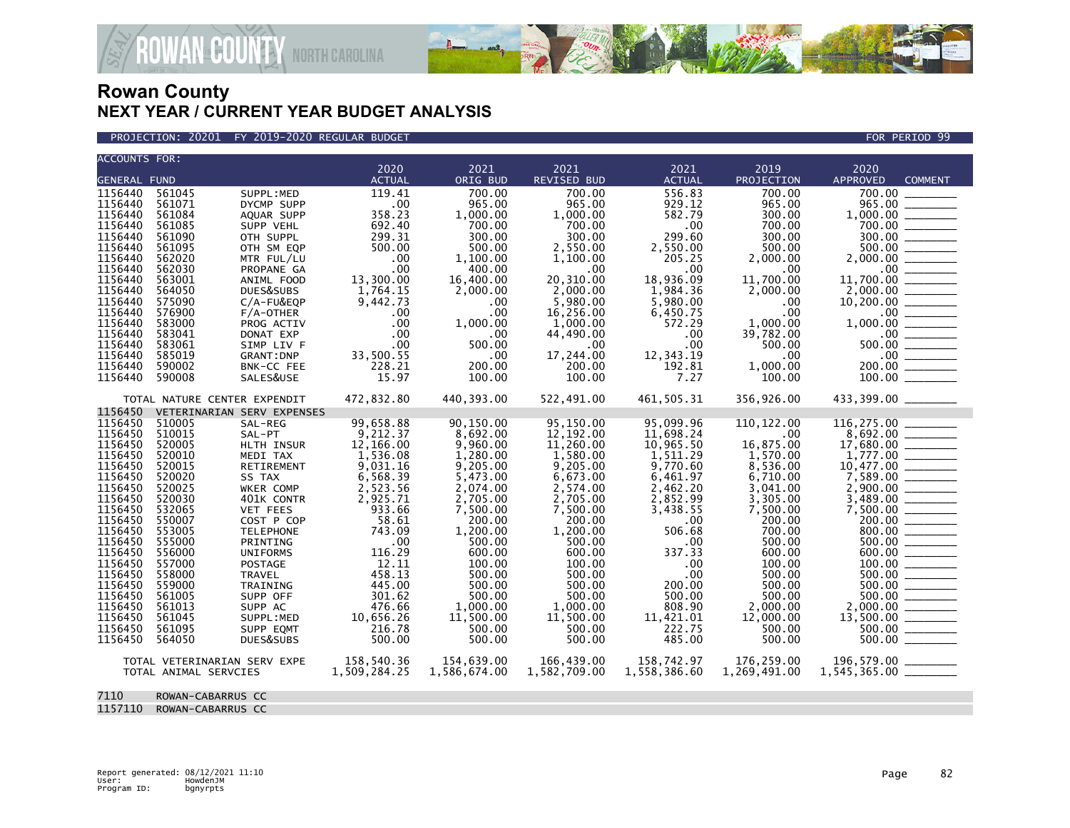

PROJECTION: 20201 FY 2019-2020 REGULAR BUDGET FOR PERIOD 99

**ROWAN COUNTY NORTH CAROLINA** 

| <b>ACCOUNTS FOR:</b> |                              |                            |                       |                  | 2021               | 2021          | 2019         |                                           |  |
|----------------------|------------------------------|----------------------------|-----------------------|------------------|--------------------|---------------|--------------|-------------------------------------------|--|
| <b>GENERAL FUND</b>  |                              |                            | 2020<br><b>ACTUAL</b> | 2021<br>ORIG BUD | <b>REVISED BUD</b> | <b>ACTUAL</b> | PROJECTION   | 2020<br><b>APPROVED</b><br><b>COMMENT</b> |  |
| 1156440              | 561045                       | SUPPL:MED                  | 119.41                | 700.00           | 700.00             | 556.83        | 700.00       | 700.00                                    |  |
|                      | 561071                       |                            |                       |                  | 965.00             | 929.12        | 965.00       |                                           |  |
| 1156440<br>1156440   | 561084                       | DYCMP SUPP                 | .00<br>358.23         | 965.00           |                    |               |              | 965.00                                    |  |
|                      |                              | AQUAR SUPP                 |                       | 1,000.00         | 1,000.00           | 582.79        | 300.00       | 1,000.00                                  |  |
| 1156440              | 561085                       | SUPP VEHL                  | 692.40                | 700.00           | 700.00             | .00           | 700.00       |                                           |  |
| 1156440              | 561090                       | OTH SUPPL                  | 299.31                | 300.00           | 300.00             | 299.60        | 300.00       | 300.00                                    |  |
| 1156440              | 561095                       | OTH SM EQP                 | 500.00                | 500.00           | 2,550.00           | 2,550.00      | 500.00       | 500.00                                    |  |
| 1156440              | 562020                       | MTR FUL/LU                 | .00                   | 1,100.00         | 1,100.00           | 205.25        | 2,000.00     | 2,000.00                                  |  |
| 1156440              | 562030                       | PROPANE GA                 | .00                   | 400.00           | .00                | .00           | .00          | $.00 \,$                                  |  |
| 1156440              | 563001                       | ANIML FOOD                 | 13,300.00             | 16,400.00        | 20,310.00          | 18,936.09     | 11,700.00    | 11,700.00                                 |  |
| 1156440              | 564050                       | DUES&SUBS                  | 1,764.15              | 2,000.00         | 2,000.00           | 1,984.36      | 2,000.00     | 2,000.00                                  |  |
| 1156440              | 575090                       | C/A-FU&EQP                 | 9,442.73              | $.00 \,$         | 5,980.00           | 5,980.00      | .00          | 10,200.00                                 |  |
| 1156440              | 576900                       | $F/A$ -OTHER               | .00                   | $.00 \,$         | 16,256.00          | 6,450.75      | .00          | $.00 \,$                                  |  |
| 1156440              | 583000                       | PROG ACTIV                 | .00                   | 1,000.00         | 1,000.00           | 572.29        | 1,000.00     |                                           |  |
| 1156440              | 583041                       | DONAT EXP                  | .00                   | $.00 \,$         | 44,490.00          | .00           | 39,782.00    | $.00 \,$                                  |  |
| 1156440              | 583061                       | SIMP LIV F                 | .00                   | 500.00           | $.00 \,$           | .00           | 500.00       | $500.00$ _________                        |  |
| 1156440              | 585019                       | <b>GRANT: DNP</b>          | 33,500.55             | $.00 \,$         | 17,244.00          | 12,343.19     | $.00 \,$     | $.00$ $\qquad \qquad$                     |  |
| 1156440              | 590002                       | BNK-CC FEE                 | 228.21                | 200.00           | 200.00             | 192.81        | 1,000.00     | 200.00                                    |  |
| 1156440              | 590008                       | SALES&USE                  | 15.97                 | 100.00           | 100.00             | 7.27          | 100.00       |                                           |  |
|                      | TOTAL NATURE CENTER EXPENDIT |                            | 472,832.80            | 440,393.00       | 522,491.00         | 461.505.31    | 356,926.00   | 433,399.00 ________                       |  |
| 1156450              |                              | VETERINARIAN SERV EXPENSES |                       |                  |                    |               |              |                                           |  |
| 1156450              | 510005                       | SAL-REG                    | 99,658.88             | 90.150.00        | 95,150.00          | 95,099.96     | 110, 122.00  |                                           |  |
| 1156450              | 510015                       | SAL-PT                     | 9,212.37              | 8,692.00         | 12,192.00          | 11,698.24     | .00          |                                           |  |
| 1156450              | 520005                       | HLTH INSUR                 | 12,166.00             | 9,960.00         | 11,260.00          | 10,965.50     | 16,875.00    | 17,680.00                                 |  |
| 1156450              | 520010                       | MEDI TAX                   | 1,536.08              | 1,280.00         | 1,580.00           | 1,511.29      | 1.570.00     |                                           |  |
| 1156450              | 520015                       | RETIREMENT                 | 9,031.16              | 9,205.00         | 9,205.00           | 9,770.60      | 8,536.00     | 10,477.00                                 |  |
| 1156450              | 520020                       | SS TAX                     | 6,568.39              | 5,473.00         | 6,673.00           | 6,461.97      | 6,710.00     |                                           |  |
| 1156450              | 520025                       | WKER COMP                  | 2,523.56              | 2,074.00         | 2,574.00           | 2,462.20      | 3,041.00     | 2,900.00                                  |  |
| 1156450              | 520030                       | 401K CONTR                 | 2,925.71              | 2,705.00         | 2,705.00           | 2,852.99      | 3,305.00     | 3,489.00                                  |  |
| 1156450              | 532065                       | <b>VET FEES</b>            | 933.66                | 7,500.00         | 7,500.00           | 3,438.55      | 7,500.00     | 7,500.00                                  |  |
| 1156450              | 550007                       | COST P COP                 | 58.61                 | 200.00           | 200.00             | .00           | 200.00       | 200.00                                    |  |
| 1156450              | 553005                       | <b>TELEPHONE</b>           | 743.09                | 1,200.00         | 1,200.00           | 506.68        | 700.00       | 800.00 _______                            |  |
| 1156450              | 555000                       | PRINTING                   | .00                   | 500.00           | 500.00             | .00.          | 500.00       | 500.00                                    |  |
| 1156450              | 556000                       | <b>UNIFORMS</b>            | 116.29                | 600.00           | 600.00             | 337.33        | 600.00       |                                           |  |
| 1156450              | 557000                       | POSTAGE                    | 12.11                 | 100.00           | 100.00             | .00           | 100.00       | 100.00                                    |  |
| 1156450              | 558000                       | TRAVEL                     | 458.13                | 500.00           | 500.00             | .00           | 500.00       | 500.00                                    |  |
| 1156450              | 559000                       | <b>TRAINING</b>            | 445.00                | 500.00           | 500.00             | 200.00        | 500.00       | 500.00                                    |  |
| 1156450              | 561005                       | SUPP OFF                   | 301.62                | 500.00           | 500.00             | 500.00        | 500.00       | 500.00                                    |  |
| 1156450              | 561013                       | SUPP AC                    | 476.66                | 1,000.00         | 1,000.00           | 808.90        | 2,000.00     | 2,000.00                                  |  |
| 1156450              | 561045                       | SUPPL: MED                 | 10,656.26             | 11,500.00        | 11,500.00          | 11,421.01     | 12,000.00    | 13,500.00                                 |  |
| 1156450              | 561095                       | SUPP EQMT                  | 216.78                | 500.00           | 500.00             | 222.75        | 500.00       | 500.00                                    |  |
| 1156450              | 564050                       | DUES&SUBS                  | 500.00                | 500.00           | 500.00             | 485.00        | 500.00       |                                           |  |
|                      |                              |                            |                       |                  |                    |               |              |                                           |  |
|                      | TOTAL VETERINARIAN SERV EXPE |                            | 158,540.36            | 154,639.00       | 166,439.00         | 158,742.97    | 176,259.00   | 196,579.00 _______                        |  |
|                      | TOTAL ANIMAL SERVCIES        |                            | 1,509,284.25          | 1,586,674.00     | 1,582,709.00       | 1,558,386.60  | 1,269,491.00 |                                           |  |
|                      |                              |                            |                       |                  |                    |               |              |                                           |  |
| 7110                 | ROWAN-CABARRUS CC            |                            |                       |                  |                    |               |              |                                           |  |

1157110 ROWAN-CABARRUS CC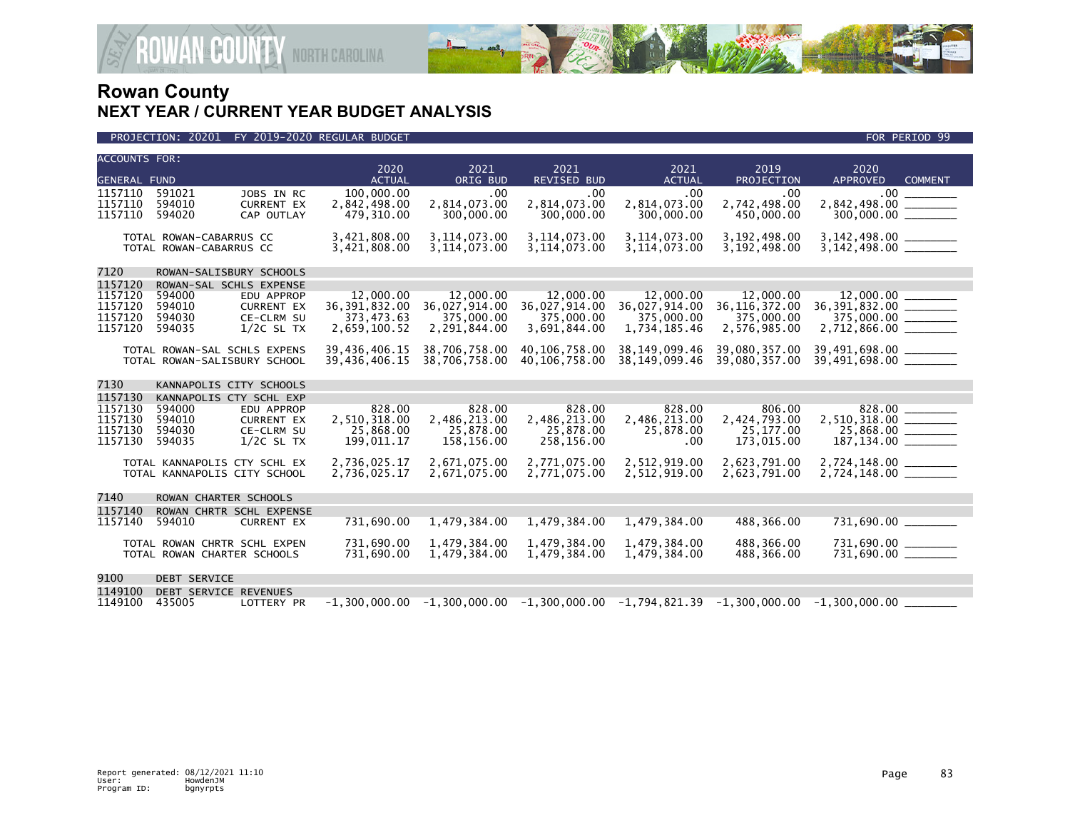

| <b>ACCOUNTS FOR:</b> |                                                    |                                 | 2020                          | 2021                             | 2021                                                                                            | 2021                             | 2019                          | 2020                                               |  |
|----------------------|----------------------------------------------------|---------------------------------|-------------------------------|----------------------------------|-------------------------------------------------------------------------------------------------|----------------------------------|-------------------------------|----------------------------------------------------|--|
| <b>GENERAL FUND</b>  |                                                    |                                 | <b>ACTUAL</b>                 | ORIG BUD                         | <b>REVISED BUD</b>                                                                              | <b>ACTUAL</b>                    | PROJECTION                    | <b>APPROVED</b><br><b>COMMENT</b>                  |  |
| 1157110              | 591021                                             | JOBS IN RC                      | 100,000.00                    | .00                              | .00                                                                                             | .00                              | .00                           | .00 <sub>1</sub>                                   |  |
| 1157110<br>1157110   | 594010<br>594020                                   | <b>CURRENT EX</b><br>CAP OUTLAY | 2,842,498.00<br>479,310.00    | 2,814,073.00<br>300,000.00       | 2,814,073.00<br>300,000,00                                                                      | 2,814,073.00<br>300,000.00       | 2,742,498.00<br>450,000,00    | 2,842,498.00<br><b>Contract Contract</b>           |  |
|                      |                                                    |                                 |                               |                                  |                                                                                                 |                                  |                               |                                                    |  |
|                      | TOTAL ROWAN-CABARRUS CC<br>TOTAL ROWAN-CABARRUS CC |                                 | 3,421,808.00<br>3,421,808.00  | 3, 114, 073.00<br>3, 114, 073.00 | 3, 114, 073.00<br>3,114,073.00                                                                  | 3, 114, 073.00<br>3, 114, 073.00 | 3,192,498.00<br>3,192,498.00  | $3,142,498.00$ $3,142,498.00$ $_________{}$        |  |
| 7120                 | ROWAN-SALISBURY SCHOOLS                            |                                 |                               |                                  |                                                                                                 |                                  |                               |                                                    |  |
| 1157120              | ROWAN-SAL SCHLS EXPENSE                            |                                 |                               |                                  |                                                                                                 |                                  |                               |                                                    |  |
| 1157120              | 594000                                             | EDU APPROP                      | 12,000,00                     | 12,000,00                        | 12,000.00                                                                                       | 12,000.00                        | 12,000,00                     |                                                    |  |
| 1157120<br>1157120   | 594010<br>594030                                   | <b>CURRENT EX</b><br>CE-CLRM SU | 36, 391, 832.00<br>373,473.63 | 36,027,914.00<br>375,000.00      | 36,027,914.00<br>375,000.00                                                                     | 36,027,914.00<br>375,000.00      | 36, 116, 372.00<br>375,000.00 | $36,391,832.00$ ________<br>$375,000.00$ ________  |  |
| 1157120              | 594035                                             | $1/2C$ SL TX                    | 2,659,100.52                  | 2,291,844.00                     | 3,691,844.00                                                                                    | 1,734,185.46                     | 2,576,985.00                  |                                                    |  |
|                      | TOTAL ROWAN-SAL SCHLS EXPENS                       |                                 | 39,436,406.15                 | 38,706,758.00                    | 40, 106, 758, 00                                                                                | 38, 149, 099. 46                 | 39,080,357.00                 | 39,491,698.00 _________<br>39,491,698.00 _________ |  |
|                      | TOTAL ROWAN-SALISBURY SCHOOL                       |                                 | 39,436,406.15                 | 38,706,758.00                    | 40,106,758.00                                                                                   | 38, 149, 099. 46                 | 39,080,357.00                 |                                                    |  |
| 7130                 | KANNAPOLIS CITY SCHOOLS                            |                                 |                               |                                  |                                                                                                 |                                  |                               |                                                    |  |
| 1157130              | KANNAPOLIS CTY SCHL EXP                            |                                 |                               |                                  |                                                                                                 |                                  |                               |                                                    |  |
| 1157130              | 594000                                             | EDU APPROP                      | 828.00                        | 828.00                           | 828.00                                                                                          | 828.00                           | 806.00                        | 828.00 ________                                    |  |
| 1157130<br>1157130   | 594010<br>594030                                   | <b>CURRENT EX</b><br>CE-CLRM SU | 2.510.318.00<br>25,868.00     | 2,486,213.00<br>25,878.00        | 2,486,213.00<br>25,878.00                                                                       | 2,486,213.00<br>25,878.00        | 2,424,793.00<br>25,177.00     | 2,510,318.00 _______<br>$25,868.00$ ________       |  |
| 1157130              | 594035                                             | $1/2C$ SL TX                    | 199,011.17                    | 158,156.00                       | 258,156.00                                                                                      | .00                              | 173,015.00                    |                                                    |  |
|                      | TOTAL KANNAPOLIS CTY SCHL EX                       |                                 | 2,736,025.17                  | 2,671,075.00                     | 2,771,075.00                                                                                    | 2,512,919.00                     | 2,623,791.00                  | 2,724,148.00 ________                              |  |
|                      | TOTAL KANNAPOLIS CITY SCHOOL                       |                                 | 2,736,025.17                  | 2,671,075.00                     | 2,771,075.00                                                                                    | 2,512,919.00                     | 2,623,791.00                  |                                                    |  |
| 7140                 | ROWAN CHARTER SCHOOLS                              |                                 |                               |                                  |                                                                                                 |                                  |                               |                                                    |  |
| 1157140              |                                                    | ROWAN CHRTR SCHL EXPENSE        |                               |                                  |                                                                                                 |                                  |                               |                                                    |  |
| 1157140              | 594010                                             | <b>CURRENT EX</b>               | 731,690.00                    | 1,479,384.00                     | 1,479,384.00                                                                                    | 1,479,384.00                     | 488,366.00                    | 731,690.00 ________                                |  |
|                      | TOTAL ROWAN CHRTR SCHL EXPEN                       |                                 | 731,690.00                    | 1,479,384.00                     | 1,479,384.00                                                                                    | 1,479,384.00                     | 488,366.00                    | 731,690.00 _______                                 |  |
|                      | TOTAL ROWAN CHARTER SCHOOLS                        |                                 | 731,690.00                    | 1,479,384.00                     | 1,479,384.00                                                                                    | 1,479,384.00                     | 488,366.00                    | 731,690.00 _______                                 |  |
| 9100                 | <b>DEBT SERVICE</b>                                |                                 |                               |                                  |                                                                                                 |                                  |                               |                                                    |  |
| 1149100              | DEBT SERVICE REVENUES                              |                                 |                               |                                  |                                                                                                 |                                  |                               |                                                    |  |
| 1149100              | 435005                                             | <b>LOTTERY PR</b>               |                               |                                  | $-1.300.000.00$ $-1.300.000.00$ $-1.300.000.00$ $-1.794.821.39$ $-1.300.000.00$ $-1.300.000.00$ |                                  |                               |                                                    |  |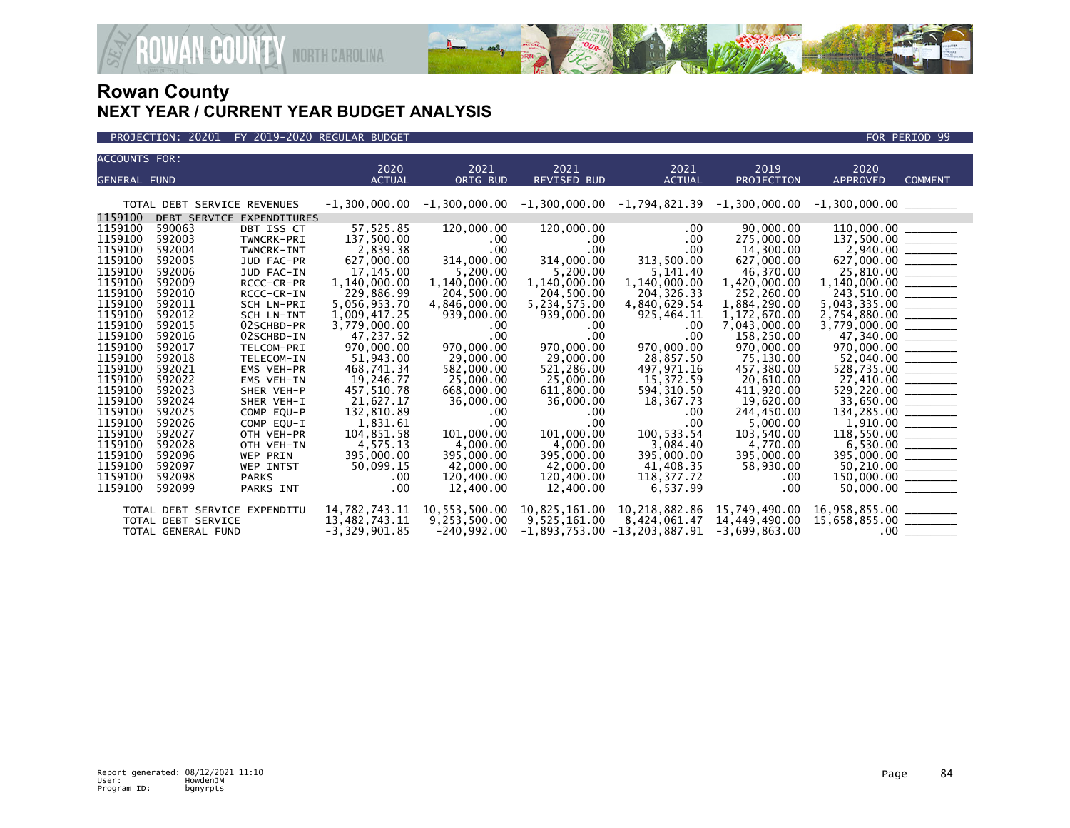



| <b>ACCOUNTS FOR:</b> |                              |                           |                 |               |                    |                                                                                                 |                   |                                                                                                                                                                                       |                |
|----------------------|------------------------------|---------------------------|-----------------|---------------|--------------------|-------------------------------------------------------------------------------------------------|-------------------|---------------------------------------------------------------------------------------------------------------------------------------------------------------------------------------|----------------|
|                      |                              |                           | 2020            | 2021          | 2021               | 2021                                                                                            | 2019              | 2020                                                                                                                                                                                  |                |
| <b>GENERAL FUND</b>  |                              |                           | <b>ACTUAL</b>   | ORIG BUD      | <b>REVISED BUD</b> | <b>ACTUAL</b>                                                                                   | <b>PROJECTION</b> | <b>APPROVED</b>                                                                                                                                                                       | <b>COMMENT</b> |
|                      |                              |                           |                 |               |                    |                                                                                                 |                   |                                                                                                                                                                                       |                |
|                      | TOTAL DEBT SERVICE REVENUES  |                           |                 |               |                    | $-1,300,000.00$ $-1,300,000.00$ $-1,300,000.00$ $-1,794,821.39$ $-1,300,000.00$ $-1,300,000.00$ |                   |                                                                                                                                                                                       |                |
| 1159100              |                              | DEBT SERVICE EXPENDITURES |                 |               |                    |                                                                                                 |                   |                                                                                                                                                                                       |                |
| 1159100              | 590063                       | DBT ISS CT                | 57,525.85       | 120,000.00    | 120,000.00         | .00.                                                                                            | 90.000.00         |                                                                                                                                                                                       |                |
| 1159100              | 592003                       | TWNCRK-PRI                | 137,500.00      | $.00 \,$      | $.00 \,$           | .00                                                                                             | 275,000.00        | $\frac{110,000.00}{137,500.00}$                                                                                                                                                       |                |
| 1159100              | 592004                       | TWNCRK-INT                | 2,839.38        | .00           | .00.               | .00.                                                                                            | 14,300.00         |                                                                                                                                                                                       |                |
| 1159100              | 592005                       | JUD FAC-PR                | 627,000.00      | 314,000.00    | 314,000.00         | 313,500.00                                                                                      | 627,000.00        |                                                                                                                                                                                       |                |
| 1159100              | 592006                       | JUD FAC-IN                | 17,145.00       | 5,200.00      | 5,200.00           | 5,141.40                                                                                        | 46,370.00         | $2,940.00$<br>627,000.00                                                                                                                                                              |                |
| 1159100              | 592009                       | RCCC-CR-PR                | 1,140,000.00    | 1,140,000.00  | 1,140,000.00       | 1,140,000.00                                                                                    | 1,420,000.00      | 1,140,000.00 ______                                                                                                                                                                   |                |
| 1159100              | 592010                       | RCCC-CR-IN                | 229,886.99      | 204,500.00    | 204,500.00         | 204, 326. 33                                                                                    | 252,260.00        | 243,510.00                                                                                                                                                                            |                |
| 1159100              | 592011                       | SCH LN-PRI                | 5,056,953.70    | 4,846,000.00  | 5,234,575.00       | 4,840,629.54                                                                                    | 1,884,290.00      | $5,043,335.00$ _________                                                                                                                                                              |                |
| 1159100              | 592012                       | SCH LN-INT                | 1,009,417.25    | 939,000.00    | 939,000.00         | 925,464.11                                                                                      | 1,172,670.00      | $2,754,880.00$ ________                                                                                                                                                               |                |
| 1159100              | 592015                       | 02SCHBD-PR                | 3,779,000.00    | .00           | .00.               | $.00 \,$                                                                                        | 7,043,000.00      | $3,779,000.00$ _________                                                                                                                                                              |                |
| 1159100              | 592016                       | 02SCHBD-IN                | 47,237.52       | .00           | .00                | .00                                                                                             | 158,250.00        | $47,340.00$ _________                                                                                                                                                                 |                |
| 1159100              | 592017                       | TELCOM-PRI                | 970,000,00      | 970,000,00    | 970,000.00         | 970,000,00                                                                                      | 970.000.00        | $970,000.00$ ________                                                                                                                                                                 |                |
| 1159100              | 592018                       | TELECOM-IN                | 51.943.00       | 29,000,00     | 29,000,00          | 28,857.50                                                                                       | 75,130.00         | $52,040.00$ ________                                                                                                                                                                  |                |
| 1159100              | 592021                       | EMS VEH-PR                | 468,741.34      | 582,000.00    | 521,286.00         | 497,971.16                                                                                      | 457,380.00        | $528,735.00$ _______                                                                                                                                                                  |                |
| 1159100              | 592022                       | EMS VEH-IN                | 19,246.77       | 25,000.00     | 25,000.00          | 15,372.59                                                                                       | 20,610.00         |                                                                                                                                                                                       |                |
| 1159100              | 592023                       | SHER VEH-P                | 457,510.78      | 668,000.00    | 611,800.00         | 594, 310.50                                                                                     | 411,920.00        |                                                                                                                                                                                       |                |
| 1159100              | 592024                       | SHER VEH-I                | 21,627.17       | 36,000.00     | 36,000.00          | 18,367.73                                                                                       | 19,620.00         | 27,410.00<br>529,220.00<br>33,650.00                                                                                                                                                  |                |
| 1159100              | 592025                       | COMP EOU-P                | 132,810.89      | .00.          | .00.               | $.00 \,$                                                                                        | 244,450.00        |                                                                                                                                                                                       |                |
| 1159100              | 592026                       | COMP EQU-I                | 1,831.61        | .00           | .00.               | .00                                                                                             | 5,000.00          |                                                                                                                                                                                       |                |
| 1159100              | 592027                       | OTH VEH-PR                | 104,851.58      | 101,000.00    | 101,000.00         | 100,533.54                                                                                      | 103,540.00        | $\begin{array}{r} 134,285.00 \ \hline 1,910.00 \ \hline 118,550.00 \ \hline 6,530.00 \ \hline 0 & 0.00 \ \hline 118,550.00 \ \hline 6,530.00 \ \hline 50,210.00 \ \hline \end{array}$ |                |
| 1159100              | 592028                       | OTH VEH-IN                | 4,575.13        | 4,000.00      | 4,000.00           | 3,084.40                                                                                        | 4,770.00          |                                                                                                                                                                                       |                |
| 1159100              | 592096                       | <b>WEP PRIN</b>           | 395,000.00      | 395,000.00    | 395,000.00         | 395,000.00                                                                                      | 395,000.00        |                                                                                                                                                                                       |                |
| 1159100              | 592097                       | <b>WEP INTST</b>          | 50,099.15       | 42,000.00     | 42,000.00          | 41,408.35                                                                                       | 58,930.00         |                                                                                                                                                                                       |                |
| 1159100              | 592098                       | <b>PARKS</b>              | .00             | 120,400.00    | 120,400.00         | 118,377.72                                                                                      | .00               |                                                                                                                                                                                       |                |
| 1159100              | 592099                       | PARKS INT                 | .00             | 12,400,00     | 12,400,00          | 6.537.99                                                                                        | .00               |                                                                                                                                                                                       |                |
|                      | TOTAL DEBT SERVICE EXPENDITU |                           | 14,782,743.11   | 10,553,500.00 | 10,825,161.00      | 10,218,882.86                                                                                   | 15,749,490.00     |                                                                                                                                                                                       |                |
|                      |                              |                           | 13,482,743.11   | 9,253,500.00  | 9,525,161.00       | 8,424,061.47                                                                                    | 14,449,490.00     | 16,958,855.00 ________<br>15,658,855.00 ________                                                                                                                                      |                |
|                      | TOTAL DEBT SERVICE           |                           | $-3,329,901.85$ |               |                    |                                                                                                 |                   |                                                                                                                                                                                       |                |
|                      | TOTAL GENERAL FUND           |                           |                 | $-240,992.00$ |                    | $-1,893,753.00 -13,203,887.91$                                                                  | $-3,699,863.00$   |                                                                                                                                                                                       |                |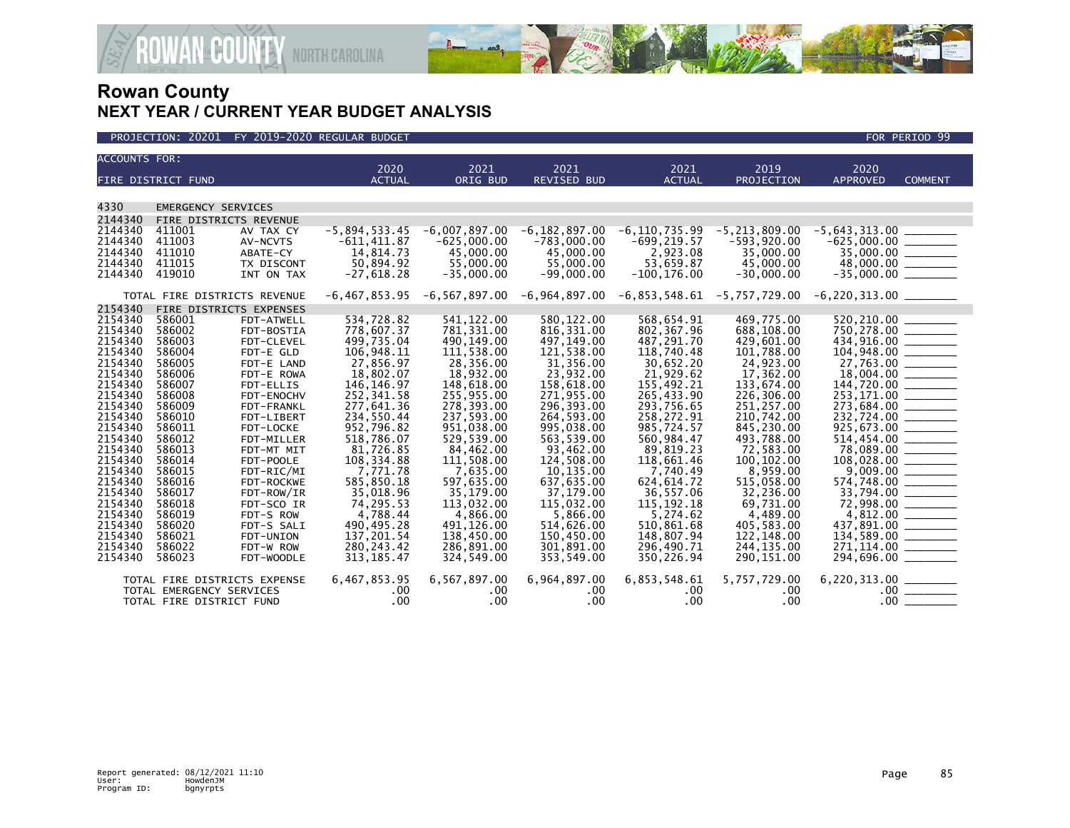

| <b>ACCOUNTS FOR:</b> |                               |                         | 2020                      | 2021                     | 2021                                            | 2021                        | 2019                      | 2020                          |                                                                                                                                                                                                                                                                                                                                                                                                                                                                                                                                                        |
|----------------------|-------------------------------|-------------------------|---------------------------|--------------------------|-------------------------------------------------|-----------------------------|---------------------------|-------------------------------|--------------------------------------------------------------------------------------------------------------------------------------------------------------------------------------------------------------------------------------------------------------------------------------------------------------------------------------------------------------------------------------------------------------------------------------------------------------------------------------------------------------------------------------------------------|
|                      | FIRE DISTRICT FUND            |                         | <b>ACTUAL</b>             | ORIG BUD                 | <b>REVISED BUD</b>                              | <b>ACTUAL</b>               | PROJECTION                | <b>APPROVED</b>               | <b>COMMENT</b>                                                                                                                                                                                                                                                                                                                                                                                                                                                                                                                                         |
|                      |                               |                         |                           |                          |                                                 |                             |                           |                               |                                                                                                                                                                                                                                                                                                                                                                                                                                                                                                                                                        |
| 4330                 | <b>EMERGENCY SERVICES</b>     |                         |                           |                          |                                                 |                             |                           |                               |                                                                                                                                                                                                                                                                                                                                                                                                                                                                                                                                                        |
| 2144340              | <b>FIRE DISTRICTS REVENUE</b> |                         |                           |                          |                                                 |                             |                           |                               |                                                                                                                                                                                                                                                                                                                                                                                                                                                                                                                                                        |
| 2144340              | 411001                        | AV TAX CY               | $-5,894,533.45$           | $-6,007,897.00$          | $-6, 182, 897.00$                               | $-6, 110, 735.99$           | $-5, 213, 809.00$         | $-5,643,313.00$               |                                                                                                                                                                                                                                                                                                                                                                                                                                                                                                                                                        |
| 2144340              | 411003                        | AV-NCVTS                | $-611, 411.87$            | $-625,000.00$            | $-783,000.00$                                   | $-699, 219.57$              | $-593,920.00$             | $-625,000.00$                 | $\begin{array}{c} \begin{array}{c} \begin{array}{c} \begin{array}{c} \end{array} \\ \end{array} \end{array} \end{array} \end{array} \end{array} \end{array} \begin{array}{c} \begin{array}{c} \begin{array}{c} \end{array} \\ \end{array} \end{array} \end{array} \begin{array}{c} \begin{array}{c} \begin{array}{c} \end{array} \\ \end{array} \end{array} \end{array} \begin{array}{c} \begin{array}{c} \end{array} \end{array} \end{array} \begin{array}{c} \begin{array}{c} \begin{array}{c} \end{array} \end{array} \end{array} \begin{array}{c}$ |
| 2144340              | 411010                        | ABATE-CY                | 14,814.73                 | 45,000.00                | 45,000,00                                       | 2,923.08                    | 35,000.00                 |                               |                                                                                                                                                                                                                                                                                                                                                                                                                                                                                                                                                        |
| 2144340              | 411015                        | TX DISCONT              | 50,894.92                 | 55,000.00                | 55,000.00                                       | 53,659.87                   | 45,000.00                 |                               |                                                                                                                                                                                                                                                                                                                                                                                                                                                                                                                                                        |
| 2144340              | 419010                        | INT ON TAX              | $-27,618.28$              | $-35,000.00$             | $-99.000.00$                                    | $-100, 176.00$              | $-30,000.00$              |                               |                                                                                                                                                                                                                                                                                                                                                                                                                                                                                                                                                        |
|                      | TOTAL FIRE DISTRICTS REVENUE  |                         |                           |                          | $-6,467,853.95$ $-6,567,897.00$ $-6,964,897.00$ | -6,853,548.61 -5,757,729.00 |                           |                               |                                                                                                                                                                                                                                                                                                                                                                                                                                                                                                                                                        |
| 2154340              | FIRE DISTRICTS EXPENSES       |                         |                           |                          |                                                 |                             |                           |                               |                                                                                                                                                                                                                                                                                                                                                                                                                                                                                                                                                        |
| 2154340              | 586001                        | FDT-ATWELL              | 534,728.82                | 541, 122.00              | 580, 122.00                                     | 568,654.91                  | 469,775.00                | 520,210.00                    |                                                                                                                                                                                                                                                                                                                                                                                                                                                                                                                                                        |
| 2154340              | 586002                        | FDT-BOSTIA              | 778,607.37                | 781,331.00               | 816, 331.00                                     | 802.367.96                  | 688,108.00                | 750,278.00 ______             |                                                                                                                                                                                                                                                                                                                                                                                                                                                                                                                                                        |
| 2154340              | 586003                        | FDT-CLEVEL              | 499.735.04                | 490,149.00               | 497,149.00                                      | 487.291.70                  | 429,601.00                |                               |                                                                                                                                                                                                                                                                                                                                                                                                                                                                                                                                                        |
| 2154340              | 586004                        | FDT-E GLD               | 106,948.11                | 111,538.00               | 121,538.00                                      | 118,740.48                  | 101,788.00                |                               |                                                                                                                                                                                                                                                                                                                                                                                                                                                                                                                                                        |
| 2154340              | 586005                        | FDT-E LAND              | 27,856.97                 | 28,356.00                | 31,356.00                                       | 30,652.20                   | 24,923.00                 |                               |                                                                                                                                                                                                                                                                                                                                                                                                                                                                                                                                                        |
| 2154340              | 586006                        | FDT-E ROWA              | 18,802.07                 | 18.932.00                | 23.932.00                                       | 21.929.62                   | 17,362.00                 | $\frac{27,763.00}{18,004.00}$ |                                                                                                                                                                                                                                                                                                                                                                                                                                                                                                                                                        |
| 2154340              | 586007                        | FDT-ELLIS               | 146, 146. 97              | 148,618.00               | 158,618.00                                      | 155,492.21                  | 133,674.00                |                               |                                                                                                                                                                                                                                                                                                                                                                                                                                                                                                                                                        |
| 2154340              | 586008                        | FDT-ENOCHV              | 252.341.58                | 255,955.00               | 271.955.00                                      | 265.433.90                  | 226,306.00                |                               |                                                                                                                                                                                                                                                                                                                                                                                                                                                                                                                                                        |
| 2154340              | 586009                        | FDT-FRANKL              | 277,641.36                | 278,393.00               | 296,393.00                                      | 293,756.65                  | 251,257.00                |                               |                                                                                                                                                                                                                                                                                                                                                                                                                                                                                                                                                        |
| 2154340              | 586010                        | FDT-LIBERT              | 234,550.44                | 237,593.00               | 264,593.00                                      | 258,272.91                  | 210,742.00                |                               |                                                                                                                                                                                                                                                                                                                                                                                                                                                                                                                                                        |
| 2154340              | 586011                        | FDT-LOCKE               | 952.796.82                | 951.038.00               | 995.038.00                                      | 985.724.57                  | 845.230.00                |                               |                                                                                                                                                                                                                                                                                                                                                                                                                                                                                                                                                        |
| 2154340              | 586012                        | FDT-MILLER              | 518,786.07                | 529,539.00               | 563,539.00                                      | 560,984.47                  | 493,788.00                | $514,454.00$<br>78,089.00     |                                                                                                                                                                                                                                                                                                                                                                                                                                                                                                                                                        |
| 2154340              | 586013                        | FDT-MT MIT              | 81,726.85                 | 84,462.00                | 93,462.00                                       | 89,819.23                   | 72,583.00                 |                               |                                                                                                                                                                                                                                                                                                                                                                                                                                                                                                                                                        |
| 2154340              | 586014                        | FDT-POOLE               | 108,334.88                | 111,508.00               | 124,508.00                                      | 118,661.46                  | 100, 102.00               | 108,028.00 ______             |                                                                                                                                                                                                                                                                                                                                                                                                                                                                                                                                                        |
| 2154340              | 586015                        | FDT-RIC/MI              | 7,771.78                  | 7,635.00                 | 10,135.00                                       | 7,740.49                    | 8,959.00                  |                               |                                                                                                                                                                                                                                                                                                                                                                                                                                                                                                                                                        |
| 2154340              | 586016                        | FDT-ROCKWE              | 585,850.18                | 597,635.00               | 637,635.00                                      | 624, 614.72                 | 515,058.00                |                               |                                                                                                                                                                                                                                                                                                                                                                                                                                                                                                                                                        |
| 2154340              | 586017                        | FDT-ROW/IR              | 35,018.96                 | 35,179.00                | 37,179.00                                       | 36,557.06                   | 32,236.00                 |                               |                                                                                                                                                                                                                                                                                                                                                                                                                                                                                                                                                        |
| 2154340<br>2154340   | 586018<br>586019              | FDT-SCO IR              | 74,295.53<br>4,788.44     | 113,032.00               | 115,032.00                                      | 115, 192, 18                | 69,731.00                 |                               |                                                                                                                                                                                                                                                                                                                                                                                                                                                                                                                                                        |
| 2154340              |                               | FDT-S ROW               |                           | 4,866.00                 | 5,866.00                                        | 5,274.62                    | 4,489.00                  |                               |                                                                                                                                                                                                                                                                                                                                                                                                                                                                                                                                                        |
| 2154340              | 586020<br>586021              | FDT-S SALI<br>FDT-UNION | 490, 495.28<br>137,201.54 | 491,126.00<br>138,450.00 | 514,626.00<br>150,450.00                        | 510,861.68<br>148,807.94    | 405,583.00                |                               |                                                                                                                                                                                                                                                                                                                                                                                                                                                                                                                                                        |
| 2154340              | 586022                        | FDT-W ROW               | 280, 243.42               | 286,891.00               | 301,891.00                                      | 296,490.71                  | 122,148.00<br>244, 135.00 | 271,114.00 _______            |                                                                                                                                                                                                                                                                                                                                                                                                                                                                                                                                                        |
| 2154340              | 586023                        | FDT-WOODLE              | 313, 185.47               | 324,549.00               | 353,549.00                                      | 350,226.94                  | 290, 151.00               |                               |                                                                                                                                                                                                                                                                                                                                                                                                                                                                                                                                                        |
|                      |                               |                         |                           |                          |                                                 |                             |                           |                               |                                                                                                                                                                                                                                                                                                                                                                                                                                                                                                                                                        |
|                      | TOTAL FIRE DISTRICTS EXPENSE  |                         | 6,467,853.95              | 6,567,897.00             | 6,964,897.00                                    | 6,853,548.61                | 5,757,729.00              |                               |                                                                                                                                                                                                                                                                                                                                                                                                                                                                                                                                                        |
|                      | TOTAL EMERGENCY SERVICES      |                         | $.00 \,$                  | $.00 \,$                 | $.00 \ \,$                                      | $.00 \,$                    | .00                       |                               |                                                                                                                                                                                                                                                                                                                                                                                                                                                                                                                                                        |
|                      | TOTAL FIRE DISTRICT FUND      |                         | .00                       | .00                      | .00                                             | .00                         | .00                       |                               | $.00 \ \overline{\hspace{1cm}}$                                                                                                                                                                                                                                                                                                                                                                                                                                                                                                                        |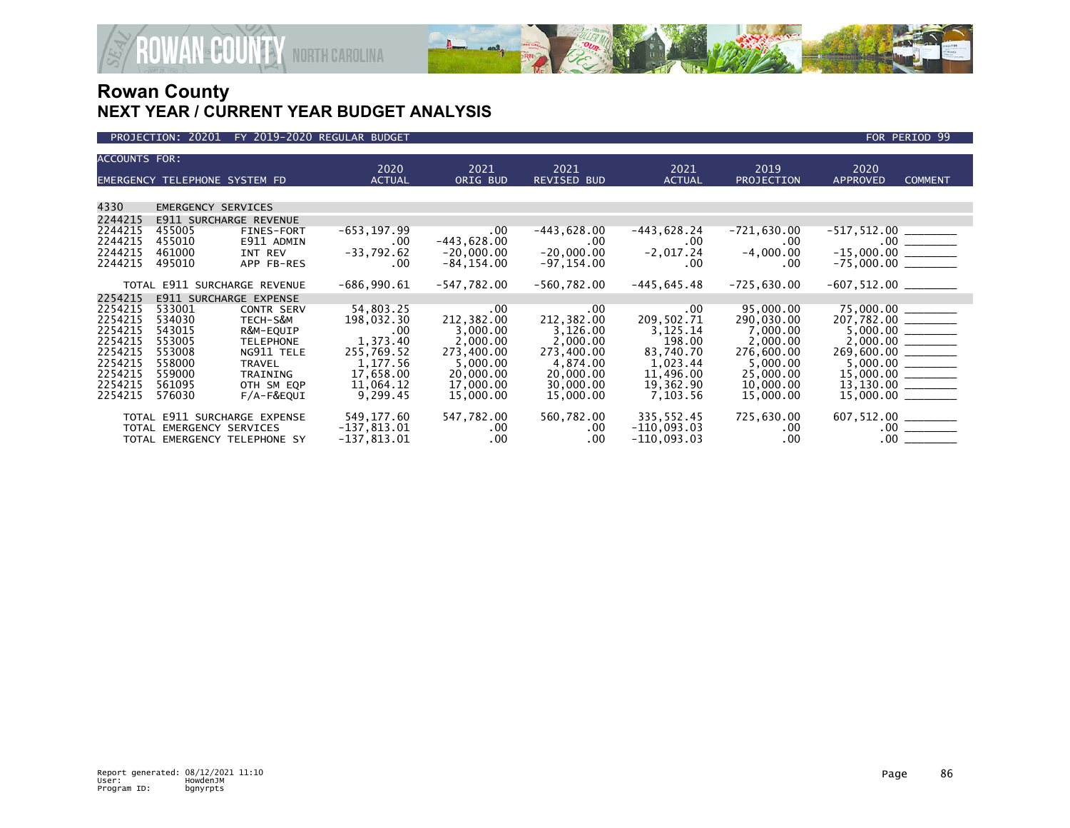

| <b>ACCOUNTS FOR:</b>                     | EMERGENCY TELEPHONE SYSTEM FD        |                                                                | 2020<br><b>ACTUAL</b>                      | 2021<br>ORIG BUD                                                   | 2021<br><b>REVISED BUD</b>                     | 2021<br><b>ACTUAL</b>                           | 2019<br>PROJECTION                              | 2020<br><b>APPROVED</b><br><b>COMMENT</b>                                                                                                                                                                                                                                                                                                                                                     |
|------------------------------------------|--------------------------------------|----------------------------------------------------------------|--------------------------------------------|--------------------------------------------------------------------|------------------------------------------------|-------------------------------------------------|-------------------------------------------------|-----------------------------------------------------------------------------------------------------------------------------------------------------------------------------------------------------------------------------------------------------------------------------------------------------------------------------------------------------------------------------------------------|
|                                          |                                      |                                                                |                                            |                                                                    |                                                |                                                 |                                                 |                                                                                                                                                                                                                                                                                                                                                                                               |
| 4330                                     | <b>EMERGENCY SERVICES</b>            |                                                                |                                            |                                                                    |                                                |                                                 |                                                 |                                                                                                                                                                                                                                                                                                                                                                                               |
| 2244215                                  |                                      | <b>E911 SURCHARGE REVENUE</b>                                  |                                            |                                                                    |                                                |                                                 |                                                 |                                                                                                                                                                                                                                                                                                                                                                                               |
| 2244215<br>2244215                       | 455005<br>455010                     | FINES-FORT<br>E911 ADMIN                                       | $-653, 197.99$<br>.00.                     | $.00 \cdot$<br>$-443,628.00$                                       | $-443,628.00$<br>.00.                          | $-443,628.24$<br>$.00 \,$                       | $-721,630.00$<br>.00                            | $-517,512.00$<br>$-00$<br>$-15,000.00$                                                                                                                                                                                                                                                                                                                                                        |
| 2244215<br>2244215                       | 461000<br>495010                     | INT REV<br>APP FB-RES                                          | $-33,792.62$<br>.00                        | $-20,000.00$<br>$-84, 154.00$                                      | $-20,000.00$<br>$-97, 154.00$                  | $-2,017.24$<br>$.00 \,$                         | $-4,000.00$<br>.00                              | $-75,000.00$ ________                                                                                                                                                                                                                                                                                                                                                                         |
|                                          |                                      | TOTAL E911 SURCHARGE REVENUE                                   | $-686,990.61$                              | $-547,782.00$                                                      | $-560,782.00$                                  | $-445, 645.48$                                  | $-725,630.00$                                   | $-607, 512.00$ ________                                                                                                                                                                                                                                                                                                                                                                       |
| 2254215                                  |                                      | E911 SURCHARGE EXPENSE                                         |                                            |                                                                    |                                                |                                                 |                                                 |                                                                                                                                                                                                                                                                                                                                                                                               |
| 2254215<br>2254215<br>2254215<br>2254215 | 533001<br>534030<br>543015<br>553005 | <b>CONTR SERV</b><br>TECH-S&M<br>R&M-EQUIP<br><b>TELEPHONE</b> | 54,803.25<br>198,032.30<br>.00<br>1,373.40 | $\overline{\phantom{0}}$ .00<br>212,382.00<br>3,000.00<br>2,000.00 | $.00 \,$<br>212,382.00<br>3,126.00<br>2,000.00 | $.00 \cdot$<br>209,502.71<br>3,125.14<br>198.00 | 95,000.00<br>290,030.00<br>7,000.00<br>2,000.00 | $\begin{array}{r} 75,000.00 \\ 207,782.00 \\ 5,000.00 \\ 2,000.00 \\ \hline \end{array} \begin{array}{r} \begin{array}{r} \begin{array}{r} \begin{array}{r} \begin{array}{r} \end{array} \\ \begin{array}{r} \end{array} \\ \begin{array}{r} \end{array} \\ \begin{array}{r} \end{array} \\ \begin{array}{r} \end{array} \\ \begin{array}{r} \end{array} \end{array} \end{array} \end{array}$ |
| 2254215<br>2254215                       | 553008<br>558000                     | NG911 TELE<br><b>TRAVEL</b>                                    | 255,769.52<br>1,177.56                     | 273,400.00<br>5,000.00                                             | 273,400.00<br>4,874.00                         | 83,740.70<br>1,023.44                           | 276,600.00<br>5,000.00                          | $269,600.00$ ________                                                                                                                                                                                                                                                                                                                                                                         |
| 2254215<br>2254215<br>2254215            | 559000<br>561095<br>576030           | TRAINING<br>OTH SM EQP                                         | 17,658.00<br>11,064.12                     | 20,000.00<br>17,000.00                                             | 20,000.00<br>30,000.00                         | 11,496.00<br>19,362.90                          | 25,000.00<br>10,000.00                          |                                                                                                                                                                                                                                                                                                                                                                                               |
|                                          |                                      | F/A-F&EQUI<br>TOTAL E911 SURCHARGE EXPENSE                     | 9,299.45<br>549,177.60                     | 15,000.00<br>547,782.00                                            | 15,000.00<br>560,782.00                        | 7,103.56<br>335,552.45                          | 15,000.00<br>725,630.00                         | 607,512.00 _______                                                                                                                                                                                                                                                                                                                                                                            |
|                                          | TOTAL EMERGENCY SERVICES             | TOTAL EMERGENCY TELEPHONE SY                                   | $-137,813.01$<br>$-137,813.01$             | $.00 \,$<br>$.00 \,$                                               | $.00 \,$<br>$.00 \,$                           | $-110,093.03$<br>$-110,093.03$                  | $.00 \,$<br>$.00 \,$                            |                                                                                                                                                                                                                                                                                                                                                                                               |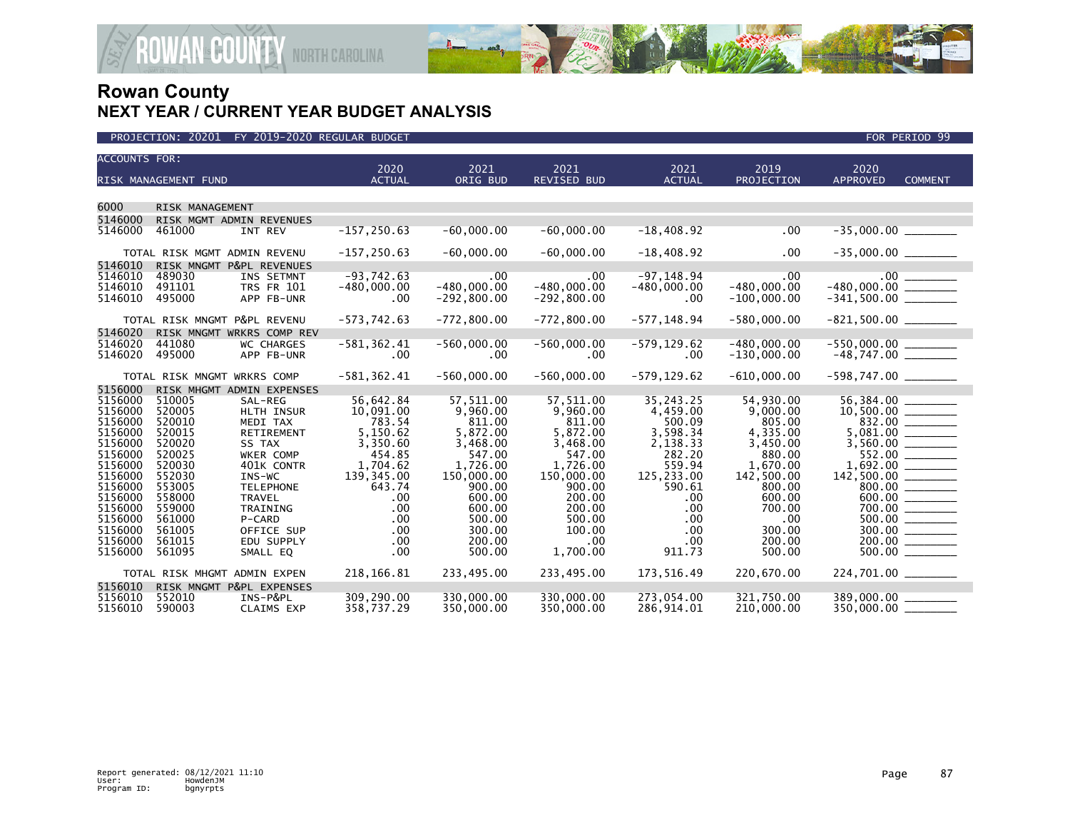

| <b>ACCOUNTS FOR:</b>                                                                                                                                              |                                                                                                                                                    |                                                                                                                                                                                                     | 2020                                                                                                                                             |                                                                                                                                                                   | 2021                                                                                                                                                                          |                                                                                                                                                  | 2019                                                                                                                                                           | 2020                                             |                                                                                                                                              |
|-------------------------------------------------------------------------------------------------------------------------------------------------------------------|----------------------------------------------------------------------------------------------------------------------------------------------------|-----------------------------------------------------------------------------------------------------------------------------------------------------------------------------------------------------|--------------------------------------------------------------------------------------------------------------------------------------------------|-------------------------------------------------------------------------------------------------------------------------------------------------------------------|-------------------------------------------------------------------------------------------------------------------------------------------------------------------------------|--------------------------------------------------------------------------------------------------------------------------------------------------|----------------------------------------------------------------------------------------------------------------------------------------------------------------|--------------------------------------------------|----------------------------------------------------------------------------------------------------------------------------------------------|
|                                                                                                                                                                   | RISK MANAGEMENT FUND                                                                                                                               |                                                                                                                                                                                                     | <b>ACTUAL</b>                                                                                                                                    | 2021<br>ORIG BUD                                                                                                                                                  | REVISED BUD                                                                                                                                                                   | 2021<br><b>ACTUAL</b>                                                                                                                            | PROJECTION                                                                                                                                                     | <b>APPROVED</b>                                  | <b>COMMENT</b>                                                                                                                               |
|                                                                                                                                                                   |                                                                                                                                                    |                                                                                                                                                                                                     |                                                                                                                                                  |                                                                                                                                                                   |                                                                                                                                                                               |                                                                                                                                                  |                                                                                                                                                                |                                                  |                                                                                                                                              |
| 6000                                                                                                                                                              | RISK MANAGEMENT                                                                                                                                    |                                                                                                                                                                                                     |                                                                                                                                                  |                                                                                                                                                                   |                                                                                                                                                                               |                                                                                                                                                  |                                                                                                                                                                |                                                  |                                                                                                                                              |
| 5146000                                                                                                                                                           | RISK MGMT ADMIN REVENUES                                                                                                                           |                                                                                                                                                                                                     |                                                                                                                                                  |                                                                                                                                                                   |                                                                                                                                                                               |                                                                                                                                                  |                                                                                                                                                                |                                                  |                                                                                                                                              |
| 5146000                                                                                                                                                           | 461000                                                                                                                                             | INT REV                                                                                                                                                                                             | $-157, 250.63$                                                                                                                                   | $-60,000.00$                                                                                                                                                      | $-60,000.00$                                                                                                                                                                  | $-18,408.92$                                                                                                                                     | .00                                                                                                                                                            | $-35,000.00$                                     |                                                                                                                                              |
|                                                                                                                                                                   | TOTAL RISK MGMT ADMIN REVENU                                                                                                                       |                                                                                                                                                                                                     | $-157, 250.63$                                                                                                                                   | $-60.000.00$                                                                                                                                                      | $-60.000.00$                                                                                                                                                                  | $-18,408.92$                                                                                                                                     | .00                                                                                                                                                            | $-35,000.00$ ________                            |                                                                                                                                              |
| 5146010<br>5146010<br>5146010<br>5146010                                                                                                                          | RISK MNGMT P&PL REVENUES<br>489030<br>491101<br>495000                                                                                             | INS SETMNT<br><b>TRS FR 101</b><br>APP FB-UNR                                                                                                                                                       | $-93,742.63$<br>$-480,000.00$<br>$.00 \times$                                                                                                    | .00<br>$-480,000.00$<br>$-292,800.00$                                                                                                                             | .00<br>$-480,000.00$<br>$-292,800.00$                                                                                                                                         | $-97, 148.94$<br>$-480,000.00$<br>$.00 \,$                                                                                                       | .00<br>$-480,000.00$<br>$-100,000.00$                                                                                                                          |                                                  |                                                                                                                                              |
|                                                                                                                                                                   | TOTAL RISK MNGMT P&PL REVENU                                                                                                                       |                                                                                                                                                                                                     | $-573,742.63$                                                                                                                                    | $-772,800.00$                                                                                                                                                     | $-772,800.00$                                                                                                                                                                 | $-577, 148.94$                                                                                                                                   | $-580.000.00$                                                                                                                                                  |                                                  |                                                                                                                                              |
| 5146020                                                                                                                                                           | RISK MNGMT WRKRS COMP REV                                                                                                                          |                                                                                                                                                                                                     |                                                                                                                                                  |                                                                                                                                                                   |                                                                                                                                                                               |                                                                                                                                                  |                                                                                                                                                                |                                                  |                                                                                                                                              |
| 5146020<br>5146020                                                                                                                                                | 441080<br>495000                                                                                                                                   | <b>WC CHARGES</b><br>APP FB-UNR                                                                                                                                                                     | $-581, 362.41$<br>$.00 \,$                                                                                                                       | $-560,000.00$<br>$.00 \,$                                                                                                                                         | $-560,000.00$<br>.00                                                                                                                                                          | $-579, 129.62$<br>$.00 \,$                                                                                                                       | $-480.000.00$<br>$-130,000.00$                                                                                                                                 | $-550,000.00$ __________<br>-48,747.00 _________ |                                                                                                                                              |
|                                                                                                                                                                   | TOTAL RISK MNGMT WRKRS COMP                                                                                                                        |                                                                                                                                                                                                     | $-581, 362.41$                                                                                                                                   | $-560,000.00$                                                                                                                                                     | $-560,000.00$                                                                                                                                                                 | $-579, 129.62$                                                                                                                                   | $-610,000.00$                                                                                                                                                  | $-598,747.00$ _________                          |                                                                                                                                              |
| 5156000                                                                                                                                                           | RISK MHGMT ADMIN EXPENSES                                                                                                                          |                                                                                                                                                                                                     |                                                                                                                                                  |                                                                                                                                                                   |                                                                                                                                                                               |                                                                                                                                                  |                                                                                                                                                                |                                                  |                                                                                                                                              |
| 5156000<br>5156000<br>5156000<br>5156000<br>5156000<br>5156000<br>5156000<br>5156000<br>5156000<br>5156000<br>5156000<br>5156000<br>5156000<br>5156000<br>5156000 | 510005<br>520005<br>520010<br>520015<br>520020<br>520025<br>520030<br>552030<br>553005<br>558000<br>559000<br>561000<br>561005<br>561015<br>561095 | SAL-REG<br>HLTH INSUR<br>MEDI TAX<br>RETIREMENT<br>SS TAX<br>WKER COMP<br>401K CONTR<br>$INS-WC$<br><b>TELEPHONE</b><br><b>TRAVEL</b><br>TRAINING<br>P-CARD<br>OFFICE SUP<br>EDU SUPPLY<br>SMALL EQ | 56,642.84<br>10,091.00<br>783.54<br>5,150.62<br>3,350.60<br>454.85<br>1,704.62<br>139,345.00<br>643.74<br>.00<br>.00<br>.00<br>.00<br>.00<br>.00 | 57,511.00<br>9,960.00<br>811.00<br>5,872.00<br>3,468.00<br>547.00<br>1,726.00<br>150,000.00<br>900.00<br>600.00<br>600.00<br>500.00<br>300.00<br>200.00<br>500.00 | 57,511.00<br>9,960.00<br>811.00<br>5,872.00<br>3,468.00<br>547.00<br>1,726.00<br>150,000.00<br>900.00<br>200.00<br>200.00<br>500.00<br>100.00<br>.00 <sub>1</sub><br>1,700.00 | 35,243.25<br>4,459.00<br>500.09<br>3,598.34<br>2,138.33<br>282.20<br>559.94<br>125,233.00<br>590.61<br>.00<br>.00<br>.00<br>.00<br>.00<br>911.73 | 54,930.00<br>9,000.00<br>805.00<br>4,335.00<br>3,450.00<br>880.00<br>1,670.00<br>142,500.00<br>800.00<br>600.00<br>700.00<br>.00<br>300.00<br>200.00<br>500.00 | 56,384.00                                        | 832.00<br>552.00<br>$\begin{array}{c}\n 800.00 \\  \hline\n 600.00\n \end{array}$<br>700.00 ________<br>$500.00$ _________<br>200.00 _______ |
|                                                                                                                                                                   | TOTAL RISK MHGMT ADMIN EXPEN                                                                                                                       |                                                                                                                                                                                                     | 218, 166.81                                                                                                                                      | 233,495.00                                                                                                                                                        | 233,495.00                                                                                                                                                                    | 173.516.49                                                                                                                                       | 220.670.00                                                                                                                                                     | 224,701.00 _______                               |                                                                                                                                              |
| 5156010                                                                                                                                                           | RISK MNGMT P&PL EXPENSES                                                                                                                           |                                                                                                                                                                                                     |                                                                                                                                                  |                                                                                                                                                                   |                                                                                                                                                                               |                                                                                                                                                  |                                                                                                                                                                |                                                  |                                                                                                                                              |
| 5156010<br>5156010                                                                                                                                                | 552010<br>590003                                                                                                                                   | INS-P&PL<br>CLAIMS EXP                                                                                                                                                                              | 309,290.00<br>358,737.29                                                                                                                         | 330,000.00<br>350,000.00                                                                                                                                          | 330,000.00<br>350,000.00                                                                                                                                                      | 273,054.00<br>286,914.01                                                                                                                         | 321,750.00<br>210,000.00                                                                                                                                       | 389,000.00<br>$350,000.00$ ________              |                                                                                                                                              |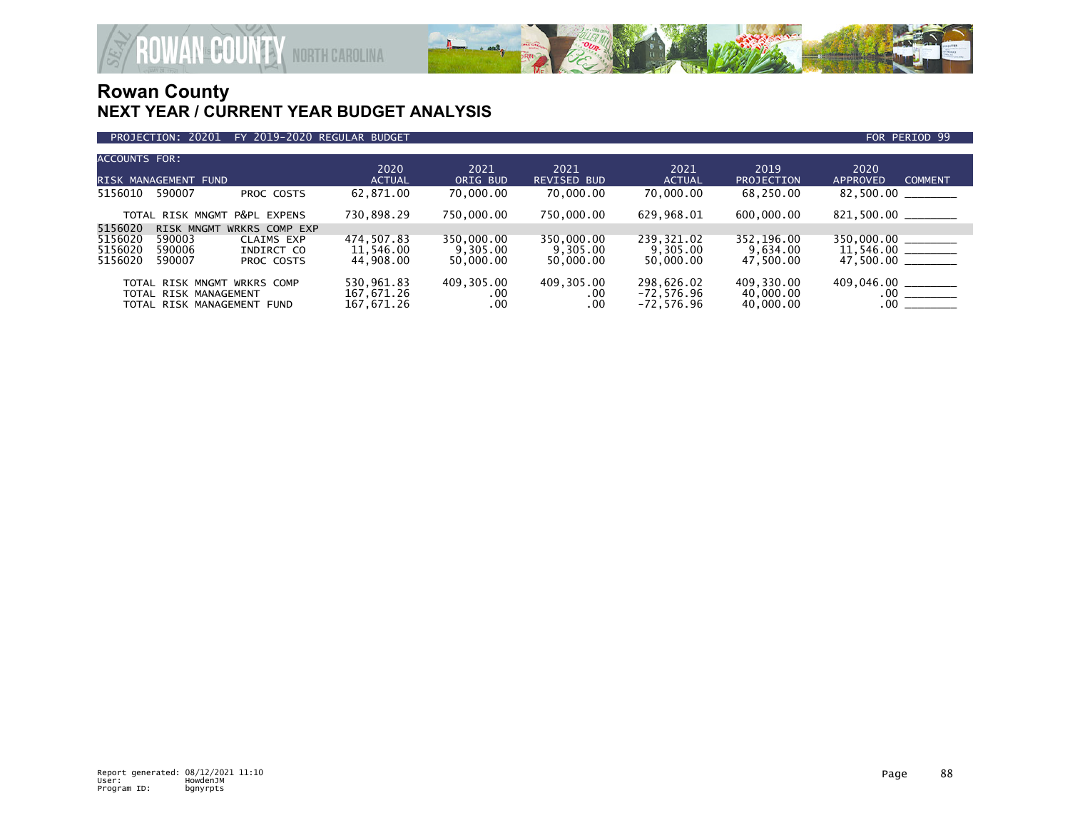

| ACCOUNTS FOR:                 |                                                                                    |                                        | 2020                                   | 2021                                | 2021                                   | 2021                                       | 2019                                 | 2020                                   |
|-------------------------------|------------------------------------------------------------------------------------|----------------------------------------|----------------------------------------|-------------------------------------|----------------------------------------|--------------------------------------------|--------------------------------------|----------------------------------------|
|                               | RISK MANAGEMENT FUND                                                               |                                        | <b>ACTUAL</b>                          | ORIG BUD                            | <b>REVISED BUD</b>                     | <b>ACTUAL</b>                              | PROJECTION                           | <b>COMMENT</b><br>APPROVED             |
| 5156010                       | 590007                                                                             | PROC COSTS                             | 62,871.00                              | 70,000.00                           | 70,000.00                              | 70,000.00                                  | 68,250.00                            | 82,500.00                              |
|                               |                                                                                    | TOTAL RISK MNGMT P&PL EXPENS           | 730,898.29                             | 750,000.00                          | 750,000.00                             | 629,968.01                                 | 600,000.00                           |                                        |
| 5156020                       | <b>RISK MNGMT</b>                                                                  | WRKRS COMP EXP                         |                                        |                                     |                                        |                                            |                                      |                                        |
| 5156020<br>5156020<br>5156020 | 590003<br>590006<br>590007                                                         | CLAIMS EXP<br>INDIRCT CO<br>PROC COSTS | 474,507.83<br>11,546.00<br>44,908.00   | 350,000.00<br>9,305.00<br>50,000.00 | 350,000.00<br>9,305.00<br>50,000.00    | 239,321.02<br>9,305.00<br>50,000,00        | 352,196.00<br>9,634.00<br>47.500.00  | $350,000.00$ ________<br>47.500.00     |
|                               | TOTAL RISK MNGMT WRKRS COMP<br>TOTAL RISK MANAGEMENT<br>TOTAL RISK MANAGEMENT FUND |                                        | 530,961.83<br>167,671.26<br>167,671.26 | 409,305.00<br>.00<br>.00            | 409,305.00<br>$.00 \,$<br>$.00 \times$ | 298,626.02<br>$-72,576.96$<br>$-72.576.96$ | 409,330.00<br>40,000.00<br>40,000.00 | 409.046.00<br>$.00$ ______<br>$.00 \,$ |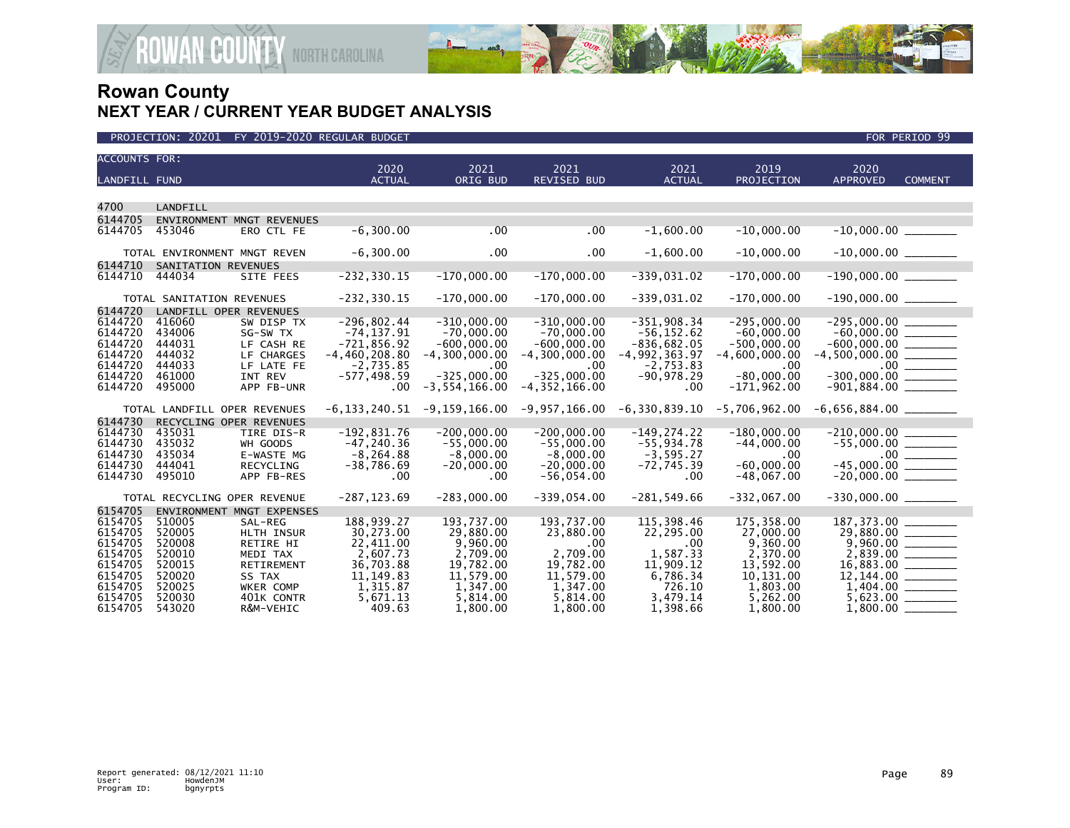

| <b>ACCOUNTS FOR:</b> |                           |                              | 2020                   | 2021                  | 2021                  | 2021               | 2019                  | 2020                                         |                |
|----------------------|---------------------------|------------------------------|------------------------|-----------------------|-----------------------|--------------------|-----------------------|----------------------------------------------|----------------|
| <b>LANDFILL FUND</b> |                           |                              | <b>ACTUAL</b>          | ORIG BUD              | <b>REVISED BUD</b>    | <b>ACTUAL</b>      | PROJECTION            | <b>APPROVED</b>                              | <b>COMMENT</b> |
|                      |                           |                              |                        |                       |                       |                    |                       |                                              |                |
| 4700                 | <b>LANDFILL</b>           |                              |                        |                       |                       |                    |                       |                                              |                |
| 6144705              |                           | ENVIRONMENT MNGT REVENUES    |                        |                       |                       |                    |                       |                                              |                |
| 6144705              | 453046                    | ERO CTL FE                   | $-6, 300.00$           | .00                   | .00                   | $-1,600.00$        | $-10,000.00$          |                                              |                |
|                      |                           |                              |                        |                       |                       |                    |                       |                                              |                |
|                      |                           | TOTAL ENVIRONMENT MNGT REVEN | $-6,300.00$            | .00                   | .00                   | $-1,600.00$        | $-10,000.00$          |                                              |                |
| 6144710              | SANITATION REVENUES       |                              |                        |                       |                       |                    |                       |                                              |                |
| 6144710              | 444034                    | SITE FEES                    | $-232, 330.15$         | $-170,000.00$         | $-170,000.00$         | $-339,031.02$      | $-170,000.00$         | $-190,000.00$ ________                       |                |
|                      | TOTAL SANITATION REVENUES |                              | $-232, 330.15$         | $-170,000.00$         | $-170,000.00$         | $-339,031.02$      | $-170,000.00$         | $-190,000.00$ ________                       |                |
| 6144720              |                           | LANDFILL OPER REVENUES       |                        |                       |                       |                    |                       |                                              |                |
| 6144720              | 416060                    | SW DISP TX                   | $-296,802.44$          | $-310,000.00$         | $-310,000.00$         | $-351,908.34$      | $-295,000.00$         | $-295,000.00$ ________                       |                |
| 6144720              | 434006                    | SG-SW TX                     | $-74, 137.91$          | $-70,000.00$          | $-70,000.00$          | $-56, 152.62$      | $-60,000.00$          | $-60,000.00$ _________                       |                |
| 6144720              | 444031                    | LF CASH RE                   | $-721,856.92$          | $-600.000.00$         | $-600.000.00$         | $-836,682.05$      | $-500,000,00$         | $-600.000.00$                                |                |
| 6144720              | 444032                    | LF CHARGES                   | $-4, 460, 208.80$      | $-4, 300, 000, 00$    | $-4, 300, 000, 00$    | $-4,992,363.97$    | $-4,600,000.00$       | $-4,500,000.00$ _________                    |                |
| 6144720              | 444033                    | LF LATE FE                   | $-2.735.85$            | .00                   | .00                   | $-2,753.83$        | .00                   |                                              |                |
| 6144720              | 461000                    | INT REV                      | $-577, 498.59$         | $-325,000.00$         | $-325,000.00$         | $-90,978.29$       | $-80,000.00$          | $-300,000.00$ _________                      |                |
| 6144720              | 495000                    | APP FB-UNR                   | .00                    | $-3, 554, 166.00$     | $-4, 352, 166.00$     | $.00 \,$           | $-171,962.00$         | $-901,884.00$ ________                       |                |
|                      |                           | TOTAL LANDFILL OPER REVENUES | -6,133,240.51          | $-9,159,166.00$       | -9,957,166.00         | -6,330,839.10      | $-5,706,962.00$       | $-6,656,884.00$ _________                    |                |
| 6144730              |                           | RECYCLING OPER REVENUES      |                        |                       |                       |                    |                       |                                              |                |
| 6144730              | 435031                    | TIRE DIS-R                   | $-192,831.76$          | $-200,000.00$         | $-200,000.00$         | $-149, 274.22$     | $-180,000.00$         |                                              |                |
| 6144730              | 435032                    | WH GOODS                     | $-47, 240.36$          | $-55,000.00$          | $-55,000.00$          | $-55,934.78$       | $-44,000.00$          | $-55,000.00$<br>$-45,000.00$<br>$-45,000.00$ |                |
| 6144730              | 435034                    | E-WASTE MG                   | $-8, 264.88$           | $-8,000.00$           | $-8,000.00$           | $-3,595.27$        | .00                   |                                              |                |
| 6144730              | 444041                    | RECYCLING                    | $-38,786.69$           | $-20,000.00$          | $-20,000.00$          | $-72,745.39$       | $-60,000.00$          |                                              |                |
| 6144730              | 495010                    | APP FB-RES                   | .00                    | $.00 \times$          | $-56,054.00$          | $.00 \times$       | $-48,067.00$          |                                              |                |
|                      |                           | TOTAL RECYCLING OPER REVENUE | $-287, 123.69$         | $-283,000.00$         | $-339,054.00$         | $-281.549.66$      | $-332,067.00$         | $-330,000.00$ ________                       |                |
| 6154705              |                           | ENVIRONMENT MNGT EXPENSES    |                        |                       |                       |                    |                       |                                              |                |
| 6154705              | 510005                    | SAL-REG                      | 188,939.27             | 193,737.00            | 193,737.00            | 115,398.46         | 175,358.00            | 187, 373.00                                  |                |
| 6154705              | 520005                    | <b>HLTH INSUR</b>            | 30.273.00              | 29,880,00             | 23,880.00             | 22,295.00          | 27,000.00             |                                              |                |
| 6154705              | 520008                    | RETIRE HI                    | 22,411.00              | 9,960.00              | $.00 \times$          | .00                | 9.360.00              |                                              |                |
| 6154705              | 520010                    | MEDI TAX                     | 2,607.73               | 2,709.00              | 2,709.00              | 1,587.33           | 2,370.00              |                                              |                |
| 6154705<br>6154705   | 520015<br>520020          | RETIREMENT                   | 36,703.88              | 19,782.00             | 19,782.00             | 11,909.12          | 13,592.00             |                                              |                |
| 6154705              | 520025                    | SS TAX<br><b>WKER COMP</b>   | 11, 149.83<br>1,315.87 | 11,579.00<br>1,347.00 | 11,579.00<br>1,347.00 | 6,786.34<br>726.10 | 10,131.00<br>1,803.00 |                                              |                |
| 6154705              | 520030                    | 401K CONTR                   | 5,671.13               | 5,814.00              | 5,814.00              | 3,479.14           | 5,262.00              |                                              |                |
| 6154705              | 543020                    | R&M-VEHIC                    | 409.63                 | 1,800.00              | 1,800.00              | 1,398.66           | 1,800.00              | 1,800.00                                     |                |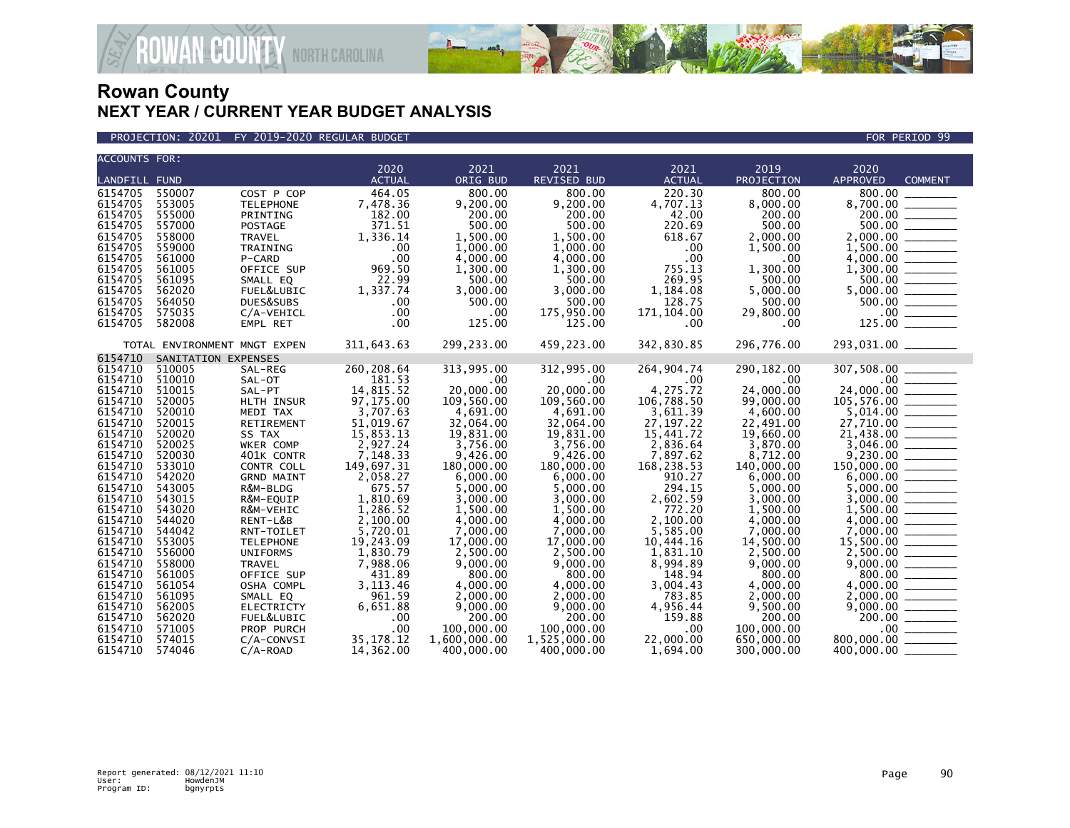

PROJECTION: 20201 FY 2019-2020 REGULAR BUDGET FOR PERIOD 99

**ROWAN COUNTY NORTH CAROLINA** 

| <b>ACCOUNTS FOR:</b> |                              |                   |               |              |              |               |            |                                                                                                                                                                                                                                                                                                                                                                                 |                |
|----------------------|------------------------------|-------------------|---------------|--------------|--------------|---------------|------------|---------------------------------------------------------------------------------------------------------------------------------------------------------------------------------------------------------------------------------------------------------------------------------------------------------------------------------------------------------------------------------|----------------|
|                      |                              |                   | 2020          | 2021         | 2021         | 2021          | 2019       | 2020                                                                                                                                                                                                                                                                                                                                                                            |                |
| <b>LANDFILL FUND</b> |                              |                   | <b>ACTUAL</b> | ORIG BUD     | REVISED BUD  | <b>ACTUAL</b> | PROJECTION | APPROVED                                                                                                                                                                                                                                                                                                                                                                        | <b>COMMENT</b> |
| 6154705              | 550007                       | COST P COP        | 464.05        | 800.00       | 800.00       | 220.30        | 800.00     | 800.00                                                                                                                                                                                                                                                                                                                                                                          |                |
| 6154705              | 553005                       | <b>TELEPHONE</b>  | 7,478.36      | 9,200.00     | 9,200.00     | 4,707.13      | 8,000.00   | 8,700.00                                                                                                                                                                                                                                                                                                                                                                        |                |
| 6154705              | 555000                       | PRINTING          | 182.00        | 200.00       | 200.00       | 42.00         | 200.00     |                                                                                                                                                                                                                                                                                                                                                                                 |                |
| 6154705              | 557000                       | POSTAGE           | 371.51        | 500.00       | 500.00       | 220.69        | 500.00     |                                                                                                                                                                                                                                                                                                                                                                                 |                |
| 6154705              | 558000                       | TRAVEL            | 1,336.14      | 1,500.00     | 1,500.00     | 618.67        | 2,000.00   |                                                                                                                                                                                                                                                                                                                                                                                 |                |
| 6154705              | 559000                       | TRAINING          | .00           | 1,000.00     | 1,000.00     | .00           | 1,500.00   |                                                                                                                                                                                                                                                                                                                                                                                 |                |
| 6154705              | 561000                       | P-CARD            | .00           | 4,000.00     | 4,000.00     | .00           | $.00 \,$   | $2,000.00$<br>1,500.00<br>4,000.00                                                                                                                                                                                                                                                                                                                                              |                |
| 6154705              | 561005                       | OFFICE SUP        | 969.50        | 1.300.00     | 1.300.00     | 755.13        | 1,300.00   |                                                                                                                                                                                                                                                                                                                                                                                 |                |
| 6154705              | 561095                       | SMALL EQ          | 22.99         | 500.00       | 500.00       | 269.95        | 500.00     |                                                                                                                                                                                                                                                                                                                                                                                 |                |
| 6154705              | 562020                       | FUEL&LUBIC        | 1,337.74      | 3,000.00     | 3,000.00     | 1,184.08      | 5,000.00   | $\begin{array}{r} 5,000.00 \overline{0} & 0.00 \overline{0} & 0.00 \overline{0} & 0.00 \overline{0} & 0.00 \overline{0} & 0.00 \overline{0} & 0.00 \overline{0} & 0.00 \overline{0} & 0.00 \overline{0} & 0.00 \overline{0} & 0.00 \overline{0} & 0.00 \overline{0} & 0.00 \overline{0} & 0.00 \overline{0} & 0.00 \overline{0} & 0.00 \overline{0} & 0.00 \overline{0} & 0.00$ |                |
| 6154705              | 564050                       | DUES&SUBS         | .00           | 500.00       | 500.00       | 128.75        | 500.00     |                                                                                                                                                                                                                                                                                                                                                                                 |                |
| 6154705              | 575035                       | C/A-VEHICL        | .00           | .00          | 175,950.00   | 171,104.00    | 29,800.00  |                                                                                                                                                                                                                                                                                                                                                                                 |                |
| 6154705              | 582008                       | EMPL RET          | .00           | 125.00       | 125.00       | $.00 \,$      | $.00 \,$   |                                                                                                                                                                                                                                                                                                                                                                                 |                |
|                      | TOTAL ENVIRONMENT MNGT EXPEN |                   | 311,643.63    | 299,233.00   | 459,223.00   | 342,830.85    | 296,776.00 | 293,031.00 _______                                                                                                                                                                                                                                                                                                                                                              |                |
| 6154710              | SANITATION EXPENSES          |                   |               |              |              |               |            |                                                                                                                                                                                                                                                                                                                                                                                 |                |
| 6154710              | 510005                       | SAL-REG           | 260,208.64    | 313,995.00   | 312,995.00   | 264,904.74    | 290,182.00 | 307,508.00                                                                                                                                                                                                                                                                                                                                                                      |                |
| 6154710              | 510010                       | SAL-OT            | 181.53        | .00          | $.00 \times$ | .00           | .00        |                                                                                                                                                                                                                                                                                                                                                                                 |                |
| 6154710              | 510015                       | SAL-PT            | 14,815.52     | 20,000.00    | 20,000,00    | 4,275.72      | 24,000,00  |                                                                                                                                                                                                                                                                                                                                                                                 |                |
| 6154710              | 520005                       | HLTH INSUR        | 97,175.00     | 109,560.00   | 109,560.00   | 106,788.50    | 99,000.00  |                                                                                                                                                                                                                                                                                                                                                                                 |                |
| 6154710              | 520010                       | MEDI TAX          | 3,707.63      | 4,691.00     | 4,691.00     | 3,611.39      | 4,600.00   | $307,508.00$<br>$24,000.00$<br>$105,576.00$<br>$5,014.00$<br>$27,710.00$<br>$21,438.00$<br>$3,046.00$<br>$9,230.00$<br>$150,000.00$<br>$5,000.00$<br>$3,000.00$<br>$3,000.00$<br>$1,500.00$                                                                                                                                                                                     |                |
| 6154710              | 520015                       | RETIREMENT        | 51,019.67     | 32,064.00    | 32,064,00    | 27, 197. 22   | 22,491.00  |                                                                                                                                                                                                                                                                                                                                                                                 |                |
| 6154710              | 520020                       | SS TAX            | 15,853.13     | 19,831.00    | 19,831.00    | 15,441.72     | 19,660.00  |                                                                                                                                                                                                                                                                                                                                                                                 |                |
| 6154710              | 520025                       | WKER COMP         | 2,927.24      | 3,756.00     | 3,756.00     | 2,836.64      | 3,870.00   |                                                                                                                                                                                                                                                                                                                                                                                 |                |
| 6154710              | 520030                       | 401K CONTR        | 7,148.33      | 9,426.00     | 9,426.00     | 7,897.62      | 8,712.00   |                                                                                                                                                                                                                                                                                                                                                                                 |                |
| 6154710              | 533010                       | CONTR COLL        | 149,697.31    | 180,000.00   | 180,000.00   | 168,238.53    | 140,000.00 |                                                                                                                                                                                                                                                                                                                                                                                 |                |
| 6154710              | 542020                       | <b>GRND MAINT</b> | 2,058.27      | 6,000.00     | 6,000.00     | 910.27        | 6,000.00   |                                                                                                                                                                                                                                                                                                                                                                                 |                |
| 6154710              | 543005                       | R&M-BLDG          | 675.57        | 5,000.00     | 5,000.00     | 294.15        | 5,000.00   |                                                                                                                                                                                                                                                                                                                                                                                 |                |
| 6154710              | 543015                       | R&M-EQUIP         | 1,810.69      | 3,000.00     | 3,000.00     | 2,602.59      | 3,000.00   |                                                                                                                                                                                                                                                                                                                                                                                 |                |
| 6154710              | 543020                       | R&M-VEHIC         | 1,286.52      | 1,500.00     | 1,500.00     | 772.20        | 1,500.00   | $1,500.00$<br>$4,000.00$<br>$7,000.00$<br>$2,000.00$                                                                                                                                                                                                                                                                                                                            |                |
| 6154710              | 544020                       | RENT-L&B          | 2,100.00      | 4,000.00     | 4,000.00     | 2,100.00      | 4,000.00   |                                                                                                                                                                                                                                                                                                                                                                                 |                |
| 6154710              | 544042                       | RNT-TOILET        | 5,720.01      | 7,000.00     | 7,000.00     | 5,585.00      | 7,000.00   |                                                                                                                                                                                                                                                                                                                                                                                 |                |
| 6154710              | 553005                       | <b>TELEPHONE</b>  | 19,243.09     | 17,000.00    | 17,000.00    | 10,444.16     | 14,500.00  |                                                                                                                                                                                                                                                                                                                                                                                 |                |
| 6154710              | 556000                       | UNIFORMS          | 1,830.79      | 2,500.00     | 2,500.00     | 1,831.10      | 2,500.00   |                                                                                                                                                                                                                                                                                                                                                                                 |                |
| 6154710              | 558000                       | <b>TRAVEL</b>     | 7,988.06      | 9,000.00     | 9,000.00     | 8,994.89      | 9,000.00   |                                                                                                                                                                                                                                                                                                                                                                                 |                |
| 6154710              | 561005                       | OFFICE SUP        | 431.89        | 800.00       | 800.00       | 148.94        | 800.00     |                                                                                                                                                                                                                                                                                                                                                                                 |                |
| 6154710              | 561054                       | OSHA COMPL        | 3, 113.46     | 4,000.00     | 4.000.00     | 3,004.43      | 4.000.00   |                                                                                                                                                                                                                                                                                                                                                                                 |                |
| 6154710              | 561095                       | SMALL EQ          | 961.59        | 2,000.00     | 2,000.00     | 783.85        | 2,000.00   | $\begin{array}{r} 7,500.00 \ \hline 15,500.00 \ \hline 2,500.00 \ \hline 9,000.00 \ \hline 800.00 \ \hline 4,000.00 \ \hline 2,000.00 \ \hline 200.00 \ \hline 200.00 \ \hline \end{array}$                                                                                                                                                                                     |                |
| 6154710              | 562005                       | <b>ELECTRICTY</b> | 6,651.88      | 9.000.00     | 9.000.00     | 4,956.44      | 9.500.00   |                                                                                                                                                                                                                                                                                                                                                                                 |                |
| 6154710              | 562020                       | FUEL&LUBIC        | .00           | 200.00       | 200.00       | 159.88        | 200.00     |                                                                                                                                                                                                                                                                                                                                                                                 |                |
| 6154710              | 571005                       | PROP PURCH        | .00           | 100,000,00   | 100,000.00   | .00           | 100,000,00 |                                                                                                                                                                                                                                                                                                                                                                                 |                |
| 6154710              | 574015                       | $C/A$ -CONVSI     | 35, 178. 12   | 1,600,000.00 | 1,525,000.00 | 22,000.00     | 650,000,00 | 800,000,00                                                                                                                                                                                                                                                                                                                                                                      |                |
| 6154710              | 574046                       | $C/A-ROAD$        | 14,362.00     | 400,000.00   | 400,000.00   | 1.694.00      | 300,000,00 | 400,000.00                                                                                                                                                                                                                                                                                                                                                                      |                |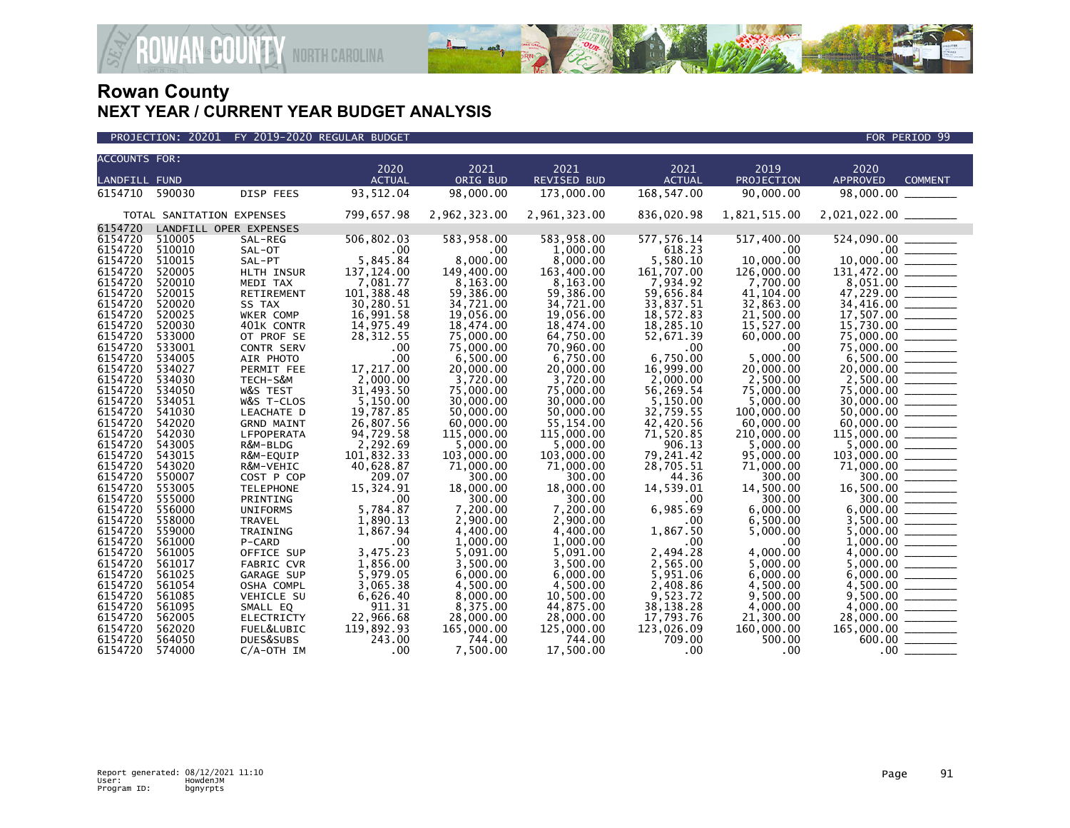

| <b>ACCOUNTS FOR:</b> |                           |                        |                       |                        |                        |                       |                       |                                                                                                                                                                                                                                                                                                                                                                                                                                                                                                                 |                                                                                                                                                                                                                                                                                                                                                                                                                                                                                                  |
|----------------------|---------------------------|------------------------|-----------------------|------------------------|------------------------|-----------------------|-----------------------|-----------------------------------------------------------------------------------------------------------------------------------------------------------------------------------------------------------------------------------------------------------------------------------------------------------------------------------------------------------------------------------------------------------------------------------------------------------------------------------------------------------------|--------------------------------------------------------------------------------------------------------------------------------------------------------------------------------------------------------------------------------------------------------------------------------------------------------------------------------------------------------------------------------------------------------------------------------------------------------------------------------------------------|
|                      |                           |                        | 2020                  | 2021                   | 2021                   | 2021                  | 2019                  | 2020                                                                                                                                                                                                                                                                                                                                                                                                                                                                                                            |                                                                                                                                                                                                                                                                                                                                                                                                                                                                                                  |
| <b>LANDFILL FUND</b> |                           |                        | <b>ACTUAL</b>         | ORIG BUD               | <b>REVISED BUD</b>     | <b>ACTUAL</b>         | PROJECTION            | <b>APPROVED</b>                                                                                                                                                                                                                                                                                                                                                                                                                                                                                                 | <b>COMMENT</b>                                                                                                                                                                                                                                                                                                                                                                                                                                                                                   |
| 6154710              | 590030                    | DISP FEES              | 93,512.04             | 98,000.00              | 173,000.00             | 168,547.00            | 90,000.00             | 98,000.00                                                                                                                                                                                                                                                                                                                                                                                                                                                                                                       |                                                                                                                                                                                                                                                                                                                                                                                                                                                                                                  |
|                      | TOTAL SANITATION EXPENSES |                        | 799,657.98            | 2,962,323.00           | 2,961,323.00           | 836,020.98            | 1,821,515.00          |                                                                                                                                                                                                                                                                                                                                                                                                                                                                                                                 |                                                                                                                                                                                                                                                                                                                                                                                                                                                                                                  |
| 6154720              |                           | LANDFILL OPER EXPENSES |                       |                        |                        |                       |                       |                                                                                                                                                                                                                                                                                                                                                                                                                                                                                                                 |                                                                                                                                                                                                                                                                                                                                                                                                                                                                                                  |
| 6154720              | 510005                    | SAL-REG                | 506,802.03            | 583,958.00             | 583,958.00             | 577,576.14            | 517,400.00            |                                                                                                                                                                                                                                                                                                                                                                                                                                                                                                                 |                                                                                                                                                                                                                                                                                                                                                                                                                                                                                                  |
| 6154720              | 510010                    | SAL-OT                 | .00                   | .00                    | 1,000.00               | 618.23                | $.00 \,$              | $\begin{array}{c}\n 00 \\  \overline{00} \\  \overline{00} \\  \overline{00} \\  \overline{00} \\  \overline{00} \\  \overline{00} \\  \overline{00} \\  \overline{00} \\  \overline{00} \\  \overline{00} \\  \overline{00} \\  \overline{00} \\  \overline{00} \\  \overline{00} \\  \overline{00} \\  \overline{00} \\  \overline{00} \\  \overline{00} \\  \overline{00} \\  \overline{00} \\  \overline{00} \\  \overline{00} \\  \overline{00} \\  \overline{00} \\  \overline{00} \\  \overline{00} \\ $ |                                                                                                                                                                                                                                                                                                                                                                                                                                                                                                  |
| 6154720              | 510015                    | SAL-PT                 | 5,845.84              | 8,000.00               | 8,000.00               | 5,580.10              | 10.000.00             | 10,000.00                                                                                                                                                                                                                                                                                                                                                                                                                                                                                                       |                                                                                                                                                                                                                                                                                                                                                                                                                                                                                                  |
| 6154720              | 520005                    | HLTH INSUR             | 137, 124.00           | 149,400.00             | 163,400.00             | 161,707.00            | 126,000.00            |                                                                                                                                                                                                                                                                                                                                                                                                                                                                                                                 |                                                                                                                                                                                                                                                                                                                                                                                                                                                                                                  |
| 6154720              | 520010                    | MEDI TAX               | 7,081.77              | 8,163.00               | 8.163.00               | 7,934.92              | 7,700.00              | 8,051.00                                                                                                                                                                                                                                                                                                                                                                                                                                                                                                        | $\frac{1}{1-\frac{1}{1-\frac{1}{1-\frac{1}{1-\frac{1}{1-\frac{1}{1-\frac{1}{1-\frac{1}{1-\frac{1}{1-\frac{1}{1-\frac{1}{1-\frac{1}{1-\frac{1}{1-\frac{1}{1-\frac{1}{1-\frac{1}{1-\frac{1}{1-\frac{1}{1-\frac{1}{1-\frac{1}{1-\frac{1}{1-\frac{1}{1-\frac{1}{1-\frac{1}{1-\frac{1}{1-\frac{1}{1-\frac{1}{1-\frac{1}{1-\frac{1}{1-\frac{1}{1-\frac{1}{1-\frac{1}{1-\frac{1}{1-\frac{1}{1-\frac{1}{1-\frac{1}{1-\frac{1$                                                                            |
| 6154720              | 520015                    | RETIREMENT             | 101,388.48            | 59,386.00              | 59,386.00              | 59,656.84             | 41, 104.00            | 47,229.00                                                                                                                                                                                                                                                                                                                                                                                                                                                                                                       | $\frac{1}{1}$                                                                                                                                                                                                                                                                                                                                                                                                                                                                                    |
| 6154720              | 520020                    | SS TAX                 | 30,280.51             | 34,721.00              | 34,721.00              | 33,837.51             | 32,863.00             | 34,416.00 _______                                                                                                                                                                                                                                                                                                                                                                                                                                                                                               |                                                                                                                                                                                                                                                                                                                                                                                                                                                                                                  |
| 6154720              | 520025                    | WKER COMP              | 16,991.58             | 19,056.00              | 19,056.00              | 18,572.83             | 21,500.00             | 17,507.00 _______                                                                                                                                                                                                                                                                                                                                                                                                                                                                                               |                                                                                                                                                                                                                                                                                                                                                                                                                                                                                                  |
| 6154720              | 520030                    | 401K CONTR             | 14,975.49             | 18,474.00              | 18,474.00              | 18,285.10             | 15,527.00             | 15,730.00                                                                                                                                                                                                                                                                                                                                                                                                                                                                                                       | $\frac{1}{1}$                                                                                                                                                                                                                                                                                                                                                                                                                                                                                    |
| 6154720              | 533000                    | OT PROF SE             | 28, 312.55            | 75,000.00              | 64,750.00              | 52,671.39             | 60,000.00             | 75,000.00 _______                                                                                                                                                                                                                                                                                                                                                                                                                                                                                               |                                                                                                                                                                                                                                                                                                                                                                                                                                                                                                  |
| 6154720              | 533001                    | <b>CONTR SERV</b>      | .00                   | 75,000.00              | 70.960.00              | .00                   | .00                   | 75,000.00                                                                                                                                                                                                                                                                                                                                                                                                                                                                                                       |                                                                                                                                                                                                                                                                                                                                                                                                                                                                                                  |
| 6154720              | 534005                    | AIR PHOTO              | .00                   | 6,500.00               | 6,750.00               | 6,750.00              | 5,000.00              | 6,500.00                                                                                                                                                                                                                                                                                                                                                                                                                                                                                                        |                                                                                                                                                                                                                                                                                                                                                                                                                                                                                                  |
| 6154720              | 534027                    | PERMIT FEE             | 17,217.00             | 20,000.00              | 20,000.00              | 16,999.00             | 20,000.00             |                                                                                                                                                                                                                                                                                                                                                                                                                                                                                                                 |                                                                                                                                                                                                                                                                                                                                                                                                                                                                                                  |
| 6154720<br>6154720   | 534030                    | TECH-S&M               | 2,000.00              | 3,720.00               | 3,720.00               | 2.000.00              | 2,500.00              | $2,500.00$ ________                                                                                                                                                                                                                                                                                                                                                                                                                                                                                             |                                                                                                                                                                                                                                                                                                                                                                                                                                                                                                  |
| 6154720              | 534050<br>534051          | W&S TEST<br>W&S T-CLOS | 31,493.50<br>5,150.00 | 75,000,00<br>30,000.00 | 75,000,00<br>30,000.00 | 56,269.54<br>5,150.00 | 75,000.00<br>5,000.00 |                                                                                                                                                                                                                                                                                                                                                                                                                                                                                                                 |                                                                                                                                                                                                                                                                                                                                                                                                                                                                                                  |
| 6154720              | 541030                    | LEACHATE D             | 19,787.85             | 50,000.00              | 50,000.00              | 32,759.55             | 100,000.00            |                                                                                                                                                                                                                                                                                                                                                                                                                                                                                                                 |                                                                                                                                                                                                                                                                                                                                                                                                                                                                                                  |
| 6154720              | 542020                    | <b>GRND MAINT</b>      | 26,807.56             | 60,000.00              | 55,154.00              | 42,420.56             | 60,000.00             | 50,000.00 _______<br>60,000,00                                                                                                                                                                                                                                                                                                                                                                                                                                                                                  | $\begin{tabular}{ll} \multicolumn{2}{c} {\textbf{1}} & \multicolumn{2}{c} {\textbf{1}} & \multicolumn{2}{c} {\textbf{1}} \\ \multicolumn{2}{c} {\textbf{1}} & \multicolumn{2}{c} {\textbf{1}} & \multicolumn{2}{c} {\textbf{1}} \\ \multicolumn{2}{c} {\textbf{1}} & \multicolumn{2}{c} {\textbf{1}} & \multicolumn{2}{c} {\textbf{1}} \\ \multicolumn{2}{c} {\textbf{1}} & \multicolumn{2}{c} {\textbf{1}} & \multicolumn{2}{c} {\textbf{1}} \\ \multicolumn{2}{c} {\textbf{1}} & \multicolumn$ |
| 6154720              | 542030                    | LFPOPERATA             | 94,729.58             | 115,000.00             | 115,000.00             | 71,520.85             | 210,000.00            |                                                                                                                                                                                                                                                                                                                                                                                                                                                                                                                 |                                                                                                                                                                                                                                                                                                                                                                                                                                                                                                  |
| 6154720              | 543005                    | R&M-BLDG               | 2.292.69              | 5.000.00               | 5.000.00               | 906.13                | 5.000.00              |                                                                                                                                                                                                                                                                                                                                                                                                                                                                                                                 |                                                                                                                                                                                                                                                                                                                                                                                                                                                                                                  |
| 6154720              | 543015                    | R&M-EQUIP              | 101,832.33            | 103,000.00             | 103,000.00             | 79,241.42             | 95,000,00             | $103,000.00$ _______                                                                                                                                                                                                                                                                                                                                                                                                                                                                                            |                                                                                                                                                                                                                                                                                                                                                                                                                                                                                                  |
| 6154720              | 543020                    | R&M-VEHIC              | 40,628.87             | 71,000.00              | 71,000.00              | 28,705.51             | 71,000.00             |                                                                                                                                                                                                                                                                                                                                                                                                                                                                                                                 |                                                                                                                                                                                                                                                                                                                                                                                                                                                                                                  |
| 6154720              | 550007                    | COST P COP             | 209.07                | 300.00                 | 300.00                 | 44.36                 | 300.00                |                                                                                                                                                                                                                                                                                                                                                                                                                                                                                                                 |                                                                                                                                                                                                                                                                                                                                                                                                                                                                                                  |
| 6154720              | 553005                    | <b>TELEPHONE</b>       | 15,324.91             | 18,000.00              | 18,000.00              | 14,539.01             | 14,500.00             | 16,500.00 ________                                                                                                                                                                                                                                                                                                                                                                                                                                                                                              |                                                                                                                                                                                                                                                                                                                                                                                                                                                                                                  |
| 6154720              | 555000                    | PRINTING               | .00                   | 300.00                 | 300.00                 | .00                   | 300.00                | $300.00$ ______                                                                                                                                                                                                                                                                                                                                                                                                                                                                                                 |                                                                                                                                                                                                                                                                                                                                                                                                                                                                                                  |
| 6154720              | 556000                    | <b>UNIFORMS</b>        | 5,784.87              | 7,200.00               | 7,200.00               | 6,985.69              | 6.000.00              | 6.000.00                                                                                                                                                                                                                                                                                                                                                                                                                                                                                                        |                                                                                                                                                                                                                                                                                                                                                                                                                                                                                                  |
| 6154720              | 558000                    | <b>TRAVEL</b>          | 1,890.13              | 2.900.00               | 2,900.00               | .00                   | 6,500.00              | 3,500.00                                                                                                                                                                                                                                                                                                                                                                                                                                                                                                        |                                                                                                                                                                                                                                                                                                                                                                                                                                                                                                  |
| 6154720              | 559000                    | TRAINING               | 1,867.94              | 4,400.00               | 4,400.00               | 1,867.50              | 5,000.00              |                                                                                                                                                                                                                                                                                                                                                                                                                                                                                                                 |                                                                                                                                                                                                                                                                                                                                                                                                                                                                                                  |
| 6154720              | 561000                    | P-CARD                 | .00                   | 1,000.00               | 1,000.00               | .00                   | .00                   | 1,000.00                                                                                                                                                                                                                                                                                                                                                                                                                                                                                                        |                                                                                                                                                                                                                                                                                                                                                                                                                                                                                                  |
| 6154720              | 561005                    | OFFICE SUP             | 3,475.23              | 5.091.00               | 5,091.00               | 2,494.28              | 4,000.00              | 4,000,00                                                                                                                                                                                                                                                                                                                                                                                                                                                                                                        | $\begin{tabular}{ll} \multicolumn{2}{c} {\textbf{1}} & \multicolumn{2}{c} {\textbf{1}} & \multicolumn{2}{c} {\textbf{1}} \\ \multicolumn{2}{c} {\textbf{2}} & \multicolumn{2}{c} {\textbf{3}} & \multicolumn{2}{c} {\textbf{4}} \\ \multicolumn{2}{c} {\textbf{4}} & \multicolumn{2}{c} {\textbf{5}} & \multicolumn{2}{c} {\textbf{6}} \\ \multicolumn{2}{c} {\textbf{5}} & \multicolumn{2}{c} {\textbf{6}} & \multicolumn{2}{c} {\textbf{6}} \\ \multicolumn{2}{c} {\textbf{5}} & \multicolumn$ |
| 6154720              | 561017                    | <b>FABRIC CVR</b>      | 1,856.00              | 3,500.00               | 3,500.00               | 2,565.00              | 5,000.00              | 5,000.00                                                                                                                                                                                                                                                                                                                                                                                                                                                                                                        |                                                                                                                                                                                                                                                                                                                                                                                                                                                                                                  |
| 6154720              | 561025                    | <b>GARAGE SUP</b>      | 5,979.05              | 6,000,00               | 6,000.00               | 5,951.06              | 6.000.00              | 6,000.00                                                                                                                                                                                                                                                                                                                                                                                                                                                                                                        |                                                                                                                                                                                                                                                                                                                                                                                                                                                                                                  |
| 6154720              | 561054                    | OSHA COMPL             | 3.065.38              | 4.500.00               | 4.500.00               | 2,408.86              | 4,500.00              | 4.500.00                                                                                                                                                                                                                                                                                                                                                                                                                                                                                                        |                                                                                                                                                                                                                                                                                                                                                                                                                                                                                                  |
| 6154720              | 561085                    | VEHICLE SU             | 6,626.40              | 8,000.00               | 10,500.00              | 9,523.72              | 9,500.00              | 9,500.00                                                                                                                                                                                                                                                                                                                                                                                                                                                                                                        |                                                                                                                                                                                                                                                                                                                                                                                                                                                                                                  |
| 6154720              | 561095                    | SMALL EQ               | 911.31                | 8.375.00               | 44.875.00              | 38, 138. 28           | 4.000.00              |                                                                                                                                                                                                                                                                                                                                                                                                                                                                                                                 |                                                                                                                                                                                                                                                                                                                                                                                                                                                                                                  |
| 6154720              | 562005                    | ELECTRICTY             | 22,966.68             | 28,000.00              | 28,000.00              | 17,793.76             | 21,300.00             | 28,000.00                                                                                                                                                                                                                                                                                                                                                                                                                                                                                                       | $\begin{tabular}{ccccc} \multicolumn{2}{c }{\textbf{1} & \textbf{2} & \textbf{3} & \textbf{4} & \textbf{5} & \textbf{5} & \textbf{6} & \textbf{6} & \textbf{7} & \textbf{8} & \textbf{8} & \textbf{9} & \textbf{10} & \textbf{10} & \textbf{10} & \textbf{10} & \textbf{10} & \textbf{10} & \textbf{10} & \textbf{10} & \textbf{10} & \textbf{10} & \textbf{10} & \textbf{10} & \textbf{10} & \textbf{10} & \textbf{1$                                                                           |
| 6154720              | 562020                    | FUEL&LUBIC             | 119,892.93            | 165,000.00             | 125,000.00             | 123,026.09            | 160,000.00            | $165,000.00$ ________                                                                                                                                                                                                                                                                                                                                                                                                                                                                                           |                                                                                                                                                                                                                                                                                                                                                                                                                                                                                                  |
| 6154720              | 564050                    | DUES&SUBS              | 243.00                | 744.00                 | 744.00                 | 709.00                | 500.00                | 600.00                                                                                                                                                                                                                                                                                                                                                                                                                                                                                                          |                                                                                                                                                                                                                                                                                                                                                                                                                                                                                                  |
| 6154720              | 574000                    | $C/A$ -OTH IM          | .00                   | 7.500.00               | 17.500.00              | .00                   | .00                   | .00 <sub>1</sub>                                                                                                                                                                                                                                                                                                                                                                                                                                                                                                |                                                                                                                                                                                                                                                                                                                                                                                                                                                                                                  |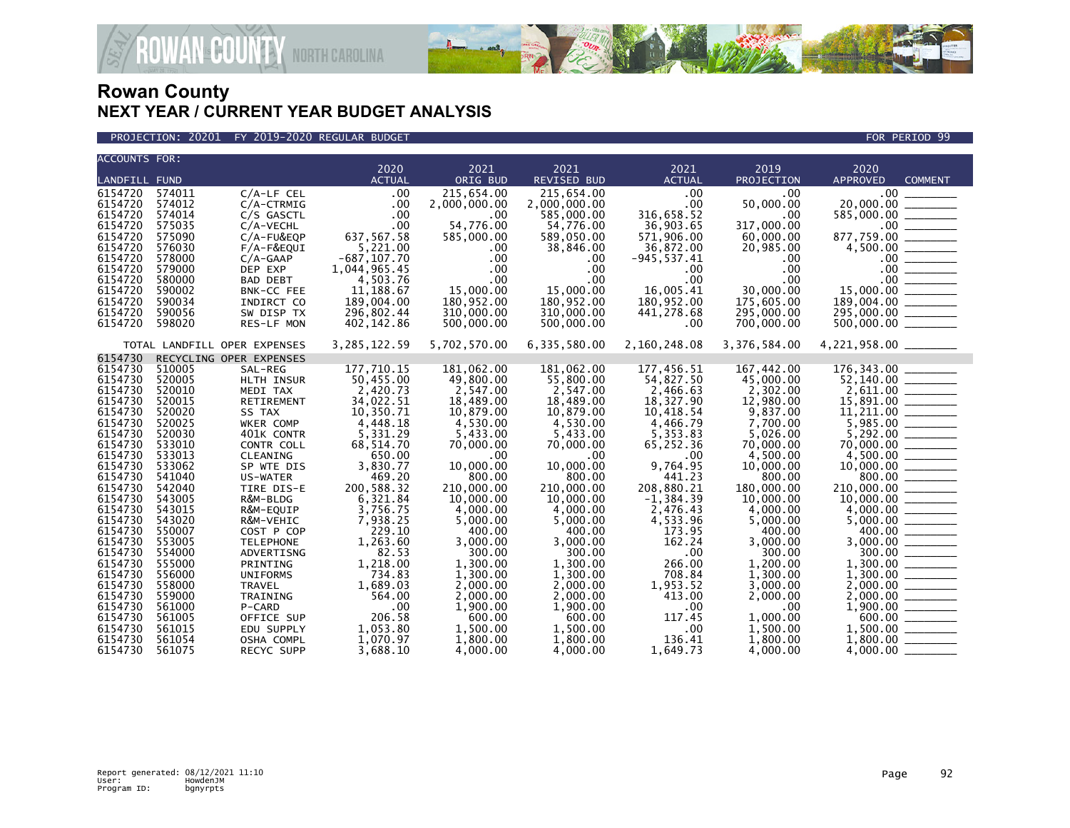

#### PROJECTION: 20201 FY 2019-2020 REGULAR BUDGET FOR PERIOD 99

**ROWAN-COUNTY NORTH CAROLINA** 

| <b>ACCOUNTS FOR:</b> |                  |                              |                                |                  |                    |                            |                       |                                                                                                                                                                                                                                                                                           |
|----------------------|------------------|------------------------------|--------------------------------|------------------|--------------------|----------------------------|-----------------------|-------------------------------------------------------------------------------------------------------------------------------------------------------------------------------------------------------------------------------------------------------------------------------------------|
|                      |                  |                              | 2020                           | 2021             | 2021               | 2021                       | 2019                  | 2020                                                                                                                                                                                                                                                                                      |
| <b>LANDFILL FUND</b> |                  |                              | <b>ACTUAL</b>                  | ORIG BUD         | <b>REVISED BUD</b> | <b>ACTUAL</b>              | PROJECTION            | <b>APPROVED</b><br><b>COMMENT</b>                                                                                                                                                                                                                                                         |
| 6154720              | 574011           | $C/A$ -LF CEL                | .00                            | 215,654.00       | 215,654.00         | .00                        | .00                   | $\frac{00}{20,000.00}$                                                                                                                                                                                                                                                                    |
| 6154720              | 574012           | $C/A$ -CTRMIG                | .00                            | 2,000,000.00     | 2,000,000.00       | .00                        | 50,000.00             |                                                                                                                                                                                                                                                                                           |
| 6154720              | 574014           | C/S GASCTL                   | .00                            | .00              | 585,000.00         | 316,658.52                 | .00                   |                                                                                                                                                                                                                                                                                           |
| 6154720              | 575035           | C/A-VECHL                    | .00                            | 54,776.00        | 54,776.00          | 36,903.65                  | 317,000.00            |                                                                                                                                                                                                                                                                                           |
| 6154720              | 575090           | $C/A$ -FU&EQP                | 637,567.58                     | 585,000.00       | 589,050.00         | 571,906.00                 | 60,000.00             |                                                                                                                                                                                                                                                                                           |
| 6154720<br>6154720   | 576030<br>578000 | $F/A-F\&EQUI$                | 5,221.00                       | $.00 \,$<br>.00  | 38,846.00          | 36,872.00                  | 20,985.00             |                                                                                                                                                                                                                                                                                           |
| 6154720              | 579000           | $C/A-GAAP$<br>DEP EXP        | $-687, 107.70$<br>1,044,965.45 | .00              | .00<br>.00         | $-945, 537.41$<br>$.00 \,$ | .00.<br>.00           |                                                                                                                                                                                                                                                                                           |
| 6154720              | 580000           | <b>BAD DEBT</b>              | 4,503.76                       | .00              | .00                | $.00 \,$                   | $.00 \,$              | $20,000.00$<br>$585,000.00$<br>$877,759.00$<br>$4,500.00$<br>$00$<br>$00$<br>$00$<br>$00$<br>$00$<br>$00$<br>$00$<br>$00$<br>$00$<br>$00$<br>$00$<br>$00$<br>$00$<br>$00$<br>$00$<br>$00$<br>$00$<br>$00$<br>$00$<br>$00$<br>$00$<br>$00$<br>$00$<br>$00$<br>$00$<br>$00$<br>$00$<br>$00$ |
| 6154720              | 590002           | BNK-CC FEE                   | 11,188.67                      | 15,000.00        | 15,000.00          | 16,005.41                  | 30,000.00             |                                                                                                                                                                                                                                                                                           |
| 6154720              | 590034           | INDIRCT CO                   | 189,004.00                     | 180,952.00       | 180,952.00         | 180,952.00                 | 175,605.00            |                                                                                                                                                                                                                                                                                           |
| 6154720              | 590056           | SW DISP TX                   | 296,802.44                     | 310,000.00       | 310,000.00         | 441,278.68                 | 295,000.00            |                                                                                                                                                                                                                                                                                           |
| 6154720              | 598020           | RES-LF MON                   | 402, 142.86                    | 500,000.00       | 500,000.00         | $.00 \,$                   | 700,000.00            |                                                                                                                                                                                                                                                                                           |
|                      |                  |                              |                                |                  |                    |                            |                       |                                                                                                                                                                                                                                                                                           |
|                      |                  | TOTAL LANDFILL OPER EXPENSES | 3, 285, 122.59                 | 5,702,570.00     | 6,335,580.00       | 2,160,248.08               | 3,376,584.00          | 4,221,958.00 ________                                                                                                                                                                                                                                                                     |
| 6154730              |                  | RECYCLING OPER EXPENSES      |                                |                  |                    |                            |                       |                                                                                                                                                                                                                                                                                           |
| 6154730              | 510005           | SAL-REG                      | 177,710.15                     | 181,062.00       | 181,062.00         | 177,456.51                 | 167,442.00            | 176,343.00                                                                                                                                                                                                                                                                                |
| 6154730              | 520005           | HLTH INSUR                   | 50,455.00                      | 49,800.00        | 55,800.00          | 54,827.50                  | 45,000.00             |                                                                                                                                                                                                                                                                                           |
| 6154730              | 520010           | MEDI TAX                     | 2,420.73                       | 2,547.00         | 2,547.00           | 2,466.63                   | 2,302.00              |                                                                                                                                                                                                                                                                                           |
| 6154730              | 520015           | RETIREMENT                   | 34,022.51                      | 18,489.00        | 18,489.00          | 18,327.90                  | 12,980.00             | $52,140.00$<br>$2,611.00$<br>$15,891.00$<br>$11,211.00$<br>$5,985.00$                                                                                                                                                                                                                     |
| 6154730              | 520020           | SS TAX                       | 10,350.71                      | 10,879.00        | 10,879.00          | 10,418.54                  | 9,837.00              |                                                                                                                                                                                                                                                                                           |
| 6154730              | 520025           | WKER COMP                    | 4,448.18                       | 4,530.00         | 4,530.00           | 4,466.79                   | 7.700.00              |                                                                                                                                                                                                                                                                                           |
| 6154730              | 520030           | 401K CONTR                   | 5,331.29                       | 5,433.00         | 5,433.00           | 5,353.83                   | 5,026.00              |                                                                                                                                                                                                                                                                                           |
| 6154730<br>6154730   | 533010<br>533013 | CONTR COLL                   | 68,514.70<br>650.00            | 70,000.00        | 70,000.00          | 65,252.36                  | 70.000.00             | $\begin{array}{r} 5,985.00 \ \hline 5,292.00 \ 70,000.00 \ \hline 70,000.00 \ \hline 4,500.00 \ \hline 10,000.00 \ \hline 800.00 \ \hline 10,000.00 \ \hline 11,0,000.00 \ \hline 4,000.00 \ \hline 5,000.00 \ \hline 3,000.00 \ \hline 3,000.00 \ \hline 1,300.00 \ \hline \end{array}$  |
| 6154730              | 533062           | CLEANING<br>SP WTE DIS       | 3,830.77                       | .00<br>10,000.00 | .00<br>10,000.00   | $.00 \,$<br>9,764.95       | 4,500.00<br>10,000.00 |                                                                                                                                                                                                                                                                                           |
| 6154730              | 541040           | US-WATER                     | 469.20                         | 800.00           | 800.00             | 441.23                     | 800.00                |                                                                                                                                                                                                                                                                                           |
| 6154730              | 542040           | TIRE DIS-E                   | 200,588.32                     | 210,000.00       | 210,000.00         | 208,880.21                 | 180,000.00            |                                                                                                                                                                                                                                                                                           |
| 6154730              | 543005           | R&M-BLDG                     | 6,321.84                       | 10,000.00        | 10,000.00          | $-1, 384.39$               | 10,000.00             |                                                                                                                                                                                                                                                                                           |
| 6154730              | 543015           | R&M-EQUIP                    | 3,756.75                       | 4,000.00         | 4,000.00           | 2,476.43                   | 4,000.00              |                                                                                                                                                                                                                                                                                           |
| 6154730              | 543020           | R&M-VEHIC                    | 7,938.25                       | 5,000.00         | 5,000.00           | 4,533.96                   | 5,000.00              |                                                                                                                                                                                                                                                                                           |
| 6154730              | 550007           | COST P COP                   | 229.10                         | 400.00           | 400.00             | 173.95                     | 400.00                |                                                                                                                                                                                                                                                                                           |
| 6154730              | 553005           | <b>TELEPHONE</b>             | 1,263.60                       | 3,000.00         | 3,000.00           | 162.24                     | 3,000.00              |                                                                                                                                                                                                                                                                                           |
| 6154730              | 554000           | ADVERTISNG                   | 82.53                          | 300.00           | 300.00             | $.00 \,$                   | 300.00                |                                                                                                                                                                                                                                                                                           |
| 6154730              | 555000           | PRINTING                     | 1,218.00                       | 1,300.00         | 1,300.00           | 266.00                     | 1,200.00              |                                                                                                                                                                                                                                                                                           |
| 6154730              | 556000           | <b>UNIFORMS</b>              | 734.83                         | 1,300.00         | 1.300.00           | 708.84                     | 1,300.00              |                                                                                                                                                                                                                                                                                           |
| 6154730              | 558000           | <b>TRAVEL</b>                | 1,689.03                       | 2,000.00         | 2,000.00           | 1,953.52                   | 3,000.00              | $\begin{array}{r} 1,300.00 \ \hline 1,300.00 \ \hline 2,000.00 \ \hline 2,000.00 \ \hline 3,000.00 \ \hline 1,900.00 \ \hline 600.00 \ \hline 1,500.00 \ \hline \end{array}$                                                                                                              |
| 6154730              | 559000           | TRAINING                     | 564.00                         | 2,000.00         | 2,000.00           | 413.00                     | 2,000.00              |                                                                                                                                                                                                                                                                                           |
| 6154730              | 561000           | P-CARD                       | .00                            | 1,900.00         | 1,900.00           | $.00 \times$               | $.00 \times$          |                                                                                                                                                                                                                                                                                           |
| 6154730              | 561005           | OFFICE SUP                   | 206.58                         | 600.00           | 600.00             | 117.45                     | 1,000.00              |                                                                                                                                                                                                                                                                                           |
| 6154730              | 561015           | EDU SUPPLY                   | 1,053.80                       | 1,500.00         | 1,500.00           | $.00 \,$                   | 1,500.00              |                                                                                                                                                                                                                                                                                           |
| 6154730              | 561054           | OSHA COMPL                   | 1.070.97                       | 1.800.00         | 1,800.00           | 136.41                     | 1,800.00              |                                                                                                                                                                                                                                                                                           |
| 6154730              | 561075           | RECYC SUPP                   | 3,688.10                       | 4,000.00         | 4,000.00           | 1,649.73                   | 4,000,00              |                                                                                                                                                                                                                                                                                           |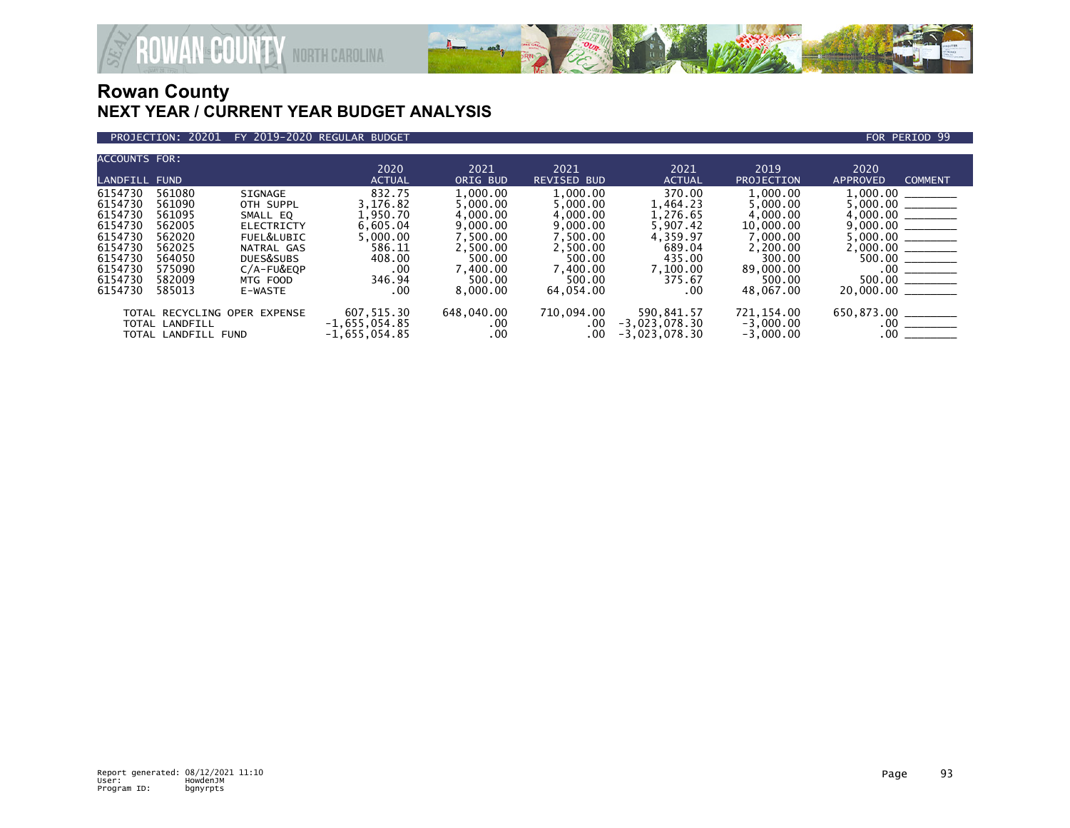

### PROJECTION: 20201 FY 2019-2020 REGULAR BUDGET FOR PERIOD 99

**ROWAN COUNTY NORTH CAROLINA** 

| <b>ACCOUNTS FOR:</b> |                     |                              |                 |            |             |                 |             |                                   |  |
|----------------------|---------------------|------------------------------|-----------------|------------|-------------|-----------------|-------------|-----------------------------------|--|
|                      |                     |                              | 2020            | 2021       | 2021        | 2021            | 2019        | 2020                              |  |
| <b>LANDFILL FUND</b> |                     |                              | <b>ACTUAL</b>   | ORIG BUD   | REVISED BUD | <b>ACTUAL</b>   | PROJECTION  | <b>APPROVED</b><br><b>COMMENT</b> |  |
| 6154730              | 561080              | SIGNAGE                      | 832.75          | 1.000.00   | 1,000.00    | 370.00          | 1.000.00    | 1.000.00                          |  |
| 6154730              | 561090              | OTH SUPPL                    | 3.176.82        | 5,000.00   | 5,000.00    | 1,464.23        | 5,000.00    | $5,000.00$ ________               |  |
| 6154730              | 561095              | SMALL EO                     | 1.950.70        | 4.000.00   | 4.000.00    | 1.276.65        | 4.000.00    | $4,000.00$ ________               |  |
| 6154730              | 562005              | <b>ELECTRICTY</b>            | 6,605.04        | 9,000.00   | 9,000.00    | 5,907.42        | 10,000.00   | $9,000.00$ ________               |  |
| 6154730              | 562020              | FUEL&LUBIC                   | 5,000.00        | 7.500.00   | 7.500.00    | 4.359.97        | 7.000.00    | $5,000.00$ ________               |  |
| 6154730              | 562025              | NATRAL GAS                   | 586.11          | 2,500.00   | 2,500.00    | 689.04          | 2,200.00    | $2,000.00$ ________               |  |
| 6154730              | 564050              | DUES&SUBS                    | 408.00          | 500.00     | 500.00      | 435.00          | 300.00      | $500.00$ ________                 |  |
| 6154730              | 575090              | $C/A-FU&EQP$                 | .00             | 7,400.00   | 7.400.00    | 7.100.00        | 89,000.00   |                                   |  |
| 6154730              | 582009              | MTG FOOD                     | 346.94          | 500.00     | 500.00      | 375.67          | 500.00      |                                   |  |
| 6154730              | 585013              | E-WASTE                      | $.00 \,$        | 8.000.00   | 64,054.00   | .00             | 48,067.00   | $20,000.00$ ________              |  |
|                      |                     | TOTAL RECYCLING OPER EXPENSE | 607,515.30      | 648,040.00 | 710,094.00  | 590,841.57      | 721,154.00  | 650,873.00 _______                |  |
|                      | TOTAL LANDFILL      |                              | $-1,655,054.85$ | .00.       | $.00 \,$    | $-3,023,078.30$ | $-3,000.00$ |                                   |  |
|                      | TOTAL LANDFILL FUND |                              | $-1,655,054.85$ | $.00 \,$   | .00         | $-3,023,078.30$ | $-3,000.00$ | $.00\,$                           |  |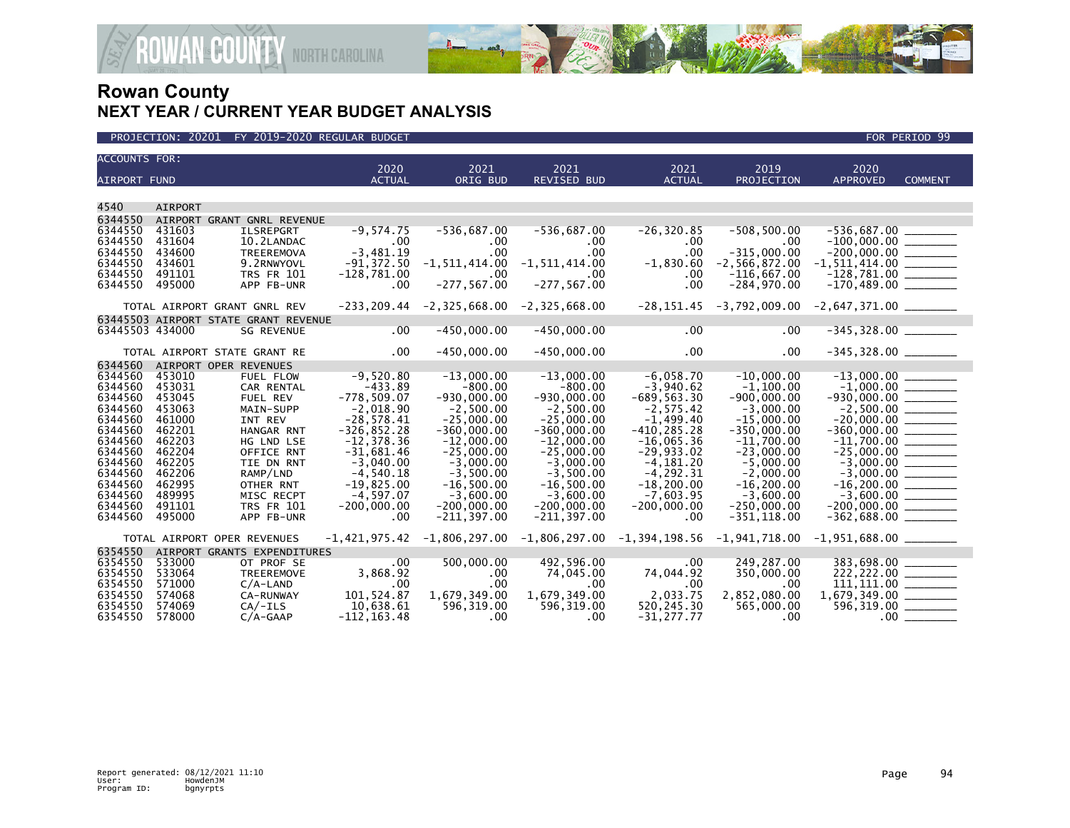

| <b>ACCOUNTS FOR:</b> |                  |                                      | 2020                        | 2021                                               | 2021                                                                                   | 2021                        | 2019                                                                                      | 2020                                              |                |
|----------------------|------------------|--------------------------------------|-----------------------------|----------------------------------------------------|----------------------------------------------------------------------------------------|-----------------------------|-------------------------------------------------------------------------------------------|---------------------------------------------------|----------------|
| <b>AIRPORT FUND</b>  |                  |                                      | <b>ACTUAL</b>               | ORIG BUD                                           | REVISED BUD                                                                            | <b>ACTUAL</b>               | PROJECTION                                                                                | <b>APPROVED</b>                                   | <b>COMMENT</b> |
|                      |                  |                                      |                             |                                                    |                                                                                        |                             |                                                                                           |                                                   |                |
| 4540                 | <b>AIRPORT</b>   |                                      |                             |                                                    |                                                                                        |                             |                                                                                           |                                                   |                |
| 6344550              |                  | AIRPORT GRANT GNRL REVENUE           |                             |                                                    |                                                                                        |                             |                                                                                           |                                                   |                |
| 6344550              | 431603           | <b>ILSREPGRT</b>                     | $-9,574.75$                 | $-536,687.00$                                      | $-536,687.00$                                                                          | $-26, 320.85$               | $-508,500.00$                                                                             | $-536,687.00$ _____                               |                |
| 6344550              | 431604           | 10.2LANDAC                           | $.00 \,$                    | $.00 \,$                                           | $.00 \times$                                                                           | .00                         | .00                                                                                       | $-100,000.00$ _________                           |                |
| 6344550              | 434600           | TREEREMOVA                           | $-3,481.19$                 | $.00 \,$                                           | .00                                                                                    | .00                         | $-315.000.00$                                                                             | $-200,000.00$<br>$-1,511,414.00$<br>$-128,781.00$ |                |
| 6344550              | 434601           | 9.2RNWYOVL                           | $-91,372.50$                | $-1, 511, 414.00$                                  | $-1, 511, 414.00$                                                                      | $-1,830.60$                 | $-2,566,872.00$                                                                           |                                                   |                |
| 6344550              | 491101           | <b>TRS FR 101</b>                    | $-128,781.00$               | $\sim$ 00                                          | .00.                                                                                   | .00                         | $-116,667.00$                                                                             |                                                   |                |
| 6344550              | 495000           | APP FB-UNR                           | $.00 \,$                    | $-277, 567.00$                                     | $-277, 567.00$                                                                         | .00                         | $-284,970.00$                                                                             |                                                   |                |
|                      |                  | TOTAL AIRPORT GRANT GNRL REV         |                             | $-233, 209.44$ $-2, 325, 668.00$ $-2, 325, 668.00$ |                                                                                        |                             | $-28,151.45$ $-3,792,009.00$ $-2,647,371.00$ $\_\_\_\_\_\_\_\_\_\_\_\_\_\_\_\_\_\_\_\_\_$ |                                                   |                |
|                      |                  | 63445503 AIRPORT STATE GRANT REVENUE |                             |                                                    |                                                                                        |                             |                                                                                           |                                                   |                |
| 63445503 434000      |                  | <b>SG REVENUE</b>                    | $.00 \,$                    | $-450,000.00$                                      | $-450,000.00$                                                                          | $.00\,$                     | .00                                                                                       | $-345,328.00$ ________                            |                |
|                      |                  | TOTAL AIRPORT STATE GRANT RE         | $.00 \,$                    | $-450,000.00$                                      | $-450,000.00$                                                                          | $.00 \,$                    | .00                                                                                       | $-345,328.00$ _________                           |                |
| 6344560              |                  | AIRPORT OPER REVENUES                |                             |                                                    |                                                                                        |                             |                                                                                           |                                                   |                |
| 6344560              | 453010           | FUEL FLOW                            | $-9,520.80$                 | $-13,000.00$                                       | $-13,000.00$                                                                           | $-6,058.70$                 | $-10.000.00$                                                                              | $-13,000.00$<br>$-1,000.00$                       |                |
| 6344560              | 453031           | CAR RENTAL                           | $-433.89$                   | $-800.00$                                          | $-800.00$                                                                              | $-3,940.62$                 | $-1,100.00$                                                                               |                                                   |                |
| 6344560              | 453045           | FUEL REV                             | $-778,509.07$               | $-930,000.00$                                      | $-930,000.00$                                                                          | $-689, 563.30$              | $-900.000.00$                                                                             | $-930,000.00$ ________                            |                |
| 6344560              | 453063           | MAIN-SUPP                            | $-2,018.90$                 | $-2,500.00$                                        | $-2,500.00$                                                                            | $-2,575.42$                 | $-3.000.00$                                                                               | $-2,500.00$<br>$-20,000.00$                       |                |
| 6344560              | 461000           | INT REV                              | $-28,578.41$                | $-25,000.00$                                       | $-25,000.00$                                                                           | $-1,499.40$                 | $-15,000.00$                                                                              |                                                   |                |
| 6344560              | 462201           | HANGAR RNT                           | $-326, 852.28$              | $-360,000.00$                                      | $-360,000.00$                                                                          | $-410, 285.28$              | $-350.000.00$                                                                             | $-360,000.00$ $\overline{\hspace{1cm}}$           |                |
| 6344560              | 462203           | HG LND LSE                           | $-12, 378.36$               | $-12,000.00$                                       | $-12,000.00$                                                                           | $-16,065.36$                | $-11,700.00$                                                                              |                                                   |                |
| 6344560<br>6344560   | 462204<br>462205 | OFFICE RNT<br>TIE DN RNT             | $-31,681.46$<br>$-3.040.00$ | $-25,000.00$<br>$-3,000.00$                        | $-25,000.00$<br>$-3.000.00$                                                            | $-29,933.02$<br>$-4.181.20$ | $-23,000.00$<br>$-5.000.00$                                                               |                                                   |                |
| 6344560              | 462206           | RAMP/LND                             | $-4,540.18$                 | $-3,500.00$                                        | $-3.500.00$                                                                            | $-4, 292.31$                | $-2.000.00$                                                                               |                                                   |                |
| 6344560              | 462995           | OTHER RNT                            | $-19,825.00$                | $-16,500.00$                                       | $-16,500.00$                                                                           | $-18, 200.00$               | $-16, 200.00$                                                                             | $-3,000.00$<br>$-3,000.00$<br>$-16,200.00$        |                |
| 6344560              | 489995           | MISC RECPT                           | $-4.597.07$                 | $-3.600.00$                                        | $-3.600.00$                                                                            | $-7.603.95$                 | $-3.600.00$                                                                               |                                                   |                |
| 6344560              | 491101           | <b>TRS FR 101</b>                    | $-200,000.00$               | $-200,000.00$                                      | $-200,000.00$                                                                          | $-200,000.00$               | $-250,000.00$                                                                             |                                                   |                |
| 6344560              | 495000           | APP FB-UNR                           | .00                         | $-211, 397.00$                                     | $-211, 397.00$                                                                         | .00                         | $-351, 118.00$                                                                            | $-362,688.00$ _________                           |                |
|                      |                  | TOTAL AIRPORT OPER REVENUES          | $-1,421,975.42$             |                                                    | $-1,806,297.00$ $-1,806,297.00$ $-1,394,198.56$ $-1,941,718.00$ $-1,951,688.00$ $\_\_$ |                             |                                                                                           |                                                   |                |
| 6354550              |                  | AIRPORT GRANTS EXPENDITURES          |                             |                                                    |                                                                                        |                             |                                                                                           |                                                   |                |
| 6354550              | 533000           | OT PROF SE                           | .00                         | 500,000.00                                         | 492,596.00                                                                             | $.00 \times$                | 249,287.00                                                                                | 383,698.00                                        |                |
| 6354550              | 533064           | TREEREMOVE                           | 3,868.92                    | .00                                                | 74,045.00                                                                              | 74,044.92                   | 350,000.00                                                                                | $222, 222.00$ ________                            |                |
| 6354550              | 571000           | $C/A$ -LAND                          | .00                         | $.00 \,$                                           | .00 <sub>1</sub>                                                                       | .00                         | .00                                                                                       | $\overline{111,111.00}$                           |                |
| 6354550              | 574068           | CA-RUNWAY                            | 101,524.87                  | 1,679,349.00                                       | 1,679,349.00                                                                           | 2,033.75                    | 2,852,080.00                                                                              |                                                   |                |
| 6354550              | 574069           | $CA/-ILS$                            | 10,638.61                   | 596,319.00                                         | 596,319.00                                                                             | 520,245.30                  | 565,000.00                                                                                | 596,319.00 _______                                |                |
| 6354550              | 578000           | $C/A-GAAP$                           | $-112, 163.48$              | .00                                                | .00                                                                                    | $-31.277.77$                | $\sim 00$                                                                                 |                                                   |                |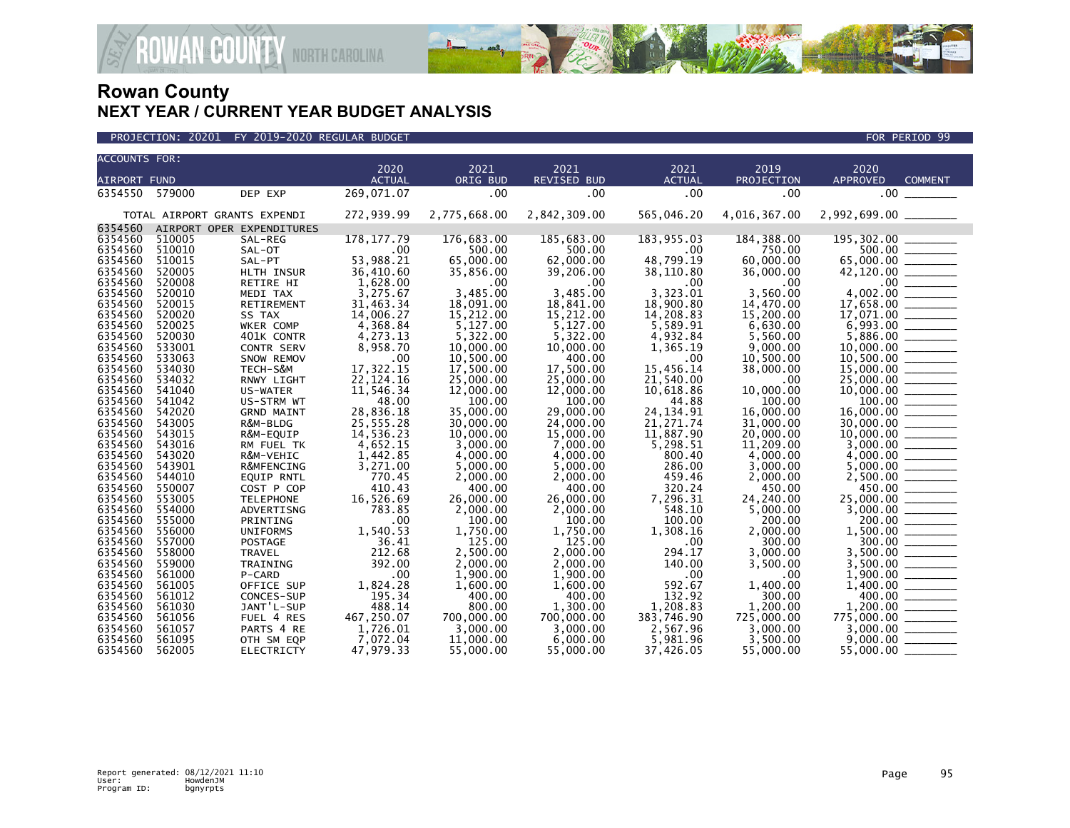

| <b>ACCOUNTS FOR:</b> |                  |                                 |                        |                        |                        |                        |                        |                                                                                                                                                                                                                                                                                                                                                                                                                                                                                                  |
|----------------------|------------------|---------------------------------|------------------------|------------------------|------------------------|------------------------|------------------------|--------------------------------------------------------------------------------------------------------------------------------------------------------------------------------------------------------------------------------------------------------------------------------------------------------------------------------------------------------------------------------------------------------------------------------------------------------------------------------------------------|
|                      |                  |                                 | 2020                   | 2021                   | 2021                   | 2021                   | 2019                   | 2020                                                                                                                                                                                                                                                                                                                                                                                                                                                                                             |
| <b>AIRPORT FUND</b>  |                  |                                 | <b>ACTUAL</b>          | ORIG BUD               | <b>REVISED BUD</b>     | <b>ACTUAL</b>          | PROJECTION             | <b>APPROVED</b><br><b>COMMENT</b>                                                                                                                                                                                                                                                                                                                                                                                                                                                                |
| 6354550              | 579000           | DEP EXP                         | 269,071.07             | .00                    | .00                    | .00                    | .00                    | .00                                                                                                                                                                                                                                                                                                                                                                                                                                                                                              |
|                      |                  | TOTAL AIRPORT GRANTS EXPENDI    | 272,939.99             | 2,775,668.00           | 2,842,309.00           | 565,046.20             | 4,016,367.00           |                                                                                                                                                                                                                                                                                                                                                                                                                                                                                                  |
| 6354560              |                  | AIRPORT OPER EXPENDITURES       |                        |                        |                        |                        |                        |                                                                                                                                                                                                                                                                                                                                                                                                                                                                                                  |
| 6354560              | 510005           | SAL-REG                         | 178, 177.79            | 176,683.00             | 185,683.00             | 183,955.03             | 184, 388.00            | 195,302.00                                                                                                                                                                                                                                                                                                                                                                                                                                                                                       |
| 6354560              | 510010           | SAL-OT                          | .00                    | 500.00                 | 500.00                 | .00                    | 750.00                 | 500.00 _______                                                                                                                                                                                                                                                                                                                                                                                                                                                                                   |
| 6354560              | 510015           | SAL-PT                          | 53,988.21              | 65,000.00              | 62,000.00              | 48,799.19              | 60,000.00              | 65,000.00 _______                                                                                                                                                                                                                                                                                                                                                                                                                                                                                |
| 6354560              | 520005           | HLTH INSUR                      | 36,410.60              | 35,856.00              | 39,206.00              | 38,110.80              | 36,000.00              |                                                                                                                                                                                                                                                                                                                                                                                                                                                                                                  |
| 6354560              | 520008           | RETIRE HI                       | 1,628.00               | .00                    | .00                    | .00                    | .00                    | .00<br>$\qquad \qquad$                                                                                                                                                                                                                                                                                                                                                                                                                                                                           |
| 6354560<br>6354560   | 520010<br>520015 | MEDI TAX                        | 3,275.67               | 3.485.00               | 3.485.00               | 3.323.01               | 3.560.00               | 4,002.00                                                                                                                                                                                                                                                                                                                                                                                                                                                                                         |
| 6354560              | 520020           | RETIREMENT<br>SS TAX            | 31,463.34<br>14,006.27 | 18,091.00<br>15,212.00 | 18,841.00<br>15,212.00 | 18,900.80<br>14,208.83 | 14,470.00<br>15,200.00 |                                                                                                                                                                                                                                                                                                                                                                                                                                                                                                  |
| 6354560              | 520025           | WKER COMP                       | 4,368.84               | 5,127.00               | 5,127.00               | 5,589.91               | 6,630.00               | 17,071.00 _______                                                                                                                                                                                                                                                                                                                                                                                                                                                                                |
| 6354560              | 520030           | 401K CONTR                      | 4,273.13               | 5,322.00               | 5,322.00               | 4,932.84               | 5,560.00               |                                                                                                                                                                                                                                                                                                                                                                                                                                                                                                  |
| 6354560              | 533001           | <b>CONTR SERV</b>               | 8,958.70               | 10,000.00              | 10,000.00              | 1,365.19               | 9,000.00               |                                                                                                                                                                                                                                                                                                                                                                                                                                                                                                  |
| 6354560              | 533063           | SNOW REMOV                      | .00                    | 10,500.00              | 400.00                 | .00                    | 10,500.00              |                                                                                                                                                                                                                                                                                                                                                                                                                                                                                                  |
| 6354560              | 534030           | TECH-S&M                        | 17,322.15              | 17,500.00              | 17,500.00              | 15,456.14              | 38,000.00              |                                                                                                                                                                                                                                                                                                                                                                                                                                                                                                  |
| 6354560              | 534032           | RNWY LIGHT                      | 22, 124. 16            | 25,000.00              | 25,000.00              | 21,540.00              | .00                    | 25,000.00                                                                                                                                                                                                                                                                                                                                                                                                                                                                                        |
| 6354560              | 541040           | US-WATER                        | 11,546.34              | 12,000.00              | 12,000.00              | 10,618.86              | 10,000.00              |                                                                                                                                                                                                                                                                                                                                                                                                                                                                                                  |
| 6354560              | 541042           | US-STRM WT                      | 48.00                  | 100.00                 | 100.00                 | 44.88                  | 100.00                 |                                                                                                                                                                                                                                                                                                                                                                                                                                                                                                  |
| 6354560              | 542020           | <b>GRND MAINT</b>               | 28,836.18              | 35,000.00              | 29,000.00              | 24, 134. 91            | 16,000.00              | 16,000.00 ______                                                                                                                                                                                                                                                                                                                                                                                                                                                                                 |
| 6354560              | 543005           | R&M-BLDG                        | 25,555.28              | 30,000,00              | 24,000.00              | 21, 271.74             | 31,000,00              | 30,000.00 _______                                                                                                                                                                                                                                                                                                                                                                                                                                                                                |
| 6354560              | 543015           | R&M-EQUIP                       | 14,536.23              | 10,000.00              | 15,000.00              | 11,887.90              | 20,000.00              |                                                                                                                                                                                                                                                                                                                                                                                                                                                                                                  |
| 6354560              | 543016           | RM FUEL TK                      | 4,652.15               | 3,000.00               | 7,000.00               | 5,298.51               | 11,209.00              |                                                                                                                                                                                                                                                                                                                                                                                                                                                                                                  |
| 6354560              | 543020           | R&M-VEHIC                       | 1,442.85               | 4,000.00               | 4,000.00               | 800.40                 | 4,000.00               |                                                                                                                                                                                                                                                                                                                                                                                                                                                                                                  |
| 6354560              | 543901           | R&MFENCING                      | 3,271.00               | 5,000.00               | 5,000.00               | 286.00                 | 3,000.00               | $5,000.00$ _________                                                                                                                                                                                                                                                                                                                                                                                                                                                                             |
| 6354560              | 544010           | <b>EQUIP RNTL</b>               | 770.45                 | 2,000.00               | 2,000.00               | 459.46                 | 2,000.00               |                                                                                                                                                                                                                                                                                                                                                                                                                                                                                                  |
| 6354560              | 550007           | COST P COP                      | 410.43                 | 400.00                 | 400.00                 | 320.24                 | 450.00                 | 450.00<br>$\begin{array}{cccccccccc} \multicolumn{2}{c}{} & \multicolumn{2}{c}{} & \multicolumn{2}{c}{} & \multicolumn{2}{c}{} & \multicolumn{2}{c}{} & \multicolumn{2}{c}{} & \multicolumn{2}{c}{} & \multicolumn{2}{c}{} & \multicolumn{2}{c}{} & \multicolumn{2}{c}{} & \multicolumn{2}{c}{} & \multicolumn{2}{c}{} & \multicolumn{2}{c}{} & \multicolumn{2}{c}{} & \multicolumn{2}{c}{} & \multicolumn{2}{c}{} & \multicolumn{2}{c}{} & \multicolumn{2}{c}{} & \multicolumn{2}{c}{} & \mult$ |
| 6354560              | 553005           | <b>TELEPHONE</b>                | 16,526.69              | 26,000.00              | 26,000.00              | 7,296.31               | 24,240.00              | $25,000.00$ ________                                                                                                                                                                                                                                                                                                                                                                                                                                                                             |
| 6354560              | 554000           | ADVERTISNG                      | 783.85                 | 2,000.00               | 2,000.00               | 548.10                 | 5,000.00               |                                                                                                                                                                                                                                                                                                                                                                                                                                                                                                  |
| 6354560              | 555000           | PRINTING                        | .00                    | 100.00                 | 100.00                 | 100.00                 | 200.00                 | 200.00                                                                                                                                                                                                                                                                                                                                                                                                                                                                                           |
| 6354560              | 556000           | <b>UNIFORMS</b>                 | 1,540.53<br>36.41      | 1,750.00               | 1,750.00               | 1,308.16               | 2,000.00               |                                                                                                                                                                                                                                                                                                                                                                                                                                                                                                  |
| 6354560<br>6354560   | 557000<br>558000 | <b>POSTAGE</b><br><b>TRAVEL</b> | 212.68                 | 125.00<br>2.500.00     | 125.00<br>2.000.00     | .00<br>294.17          | 300.00                 | 300.00<br>3.500.00                                                                                                                                                                                                                                                                                                                                                                                                                                                                               |
| 6354560              | 559000           | TRAINING                        | 392.00                 | 2,000.00               | 2,000.00               | 140.00                 | 3,000.00<br>3,500.00   |                                                                                                                                                                                                                                                                                                                                                                                                                                                                                                  |
| 6354560              | 561000           | P-CARD                          | .00                    | 1,900.00               | 1,900.00               | .00                    | .00                    |                                                                                                                                                                                                                                                                                                                                                                                                                                                                                                  |
| 6354560              | 561005           | OFFICE SUP                      | 1,824.28               | 1,600.00               | 1,600.00               | 592.67                 | 1,400.00               |                                                                                                                                                                                                                                                                                                                                                                                                                                                                                                  |
| 6354560              | 561012           | CONCES-SUP                      | 195.34                 | 400.00                 | 400.00                 | 132.92                 | 300.00                 | 400.00                                                                                                                                                                                                                                                                                                                                                                                                                                                                                           |
| 6354560              | 561030           | JANT'L-SUP                      | 488.14                 | 800.00                 | 1,300.00               | 1,208.83               | 1.200.00               |                                                                                                                                                                                                                                                                                                                                                                                                                                                                                                  |
| 6354560              | 561056           | FUEL 4 RES                      | 467,250.07             | 700,000.00             | 700,000.00             | 383,746.90             | 725,000.00             | $775,000.00$ _______                                                                                                                                                                                                                                                                                                                                                                                                                                                                             |
| 6354560              | 561057           | PARTS 4 RE                      | 1,726.01               | 3,000.00               | 3,000.00               | 2,567.96               | 3,000.00               |                                                                                                                                                                                                                                                                                                                                                                                                                                                                                                  |
| 6354560              | 561095           | OTH SM EQP                      | 7,072.04               | 11,000.00              | 6,000.00               | 5,981.96               | 3,500.00               | 9,000,00                                                                                                                                                                                                                                                                                                                                                                                                                                                                                         |
| 6354560              | 562005           | <b>ELECTRICTY</b>               | 47,979.33              | 55,000.00              | 55,000,00              | 37,426.05              | 55,000.00              | 55,000,00                                                                                                                                                                                                                                                                                                                                                                                                                                                                                        |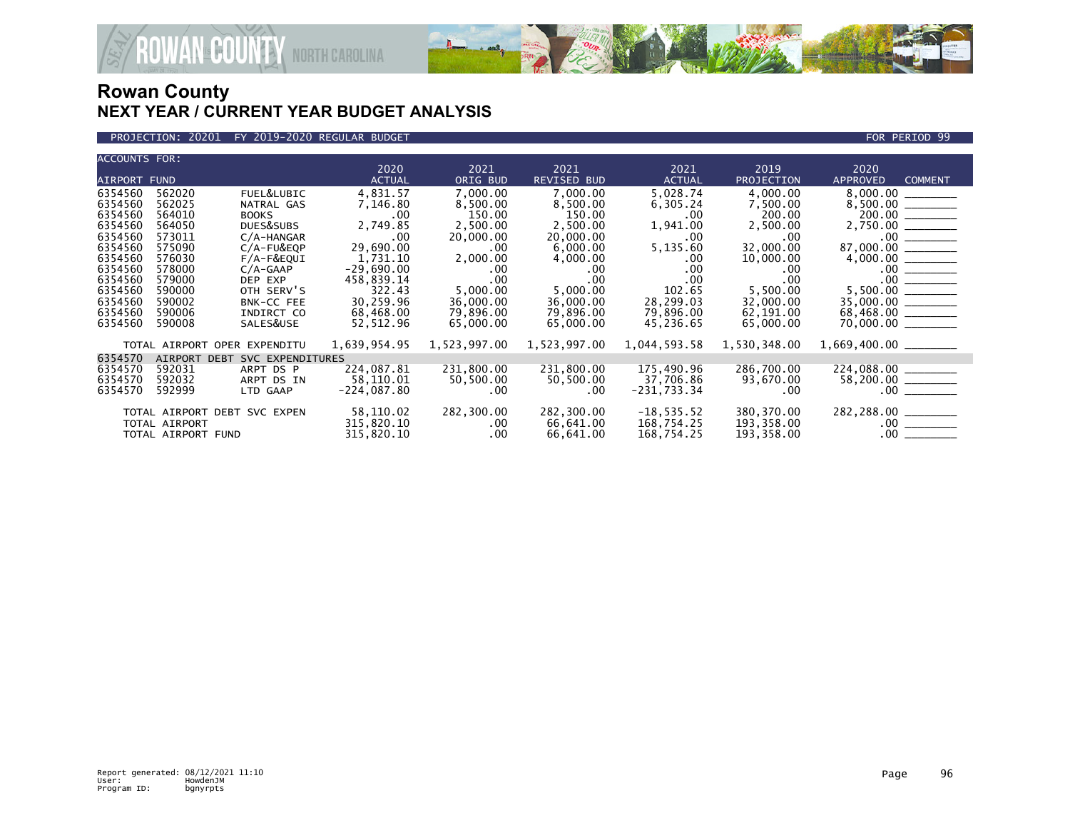

### PROJECTION: 20201 FY 2019-2020 REGULAR BUDGET FOR PERIOD 99

**ROWAN COUNTY NORTH CAROLINA** 

| <b>ACCOUNTS FOR:</b> |                    |                              |                       |                  |                     |                       |                    |                                                                                                                                                                                                                                                                                                                                                                                                                        |
|----------------------|--------------------|------------------------------|-----------------------|------------------|---------------------|-----------------------|--------------------|------------------------------------------------------------------------------------------------------------------------------------------------------------------------------------------------------------------------------------------------------------------------------------------------------------------------------------------------------------------------------------------------------------------------|
| AIRPORT FUND         |                    |                              | 2020<br><b>ACTUAL</b> | 2021<br>ORIG BUD | 2021<br>REVISED BUD | 2021<br><b>ACTUAL</b> | 2019<br>PROJECTION | 2020<br><b>APPROVED</b><br><b>COMMENT</b>                                                                                                                                                                                                                                                                                                                                                                              |
|                      |                    |                              |                       |                  |                     |                       |                    |                                                                                                                                                                                                                                                                                                                                                                                                                        |
| 6354560              | 562020             | FUEL&LUBIC                   | 4,831.57              | 7,000.00         | 7,000.00            | 5,028.74              | 4,000.00           |                                                                                                                                                                                                                                                                                                                                                                                                                        |
| 6354560              | 562025             | NATRAL GAS                   | 7,146.80              | 8,500.00         | 8,500.00            | 6,305.24              | 7,500.00           | 8,500.00 _______                                                                                                                                                                                                                                                                                                                                                                                                       |
| 6354560              | 564010             | <b>BOOKS</b>                 | $.00 \times$          | 150.00           | 150.00              | $.00 \,$              | 200.00             | 200.00 _______                                                                                                                                                                                                                                                                                                                                                                                                         |
| 6354560              | 564050             | DUES&SUBS                    | 2,749.85              | 2,500.00         | 2,500.00            | 1,941.00              | 2,500.00           | 2,750.00 _______                                                                                                                                                                                                                                                                                                                                                                                                       |
| 6354560              | 573011             | $C/A$ -HANGAR                | .00                   | 20,000.00        | 20,000.00           | .00                   | .00.               |                                                                                                                                                                                                                                                                                                                                                                                                                        |
| 6354560              | 575090             | $C/A$ -FU&EQP                | 29,690.00             | $.00 \,$         | 6,000.00            | 5,135.60              | 32,000.00          |                                                                                                                                                                                                                                                                                                                                                                                                                        |
| 6354560              | 576030             | $F/A-F\&EQUI$                | 1,731.10              | 2,000.00         | 4,000.00            | $.00 \,$              | 10,000.00          | $\begin{array}{r} 4,000.00 \ \hline 4,000.00 \ \hline \end{array}$<br>$\begin{array}{r} .00 \ \hline .00 \ \hline .00 \ \hline .00 \ \hline .00 \ \hline .00 \ \hline .00 \ \hline .00 \ \hline .00 \ \hline .00 \ \hline .00 \ \hline .00 \ \hline .00 \ \hline .00 \ \hline .00 \ \hline .00 \ \hline .00 \ \hline .00 \ \hline .00 \ \hline .00 \ \hline .00 \ \hline .00 \ \hline .00 \ \hline .00 \ \hline .00 \$ |
| 6354560              | 578000             | $C/A-GAAP$                   | $-29,690.00$          | $.00 \cdot$      | .00.                | .00                   | .00                |                                                                                                                                                                                                                                                                                                                                                                                                                        |
| 6354560              | 579000             | DEP EXP                      | 458,839.14            | .00              | .00.                | .00                   | .00                |                                                                                                                                                                                                                                                                                                                                                                                                                        |
| 6354560              | 590000             | OTH SERV'S                   | 322.43                | 5,000.00         | 5,000.00            | 102.65                | 5,500.00           |                                                                                                                                                                                                                                                                                                                                                                                                                        |
| 6354560              | 590002             | <b>BNK-CC FEE</b>            | 30,259.96             | 36,000,00        | 36,000.00           | 28,299.03             | 32,000.00          | $35,000.00$ ________                                                                                                                                                                                                                                                                                                                                                                                                   |
| 6354560              | 590006             | INDIRCT CO                   | 68,468.00             | 79,896.00        | 79,896.00           | 79,896.00             | 62,191.00          |                                                                                                                                                                                                                                                                                                                                                                                                                        |
| 6354560              | 590008             | SALES&USE                    | 52,512.96             | 65,000.00        | 65,000.00           | 45,236.65             | 65,000.00          |                                                                                                                                                                                                                                                                                                                                                                                                                        |
|                      |                    |                              |                       |                  |                     |                       |                    |                                                                                                                                                                                                                                                                                                                                                                                                                        |
|                      |                    | TOTAL AIRPORT OPER EXPENDITU | 1,639,954.95          | 1,523,997.00     | 1,523,997.00        | 1,044,593.58          | 1,530,348.00       |                                                                                                                                                                                                                                                                                                                                                                                                                        |
| 6354570              | AIRPORT DEBT       | SVC EXPENDITURES             |                       |                  |                     |                       |                    |                                                                                                                                                                                                                                                                                                                                                                                                                        |
| 6354570              | 592031             | ARPT DS P                    | 224,087.81            | 231,800.00       | 231,800.00          | 175,490.96            | 286,700.00         | 224,088.00 ______                                                                                                                                                                                                                                                                                                                                                                                                      |
| 6354570              | 592032             | ARPT DS IN                   | 58,110.01             | 50,500.00        | 50,500.00           | 37,706.86             | 93,670.00          |                                                                                                                                                                                                                                                                                                                                                                                                                        |
| 6354570              | 592999             | LTD GAAP                     | $-224,087.80$         | $.00 \,$         | $.00 \cdot$         | -231,733.34           | .00.               |                                                                                                                                                                                                                                                                                                                                                                                                                        |
|                      |                    |                              |                       |                  |                     |                       |                    |                                                                                                                                                                                                                                                                                                                                                                                                                        |
|                      |                    | TOTAL AIRPORT DEBT SVC EXPEN | 58,110.02             | 282,300.00       | 282,300.00          | $-18, 535.52$         | 380,370.00         | 282, 288.00 ________                                                                                                                                                                                                                                                                                                                                                                                                   |
|                      | TOTAL AIRPORT      |                              | 315,820.10            | $.00 \cdot$      | 66,641.00           | 168,754.25            | 193,358.00         |                                                                                                                                                                                                                                                                                                                                                                                                                        |
|                      | TOTAL AIRPORT FUND |                              | 315,820.10            | $.00 \,$         | 66,641.00           | 168,754.25            | 193,358.00         |                                                                                                                                                                                                                                                                                                                                                                                                                        |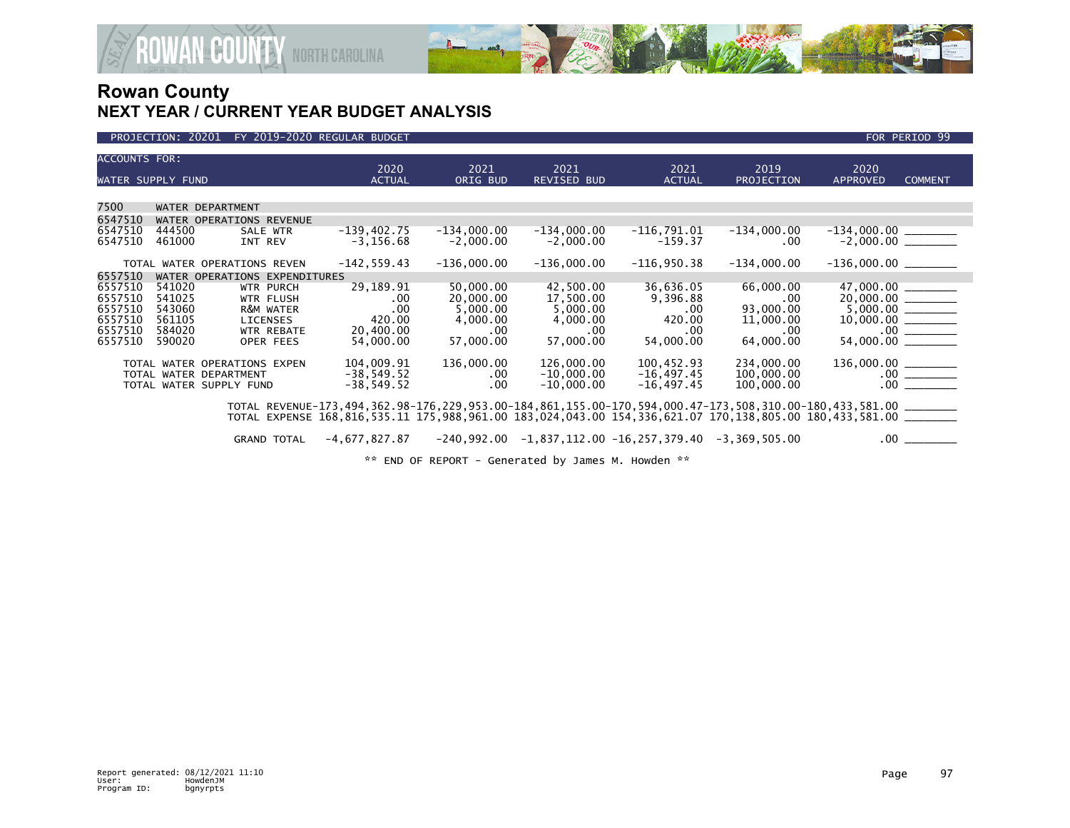

#### PROJECTION: 20201 FY 2019-2020 REGULAR BUDGET FOR PERIOD 99

| <b>ACCOUNTS FOR:</b>          |                            |                                                        | 2020                                                                                                                                                                                                                                          | 2021                               | 2021                         | 2021                                                           | 2019                           | 2020                                                                                                                                                                                                                                                                           |                |  |
|-------------------------------|----------------------------|--------------------------------------------------------|-----------------------------------------------------------------------------------------------------------------------------------------------------------------------------------------------------------------------------------------------|------------------------------------|------------------------------|----------------------------------------------------------------|--------------------------------|--------------------------------------------------------------------------------------------------------------------------------------------------------------------------------------------------------------------------------------------------------------------------------|----------------|--|
| WATER SUPPLY FUND             |                            |                                                        | <b>ACTUAL</b>                                                                                                                                                                                                                                 | ORIG BUD                           | <b>REVISED BUD</b>           | <b>ACTUAL</b>                                                  | PROJECTION                     | <b>APPROVED</b>                                                                                                                                                                                                                                                                | <b>COMMENT</b> |  |
|                               |                            |                                                        |                                                                                                                                                                                                                                               |                                    |                              |                                                                |                                |                                                                                                                                                                                                                                                                                |                |  |
| 7500                          |                            | WATER DEPARTMENT                                       |                                                                                                                                                                                                                                               |                                    |                              |                                                                |                                |                                                                                                                                                                                                                                                                                |                |  |
| 6547510                       | WATER OPERATIONS REVENUE   |                                                        |                                                                                                                                                                                                                                               |                                    |                              |                                                                |                                |                                                                                                                                                                                                                                                                                |                |  |
| 6547510<br>6547510            | 444500<br>461000           | SALE WTR<br>INT REV                                    | $-139,402.75$<br>$-3, 156.68$                                                                                                                                                                                                                 | $-134,000.00$<br>$-2,000.00$       | $-134,000.00$<br>$-2,000.00$ | $-116,791.01$<br>$-159.37$                                     | $-134,000.00$<br>.00           |                                                                                                                                                                                                                                                                                |                |  |
|                               |                            | TOTAL WATER OPERATIONS REVEN                           | $-142, 559.43$                                                                                                                                                                                                                                | $-136,000.00$                      | $-136,000.00$                | $-116,950.38$                                                  | $-134,000.00$                  | $-136,000.00$ ________                                                                                                                                                                                                                                                         |                |  |
| 6557510                       |                            | WATER OPERATIONS EXPENDITURES                          |                                                                                                                                                                                                                                               |                                    |                              |                                                                |                                |                                                                                                                                                                                                                                                                                |                |  |
| 6557510<br>6557510            | 541020<br>541025           | <b>WTR PURCH</b><br><b>WTR FLUSH</b>                   | 29,189.91<br>.00.                                                                                                                                                                                                                             | 50,000.00<br>20,000.00             | 42,500.00<br>17,500.00       | 36,636.05<br>9,396.88                                          | 66,000.00<br>.00.              | $\begin{tabular}{c c} 47,000.00 & \underline{\hspace{15pt}000.00} \\ 20,000.00 & \underline{\hspace{15pt}000.00} \\ 5,000.00 & \underline{\hspace{15pt}000.00} \\ 10,000.00 & \underline{\hspace{15pt}000.00} \\ 54,000.00 & \underline{\hspace{15pt}000.00} \\ \end{tabular}$ |                |  |
| 6557510<br>6557510<br>6557510 | 543060<br>561105<br>584020 | R&M WATER<br><b>LICENSES</b><br><b>WTR REBATE</b>      | .00<br>420.00<br>20,400.00                                                                                                                                                                                                                    | 5,000.00<br>4,000.00<br>$.00 \ \,$ | 5,000.00<br>4,000.00<br>.00  | $.00 \cdot$<br>420.00<br>.00                                   | 93,000.00<br>11,000.00<br>.00. |                                                                                                                                                                                                                                                                                |                |  |
| 6557510                       | 590020                     | OPER FEES                                              | 54,000.00                                                                                                                                                                                                                                     | 57,000.00                          | 57,000.00                    | 54,000.00                                                      | 64,000.00                      |                                                                                                                                                                                                                                                                                |                |  |
|                               |                            | TOTAL WATER OPERATIONS EXPEN<br>TOTAL WATER DEPARTMENT | 104,009.91<br>$-38,549.52$                                                                                                                                                                                                                    | 136,000.00<br>$.00 \,$             | 126,000.00<br>$-10,000.00$   | 100,452.93<br>$-16, 497.45$                                    | 234,000.00<br>100,000.00       |                                                                                                                                                                                                                                                                                |                |  |
|                               |                            | TOTAL WATER SUPPLY FUND                                | $-38,549.52$                                                                                                                                                                                                                                  | .00                                | $-10,000.00$                 | $-16, 497.45$                                                  | 100,000.00                     |                                                                                                                                                                                                                                                                                |                |  |
|                               |                            |                                                        | TOTAL REVENUE-173, 494, 362.98-176, 229, 953.00-184, 861, 155.00-170, 594, 000.47-173, 508, 310.00-180, 433, 581.00 _______<br>TOTAL EXPENSE 168.816.535.11 175.988.961.00 183.024.043.00 154.336.621.07 170.138.805.00 180.433.581.00 ______ |                                    |                              |                                                                |                                |                                                                                                                                                                                                                                                                                |                |  |
|                               |                            | <b>GRAND TOTAL</b>                                     | $-4,677,827.87$                                                                                                                                                                                                                               |                                    |                              | $-240,992.00$ $-1,837,112.00$ $-16,257,379.40$ $-3,369,505.00$ |                                | $.00 \,$                                                                                                                                                                                                                                                                       |                |  |

\*\* END OF REPORT - Generated by James M. Howden \*\*